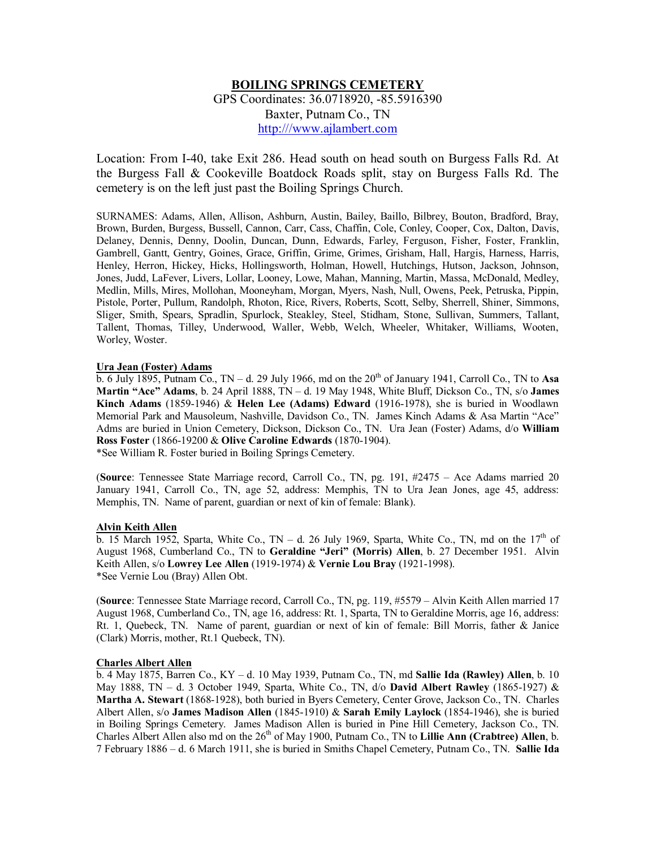# **BOILING SPRINGS CEMETERY**

GPS Coordinates: 36.0718920, -85.5916390 Baxter, Putnam Co., TN http:///www.ajlambert.com

Location: From I-40, take Exit 286. Head south on head south on Burgess Falls Rd. At the Burgess Fall & Cookeville Boatdock Roads split, stay on Burgess Falls Rd. The cemetery is on the left just past the Boiling Springs Church.

SURNAMES: Adams, Allen, Allison, Ashburn, Austin, Bailey, Baillo, Bilbrey, Bouton, Bradford, Bray, Brown, Burden, Burgess, Bussell, Cannon, Carr, Cass, Chaffin, Cole, Conley, Cooper, Cox, Dalton, Davis, Delaney, Dennis, Denny, Doolin, Duncan, Dunn, Edwards, Farley, Ferguson, Fisher, Foster, Franklin, Gambrell, Gantt, Gentry, Goines, Grace, Griffin, Grime, Grimes, Grisham, Hall, Hargis, Harness, Harris, Henley, Herron, Hickey, Hicks, Hollingsworth, Holman, Howell, Hutchings, Hutson, Jackson, Johnson, Jones, Judd, LaFever, Livers, Lollar, Looney, Lowe, Mahan, Manning, Martin, Massa, McDonald, Medley, Medlin, Mills, Mires, Mollohan, Mooneyham, Morgan, Myers, Nash, Null, Owens, Peek, Petruska, Pippin, Pistole, Porter, Pullum, Randolph, Rhoton, Rice, Rivers, Roberts, Scott, Selby, Sherrell, Shiner, Simmons, Sliger, Smith, Spears, Spradlin, Spurlock, Steakley, Steel, Stidham, Stone, Sullivan, Summers, Tallant, Tallent, Thomas, Tilley, Underwood, Waller, Webb, Welch, Wheeler, Whitaker, Williams, Wooten, Worley, Woster.

## **Ura Jean (Foster) Adams**

 $\overline{b}$ . 6 July 1895, Putnam Co., TN – d. 29 July 1966, md on the 20<sup>th</sup> of January 1941, Carroll Co., TN to **Asa Martin "Ace" Adams**, b. 24 April 1888, TN – d. 19 May 1948, White Bluff, Dickson Co., TN, s/o **James Kinch Adams** (1859-1946) & **Helen Lee (Adams) Edward** (1916-1978), she is buried in Woodlawn Memorial Park and Mausoleum, Nashville, Davidson Co., TN. James Kinch Adams & Asa Martin "Ace" Adms are buried in Union Cemetery, Dickson, Dickson Co., TN. Ura Jean (Foster) Adams, d/o **William Ross Foster** (1866-19200 & **Olive Caroline Edwards** (1870-1904). \*See William R. Foster buried in Boiling Springs Cemetery.

(**Source**: Tennessee State Marriage record, Carroll Co., TN, pg. 191, #2475 – Ace Adams married 20 January 1941, Carroll Co., TN, age 52, address: Memphis, TN to Ura Jean Jones, age 45, address: Memphis, TN. Name of parent, guardian or next of kin of female: Blank).

## **Alvin Keith Allen**

 $\overline{b}$ . 15 March 1952, Sparta, White Co., TN – d. 26 July 1969, Sparta, White Co., TN, md on the 17<sup>th</sup> of August 1968, Cumberland Co., TN to **Geraldine "Jeri" (Morris) Allen**, b. 27 December 1951. Alvin Keith Allen, s/o **Lowrey Lee Allen** (1919-1974) & **Vernie Lou Bray** (1921-1998). \*See Vernie Lou (Bray) Allen Obt.

(**Source**: Tennessee State Marriage record, Carroll Co., TN, pg. 119, #5579 – Alvin Keith Allen married 17 August 1968, Cumberland Co., TN, age 16, address: Rt. 1, Sparta, TN to Geraldine Morris, age 16, address: Rt. 1, Quebeck, TN. Name of parent, guardian or next of kin of female: Bill Morris, father & Janice (Clark) Morris, mother, Rt.1 Quebeck, TN).

## **Charles Albert Allen**

b. 4 May 1875, Barren Co., KY – d. 10 May 1939, Putnam Co., TN, md **Sallie Ida (Rawley) Allen**, b. 10 May 1888, TN – d. 3 October 1949, Sparta, White Co., TN, d/o **David Albert Rawley** (1865-1927) & **Martha A. Stewart** (1868-1928), both buried in Byers Cemetery, Center Grove, Jackson Co., TN. Charles Albert Allen, s/o **James Madison Allen** (1845-1910) & **Sarah Emily Laylock** (1854-1946), she is buried in Boiling Springs Cemetery. James Madison Allen is buried in Pine Hill Cemetery, Jackson Co., TN. Charles Albert Allen also md on the 26<sup>th</sup> of May 1900, Putnam Co., TN to Lillie Ann (Crabtree) Allen, b. 7 February 1886 – d. 6 March 1911, she is buried in Smiths Chapel Cemetery, Putnam Co., TN. **Sallie Ida**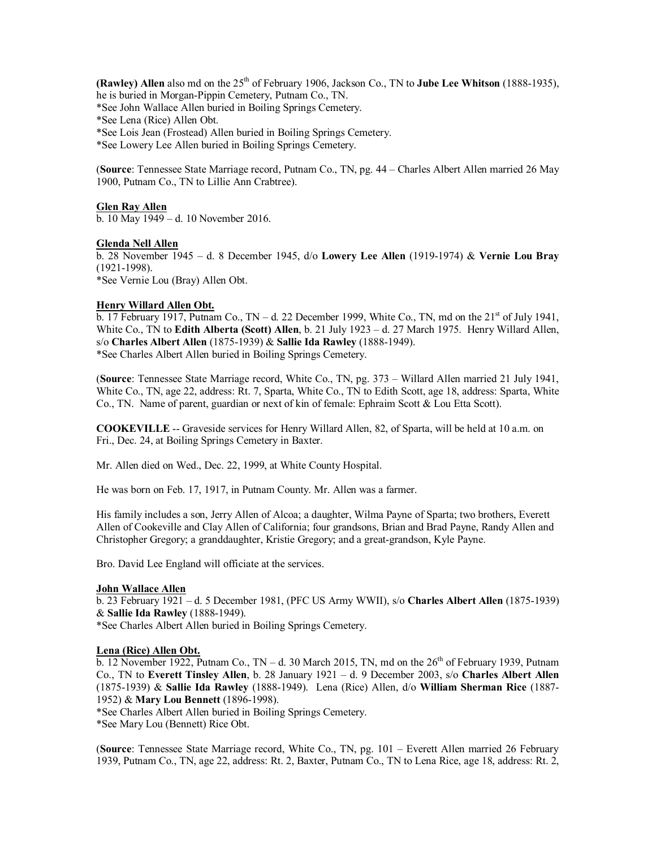**(Rawley) Allen** also md on the 25<sup>th</sup> of February 1906, Jackson Co., TN to **Jube Lee Whitson** (1888-1935), he is buried in Morgan-Pippin Cemetery, Putnam Co., TN.

\*See John Wallace Allen buried in Boiling Springs Cemetery.

\*See Lena (Rice) Allen Obt.

\*See Lois Jean (Frostead) Allen buried in Boiling Springs Cemetery.

\*See Lowery Lee Allen buried in Boiling Springs Cemetery.

(**Source**: Tennessee State Marriage record, Putnam Co., TN, pg. 44 – Charles Albert Allen married 26 May 1900, Putnam Co., TN to Lillie Ann Crabtree).

## **Glen Ray Allen**

b. 10 May 1949 – d. 10 November 2016.

## **Glenda Nell Allen**

b. 28 November 1945 – d. 8 December 1945, d/o **Lowery Lee Allen** (1919-1974) & **Vernie Lou Bray** (1921-1998). \*See Vernie Lou (Bray) Allen Obt.

## **Henry Willard Allen Obt.**

b. 17 February 1917, Putnam Co., TN – d. 22 December 1999, White Co., TN, md on the  $21<sup>st</sup>$  of July 1941, White Co., TN to **Edith Alberta (Scott) Allen**, b. 21 July 1923 – d. 27 March 1975. Henry Willard Allen, s/o **Charles Albert Allen** (1875-1939) & **Sallie Ida Rawley** (1888-1949). \*See Charles Albert Allen buried in Boiling Springs Cemetery.

(**Source**: Tennessee State Marriage record, White Co., TN, pg. 373 – Willard Allen married 21 July 1941, White Co., TN, age 22, address: Rt. 7, Sparta, White Co., TN to Edith Scott, age 18, address: Sparta, White Co., TN. Name of parent, guardian or next of kin of female: Ephraim Scott & Lou Etta Scott).

**COOKEVILLE** -- Graveside services for Henry Willard Allen, 82, of Sparta, will be held at 10 a.m. on Fri., Dec. 24, at Boiling Springs Cemetery in Baxter.

Mr. Allen died on Wed., Dec. 22, 1999, at White County Hospital.

He was born on Feb. 17, 1917, in Putnam County. Mr. Allen was a farmer.

His family includes a son, Jerry Allen of Alcoa; a daughter, Wilma Payne of Sparta; two brothers, Everett Allen of Cookeville and Clay Allen of California; four grandsons, Brian and Brad Payne, Randy Allen and Christopher Gregory; a granddaughter, Kristie Gregory; and a great-grandson, Kyle Payne.

Bro. David Lee England will officiate at the services.

## **John Wallace Allen**

b. 23 February 1921 – d. 5 December 1981, (PFC US Army WWII), s/o **Charles Albert Allen** (1875-1939) & **Sallie Ida Rawley** (1888-1949).

\*See Charles Albert Allen buried in Boiling Springs Cemetery.

## **Lena (Rice) Allen Obt.**

b. 12 November 1922, Putnam Co., TN – d. 30 March 2015, TN, md on the  $26<sup>th</sup>$  of February 1939, Putnam Co., TN to **Everett Tinsley Allen**, b. 28 January 1921 – d. 9 December 2003, s/o **Charles Albert Allen** (1875-1939) & **Sallie Ida Rawley** (1888-1949). Lena (Rice) Allen, d/o **William Sherman Rice** (1887- 1952) & **Mary Lou Bennett** (1896-1998).

\*See Charles Albert Allen buried in Boiling Springs Cemetery.

\*See Mary Lou (Bennett) Rice Obt.

(**Source**: Tennessee State Marriage record, White Co., TN, pg. 101 – Everett Allen married 26 February 1939, Putnam Co., TN, age 22, address: Rt. 2, Baxter, Putnam Co., TN to Lena Rice, age 18, address: Rt. 2,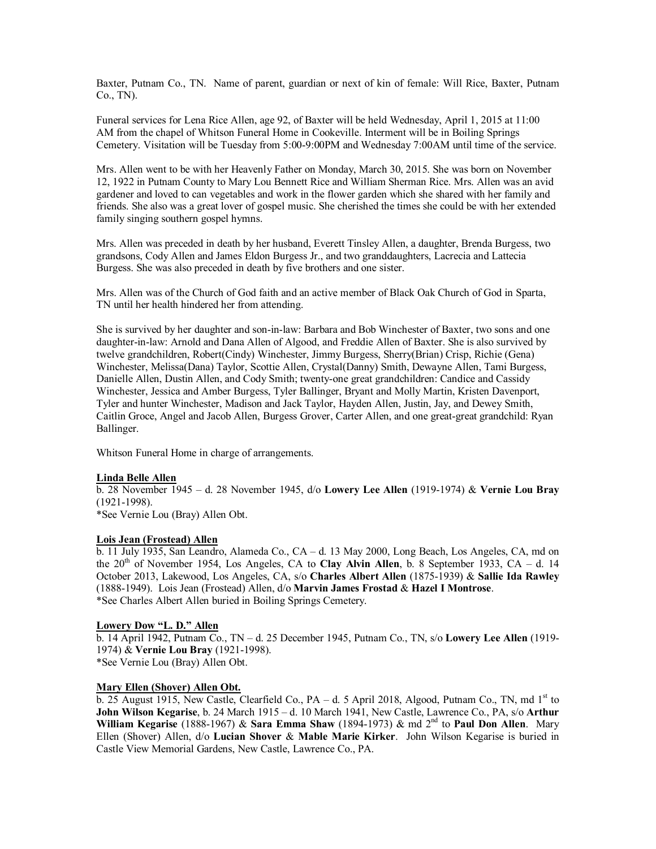Baxter, Putnam Co., TN. Name of parent, guardian or next of kin of female: Will Rice, Baxter, Putnam Co., TN).

Funeral services for Lena Rice Allen, age 92, of Baxter will be held Wednesday, April 1, 2015 at 11:00 AM from the chapel of Whitson Funeral Home in Cookeville. Interment will be in Boiling Springs Cemetery. Visitation will be Tuesday from 5:00-9:00PM and Wednesday 7:00AM until time of the service.

Mrs. Allen went to be with her Heavenly Father on Monday, March 30, 2015. She was born on November 12, 1922 in Putnam County to Mary Lou Bennett Rice and William Sherman Rice. Mrs. Allen was an avid gardener and loved to can vegetables and work in the flower garden which she shared with her family and friends. She also was a great lover of gospel music. She cherished the times she could be with her extended family singing southern gospel hymns.

Mrs. Allen was preceded in death by her husband, Everett Tinsley Allen, a daughter, Brenda Burgess, two grandsons, Cody Allen and James Eldon Burgess Jr., and two granddaughters, Lacrecia and Lattecia Burgess. She was also preceded in death by five brothers and one sister.

Mrs. Allen was of the Church of God faith and an active member of Black Oak Church of God in Sparta, TN until her health hindered her from attending.

She is survived by her daughter and son-in-law: Barbara and Bob Winchester of Baxter, two sons and one daughter-in-law: Arnold and Dana Allen of Algood, and Freddie Allen of Baxter. She is also survived by twelve grandchildren, Robert(Cindy) Winchester, Jimmy Burgess, Sherry(Brian) Crisp, Richie (Gena) Winchester, Melissa(Dana) Taylor, Scottie Allen, Crystal(Danny) Smith, Dewayne Allen, Tami Burgess, Danielle Allen, Dustin Allen, and Cody Smith; twenty-one great grandchildren: Candice and Cassidy Winchester, Jessica and Amber Burgess, Tyler Ballinger, Bryant and Molly Martin, Kristen Davenport, Tyler and hunter Winchester, Madison and Jack Taylor, Hayden Allen, Justin, Jay, and Dewey Smith, Caitlin Groce, Angel and Jacob Allen, Burgess Grover, Carter Allen, and one great-great grandchild: Ryan Ballinger.

Whitson Funeral Home in charge of arrangements.

## **Linda Belle Allen**

b. 28 November 1945 – d. 28 November 1945, d/o **Lowery Lee Allen** (1919-1974) & **Vernie Lou Bray** (1921-1998).

\*See Vernie Lou (Bray) Allen Obt.

## **Lois Jean (Frostead) Allen**

b. 11 July 1935, San Leandro, Alameda Co., CA – d. 13 May 2000, Long Beach, Los Angeles, CA, md on the  $20<sup>th</sup>$  of November 1954, Los Angeles, CA to **Clay Alvin Allen**, b. 8 September 1933, CA – d. 14 October 2013, Lakewood, Los Angeles, CA, s/o **Charles Albert Allen** (1875-1939) & **Sallie Ida Rawley** (1888-1949). Lois Jean (Frostead) Allen, d/o **Marvin James Frostad** & **Hazel I Montrose**. \*See Charles Albert Allen buried in Boiling Springs Cemetery.

## **Lowery Dow "L. D." Allen**

b. 14 April 1942, Putnam Co., TN – d. 25 December 1945, Putnam Co., TN, s/o **Lowery Lee Allen** (1919- 1974) & **Vernie Lou Bray** (1921-1998). \*See Vernie Lou (Bray) Allen Obt.

## **Mary Ellen (Shover) Allen Obt.**

b. 25 August 1915, New Castle, Clearfield Co.,  $PA - d$ . 5 April 2018, Algood, Putnam Co., TN, md  $1<sup>st</sup>$  to **John Wilson Kegarise**, b. 24 March 1915 – d. 10 March 1941, New Castle, Lawrence Co., PA, s/o **Arthur William Kegarise** (1888-1967) & **Sara Emma Shaw** (1894-1973) & md 2nd to **Paul Don Allen**. Mary Ellen (Shover) Allen, d/o **Lucian Shover** & **Mable Marie Kirker**. John Wilson Kegarise is buried in Castle View Memorial Gardens, New Castle, Lawrence Co., PA.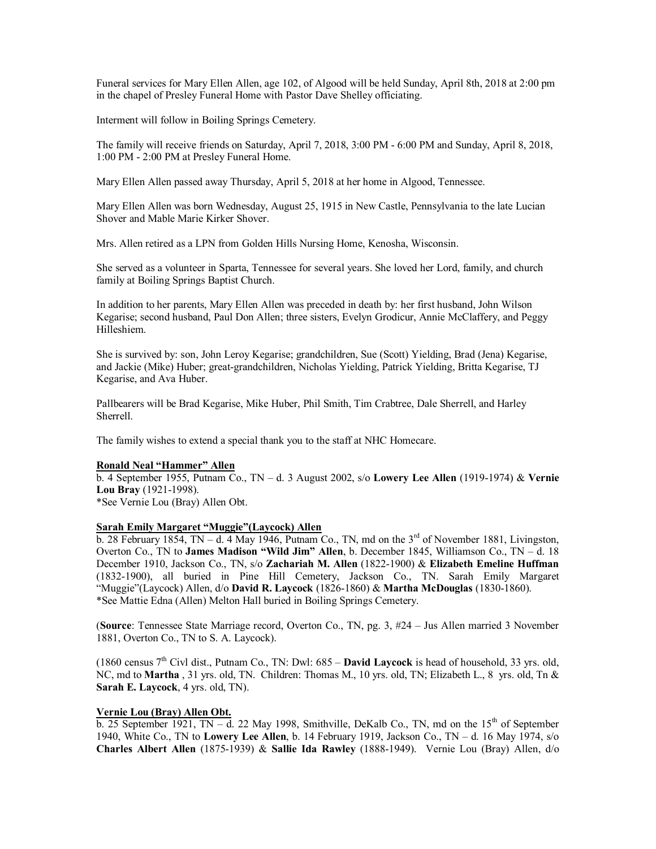Funeral services for Mary Ellen Allen, age 102, of Algood will be held Sunday, April 8th, 2018 at 2:00 pm in the chapel of Presley Funeral Home with Pastor Dave Shelley officiating.

Interment will follow in Boiling Springs Cemetery.

The family will receive friends on Saturday, April 7, 2018, 3:00 PM - 6:00 PM and Sunday, April 8, 2018, 1:00 PM - 2:00 PM at Presley Funeral Home.

Mary Ellen Allen passed away Thursday, April 5, 2018 at her home in Algood, Tennessee.

Mary Ellen Allen was born Wednesday, August 25, 1915 in New Castle, Pennsylvania to the late Lucian Shover and Mable Marie Kirker Shover.

Mrs. Allen retired as a LPN from Golden Hills Nursing Home, Kenosha, Wisconsin.

She served as a volunteer in Sparta, Tennessee for several years. She loved her Lord, family, and church family at Boiling Springs Baptist Church.

In addition to her parents, Mary Ellen Allen was preceded in death by: her first husband, John Wilson Kegarise; second husband, Paul Don Allen; three sisters, Evelyn Grodicur, Annie McClaffery, and Peggy Hilleshiem.

She is survived by: son, John Leroy Kegarise; grandchildren, Sue (Scott) Yielding, Brad (Jena) Kegarise, and Jackie (Mike) Huber; great-grandchildren, Nicholas Yielding, Patrick Yielding, Britta Kegarise, TJ Kegarise, and Ava Huber.

Pallbearers will be Brad Kegarise, Mike Huber, Phil Smith, Tim Crabtree, Dale Sherrell, and Harley Sherrell.

The family wishes to extend a special thank you to the staff at NHC Homecare.

## **Ronald Neal "Hammer" Allen**

b. 4 September 1955, Putnam Co., TN – d. 3 August 2002, s/o **Lowery Lee Allen** (1919-1974) & **Vernie Lou Bray** (1921-1998).

\*See Vernie Lou (Bray) Allen Obt.

## **Sarah Emily Margaret "Muggie"(Laycock) Allen**

b. 28 February 1854, TN – d. 4 May 1946, Putnam Co., TN, md on the  $3<sup>rd</sup>$  of November 1881, Livingston, Overton Co., TN to **James Madison "Wild Jim" Allen**, b. December 1845, Williamson Co., TN – d. 18 December 1910, Jackson Co., TN, s/o **Zachariah M. Allen** (1822-1900) & **Elizabeth Emeline Huffman** (1832-1900), all buried in Pine Hill Cemetery, Jackson Co., TN. Sarah Emily Margaret "Muggie"(Laycock) Allen, d/o **David R. Laycock** (1826-1860) & **Martha McDouglas** (1830-1860). \*See Mattie Edna (Allen) Melton Hall buried in Boiling Springs Cemetery.

(**Source**: Tennessee State Marriage record, Overton Co., TN, pg. 3, #24 – Jus Allen married 3 November 1881, Overton Co., TN to S. A. Laycock).

(1860 census 7th Civl dist., Putnam Co., TN: Dwl: 685 – **David Laycock** is head of household, 33 yrs. old, NC, md to **Martha** , 31 yrs. old, TN. Children: Thomas M., 10 yrs. old, TN; Elizabeth L., 8 yrs. old, Tn & **Sarah E. Laycock**, 4 yrs. old, TN).

## **Vernie Lou (Bray) Allen Obt.**

b. 25 September 1921, TN – d. 22 May 1998, Smithville, DeKalb Co., TN, md on the  $15<sup>th</sup>$  of September 1940, White Co., TN to **Lowery Lee Allen**, b. 14 February 1919, Jackson Co., TN – d. 16 May 1974, s/o **Charles Albert Allen** (1875-1939) & **Sallie Ida Rawley** (1888-1949). Vernie Lou (Bray) Allen, d/o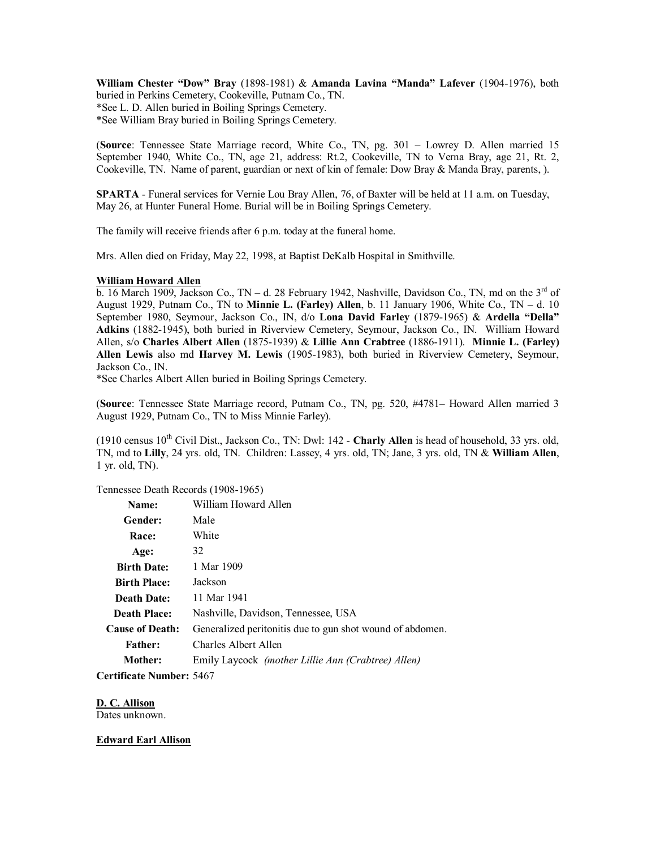**William Chester "Dow" Bray** (1898-1981) & **Amanda Lavina "Manda" Lafever** (1904-1976), both buried in Perkins Cemetery, Cookeville, Putnam Co., TN. \*See L. D. Allen buried in Boiling Springs Cemetery.

\*See William Bray buried in Boiling Springs Cemetery.

(**Source**: Tennessee State Marriage record, White Co., TN, pg. 301 – Lowrey D. Allen married 15 September 1940, White Co., TN, age 21, address: Rt.2, Cookeville, TN to Verna Bray, age 21, Rt. 2, Cookeville, TN. Name of parent, guardian or next of kin of female: Dow Bray & Manda Bray, parents, ).

**SPARTA** - Funeral services for Vernie Lou Bray Allen, 76, of Baxter will be held at 11 a.m. on Tuesday, May 26, at Hunter Funeral Home. Burial will be in Boiling Springs Cemetery.

The family will receive friends after 6 p.m. today at the funeral home.

Mrs. Allen died on Friday, May 22, 1998, at Baptist DeKalb Hospital in Smithville.

#### **William Howard Allen**

b. 16 March 1909, Jackson Co., TN – d. 28 February 1942, Nashville, Davidson Co., TN, md on the  $3<sup>rd</sup>$  of August 1929, Putnam Co., TN to **Minnie L. (Farley) Allen**, b. 11 January 1906, White Co., TN – d. 10 September 1980, Seymour, Jackson Co., IN, d/o **Lona David Farley** (1879-1965) & **Ardella "Della" Adkins** (1882-1945), both buried in Riverview Cemetery, Seymour, Jackson Co., IN. William Howard Allen, s/o **Charles Albert Allen** (1875-1939) & **Lillie Ann Crabtree** (1886-1911). **Minnie L. (Farley) Allen Lewis** also md **Harvey M. Lewis** (1905-1983), both buried in Riverview Cemetery, Seymour, Jackson Co., IN.

\*See Charles Albert Allen buried in Boiling Springs Cemetery.

(**Source**: Tennessee State Marriage record, Putnam Co., TN, pg. 520, #4781– Howard Allen married 3 August 1929, Putnam Co., TN to Miss Minnie Farley).

(1910 census 10th Civil Dist., Jackson Co., TN: Dwl: 142 - **Charly Allen** is head of household, 33 yrs. old, TN, md to **Lilly**, 24 yrs. old, TN. Children: Lassey, 4 yrs. old, TN; Jane, 3 yrs. old, TN & **William Allen**, 1 yr. old, TN).

Tennessee Death Records (1908-1965)

| Name:                  | William Howard Allen                                      |
|------------------------|-----------------------------------------------------------|
| Gender:                | Male                                                      |
| Race:                  | White                                                     |
| Age:                   | 32                                                        |
| <b>Birth Date:</b>     | 1 Mar 1909                                                |
| <b>Birth Place:</b>    | Jackson                                                   |
| <b>Death Date:</b>     | 11 Mar 1941                                               |
| <b>Death Place:</b>    | Nashville, Davidson, Tennessee, USA                       |
| <b>Cause of Death:</b> | Generalized peritonitis due to gun shot wound of abdomen. |
| <b>Father:</b>         | Charles Albert Allen                                      |
| Mother:                | Emily Laycock <i>(mother Lillie Ann (Crabtree) Allen)</i> |
|                        |                                                           |

**Certificate Number:** 5467

**D. C. Allison**

Dates unknown.

**Edward Earl Allison**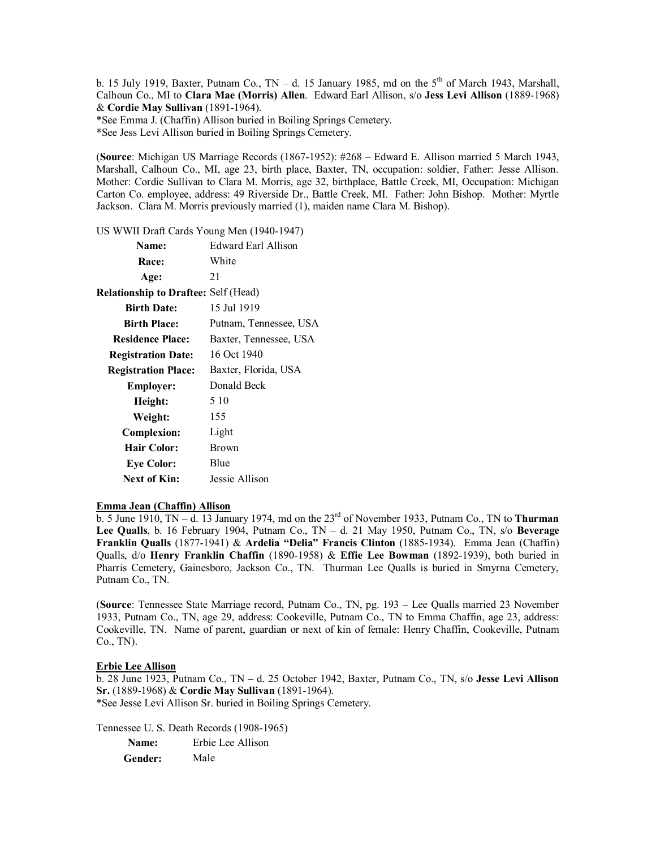b. 15 July 1919, Baxter, Putnam Co.,  $TN - d$ . 15 January 1985, md on the  $5<sup>th</sup>$  of March 1943, Marshall, Calhoun Co., MI to **Clara Mae (Morris) Allen**. Edward Earl Allison, s/o **Jess Levi Allison** (1889-1968) & **Cordie May Sullivan** (1891-1964).

\*See Emma J. (Chaffin) Allison buried in Boiling Springs Cemetery.

\*See Jess Levi Allison buried in Boiling Springs Cemetery.

(**Source**: Michigan US Marriage Records (1867-1952): #268 – Edward E. Allison married 5 March 1943, Marshall, Calhoun Co., MI, age 23, birth place, Baxter, TN, occupation: soldier, Father: Jesse Allison. Mother: Cordie Sullivan to Clara M. Morris, age 32, birthplace, Battle Creek, MI, Occupation: Michigan Carton Co. employee, address: 49 Riverside Dr., Battle Creek, MI. Father: John Bishop. Mother: Myrtle Jackson. Clara M. Morris previously married (1), maiden name Clara M. Bishop).

US WWII Draft Cards Young Men (1940-1947)

| Name:                                       | Edward Earl Allison    |
|---------------------------------------------|------------------------|
| <b>Race:</b>                                | White                  |
| Age:                                        | 21                     |
| <b>Relationship to Draftee: Self (Head)</b> |                        |
| <b>Birth Date:</b>                          | 15 Jul 1919            |
| <b>Birth Place:</b>                         | Putnam, Tennessee, USA |
| <b>Residence Place:</b>                     | Baxter, Tennessee, USA |
| <b>Registration Date:</b>                   | 16 Oct 1940            |
| <b>Registration Place:</b>                  | Baxter, Florida, USA   |
| <b>Employer:</b>                            | Donald Beck            |
| Height:                                     | 5 10                   |
| Weight:                                     | 155                    |
| <b>Complexion:</b>                          | Light                  |
| <b>Hair Color:</b>                          | <b>Brown</b>           |
| <b>Eye Color:</b>                           | Blue                   |
| <b>Next of Kin:</b>                         | Jessie Allison         |

## **Emma Jean (Chaffin) Allison**

b. 5 June 1910, TN – d. 13 January 1974, md on the 23rd of November 1933, Putnam Co., TN to **Thurman Lee Qualls**, b. 16 February 1904, Putnam Co., TN – d. 21 May 1950, Putnam Co., TN, s/o **Beverage Franklin Qualls** (1877-1941) & **Ardelia "Delia" Francis Clinton** (1885-1934). Emma Jean (Chaffin) Qualls, d/o **Henry Franklin Chaffin** (1890-1958) & **Effie Lee Bowman** (1892-1939), both buried in Pharris Cemetery, Gainesboro, Jackson Co., TN. Thurman Lee Qualls is buried in Smyrna Cemetery, Putnam Co., TN.

(**Source**: Tennessee State Marriage record, Putnam Co., TN, pg. 193 – Lee Qualls married 23 November 1933, Putnam Co., TN, age 29, address: Cookeville, Putnam Co., TN to Emma Chaffin, age 23, address: Cookeville, TN. Name of parent, guardian or next of kin of female: Henry Chaffin, Cookeville, Putnam Co., TN).

## **Erbie Lee Allison**

b. 28 June 1923, Putnam Co., TN – d. 25 October 1942, Baxter, Putnam Co., TN, s/o **Jesse Levi Allison Sr.** (1889-1968) & **Cordie May Sullivan** (1891-1964). \*See Jesse Levi Allison Sr. buried in Boiling Springs Cemetery.

Tennessee U. S. Death Records (1908-1965)

| Name:   | Erbie Lee Allison |
|---------|-------------------|
| Gender: | Male              |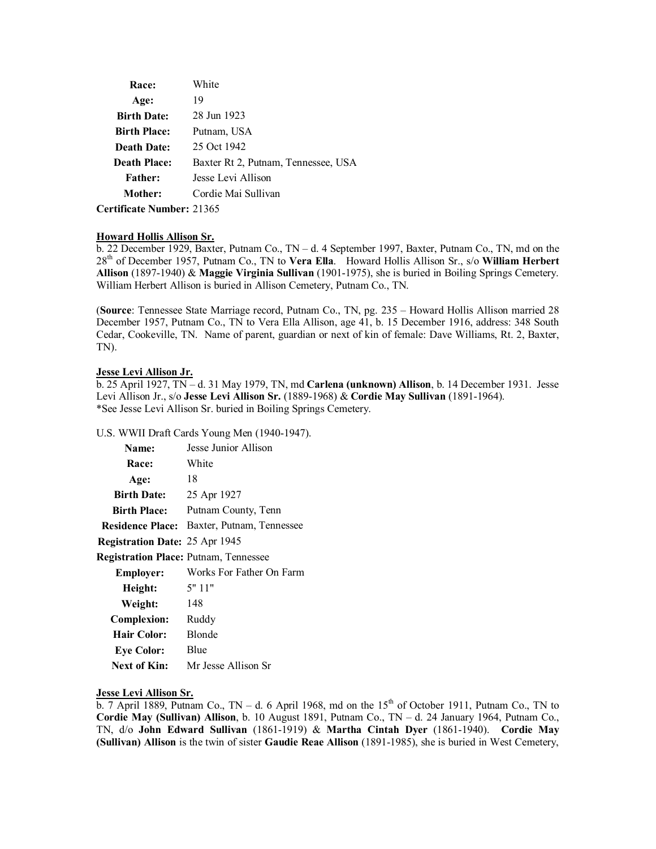| <b>Race:</b>        | White                               |
|---------------------|-------------------------------------|
| Age:                | 19                                  |
| <b>Birth Date:</b>  | 28 Jun 1923                         |
| <b>Birth Place:</b> | Putnam, USA                         |
| <b>Death Date:</b>  | 25 Oct 1942                         |
| <b>Death Place:</b> | Baxter Rt 2, Putnam, Tennessee, USA |
| <b>Father:</b>      | Jesse Levi Allison                  |
| Mother:             | Cordie Mai Sullivan                 |
|                     |                                     |

**Certificate Number:** 21365

## **Howard Hollis Allison Sr.**

b. 22 December 1929, Baxter, Putnam Co., TN – d. 4 September 1997, Baxter, Putnam Co., TN, md on the 28th of December 1957, Putnam Co., TN to **Vera Ella**. Howard Hollis Allison Sr., s/o **William Herbert Allison** (1897-1940) & **Maggie Virginia Sullivan** (1901-1975), she is buried in Boiling Springs Cemetery. William Herbert Allison is buried in Allison Cemetery, Putnam Co., TN.

(**Source**: Tennessee State Marriage record, Putnam Co., TN, pg. 235 – Howard Hollis Allison married 28 December 1957, Putnam Co., TN to Vera Ella Allison, age 41, b. 15 December 1916, address: 348 South Cedar, Cookeville, TN. Name of parent, guardian or next of kin of female: Dave Williams, Rt. 2, Baxter, TN).

## **Jesse Levi Allison Jr.**

b. 25 April 1927, TN – d. 31 May 1979, TN, md **Carlena (unknown) Allison**, b. 14 December 1931. Jesse Levi Allison Jr., s/o **Jesse Levi Allison Sr.** (1889-1968) & **Cordie May Sullivan** (1891-1964). \*See Jesse Levi Allison Sr. buried in Boiling Springs Cemetery.

U.S. WWII Draft Cards Young Men (1940-1947).

| Name:                                        | Jesse Junior Allison                              |
|----------------------------------------------|---------------------------------------------------|
| Race:                                        | White                                             |
| Age:                                         | 18                                                |
| <b>Birth Date:</b>                           | 25 Apr 1927                                       |
| <b>Birth Place:</b>                          | Putnam County, Tenn                               |
|                                              | <b>Residence Place:</b> Baxter, Putnam, Tennessee |
| <b>Registration Date: 25 Apr 1945</b>        |                                                   |
| <b>Registration Place: Putnam, Tennessee</b> |                                                   |
| <b>Employer:</b>                             | Works For Father On Farm                          |
| Height:                                      | 5"11"                                             |
| Weight:                                      | 148                                               |
| <b>Complexion:</b>                           | Ruddy                                             |
| Hair Color:                                  | Blonde                                            |
| <b>Eye Color:</b>                            | Blue                                              |
| Next of Kin:                                 | Mr Jesse Allison Sr                               |

## **Jesse Levi Allison Sr.**

b. 7 April 1889, Putnam Co., TN – d. 6 April 1968, md on the  $15<sup>th</sup>$  of October 1911, Putnam Co., TN to **Cordie May (Sullivan) Allison**, b. 10 August 1891, Putnam Co., TN – d. 24 January 1964, Putnam Co., TN, d/o **John Edward Sullivan** (1861-1919) & **Martha Cintah Dyer** (1861-1940). **Cordie May (Sullivan) Allison** is the twin of sister **Gaudie Reae Allison** (1891-1985), she is buried in West Cemetery,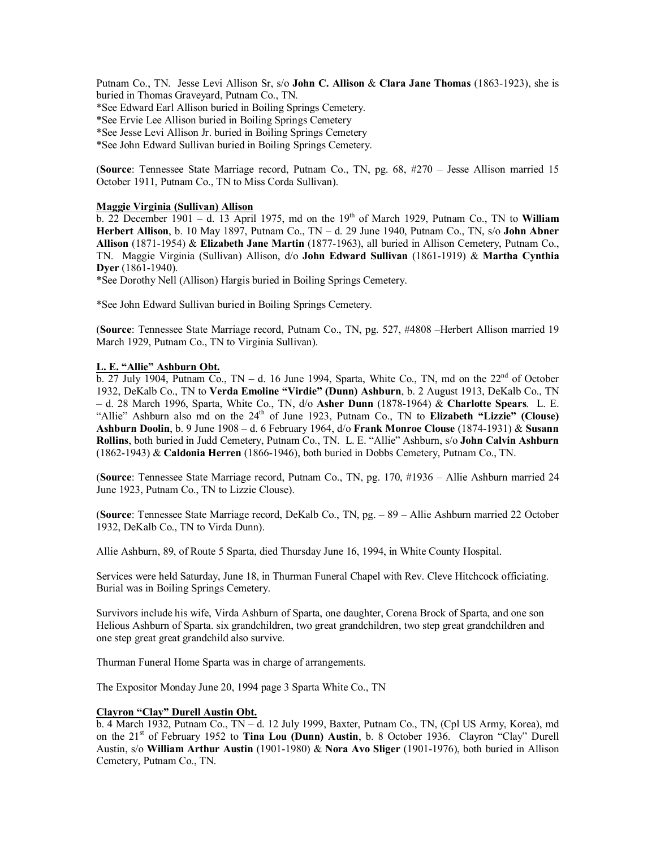Putnam Co., TN. Jesse Levi Allison Sr, s/o **John C. Allison** & **Clara Jane Thomas** (1863-1923), she is buried in Thomas Graveyard, Putnam Co., TN.

\*See Edward Earl Allison buried in Boiling Springs Cemetery.

\*See Ervie Lee Allison buried in Boiling Springs Cemetery

\*See Jesse Levi Allison Jr. buried in Boiling Springs Cemetery

\*See John Edward Sullivan buried in Boiling Springs Cemetery.

(**Source**: Tennessee State Marriage record, Putnam Co., TN, pg. 68, #270 – Jesse Allison married 15 October 1911, Putnam Co., TN to Miss Corda Sullivan).

## **Maggie Virginia (Sullivan) Allison**

 $\overline{b}$ . 22 December 1901 – d. 13 April 1975, md on the 19<sup>th</sup> of March 1929, Putnam Co., TN to **William Herbert Allison**, b. 10 May 1897, Putnam Co., TN – d. 29 June 1940, Putnam Co., TN, s/o **John Abner Allison** (1871-1954) & **Elizabeth Jane Martin** (1877-1963), all buried in Allison Cemetery, Putnam Co., TN. Maggie Virginia (Sullivan) Allison, d/o **John Edward Sullivan** (1861-1919) & **Martha Cynthia Dyer** (1861-1940).

\*See Dorothy Nell (Allison) Hargis buried in Boiling Springs Cemetery.

\*See John Edward Sullivan buried in Boiling Springs Cemetery.

(**Source**: Tennessee State Marriage record, Putnam Co., TN, pg. 527, #4808 –Herbert Allison married 19 March 1929, Putnam Co., TN to Virginia Sullivan).

## **L. E. "Allie" Ashburn Obt.**

 $\overline{b}$ . 27 July 1904, Putnam Co., TN – d. 16 June 1994, Sparta, White Co., TN, md on the 22<sup>nd</sup> of October 1932, DeKalb Co., TN to **Verda Emoline "Virdie" (Dunn) Ashburn**, b. 2 August 1913, DeKalb Co., TN – d. 28 March 1996, Sparta, White Co., TN, d/o **Asher Dunn** (1878-1964) & **Charlotte Spears**. L. E. "Allie" Ashburn also md on the 24<sup>th</sup> of June 1923, Putnam Co., TN to **Elizabeth "Lizzie" (Clouse) Ashburn Doolin**, b. 9 June 1908 – d. 6 February 1964, d/o **Frank Monroe Clouse** (1874-1931) & **Susann Rollins**, both buried in Judd Cemetery, Putnam Co., TN. L. E. "Allie" Ashburn, s/o **John Calvin Ashburn** (1862-1943) & **Caldonia Herren** (1866-1946), both buried in Dobbs Cemetery, Putnam Co., TN.

(**Source**: Tennessee State Marriage record, Putnam Co., TN, pg. 170, #1936 – Allie Ashburn married 24 June 1923, Putnam Co., TN to Lizzie Clouse).

(**Source**: Tennessee State Marriage record, DeKalb Co., TN, pg. – 89 – Allie Ashburn married 22 October 1932, DeKalb Co., TN to Virda Dunn).

Allie Ashburn, 89, of Route 5 Sparta, died Thursday June 16, 1994, in White County Hospital.

Services were held Saturday, June 18, in Thurman Funeral Chapel with Rev. Cleve Hitchcock officiating. Burial was in Boiling Springs Cemetery.

Survivors include his wife, Virda Ashburn of Sparta, one daughter, Corena Brock of Sparta, and one son Helious Ashburn of Sparta. six grandchildren, two great grandchildren, two step great grandchildren and one step great great grandchild also survive.

Thurman Funeral Home Sparta was in charge of arrangements.

The Expositor Monday June 20, 1994 page 3 Sparta White Co., TN

## **Clayron "Clay" Durell Austin Obt.**

 $\overline{b}$ . 4 March 1932, Putnam Co.,  $\overline{TN}$  – d. 12 July 1999, Baxter, Putnam Co., TN, (Cpl US Army, Korea), md on the 21<sup>st</sup> of February 1952 to **Tina Lou (Dunn) Austin**, b. 8 October 1936. Clayron "Clay" Durell Austin, s/o **William Arthur Austin** (1901-1980) & **Nora Avo Sliger** (1901-1976), both buried in Allison Cemetery, Putnam Co., TN.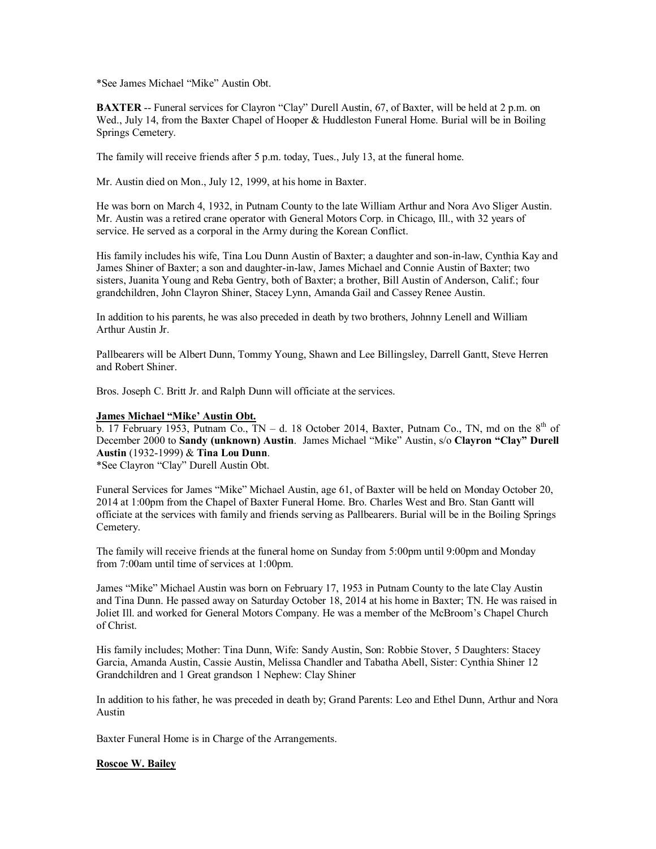\*See James Michael "Mike" Austin Obt.

**BAXTER** -- Funeral services for Clayron "Clay" Durell Austin, 67, of Baxter, will be held at 2 p.m. on Wed., July 14, from the Baxter Chapel of Hooper & Huddleston Funeral Home. Burial will be in Boiling Springs Cemetery.

The family will receive friends after 5 p.m. today, Tues., July 13, at the funeral home.

Mr. Austin died on Mon., July 12, 1999, at his home in Baxter.

He was born on March 4, 1932, in Putnam County to the late William Arthur and Nora Avo Sliger Austin. Mr. Austin was a retired crane operator with General Motors Corp. in Chicago, Ill., with 32 years of service. He served as a corporal in the Army during the Korean Conflict.

His family includes his wife, Tina Lou Dunn Austin of Baxter; a daughter and son-in-law, Cynthia Kay and James Shiner of Baxter; a son and daughter-in-law, James Michael and Connie Austin of Baxter; two sisters, Juanita Young and Reba Gentry, both of Baxter; a brother, Bill Austin of Anderson, Calif.; four grandchildren, John Clayron Shiner, Stacey Lynn, Amanda Gail and Cassey Renee Austin.

In addition to his parents, he was also preceded in death by two brothers, Johnny Lenell and William Arthur Austin Jr.

Pallbearers will be Albert Dunn, Tommy Young, Shawn and Lee Billingsley, Darrell Gantt, Steve Herren and Robert Shiner.

Bros. Joseph C. Britt Jr. and Ralph Dunn will officiate at the services.

## **James Michael "Mike' Austin Obt.**

b. 17 February 1953, Putnam Co.,  $TN - d$ . 18 October 2014, Baxter, Putnam Co., TN, md on the  $8<sup>th</sup>$  of December 2000 to **Sandy (unknown) Austin**. James Michael "Mike" Austin, s/o **Clayron "Clay" Durell Austin** (1932-1999) & **Tina Lou Dunn**.

\*See Clayron "Clay" Durell Austin Obt.

Funeral Services for James "Mike" Michael Austin, age 61, of Baxter will be held on Monday October 20, 2014 at 1:00pm from the Chapel of Baxter Funeral Home. Bro. Charles West and Bro. Stan Gantt will officiate at the services with family and friends serving as Pallbearers. Burial will be in the Boiling Springs Cemetery.

The family will receive friends at the funeral home on Sunday from 5:00pm until 9:00pm and Monday from 7:00am until time of services at 1:00pm.

James "Mike" Michael Austin was born on February 17, 1953 in Putnam County to the late Clay Austin and Tina Dunn. He passed away on Saturday October 18, 2014 at his home in Baxter; TN. He was raised in Joliet Ill. and worked for General Motors Company. He was a member of the McBroom's Chapel Church of Christ.

His family includes; Mother: Tina Dunn, Wife: Sandy Austin, Son: Robbie Stover, 5 Daughters: Stacey Garcia, Amanda Austin, Cassie Austin, Melissa Chandler and Tabatha Abell, Sister: Cynthia Shiner 12 Grandchildren and 1 Great grandson 1 Nephew: Clay Shiner

In addition to his father, he was preceded in death by; Grand Parents: Leo and Ethel Dunn, Arthur and Nora Austin

Baxter Funeral Home is in Charge of the Arrangements.

## **Roscoe W. Bailey**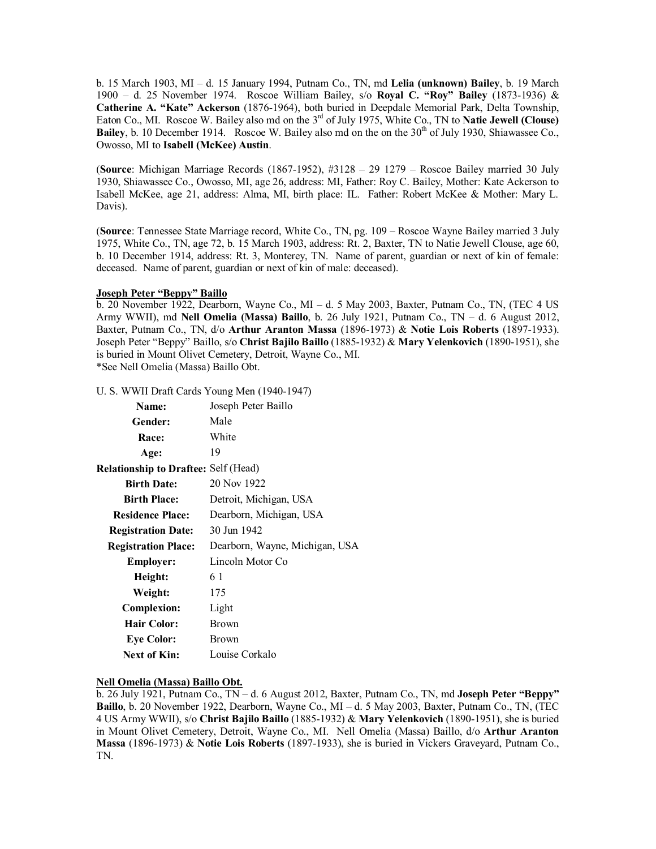b. 15 March 1903, MI – d. 15 January 1994, Putnam Co., TN, md **Lelia (unknown) Bailey**, b. 19 March 1900 – d. 25 November 1974. Roscoe William Bailey, s/o **Royal C. "Roy" Bailey** (1873-1936) & **Catherine A. "Kate" Ackerson** (1876-1964), both buried in Deepdale Memorial Park, Delta Township, Eaton Co., MI. Roscoe W. Bailey also md on the 3rd of July 1975, White Co., TN to **Natie Jewell (Clouse) Bailey**, b. 10 December 1914. Roscoe W. Bailey also md on the on the 30<sup>th</sup> of July 1930, Shiawassee Co., Owosso, MI to **Isabell (McKee) Austin**.

(**Source**: Michigan Marriage Records (1867-1952), #3128 – 29 1279 – Roscoe Bailey married 30 July 1930, Shiawassee Co., Owosso, MI, age 26, address: MI, Father: Roy C. Bailey, Mother: Kate Ackerson to Isabell McKee, age 21, address: Alma, MI, birth place: IL. Father: Robert McKee & Mother: Mary L. Davis).

(**Source**: Tennessee State Marriage record, White Co., TN, pg. 109 – Roscoe Wayne Bailey married 3 July 1975, White Co., TN, age 72, b. 15 March 1903, address: Rt. 2, Baxter, TN to Natie Jewell Clouse, age 60, b. 10 December 1914, address: Rt. 3, Monterey, TN. Name of parent, guardian or next of kin of female: deceased. Name of parent, guardian or next of kin of male: deceased).

## **Joseph Peter "Beppy" Baillo**

b. 20 November 1922, Dearborn, Wayne Co., MI – d. 5 May 2003, Baxter, Putnam Co., TN, (TEC 4 US Army WWII), md **Nell Omelia (Massa) Baillo**, b. 26 July 1921, Putnam Co., TN – d. 6 August 2012, Baxter, Putnam Co., TN, d/o **Arthur Aranton Massa** (1896-1973) & **Notie Lois Roberts** (1897-1933). Joseph Peter "Beppy" Baillo, s/o **Christ Bajilo Baillo** (1885-1932) & **Mary Yelenkovich** (1890-1951), she is buried in Mount Olivet Cemetery, Detroit, Wayne Co., MI. \*See Nell Omelia (Massa) Baillo Obt.

U. S. WWII Draft Cards Young Men (1940-1947)

| Name:                                       | Joseph Peter Baillo            |
|---------------------------------------------|--------------------------------|
| Gender:                                     | Male                           |
| <b>Race:</b>                                | White                          |
| Age:                                        | 19                             |
| <b>Relationship to Draftee: Self (Head)</b> |                                |
| <b>Birth Date:</b>                          | 20 Nov 1922                    |
| <b>Birth Place:</b>                         | Detroit, Michigan, USA         |
| <b>Residence Place:</b>                     | Dearborn, Michigan, USA        |
| <b>Registration Date:</b>                   | 30 Jun 1942                    |
| <b>Registration Place:</b>                  | Dearborn, Wayne, Michigan, USA |
| <b>Employer:</b>                            | Lincoln Motor Co               |
| Height:                                     | 61                             |
| Weight:                                     | 175                            |
| <b>Complexion:</b>                          | Light                          |
| <b>Hair Color:</b>                          | Brown                          |
| <b>Eye Color:</b>                           | Brown                          |
| <b>Next of Kin:</b>                         | Louise Corkalo                 |
|                                             |                                |

## **Nell Omelia (Massa) Baillo Obt.**

b. 26 July 1921, Putnam Co., TN – d. 6 August 2012, Baxter, Putnam Co., TN, md **Joseph Peter "Beppy" Baillo**, b. 20 November 1922, Dearborn, Wayne Co., MI – d. 5 May 2003, Baxter, Putnam Co., TN, (TEC 4 US Army WWII), s/o **Christ Bajilo Baillo** (1885-1932) & **Mary Yelenkovich** (1890-1951), she is buried in Mount Olivet Cemetery, Detroit, Wayne Co., MI. Nell Omelia (Massa) Baillo, d/o **Arthur Aranton Massa** (1896-1973) & **Notie Lois Roberts** (1897-1933), she is buried in Vickers Graveyard, Putnam Co., TN.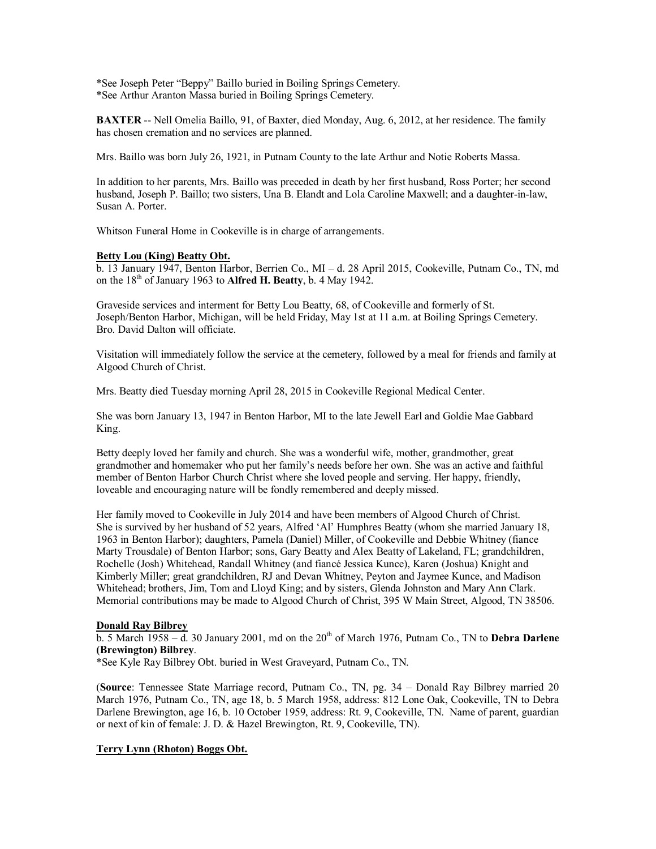\*See Joseph Peter "Beppy" Baillo buried in Boiling Springs Cemetery. \*See Arthur Aranton Massa buried in Boiling Springs Cemetery.

**BAXTER** -- Nell Omelia Baillo, 91, of Baxter, died Monday, Aug. 6, 2012, at her residence. The family has chosen cremation and no services are planned.

Mrs. Baillo was born July 26, 1921, in Putnam County to the late Arthur and Notie Roberts Massa.

In addition to her parents, Mrs. Baillo was preceded in death by her first husband, Ross Porter; her second husband, Joseph P. Baillo; two sisters, Una B. Elandt and Lola Caroline Maxwell; and a daughter-in-law, Susan A. Porter.

Whitson Funeral Home in Cookeville is in charge of arrangements.

## **Betty Lou (King) Beatty Obt.**

b. 13 January 1947, Benton Harbor, Berrien Co., MI – d. 28 April 2015, Cookeville, Putnam Co., TN, md on the  $18<sup>th</sup>$  of January 1963 to **Alfred H. Beatty**, b. 4 May 1942.

Graveside services and interment for Betty Lou Beatty, 68, of Cookeville and formerly of St. Joseph/Benton Harbor, Michigan, will be held Friday, May 1st at 11 a.m. at Boiling Springs Cemetery. Bro. David Dalton will officiate.

Visitation will immediately follow the service at the cemetery, followed by a meal for friends and family at Algood Church of Christ.

Mrs. Beatty died Tuesday morning April 28, 2015 in Cookeville Regional Medical Center.

She was born January 13, 1947 in Benton Harbor, MI to the late Jewell Earl and Goldie Mae Gabbard King.

Betty deeply loved her family and church. She was a wonderful wife, mother, grandmother, great grandmother and homemaker who put her family's needs before her own. She was an active and faithful member of Benton Harbor Church Christ where she loved people and serving. Her happy, friendly, loveable and encouraging nature will be fondly remembered and deeply missed.

Her family moved to Cookeville in July 2014 and have been members of Algood Church of Christ. She is survived by her husband of 52 years, Alfred 'Al' Humphres Beatty (whom she married January 18, 1963 in Benton Harbor); daughters, Pamela (Daniel) Miller, of Cookeville and Debbie Whitney (fiance Marty Trousdale) of Benton Harbor; sons, Gary Beatty and Alex Beatty of Lakeland, FL; grandchildren, Rochelle (Josh) Whitehead, Randall Whitney (and fiancé Jessica Kunce), Karen (Joshua) Knight and Kimberly Miller; great grandchildren, RJ and Devan Whitney, Peyton and Jaymee Kunce, and Madison Whitehead; brothers, Jim, Tom and Lloyd King; and by sisters, Glenda Johnston and Mary Ann Clark. Memorial contributions may be made to Algood Church of Christ, 395 W Main Street, Algood, TN 38506.

## **Donald Ray Bilbrey**

 $\overline{b}$ . 5 March 1958 – d. 30 January 2001, md on the 20<sup>th</sup> of March 1976, Putnam Co., TN to **Debra Darlene (Brewington) Bilbrey**.

\*See Kyle Ray Bilbrey Obt. buried in West Graveyard, Putnam Co., TN.

(**Source**: Tennessee State Marriage record, Putnam Co., TN, pg. 34 – Donald Ray Bilbrey married 20 March 1976, Putnam Co., TN, age 18, b. 5 March 1958, address: 812 Lone Oak, Cookeville, TN to Debra Darlene Brewington, age 16, b. 10 October 1959, address: Rt. 9, Cookeville, TN. Name of parent, guardian or next of kin of female: J. D. & Hazel Brewington, Rt. 9, Cookeville, TN).

## **Terry Lynn (Rhoton) Boggs Obt.**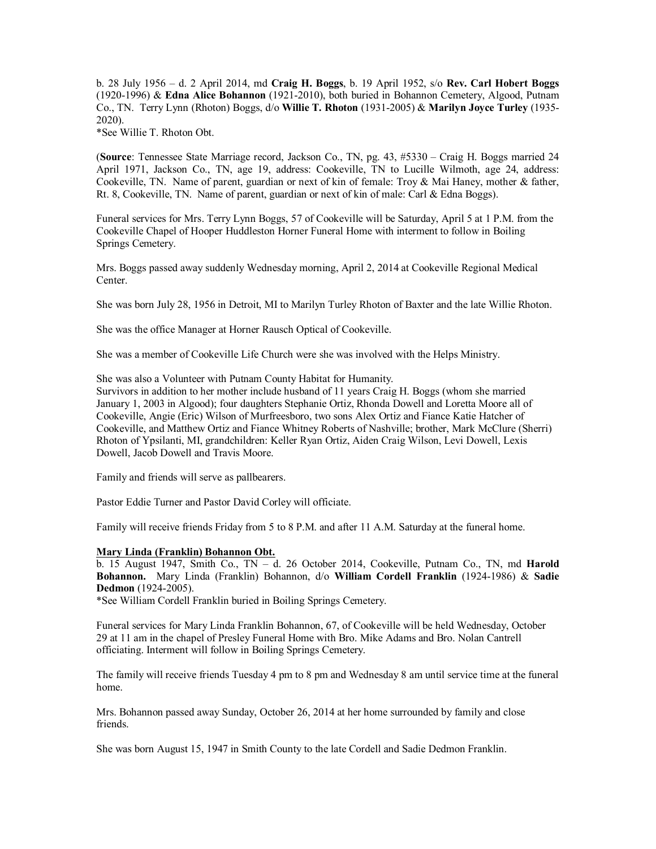b. 28 July 1956 – d. 2 April 2014, md **Craig H. Boggs**, b. 19 April 1952, s/o **Rev. Carl Hobert Boggs** (1920-1996) & **Edna Alice Bohannon** (1921-2010), both buried in Bohannon Cemetery, Algood, Putnam Co., TN. Terry Lynn (Rhoton) Boggs, d/o **Willie T. Rhoton** (1931-2005) & **Marilyn Joyce Turley** (1935- 2020).

\*See Willie T. Rhoton Obt.

(**Source**: Tennessee State Marriage record, Jackson Co., TN, pg. 43, #5330 – Craig H. Boggs married 24 April 1971, Jackson Co., TN, age 19, address: Cookeville, TN to Lucille Wilmoth, age 24, address: Cookeville, TN. Name of parent, guardian or next of kin of female: Troy & Mai Haney, mother & father, Rt. 8, Cookeville, TN. Name of parent, guardian or next of kin of male: Carl & Edna Boggs).

Funeral services for Mrs. Terry Lynn Boggs, 57 of Cookeville will be Saturday, April 5 at 1 P.M. from the Cookeville Chapel of Hooper Huddleston Horner Funeral Home with interment to follow in Boiling Springs Cemetery.

Mrs. Boggs passed away suddenly Wednesday morning, April 2, 2014 at Cookeville Regional Medical Center.

She was born July 28, 1956 in Detroit, MI to Marilyn Turley Rhoton of Baxter and the late Willie Rhoton.

She was the office Manager at Horner Rausch Optical of Cookeville.

She was a member of Cookeville Life Church were she was involved with the Helps Ministry.

She was also a Volunteer with Putnam County Habitat for Humanity.

Survivors in addition to her mother include husband of 11 years Craig H. Boggs (whom she married January 1, 2003 in Algood); four daughters Stephanie Ortiz, Rhonda Dowell and Loretta Moore all of Cookeville, Angie (Eric) Wilson of Murfreesboro, two sons Alex Ortiz and Fiance Katie Hatcher of Cookeville, and Matthew Ortiz and Fiance Whitney Roberts of Nashville; brother, Mark McClure (Sherri) Rhoton of Ypsilanti, MI, grandchildren: Keller Ryan Ortiz, Aiden Craig Wilson, Levi Dowell, Lexis Dowell, Jacob Dowell and Travis Moore.

Family and friends will serve as pallbearers.

Pastor Eddie Turner and Pastor David Corley will officiate.

Family will receive friends Friday from 5 to 8 P.M. and after 11 A.M. Saturday at the funeral home.

#### **Mary Linda (Franklin) Bohannon Obt.**

b. 15 August 1947, Smith Co., TN – d. 26 October 2014, Cookeville, Putnam Co., TN, md **Harold Bohannon.** Mary Linda (Franklin) Bohannon, d/o **William Cordell Franklin** (1924-1986) & **Sadie Dedmon** (1924-2005).

\*See William Cordell Franklin buried in Boiling Springs Cemetery.

Funeral services for Mary Linda Franklin Bohannon, 67, of Cookeville will be held Wednesday, October 29 at 11 am in the chapel of Presley Funeral Home with Bro. Mike Adams and Bro. Nolan Cantrell officiating. Interment will follow in Boiling Springs Cemetery.

The family will receive friends Tuesday 4 pm to 8 pm and Wednesday 8 am until service time at the funeral home.

Mrs. Bohannon passed away Sunday, October 26, 2014 at her home surrounded by family and close friends.

She was born August 15, 1947 in Smith County to the late Cordell and Sadie Dedmon Franklin.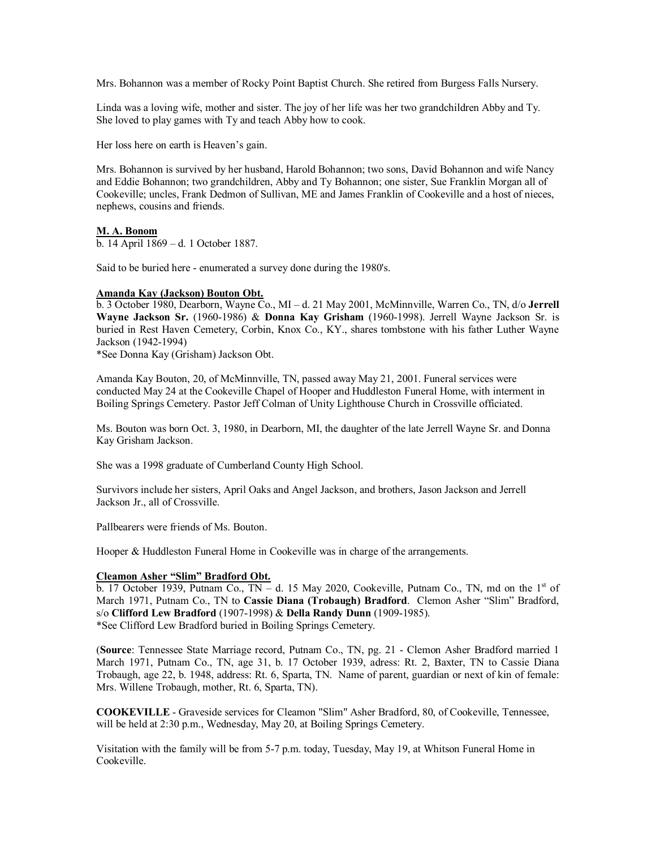Mrs. Bohannon was a member of Rocky Point Baptist Church. She retired from Burgess Falls Nursery.

Linda was a loving wife, mother and sister. The joy of her life was her two grandchildren Abby and Ty. She loved to play games with Ty and teach Abby how to cook.

Her loss here on earth is Heaven's gain.

Mrs. Bohannon is survived by her husband, Harold Bohannon; two sons, David Bohannon and wife Nancy and Eddie Bohannon; two grandchildren, Abby and Ty Bohannon; one sister, Sue Franklin Morgan all of Cookeville; uncles, Frank Dedmon of Sullivan, ME and James Franklin of Cookeville and a host of nieces, nephews, cousins and friends.

## **M. A. Bonom**

b. 14 April 1869 – d. 1 October 1887.

Said to be buried here - enumerated a survey done during the 1980's.

## **Amanda Kay (Jackson) Bouton Obt.**

b. 3 October 1980, Dearborn, Wayne Co., MI – d. 21 May 2001, McMinnville, Warren Co., TN, d/o **Jerrell Wayne Jackson Sr.** (1960-1986) & **Donna Kay Grisham** (1960-1998). Jerrell Wayne Jackson Sr. is buried in Rest Haven Cemetery, Corbin, Knox Co., KY., shares tombstone with his father Luther Wayne Jackson (1942-1994)

\*See Donna Kay (Grisham) Jackson Obt.

Amanda Kay Bouton, 20, of McMinnville, TN, passed away May 21, 2001. Funeral services were conducted May 24 at the Cookeville Chapel of Hooper and Huddleston Funeral Home, with interment in Boiling Springs Cemetery. Pastor Jeff Colman of Unity Lighthouse Church in Crossville officiated.

Ms. Bouton was born Oct. 3, 1980, in Dearborn, MI, the daughter of the late Jerrell Wayne Sr. and Donna Kay Grisham Jackson.

She was a 1998 graduate of Cumberland County High School.

Survivors include her sisters, April Oaks and Angel Jackson, and brothers, Jason Jackson and Jerrell Jackson Jr., all of Crossville.

Pallbearers were friends of Ms. Bouton.

Hooper & Huddleston Funeral Home in Cookeville was in charge of the arrangements.

## **Cleamon Asher "Slim" Bradford Obt.**

b. 17 October 1939, Putnam Co.,  $TN - d$ . 15 May 2020, Cookeville, Putnam Co., TN, md on the 1<sup>st</sup> of March 1971, Putnam Co., TN to **Cassie Diana (Trobaugh) Bradford**. Clemon Asher "Slim" Bradford, s/o **Clifford Lew Bradford** (1907-1998) & **Della Randy Dunn** (1909-1985). \*See Clifford Lew Bradford buried in Boiling Springs Cemetery.

(**Source**: Tennessee State Marriage record, Putnam Co., TN, pg. 21 - Clemon Asher Bradford married 1 March 1971, Putnam Co., TN, age 31, b. 17 October 1939, adress: Rt. 2, Baxter, TN to Cassie Diana Trobaugh, age 22, b. 1948, address: Rt. 6, Sparta, TN. Name of parent, guardian or next of kin of female: Mrs. Willene Trobaugh, mother, Rt. 6, Sparta, TN).

**COOKEVILLE** - Graveside services for Cleamon "Slim" Asher Bradford, 80, of Cookeville, Tennessee, will be held at 2:30 p.m., Wednesday, May 20, at Boiling Springs Cemetery.

Visitation with the family will be from 5-7 p.m. today, Tuesday, May 19, at Whitson Funeral Home in Cookeville.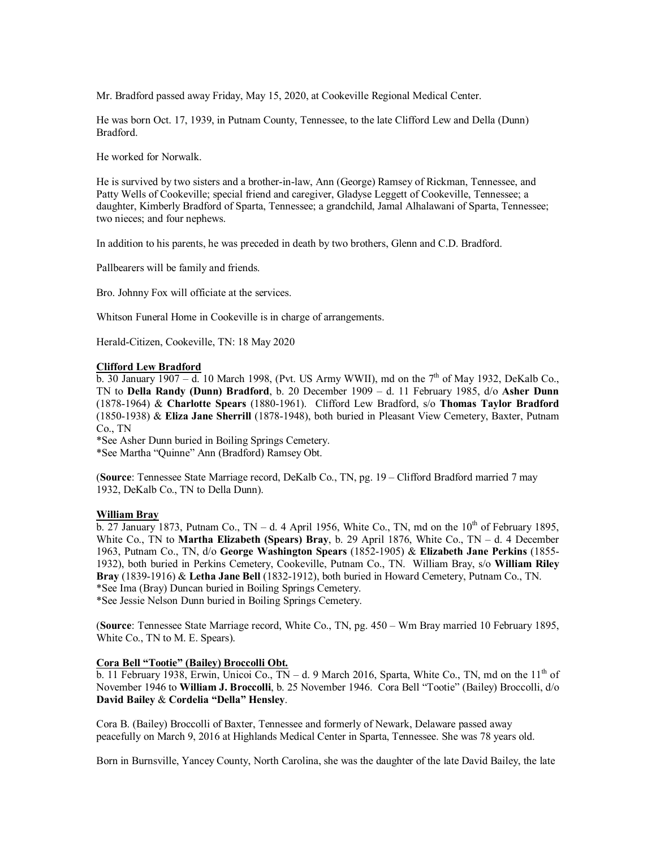Mr. Bradford passed away Friday, May 15, 2020, at Cookeville Regional Medical Center.

He was born Oct. 17, 1939, in Putnam County, Tennessee, to the late Clifford Lew and Della (Dunn) Bradford.

He worked for Norwalk.

He is survived by two sisters and a brother-in-law, Ann (George) Ramsey of Rickman, Tennessee, and Patty Wells of Cookeville; special friend and caregiver, Gladyse Leggett of Cookeville, Tennessee; a daughter, Kimberly Bradford of Sparta, Tennessee; a grandchild, Jamal Alhalawani of Sparta, Tennessee; two nieces; and four nephews.

In addition to his parents, he was preceded in death by two brothers, Glenn and C.D. Bradford.

Pallbearers will be family and friends.

Bro. Johnny Fox will officiate at the services.

Whitson Funeral Home in Cookeville is in charge of arrangements.

Herald-Citizen, Cookeville, TN: 18 May 2020

#### **Clifford Lew Bradford**

 $\overline{b}$ . 30 January 1907 – d. 10 March 1998, (Pvt. US Army WWII), md on the 7<sup>th</sup> of May 1932, DeKalb Co. TN to **Della Randy (Dunn) Bradford**, b. 20 December 1909 – d. 11 February 1985, d/o **Asher Dunn** (1878-1964) & **Charlotte Spears** (1880-1961). Clifford Lew Bradford, s/o **Thomas Taylor Bradford** (1850-1938) & **Eliza Jane Sherrill** (1878-1948), both buried in Pleasant View Cemetery, Baxter, Putnam Co., TN

\*See Asher Dunn buried in Boiling Springs Cemetery.

\*See Martha "Quinne" Ann (Bradford) Ramsey Obt.

(**Source**: Tennessee State Marriage record, DeKalb Co., TN, pg. 19 – Clifford Bradford married 7 may 1932, DeKalb Co., TN to Della Dunn).

## **William Bray**

 $\overline{b}$ . 27 January 1873, Putnam Co., TN – d. 4 April 1956, White Co., TN, md on the 10<sup>th</sup> of February 1895, White Co., TN to **Martha Elizabeth (Spears) Bray**, b. 29 April 1876, White Co., TN – d. 4 December 1963, Putnam Co., TN, d/o **George Washington Spears** (1852-1905) & **Elizabeth Jane Perkins** (1855- 1932), both buried in Perkins Cemetery, Cookeville, Putnam Co., TN. William Bray, s/o **William Riley Bray** (1839-1916) & **Letha Jane Bell** (1832-1912), both buried in Howard Cemetery, Putnam Co., TN. \*See Ima (Bray) Duncan buried in Boiling Springs Cemetery. \*See Jessie Nelson Dunn buried in Boiling Springs Cemetery.

(**Source**: Tennessee State Marriage record, White Co., TN, pg. 450 – Wm Bray married 10 February 1895, White Co., TN to M. E. Spears).

## **Cora Bell "Tootie" (Bailey) Broccolli Obt.**

b. 11 February 1938, Erwin, Unicoi Co., TN – d. 9 March 2016, Sparta, White Co., TN, md on the 11<sup>th</sup> of November 1946 to **William J. Broccolli**, b. 25 November 1946. Cora Bell "Tootie" (Bailey) Broccolli, d/o **David Bailey** & **Cordelia "Della" Hensley**.

Cora B. (Bailey) Broccolli of Baxter, Tennessee and formerly of Newark, Delaware passed away peacefully on March 9, 2016 at Highlands Medical Center in Sparta, Tennessee. She was 78 years old.

Born in Burnsville, Yancey County, North Carolina, she was the daughter of the late David Bailey, the late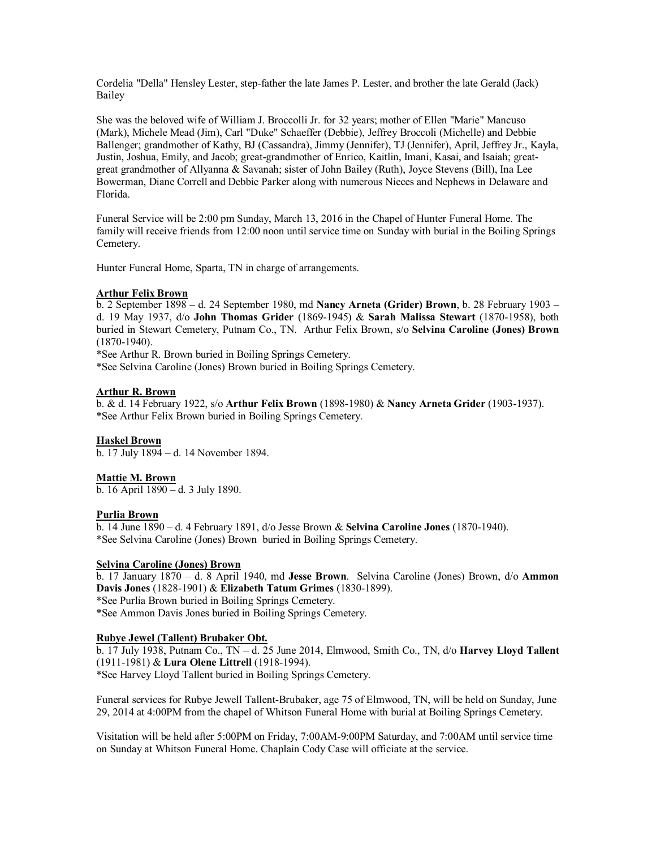Cordelia "Della" Hensley Lester, step-father the late James P. Lester, and brother the late Gerald (Jack) Bailey

She was the beloved wife of William J. Broccolli Jr. for 32 years; mother of Ellen "Marie" Mancuso (Mark), Michele Mead (Jim), Carl "Duke" Schaeffer (Debbie), Jeffrey Broccoli (Michelle) and Debbie Ballenger; grandmother of Kathy, BJ (Cassandra), Jimmy (Jennifer), TJ (Jennifer), April, Jeffrey Jr., Kayla, Justin, Joshua, Emily, and Jacob; great-grandmother of Enrico, Kaitlin, Imani, Kasai, and Isaiah; greatgreat grandmother of Allyanna & Savanah; sister of John Bailey (Ruth), Joyce Stevens (Bill), Ina Lee Bowerman, Diane Correll and Debbie Parker along with numerous Nieces and Nephews in Delaware and Florida.

Funeral Service will be 2:00 pm Sunday, March 13, 2016 in the Chapel of Hunter Funeral Home. The family will receive friends from 12:00 noon until service time on Sunday with burial in the Boiling Springs Cemetery.

Hunter Funeral Home, Sparta, TN in charge of arrangements.

## **Arthur Felix Brown**

b. 2 September 1898 – d. 24 September 1980, md **Nancy Arneta (Grider) Brown**, b. 28 February 1903 – d. 19 May 1937, d/o **John Thomas Grider** (1869-1945) & **Sarah Malissa Stewart** (1870-1958), both buried in Stewart Cemetery, Putnam Co., TN. Arthur Felix Brown, s/o **Selvina Caroline (Jones) Brown** (1870-1940).

\*See Arthur R. Brown buried in Boiling Springs Cemetery.

\*See Selvina Caroline (Jones) Brown buried in Boiling Springs Cemetery.

## **Arthur R. Brown**

b. & d. 14 February 1922, s/o **Arthur Felix Brown** (1898-1980) & **Nancy Arneta Grider** (1903-1937). \*See Arthur Felix Brown buried in Boiling Springs Cemetery.

## **Haskel Brown**

b. 17 July 1894 – d. 14 November 1894.

## **Mattie M. Brown**

b. 16 April 1890 – d. 3 July 1890.

## **Purlia Brown**

b. 14 June 1890 – d. 4 February 1891, d/o Jesse Brown & **Selvina Caroline Jones** (1870-1940). \*See Selvina Caroline (Jones) Brown buried in Boiling Springs Cemetery.

## **Selvina Caroline (Jones) Brown**

b. 17 January 1870 – d. 8 April 1940, md **Jesse Brown**. Selvina Caroline (Jones) Brown, d/o **Ammon Davis Jones** (1828-1901) & **Elizabeth Tatum Grimes** (1830-1899). \*See Purlia Brown buried in Boiling Springs Cemetery. \*See Ammon Davis Jones buried in Boiling Springs Cemetery.

## **Rubye Jewel (Tallent) Brubaker Obt.**

b. 17 July 1938, Putnam Co., TN – d. 25 June 2014, Elmwood, Smith Co., TN, d/o **Harvey Lloyd Tallent** (1911-1981) & **Lura Olene Littrell** (1918-1994).

\*See Harvey Lloyd Tallent buried in Boiling Springs Cemetery.

Funeral services for Rubye Jewell Tallent-Brubaker, age 75 of Elmwood, TN, will be held on Sunday, June 29, 2014 at 4:00PM from the chapel of Whitson Funeral Home with burial at Boiling Springs Cemetery.

Visitation will be held after 5:00PM on Friday, 7:00AM-9:00PM Saturday, and 7:00AM until service time on Sunday at Whitson Funeral Home. Chaplain Cody Case will officiate at the service.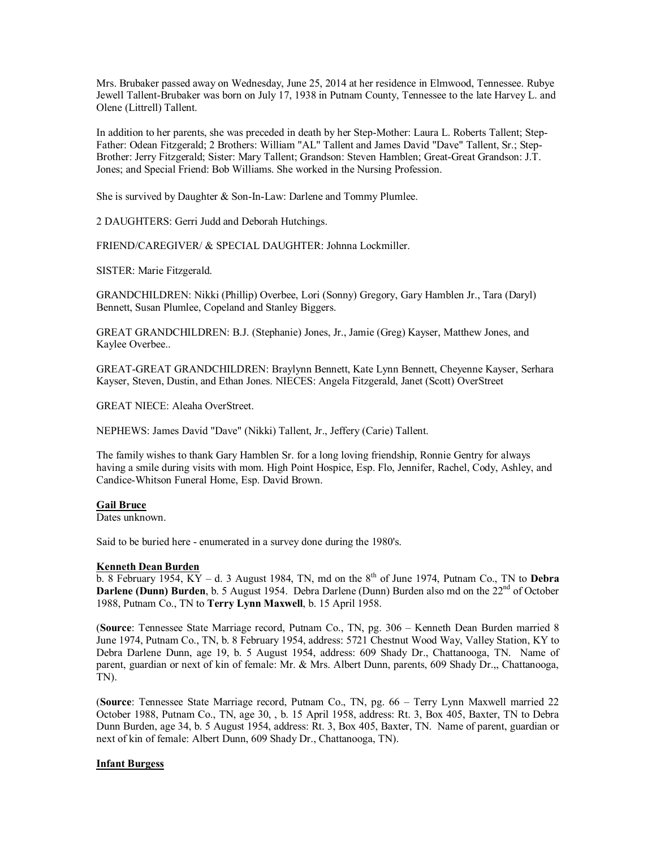Mrs. Brubaker passed away on Wednesday, June 25, 2014 at her residence in Elmwood, Tennessee. Rubye Jewell Tallent-Brubaker was born on July 17, 1938 in Putnam County, Tennessee to the late Harvey L. and Olene (Littrell) Tallent.

In addition to her parents, she was preceded in death by her Step-Mother: Laura L. Roberts Tallent; Step-Father: Odean Fitzgerald; 2 Brothers: William "AL" Tallent and James David "Dave" Tallent, Sr.; Step-Brother: Jerry Fitzgerald; Sister: Mary Tallent; Grandson: Steven Hamblen; Great-Great Grandson: J.T. Jones; and Special Friend: Bob Williams. She worked in the Nursing Profession.

She is survived by Daughter & Son-In-Law: Darlene and Tommy Plumlee.

2 DAUGHTERS: Gerri Judd and Deborah Hutchings.

FRIEND/CAREGIVER/ & SPECIAL DAUGHTER: Johnna Lockmiller.

SISTER: Marie Fitzgerald.

GRANDCHILDREN: Nikki (Phillip) Overbee, Lori (Sonny) Gregory, Gary Hamblen Jr., Tara (Daryl) Bennett, Susan Plumlee, Copeland and Stanley Biggers.

GREAT GRANDCHILDREN: B.J. (Stephanie) Jones, Jr., Jamie (Greg) Kayser, Matthew Jones, and Kaylee Overbee..

GREAT-GREAT GRANDCHILDREN: Braylynn Bennett, Kate Lynn Bennett, Cheyenne Kayser, Serhara Kayser, Steven, Dustin, and Ethan Jones. NIECES: Angela Fitzgerald, Janet (Scott) OverStreet

GREAT NIECE: Aleaha OverStreet.

NEPHEWS: James David "Dave" (Nikki) Tallent, Jr., Jeffery (Carie) Tallent.

The family wishes to thank Gary Hamblen Sr. for a long loving friendship, Ronnie Gentry for always having a smile during visits with mom. High Point Hospice, Esp. Flo, Jennifer, Rachel, Cody, Ashley, and Candice-Whitson Funeral Home, Esp. David Brown.

#### **Gail Bruce**

Dates unknown.

Said to be buried here - enumerated in a survey done during the 1980's.

## **Kenneth Dean Burden**

 $\overline{b}$ . 8 February 1954, KY – d. 3 August 1984, TN, md on the 8<sup>th</sup> of June 1974, Putnam Co., TN to **Debra Darlene (Dunn) Burden**, b. 5 August 1954. Debra Darlene (Dunn) Burden also md on the 22<sup>nd</sup> of October 1988, Putnam Co., TN to **Terry Lynn Maxwell**, b. 15 April 1958.

(**Source**: Tennessee State Marriage record, Putnam Co., TN, pg. 306 – Kenneth Dean Burden married 8 June 1974, Putnam Co., TN, b. 8 February 1954, address: 5721 Chestnut Wood Way, Valley Station, KY to Debra Darlene Dunn, age 19, b. 5 August 1954, address: 609 Shady Dr., Chattanooga, TN. Name of parent, guardian or next of kin of female: Mr. & Mrs. Albert Dunn, parents, 609 Shady Dr.,, Chattanooga, TN).

(**Source**: Tennessee State Marriage record, Putnam Co., TN, pg. 66 – Terry Lynn Maxwell married 22 October 1988, Putnam Co., TN, age 30, , b. 15 April 1958, address: Rt. 3, Box 405, Baxter, TN to Debra Dunn Burden, age 34, b. 5 August 1954, address: Rt. 3, Box 405, Baxter, TN. Name of parent, guardian or next of kin of female: Albert Dunn, 609 Shady Dr., Chattanooga, TN).

## **Infant Burgess**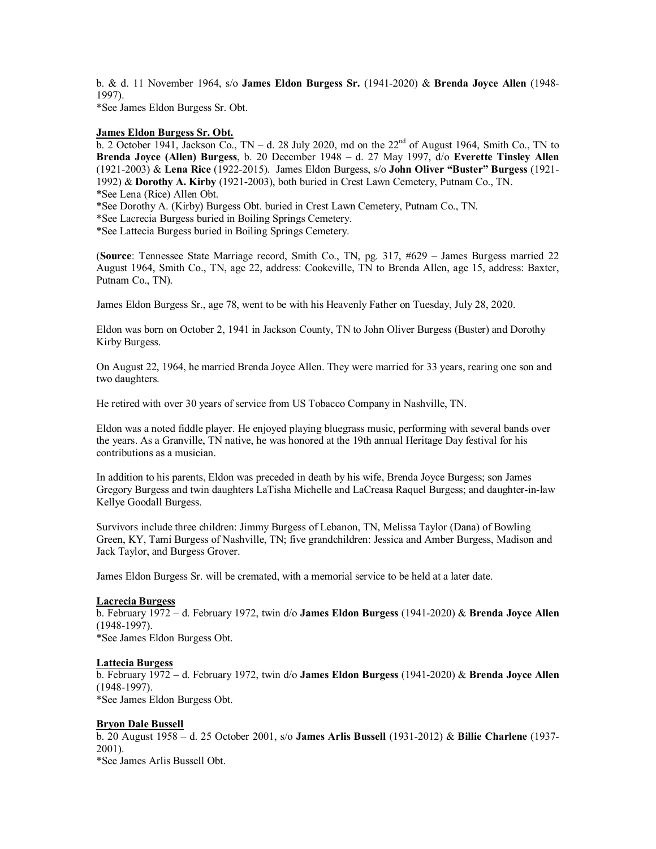b. & d. 11 November 1964, s/o **James Eldon Burgess Sr.** (1941-2020) & **Brenda Joyce Allen** (1948- 1997).

\*See James Eldon Burgess Sr. Obt.

## **James Eldon Burgess Sr. Obt.**

b. 2 October 1941, Jackson Co., TN – d. 28 July 2020, md on the  $22<sup>nd</sup>$  of August 1964, Smith Co., TN to **Brenda Joyce (Allen) Burgess**, b. 20 December 1948 – d. 27 May 1997, d/o **Everette Tinsley Allen** (1921-2003) & **Lena Rice** (1922-2015). James Eldon Burgess, s/o **John Oliver "Buster" Burgess** (1921- 1992) & **Dorothy A. Kirby** (1921-2003), both buried in Crest Lawn Cemetery, Putnam Co., TN. \*See Lena (Rice) Allen Obt.

\*See Dorothy A. (Kirby) Burgess Obt. buried in Crest Lawn Cemetery, Putnam Co., TN.

\*See Lacrecia Burgess buried in Boiling Springs Cemetery.

\*See Lattecia Burgess buried in Boiling Springs Cemetery.

(**Source**: Tennessee State Marriage record, Smith Co., TN, pg. 317, #629 – James Burgess married 22 August 1964, Smith Co., TN, age 22, address: Cookeville, TN to Brenda Allen, age 15, address: Baxter, Putnam Co., TN).

James Eldon Burgess Sr., age 78, went to be with his Heavenly Father on Tuesday, July 28, 2020.

Eldon was born on October 2, 1941 in Jackson County, TN to John Oliver Burgess (Buster) and Dorothy Kirby Burgess.

On August 22, 1964, he married Brenda Joyce Allen. They were married for 33 years, rearing one son and two daughters.

He retired with over 30 years of service from US Tobacco Company in Nashville, TN.

Eldon was a noted fiddle player. He enjoyed playing bluegrass music, performing with several bands over the years. As a Granville, TN native, he was honored at the 19th annual Heritage Day festival for his contributions as a musician.

In addition to his parents, Eldon was preceded in death by his wife, Brenda Joyce Burgess; son James Gregory Burgess and twin daughters LaTisha Michelle and LaCreasa Raquel Burgess; and daughter-in-law Kellye Goodall Burgess.

Survivors include three children: Jimmy Burgess of Lebanon, TN, Melissa Taylor (Dana) of Bowling Green, KY, Tami Burgess of Nashville, TN; five grandchildren: Jessica and Amber Burgess, Madison and Jack Taylor, and Burgess Grover.

James Eldon Burgess Sr. will be cremated, with a memorial service to be held at a later date.

## **Lacrecia Burgess**

b. February 1972 – d. February 1972, twin d/o **James Eldon Burgess** (1941-2020) & **Brenda Joyce Allen** (1948-1997).

\*See James Eldon Burgess Obt.

## **Lattecia Burgess**

b. February 1972 – d. February 1972, twin d/o **James Eldon Burgess** (1941-2020) & **Brenda Joyce Allen** (1948-1997). \*See James Eldon Burgess Obt.

## **Bryon Dale Bussell**

b. 20 August 1958 – d. 25 October 2001, s/o **James Arlis Bussell** (1931-2012) & **Billie Charlene** (1937- 2001).

\*See James Arlis Bussell Obt.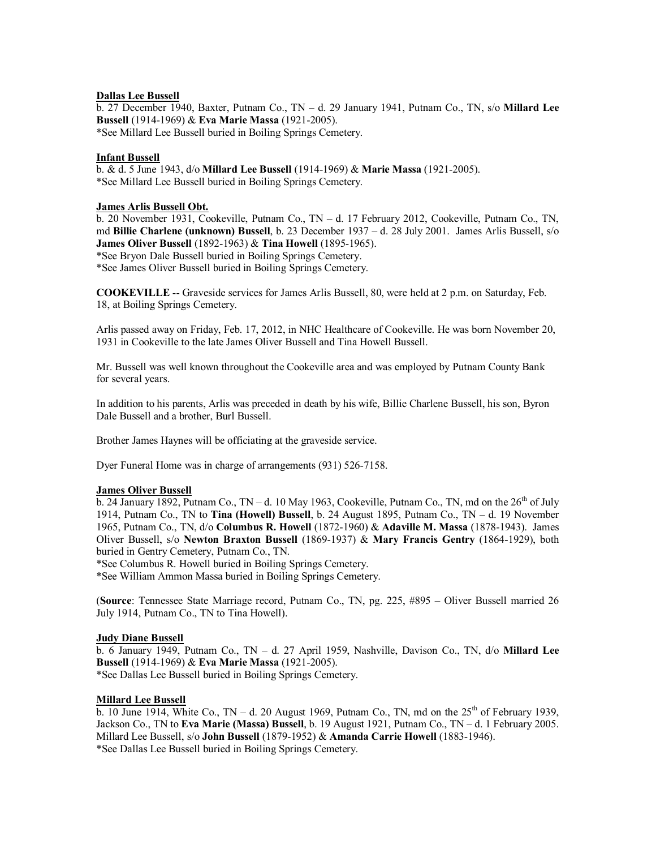## **Dallas Lee Bussell**

b. 27 December 1940, Baxter, Putnam Co., TN – d. 29 January 1941, Putnam Co., TN, s/o **Millard Lee Bussell** (1914-1969) & **Eva Marie Massa** (1921-2005). \*See Millard Lee Bussell buried in Boiling Springs Cemetery.

## **Infant Bussell**

b. & d. 5 June 1943, d/o **Millard Lee Bussell** (1914-1969) & **Marie Massa** (1921-2005). \*See Millard Lee Bussell buried in Boiling Springs Cemetery.

## **James Arlis Bussell Obt.**

b. 20 November 1931, Cookeville, Putnam Co., TN – d. 17 February 2012, Cookeville, Putnam Co., TN, md **Billie Charlene (unknown) Bussell**, b. 23 December 1937 – d. 28 July 2001. James Arlis Bussell, s/o **James Oliver Bussell** (1892-1963) & **Tina Howell** (1895-1965).

\*See Bryon Dale Bussell buried in Boiling Springs Cemetery.

\*See James Oliver Bussell buried in Boiling Springs Cemetery.

**COOKEVILLE** -- Graveside services for James Arlis Bussell, 80, were held at 2 p.m. on Saturday, Feb. 18, at Boiling Springs Cemetery.

Arlis passed away on Friday, Feb. 17, 2012, in NHC Healthcare of Cookeville. He was born November 20, 1931 in Cookeville to the late James Oliver Bussell and Tina Howell Bussell.

Mr. Bussell was well known throughout the Cookeville area and was employed by Putnam County Bank for several years.

In addition to his parents, Arlis was preceded in death by his wife, Billie Charlene Bussell, his son, Byron Dale Bussell and a brother, Burl Bussell.

Brother James Haynes will be officiating at the graveside service.

Dyer Funeral Home was in charge of arrangements (931) 526-7158.

## **James Oliver Bussell**

b. 24 January  $\overline{1892}$ , Putnam Co., TN – d. 10 May 1963, Cookeville, Putnam Co., TN, md on the  $26^{th}$  of July 1914, Putnam Co., TN to **Tina (Howell) Bussell**, b. 24 August 1895, Putnam Co., TN – d. 19 November 1965, Putnam Co., TN, d/o **Columbus R. Howell** (1872-1960) & **Adaville M. Massa** (1878-1943). James Oliver Bussell, s/o **Newton Braxton Bussell** (1869-1937) & **Mary Francis Gentry** (1864-1929), both buried in Gentry Cemetery, Putnam Co., TN.

\*See Columbus R. Howell buried in Boiling Springs Cemetery.

\*See William Ammon Massa buried in Boiling Springs Cemetery.

(**Source**: Tennessee State Marriage record, Putnam Co., TN, pg. 225, #895 – Oliver Bussell married 26 July 1914, Putnam Co., TN to Tina Howell).

## **Judy Diane Bussell**

b. 6 January 1949, Putnam Co., TN – d. 27 April 1959, Nashville, Davison Co., TN, d/o **Millard Lee Bussell** (1914-1969) & **Eva Marie Massa** (1921-2005). \*See Dallas Lee Bussell buried in Boiling Springs Cemetery.

## **Millard Lee Bussell**

 $\overline{b}$ . 10 June 1914, White Co., TN – d. 20 August 1969, Putnam Co., TN, md on the 25<sup>th</sup> of February 1939, Jackson Co., TN to **Eva Marie (Massa) Bussell**, b. 19 August 1921, Putnam Co., TN – d. 1 February 2005. Millard Lee Bussell, s/o **John Bussell** (1879-1952) & **Amanda Carrie Howell** (1883-1946). \*See Dallas Lee Bussell buried in Boiling Springs Cemetery.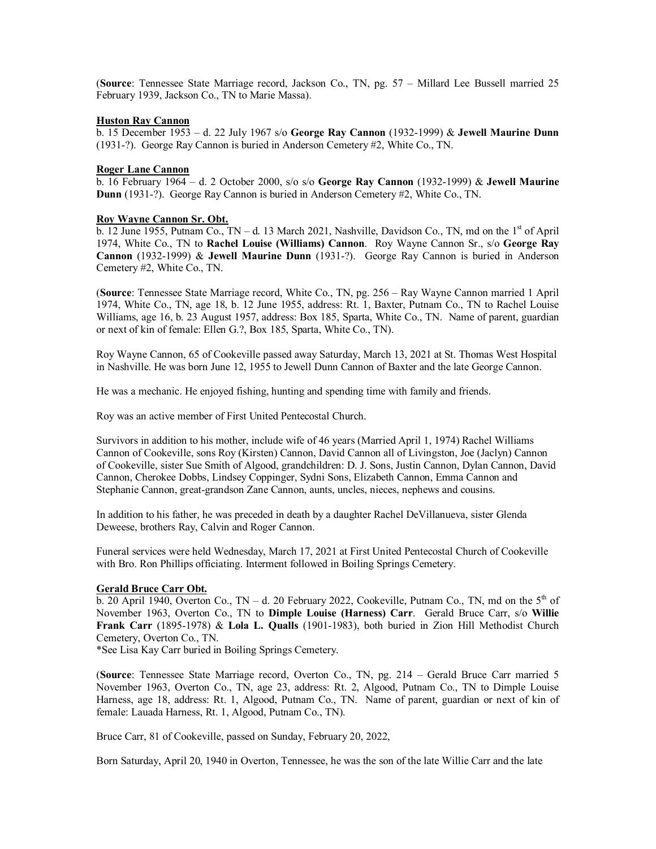(**Source**: Tennessee State Marriage record, Jackson Co., TN, pg. 57 – Millard Lee Bussell married 25 February 1939, Jackson Co., TN to Marie Massa).

## **Huston Ray Cannon**

b. 15 December 1953 – d. 22 July 1967 s/o **George Ray Cannon** (1932-1999) & **Jewell Maurine Dunn** (1931-?). George Ray Cannon is buried in Anderson Cemetery #2, White Co., TN.

## **Roger Lane Cannon**

b. 16 February 1964 – d. 2 October 2000, s/o s/o **George Ray Cannon** (1932-1999) & **Jewell Maurine Dunn** (1931-?). George Ray Cannon is buried in Anderson Cemetery #2, White Co., TN.

## **Roy Wayne Cannon Sr. Obt.**

 $\overline{b}$ . 12 June 1955, Putnam Co., TN – d. 13 March 2021, Nashville, Davidson Co., TN, md on the 1<sup>st</sup> of April 1974, White Co., TN to **Rachel Louise (Williams) Cannon**. Roy Wayne Cannon Sr., s/o **George Ray Cannon** (1932-1999) & **Jewell Maurine Dunn** (1931-?). George Ray Cannon is buried in Anderson Cemetery #2, White Co., TN.

(**Source**: Tennessee State Marriage record, White Co., TN, pg. 256 – Ray Wayne Cannon married 1 April 1974, White Co., TN, age 18, b. 12 June 1955, address: Rt. 1, Baxter, Putnam Co., TN to Rachel Louise Williams, age 16, b. 23 August 1957, address: Box 185, Sparta, White Co., TN. Name of parent, guardian or next of kin of female: Ellen G.?, Box 185, Sparta, White Co., TN).

Roy Wayne Cannon, 65 of Cookeville passed away Saturday, March 13, 2021 at St. Thomas West Hospital in Nashville. He was born June 12, 1955 to Jewell Dunn Cannon of Baxter and the late George Cannon.

He was a mechanic. He enjoyed fishing, hunting and spending time with family and friends.

Roy was an active member of First United Pentecostal Church.

Survivors in addition to his mother, include wife of 46 years (Married April 1, 1974) Rachel Williams Cannon of Cookeville, sons Roy (Kirsten) Cannon, David Cannon all of Livingston, Joe (Jaclyn) Cannon of Cookeville, sister Sue Smith of Algood, grandchildren: D. J. Sons, Justin Cannon, Dylan Cannon, David Cannon, Cherokee Dobbs, Lindsey Coppinger, Sydni Sons, Elizabeth Cannon, Emma Cannon and Stephanie Cannon, great-grandson Zane Cannon, aunts, uncles, nieces, nephews and cousins.

In addition to his father, he was preceded in death by a daughter Rachel DeVillanueva, sister Glenda Deweese, brothers Ray, Calvin and Roger Cannon.

Funeral services were held Wednesday, March 17, 2021 at First United Pentecostal Church of Cookeville with Bro. Ron Phillips officiating. Interment followed in Boiling Springs Cemetery.

## **Gerald Bruce Carr Obt.**

 $\overline{b}$ . 20 April 1940, Overton Co., TN – d. 20 February 2022, Cookeville, Putnam Co., TN, md on the 5<sup>th</sup> of November 1963, Overton Co., TN to **Dimple Louise (Harness) Carr**. Gerald Bruce Carr, s/o **Willie Frank Carr** (1895-1978) & **Lola L. Qualls** (1901-1983), both buried in Zion Hill Methodist Church Cemetery, Overton Co., TN.

\*See Lisa Kay Carr buried in Boiling Springs Cemetery.

(**Source**: Tennessee State Marriage record, Overton Co., TN, pg. 214 – Gerald Bruce Carr married 5 November 1963, Overton Co., TN, age 23, address: Rt. 2, Algood, Putnam Co., TN to Dimple Louise Harness, age 18, address: Rt. 1, Algood, Putnam Co., TN. Name of parent, guardian or next of kin of female: Lauada Harness, Rt. 1, Algood, Putnam Co., TN).

Bruce Carr, 81 of Cookeville, passed on Sunday, February 20, 2022,

Born Saturday, April 20, 1940 in Overton, Tennessee, he was the son of the late Willie Carr and the late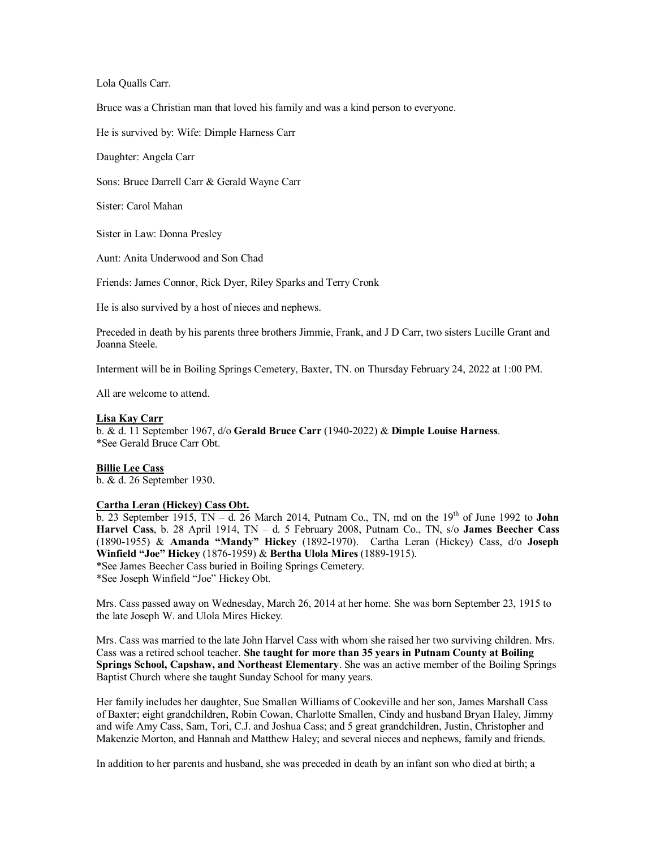Lola Qualls Carr.

Bruce was a Christian man that loved his family and was a kind person to everyone.

He is survived by: Wife: Dimple Harness Carr

Daughter: Angela Carr

Sons: Bruce Darrell Carr & Gerald Wayne Carr

Sister: Carol Mahan

Sister in Law: Donna Presley

Aunt: Anita Underwood and Son Chad

Friends: James Connor, Rick Dyer, Riley Sparks and Terry Cronk

He is also survived by a host of nieces and nephews.

Preceded in death by his parents three brothers Jimmie, Frank, and J D Carr, two sisters Lucille Grant and Joanna Steele.

Interment will be in Boiling Springs Cemetery, Baxter, TN. on Thursday February 24, 2022 at 1:00 PM.

All are welcome to attend.

## **Lisa Kay Carr**

b. & d. 11 September 1967, d/o **Gerald Bruce Carr** (1940-2022) & **Dimple Louise Harness**. \*See Gerald Bruce Carr Obt.

## **Billie Lee Cass**

b. & d. 26 September 1930.

#### **Cartha Leran (Hickey) Cass Obt.**

b. 23 September 1915,  $TN - d$ . 26 March 2014, Putnam Co., TN, md on the 19<sup>th</sup> of June 1992 to **John Harvel Cass**, b. 28 April 1914, TN – d. 5 February 2008, Putnam Co., TN, s/o **James Beecher Cass** (1890-1955) & **Amanda "Mandy" Hickey** (1892-1970). Cartha Leran (Hickey) Cass, d/o **Joseph Winfield "Joe" Hickey** (1876-1959) & **Bertha Ulola Mires** (1889-1915).

\*See James Beecher Cass buried in Boiling Springs Cemetery. \*See Joseph Winfield "Joe" Hickey Obt.

Mrs. Cass passed away on Wednesday, March 26, 2014 at her home. She was born September 23, 1915 to the late Joseph W. and Ulola Mires Hickey.

Mrs. Cass was married to the late John Harvel Cass with whom she raised her two surviving children. Mrs. Cass was a retired school teacher. **She taught for more than 35 years in Putnam County at Boiling Springs School, Capshaw, and Northeast Elementary**. She was an active member of the Boiling Springs Baptist Church where she taught Sunday School for many years.

Her family includes her daughter, Sue Smallen Williams of Cookeville and her son, James Marshall Cass of Baxter; eight grandchildren, Robin Cowan, Charlotte Smallen, Cindy and husband Bryan Haley, Jimmy and wife Amy Cass, Sam, Tori, C.J. and Joshua Cass; and 5 great grandchildren, Justin, Christopher and Makenzie Morton, and Hannah and Matthew Haley; and several nieces and nephews, family and friends.

In addition to her parents and husband, she was preceded in death by an infant son who died at birth; a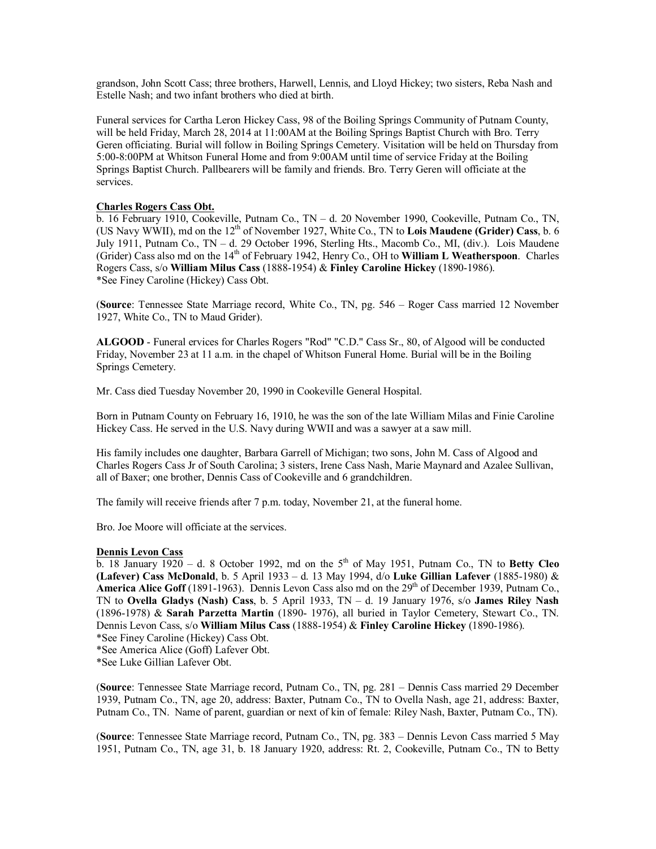grandson, John Scott Cass; three brothers, Harwell, Lennis, and Lloyd Hickey; two sisters, Reba Nash and Estelle Nash; and two infant brothers who died at birth.

Funeral services for Cartha Leron Hickey Cass, 98 of the Boiling Springs Community of Putnam County, will be held Friday, March 28, 2014 at 11:00AM at the Boiling Springs Baptist Church with Bro. Terry Geren officiating. Burial will follow in Boiling Springs Cemetery. Visitation will be held on Thursday from 5:00-8:00PM at Whitson Funeral Home and from 9:00AM until time of service Friday at the Boiling Springs Baptist Church. Pallbearers will be family and friends. Bro. Terry Geren will officiate at the services.

## **Charles Rogers Cass Obt.**

b. 16 February 1910, Cookeville, Putnam Co., TN – d. 20 November 1990, Cookeville, Putnam Co., TN, (US Navy WWII), md on the 12th of November 1927, White Co., TN to **Lois Maudene (Grider) Cass**, b. 6 July 1911, Putnam Co., TN – d. 29 October 1996, Sterling Hts., Macomb Co., MI, (div.). Lois Maudene (Grider) Cass also md on the 14th of February 1942, Henry Co., OH to **William L Weatherspoon**. Charles Rogers Cass, s/o **William Milus Cass** (1888-1954) & **Finley Caroline Hickey** (1890-1986). \*See Finey Caroline (Hickey) Cass Obt.

(**Source**: Tennessee State Marriage record, White Co., TN, pg. 546 – Roger Cass married 12 November 1927, White Co., TN to Maud Grider).

**ALGOOD** - Funeral ervices for Charles Rogers "Rod" "C.D." Cass Sr., 80, of Algood will be conducted Friday, November 23 at 11 a.m. in the chapel of Whitson Funeral Home. Burial will be in the Boiling Springs Cemetery.

Mr. Cass died Tuesday November 20, 1990 in Cookeville General Hospital.

Born in Putnam County on February 16, 1910, he was the son of the late William Milas and Finie Caroline Hickey Cass. He served in the U.S. Navy during WWII and was a sawyer at a saw mill.

His family includes one daughter, Barbara Garrell of Michigan; two sons, John M. Cass of Algood and Charles Rogers Cass Jr of South Carolina; 3 sisters, Irene Cass Nash, Marie Maynard and Azalee Sullivan, all of Baxer; one brother, Dennis Cass of Cookeville and 6 grandchildren.

The family will receive friends after 7 p.m. today, November 21, at the funeral home.

Bro. Joe Moore will officiate at the services.

## **Dennis Levon Cass**

 $\overline{b}$ . 18 January 1920 – d. 8 October 1992, md on the 5<sup>th</sup> of May 1951, Putnam Co., TN to **Betty Cleo (Lafever) Cass McDonald**, b. 5 April 1933 – d. 13 May 1994, d/o **Luke Gillian Lafever** (1885-1980) & **America Alice Goff** (1891-1963). Dennis Levon Cass also md on the  $29<sup>th</sup>$  of December 1939, Putnam Co., TN to **Ovella Gladys (Nash) Cass**, b. 5 April 1933, TN – d. 19 January 1976, s/o **James Riley Nash** (1896-1978) & **Sarah Parzetta Martin** (1890- 1976), all buried in Taylor Cemetery, Stewart Co., TN. Dennis Levon Cass, s/o **William Milus Cass** (1888-1954) & **Finley Caroline Hickey** (1890-1986).

\*See Finey Caroline (Hickey) Cass Obt.

\*See America Alice (Goff) Lafever Obt.

(**Source**: Tennessee State Marriage record, Putnam Co., TN, pg. 281 – Dennis Cass married 29 December 1939, Putnam Co., TN, age 20, address: Baxter, Putnam Co., TN to Ovella Nash, age 21, address: Baxter, Putnam Co., TN. Name of parent, guardian or next of kin of female: Riley Nash, Baxter, Putnam Co., TN).

(**Source**: Tennessee State Marriage record, Putnam Co., TN, pg. 383 – Dennis Levon Cass married 5 May 1951, Putnam Co., TN, age 31, b. 18 January 1920, address: Rt. 2, Cookeville, Putnam Co., TN to Betty

<sup>\*</sup>See Luke Gillian Lafever Obt.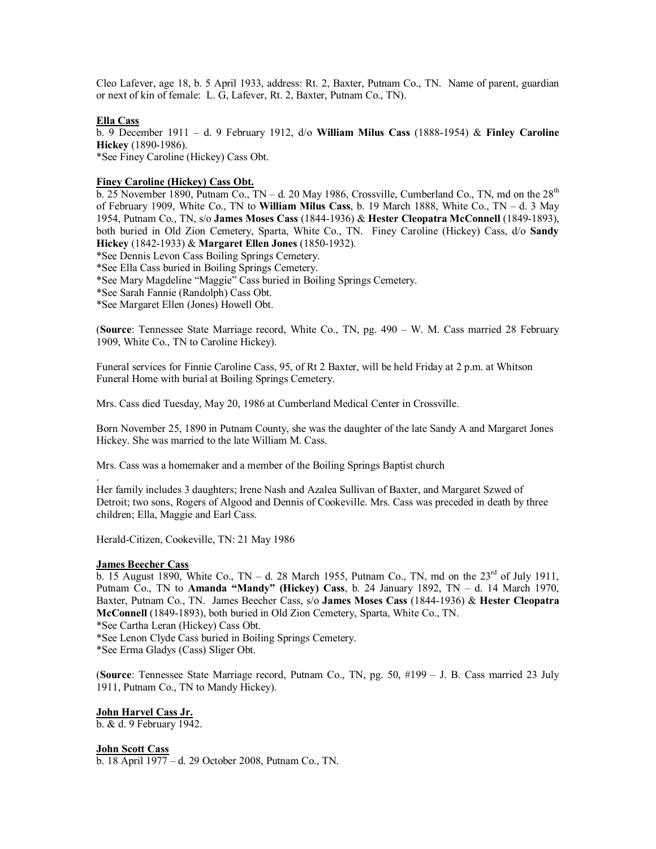Cleo Lafever, age 18, b. 5 April 1933, address: Rt. 2, Baxter, Putnam Co., TN. Name of parent, guardian or next of kin of female: L. G, Lafever, Rt. 2, Baxter, Putnam Co., TN).

## **Ella Cass**

b. 9 December 1911 – d. 9 February 1912, d/o **William Milus Cass** (1888-1954) & **Finley Caroline Hickey** (1890-1986). \*See Finey Caroline (Hickey) Cass Obt.

## **Finey Caroline (Hickey) Cass Obt.**

 $\overline{b}$ . 25 November 1890, Putnam Co., TN – d. 20 May 1986, Crossville, Cumberland Co., TN, md on the 28<sup>th</sup> of February 1909, White Co., TN to **William Milus Cass**, b. 19 March 1888, White Co., TN – d. 3 May 1954, Putnam Co., TN, s/o **James Moses Cass** (1844-1936) & **Hester Cleopatra McConnell** (1849-1893), both buried in Old Zion Cemetery, Sparta, White Co., TN. Finey Caroline (Hickey) Cass, d/o **Sandy Hickey** (1842-1933) & **Margaret Ellen Jones** (1850-1932).

\*See Dennis Levon Cass Boiling Springs Cemetery.

\*See Ella Cass buried in Boiling Springs Cemetery.

\*See Mary Magdeline "Maggie" Cass buried in Boiling Springs Cemetery.

\*See Sarah Fannie (Randolph) Cass Obt.

\*See Margaret Ellen (Jones) Howell Obt.

(**Source**: Tennessee State Marriage record, White Co., TN, pg. 490 – W. M. Cass married 28 February 1909, White Co., TN to Caroline Hickey).

Funeral services for Finnie Caroline Cass, 95, of Rt 2 Baxter, will be held Friday at 2 p.m. at Whitson Funeral Home with burial at Boiling Springs Cemetery.

Mrs. Cass died Tuesday, May 20, 1986 at Cumberland Medical Center in Crossville.

Born November 25, 1890 in Putnam County, she was the daughter of the late Sandy A and Margaret Jones Hickey. She was married to the late William M. Cass.

Mrs. Cass was a homemaker and a member of the Boiling Springs Baptist church

Her family includes 3 daughters; Irene Nash and Azalea Sullivan of Baxter, and Margaret Szwed of Detroit; two sons, Rogers of Algood and Dennis of Cookeville. Mrs. Cass was preceded in death by three children; Ella, Maggie and Earl Cass.

Herald-Citizen, Cookeville, TN: 21 May 1986

## **James Beecher Cass**

.

b. 15 August 1890, White Co., TN – d. 28 March 1955, Putnam Co., TN, md on the  $23<sup>rd</sup>$  of July 1911, Putnam Co., TN to **Amanda "Mandy" (Hickey) Cass**, b. 24 January 1892, TN – d. 14 March 1970, Baxter, Putnam Co., TN. James Beecher Cass, s/o **James Moses Cass** (1844-1936) & **Hester Cleopatra McConnell** (1849-1893), both buried in Old Zion Cemetery, Sparta, White Co., TN. \*See Cartha Leran (Hickey) Cass Obt.

\*See Lenon Clyde Cass buried in Boiling Springs Cemetery.

\*See Erma Gladys (Cass) Sliger Obt.

(**Source**: Tennessee State Marriage record, Putnam Co., TN, pg. 50, #199 – J. B. Cass married 23 July 1911, Putnam Co., TN to Mandy Hickey).

## **John Harvel Cass Jr.**

b. & d. 9 February 1942.

## **John Scott Cass**

b. 18 April 1977 – d. 29 October 2008, Putnam Co., TN.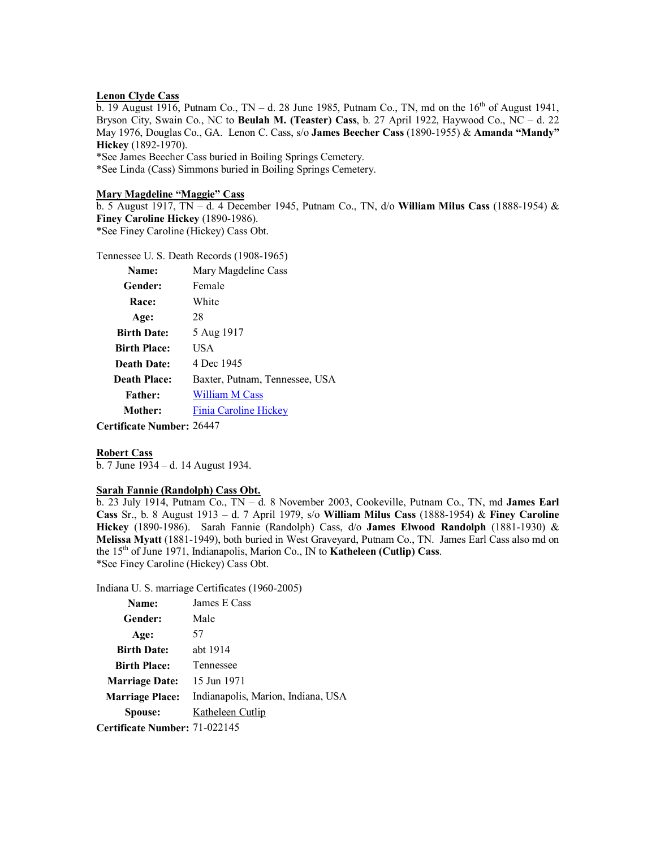## **Lenon Clyde Cass**

b. 19 August 1916, Putnam Co., TN – d. 28 June 1985, Putnam Co., TN, md on the  $16<sup>th</sup>$  of August 1941, Bryson City, Swain Co., NC to **Beulah M. (Teaster) Cass**, b. 27 April 1922, Haywood Co., NC – d. 22 May 1976, Douglas Co., GA. Lenon C. Cass, s/o **James Beecher Cass** (1890-1955) & **Amanda "Mandy" Hickey** (1892-1970).

\*See James Beecher Cass buried in Boiling Springs Cemetery. \*See Linda (Cass) Simmons buried in Boiling Springs Cemetery.

#### **Mary Magdeline "Maggie" Cass**

b. 5 August 1917, TN – d. 4 December 1945, Putnam Co., TN, d/o **William Milus Cass** (1888-1954) & **Finey Caroline Hickey** (1890-1986). \*See Finey Caroline (Hickey) Cass Obt.

Tennessee U. S. Death Records (1908-1965)

| Name:               | Mary Magdeline Cass            |
|---------------------|--------------------------------|
| Gender:             | Female                         |
| Race:               | White                          |
| Age:                | 28                             |
| <b>Birth Date:</b>  | 5 Aug 1917                     |
| <b>Birth Place:</b> | USA                            |
| Death Date:         | 4 Dec 1945                     |
| <b>Death Place:</b> | Baxter, Putnam, Tennessee, USA |
| <b>Father:</b>      | <b>William M Cass</b>          |
| Mother:             | Finia Caroline Hickey          |
|                     |                                |

**Certificate Number:** 26447

#### **Robert Cass**

b. 7 June 1934 – d. 14 August 1934.

## **Sarah Fannie (Randolph) Cass Obt.**

b. 23 July 1914, Putnam Co., TN – d. 8 November 2003, Cookeville, Putnam Co., TN, md **James Earl Cass** Sr., b. 8 August 1913 – d. 7 April 1979, s/o **William Milus Cass** (1888-1954) & **Finey Caroline Hickey** (1890-1986). Sarah Fannie (Randolph) Cass, d/o **James Elwood Randolph** (1881-1930) & **Melissa Myatt** (1881-1949), both buried in West Graveyard, Putnam Co., TN. James Earl Cass also md on the 15th of June 1971, Indianapolis, Marion Co., IN to **Katheleen (Cutlip) Cass**. \*See Finey Caroline (Hickey) Cass Obt.

Indiana U. S. marriage Certificates (1960-2005)

| Name:                  | James E Cass                       |
|------------------------|------------------------------------|
| <b>Gender:</b>         | Male                               |
| Age:                   | 57                                 |
| <b>Birth Date:</b>     | abt 1914                           |
| <b>Birth Place:</b>    | Tennessee                          |
| <b>Marriage Date:</b>  | 15 Jun 1971                        |
| <b>Marriage Place:</b> | Indianapolis, Marion, Indiana, USA |
| Spouse:                | Katheleen Cutlip                   |
|                        |                                    |

**Certificate Number:** 71-022145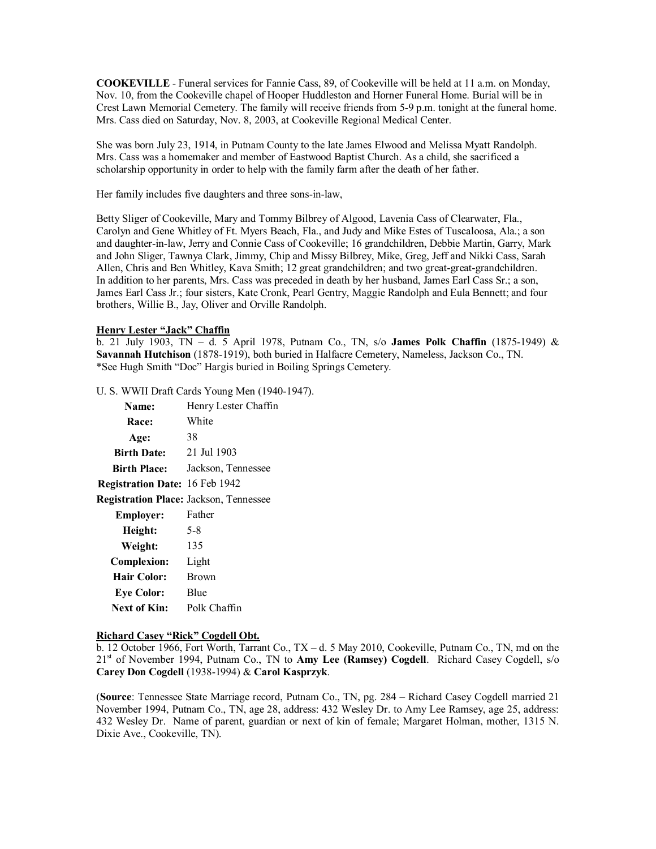**COOKEVILLE** - Funeral services for Fannie Cass, 89, of Cookeville will be held at 11 a.m. on Monday, Nov. 10, from the Cookeville chapel of Hooper Huddleston and Horner Funeral Home. Burial will be in Crest Lawn Memorial Cemetery. The family will receive friends from 5-9 p.m. tonight at the funeral home. Mrs. Cass died on Saturday, Nov. 8, 2003, at Cookeville Regional Medical Center.

She was born July 23, 1914, in Putnam County to the late James Elwood and Melissa Myatt Randolph. Mrs. Cass was a homemaker and member of Eastwood Baptist Church. As a child, she sacrificed a scholarship opportunity in order to help with the family farm after the death of her father.

Her family includes five daughters and three sons-in-law,

Betty Sliger of Cookeville, Mary and Tommy Bilbrey of Algood, Lavenia Cass of Clearwater, Fla., Carolyn and Gene Whitley of Ft. Myers Beach, Fla., and Judy and Mike Estes of Tuscaloosa, Ala.; a son and daughter-in-law, Jerry and Connie Cass of Cookeville; 16 grandchildren, Debbie Martin, Garry, Mark and John Sliger, Tawnya Clark, Jimmy, Chip and Missy Bilbrey, Mike, Greg, Jeff and Nikki Cass, Sarah Allen, Chris and Ben Whitley, Kava Smith; 12 great grandchildren; and two great-great-grandchildren. In addition to her parents, Mrs. Cass was preceded in death by her husband, James Earl Cass Sr.; a son, James Earl Cass Jr.; four sisters, Kate Cronk, Pearl Gentry, Maggie Randolph and Eula Bennett; and four brothers, Willie B., Jay, Oliver and Orville Randolph.

## **Henry Lester "Jack" Chaffin**

b. 21 July 1903, TN – d. 5 April 1978, Putnam Co., TN, s/o **James Polk Chaffin** (1875-1949) & **Savannah Hutchison** (1878-1919), both buried in Halfacre Cemetery, Nameless, Jackson Co., TN. \*See Hugh Smith "Doc" Hargis buried in Boiling Springs Cemetery.

U. S. WWII Draft Cards Young Men (1940-1947).

| Name:                                         | Henry Lester Chaffin |
|-----------------------------------------------|----------------------|
| <b>Race:</b>                                  | White                |
| Age:                                          | 38                   |
| <b>Birth Date:</b>                            | 21 Jul 1903          |
| <b>Birth Place:</b>                           | Jackson, Tennessee   |
| Registration Date: 16 Feb 1942                |                      |
| <b>Registration Place: Jackson, Tennessee</b> |                      |
| <b>Employer:</b>                              | Father               |
| Height:                                       | 5-8                  |
| Weight:                                       | 135                  |
| <b>Complexion:</b>                            | Light                |
| <b>Hair Color:</b>                            | <b>Brown</b>         |
| <b>Eye Color:</b>                             | Blue                 |
| Next of Kin:                                  | Polk Chaffin         |

#### **Richard Casey "Rick" Cogdell Obt.**

b. 12 October 1966, Fort Worth, Tarrant Co., TX – d. 5 May 2010, Cookeville, Putnam Co., TN, md on the 21st of November 1994, Putnam Co., TN to **Amy Lee (Ramsey) Cogdell**. Richard Casey Cogdell, s/o **Carey Don Cogdell** (1938-1994) & **Carol Kasprzyk**.

(**Source**: Tennessee State Marriage record, Putnam Co., TN, pg. 284 – Richard Casey Cogdell married 21 November 1994, Putnam Co., TN, age 28, address: 432 Wesley Dr. to Amy Lee Ramsey, age 25, address: 432 Wesley Dr. Name of parent, guardian or next of kin of female; Margaret Holman, mother, 1315 N. Dixie Ave., Cookeville, TN).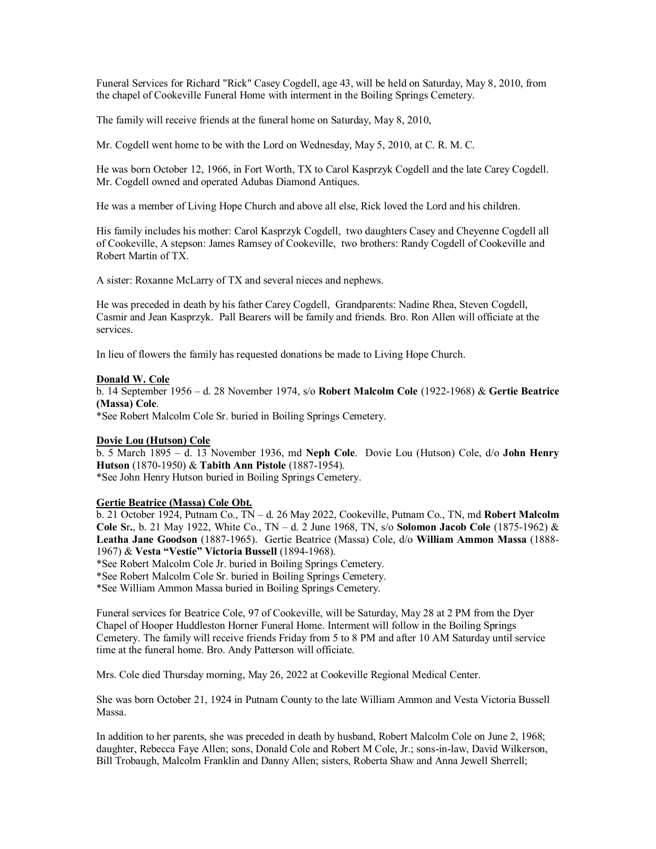Funeral Services for Richard "Rick" Casey Cogdell, age 43, will be held on Saturday, May 8, 2010, from the chapel of Cookeville Funeral Home with interment in the Boiling Springs Cemetery.

The family will receive friends at the funeral home on Saturday, May 8, 2010,

Mr. Cogdell went home to be with the Lord on Wednesday, May 5, 2010, at C. R. M. C.

He was born October 12, 1966, in Fort Worth, TX to Carol Kasprzyk Cogdell and the late Carey Cogdell. Mr. Cogdell owned and operated Adubas Diamond Antiques.

He was a member of Living Hope Church and above all else, Rick loved the Lord and his children.

His family includes his mother: Carol Kasprzyk Cogdell, two daughters Casey and Cheyenne Cogdell all of Cookeville, A stepson: James Ramsey of Cookeville, two brothers: Randy Cogdell of Cookeville and Robert Martin of TX.

A sister: Roxanne McLarry of TX and several nieces and nephews.

He was preceded in death by his father Carey Cogdell, Grandparents: Nadine Rhea, Steven Cogdell, Casmir and Jean Kasprzyk. Pall Bearers will be family and friends. Bro. Ron Allen will officiate at the services.

In lieu of flowers the family has requested donations be made to Living Hope Church.

#### **Donald W. Cole**

b. 14 September 1956 – d. 28 November 1974, s/o **Robert Malcolm Cole** (1922-1968) & **Gertie Beatrice (Massa) Cole**.

\*See Robert Malcolm Cole Sr. buried in Boiling Springs Cemetery.

## **Dovie Lou (Hutson) Cole**

b. 5 March 1895 – d. 13 November 1936, md **Neph Cole**. Dovie Lou (Hutson) Cole, d/o **John Henry Hutson** (1870-1950) & **Tabith Ann Pistole** (1887-1954). \*See John Henry Hutson buried in Boiling Springs Cemetery.

## **Gertie Beatrice (Massa) Cole Obt.**

b. 21 October 1924, Putnam Co., TN – d. 26 May 2022, Cookeville, Putnam Co., TN, md **Robert Malcolm Cole S**r**.**, b. 21 May 1922, White Co., TN – d. 2 June 1968, TN, s/o **Solomon Jacob Cole** (1875-1962) & **Leatha Jane Goodson** (1887-1965). Gertie Beatrice (Massa) Cole, d/o **William Ammon Massa** (1888- 1967) & **Vesta "Vestie" Victoria Bussell** (1894-1968).

\*See Robert Malcolm Cole Jr. buried in Boiling Springs Cemetery.

\*See Robert Malcolm Cole Sr. buried in Boiling Springs Cemetery.

\*See William Ammon Massa buried in Boiling Springs Cemetery.

Funeral services for Beatrice Cole, 97 of Cookeville, will be Saturday, May 28 at 2 PM from the Dyer Chapel of Hooper Huddleston Horner Funeral Home. Interment will follow in the Boiling Springs Cemetery. The family will receive friends Friday from 5 to 8 PM and after 10 AM Saturday until service time at the funeral home. Bro. Andy Patterson will officiate.

Mrs. Cole died Thursday morning, May 26, 2022 at Cookeville Regional Medical Center.

She was born October 21, 1924 in Putnam County to the late William Ammon and Vesta Victoria Bussell Massa.

In addition to her parents, she was preceded in death by husband, Robert Malcolm Cole on June 2, 1968; daughter, Rebecca Faye Allen; sons, Donald Cole and Robert M Cole, Jr.; sons-in-law, David Wilkerson, Bill Trobaugh, Malcolm Franklin and Danny Allen; sisters, Roberta Shaw and Anna Jewell Sherrell;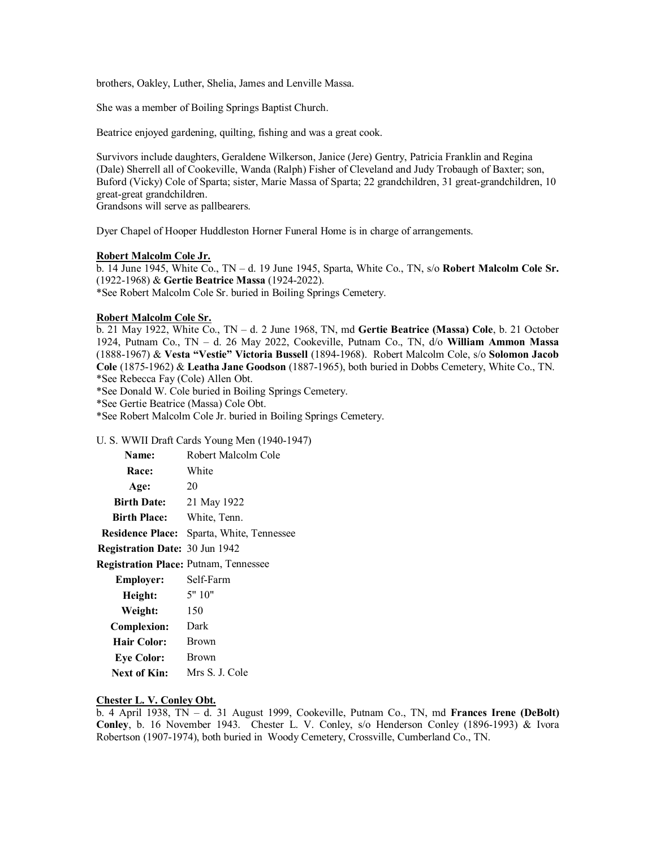brothers, Oakley, Luther, Shelia, James and Lenville Massa.

She was a member of Boiling Springs Baptist Church.

Beatrice enjoyed gardening, quilting, fishing and was a great cook.

Survivors include daughters, Geraldene Wilkerson, Janice (Jere) Gentry, Patricia Franklin and Regina (Dale) Sherrell all of Cookeville, Wanda (Ralph) Fisher of Cleveland and Judy Trobaugh of Baxter; son, Buford (Vicky) Cole of Sparta; sister, Marie Massa of Sparta; 22 grandchildren, 31 great-grandchildren, 10 great-great grandchildren.

Grandsons will serve as pallbearers.

Dyer Chapel of Hooper Huddleston Horner Funeral Home is in charge of arrangements.

## **Robert Malcolm Cole Jr.**

b. 14 June 1945, White Co., TN – d. 19 June 1945, Sparta, White Co., TN, s/o **Robert Malcolm Cole Sr.** (1922-1968) & **Gertie Beatrice Massa** (1924-2022). \*See Robert Malcolm Cole Sr. buried in Boiling Springs Cemetery.

#### **Robert Malcolm Cole Sr.**

b. 21 May 1922, White Co., TN – d. 2 June 1968, TN, md **Gertie Beatrice (Massa) Cole**, b. 21 October 1924, Putnam Co., TN – d. 26 May 2022, Cookeville, Putnam Co., TN, d/o **William Ammon Massa** (1888-1967) & **Vesta "Vestie" Victoria Bussell** (1894-1968). Robert Malcolm Cole, s/o **Solomon Jacob Cole** (1875-1962) & **Leatha Jane Goodson** (1887-1965), both buried in Dobbs Cemetery, White Co., TN. \*See Rebecca Fay (Cole) Allen Obt.

\*See Donald W. Cole buried in Boiling Springs Cemetery.

\*See Gertie Beatrice (Massa) Cole Obt.

\*See Robert Malcolm Cole Jr. buried in Boiling Springs Cemetery.

#### U. S. WWII Draft Cards Young Men (1940-1947)

| Name:                                        | Robert Malcolm Cole                              |
|----------------------------------------------|--------------------------------------------------|
| Race:                                        | White                                            |
| Age:                                         | 20                                               |
| <b>Birth Date:</b>                           | 21 May 1922                                      |
| <b>Birth Place:</b>                          | White, Tenn.                                     |
|                                              | <b>Residence Place:</b> Sparta, White, Tennessee |
| Registration Date: 30 Jun 1942               |                                                  |
| <b>Registration Place: Putnam, Tennessee</b> |                                                  |
| <b>Employer:</b>                             | Self-Farm                                        |
| Height:                                      | 5" 10"                                           |
| Weight:                                      | 150                                              |
| <b>Complexion:</b>                           | Dark                                             |
| <b>Hair Color:</b>                           | <b>Brown</b>                                     |
| <b>Eye Color:</b>                            | Brown                                            |
| <b>Next of Kin:</b>                          | Mrs S. J. Cole                                   |

#### **Chester L. V. Conley Obt.**

b. 4 April 1938, TN – d. 31 August 1999, Cookeville, Putnam Co., TN, md **Frances Irene (DeBolt) Conley**, b. 16 November 1943. Chester L. V. Conley, s/o Henderson Conley (1896-1993) & Ivora Robertson (1907-1974), both buried in Woody Cemetery, Crossville, Cumberland Co., TN.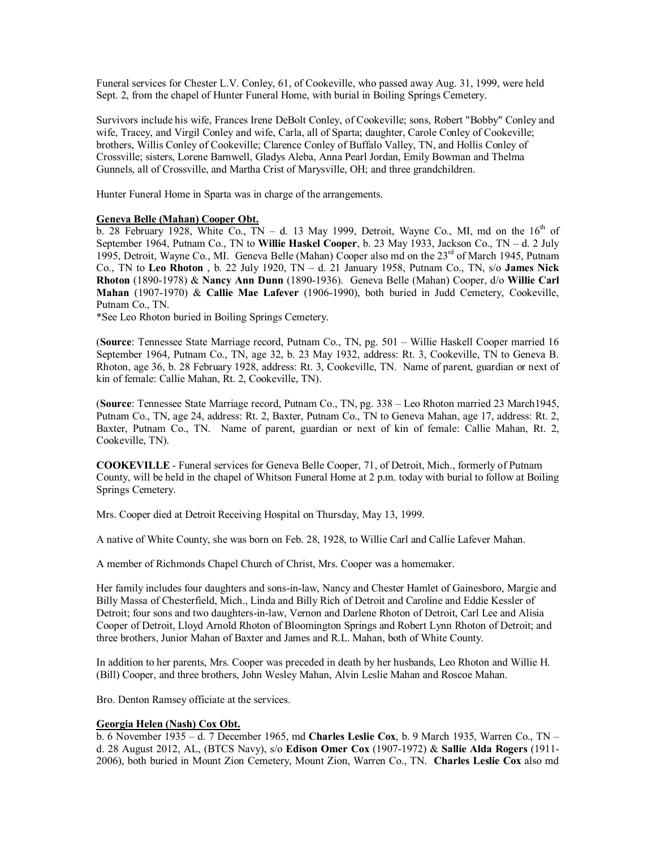Funeral services for Chester L.V. Conley, 61, of Cookeville, who passed away Aug. 31, 1999, were held Sept. 2, from the chapel of Hunter Funeral Home, with burial in Boiling Springs Cemetery.

Survivors include his wife, Frances Irene DeBolt Conley, of Cookeville; sons, Robert "Bobby" Conley and wife, Tracey, and Virgil Conley and wife, Carla, all of Sparta; daughter, Carole Conley of Cookeville; brothers, Willis Conley of Cookeville; Clarence Conley of Buffalo Valley, TN, and Hollis Conley of Crossville; sisters, Lorene Barnwell, Gladys Aleba, Anna Pearl Jordan, Emily Bowman and Thelma Gunnels, all of Crossville, and Martha Crist of Marysville, OH; and three grandchildren.

Hunter Funeral Home in Sparta was in charge of the arrangements.

#### **Geneva Belle (Mahan) Cooper Obt.**

 $\overline{b}$ . 28 February 1928, White Co., TN – d. 13 May 1999, Detroit, Wayne Co., MI, md on the 16<sup>th</sup> of September 1964, Putnam Co., TN to **Willie Haskel Cooper**, b. 23 May 1933, Jackson Co., TN – d. 2 July 1995, Detroit, Wayne Co., MI. Geneva Belle (Mahan) Cooper also md on the 23<sup>rd</sup> of March 1945, Putnam Co., TN to **Leo Rhoton** , b. 22 July 1920, TN – d. 21 January 1958, Putnam Co., TN, s/o **James Nick Rhoton** (1890-1978) & **Nancy Ann Dunn** (1890-1936). Geneva Belle (Mahan) Cooper, d/o **Willie Carl Mahan** (1907-1970) & **Callie Mae Lafever** (1906-1990), both buried in Judd Cemetery, Cookeville, Putnam Co., TN.

\*See Leo Rhoton buried in Boiling Springs Cemetery.

(**Source**: Tennessee State Marriage record, Putnam Co., TN, pg. 501 – Willie Haskell Cooper married 16 September 1964, Putnam Co., TN, age 32, b. 23 May 1932, address: Rt. 3, Cookeville, TN to Geneva B. Rhoton, age 36, b. 28 February 1928, address: Rt. 3, Cookeville, TN. Name of parent, guardian or next of kin of female: Callie Mahan, Rt. 2, Cookeville, TN).

(**Source**: Tennessee State Marriage record, Putnam Co., TN, pg. 338 – Leo Rhoton married 23 March1945, Putnam Co., TN, age 24, address: Rt. 2, Baxter, Putnam Co., TN to Geneva Mahan, age 17, address: Rt. 2, Baxter, Putnam Co., TN. Name of parent, guardian or next of kin of female: Callie Mahan, Rt. 2, Cookeville, TN).

**COOKEVILLE** - Funeral services for Geneva Belle Cooper, 71, of Detroit, Mich., formerly of Putnam County, will be held in the chapel of Whitson Funeral Home at 2 p.m. today with burial to follow at Boiling Springs Cemetery.

Mrs. Cooper died at Detroit Receiving Hospital on Thursday, May 13, 1999.

A native of White County, she was born on Feb. 28, 1928, to Willie Carl and Callie Lafever Mahan.

A member of Richmonds Chapel Church of Christ, Mrs. Cooper was a homemaker.

Her family includes four daughters and sons-in-law, Nancy and Chester Hamlet of Gainesboro, Margie and Billy Massa of Chesterfield, Mich., Linda and Billy Rich of Detroit and Caroline and Eddie Kessler of Detroit; four sons and two daughters-in-law, Vernon and Darlene Rhoton of Detroit, Carl Lee and Alisia Cooper of Detroit, Lloyd Arnold Rhoton of Bloomington Springs and Robert Lynn Rhoton of Detroit; and three brothers, Junior Mahan of Baxter and James and R.L. Mahan, both of White County.

In addition to her parents, Mrs. Cooper was preceded in death by her husbands, Leo Rhoton and Willie H. (Bill) Cooper, and three brothers, John Wesley Mahan, Alvin Leslie Mahan and Roscoe Mahan.

Bro. Denton Ramsey officiate at the services.

## **Georgia Helen (Nash) Cox Obt.**

b. 6 November 1935 – d. 7 December 1965, md **Charles Leslie Cox**, b. 9 March 1935, Warren Co., TN – d. 28 August 2012, AL, (BTCS Navy), s/o **Edison Omer Cox** (1907-1972) & **Sallie Alda Rogers** (1911- 2006), both buried in Mount Zion Cemetery, Mount Zion, Warren Co., TN. **Charles Leslie Cox** also md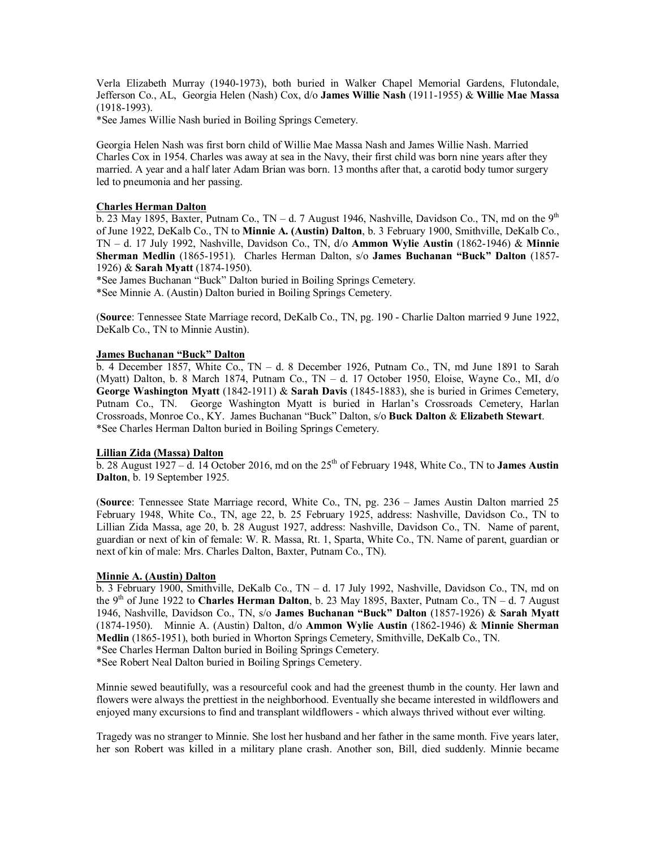Verla Elizabeth Murray (1940-1973), both buried in Walker Chapel Memorial Gardens, Flutondale, Jefferson Co., AL, Georgia Helen (Nash) Cox, d/o **James Willie Nash** (1911-1955) & **Willie Mae Massa** (1918-1993).

\*See James Willie Nash buried in Boiling Springs Cemetery.

Georgia Helen Nash was first born child of Willie Mae Massa Nash and James Willie Nash. Married Charles Cox in 1954. Charles was away at sea in the Navy, their first child was born nine years after they married. A year and a half later Adam Brian was born. 13 months after that, a carotid body tumor surgery led to pneumonia and her passing.

## **Charles Herman Dalton**

b. 23 May 1895, Baxter, Putnam Co., TN – d. 7 August 1946, Nashville, Davidson Co., TN, md on the  $9<sup>th</sup>$ of June 1922, DeKalb Co., TN to **Minnie A. (Austin) Dalton**, b. 3 February 1900, Smithville, DeKalb Co., TN – d. 17 July 1992, Nashville, Davidson Co., TN, d/o **Ammon Wylie Austin** (1862-1946) & **Minnie Sherman Medlin** (1865-1951). Charles Herman Dalton, s/o **James Buchanan "Buck" Dalton** (1857- 1926) & **Sarah Myatt** (1874-1950).

\*See James Buchanan "Buck" Dalton buried in Boiling Springs Cemetery.

\*See Minnie A. (Austin) Dalton buried in Boiling Springs Cemetery.

(**Source**: Tennessee State Marriage record, DeKalb Co., TN, pg. 190 - Charlie Dalton married 9 June 1922, DeKalb Co., TN to Minnie Austin).

## **James Buchanan "Buck" Dalton**

b. 4 December 1857, White Co.,  $TN - d$ . 8 December 1926, Putnam Co., TN, md June 1891 to Sarah (Myatt) Dalton, b. 8 March 1874, Putnam Co., TN – d. 17 October 1950, Eloise, Wayne Co., MI, d/o **George Washington Myatt** (1842-1911) & **Sarah Davis** (1845-1883), she is buried in Grimes Cemetery, Putnam Co., TN. George Washington Myatt is buried in Harlan's Crossroads Cemetery, Harlan Crossroads, Monroe Co., KY. James Buchanan "Buck" Dalton, s/o **Buck Dalton** & **Elizabeth Stewart**. \*See Charles Herman Dalton buried in Boiling Springs Cemetery.

#### **Lillian Zida (Massa) Dalton**

b. 28 August 1927 – d. 14 October 2016, md on the 25<sup>th</sup> of February 1948, White Co., TN to **James Austin Dalton**, b. 19 September 1925.

(**Source**: Tennessee State Marriage record, White Co., TN, pg. 236 – James Austin Dalton married 25 February 1948, White Co., TN, age 22, b. 25 February 1925, address: Nashville, Davidson Co., TN to Lillian Zida Massa, age 20, b. 28 August 1927, address: Nashville, Davidson Co., TN. Name of parent, guardian or next of kin of female: W. R. Massa, Rt. 1, Sparta, White Co., TN. Name of parent, guardian or next of kin of male: Mrs. Charles Dalton, Baxter, Putnam Co., TN).

#### **Minnie A. (Austin) Dalton**

b. 3 February 1900, Smithville, DeKalb Co., TN – d. 17 July 1992, Nashville, Davidson Co., TN, md on the 9<sup>th</sup> of June 1922 to **Charles Herman Dalton**, b. 23 May 1895, Baxter, Putnam Co., TN – d. 7 August 1946, Nashville, Davidson Co., TN, s/o **James Buchanan "Buck" Dalton** (1857-1926) & **Sarah Myatt** (1874-1950). Minnie A. (Austin) Dalton, d/o **Ammon Wylie Austin** (1862-1946) & **Minnie Sherman Medlin** (1865-1951), both buried in Whorton Springs Cemetery, Smithville, DeKalb Co., TN. \*See Charles Herman Dalton buried in Boiling Springs Cemetery.

\*See Robert Neal Dalton buried in Boiling Springs Cemetery.

Minnie sewed beautifully, was a resourceful cook and had the greenest thumb in the county. Her lawn and flowers were always the prettiest in the neighborhood. Eventually she became interested in wildflowers and enjoyed many excursions to find and transplant wildflowers - which always thrived without ever wilting.

Tragedy was no stranger to Minnie. She lost her husband and her father in the same month. Five years later, her son Robert was killed in a military plane crash. Another son, Bill, died suddenly. Minnie became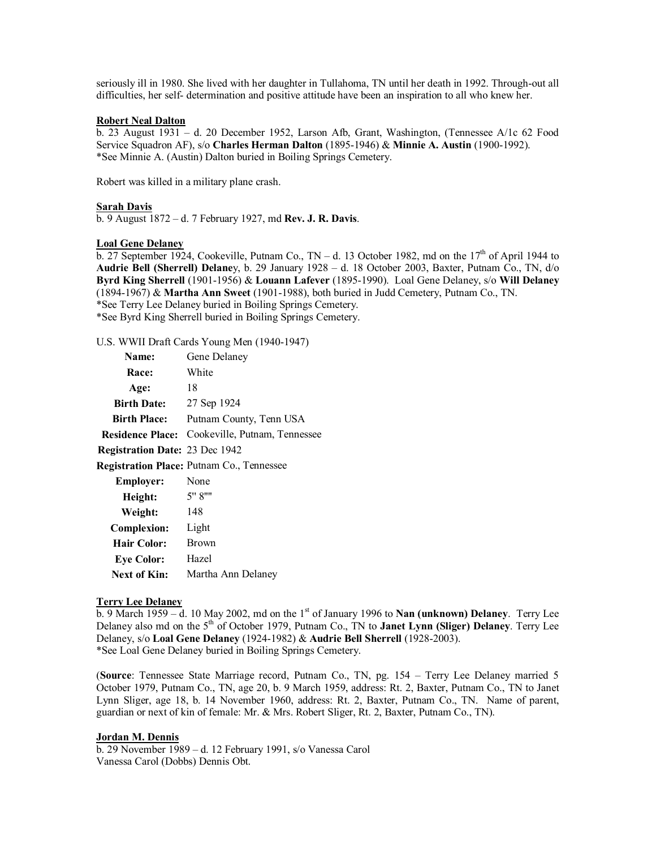seriously ill in 1980. She lived with her daughter in Tullahoma, TN until her death in 1992. Through-out all difficulties, her self- determination and positive attitude have been an inspiration to all who knew her.

## **Robert Neal Dalton**

b. 23 August 1931 – d. 20 December 1952, Larson Afb, Grant, Washington, (Tennessee A/1c 62 Food Service Squadron AF), s/o **Charles Herman Dalton** (1895-1946) & **Minnie A. Austin** (1900-1992). \*See Minnie A. (Austin) Dalton buried in Boiling Springs Cemetery.

Robert was killed in a military plane crash.

#### **Sarah Davis**

b. 9 August 1872 – d. 7 February 1927, md **Rev. J. R. Davis**.

#### **Loal Gene Delaney**

b. 27 September 1924, Cookeville, Putnam Co.,  $TN - d$ . 13 October 1982, md on the 17<sup>th</sup> of April 1944 to **Audrie Bell (Sherrell) Delane**y, b. 29 January 1928 – d. 18 October 2003, Baxter, Putnam Co., TN, d/o **Byrd King Sherrell** (1901-1956) & **Louann Lafever** (1895-1990). Loal Gene Delaney, s/o **Will Delaney** (1894-1967) & **Martha Ann Sweet** (1901-1988), both buried in Judd Cemetery, Putnam Co., TN. \*See Terry Lee Delaney buried in Boiling Springs Cemetery. \*See Byrd King Sherrell buried in Boiling Springs Cemetery.

U.S. WWII Draft Cards Young Men (1940-1947)

| Name:                                 | Gene Delaney                                     |
|---------------------------------------|--------------------------------------------------|
| Race:                                 | White                                            |
| Age:                                  | 18                                               |
| <b>Birth Date:</b>                    | 27 Sep 1924                                      |
| <b>Birth Place:</b>                   | Putnam County, Tenn USA                          |
| <b>Residence Place:</b>               | Cookeville, Putnam, Tennessee                    |
| <b>Registration Date: 23 Dec 1942</b> |                                                  |
|                                       | <b>Registration Place: Putnam Co., Tennessee</b> |
| Employer:                             | None                                             |
| Height:                               | 5" 8""                                           |
| Weight:                               | 148                                              |
| <b>Complexion:</b>                    | Light                                            |
| Hair Color:                           | <b>Brown</b>                                     |
| <b>Eye Color:</b>                     | Hazel                                            |
| <b>Next of Kin:</b>                   | Martha Ann Delaney                               |

## **Terry Lee Delaney**

b. 9 March 1959 – d. 10 May 2002, md on the 1st of January 1996 to **Nan (unknown) Delaney**. Terry Lee Delaney also md on the 5th of October 1979, Putnam Co., TN to **Janet Lynn (Sliger) Delaney**. Terry Lee Delaney, s/o **Loal Gene Delaney** (1924-1982) & **Audrie Bell Sherrell** (1928-2003). \*See Loal Gene Delaney buried in Boiling Springs Cemetery.

(**Source**: Tennessee State Marriage record, Putnam Co., TN, pg. 154 – Terry Lee Delaney married 5 October 1979, Putnam Co., TN, age 20, b. 9 March 1959, address: Rt. 2, Baxter, Putnam Co., TN to Janet Lynn Sliger, age 18, b. 14 November 1960, address: Rt. 2, Baxter, Putnam Co., TN. Name of parent, guardian or next of kin of female: Mr. & Mrs. Robert Sliger, Rt. 2, Baxter, Putnam Co., TN).

#### **Jordan M. Dennis**

b. 29 November 1989 – d. 12 February 1991, s/o Vanessa Carol Vanessa Carol (Dobbs) Dennis Obt.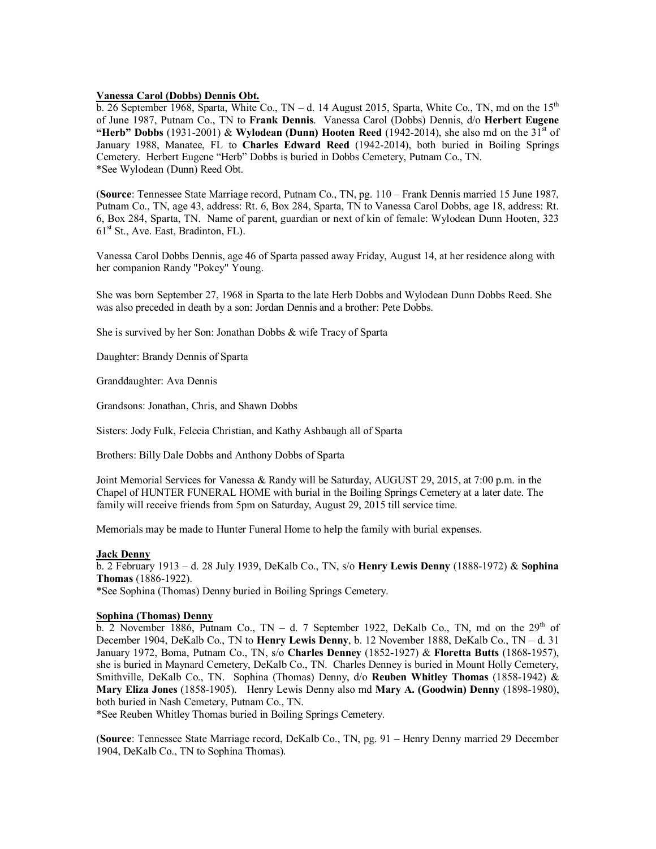#### **Vanessa Carol (Dobbs) Dennis Obt.**

b. 26 September 1968, Sparta, White Co., TN – d. 14 August 2015, Sparta, White Co., TN, md on the  $15<sup>th</sup>$ of June 1987, Putnam Co., TN to **Frank Dennis**. Vanessa Carol (Dobbs) Dennis, d/o **Herbert Eugene "Herb" Dobbs** (1931-2001) & **Wylodean (Dunn) Hooten Reed** (1942-2014), she also md on the 31<sup>st</sup> of January 1988, Manatee, FL to **Charles Edward Reed** (1942-2014), both buried in Boiling Springs Cemetery. Herbert Eugene "Herb" Dobbs is buried in Dobbs Cemetery, Putnam Co., TN. \*See Wylodean (Dunn) Reed Obt.

(**Source**: Tennessee State Marriage record, Putnam Co., TN, pg. 110 – Frank Dennis married 15 June 1987, Putnam Co., TN, age 43, address: Rt. 6, Box 284, Sparta, TN to Vanessa Carol Dobbs, age 18, address: Rt. 6, Box 284, Sparta, TN. Name of parent, guardian or next of kin of female: Wylodean Dunn Hooten, 323  $61<sup>st</sup>$  St., Ave. East, Bradinton, FL).

Vanessa Carol Dobbs Dennis, age 46 of Sparta passed away Friday, August 14, at her residence along with her companion Randy "Pokey" Young.

She was born September 27, 1968 in Sparta to the late Herb Dobbs and Wylodean Dunn Dobbs Reed. She was also preceded in death by a son: Jordan Dennis and a brother: Pete Dobbs.

She is survived by her Son: Jonathan Dobbs & wife Tracy of Sparta

Daughter: Brandy Dennis of Sparta

Granddaughter: Ava Dennis

Grandsons: Jonathan, Chris, and Shawn Dobbs

Sisters: Jody Fulk, Felecia Christian, and Kathy Ashbaugh all of Sparta

Brothers: Billy Dale Dobbs and Anthony Dobbs of Sparta

Joint Memorial Services for Vanessa & Randy will be Saturday, AUGUST 29, 2015, at 7:00 p.m. in the Chapel of HUNTER FUNERAL HOME with burial in the Boiling Springs Cemetery at a later date. The family will receive friends from 5pm on Saturday, August 29, 2015 till service time.

Memorials may be made to Hunter Funeral Home to help the family with burial expenses.

#### **Jack Denny**

b. 2 February 1913 – d. 28 July 1939, DeKalb Co., TN, s/o **Henry Lewis Denny** (1888-1972) & **Sophina Thomas** (1886-1922). \*See Sophina (Thomas) Denny buried in Boiling Springs Cemetery.

## **Sophina (Thomas) Denny**

b. 2 November 1886, Putnam Co., TN – d. 7 September 1922, DeKalb Co., TN, md on the  $29<sup>th</sup>$  of December 1904, DeKalb Co., TN to **Henry Lewis Denny**, b. 12 November 1888, DeKalb Co., TN – d. 31 January 1972, Boma, Putnam Co., TN, s/o **Charles Denney** (1852-1927) & **Floretta Butts** (1868-1957), she is buried in Maynard Cemetery, DeKalb Co., TN. Charles Denney is buried in Mount Holly Cemetery, Smithville, DeKalb Co., TN. Sophina (Thomas) Denny, d/o **Reuben Whitley Thomas** (1858-1942) & **Mary Eliza Jones** (1858-1905). Henry Lewis Denny also md **Mary A. (Goodwin) Denny** (1898-1980), both buried in Nash Cemetery, Putnam Co., TN.

\*See Reuben Whitley Thomas buried in Boiling Springs Cemetery.

(**Source**: Tennessee State Marriage record, DeKalb Co., TN, pg. 91 – Henry Denny married 29 December 1904, DeKalb Co., TN to Sophina Thomas).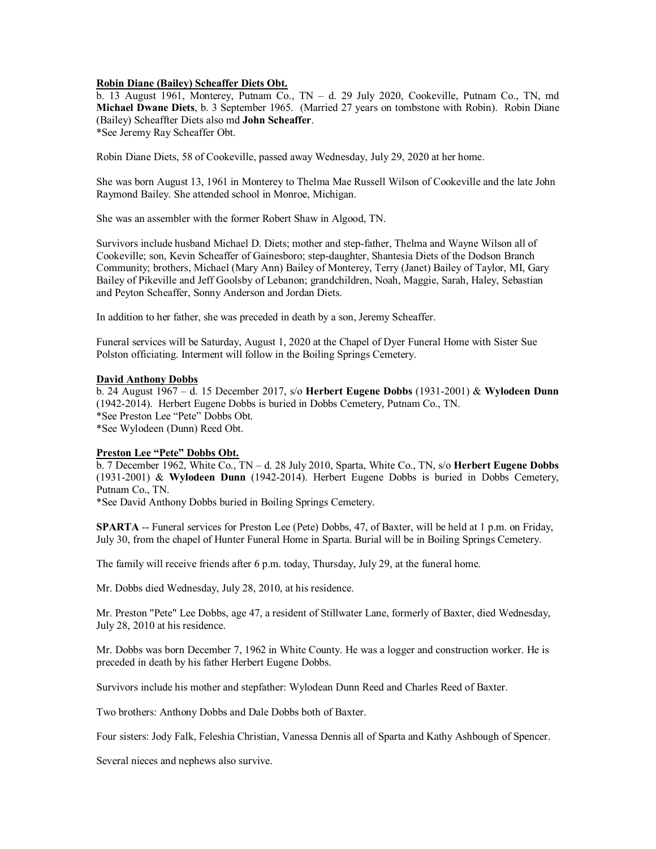## **Robin Diane (Bailey) Scheaffer Diets Obt.**

b. 13 August 1961, Monterey, Putnam Co., TN – d. 29 July 2020, Cookeville, Putnam Co., TN, md **Michael Dwane Diets**, b. 3 September 1965. (Married 27 years on tombstone with Robin). Robin Diane (Bailey) Scheaffter Diets also md **John Scheaffer**. \*See Jeremy Ray Scheaffer Obt.

Robin Diane Diets, 58 of Cookeville, passed away Wednesday, July 29, 2020 at her home.

She was born August 13, 1961 in Monterey to Thelma Mae Russell Wilson of Cookeville and the late John Raymond Bailey. She attended school in Monroe, Michigan.

She was an assembler with the former Robert Shaw in Algood, TN.

Survivors include husband Michael D. Diets; mother and step-father, Thelma and Wayne Wilson all of Cookeville; son, Kevin Scheaffer of Gainesboro; step-daughter, Shantesia Diets of the Dodson Branch Community; brothers, Michael (Mary Ann) Bailey of Monterey, Terry (Janet) Bailey of Taylor, MI, Gary Bailey of Pikeville and Jeff Goolsby of Lebanon; grandchildren, Noah, Maggie, Sarah, Haley, Sebastian and Peyton Scheaffer, Sonny Anderson and Jordan Diets.

In addition to her father, she was preceded in death by a son, Jeremy Scheaffer.

Funeral services will be Saturday, August 1, 2020 at the Chapel of Dyer Funeral Home with Sister Sue Polston officiating. Interment will follow in the Boiling Springs Cemetery.

## **David Anthony Dobbs**

b. 24 August 1967 – d. 15 December 2017, s/o **Herbert Eugene Dobbs** (1931-2001) & **Wylodeen Dunn** (1942-2014). Herbert Eugene Dobbs is buried in Dobbs Cemetery, Putnam Co., TN. \*See Preston Lee "Pete" Dobbs Obt. \*See Wylodeen (Dunn) Reed Obt.

# **Preston Lee "Pete" Dobbs Obt.**

b. 7 December 1962, White Co., TN – d. 28 July 2010, Sparta, White Co., TN, s/o **Herbert Eugene Dobbs** (1931-2001) & **Wylodeen Dunn** (1942-2014). Herbert Eugene Dobbs is buried in Dobbs Cemetery, Putnam Co., TN.

\*See David Anthony Dobbs buried in Boiling Springs Cemetery.

**SPARTA** -- Funeral services for Preston Lee (Pete) Dobbs, 47, of Baxter, will be held at 1 p.m. on Friday, July 30, from the chapel of Hunter Funeral Home in Sparta. Burial will be in Boiling Springs Cemetery.

The family will receive friends after 6 p.m. today, Thursday, July 29, at the funeral home.

Mr. Dobbs died Wednesday, July 28, 2010, at his residence.

Mr. Preston "Pete" Lee Dobbs, age 47, a resident of Stillwater Lane, formerly of Baxter, died Wednesday, July 28, 2010 at his residence.

Mr. Dobbs was born December 7, 1962 in White County. He was a logger and construction worker. He is preceded in death by his father Herbert Eugene Dobbs.

Survivors include his mother and stepfather: Wylodean Dunn Reed and Charles Reed of Baxter.

Two brothers: Anthony Dobbs and Dale Dobbs both of Baxter.

Four sisters: Jody Falk, Feleshia Christian, Vanessa Dennis all of Sparta and Kathy Ashbough of Spencer.

Several nieces and nephews also survive.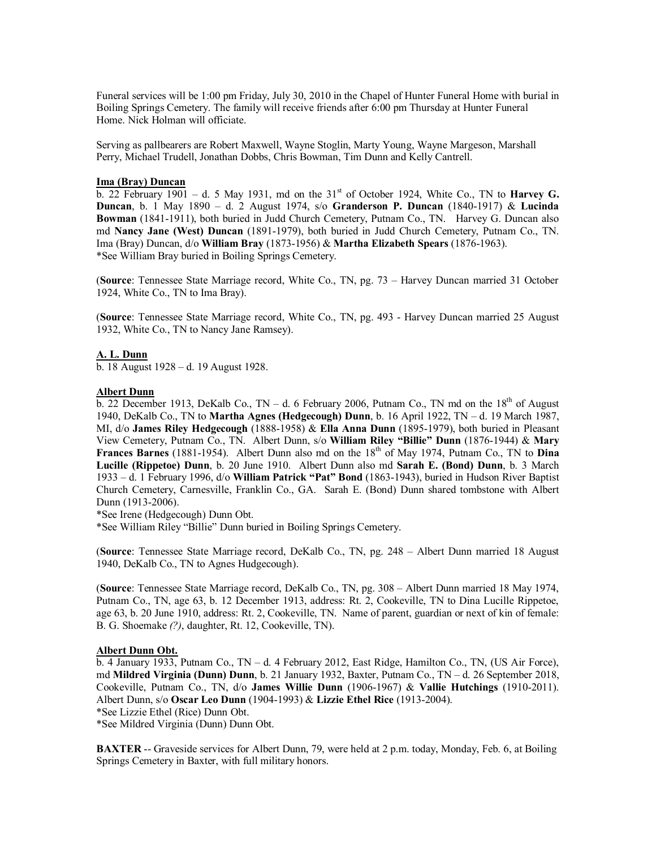Funeral services will be 1:00 pm Friday, July 30, 2010 in the Chapel of Hunter Funeral Home with burial in Boiling Springs Cemetery. The family will receive friends after 6:00 pm Thursday at Hunter Funeral Home. Nick Holman will officiate.

Serving as pallbearers are Robert Maxwell, Wayne Stoglin, Marty Young, Wayne Margeson, Marshall Perry, Michael Trudell, Jonathan Dobbs, Chris Bowman, Tim Dunn and Kelly Cantrell.

#### **Ima (Bray) Duncan**

b. 22 February 1901 – d. 5 May 1931, md on the 31st of October 1924, White Co., TN to **Harvey G. Duncan**, b. 1 May 1890 – d. 2 August 1974, s/o **Granderson P. Duncan** (1840-1917) & **Lucinda Bowman** (1841-1911), both buried in Judd Church Cemetery, Putnam Co., TN. Harvey G. Duncan also md **Nancy Jane (West) Duncan** (1891-1979), both buried in Judd Church Cemetery, Putnam Co., TN. Ima (Bray) Duncan, d/o **William Bray** (1873-1956) & **Martha Elizabeth Spears** (1876-1963). \*See William Bray buried in Boiling Springs Cemetery.

(**Source**: Tennessee State Marriage record, White Co., TN, pg. 73 – Harvey Duncan married 31 October 1924, White Co., TN to Ima Bray).

(**Source**: Tennessee State Marriage record, White Co., TN, pg. 493 - Harvey Duncan married 25 August 1932, White Co., TN to Nancy Jane Ramsey).

## **A. L. Dunn**

b. 18 August 1928 – d. 19 August 1928.

## **Albert Dunn**

b. 22 December 1913, DeKalb Co., TN – d. 6 February 2006, Putnam Co., TN md on the  $18<sup>th</sup>$  of August 1940, DeKalb Co., TN to **Martha Agnes (Hedgecough) Dunn**, b. 16 April 1922, TN – d. 19 March 1987, MI, d/o **James Riley Hedgecough** (1888-1958) & **Ella Anna Dunn** (1895-1979), both buried in Pleasant View Cemetery, Putnam Co., TN. Albert Dunn, s/o **William Riley "Billie" Dunn** (1876-1944) & **Mary** Frances Barnes (1881-1954). Albert Dunn also md on the 18<sup>th</sup> of May 1974, Putnam Co., TN to Dina **Lucille (Rippetoe) Dunn**, b. 20 June 1910. Albert Dunn also md **Sarah E. (Bond) Dunn**, b. 3 March 1933 – d. 1 February 1996, d/o **William Patrick "Pat" Bond** (1863-1943), buried in Hudson River Baptist Church Cemetery, Carnesville, Franklin Co., GA. Sarah E. (Bond) Dunn shared tombstone with Albert Dunn (1913-2006).

\*See Irene (Hedgecough) Dunn Obt.

\*See William Riley "Billie" Dunn buried in Boiling Springs Cemetery.

(**Source**: Tennessee State Marriage record, DeKalb Co., TN, pg. 248 – Albert Dunn married 18 August 1940, DeKalb Co., TN to Agnes Hudgecough).

(**Source**: Tennessee State Marriage record, DeKalb Co., TN, pg. 308 – Albert Dunn married 18 May 1974, Putnam Co., TN, age 63, b. 12 December 1913, address: Rt. 2, Cookeville, TN to Dina Lucille Rippetoe, age 63, b. 20 June 1910, address: Rt. 2, Cookeville, TN. Name of parent, guardian or next of kin of female: B. G. Shoemake *(?)*, daughter, Rt. 12, Cookeville, TN).

#### **Albert Dunn Obt.**

b. 4 January 1933, Putnam Co., TN – d. 4 February 2012, East Ridge, Hamilton Co., TN, (US Air Force), md **Mildred Virginia (Dunn) Dunn**, b. 21 January 1932, Baxter, Putnam Co., TN – d. 26 September 2018, Cookeville, Putnam Co., TN, d/o **James Willie Dunn** (1906-1967) & **Vallie Hutchings** (1910-2011). Albert Dunn, s/o **Oscar Leo Dunn** (1904-1993) & **Lizzie Ethel Rice** (1913-2004).

\*See Lizzie Ethel (Rice) Dunn Obt.

\*See Mildred Virginia (Dunn) Dunn Obt.

**BAXTER** -- Graveside services for Albert Dunn, 79, were held at 2 p.m. today, Monday, Feb. 6, at Boiling Springs Cemetery in Baxter, with full military honors.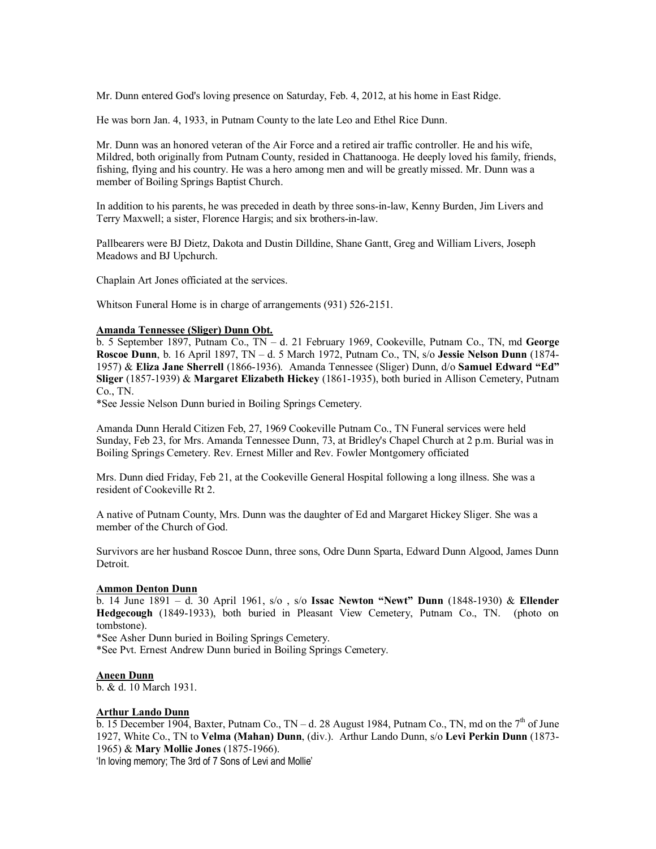Mr. Dunn entered God's loving presence on Saturday, Feb. 4, 2012, at his home in East Ridge.

He was born Jan. 4, 1933, in Putnam County to the late Leo and Ethel Rice Dunn.

Mr. Dunn was an honored veteran of the Air Force and a retired air traffic controller. He and his wife, Mildred, both originally from Putnam County, resided in Chattanooga. He deeply loved his family, friends, fishing, flying and his country. He was a hero among men and will be greatly missed. Mr. Dunn was a member of Boiling Springs Baptist Church.

In addition to his parents, he was preceded in death by three sons-in-law, Kenny Burden, Jim Livers and Terry Maxwell; a sister, Florence Hargis; and six brothers-in-law.

Pallbearers were BJ Dietz, Dakota and Dustin Dilldine, Shane Gantt, Greg and William Livers, Joseph Meadows and BJ Upchurch.

Chaplain Art Jones officiated at the services.

Whitson Funeral Home is in charge of arrangements (931) 526-2151.

## **Amanda Tennessee (Sliger) Dunn Obt.**

b. 5 September 1897, Putnam Co., TN – d. 21 February 1969, Cookeville, Putnam Co., TN, md **George Roscoe Dunn**, b. 16 April 1897, TN – d. 5 March 1972, Putnam Co., TN, s/o **Jessie Nelson Dunn** (1874- 1957) & **Eliza Jane Sherrell** (1866-1936). Amanda Tennessee (Sliger) Dunn, d/o **Samuel Edward "Ed" Sliger** (1857-1939) & **Margaret Elizabeth Hickey** (1861-1935), both buried in Allison Cemetery, Putnam Co., TN.

\*See Jessie Nelson Dunn buried in Boiling Springs Cemetery.

Amanda Dunn Herald Citizen Feb, 27, 1969 Cookeville Putnam Co., TN Funeral services were held Sunday, Feb 23, for Mrs. Amanda Tennessee Dunn, 73, at Bridley's Chapel Church at 2 p.m. Burial was in Boiling Springs Cemetery. Rev. Ernest Miller and Rev. Fowler Montgomery officiated

Mrs. Dunn died Friday, Feb 21, at the Cookeville General Hospital following a long illness. She was a resident of Cookeville Rt 2.

A native of Putnam County, Mrs. Dunn was the daughter of Ed and Margaret Hickey Sliger. She was a member of the Church of God.

Survivors are her husband Roscoe Dunn, three sons, Odre Dunn Sparta, Edward Dunn Algood, James Dunn Detroit.

## **Ammon Denton Dunn**

b. 14 June 1891 – d. 30 April 1961, s/o , s/o **Issac Newton "Newt" Dunn** (1848-1930) & **Ellender Hedgecough** (1849-1933), both buried in Pleasant View Cemetery, Putnam Co., TN. (photo on tombstone).

\*See Asher Dunn buried in Boiling Springs Cemetery.

\*See Pvt. Ernest Andrew Dunn buried in Boiling Springs Cemetery.

## **Aneen Dunn**

b. & d. 10 March 1931.

## **Arthur Lando Dunn**

b. 15 December 1904, Baxter, Putnam Co.,  $TN - d$ . 28 August 1984, Putnam Co., TN, md on the  $7<sup>th</sup>$  of June 1927, White Co., TN to **Velma (Mahan) Dunn**, (div.). Arthur Lando Dunn, s/o **Levi Perkin Dunn** (1873- 1965) & **Mary Mollie Jones** (1875-1966).

'In loving memory; The 3rd of 7 Sons of Levi and Mollie'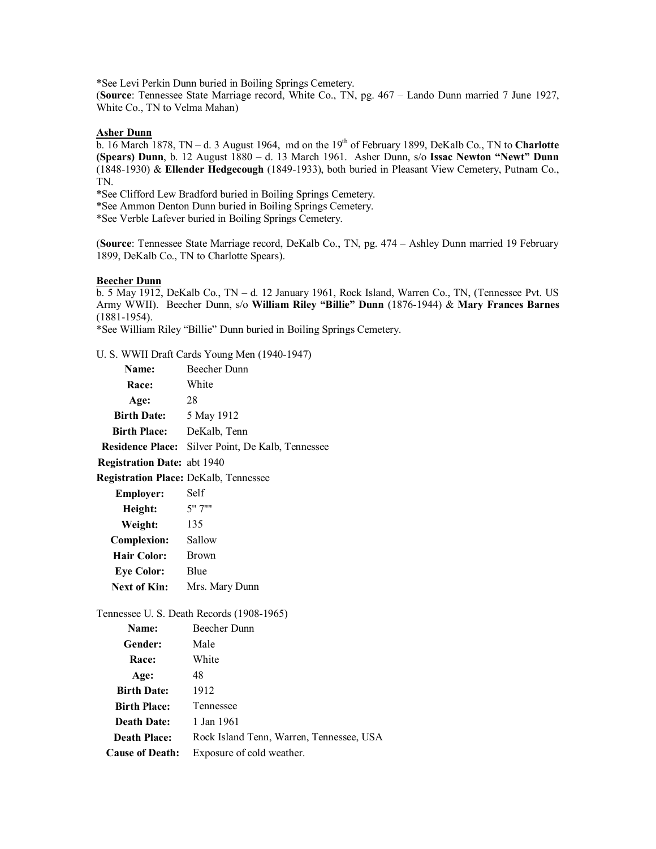\*See Levi Perkin Dunn buried in Boiling Springs Cemetery.

(**Source**: Tennessee State Marriage record, White Co., TN, pg. 467 – Lando Dunn married 7 June 1927, White Co., TN to Velma Mahan)

# **Asher Dunn**

b. 16 March 1878, TN – d. 3 August 1964, md on the 19<sup>th</sup> of February 1899, DeKalb Co., TN to **Charlotte (Spears) Dunn**, b. 12 August 1880 – d. 13 March 1961. Asher Dunn, s/o **Issac Newton "Newt" Dunn** (1848-1930) & **Ellender Hedgecough** (1849-1933), both buried in Pleasant View Cemetery, Putnam Co., TN.

\*See Clifford Lew Bradford buried in Boiling Springs Cemetery.

\*See Ammon Denton Dunn buried in Boiling Springs Cemetery.

\*See Verble Lafever buried in Boiling Springs Cemetery.

(**Source**: Tennessee State Marriage record, DeKalb Co., TN, pg. 474 – Ashley Dunn married 19 February 1899, DeKalb Co., TN to Charlotte Spears).

## **Beecher Dunn**

b. 5 May 1912, DeKalb Co., TN – d. 12 January 1961, Rock Island, Warren Co., TN, (Tennessee Pvt. US Army WWII). Beecher Dunn, s/o **William Riley "Billie" Dunn** (1876-1944) & **Mary Frances Barnes** (1881-1954).

\*See William Riley "Billie" Dunn buried in Boiling Springs Cemetery.

U. S. WWII Draft Cards Young Men (1940-1947)

| Name:                              | Beecher Dunn                                      |  |
|------------------------------------|---------------------------------------------------|--|
| <b>Race:</b>                       | White                                             |  |
| Age:                               | 28                                                |  |
| <b>Birth Date:</b>                 | 5 May 1912                                        |  |
| <b>Birth Place:</b>                | DeKalb, Tenn                                      |  |
|                                    | Residence Place: Silver Point, De Kalb, Tennessee |  |
| <b>Registration Date: abt 1940</b> |                                                   |  |
|                                    | <b>Registration Place: DeKalb, Tennessee</b>      |  |
| <b>Employer:</b>                   | Self                                              |  |
| Height:                            | 5"7"                                              |  |
| Weight:                            | 135                                               |  |
| <b>Complexion:</b>                 | Sallow                                            |  |
| <b>Hair Color:</b>                 | Brown                                             |  |
| <b>Eye Color:</b>                  | Blue                                              |  |
| <b>Next of Kin:</b>                | Mrs. Mary Dunn                                    |  |
|                                    | Tennessee U. S. Death Records (1908-1965)         |  |
| Name:                              | Beecher Dunn                                      |  |
| Gender:                            | Male                                              |  |
| <b>Race:</b>                       | White                                             |  |
| Age:                               | 48                                                |  |
| <b>Birth Date:</b> 1912            |                                                   |  |
| <b>Birth Place:</b> Tennessee      |                                                   |  |
| Death Date: 1 Jan 1961             |                                                   |  |
| <b>Death Place:</b>                | Rock Island Tenn, Warren, Tennessee, USA          |  |
| <b>Cause of Death:</b>             | Exposure of cold weather.                         |  |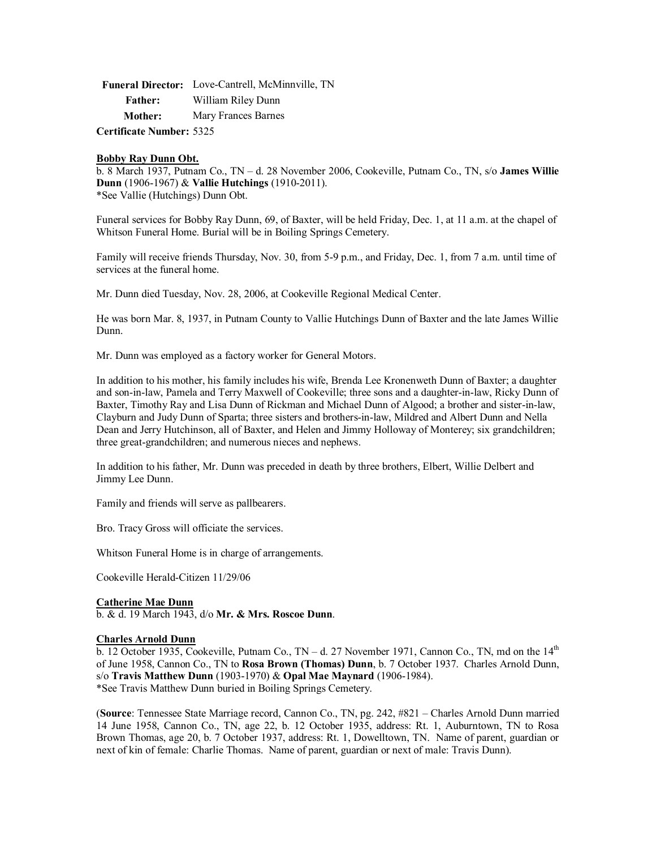|                | Funeral Director: Love-Cantrell, McMinnville, TN |
|----------------|--------------------------------------------------|
| <b>Father:</b> | William Riley Dunn                               |
| <b>Mother:</b> | Mary Frances Barnes                              |
|                |                                                  |

**Certificate Number:** 5325

## **Bobby Ray Dunn Obt.**

b. 8 March 1937, Putnam Co., TN – d. 28 November 2006, Cookeville, Putnam Co., TN, s/o **James Willie Dunn** (1906-1967) & **Vallie Hutchings** (1910-2011). \*See Vallie (Hutchings) Dunn Obt.

Funeral services for Bobby Ray Dunn, 69, of Baxter, will be held Friday, Dec. 1, at 11 a.m. at the chapel of Whitson Funeral Home. Burial will be in Boiling Springs Cemetery.

Family will receive friends Thursday, Nov. 30, from 5-9 p.m., and Friday, Dec. 1, from 7 a.m. until time of services at the funeral home.

Mr. Dunn died Tuesday, Nov. 28, 2006, at Cookeville Regional Medical Center.

He was born Mar. 8, 1937, in Putnam County to Vallie Hutchings Dunn of Baxter and the late James Willie Dunn.

Mr. Dunn was employed as a factory worker for General Motors.

In addition to his mother, his family includes his wife, Brenda Lee Kronenweth Dunn of Baxter; a daughter and son-in-law, Pamela and Terry Maxwell of Cookeville; three sons and a daughter-in-law, Ricky Dunn of Baxter, Timothy Ray and Lisa Dunn of Rickman and Michael Dunn of Algood; a brother and sister-in-law, Clayburn and Judy Dunn of Sparta; three sisters and brothers-in-law, Mildred and Albert Dunn and Nella Dean and Jerry Hutchinson, all of Baxter, and Helen and Jimmy Holloway of Monterey; six grandchildren; three great-grandchildren; and numerous nieces and nephews.

In addition to his father, Mr. Dunn was preceded in death by three brothers, Elbert, Willie Delbert and Jimmy Lee Dunn.

Family and friends will serve as pallbearers.

Bro. Tracy Gross will officiate the services.

Whitson Funeral Home is in charge of arrangements.

Cookeville Herald-Citizen 11/29/06

## **Catherine Mae Dunn**

b. & d. 19 March 1943, d/o **Mr. & Mrs. Roscoe Dunn**.

## **Charles Arnold Dunn**

b. 12 October 1935, Cookeville, Putnam Co.,  $TN - d$ . 27 November 1971, Cannon Co., TN, md on the  $14<sup>th</sup>$ of June 1958, Cannon Co., TN to **Rosa Brown (Thomas) Dunn**, b. 7 October 1937. Charles Arnold Dunn, s/o **Travis Matthew Dunn** (1903-1970) & **Opal Mae Maynard** (1906-1984). \*See Travis Matthew Dunn buried in Boiling Springs Cemetery.

(**Source**: Tennessee State Marriage record, Cannon Co., TN, pg. 242, #821 – Charles Arnold Dunn married 14 June 1958, Cannon Co., TN, age 22, b. 12 October 1935, address: Rt. 1, Auburntown, TN to Rosa Brown Thomas, age 20, b. 7 October 1937, address: Rt. 1, Dowelltown, TN. Name of parent, guardian or next of kin of female: Charlie Thomas. Name of parent, guardian or next of male: Travis Dunn).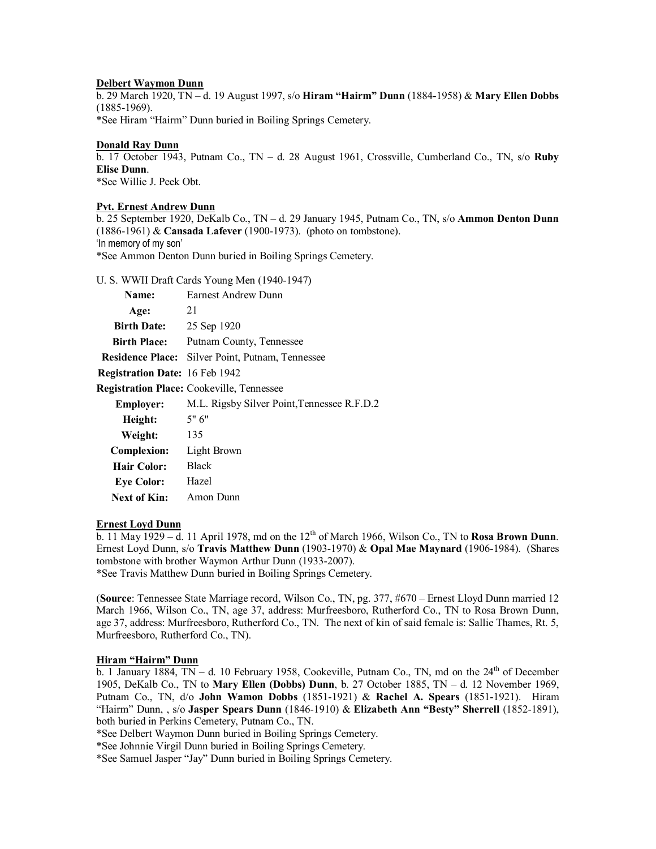## **Delbert Waymon Dunn**

b. 29 March 1920, TN – d. 19 August 1997, s/o **Hiram "Hairm" Dunn** (1884-1958) & **Mary Ellen Dobbs** (1885-1969).

\*See Hiram "Hairm" Dunn buried in Boiling Springs Cemetery.

## **Donald Ray Dunn**

b. 17 October 1943, Putnam Co., TN – d. 28 August 1961, Crossville, Cumberland Co., TN, s/o **Ruby Elise Dunn**. \*See Willie J. Peek Obt.

## **Pvt. Ernest Andrew Dunn**

b. 25 September 1920, DeKalb Co., TN – d. 29 January 1945, Putnam Co., TN, s/o **Ammon Denton Dunn** (1886-1961) & **Cansada Lafever** (1900-1973). (photo on tombstone). 'In memory of my son'

\*See Ammon Denton Dunn buried in Boiling Springs Cemetery.

U. S. WWII Draft Cards Young Men (1940-1947)

| Name:                          | Earnest Andrew Dunn                              |
|--------------------------------|--------------------------------------------------|
| Age:                           | 21                                               |
| <b>Birth Date:</b>             | 25 Sep 1920                                      |
| <b>Birth Place:</b>            | Putnam County, Tennessee                         |
|                                | Residence Place: Silver Point, Putnam, Tennessee |
| Registration Date: 16 Feb 1942 |                                                  |
|                                | <b>Registration Place:</b> Cookeville, Tennessee |
| <b>Employer:</b>               | M.L. Rigsby Silver Point, Tennessee R.F.D.2      |
| Height:                        | 5"6"                                             |
| Weight:                        | 135                                              |
| <b>Complexion:</b>             | Light Brown                                      |
| Hair Color:                    | <b>Black</b>                                     |
| <b>Eye Color:</b>              | Hazel                                            |
| Next of Kin:                   | Amon Dunn                                        |
|                                |                                                  |

## **Ernest Loyd Dunn**

 $\overline{b}$ . 11 May 1929 – d. 11 April 1978, md on the 12<sup>th</sup> of March 1966, Wilson Co., TN to **Rosa Brown Dunn**. Ernest Loyd Dunn, s/o **Travis Matthew Dunn** (1903-1970) & **Opal Mae Maynard** (1906-1984). (Shares tombstone with brother Waymon Arthur Dunn (1933-2007). \*See Travis Matthew Dunn buried in Boiling Springs Cemetery.

(**Source**: Tennessee State Marriage record, Wilson Co., TN, pg. 377, #670 – Ernest Lloyd Dunn married 12 March 1966, Wilson Co., TN, age 37, address: Murfreesboro, Rutherford Co., TN to Rosa Brown Dunn, age 37, address: Murfreesboro, Rutherford Co., TN. The next of kin of said female is: Sallie Thames, Rt. 5, Murfreesboro, Rutherford Co., TN).

# **Hiram "Hairm" Dunn**

 $\overline{b}$ . 1 January 1884, TN – d. 10 February 1958, Cookeville, Putnam Co., TN, md on the 24<sup>th</sup> of December 1905, DeKalb Co., TN to **Mary Ellen (Dobbs) Dunn**, b. 27 October 1885, TN – d. 12 November 1969, Putnam Co., TN, d/o **John Wamon Dobbs** (1851-1921) & **Rachel A. Spears** (1851-1921). Hiram "Hairm" Dunn, , s/o **Jasper Spears Dunn** (1846-1910) & **Elizabeth Ann "Besty" Sherrell** (1852-1891), both buried in Perkins Cemetery, Putnam Co., TN.

\*See Delbert Waymon Dunn buried in Boiling Springs Cemetery.

\*See Johnnie Virgil Dunn buried in Boiling Springs Cemetery.

\*See Samuel Jasper "Jay" Dunn buried in Boiling Springs Cemetery.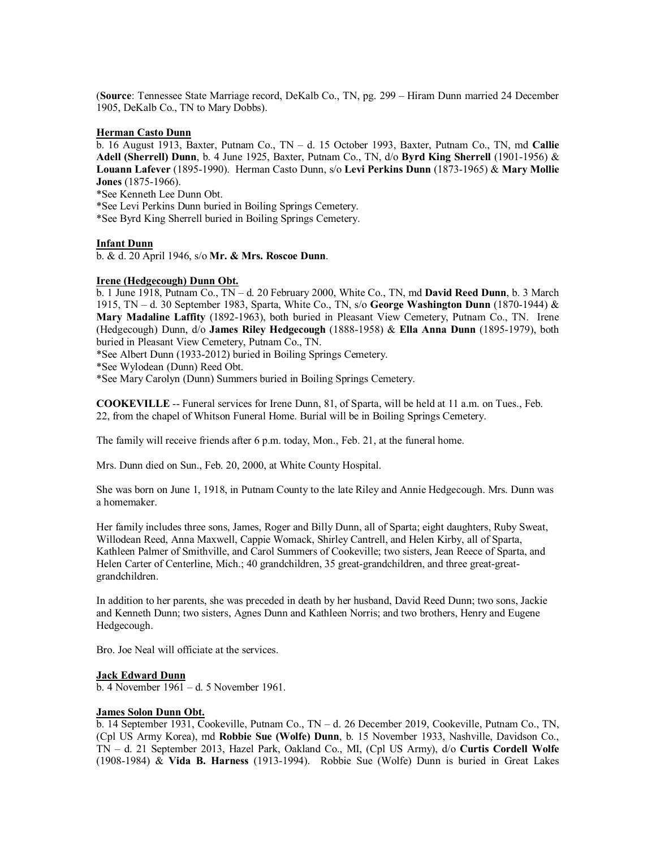(**Source**: Tennessee State Marriage record, DeKalb Co., TN, pg. 299 – Hiram Dunn married 24 December 1905, DeKalb Co., TN to Mary Dobbs).

### **Herman Casto Dunn**

b. 16 August 1913, Baxter, Putnam Co., TN – d. 15 October 1993, Baxter, Putnam Co., TN, md **Callie Adell (Sherrell) Dunn**, b. 4 June 1925, Baxter, Putnam Co., TN, d/o **Byrd King Sherrell** (1901-1956) & **Louann Lafever** (1895-1990). Herman Casto Dunn, s/o **Levi Perkins Dunn** (1873-1965) & **Mary Mollie Jones** (1875-1966).

\*See Kenneth Lee Dunn Obt.

\*See Levi Perkins Dunn buried in Boiling Springs Cemetery.

\*See Byrd King Sherrell buried in Boiling Springs Cemetery.

## **Infant Dunn**

b. & d. 20 April 1946, s/o **Mr. & Mrs. Roscoe Dunn**.

### **Irene (Hedgecough) Dunn Obt.**

b. 1 June 1918, Putnam Co., TN – d. 20 February 2000, White Co., TN, md **David Reed Dunn**, b. 3 March 1915, TN – d. 30 September 1983, Sparta, White Co., TN, s/o **George Washington Dunn** (1870-1944) & **Mary Madaline Laffity** (1892-1963), both buried in Pleasant View Cemetery, Putnam Co., TN. Irene (Hedgecough) Dunn, d/o **James Riley Hedgecough** (1888-1958) & **Ella Anna Dunn** (1895-1979), both buried in Pleasant View Cemetery, Putnam Co., TN.

\*See Albert Dunn (1933-2012) buried in Boiling Springs Cemetery.

\*See Wylodean (Dunn) Reed Obt.

\*See Mary Carolyn (Dunn) Summers buried in Boiling Springs Cemetery.

**COOKEVILLE** -- Funeral services for Irene Dunn, 81, of Sparta, will be held at 11 a.m. on Tues., Feb. 22, from the chapel of Whitson Funeral Home. Burial will be in Boiling Springs Cemetery.

The family will receive friends after 6 p.m. today, Mon., Feb. 21, at the funeral home.

Mrs. Dunn died on Sun., Feb. 20, 2000, at White County Hospital.

She was born on June 1, 1918, in Putnam County to the late Riley and Annie Hedgecough. Mrs. Dunn was a homemaker.

Her family includes three sons, James, Roger and Billy Dunn, all of Sparta; eight daughters, Ruby Sweat, Willodean Reed, Anna Maxwell, Cappie Womack, Shirley Cantrell, and Helen Kirby, all of Sparta, Kathleen Palmer of Smithville, and Carol Summers of Cookeville; two sisters, Jean Reece of Sparta, and Helen Carter of Centerline, Mich.; 40 grandchildren, 35 great-grandchildren, and three great-greatgrandchildren.

In addition to her parents, she was preceded in death by her husband, David Reed Dunn; two sons, Jackie and Kenneth Dunn; two sisters, Agnes Dunn and Kathleen Norris; and two brothers, Henry and Eugene Hedgecough.

Bro. Joe Neal will officiate at the services.

### **Jack Edward Dunn**

b. 4 November 1961 – d. 5 November 1961.

### **James Solon Dunn Obt.**

b. 14 September 1931, Cookeville, Putnam Co., TN – d. 26 December 2019, Cookeville, Putnam Co., TN, (Cpl US Army Korea), md **Robbie Sue (Wolfe) Dunn**, b. 15 November 1933, Nashville, Davidson Co., TN – d. 21 September 2013, Hazel Park, Oakland Co., MI, (Cpl US Army), d/o **Curtis Cordell Wolfe** (1908-1984) & **Vida B. Harness** (1913-1994). Robbie Sue (Wolfe) Dunn is buried in Great Lakes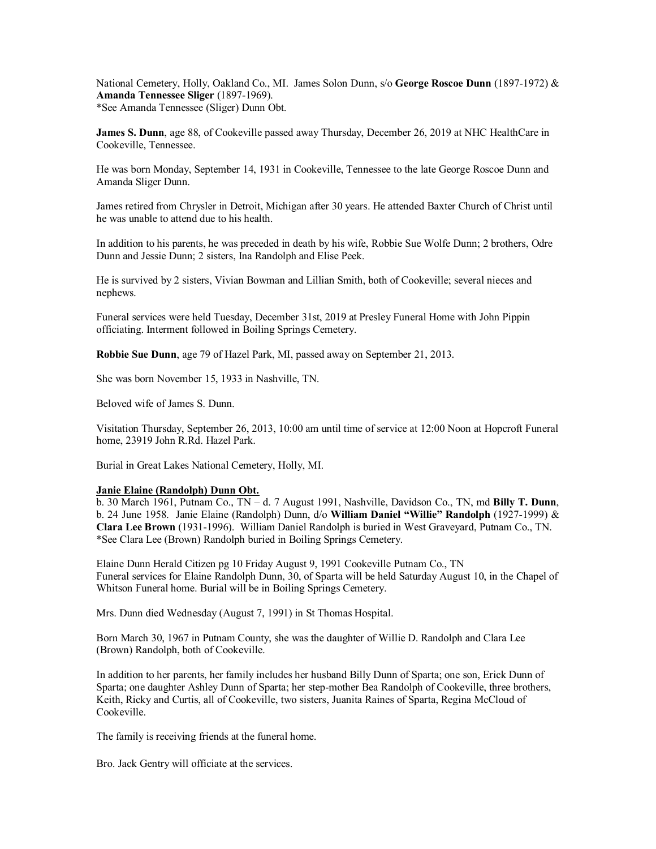National Cemetery, Holly, Oakland Co., MI. James Solon Dunn, s/o **George Roscoe Dunn** (1897-1972) & **Amanda Tennessee Sliger** (1897-1969). \*See Amanda Tennessee (Sliger) Dunn Obt.

**James S. Dunn**, age 88, of Cookeville passed away Thursday, December 26, 2019 at NHC HealthCare in Cookeville, Tennessee.

He was born Monday, September 14, 1931 in Cookeville, Tennessee to the late George Roscoe Dunn and Amanda Sliger Dunn.

James retired from Chrysler in Detroit, Michigan after 30 years. He attended Baxter Church of Christ until he was unable to attend due to his health.

In addition to his parents, he was preceded in death by his wife, Robbie Sue Wolfe Dunn; 2 brothers, Odre Dunn and Jessie Dunn; 2 sisters, Ina Randolph and Elise Peek.

He is survived by 2 sisters, Vivian Bowman and Lillian Smith, both of Cookeville; several nieces and nephews.

Funeral services were held Tuesday, December 31st, 2019 at Presley Funeral Home with John Pippin officiating. Interment followed in Boiling Springs Cemetery.

**Robbie Sue Dunn**, age 79 of Hazel Park, MI, passed away on September 21, 2013.

She was born November 15, 1933 in Nashville, TN.

Beloved wife of James S. Dunn.

Visitation Thursday, September 26, 2013, 10:00 am until time of service at 12:00 Noon at Hopcroft Funeral home, 23919 John R.Rd. Hazel Park.

Burial in Great Lakes National Cemetery, Holly, MI.

### **Janie Elaine (Randolph) Dunn Obt.**

b. 30 March 1961, Putnam Co., TN – d. 7 August 1991, Nashville, Davidson Co., TN, md **Billy T. Dunn**, b. 24 June 1958. Janie Elaine (Randolph) Dunn, d/o **William Daniel "Willie" Randolph** (1927-1999) & **Clara Lee Brown** (1931-1996). William Daniel Randolph is buried in West Graveyard, Putnam Co., TN. \*See Clara Lee (Brown) Randolph buried in Boiling Springs Cemetery.

Elaine Dunn Herald Citizen pg 10 Friday August 9, 1991 Cookeville Putnam Co., TN Funeral services for Elaine Randolph Dunn, 30, of Sparta will be held Saturday August 10, in the Chapel of Whitson Funeral home. Burial will be in Boiling Springs Cemetery.

Mrs. Dunn died Wednesday (August 7, 1991) in St Thomas Hospital.

Born March 30, 1967 in Putnam County, she was the daughter of Willie D. Randolph and Clara Lee (Brown) Randolph, both of Cookeville.

In addition to her parents, her family includes her husband Billy Dunn of Sparta; one son, Erick Dunn of Sparta; one daughter Ashley Dunn of Sparta; her step-mother Bea Randolph of Cookeville, three brothers, Keith, Ricky and Curtis, all of Cookeville, two sisters, Juanita Raines of Sparta, Regina McCloud of Cookeville.

The family is receiving friends at the funeral home.

Bro. Jack Gentry will officiate at the services.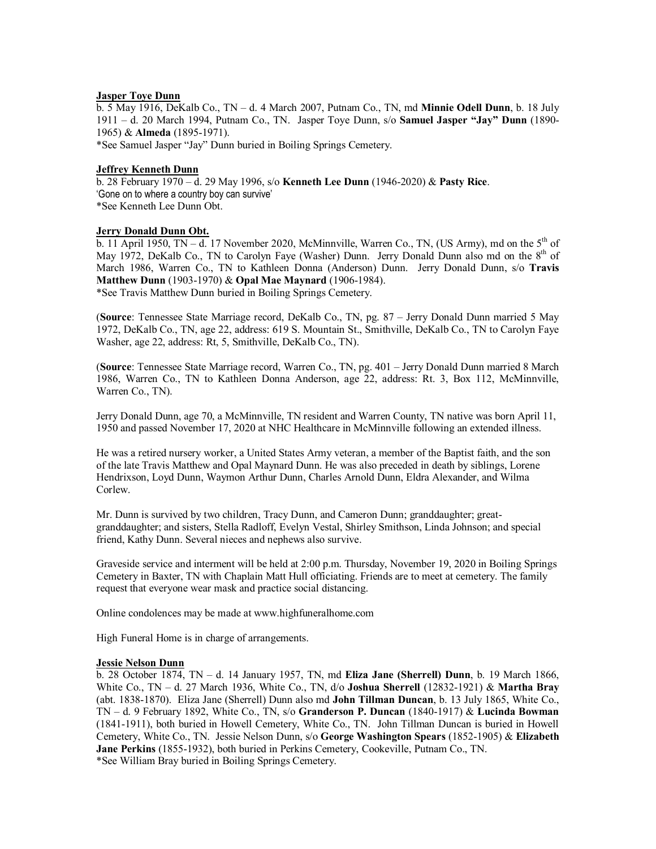# **Jasper Toye Dunn**

b. 5 May 1916, DeKalb Co., TN – d. 4 March 2007, Putnam Co., TN, md **Minnie Odell Dunn**, b. 18 July 1911 – d. 20 March 1994, Putnam Co., TN. Jasper Toye Dunn, s/o **Samuel Jasper "Jay" Dunn** (1890- 1965) & **Almeda** (1895-1971).

\*See Samuel Jasper "Jay" Dunn buried in Boiling Springs Cemetery.

### **Jeffrey Kenneth Dunn**

b. 28 February 1970 – d. 29 May 1996, s/o **Kenneth Lee Dunn** (1946-2020) & **Pasty Rice**. 'Gone on to where a country boy can survive' \*See Kenneth Lee Dunn Obt.

## **Jerry Donald Dunn Obt.**

 $\overline{b}$ . 11 April 1950, TN – d. 17 November 2020, McMinnville, Warren Co., TN, (US Army), md on the 5<sup>th</sup> of May 1972, DeKalb Co., TN to Carolyn Faye (Washer) Dunn. Jerry Donald Dunn also md on the 8<sup>th</sup> of March 1986, Warren Co., TN to Kathleen Donna (Anderson) Dunn. Jerry Donald Dunn, s/o **Travis Matthew Dunn** (1903-1970) & **Opal Mae Maynard** (1906-1984). \*See Travis Matthew Dunn buried in Boiling Springs Cemetery.

(**Source**: Tennessee State Marriage record, DeKalb Co., TN, pg. 87 – Jerry Donald Dunn married 5 May 1972, DeKalb Co., TN, age 22, address: 619 S. Mountain St., Smithville, DeKalb Co., TN to Carolyn Faye Washer, age 22, address: Rt, 5, Smithville, DeKalb Co., TN).

(**Source**: Tennessee State Marriage record, Warren Co., TN, pg. 401 – Jerry Donald Dunn married 8 March 1986, Warren Co., TN to Kathleen Donna Anderson, age 22, address: Rt. 3, Box 112, McMinnville, Warren Co., TN).

Jerry Donald Dunn, age 70, a McMinnville, TN resident and Warren County, TN native was born April 11, 1950 and passed November 17, 2020 at NHC Healthcare in McMinnville following an extended illness.

He was a retired nursery worker, a United States Army veteran, a member of the Baptist faith, and the son of the late Travis Matthew and Opal Maynard Dunn. He was also preceded in death by siblings, Lorene Hendrixson, Loyd Dunn, Waymon Arthur Dunn, Charles Arnold Dunn, Eldra Alexander, and Wilma Corlew.

Mr. Dunn is survived by two children, Tracy Dunn, and Cameron Dunn; granddaughter; greatgranddaughter; and sisters, Stella Radloff, Evelyn Vestal, Shirley Smithson, Linda Johnson; and special friend, Kathy Dunn. Several nieces and nephews also survive.

Graveside service and interment will be held at 2:00 p.m. Thursday, November 19, 2020 in Boiling Springs Cemetery in Baxter, TN with Chaplain Matt Hull officiating. Friends are to meet at cemetery. The family request that everyone wear mask and practice social distancing.

Online condolences may be made at [www.highfuneralhome.com](http://www.highfuneralhome.com/)

High Funeral Home is in charge of arrangements.

### **Jessie Nelson Dunn**

b. 28 October 1874, TN – d. 14 January 1957, TN, md **Eliza Jane (Sherrell) Dunn**, b. 19 March 1866, White Co., TN – d. 27 March 1936, White Co., TN, d/o **Joshua Sherrell** (12832-1921) & **Martha Bray** (abt. 1838-1870). Eliza Jane (Sherrell) Dunn also md **John Tillman Duncan**, b. 13 July 1865, White Co., TN – d. 9 February 1892, White Co., TN, s/o **Granderson P. Duncan** (1840-1917) & **Lucinda Bowman** (1841-1911), both buried in Howell Cemetery, White Co., TN. John Tillman Duncan is buried in Howell Cemetery, White Co., TN. Jessie Nelson Dunn, s/o **George Washington Spears** (1852-1905) & **Elizabeth Jane Perkins** (1855-1932), both buried in Perkins Cemetery, Cookeville, Putnam Co., TN. \*See William Bray buried in Boiling Springs Cemetery.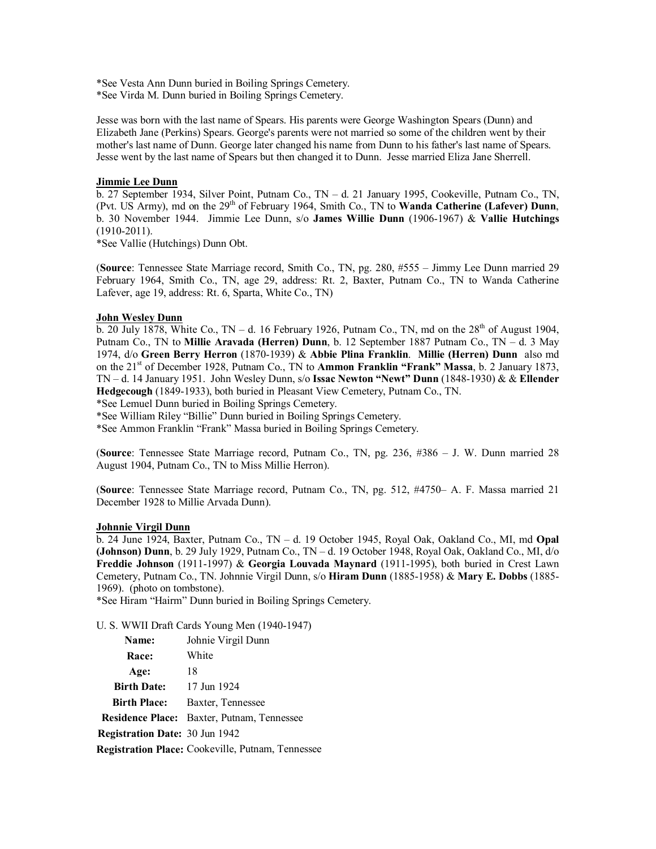\*See Vesta Ann Dunn buried in Boiling Springs Cemetery.

\*See Virda M. Dunn buried in Boiling Springs Cemetery.

Jesse was born with the last name of Spears. His parents were George Washington Spears (Dunn) and Elizabeth Jane (Perkins) Spears. George's parents were not married so some of the children went by their mother's last name of Dunn. George later changed his name from Dunn to his father's last name of Spears. Jesse went by the last name of Spears but then changed it to Dunn. Jesse married Eliza Jane Sherrell.

## **Jimmie Lee Dunn**

b. 27 September 1934, Silver Point, Putnam Co., TN – d. 21 January 1995, Cookeville, Putnam Co., TN, (Pvt. US Army), md on the 29<sup>th</sup> of February 1964, Smith Co., TN to **Wanda Catherine (Lafever) Dunn**, b. 30 November 1944. Jimmie Lee Dunn, s/o **James Willie Dunn** (1906-1967) & **Vallie Hutchings** (1910-2011).

\*See Vallie (Hutchings) Dunn Obt.

(**Source**: Tennessee State Marriage record, Smith Co., TN, pg. 280, #555 – Jimmy Lee Dunn married 29 February 1964, Smith Co., TN, age 29, address: Rt. 2, Baxter, Putnam Co., TN to Wanda Catherine Lafever, age 19, address: Rt. 6, Sparta, White Co., TN)

## **John Wesley Dunn**

b. 20 July 1878, White Co., TN – d. 16 February 1926, Putnam Co., TN, md on the  $28<sup>th</sup>$  of August 1904, Putnam Co., TN to **Millie Aravada (Herren) Dunn**, b. 12 September 1887 Putnam Co., TN – d. 3 May 1974, d/o **Green Berry Herron** (1870-1939) & **Abbie Plina Franklin**. **Millie (Herren) Dunn** also md on the 21st of December 1928, Putnam Co., TN to **Ammon Franklin "Frank" Massa**, b. 2 January 1873, TN – d. 14 January 1951. John Wesley Dunn, s/o **Issac Newton "Newt" Dunn** (1848-1930) & & **Ellender Hedgecough** (1849-1933), both buried in Pleasant View Cemetery, Putnam Co., TN.

\*See Lemuel Dunn buried in Boiling Springs Cemetery.

\*See William Riley "Billie" Dunn buried in Boiling Springs Cemetery.

\*See Ammon Franklin "Frank" Massa buried in Boiling Springs Cemetery.

(**Source**: Tennessee State Marriage record, Putnam Co., TN, pg. 236, #386 – J. W. Dunn married 28 August 1904, Putnam Co., TN to Miss Millie Herron).

(**Source**: Tennessee State Marriage record, Putnam Co., TN, pg. 512, #4750– A. F. Massa married 21 December 1928 to Millie Arvada Dunn).

### **Johnnie Virgil Dunn**

b. 24 June 1924, Baxter, Putnam Co., TN – d. 19 October 1945, Royal Oak, Oakland Co., MI, md **Opal (Johnson) Dunn**, b. 29 July 1929, Putnam Co., TN – d. 19 October 1948, Royal Oak, Oakland Co., MI, d/o **Freddie Johnson** (1911-1997) & **Georgia Louvada Maynard** (1911-1995), both buried in Crest Lawn Cemetery, Putnam Co., TN. Johnnie Virgil Dunn, s/o **Hiram Dunn** (1885-1958) & **Mary E. Dobbs** (1885- 1969). (photo on tombstone).

\*See Hiram "Hairm" Dunn buried in Boiling Springs Cemetery.

U. S. WWII Draft Cards Young Men (1940-1947)

| Name:                                 | Johnie Virgil Dunn                                       |
|---------------------------------------|----------------------------------------------------------|
| <b>Race:</b>                          | White                                                    |
| Age:                                  | 18                                                       |
| <b>Birth Date:</b>                    | 17 Jun 1924                                              |
| <b>Birth Place:</b>                   | Baxter, Tennessee                                        |
|                                       | <b>Residence Place:</b> Baxter, Putnam, Tennessee        |
| <b>Registration Date: 30 Jun 1942</b> |                                                          |
|                                       | <b>Registration Place:</b> Cookeville, Putnam, Tennessee |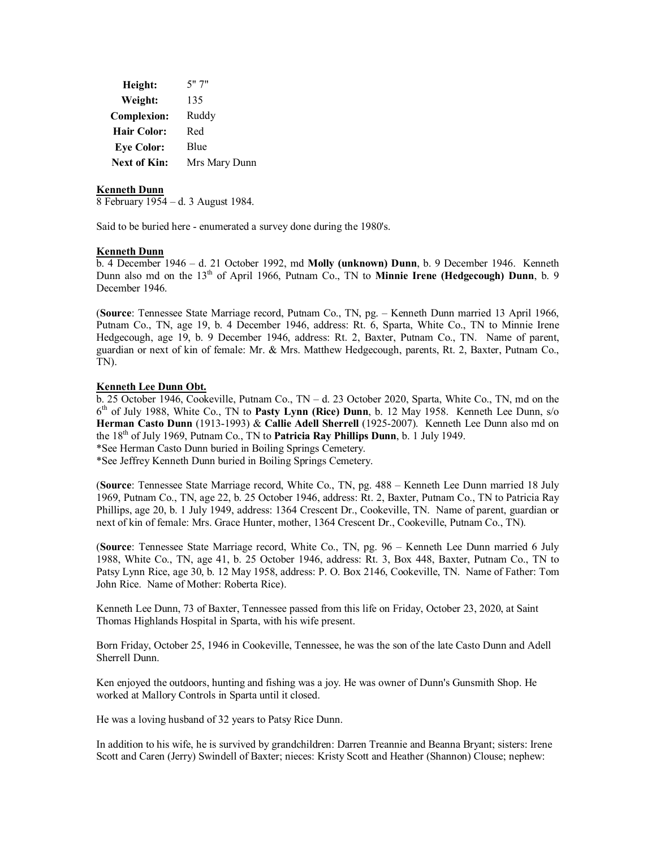| Height:             | 5"7"          |
|---------------------|---------------|
| Weight:             | 135           |
| <b>Complexion:</b>  | Ruddy         |
| <b>Hair Color:</b>  | Red           |
| <b>Eye Color:</b>   | Blue          |
| <b>Next of Kin:</b> | Mrs Mary Dunn |

### **Kenneth Dunn**

8 February 1954 – d. 3 August 1984.

Said to be buried here - enumerated a survey done during the 1980's.

#### **Kenneth Dunn**

b. 4 December 1946 – d. 21 October 1992, md **Molly (unknown) Dunn**, b. 9 December 1946. Kenneth Dunn also md on the 13<sup>th</sup> of April 1966, Putnam Co., TN to **Minnie Irene (Hedgecough) Dunn**, b. 9 December 1946.

(**Source**: Tennessee State Marriage record, Putnam Co., TN, pg. – Kenneth Dunn married 13 April 1966, Putnam Co., TN, age 19, b. 4 December 1946, address: Rt. 6, Sparta, White Co., TN to Minnie Irene Hedgecough, age 19, b. 9 December 1946, address: Rt. 2, Baxter, Putnam Co., TN. Name of parent, guardian or next of kin of female: Mr. & Mrs. Matthew Hedgecough, parents, Rt. 2, Baxter, Putnam Co., TN).

### **Kenneth Lee Dunn Obt.**

b. 25 October 1946, Cookeville, Putnam Co., TN – d. 23 October 2020, Sparta, White Co., TN, md on the 6 th of July 1988, White Co., TN to **Pasty Lynn (Rice) Dunn**, b. 12 May 1958. Kenneth Lee Dunn, s/o **Herman Casto Dunn** (1913-1993) & **Callie Adell Sherrell** (1925-2007). Kenneth Lee Dunn also md on the 18th of July 1969, Putnam Co., TN to **Patricia Ray Phillips Dunn**, b. 1 July 1949.

\*See Herman Casto Dunn buried in Boiling Springs Cemetery.

\*See Jeffrey Kenneth Dunn buried in Boiling Springs Cemetery.

(**Source**: Tennessee State Marriage record, White Co., TN, pg. 488 – Kenneth Lee Dunn married 18 July 1969, Putnam Co., TN, age 22, b. 25 October 1946, address: Rt. 2, Baxter, Putnam Co., TN to Patricia Ray Phillips, age 20, b. 1 July 1949, address: 1364 Crescent Dr., Cookeville, TN. Name of parent, guardian or next of kin of female: Mrs. Grace Hunter, mother, 1364 Crescent Dr., Cookeville, Putnam Co., TN).

(**Source**: Tennessee State Marriage record, White Co., TN, pg. 96 – Kenneth Lee Dunn married 6 July 1988, White Co., TN, age 41, b. 25 October 1946, address: Rt. 3, Box 448, Baxter, Putnam Co., TN to Patsy Lynn Rice, age 30, b. 12 May 1958, address: P. O. Box 2146, Cookeville, TN. Name of Father: Tom John Rice. Name of Mother: Roberta Rice).

Kenneth Lee Dunn, 73 of Baxter, Tennessee passed from this life on Friday, October 23, 2020, at Saint Thomas Highlands Hospital in Sparta, with his wife present.

Born Friday, October 25, 1946 in Cookeville, Tennessee, he was the son of the late Casto Dunn and Adell Sherrell Dunn.

Ken enjoyed the outdoors, hunting and fishing was a joy. He was owner of Dunn's Gunsmith Shop. He worked at Mallory Controls in Sparta until it closed.

He was a loving husband of 32 years to Patsy Rice Dunn.

In addition to his wife, he is survived by grandchildren: Darren Treannie and Beanna Bryant; sisters: Irene Scott and Caren (Jerry) Swindell of Baxter; nieces: Kristy Scott and Heather (Shannon) Clouse; nephew: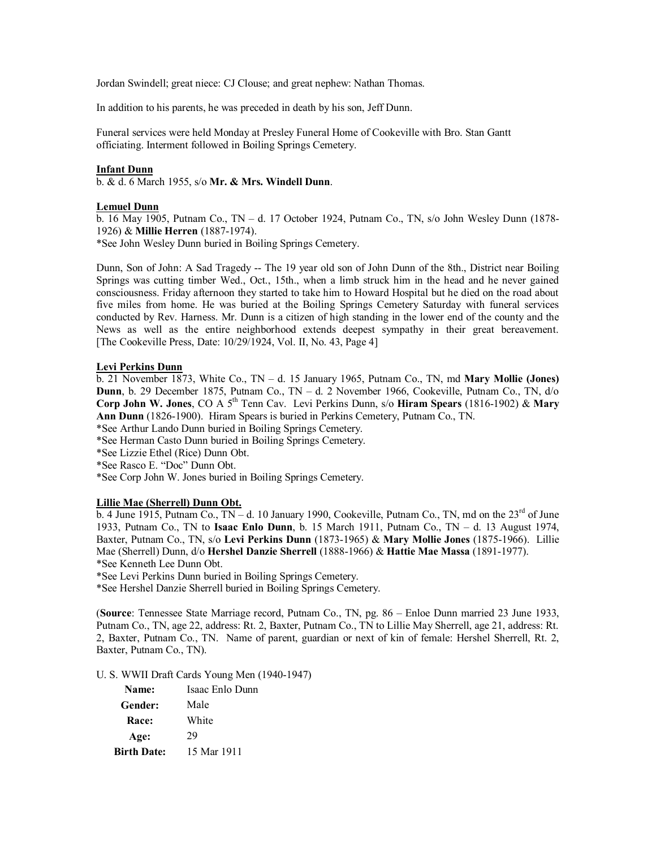Jordan Swindell; great niece: CJ Clouse; and great nephew: Nathan Thomas.

In addition to his parents, he was preceded in death by his son, Jeff Dunn.

Funeral services were held Monday at Presley Funeral Home of Cookeville with Bro. Stan Gantt officiating. Interment followed in Boiling Springs Cemetery.

## **Infant Dunn**

b. & d. 6 March 1955, s/o **Mr. & Mrs. Windell Dunn**.

## **Lemuel Dunn**

b. 16 May 1905, Putnam Co., TN – d. 17 October 1924, Putnam Co., TN, s/o John Wesley Dunn (1878- 1926) & **Millie Herren** (1887-1974).

\*See John Wesley Dunn buried in Boiling Springs Cemetery.

Dunn, Son of John: A Sad Tragedy -- The 19 year old son of John Dunn of the 8th., District near Boiling Springs was cutting timber Wed., Oct., 15th., when a limb struck him in the head and he never gained consciousness. Friday afternoon they started to take him to Howard Hospital but he died on the road about five miles from home. He was buried at the Boiling Springs Cemetery Saturday with funeral services conducted by Rev. Harness. Mr. Dunn is a citizen of high standing in the lower end of the county and the News as well as the entire neighborhood extends deepest sympathy in their great bereavement. [The Cookeville Press, Date: 10/29/1924, Vol. II, No. 43, Page 4]

## **Levi Perkins Dunn**

b. 21 November 1873, White Co., TN – d. 15 January 1965, Putnam Co., TN, md **Mary Mollie (Jones) Dunn**, b. 29 December 1875, Putnam Co., TN – d. 2 November 1966, Cookeville, Putnam Co., TN, d/o **Corp John W. Jones**, CO A 5th Tenn Cav. Levi Perkins Dunn, s/o **Hiram Spears** (1816-1902) & **Mary Ann Dunn** (1826-1900). Hiram Spears is buried in Perkins Cemetery, Putnam Co., TN.

\*See Arthur Lando Dunn buried in Boiling Springs Cemetery.

\*See Herman Casto Dunn buried in Boiling Springs Cemetery.

\*See Lizzie Ethel (Rice) Dunn Obt.

\*See Rasco E. "Doc" Dunn Obt.

\*See Corp John W. Jones buried in Boiling Springs Cemetery.

## **Lillie Mae (Sherrell) Dunn Obt.**

 $\overline{b}$ . 4 June 1915, Putnam Co., TN – d. 10 January 1990, Cookeville, Putnam Co., TN, md on the 23<sup>rd</sup> of June 1933, Putnam Co., TN to **Isaac Enlo Dunn**, b. 15 March 1911, Putnam Co., TN – d. 13 August 1974, Baxter, Putnam Co., TN, s/o **Levi Perkins Dunn** (1873-1965) & **Mary Mollie Jones** (1875-1966). Lillie Mae (Sherrell) Dunn, d/o **Hershel Danzie Sherrell** (1888-1966) & **Hattie Mae Massa** (1891-1977). \*See Kenneth Lee Dunn Obt.

\*See Levi Perkins Dunn buried in Boiling Springs Cemetery.

\*See Hershel Danzie Sherrell buried in Boiling Springs Cemetery.

(**Source**: Tennessee State Marriage record, Putnam Co., TN, pg. 86 – Enloe Dunn married 23 June 1933, Putnam Co., TN, age 22, address: Rt. 2, Baxter, Putnam Co., TN to Lillie May Sherrell, age 21, address: Rt. 2, Baxter, Putnam Co., TN. Name of parent, guardian or next of kin of female: Hershel Sherrell, Rt. 2, Baxter, Putnam Co., TN).

U. S. WWII Draft Cards Young Men (1940-1947)

| Name:              | Isaac Enlo Dunn |
|--------------------|-----------------|
| Gender:            | Male            |
| <b>Race:</b>       | White           |
| Age:               | 29              |
| <b>Birth Date:</b> | 15 Mar 1911     |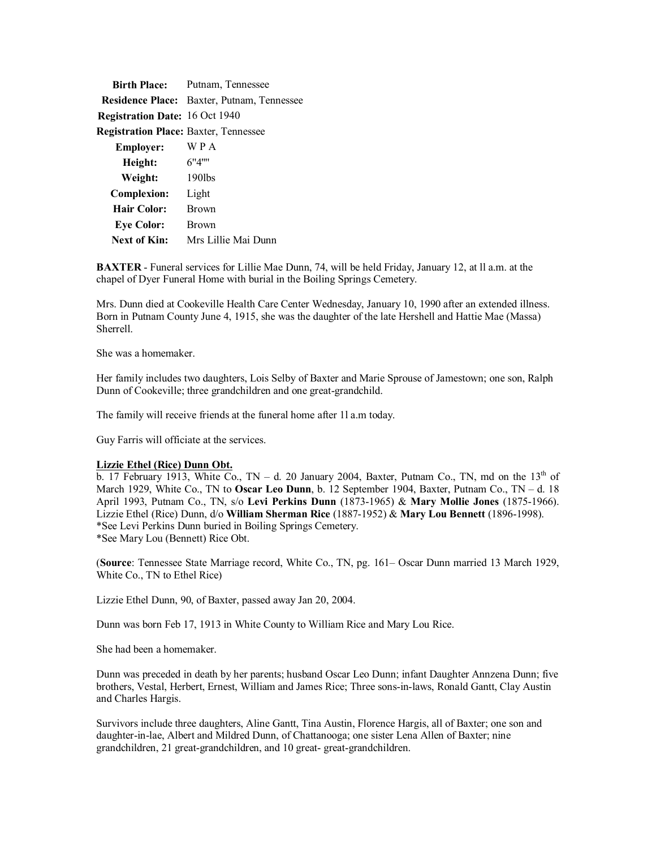| <b>Birth Place:</b>                          | Putnam, Tennessee                                 |
|----------------------------------------------|---------------------------------------------------|
|                                              | <b>Residence Place:</b> Baxter, Putnam, Tennessee |
| <b>Registration Date: 16 Oct 1940</b>        |                                                   |
| <b>Registration Place: Baxter, Tennessee</b> |                                                   |
| <b>Employer:</b>                             | WPA                                               |
| Height:                                      | 6"4"                                              |
| Weight:                                      | $190$ lbs                                         |
| <b>Complexion:</b>                           | Light                                             |
| <b>Hair Color:</b>                           | <b>Brown</b>                                      |
| <b>Eye Color:</b>                            | <b>Brown</b>                                      |
| Next of Kin:                                 | Mrs Lillie Mai Dunn                               |

**BAXTER** - Funeral services for Lillie Mae Dunn, 74, will be held Friday, January 12, at ll a.m. at the chapel of Dyer Funeral Home with burial in the Boiling Springs Cemetery.

Mrs. Dunn died at Cookeville Health Care Center Wednesday, January 10, 1990 after an extended illness. Born in Putnam County June 4, 1915, she was the daughter of the late Hershell and Hattie Mae (Massa) Sherrell.

She was a homemaker.

Her family includes two daughters, Lois Selby of Baxter and Marie Sprouse of Jamestown; one son, Ralph Dunn of Cookeville; three grandchildren and one great-grandchild.

The family will receive friends at the funeral home after 1l a.m today.

Guy Farris will officiate at the services.

## **Lizzie Ethel (Rice) Dunn Obt.**

b. 17 February 1913, White Co., TN – d. 20 January 2004, Baxter, Putnam Co., TN, md on the 13<sup>th</sup> of March 1929, White Co., TN to **Oscar Leo Dunn**, b. 12 September 1904, Baxter, Putnam Co., TN – d. 18 April 1993, Putnam Co., TN, s/o **Levi Perkins Dunn** (1873-1965) & **Mary Mollie Jones** (1875-1966). Lizzie Ethel (Rice) Dunn, d/o **William Sherman Rice** (1887-1952) & **Mary Lou Bennett** (1896-1998). \*See Levi Perkins Dunn buried in Boiling Springs Cemetery. \*See Mary Lou (Bennett) Rice Obt.

(**Source**: Tennessee State Marriage record, White Co., TN, pg. 161– Oscar Dunn married 13 March 1929, White Co., TN to Ethel Rice)

Lizzie Ethel Dunn, 90, of Baxter, passed away Jan 20, 2004.

Dunn was born Feb 17, 1913 in White County to William Rice and Mary Lou Rice.

She had been a homemaker.

Dunn was preceded in death by her parents; husband Oscar Leo Dunn; infant Daughter Annzena Dunn; five brothers, Vestal, Herbert, Ernest, William and James Rice; Three sons-in-laws, Ronald Gantt, Clay Austin and Charles Hargis.

Survivors include three daughters, Aline Gantt, Tina Austin, Florence Hargis, all of Baxter; one son and daughter-in-lae, Albert and Mildred Dunn, of Chattanooga; one sister Lena Allen of Baxter; nine grandchildren, 21 great-grandchildren, and 10 great- great-grandchildren.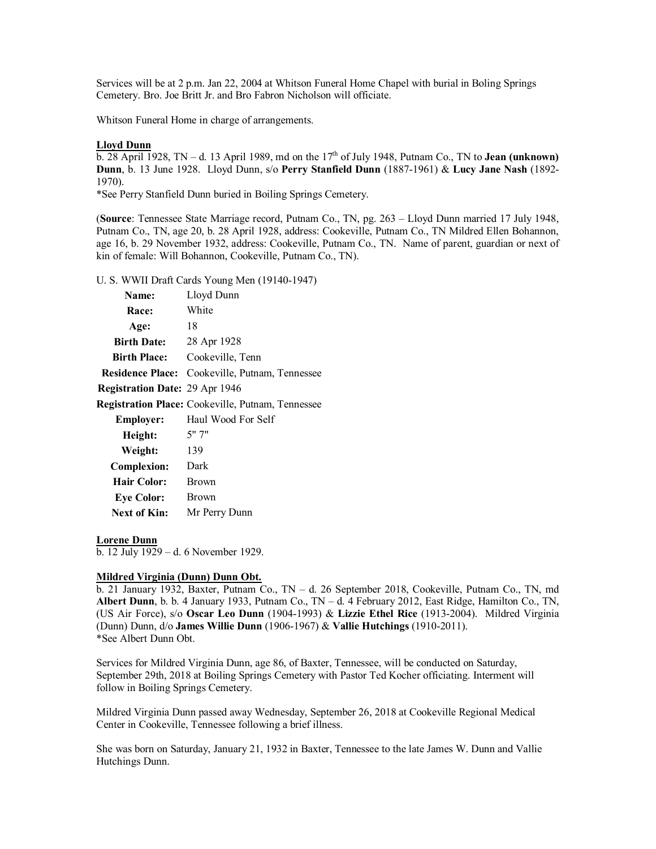Services will be at 2 p.m. Jan 22, 2004 at Whitson Funeral Home Chapel with burial in Boling Springs Cemetery. Bro. Joe Britt Jr. and Bro Fabron Nicholson will officiate.

Whitson Funeral Home in charge of arrangements.

## **Lloyd Dunn**

 $\overline{b}$ . 28 April 1928, TN – d. 13 April 1989, md on the 17<sup>th</sup> of July 1948, Putnam Co., TN to **Jean (unknown) Dunn**, b. 13 June 1928. Lloyd Dunn, s/o **Perry Stanfield Dunn** (1887-1961) & **Lucy Jane Nash** (1892- 1970).

\*See Perry Stanfield Dunn buried in Boiling Springs Cemetery.

(**Source**: Tennessee State Marriage record, Putnam Co., TN, pg. 263 – Lloyd Dunn married 17 July 1948, Putnam Co., TN, age 20, b. 28 April 1928, address: Cookeville, Putnam Co., TN Mildred Ellen Bohannon, age 16, b. 29 November 1932, address: Cookeville, Putnam Co., TN. Name of parent, guardian or next of kin of female: Will Bohannon, Cookeville, Putnam Co., TN).

U. S. WWII Draft Cards Young Men (19140-1947)

| Name:                                 | Lloyd Dunn                                               |
|---------------------------------------|----------------------------------------------------------|
| <b>Race:</b>                          | White                                                    |
| Age:                                  | 18                                                       |
| Birth Date: 28 Apr 1928               |                                                          |
| <b>Birth Place:</b>                   | Cookeville, Tenn                                         |
|                                       | <b>Residence Place:</b> Cookeville, Putnam, Tennessee    |
| <b>Registration Date: 29 Apr 1946</b> |                                                          |
|                                       | <b>Registration Place:</b> Cookeville, Putnam, Tennessee |
| <b>Employer:</b>                      | Haul Wood For Self                                       |
| Height:                               | 5" 7"                                                    |
| Weight:                               | 139                                                      |
| <b>Complexion:</b>                    | Dark                                                     |
| Hair Color:                           | Brown                                                    |
| <b>Eye Color:</b>                     | Brown                                                    |
| <b>Next of Kin:</b>                   | Mr Perry Dunn                                            |

#### **Lorene Dunn**

b. 12 July 1929 – d. 6 November 1929.

#### **Mildred Virginia (Dunn) Dunn Obt.**

b. 21 January 1932, Baxter, Putnam Co., TN – d. 26 September 2018, Cookeville, Putnam Co., TN, md **Albert Dunn**, b. b. 4 January 1933, Putnam Co., TN – d. 4 February 2012, East Ridge, Hamilton Co., TN, (US Air Force), s/o **Oscar Leo Dunn** (1904-1993) & **Lizzie Ethel Rice** (1913-2004). Mildred Virginia (Dunn) Dunn, d/o **James Willie Dunn** (1906-1967) & **Vallie Hutchings** (1910-2011). \*See Albert Dunn Obt.

Services for Mildred Virginia Dunn, age 86, of Baxter, Tennessee, will be conducted on Saturday, September 29th, 2018 at Boiling Springs Cemetery with Pastor Ted Kocher officiating. Interment will follow in Boiling Springs Cemetery.

Mildred Virginia Dunn passed away Wednesday, September 26, 2018 at Cookeville Regional Medical Center in Cookeville, Tennessee following a brief illness.

She was born on Saturday, January 21, 1932 in Baxter, Tennessee to the late James W. Dunn and Vallie Hutchings Dunn.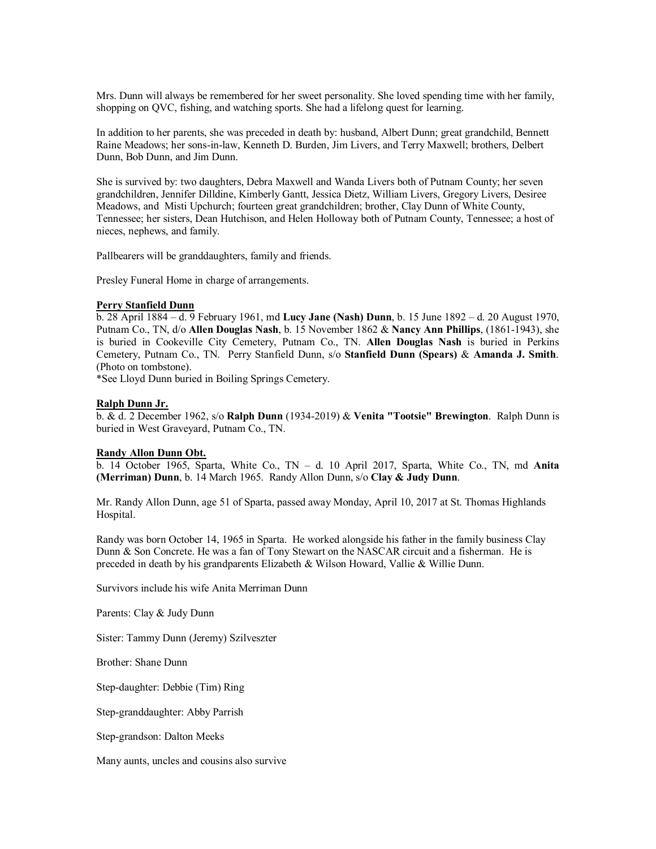Mrs. Dunn will always be remembered for her sweet personality. She loved spending time with her family, shopping on QVC, fishing, and watching sports. She had a lifelong quest for learning.

In addition to her parents, she was preceded in death by: husband, Albert Dunn; great grandchild, Bennett Raine Meadows; her sons-in-law, Kenneth D. Burden, Jim Livers, and Terry Maxwell; brothers, Delbert Dunn, Bob Dunn, and Jim Dunn.

She is survived by: two daughters, Debra Maxwell and Wanda Livers both of Putnam County; her seven grandchildren, Jennifer Dilldine, Kimberly Gantt, Jessica Dietz, William Livers, Gregory Livers, Desiree Meadows, and Misti Upchurch; fourteen great grandchildren; brother, Clay Dunn of White County, Tennessee; her sisters, Dean Hutchison, and Helen Holloway both of Putnam County, Tennessee; a host of nieces, nephews, and family.

Pallbearers will be granddaughters, family and friends.

Presley Funeral Home in charge of arrangements.

#### **Perry Stanfield Dunn**

b. 28 April 1884 – d. 9 February 1961, md **Lucy Jane (Nash) Dunn**, b. 15 June 1892 – d. 20 August 1970, Putnam Co., TN, d/o **Allen Douglas Nash**, b. 15 November 1862 & **Nancy Ann Phillips**, (1861-1943), she is buried in Cookeville City Cemetery, Putnam Co., TN. **Allen Douglas Nash** is buried in Perkins Cemetery, Putnam Co., TN. Perry Stanfield Dunn, s/o **Stanfield Dunn (Spears)** & **Amanda J. Smith**. (Photo on tombstone).

\*See Lloyd Dunn buried in Boiling Springs Cemetery.

### **Ralph Dunn Jr.**

b. & d. 2 December 1962, s/o **Ralph Dunn** (1934-2019) & **Venita "Tootsie" Brewington**. Ralph Dunn is buried in West Graveyard, Putnam Co., TN.

### **Randy Allon Dunn Obt.**

b. 14 October 1965, Sparta, White Co., TN – d. 10 April 2017, Sparta, White Co., TN, md **Anita (Merriman) Dunn**, b. 14 March 1965. Randy Allon Dunn, s/o **Clay & Judy Dunn**.

Mr. Randy Allon Dunn, age 51 of Sparta, passed away Monday, April 10, 2017 at St. Thomas Highlands Hospital.

Randy was born October 14, 1965 in Sparta. He worked alongside his father in the family business Clay Dunn & Son Concrete. He was a fan of Tony Stewart on the NASCAR circuit and a fisherman. He is preceded in death by his grandparents Elizabeth & Wilson Howard, Vallie & Willie Dunn.

Survivors include his wife Anita Merriman Dunn

Parents: Clay & Judy Dunn

Sister: Tammy Dunn (Jeremy) Szilveszter

Brother: Shane Dunn

Step-daughter: Debbie (Tim) Ring

Step-granddaughter: Abby Parrish

Step-grandson: Dalton Meeks

Many aunts, uncles and cousins also survive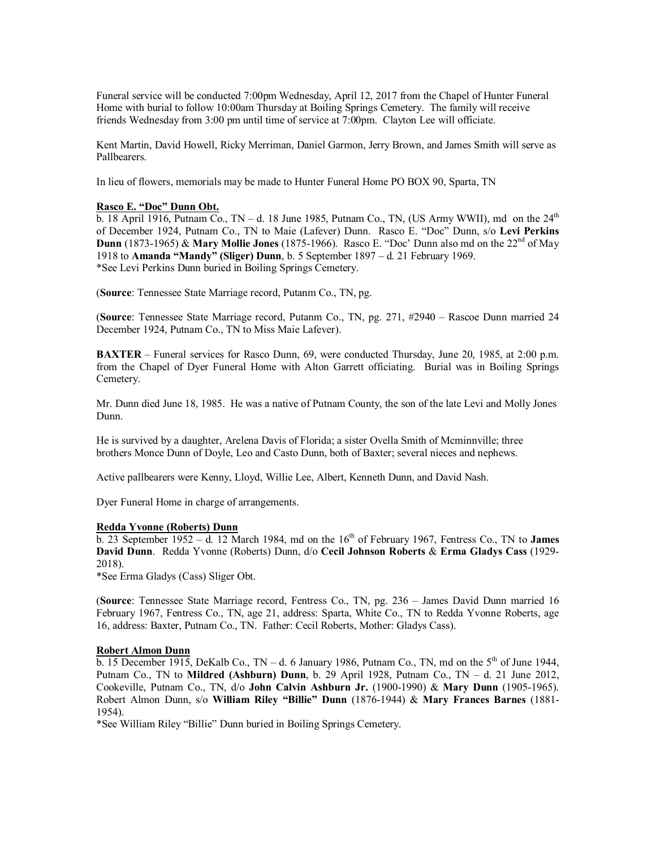Funeral service will be conducted 7:00pm Wednesday, April 12, 2017 from the Chapel of Hunter Funeral Home with burial to follow 10:00am Thursday at Boiling Springs Cemetery. The family will receive friends Wednesday from 3:00 pm until time of service at 7:00pm. Clayton Lee will officiate.

Kent Martin, David Howell, Ricky Merriman, Daniel Garmon, Jerry Brown, and James Smith will serve as Pallbearers.

In lieu of flowers, memorials may be made to Hunter Funeral Home PO BOX 90, Sparta, TN

### **Rasco E. "Doc" Dunn Obt.**

b. 18 April 1916, Putnam Co., TN – d. 18 June 1985, Putnam Co., TN, (US Army WWII), md on the  $24<sup>th</sup>$ of December 1924, Putnam Co., TN to Maie (Lafever) Dunn. Rasco E. "Doc" Dunn, s/o **Levi Perkins Dunn** (1873-1965) & **Mary Mollie Jones** (1875-1966). Rasco E. "Doc' Dunn also md on the 22nd of May 1918 to **Amanda "Mandy" (Sliger) Dunn**, b. 5 September 1897 – d. 21 February 1969. \*See Levi Perkins Dunn buried in Boiling Springs Cemetery.

(**Source**: Tennessee State Marriage record, Putanm Co., TN, pg.

(**Source**: Tennessee State Marriage record, Putanm Co., TN, pg. 271, #2940 – Rascoe Dunn married 24 December 1924, Putnam Co., TN to Miss Maie Lafever).

**BAXTER** – Funeral services for Rasco Dunn, 69, were conducted Thursday, June 20, 1985, at 2:00 p.m. from the Chapel of Dyer Funeral Home with Alton Garrett officiating. Burial was in Boiling Springs Cemetery.

Mr. Dunn died June 18, 1985. He was a native of Putnam County, the son of the late Levi and Molly Jones Dunn.

He is survived by a daughter, Arelena Davis of Florida; a sister Ovella Smith of Mcminnville; three brothers Monce Dunn of Doyle, Leo and Casto Dunn, both of Baxter; several nieces and nephews.

Active pallbearers were Kenny, Lloyd, Willie Lee, Albert, Kenneth Dunn, and David Nash.

Dyer Funeral Home in charge of arrangements.

#### **Redda Yvonne (Roberts) Dunn**

 $\overline{b}$ . 23 September 1952 – d. 12 March 1984, md on the 16<sup>th</sup> of February 1967, Fentress Co., TN to **James David Dunn**. Redda Yvonne (Roberts) Dunn, d/o **Cecil Johnson Roberts** & **Erma Gladys Cass** (1929- 2018).

\*See Erma Gladys (Cass) Sliger Obt.

(**Source**: Tennessee State Marriage record, Fentress Co., TN, pg. 236 – James David Dunn married 16 February 1967, Fentress Co., TN, age 21, address: Sparta, White Co., TN to Redda Yvonne Roberts, age 16, address: Baxter, Putnam Co., TN. Father: Cecil Roberts, Mother: Gladys Cass).

#### **Robert Almon Dunn**

 $\overline{b}$ . 15 December 1915, DeKalb Co., TN – d. 6 January 1986, Putnam Co., TN, md on the 5<sup>th</sup> of June 1944. Putnam Co., TN to **Mildred (Ashburn) Dunn**, b. 29 April 1928, Putnam Co., TN – d. 21 June 2012, Cookeville, Putnam Co., TN, d/o **John Calvin Ashburn Jr.** (1900-1990) & **Mary Dunn** (1905-1965). Robert Almon Dunn, s/o **William Riley "Billie" Dunn** (1876-1944) & **Mary Frances Barnes** (1881- 1954).

\*See William Riley "Billie" Dunn buried in Boiling Springs Cemetery.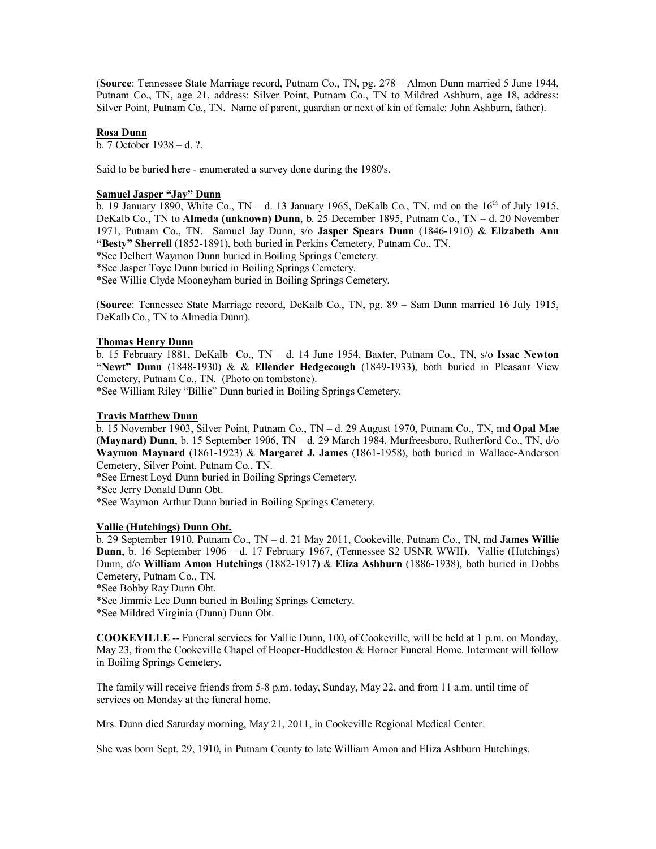(**Source**: Tennessee State Marriage record, Putnam Co., TN, pg. 278 – Almon Dunn married 5 June 1944, Putnam Co., TN, age 21, address: Silver Point, Putnam Co., TN to Mildred Ashburn, age 18, address: Silver Point, Putnam Co., TN. Name of parent, guardian or next of kin of female: John Ashburn, father).

### **Rosa Dunn**

b. 7 October 1938 – d. ?.

Said to be buried here - enumerated a survey done during the 1980's.

### **Samuel Jasper "Jay" Dunn**

 $\overline{b}$ . 19 January 1890, White Co., TN – d. 13 January 1965, DeKalb Co., TN, md on the  $16<sup>th</sup>$  of July 1915, DeKalb Co., TN to **Almeda (unknown) Dunn**, b. 25 December 1895, Putnam Co., TN – d. 20 November 1971, Putnam Co., TN. Samuel Jay Dunn, s/o **Jasper Spears Dunn** (1846-1910) & **Elizabeth Ann "Besty" Sherrell** (1852-1891), both buried in Perkins Cemetery, Putnam Co., TN.

\*See Delbert Waymon Dunn buried in Boiling Springs Cemetery.

\*See Jasper Toye Dunn buried in Boiling Springs Cemetery.

\*See Willie Clyde Mooneyham buried in Boiling Springs Cemetery.

(**Source**: Tennessee State Marriage record, DeKalb Co., TN, pg. 89 – Sam Dunn married 16 July 1915, DeKalb Co., TN to Almedia Dunn).

## **Thomas Henry Dunn**

b. 15 February 1881, DeKalb Co., TN – d. 14 June 1954, Baxter, Putnam Co., TN, s/o **Issac Newton "Newt" Dunn** (1848-1930) & & **Ellender Hedgecough** (1849-1933), both buried in Pleasant View Cemetery, Putnam Co., TN. (Photo on tombstone).

\*See William Riley "Billie" Dunn buried in Boiling Springs Cemetery.

## **Travis Matthew Dunn**

b. 15 November 1903, Silver Point, Putnam Co., TN – d. 29 August 1970, Putnam Co., TN, md **Opal Mae (Maynard) Dunn**, b. 15 September 1906, TN – d. 29 March 1984, Murfreesboro, Rutherford Co., TN, d/o **Waymon Maynard** (1861-1923) & **Margaret J. James** (1861-1958), both buried in Wallace-Anderson Cemetery, Silver Point, Putnam Co., TN.

\*See Ernest Loyd Dunn buried in Boiling Springs Cemetery.

\*See Jerry Donald Dunn Obt.

\*See Waymon Arthur Dunn buried in Boiling Springs Cemetery.

## **Vallie (Hutchings) Dunn Obt.**

b. 29 September 1910, Putnam Co., TN – d. 21 May 2011, Cookeville, Putnam Co., TN, md **James Willie Dunn**, b. 16 September 1906 – d. 17 February 1967, (Tennessee S2 USNR WWII). Vallie (Hutchings) Dunn, d/o **William Amon Hutchings** (1882-1917) & **Eliza Ashburn** (1886-1938), both buried in Dobbs Cemetery, Putnam Co., TN.

\*See Bobby Ray Dunn Obt.

\*See Jimmie Lee Dunn buried in Boiling Springs Cemetery.

\*See Mildred Virginia (Dunn) Dunn Obt.

**COOKEVILLE** -- Funeral services for Vallie Dunn, 100, of Cookeville, will be held at 1 p.m. on Monday, May 23, from the Cookeville Chapel of Hooper-Huddleston & Horner Funeral Home. Interment will follow in Boiling Springs Cemetery.

The family will receive friends from 5-8 p.m. today, Sunday, May 22, and from 11 a.m. until time of services on Monday at the funeral home.

Mrs. Dunn died Saturday morning, May 21, 2011, in Cookeville Regional Medical Center.

She was born Sept. 29, 1910, in Putnam County to late William Amon and Eliza Ashburn Hutchings.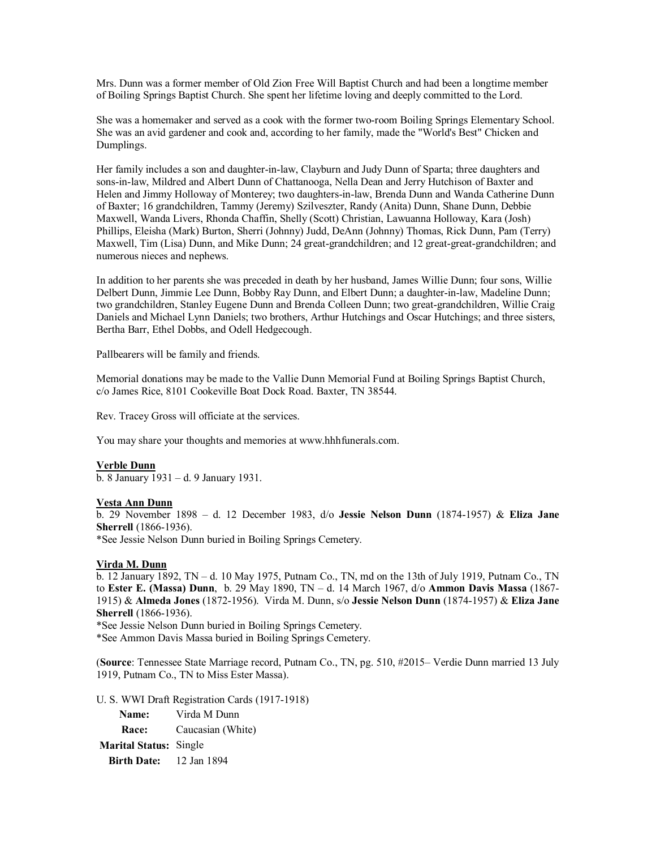Mrs. Dunn was a former member of Old Zion Free Will Baptist Church and had been a longtime member of Boiling Springs Baptist Church. She spent her lifetime loving and deeply committed to the Lord.

She was a homemaker and served as a cook with the former two-room Boiling Springs Elementary School. She was an avid gardener and cook and, according to her family, made the "World's Best" Chicken and Dumplings.

Her family includes a son and daughter-in-law, Clayburn and Judy Dunn of Sparta; three daughters and sons-in-law, Mildred and Albert Dunn of Chattanooga, Nella Dean and Jerry Hutchison of Baxter and Helen and Jimmy Holloway of Monterey; two daughters-in-law, Brenda Dunn and Wanda Catherine Dunn of Baxter; 16 grandchildren, Tammy (Jeremy) Szilveszter, Randy (Anita) Dunn, Shane Dunn, Debbie Maxwell, Wanda Livers, Rhonda Chaffin, Shelly (Scott) Christian, Lawuanna Holloway, Kara (Josh) Phillips, Eleisha (Mark) Burton, Sherri (Johnny) Judd, DeAnn (Johnny) Thomas, Rick Dunn, Pam (Terry) Maxwell, Tim (Lisa) Dunn, and Mike Dunn; 24 great-grandchildren; and 12 great-great-grandchildren; and numerous nieces and nephews.

In addition to her parents she was preceded in death by her husband, James Willie Dunn; four sons, Willie Delbert Dunn, Jimmie Lee Dunn, Bobby Ray Dunn, and Elbert Dunn; a daughter-in-law, Madeline Dunn; two grandchildren, Stanley Eugene Dunn and Brenda Colleen Dunn; two great-grandchildren, Willie Craig Daniels and Michael Lynn Daniels; two brothers, Arthur Hutchings and Oscar Hutchings; and three sisters, Bertha Barr, Ethel Dobbs, and Odell Hedgecough.

Pallbearers will be family and friends.

Memorial donations may be made to the Vallie Dunn Memorial Fund at Boiling Springs Baptist Church, c/o James Rice, 8101 Cookeville Boat Dock Road. Baxter, TN 38544.

Rev. Tracey Gross will officiate at the services.

You may share your thoughts and memories at [www.hhhfunerals.com.](http://www.hhhfunerals.com./)

### **Verble Dunn**

b. 8 January 1931 – d. 9 January 1931.

#### **Vesta Ann Dunn**

b. 29 November 1898 – d. 12 December 1983, d/o **Jessie Nelson Dunn** (1874-1957) & **Eliza Jane Sherrell** (1866-1936).

\*See Jessie Nelson Dunn buried in Boiling Springs Cemetery.

### **Virda M. Dunn**

b. 12 January 1892, TN – d. 10 May 1975, Putnam Co., TN, md on the 13th of July 1919, Putnam Co., TN to **Ester E. (Massa) Dunn**, b. 29 May 1890, TN – d. 14 March 1967, d/o **Ammon Davis Massa** (1867- 1915) & **Almeda Jones** (1872-1956). Virda M. Dunn, s/o **Jessie Nelson Dunn** (1874-1957) & **Eliza Jane Sherrell** (1866-1936).

\*See Jessie Nelson Dunn buried in Boiling Springs Cemetery.

\*See Ammon Davis Massa buried in Boiling Springs Cemetery.

(**Source**: Tennessee State Marriage record, Putnam Co., TN, pg. 510, #2015– Verdie Dunn married 13 July 1919, Putnam Co., TN to Miss Ester Massa).

U. S. WWI Draft Registration Cards (1917-1918)

**Name:** Virda M Dunn **Race:** Caucasian (White) **Marital Status:** Single **Birth Date:** 12 Jan 1894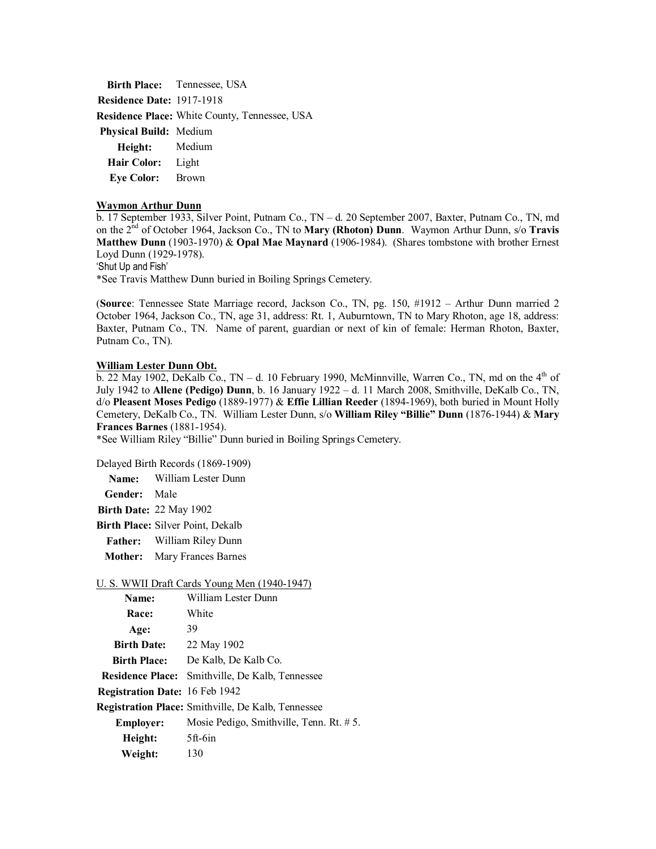**Birth Place:** Tennessee, USA **Residence Date:** 1917-1918 **Residence Place:** White County, Tennessee, USA **Physical Build:** Medium **Height:** Medium **Hair Color:** Light **Eye Color:** Brown

#### **Waymon Arthur Dunn**

b. 17 September 1933, Silver Point, Putnam Co., TN – d. 20 September 2007, Baxter, Putnam Co., TN, md on the 2nd of October 1964, Jackson Co., TN to **Mary (Rhoton) Dunn**. Waymon Arthur Dunn, s/o **Travis Matthew Dunn** (1903-1970) & **Opal Mae Maynard** (1906-1984). (Shares tombstone with brother Ernest Loyd Dunn (1929-1978).

'Shut Up and Fish'

\*See Travis Matthew Dunn buried in Boiling Springs Cemetery.

(**Source**: Tennessee State Marriage record, Jackson Co., TN, pg. 150, #1912 – Arthur Dunn married 2 October 1964, Jackson Co., TN, age 31, address: Rt. 1, Auburntown, TN to Mary Rhoton, age 18, address: Baxter, Putnam Co., TN. Name of parent, guardian or next of kin of female: Herman Rhoton, Baxter, Putnam Co., TN).

### **William Lester Dunn Obt.**

 $\overline{b}$ . 22 May 1902, DeKalb Co., TN – d. 10 February 1990, McMinnville, Warren Co., TN, md on the 4<sup>th</sup> of July 1942 to **Allene (Pedigo) Dunn**, b. 16 January 1922 – d. 11 March 2008, Smithville, DeKalb Co., TN, d/o **Pleasent Moses Pedigo** (1889-1977) & **Effie Lillian Reeder** (1894-1969), both buried in Mount Holly Cemetery, DeKalb Co., TN. William Lester Dunn, s/o **William Riley "Billie" Dunn** (1876-1944) & **Mary Frances Barnes** (1881-1954).

\*See William Riley "Billie" Dunn buried in Boiling Springs Cemetery.

Delayed Birth Records (1869-1909)

**Name:** William Lester Dunn

**Gender:** Male

**Birth Date:** 22 May 1902

**Birth Place:** Silver Point, Dekalb

**Father:** William Riley Dunn

**Mother:** Mary Frances Barnes

## U. S. WWII Draft Cards Young Men (1940-1947)

| Name:                                 | William Lester Dunn                                       |
|---------------------------------------|-----------------------------------------------------------|
| Race:                                 | White                                                     |
| Age:                                  | 39                                                        |
| <b>Birth Date:</b>                    | 22 May 1902                                               |
| <b>Birth Place:</b>                   | De Kalb, De Kalb Co.                                      |
| <b>Residence Place:</b>               | Smithville, De Kalb, Tennessee                            |
| <b>Registration Date: 16 Feb 1942</b> |                                                           |
|                                       | <b>Registration Place:</b> Smithville, De Kalb, Tennessee |
| <b>Employer:</b>                      | Mosie Pedigo, Smithville, Tenn. Rt. # 5.                  |
| Height:                               | 5ft-6in                                                   |
| Weight:                               | 130                                                       |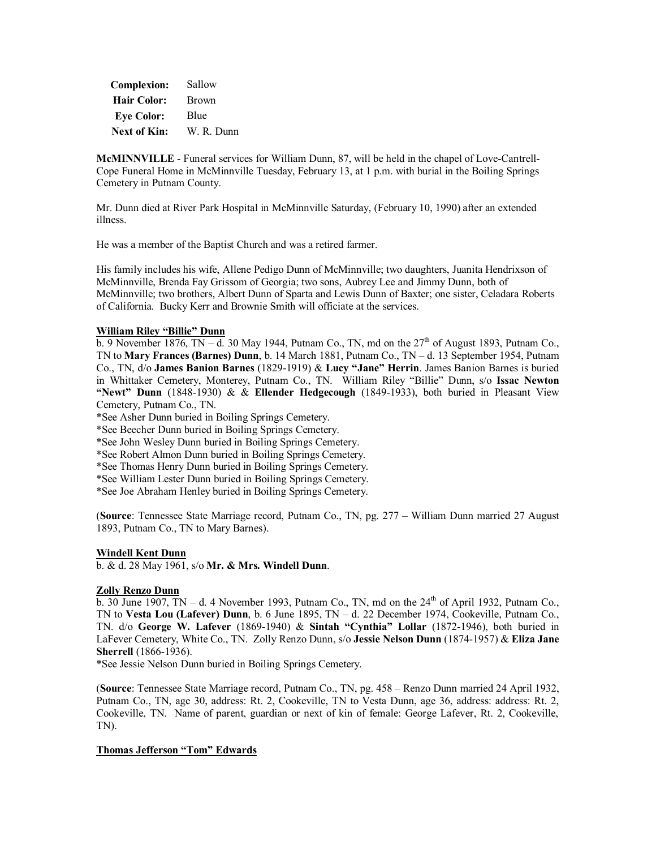| <b>Complexion:</b>  | Sallow       |
|---------------------|--------------|
| <b>Hair Color:</b>  | <b>Brown</b> |
| <b>Eve Color:</b>   | Blue         |
| <b>Next of Kin:</b> | W. R. Dunn   |

**McMINNVILLE** - Funeral services for William Dunn, 87, will be held in the chapel of Love-Cantrell-Cope Funeral Home in McMinnville Tuesday, February 13, at 1 p.m. with burial in the Boiling Springs Cemetery in Putnam County.

Mr. Dunn died at River Park Hospital in McMinnville Saturday, (February 10, 1990) after an extended illness.

He was a member of the Baptist Church and was a retired farmer.

His family includes his wife, Allene Pedigo Dunn of McMinnville; two daughters, Juanita Hendrixson of McMinnville, Brenda Fay Grissom of Georgia; two sons, Aubrey Lee and Jimmy Dunn, both of McMinnville; two brothers, Albert Dunn of Sparta and Lewis Dunn of Baxter; one sister, Celadara Roberts of California. Bucky Kerr and Brownie Smith will officiate at the services.

### **William Riley "Billie" Dunn**

 $\overline{b}$ . 9 November 1876, TN – d. 30 May 1944, Putnam Co., TN, md on the 27<sup>th</sup> of August 1893, Putnam Co. TN to **Mary Frances (Barnes) Dunn**, b. 14 March 1881, Putnam Co., TN – d. 13 September 1954, Putnam Co., TN, d/o **James Banion Barnes** (1829-1919) & **Lucy "Jane" Herrin**. James Banion Barnes is buried in Whittaker Cemetery, Monterey, Putnam Co., TN. William Riley "Billie" Dunn, s/o **Issac Newton "Newt" Dunn** (1848-1930) & & **Ellender Hedgecough** (1849-1933), both buried in Pleasant View Cemetery, Putnam Co., TN.

\*See Asher Dunn buried in Boiling Springs Cemetery.

\*See Beecher Dunn buried in Boiling Springs Cemetery.

\*See John Wesley Dunn buried in Boiling Springs Cemetery.

\*See Robert Almon Dunn buried in Boiling Springs Cemetery.

\*See Thomas Henry Dunn buried in Boiling Springs Cemetery.

\*See William Lester Dunn buried in Boiling Springs Cemetery.

\*See Joe Abraham Henley buried in Boiling Springs Cemetery.

(**Source**: Tennessee State Marriage record, Putnam Co., TN, pg. 277 – William Dunn married 27 August 1893, Putnam Co., TN to Mary Barnes).

#### **Windell Kent Dunn**

b. & d. 28 May 1961, s/o **Mr. & Mrs. Windell Dunn**.

### **Zolly Renzo Dunn**

b. 30 June 1907, TN – d. 4 November 1993, Putnam Co., TN, md on the  $24<sup>th</sup>$  of April 1932, Putnam Co., TN to **Vesta Lou (Lafever) Dunn**, b. 6 June 1895, TN – d. 22 December 1974, Cookeville, Putnam Co., TN. d/o **George W. Lafever** (1869-1940) & **Sintah "Cynthia" Lollar** (1872-1946), both buried in LaFever Cemetery, White Co., TN. Zolly Renzo Dunn, s/o **Jessie Nelson Dunn** (1874-1957) & **Eliza Jane Sherrell** (1866-1936).

\*See Jessie Nelson Dunn buried in Boiling Springs Cemetery.

(**Source**: Tennessee State Marriage record, Putnam Co., TN, pg. 458 – Renzo Dunn married 24 April 1932, Putnam Co., TN, age 30, address: Rt. 2, Cookeville, TN to Vesta Dunn, age 36, address: address: Rt. 2, Cookeville, TN. Name of parent, guardian or next of kin of female: George Lafever, Rt. 2, Cookeville, TN).

## **Thomas Jefferson "Tom" Edwards**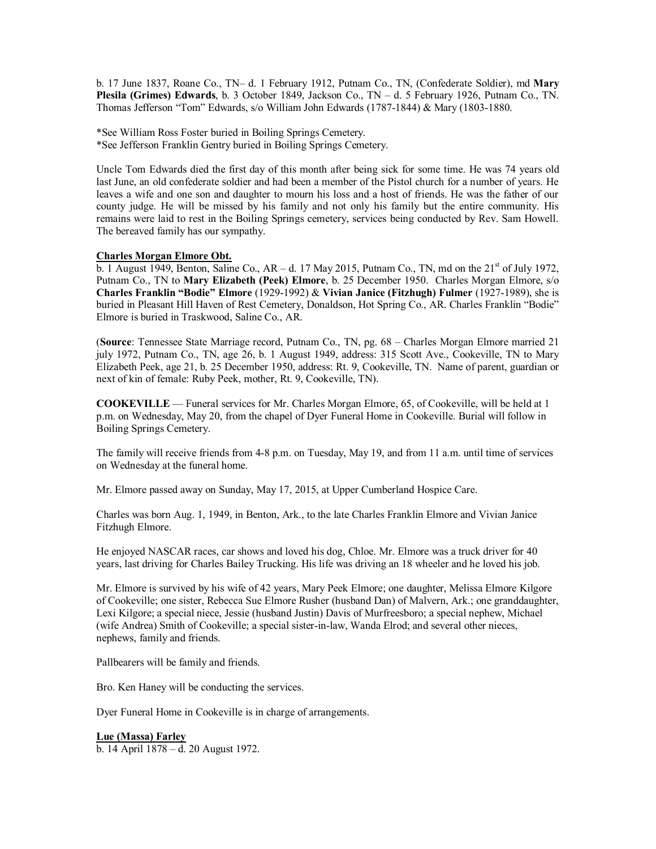b. 17 June 1837, Roane Co., TN– d. 1 February 1912, Putnam Co., TN, (Confederate Soldier), md **Mary Plesila (Grimes) Edwards**, b. 3 October 1849, Jackson Co., TN – d. 5 February 1926, Putnam Co., TN. Thomas Jefferson "Tom" Edwards, s/o William John Edwards (1787-1844) & Mary (1803-1880.

\*See William Ross Foster buried in Boiling Springs Cemetery. \*See Jefferson Franklin Gentry buried in Boiling Springs Cemetery.

Uncle Tom Edwards died the first day of this month after being sick for some time. He was 74 years old last June, an old confederate soldier and had been a member of the Pistol church for a number of years. He leaves a wife and one son and daughter to mourn his loss and a host of friends. He was the father of our county judge. He will be missed by his family and not only his family but the entire community. His remains were laid to rest in the Boiling Springs cemetery, services being conducted by Rev. Sam Howell. The bereaved family has our sympathy.

## **Charles Morgan Elmore Obt.**

b. 1 August 1949, Benton, Saline Co.,  $AR - d$ . 17 May 2015, Putnam Co., TN, md on the 21<sup>st</sup> of July 1972, Putnam Co., TN to **Mary Elizabeth (Peek) Elmore**, b. 25 December 1950. Charles Morgan Elmore, s/o **Charles Franklin "Bodie" Elmore** (1929-1992) & **Vivian Janice (Fitzhugh) Fulmer** (1927-1989), she is buried in Pleasant Hill Haven of Rest Cemetery, Donaldson, Hot Spring Co., AR. Charles Franklin "Bodie" Elmore is buried in Traskwood, Saline Co., AR.

(**Source**: Tennessee State Marriage record, Putnam Co., TN, pg. 68 – Charles Morgan Elmore married 21 july 1972, Putnam Co., TN, age 26, b. 1 August 1949, address: 315 Scott Ave., Cookeville, TN to Mary Elizabeth Peek, age 21, b. 25 December 1950, address: Rt. 9, Cookeville, TN. Name of parent, guardian or next of kin of female: Ruby Peek, mother, Rt. 9, Cookeville, TN).

**COOKEVILLE** — Funeral services for Mr. Charles Morgan Elmore, 65, of Cookeville, will be held at 1 p.m. on Wednesday, May 20, from the chapel of Dyer Funeral Home in Cookeville. Burial will follow in Boiling Springs Cemetery.

The family will receive friends from 4-8 p.m. on Tuesday, May 19, and from 11 a.m. until time of services on Wednesday at the funeral home.

Mr. Elmore passed away on Sunday, May 17, 2015, at Upper Cumberland Hospice Care.

Charles was born Aug. 1, 1949, in Benton, Ark., to the late Charles Franklin Elmore and Vivian Janice Fitzhugh Elmore.

He enjoyed NASCAR races, car shows and loved his dog, Chloe. Mr. Elmore was a truck driver for 40 years, last driving for Charles Bailey Trucking. His life was driving an 18 wheeler and he loved his job.

Mr. Elmore is survived by his wife of 42 years, Mary Peek Elmore; one daughter, Melissa Elmore Kilgore of Cookeville; one sister, Rebecca Sue Elmore Rusher (husband Dan) of Malvern, Ark.; one granddaughter, Lexi Kilgore; a special niece, Jessie (husband Justin) Davis of Murfreesboro; a special nephew, Michael (wife Andrea) Smith of Cookeville; a special sister-in-law, Wanda Elrod; and several other nieces, nephews, family and friends.

Pallbearers will be family and friends.

Bro. Ken Haney will be conducting the services.

Dyer Funeral Home in Cookeville is in charge of arrangements.

## **Lue (Massa) Farley**

b. 14 April 1878 – d. 20 August 1972.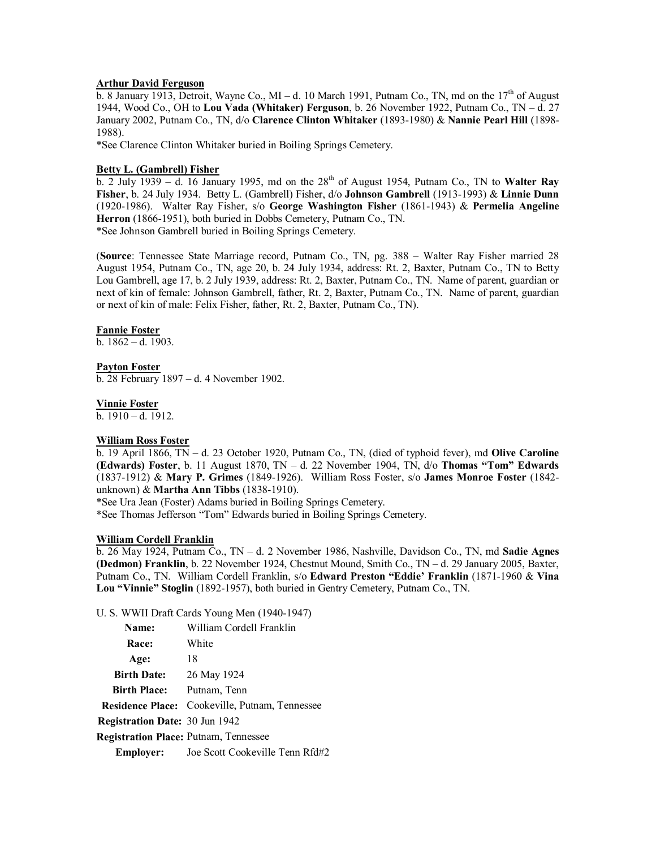### **Arthur David Ferguson**

 $\overline{b}$ . 8 January 1913, Detroit, Wayne Co., MI – d. 10 March 1991, Putnam Co., TN, md on the 17<sup>th</sup> of August 1944, Wood Co., OH to **Lou Vada (Whitaker) Ferguson**, b. 26 November 1922, Putnam Co., TN – d. 27 January 2002, Putnam Co., TN, d/o **Clarence Clinton Whitaker** (1893-1980) & **Nannie Pearl Hill** (1898- 1988).

\*See Clarence Clinton Whitaker buried in Boiling Springs Cemetery.

## **Betty L. (Gambrell) Fisher**

 $\overline{b}$ . 2 July 1939 – d. 16 January 1995, md on the 28<sup>th</sup> of August 1954, Putnam Co., TN to **Walter Ray Fisher**, b. 24 July 1934. Betty L. (Gambrell) Fisher, d/o **Johnson Gambrell** (1913-1993) & **Linnie Dunn** (1920-1986). Walter Ray Fisher, s/o **George Washington Fisher** (1861-1943) & **Permelia Angeline Herron** (1866-1951), both buried in Dobbs Cemetery, Putnam Co., TN. \*See Johnson Gambrell buried in Boiling Springs Cemetery.

(**Source**: Tennessee State Marriage record, Putnam Co., TN, pg. 388 – Walter Ray Fisher married 28 August 1954, Putnam Co., TN, age 20, b. 24 July 1934, address: Rt. 2, Baxter, Putnam Co., TN to Betty Lou Gambrell, age 17, b. 2 July 1939, address: Rt. 2, Baxter, Putnam Co., TN. Name of parent, guardian or next of kin of female: Johnson Gambrell, father, Rt. 2, Baxter, Putnam Co., TN. Name of parent, guardian or next of kin of male: Felix Fisher, father, Rt. 2, Baxter, Putnam Co., TN).

## **Fannie Foster**

b. 1862 – d. 1903.

### **Payton Foster**

b. 28 February 1897 – d. 4 November 1902.

### **Vinnie Foster**

b.  $1910 - d. 1912$ .

### **William Ross Foster**

b. 19 April 1866, TN – d. 23 October 1920, Putnam Co., TN, (died of typhoid fever), md **Olive Caroline (Edwards) Foster**, b. 11 August 1870, TN – d. 22 November 1904, TN, d/o **Thomas "Tom" Edwards** (1837-1912) & **Mary P. Grimes** (1849-1926). William Ross Foster, s/o **James Monroe Foster** (1842 unknown) & **Martha Ann Tibbs** (1838-1910).

\*See Ura Jean (Foster) Adams buried in Boiling Springs Cemetery.

\*See Thomas Jefferson "Tom" Edwards buried in Boiling Springs Cemetery.

### **William Cordell Franklin**

b. 26 May 1924, Putnam Co., TN – d. 2 November 1986, Nashville, Davidson Co., TN, md **Sadie Agnes (Dedmon) Franklin**, b. 22 November 1924, Chestnut Mound, Smith Co., TN – d. 29 January 2005, Baxter, Putnam Co., TN. William Cordell Franklin, s/o **Edward Preston "Eddie' Franklin** (1871-1960 & **Vina Lou "Vinnie" Stoglin** (1892-1957), both buried in Gentry Cemetery, Putnam Co., TN.

U. S. WWII Draft Cards Young Men (1940-1947)

| Name:                                        | William Cordell Franklin                              |
|----------------------------------------------|-------------------------------------------------------|
| Race:                                        | White                                                 |
| Age:                                         | 18                                                    |
| <b>Birth Date:</b>                           | 26 May 1924                                           |
| <b>Birth Place:</b>                          | Putnam, Tenn                                          |
|                                              | <b>Residence Place:</b> Cookeville, Putnam, Tennessee |
| <b>Registration Date: 30 Jun 1942</b>        |                                                       |
| <b>Registration Place: Putnam, Tennessee</b> |                                                       |
| <b>Employer:</b>                             | Joe Scott Cookeville Tenn Rfd#2                       |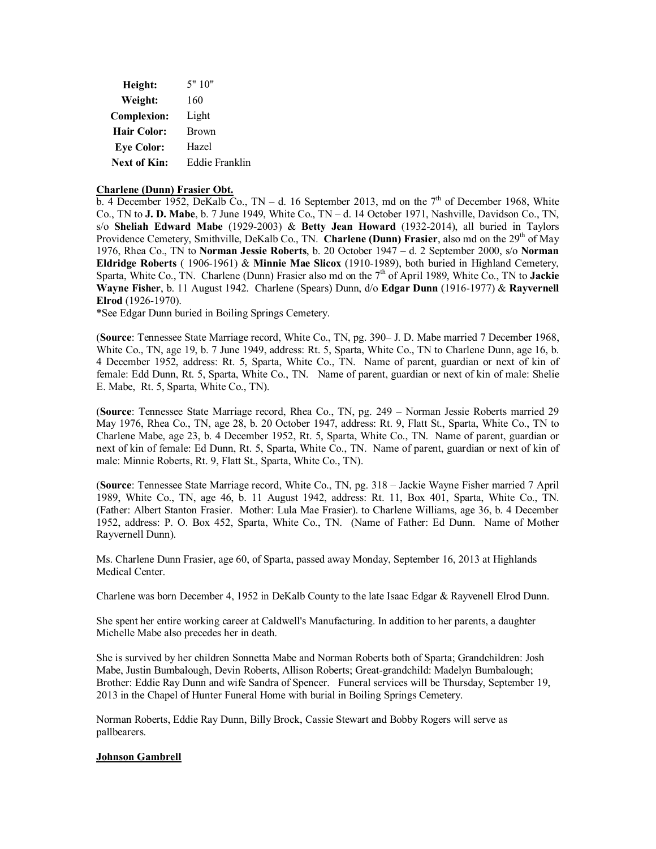| Height:            | 5"10"          |
|--------------------|----------------|
| Weight:            | 160            |
| <b>Complexion:</b> | Light          |
| <b>Hair Color:</b> | <b>Brown</b>   |
| <b>Eye Color:</b>  | Hazel          |
| Next of Kin:       | Eddie Franklin |

### **Charlene (Dunn) Frasier Obt.**

b. 4 December 1952, DeKalb Co., TN – d. 16 September 2013, md on the  $7<sup>th</sup>$  of December 1968, White Co., TN to **J. D. Mabe**, b. 7 June 1949, White Co., TN – d. 14 October 1971, Nashville, Davidson Co., TN, s/o **Sheliah Edward Mabe** (1929-2003) & **Betty Jean Howard** (1932-2014), all buried in Taylors Providence Cemetery, Smithville, DeKalb Co., TN. **Charlene (Dunn) Frasier**, also md on the 29<sup>th</sup> of May 1976, Rhea Co., TN to **Norman Jessie Roberts**, b. 20 October 1947 – d. 2 September 2000, s/o **Norman Eldridge Roberts** ( 1906-1961) & **Minnie Mae Slicox** (1910-1989), both buried in Highland Cemetery, Sparta, White Co., TN. Charlene (Dunn) Frasier also md on the 7<sup>th</sup> of April 1989, White Co., TN to **Jackie Wayne Fisher**, b. 11 August 1942. Charlene (Spears) Dunn, d/o **Edgar Dunn** (1916-1977) & **Rayvernell Elrod** (1926-1970).

\*See Edgar Dunn buried in Boiling Springs Cemetery.

(**Source**: Tennessee State Marriage record, White Co., TN, pg. 390– J. D. Mabe married 7 December 1968, White Co., TN, age 19, b. 7 June 1949, address: Rt. 5, Sparta, White Co., TN to Charlene Dunn, age 16, b. 4 December 1952, address: Rt. 5, Sparta, White Co., TN. Name of parent, guardian or next of kin of female: Edd Dunn, Rt. 5, Sparta, White Co., TN. Name of parent, guardian or next of kin of male: Shelie E. Mabe, Rt. 5, Sparta, White Co., TN).

(**Source**: Tennessee State Marriage record, Rhea Co., TN, pg. 249 – Norman Jessie Roberts married 29 May 1976, Rhea Co., TN, age 28, b. 20 October 1947, address: Rt. 9, Flatt St., Sparta, White Co., TN to Charlene Mabe, age 23, b. 4 December 1952, Rt. 5, Sparta, White Co., TN. Name of parent, guardian or next of kin of female: Ed Dunn, Rt. 5, Sparta, White Co., TN. Name of parent, guardian or next of kin of male: Minnie Roberts, Rt. 9, Flatt St., Sparta, White Co., TN).

(**Source**: Tennessee State Marriage record, White Co., TN, pg. 318 – Jackie Wayne Fisher married 7 April 1989, White Co., TN, age 46, b. 11 August 1942, address: Rt. 11, Box 401, Sparta, White Co., TN. (Father: Albert Stanton Frasier. Mother: Lula Mae Frasier). to Charlene Williams, age 36, b. 4 December 1952, address: P. O. Box 452, Sparta, White Co., TN. (Name of Father: Ed Dunn. Name of Mother Rayvernell Dunn).

Ms. Charlene Dunn Frasier, age 60, of Sparta, passed away Monday, September 16, 2013 at Highlands Medical Center.

Charlene was born December 4, 1952 in DeKalb County to the late Isaac Edgar & Rayvenell Elrod Dunn.

She spent her entire working career at Caldwell's Manufacturing. In addition to her parents, a daughter Michelle Mabe also precedes her in death.

She is survived by her children Sonnetta Mabe and Norman Roberts both of Sparta; Grandchildren: Josh Mabe, Justin Bumbalough, Devin Roberts, Allison Roberts; Great-grandchild: Madelyn Bumbalough; Brother: Eddie Ray Dunn and wife Sandra of Spencer. Funeral services will be Thursday, September 19, 2013 in the Chapel of Hunter Funeral Home with burial in Boiling Springs Cemetery.

Norman Roberts, Eddie Ray Dunn, Billy Brock, Cassie Stewart and Bobby Rogers will serve as pallbearers.

### **Johnson Gambrell**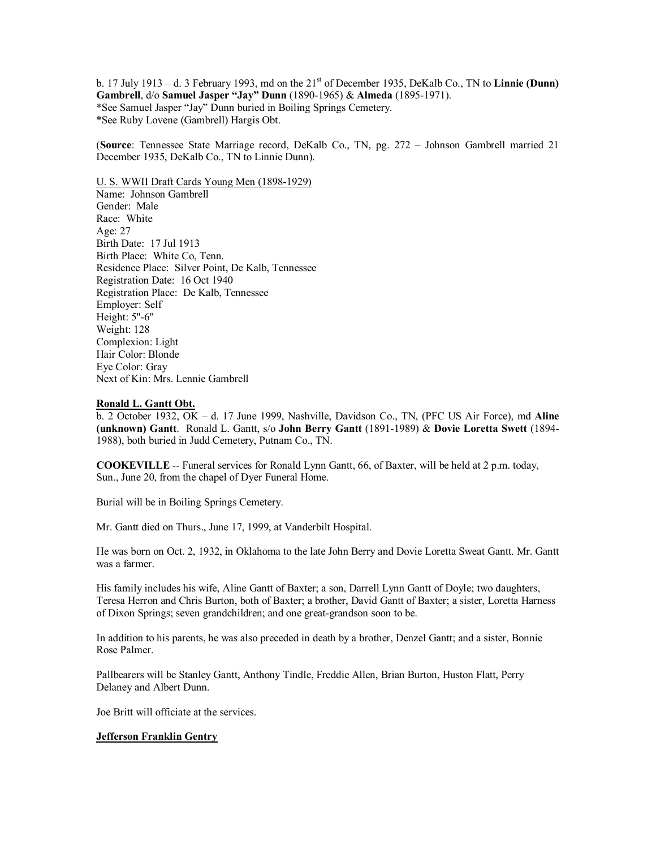b. 17 July 1913 – d. 3 February 1993, md on the  $21<sup>st</sup>$  of December 1935, DeKalb Co., TN to **Linnie (Dunn) Gambrell**, d/o **Samuel Jasper "Jay" Dunn** (1890-1965) & **Almeda** (1895-1971). \*See Samuel Jasper "Jay" Dunn buried in Boiling Springs Cemetery. \*See Ruby Lovene (Gambrell) Hargis Obt.

(**Source**: Tennessee State Marriage record, DeKalb Co., TN, pg. 272 – Johnson Gambrell married 21 December 1935, DeKalb Co., TN to Linnie Dunn).

U. S. WWII Draft Cards Young Men (1898-1929) Name: Johnson Gambrell Gender: Male Race: White Age: 27 Birth Date: 17 Jul 1913 Birth Place: White Co, Tenn. Residence Place: Silver Point, De Kalb, Tennessee Registration Date: 16 Oct 1940 Registration Place: De Kalb, Tennessee Employer: Self Height: 5''-6" Weight: 128 Complexion: Light Hair Color: Blonde Eye Color: Gray Next of Kin: Mrs. Lennie Gambrell

#### **Ronald L. Gantt Obt.**

b. 2 October 1932, OK – d. 17 June 1999, Nashville, Davidson Co., TN, (PFC US Air Force), md **Aline (unknown) Gantt**. Ronald L. Gantt, s/o **John Berry Gantt** (1891-1989) & **Dovie Loretta Swett** (1894- 1988), both buried in Judd Cemetery, Putnam Co., TN.

**COOKEVILLE** -- Funeral services for Ronald Lynn Gantt, 66, of Baxter, will be held at 2 p.m. today, Sun., June 20, from the chapel of Dyer Funeral Home.

Burial will be in Boiling Springs Cemetery.

Mr. Gantt died on Thurs., June 17, 1999, at Vanderbilt Hospital.

He was born on Oct. 2, 1932, in Oklahoma to the late John Berry and Dovie Loretta Sweat Gantt. Mr. Gantt was a farmer.

His family includes his wife, Aline Gantt of Baxter; a son, Darrell Lynn Gantt of Doyle; two daughters, Teresa Herron and Chris Burton, both of Baxter; a brother, David Gantt of Baxter; a sister, Loretta Harness of Dixon Springs; seven grandchildren; and one great-grandson soon to be.

In addition to his parents, he was also preceded in death by a brother, Denzel Gantt; and a sister, Bonnie Rose Palmer.

Pallbearers will be Stanley Gantt, Anthony Tindle, Freddie Allen, Brian Burton, Huston Flatt, Perry Delaney and Albert Dunn.

Joe Britt will officiate at the services.

## **Jefferson Franklin Gentry**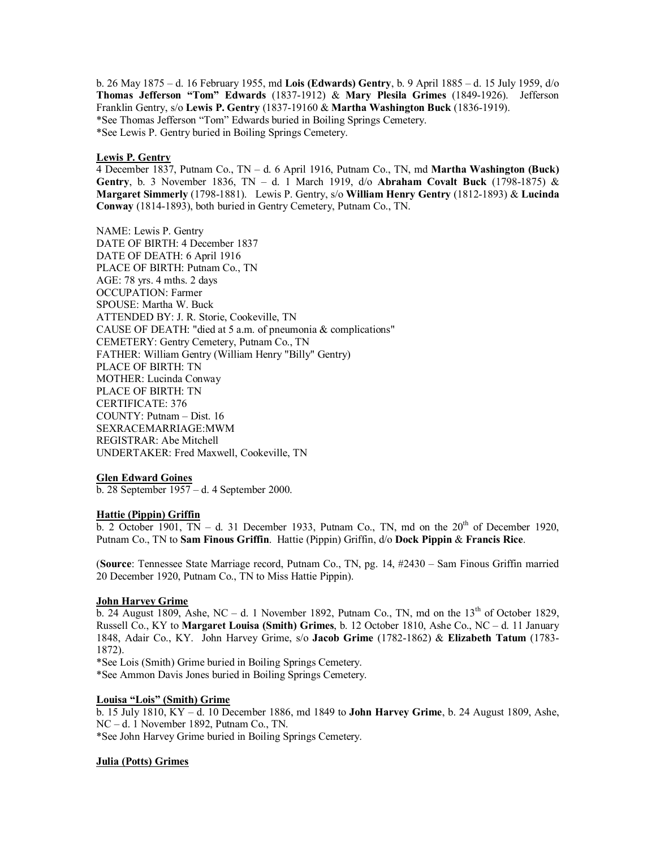b. 26 May 1875 – d. 16 February 1955, md **Lois (Edwards) Gentry**, b. 9 April 1885 – d. 15 July 1959, d/o **Thomas Jefferson "Tom" Edwards** (1837-1912) & **Mary Plesila Grimes** (1849-1926). Jefferson Franklin Gentry, s/o **Lewis P. Gentry** (1837-19160 & **Martha Washington Buck** (1836-1919). \*See Thomas Jefferson "Tom" Edwards buried in Boiling Springs Cemetery. \*See Lewis P. Gentry buried in Boiling Springs Cemetery.

#### **Lewis P. Gentry**

4 December 1837, Putnam Co., TN – d. 6 April 1916, Putnam Co., TN, md **Martha Washington (Buck) Gentry**, b. 3 November 1836, TN – d. 1 March 1919, d/o **Abraham Covalt Buck** (1798-1875) & **Margaret Simmerly** (1798-1881). Lewis P. Gentry, s/o **William Henry Gentry** (1812-1893) & **Lucinda Conway** (1814-1893), both buried in Gentry Cemetery, Putnam Co., TN.

NAME: Lewis P. Gentry DATE OF BIRTH: 4 December 1837 DATE OF DEATH: 6 April 1916 PLACE OF BIRTH: Putnam Co., TN AGE: 78 yrs. 4 mths. 2 days OCCUPATION: Farmer SPOUSE: Martha W. Buck ATTENDED BY: J. R. Storie, Cookeville, TN CAUSE OF DEATH: "died at 5 a.m. of pneumonia & complications" CEMETERY: Gentry Cemetery, Putnam Co., TN FATHER: William Gentry (William Henry "Billy" Gentry) PLACE OF BIRTH: TN MOTHER: Lucinda Conway PLACE OF BIRTH: TN CERTIFICATE: 376 COUNTY: Putnam – Dist. 16 SEXRACEMARRIAGE:MWM REGISTRAR: Abe Mitchell UNDERTAKER: Fred Maxwell, Cookeville, TN

### **Glen Edward Goines**

b. 28 September 1957 – d. 4 September 2000.

#### **Hattie (Pippin) Griffin**

b. 2 October 1901, TN – d. 31 December 1933, Putnam Co., TN, md on the  $20<sup>th</sup>$  of December 1920, Putnam Co., TN to **Sam Finous Griffin**. Hattie (Pippin) Griffin, d/o **Dock Pippin** & **Francis Rice**.

(**Source**: Tennessee State Marriage record, Putnam Co., TN, pg. 14, #2430 – Sam Finous Griffin married 20 December 1920, Putnam Co., TN to Miss Hattie Pippin).

### **John Harvey Grime**

b. 24 August 1809, Ashe, NC – d. 1 November 1892, Putnam Co., TN, md on the  $13<sup>th</sup>$  of October 1829, Russell Co., KY to **Margaret Louisa (Smith) Grimes**, b. 12 October 1810, Ashe Co., NC – d. 11 January 1848, Adair Co., KY. John Harvey Grime, s/o **Jacob Grime** (1782-1862) & **Elizabeth Tatum** (1783- 1872).

\*See Lois (Smith) Grime buried in Boiling Springs Cemetery.

\*See Ammon Davis Jones buried in Boiling Springs Cemetery.

### **Louisa "Lois" (Smith) Grime**

b. 15 July 1810, KY – d. 10 December 1886, md 1849 to **John Harvey Grime**, b. 24 August 1809, Ashe, NC – d. 1 November 1892, Putnam Co., TN.

\*See John Harvey Grime buried in Boiling Springs Cemetery.

### **Julia (Potts) Grimes**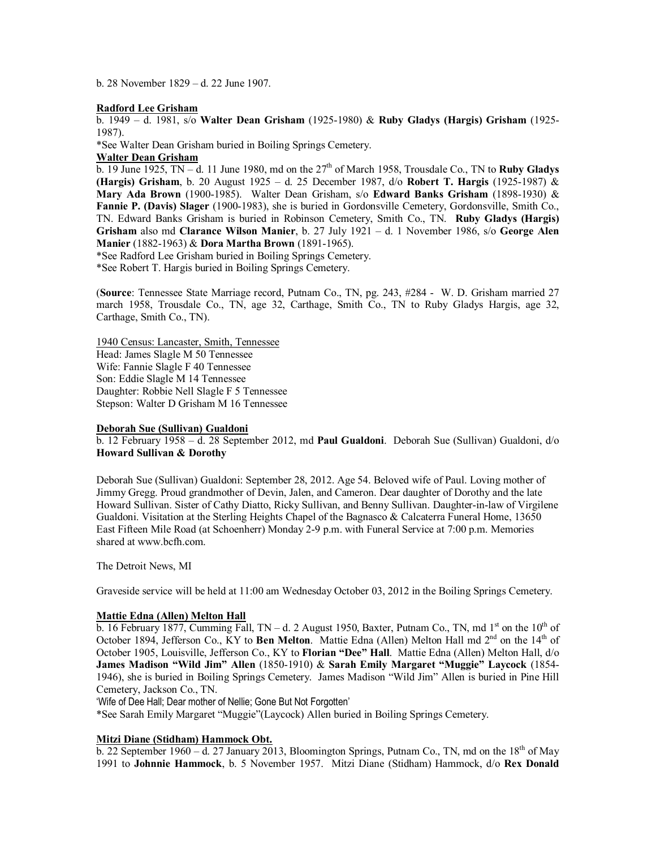b. 28 November 1829 – d. 22 June 1907.

### **Radford Lee Grisham**

b. 1949 – d. 1981, s/o **Walter Dean Grisham** (1925-1980) & **Ruby Gladys (Hargis) Grisham** (1925- 1987).

\*See Walter Dean Grisham buried in Boiling Springs Cemetery.

**Walter Dean Grisham**

b. 19 June 1925,  $TN - d$ . 11 June 1980, md on the  $27<sup>th</sup>$  of March 1958, Trousdale Co., TN to **Ruby Gladys (Hargis) Grisham**, b. 20 August 1925 – d. 25 December 1987, d/o **Robert T. Hargis** (1925-1987) & **Mary Ada Brown** (1900-1985). Walter Dean Grisham, s/o **Edward Banks Grisham** (1898-1930) & **Fannie P. (Davis) Slager** (1900-1983), she is buried in Gordonsville Cemetery, Gordonsville, Smith Co., TN. Edward Banks Grisham is buried in Robinson Cemetery, Smith Co., TN. **Ruby Gladys (Hargis) Grisham** also md **Clarance Wilson Manier**, b. 27 July 1921 – d. 1 November 1986, s/o **George Alen Manier** (1882-1963) & **Dora Martha Brown** (1891-1965).

\*See Radford Lee Grisham buried in Boiling Springs Cemetery.

\*See Robert T. Hargis buried in Boiling Springs Cemetery.

(**Source**: Tennessee State Marriage record, Putnam Co., TN, pg. 243, #284 - W. D. Grisham married 27 march 1958, Trousdale Co., TN, age 32, Carthage, Smith Co., TN to Ruby Gladys Hargis, age 32, Carthage, Smith Co., TN).

1940 Census: Lancaster, Smith, Tennessee Head: James Slagle M 50 Tennessee Wife: Fannie Slagle F 40 Tennessee Son: Eddie Slagle M 14 Tennessee Daughter: Robbie Nell Slagle F 5 Tennessee Stepson: Walter D Grisham M 16 Tennessee

### **Deborah Sue (Sullivan) Gualdoni**

b. 12 February 1958 – d. 28 September 2012, md **Paul Gualdoni**. Deborah Sue (Sullivan) Gualdoni, d/o **Howard Sullivan & Dorothy**

Deborah Sue (Sullivan) Gualdoni: September 28, 2012. Age 54. Beloved wife of Paul. Loving mother of Jimmy Gregg. Proud grandmother of Devin, Jalen, and Cameron. Dear daughter of Dorothy and the late Howard Sullivan. Sister of Cathy Diatto, Ricky Sullivan, and Benny Sullivan. Daughter-in-law of Virgilene Gualdoni. Visitation at the Sterling Heights Chapel of the Bagnasco & Calcaterra Funeral Home, 13650 East Fifteen Mile Road (at Schoenherr) Monday 2-9 p.m. with Funeral Service at 7:00 p.m. Memories shared at [www.bcfh.com.](http://www.bcfh.com./)

The Detroit News, MI

Graveside service will be held at 11:00 am Wednesday October 03, 2012 in the Boiling Springs Cemetery.

## **Mattie Edna (Allen) Melton Hall**

b. 16 February 1877, Cumming Fall, TN – d. 2 August 1950, Baxter, Putnam Co., TN, md 1<sup>st</sup> on the 10<sup>th</sup> of October 1894, Jefferson Co., KY to **Ben Melton**. Mattie Edna (Allen) Melton Hall md 2<sup>nd</sup> on the 14<sup>th</sup> of October 1905, Louisville, Jefferson Co., KY to **Florian "Dee" Hall**. Mattie Edna (Allen) Melton Hall, d/o **James Madison "Wild Jim" Allen** (1850-1910) & **Sarah Emily Margaret "Muggie" Laycock** (1854- 1946), she is buried in Boiling Springs Cemetery. James Madison "Wild Jim" Allen is buried in Pine Hill Cemetery, Jackson Co., TN.

'Wife of Dee Hall; Dear mother of Nellie; Gone But Not Forgotten'

\*See Sarah Emily Margaret "Muggie"(Laycock) Allen buried in Boiling Springs Cemetery.

# **Mitzi Diane (Stidham) Hammock Obt.**

b. 22 September 1960 – d. 27 January 2013, Bloomington Springs, Putnam Co., TN, md on the 18<sup>th</sup> of May 1991 to **Johnnie Hammock**, b. 5 November 1957. Mitzi Diane (Stidham) Hammock, d/o **Rex Donald**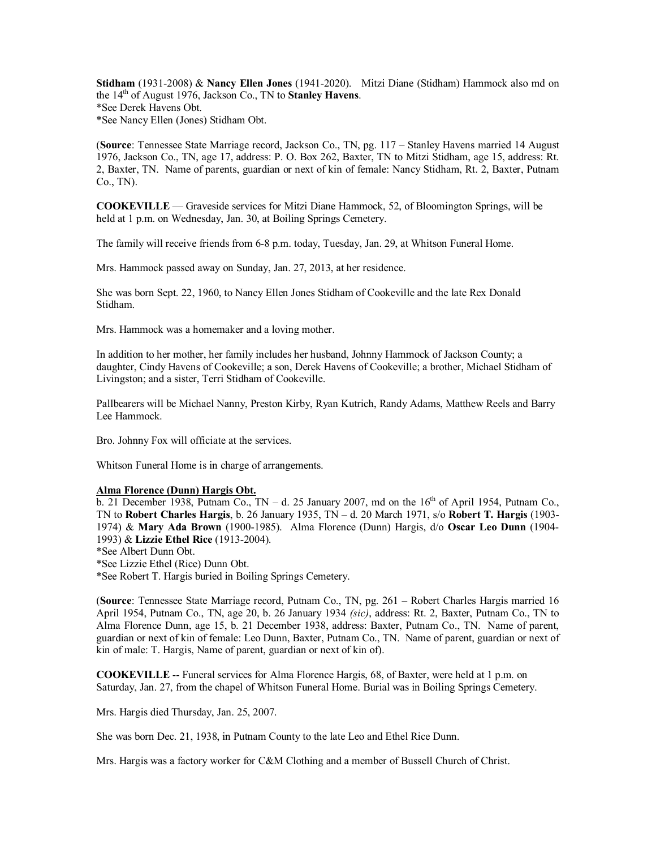**Stidham** (1931-2008) & **Nancy Ellen Jones** (1941-2020). Mitzi Diane (Stidham) Hammock also md on the 14th of August 1976, Jackson Co., TN to **Stanley Havens**. \*See Derek Havens Obt. \*See Nancy Ellen (Jones) Stidham Obt.

(**Source**: Tennessee State Marriage record, Jackson Co., TN, pg. 117 – Stanley Havens married 14 August 1976, Jackson Co., TN, age 17, address: P. O. Box 262, Baxter, TN to Mitzi Stidham, age 15, address: Rt. 2, Baxter, TN. Name of parents, guardian or next of kin of female: Nancy Stidham, Rt. 2, Baxter, Putnam Co., TN).

**COOKEVILLE** — Graveside services for Mitzi Diane Hammock, 52, of Bloomington Springs, will be held at 1 p.m. on Wednesday, Jan. 30, at Boiling Springs Cemetery.

The family will receive friends from 6-8 p.m. today, Tuesday, Jan. 29, at Whitson Funeral Home.

Mrs. Hammock passed away on Sunday, Jan. 27, 2013, at her residence.

She was born Sept. 22, 1960, to Nancy Ellen Jones Stidham of Cookeville and the late Rex Donald Stidham.

Mrs. Hammock was a homemaker and a loving mother.

In addition to her mother, her family includes her husband, Johnny Hammock of Jackson County; a daughter, Cindy Havens of Cookeville; a son, Derek Havens of Cookeville; a brother, Michael Stidham of Livingston; and a sister, Terri Stidham of Cookeville.

Pallbearers will be Michael Nanny, Preston Kirby, Ryan Kutrich, Randy Adams, Matthew Reels and Barry Lee Hammock.

Bro. Johnny Fox will officiate at the services.

Whitson Funeral Home is in charge of arrangements.

## **Alma Florence (Dunn) Hargis Obt.**

b. 21 December 1938, Putnam Co., TN – d. 25 January 2007, md on the  $16<sup>th</sup>$  of April 1954, Putnam Co., TN to **Robert Charles Hargis**, b. 26 January 1935, TN – d. 20 March 1971, s/o **Robert T. Hargis** (1903- 1974) & **Mary Ada Brown** (1900-1985). Alma Florence (Dunn) Hargis, d/o **Oscar Leo Dunn** (1904- 1993) & **Lizzie Ethel Rice** (1913-2004).

\*See Albert Dunn Obt.

\*See Lizzie Ethel (Rice) Dunn Obt.

\*See Robert T. Hargis buried in Boiling Springs Cemetery.

(**Source**: Tennessee State Marriage record, Putnam Co., TN, pg. 261 – Robert Charles Hargis married 16 April 1954, Putnam Co., TN, age 20, b. 26 January 1934 *(sic)*, address: Rt. 2, Baxter, Putnam Co., TN to Alma Florence Dunn, age 15, b. 21 December 1938, address: Baxter, Putnam Co., TN. Name of parent, guardian or next of kin of female: Leo Dunn, Baxter, Putnam Co., TN. Name of parent, guardian or next of kin of male: T. Hargis, Name of parent, guardian or next of kin of).

**COOKEVILLE** -- Funeral services for Alma Florence Hargis, 68, of Baxter, were held at 1 p.m. on Saturday, Jan. 27, from the chapel of Whitson Funeral Home. Burial was in Boiling Springs Cemetery.

Mrs. Hargis died Thursday, Jan. 25, 2007.

She was born Dec. 21, 1938, in Putnam County to the late Leo and Ethel Rice Dunn.

Mrs. Hargis was a factory worker for C&M Clothing and a member of Bussell Church of Christ.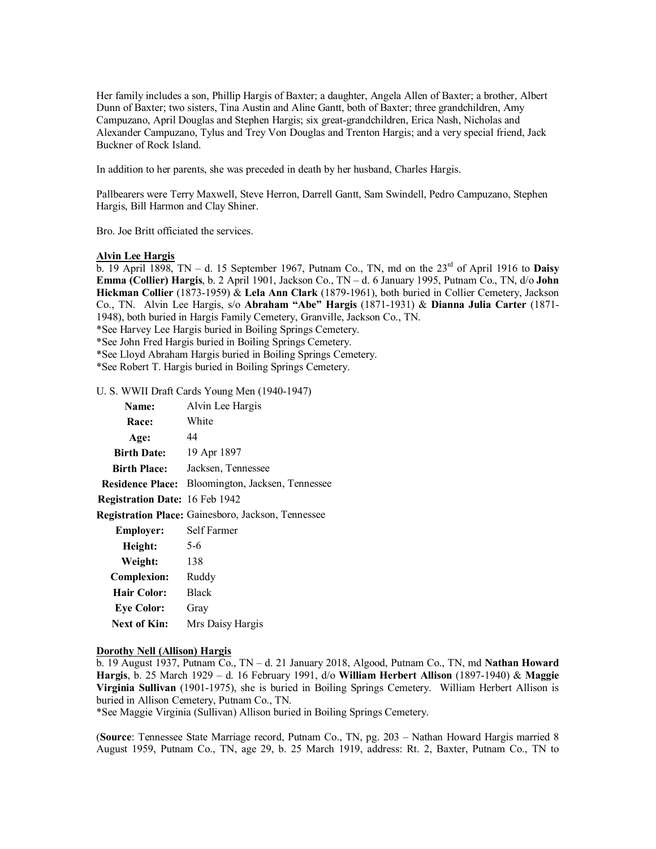Her family includes a son, Phillip Hargis of Baxter; a daughter, Angela Allen of Baxter; a brother, Albert Dunn of Baxter; two sisters, Tina Austin and Aline Gantt, both of Baxter; three grandchildren, Amy Campuzano, April Douglas and Stephen Hargis; six great-grandchildren, Erica Nash, Nicholas and Alexander Campuzano, Tylus and Trey Von Douglas and Trenton Hargis; and a very special friend, Jack Buckner of Rock Island.

In addition to her parents, she was preceded in death by her husband, Charles Hargis.

Pallbearers were Terry Maxwell, Steve Herron, Darrell Gantt, Sam Swindell, Pedro Campuzano, Stephen Hargis, Bill Harmon and Clay Shiner.

Bro. Joe Britt officiated the services.

### **Alvin Lee Hargis**

b. 19 April 1898, TN – d. 15 September 1967, Putnam Co., TN, md on the  $23<sup>rd</sup>$  of April 1916 to **Daisy Emma (Collier) Hargis**, b. 2 April 1901, Jackson Co., TN – d. 6 January 1995, Putnam Co., TN, d/o **John Hickman Collier** (1873-1959) & **Lela Ann Clark** (1879-1961), both buried in Collier Cemetery, Jackson Co., TN. Alvin Lee Hargis, s/o **Abraham "Abe" Hargis** (1871-1931) & **Dianna Julia Carter** (1871- 1948), both buried in Hargis Family Cemetery, Granville, Jackson Co., TN.

\*See Harvey Lee Hargis buried in Boiling Springs Cemetery.

\*See John Fred Hargis buried in Boiling Springs Cemetery.

\*See Lloyd Abraham Hargis buried in Boiling Springs Cemetery.

\*See Robert T. Hargis buried in Boiling Springs Cemetery.

U. S. WWII Draft Cards Young Men (1940-1947)

| <b>Name:</b>                          | Alvin Lee Hargis                                        |
|---------------------------------------|---------------------------------------------------------|
| <b>Race:</b>                          | White                                                   |
| Age:                                  | 44                                                      |
| <b>Birth Date:</b>                    | 19 Apr 1897                                             |
| <b>Birth Place:</b>                   | Jacksen, Tennessee                                      |
|                                       | <b>Residence Place:</b> Bloomington, Jacksen, Tennessee |
| <b>Registration Date: 16 Feb 1942</b> |                                                         |
|                                       | Registration Place: Gainesboro, Jackson, Tennessee      |
| Employer:                             | Self Farmer                                             |
| Height:                               | $5-6$                                                   |
| Weight:                               | 138                                                     |
| <b>Complexion:</b>                    | Ruddy                                                   |
| Hair Color:                           | <b>Black</b>                                            |
| <b>Eye Color:</b>                     | Gray                                                    |
| Next of Kin:                          | Mrs Daisy Hargis                                        |

#### **Dorothy Nell (Allison) Hargis**

b. 19 August 1937, Putnam Co., TN – d. 21 January 2018, Algood, Putnam Co., TN, md **Nathan Howard Hargis**, b. 25 March 1929 – d. 16 February 1991, d/o **William Herbert Allison** (1897-1940) & **Maggie Virginia Sullivan** (1901-1975), she is buried in Boiling Springs Cemetery. William Herbert Allison is buried in Allison Cemetery, Putnam Co., TN.

\*See Maggie Virginia (Sullivan) Allison buried in Boiling Springs Cemetery.

(**Source**: Tennessee State Marriage record, Putnam Co., TN, pg. 203 – Nathan Howard Hargis married 8 August 1959, Putnam Co., TN, age 29, b. 25 March 1919, address: Rt. 2, Baxter, Putnam Co., TN to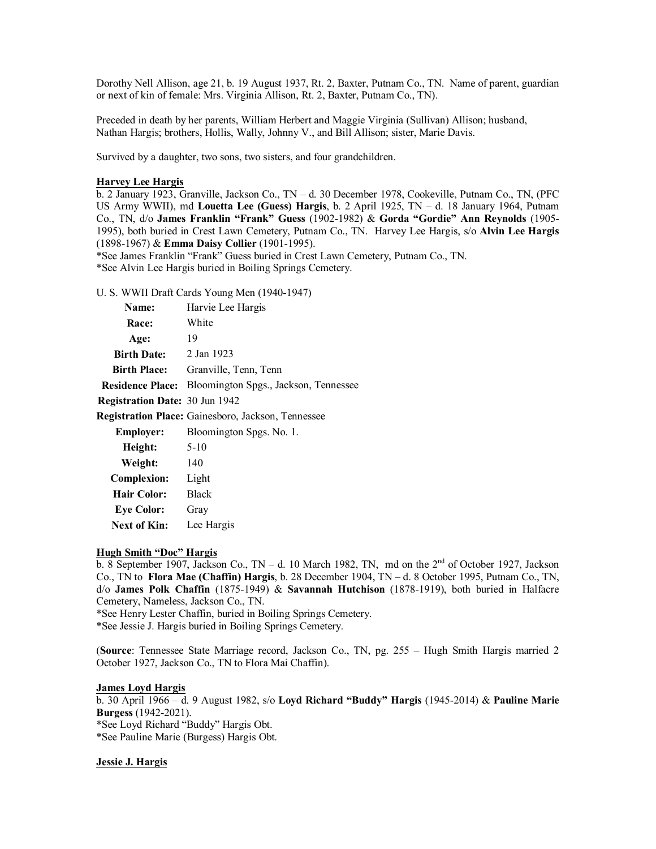Dorothy Nell Allison, age 21, b. 19 August 1937, Rt. 2, Baxter, Putnam Co., TN. Name of parent, guardian or next of kin of female: Mrs. Virginia Allison, Rt. 2, Baxter, Putnam Co., TN).

Preceded in death by her parents, William Herbert and Maggie Virginia (Sullivan) Allison; husband, Nathan Hargis; brothers, Hollis, Wally, Johnny V., and Bill Allison; sister, Marie Davis.

Survived by a daughter, two sons, two sisters, and four grandchildren.

#### **Harvey Lee Hargis**

b. 2 January 1923, Granville, Jackson Co., TN – d. 30 December 1978, Cookeville, Putnam Co., TN, (PFC US Army WWII), md **Louetta Lee (Guess) Hargis**, b. 2 April 1925, TN – d. 18 January 1964, Putnam Co., TN, d/o **James Franklin "Frank" Guess** (1902-1982) & **Gorda "Gordie" Ann Reynolds** (1905- 1995), both buried in Crest Lawn Cemetery, Putnam Co., TN. Harvey Lee Hargis, s/o **Alvin Lee Hargis** (1898-1967) & **Emma Daisy Collier** (1901-1995).

\*See James Franklin "Frank" Guess buried in Crest Lawn Cemetery, Putnam Co., TN. \*See Alvin Lee Hargis buried in Boiling Springs Cemetery.

#### U. S. WWII Draft Cards Young Men (1940-1947)

| <b>Name:</b>                           | Harvie Lee Hargis                                         |
|----------------------------------------|-----------------------------------------------------------|
| <b>Race:</b>                           | White                                                     |
| Age:                                   | 19                                                        |
| <b>Birth Date:</b> $\qquad$ 2 Jan 1923 |                                                           |
| <b>Birth Place:</b>                    | Granville, Tenn, Tenn                                     |
| <b>Residence Place:</b>                | Bloomington Spgs., Jackson, Tennessee                     |
| Registration Date: 30 Jun 1942         |                                                           |
|                                        | <b>Registration Place:</b> Gainesboro, Jackson, Tennessee |
| Employer:                              | Bloomington Spgs. No. 1.                                  |
| Height:                                | $5 - 10$                                                  |
| Weight:                                | 140                                                       |
| <b>Complexion:</b>                     | Light                                                     |
| Hair Color:                            | <b>Black</b>                                              |
| <b>Eve Color:</b>                      | Gray                                                      |
|                                        |                                                           |

#### **Hugh Smith "Doc" Hargis**

**Next of Kin:** Lee Hargis

b. 8 September 1907, Jackson Co., TN – d. 10 March 1982, TN, md on the  $2<sup>nd</sup>$  of October 1927, Jackson Co., TN to **Flora Mae (Chaffin) Hargis**, b. 28 December 1904, TN – d. 8 October 1995, Putnam Co., TN, d/o **James Polk Chaffin** (1875-1949) & **Savannah Hutchison** (1878-1919), both buried in Halfacre Cemetery, Nameless, Jackson Co., TN.

\*See Henry Lester Chaffin, buried in Boiling Springs Cemetery.

\*See Jessie J. Hargis buried in Boiling Springs Cemetery.

(**Source**: Tennessee State Marriage record, Jackson Co., TN, pg. 255 – Hugh Smith Hargis married 2 October 1927, Jackson Co., TN to Flora Mai Chaffin).

### **James Loyd Hargis**

b. 30 April 1966 – d. 9 August 1982, s/o **Loyd Richard "Buddy" Hargis** (1945-2014) & **Pauline Marie Burgess** (1942-2021). \*See Loyd Richard "Buddy" Hargis Obt. \*See Pauline Marie (Burgess) Hargis Obt.

#### **Jessie J. Hargis**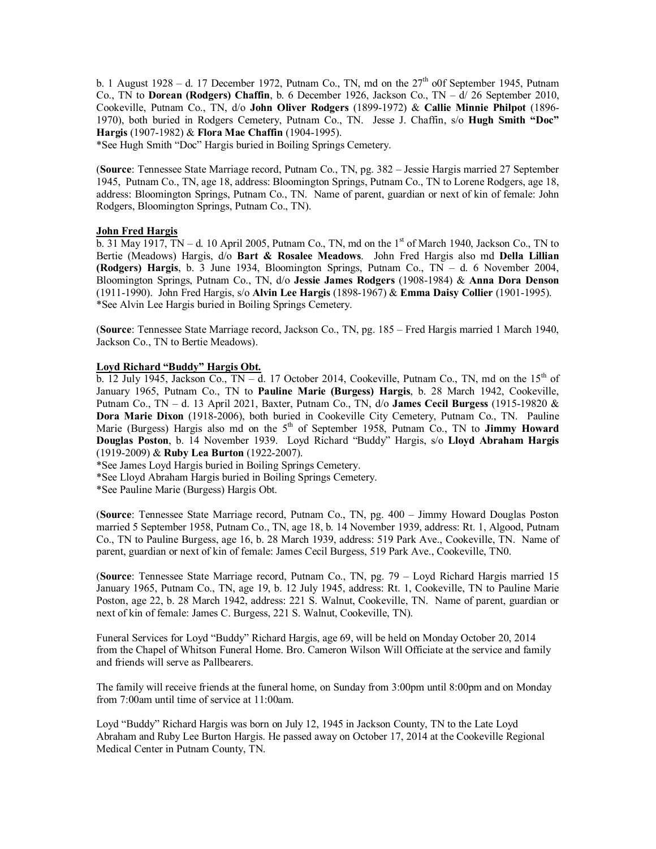b. 1 August 1928 – d. 17 December 1972, Putnam Co., TN, md on the  $27<sup>th</sup>$  o0f September 1945, Putnam Co., TN to **Dorean (Rodgers) Chaffin**, b. 6 December 1926, Jackson Co., TN – d/ 26 September 2010, Cookeville, Putnam Co., TN, d/o **John Oliver Rodgers** (1899-1972) & **Callie Minnie Philpot** (1896- 1970), both buried in Rodgers Cemetery, Putnam Co., TN. Jesse J. Chaffin, s/o **Hugh Smith "Doc" Hargis** (1907-1982) & **Flora Mae Chaffin** (1904-1995).

\*See Hugh Smith "Doc" Hargis buried in Boiling Springs Cemetery.

(**Source**: Tennessee State Marriage record, Putnam Co., TN, pg. 382 – Jessie Hargis married 27 September 1945, Putnam Co., TN, age 18, address: Bloomington Springs, Putnam Co., TN to Lorene Rodgers, age 18, address: Bloomington Springs, Putnam Co., TN. Name of parent, guardian or next of kin of female: John Rodgers, Bloomington Springs, Putnam Co., TN).

## **John Fred Hargis**

 $\overline{b}$ . 31 May 1917, TN – d. 10 April 2005, Putnam Co., TN, md on the 1<sup>st</sup> of March 1940, Jackson Co., TN to Bertie (Meadows) Hargis, d/o **Bart & Rosalee Meadows**. John Fred Hargis also md **Della Lillian (Rodgers) Hargis**, b. 3 June 1934, Bloomington Springs, Putnam Co., TN – d. 6 November 2004, Bloomington Springs, Putnam Co., TN, d/o **Jessie James Rodgers** (1908-1984) & **Anna Dora Denson** (1911-1990). John Fred Hargis, s/o **Alvin Lee Hargis** (1898-1967) & **Emma Daisy Collier** (1901-1995). \*See Alvin Lee Hargis buried in Boiling Springs Cemetery.

(**Source**: Tennessee State Marriage record, Jackson Co., TN, pg. 185 – Fred Hargis married 1 March 1940, Jackson Co., TN to Bertie Meadows).

### **Loyd Richard "Buddy" Hargis Obt.**

b. 12 July 1945, Jackson Co., TN – d. 17 October 2014, Cookeville, Putnam Co., TN, md on the 15<sup>th</sup> of January 1965, Putnam Co., TN to **Pauline Marie (Burgess) Hargis**, b. 28 March 1942, Cookeville, Putnam Co., TN – d. 13 April 2021, Baxter, Putnam Co., TN, d/o **James Cecil Burgess** (1915-19820 & **Dora Marie Dixon** (1918-2006), both buried in Cookeville City Cemetery, Putnam Co., TN. Pauline Marie (Burgess) Hargis also md on the 5<sup>th</sup> of September 1958, Putnam Co., TN to **Jimmy Howard Douglas Poston**, b. 14 November 1939. Loyd Richard "Buddy" Hargis, s/o **Lloyd Abraham Hargis** (1919-2009) & **Ruby Lea Burton** (1922-2007).

\*See James Loyd Hargis buried in Boiling Springs Cemetery.

\*See Lloyd Abraham Hargis buried in Boiling Springs Cemetery.

\*See Pauline Marie (Burgess) Hargis Obt.

(**Source**: Tennessee State Marriage record, Putnam Co., TN, pg. 400 – Jimmy Howard Douglas Poston married 5 September 1958, Putnam Co., TN, age 18, b. 14 November 1939, address: Rt. 1, Algood, Putnam Co., TN to Pauline Burgess, age 16, b. 28 March 1939, address: 519 Park Ave., Cookeville, TN. Name of parent, guardian or next of kin of female: James Cecil Burgess, 519 Park Ave., Cookeville, TN0.

(**Source**: Tennessee State Marriage record, Putnam Co., TN, pg. 79 – Loyd Richard Hargis married 15 January 1965, Putnam Co., TN, age 19, b. 12 July 1945, address: Rt. 1, Cookeville, TN to Pauline Marie Poston, age 22, b. 28 March 1942, address: 221 S. Walnut, Cookeville, TN. Name of parent, guardian or next of kin of female: James C. Burgess, 221 S. Walnut, Cookeville, TN).

Funeral Services for Loyd "Buddy" Richard Hargis, age 69, will be held on Monday October 20, 2014 from the Chapel of Whitson Funeral Home. Bro. Cameron Wilson Will Officiate at the service and family and friends will serve as Pallbearers.

The family will receive friends at the funeral home, on Sunday from 3:00pm until 8:00pm and on Monday from 7:00am until time of service at 11:00am.

Loyd "Buddy" Richard Hargis was born on July 12, 1945 in Jackson County, TN to the Late Loyd Abraham and Ruby Lee Burton Hargis. He passed away on October 17, 2014 at the Cookeville Regional Medical Center in Putnam County, TN.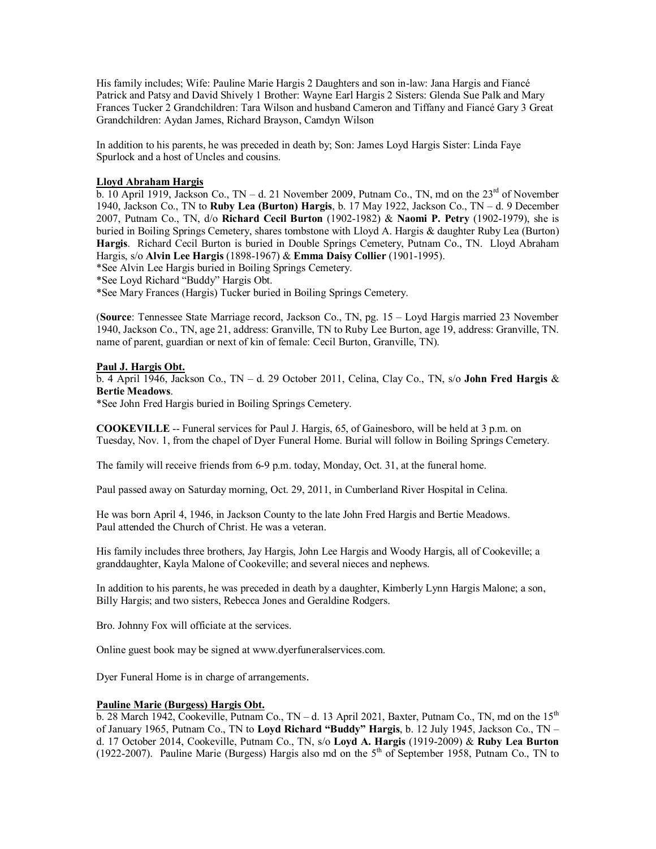His family includes; Wife: Pauline Marie Hargis 2 Daughters and son in-law: Jana Hargis and Fiancé Patrick and Patsy and David Shively 1 Brother: Wayne Earl Hargis 2 Sisters: Glenda Sue Palk and Mary Frances Tucker 2 Grandchildren: Tara Wilson and husband Cameron and Tiffany and Fiancé Gary 3 Great Grandchildren: Aydan James, Richard Brayson, Camdyn Wilson

In addition to his parents, he was preceded in death by; Son: James Loyd Hargis Sister: Linda Faye Spurlock and a host of Uncles and cousins.

## **Lloyd Abraham Hargis**

 $\overline{b}$ . 10 April 1919, Jackson Co., TN – d. 21 November 2009, Putnam Co., TN, md on the 23<sup>rd</sup> of November 1940, Jackson Co., TN to **Ruby Lea (Burton) Hargis**, b. 17 May 1922, Jackson Co., TN – d. 9 December 2007, Putnam Co., TN, d/o **Richard Cecil Burton** (1902-1982) & **Naomi P. Petry** (1902-1979), she is buried in Boiling Springs Cemetery, shares tombstone with Lloyd A. Hargis & daughter Ruby Lea (Burton) **Hargis**. Richard Cecil Burton is buried in Double Springs Cemetery, Putnam Co., TN. Lloyd Abraham Hargis, s/o **Alvin Lee Hargis** (1898-1967) & **Emma Daisy Collier** (1901-1995).

\*See Alvin Lee Hargis buried in Boiling Springs Cemetery.

\*See Loyd Richard "Buddy" Hargis Obt.

\*See Mary Frances (Hargis) Tucker buried in Boiling Springs Cemetery.

(**Source**: Tennessee State Marriage record, Jackson Co., TN, pg. 15 – Loyd Hargis married 23 November 1940, Jackson Co., TN, age 21, address: Granville, TN to Ruby Lee Burton, age 19, address: Granville, TN. name of parent, guardian or next of kin of female: Cecil Burton, Granville, TN).

### **Paul J. Hargis Obt.**

b. 4 April 1946, Jackson Co., TN – d. 29 October 2011, Celina, Clay Co., TN, s/o **John Fred Hargis** & **Bertie Meadows**.

\*See John Fred Hargis buried in Boiling Springs Cemetery.

**COOKEVILLE** -- Funeral services for Paul J. Hargis, 65, of Gainesboro, will be held at 3 p.m. on Tuesday, Nov. 1, from the chapel of Dyer Funeral Home. Burial will follow in Boiling Springs Cemetery.

The family will receive friends from 6-9 p.m. today, Monday, Oct. 31, at the funeral home.

Paul passed away on Saturday morning, Oct. 29, 2011, in Cumberland River Hospital in Celina.

He was born April 4, 1946, in Jackson County to the late John Fred Hargis and Bertie Meadows. Paul attended the Church of Christ. He was a veteran.

His family includes three brothers, Jay Hargis, John Lee Hargis and Woody Hargis, all of Cookeville; a granddaughter, Kayla Malone of Cookeville; and several nieces and nephews.

In addition to his parents, he was preceded in death by a daughter, Kimberly Lynn Hargis Malone; a son, Billy Hargis; and two sisters, Rebecca Jones and Geraldine Rodgers.

Bro. Johnny Fox will officiate at the services.

Online guest book may be signed at [www.dyerfuneralservices.com.](http://www.dyerfuneralservices.com./)

Dyer Funeral Home is in charge of arrangements.

### **Pauline Marie (Burgess) Hargis Obt.**

b. 28 March 1942, Cookeville, Putnam Co.,  $TN - d$ . 13 April 2021, Baxter, Putnam Co., TN, md on the  $15<sup>th</sup>$ of January 1965, Putnam Co., TN to **Loyd Richard "Buddy" Hargis**, b. 12 July 1945, Jackson Co., TN – d. 17 October 2014, Cookeville, Putnam Co., TN, s/o **Loyd A. Hargis** (1919-2009) & **Ruby Lea Burton** (1922-2007). Pauline Marie (Burgess) Hargis also md on the  $5<sup>th</sup>$  of September 1958, Putnam Co., TN to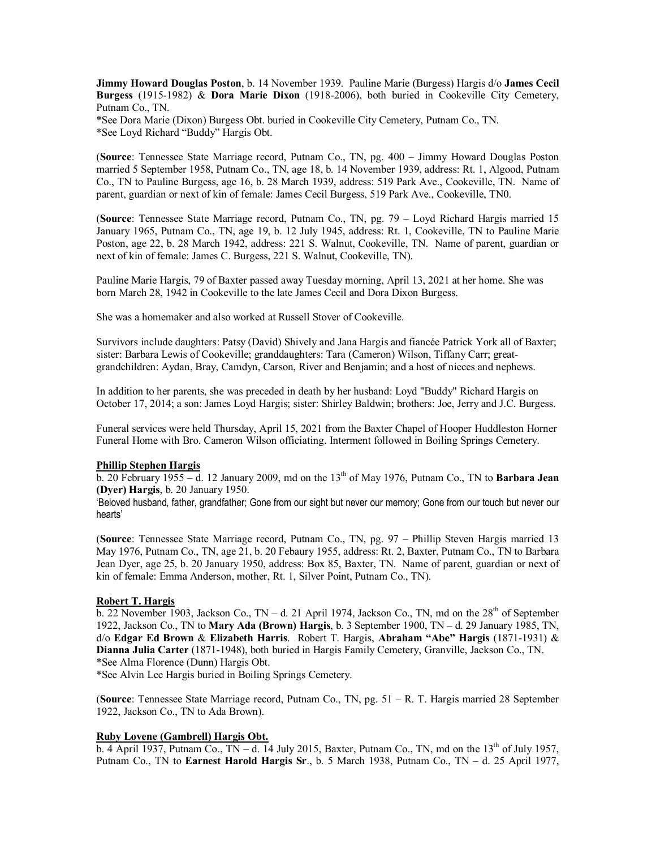**Jimmy Howard Douglas Poston**, b. 14 November 1939. Pauline Marie (Burgess) Hargis d/o **James Cecil Burgess** (1915-1982) & **Dora Marie Dixon** (1918-2006), both buried in Cookeville City Cemetery, Putnam Co., TN.

\*See Dora Marie (Dixon) Burgess Obt. buried in Cookeville City Cemetery, Putnam Co., TN. \*See Loyd Richard "Buddy" Hargis Obt.

(**Source**: Tennessee State Marriage record, Putnam Co., TN, pg. 400 – Jimmy Howard Douglas Poston married 5 September 1958, Putnam Co., TN, age 18, b. 14 November 1939, address: Rt. 1, Algood, Putnam Co., TN to Pauline Burgess, age 16, b. 28 March 1939, address: 519 Park Ave., Cookeville, TN. Name of parent, guardian or next of kin of female: James Cecil Burgess, 519 Park Ave., Cookeville, TN0.

(**Source**: Tennessee State Marriage record, Putnam Co., TN, pg. 79 – Loyd Richard Hargis married 15 January 1965, Putnam Co., TN, age 19, b. 12 July 1945, address: Rt. 1, Cookeville, TN to Pauline Marie Poston, age 22, b. 28 March 1942, address: 221 S. Walnut, Cookeville, TN. Name of parent, guardian or next of kin of female: James C. Burgess, 221 S. Walnut, Cookeville, TN).

Pauline Marie Hargis, 79 of Baxter passed away Tuesday morning, April 13, 2021 at her home. She was born March 28, 1942 in Cookeville to the late James Cecil and Dora Dixon Burgess.

She was a homemaker and also worked at Russell Stover of Cookeville.

Survivors include daughters: Patsy (David) Shively and Jana Hargis and fiancée Patrick York all of Baxter; sister: Barbara Lewis of Cookeville; granddaughters: Tara (Cameron) Wilson, Tiffany Carr; greatgrandchildren: Aydan, Bray, Camdyn, Carson, River and Benjamin; and a host of nieces and nephews.

In addition to her parents, she was preceded in death by her husband: Loyd "Buddy" Richard Hargis on October 17, 2014; a son: James Loyd Hargis; sister: Shirley Baldwin; brothers: Joe, Jerry and J.C. Burgess.

Funeral services were held Thursday, April 15, 2021 from the Baxter Chapel of Hooper Huddleston Horner Funeral Home with Bro. Cameron Wilson officiating. Interment followed in Boiling Springs Cemetery.

### **Phillip Stephen Hargis**

b. 20 February 1955 – d. 12 January 2009, md on the 13th of May 1976, Putnam Co., TN to **Barbara Jean (Dyer) Hargis**, b. 20 January 1950.

'Beloved husband, father, grandfather; Gone from our sight but never our memory; Gone from our touch but never our hearts'

(**Source**: Tennessee State Marriage record, Putnam Co., TN, pg. 97 – Phillip Steven Hargis married 13 May 1976, Putnam Co., TN, age 21, b. 20 Febaury 1955, address: Rt. 2, Baxter, Putnam Co., TN to Barbara Jean Dyer, age 25, b. 20 January 1950, address: Box 85, Baxter, TN. Name of parent, guardian or next of kin of female: Emma Anderson, mother, Rt. 1, Silver Point, Putnam Co., TN).

### **Robert T. Hargis**

 $\overline{b}$ . 22 November 1903, Jackson Co., TN – d. 21 April 1974, Jackson Co., TN, md on the  $28<sup>th</sup>$  of September 1922, Jackson Co., TN to **Mary Ada (Brown) Hargis**, b. 3 September 1900, TN – d. 29 January 1985, TN, d/o **Edgar Ed Brown** & **Elizabeth Harris**. Robert T. Hargis, **Abraham "Abe" Hargis** (1871-1931) & **Dianna Julia Carter** (1871-1948), both buried in Hargis Family Cemetery, Granville, Jackson Co., TN. \*See Alma Florence (Dunn) Hargis Obt.

\*See Alvin Lee Hargis buried in Boiling Springs Cemetery.

(**Source**: Tennessee State Marriage record, Putnam Co., TN, pg. 51 – R. T. Hargis married 28 September 1922, Jackson Co., TN to Ada Brown).

### **Ruby Lovene (Gambrell) Hargis Obt.**

 $\overline{b}$ . 4 April 1937, Putnam Co., TN – d. 14 July 2015, Baxter, Putnam Co., TN, md on the 13<sup>th</sup> of July 1957, Putnam Co., TN to **Earnest Harold Hargis Sr**., b. 5 March 1938, Putnam Co., TN – d. 25 April 1977,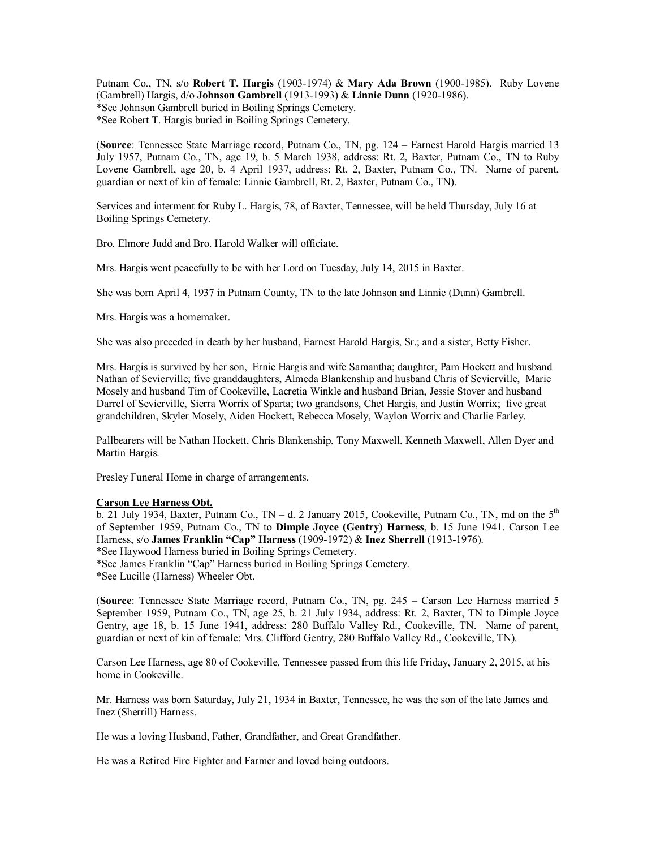Putnam Co., TN, s/o **Robert T. Hargis** (1903-1974) & **Mary Ada Brown** (1900-1985). Ruby Lovene (Gambrell) Hargis, d/o **Johnson Gambrell** (1913-1993) & **Linnie Dunn** (1920-1986). \*See Johnson Gambrell buried in Boiling Springs Cemetery. \*See Robert T. Hargis buried in Boiling Springs Cemetery.

(**Source**: Tennessee State Marriage record, Putnam Co., TN, pg. 124 – Earnest Harold Hargis married 13 July 1957, Putnam Co., TN, age 19, b. 5 March 1938, address: Rt. 2, Baxter, Putnam Co., TN to Ruby Lovene Gambrell, age 20, b. 4 April 1937, address: Rt. 2, Baxter, Putnam Co., TN. Name of parent, guardian or next of kin of female: Linnie Gambrell, Rt. 2, Baxter, Putnam Co., TN).

Services and interment for Ruby L. Hargis, 78, of Baxter, Tennessee, will be held Thursday, July 16 at Boiling Springs Cemetery.

Bro. Elmore Judd and Bro. Harold Walker will officiate.

Mrs. Hargis went peacefully to be with her Lord on Tuesday, July 14, 2015 in Baxter.

She was born April 4, 1937 in Putnam County, TN to the late Johnson and Linnie (Dunn) Gambrell.

Mrs. Hargis was a homemaker.

She was also preceded in death by her husband, Earnest Harold Hargis, Sr.; and a sister, Betty Fisher.

Mrs. Hargis is survived by her son, Ernie Hargis and wife Samantha; daughter, Pam Hockett and husband Nathan of Sevierville; five granddaughters, Almeda Blankenship and husband Chris of Sevierville, Marie Mosely and husband Tim of Cookeville, Lacretia Winkle and husband Brian, Jessie Stover and husband Darrel of Sevierville, Sierra Worrix of Sparta; two grandsons, Chet Hargis, and Justin Worrix; five great grandchildren, Skyler Mosely, Aiden Hockett, Rebecca Mosely, Waylon Worrix and Charlie Farley.

Pallbearers will be Nathan Hockett, Chris Blankenship, Tony Maxwell, Kenneth Maxwell, Allen Dyer and Martin Hargis.

Presley Funeral Home in charge of arrangements.

#### **Carson Lee Harness Obt.**

b. 21 July 1934, Baxter, Putnam Co.,  $TN - d$ . 2 January 2015, Cookeville, Putnam Co., TN, md on the  $5<sup>th</sup>$ of September 1959, Putnam Co., TN to **Dimple Joyce (Gentry) Harness**, b. 15 June 1941. Carson Lee Harness, s/o **James Franklin "Cap" Harness** (1909-1972) & **Inez Sherrell** (1913-1976).

\*See Haywood Harness buried in Boiling Springs Cemetery.

\*See James Franklin "Cap" Harness buried in Boiling Springs Cemetery.

\*See Lucille (Harness) Wheeler Obt.

(**Source**: Tennessee State Marriage record, Putnam Co., TN, pg. 245 – Carson Lee Harness married 5 September 1959, Putnam Co., TN, age 25, b. 21 July 1934, address: Rt. 2, Baxter, TN to Dimple Joyce Gentry, age 18, b. 15 June 1941, address: 280 Buffalo Valley Rd., Cookeville, TN. Name of parent, guardian or next of kin of female: Mrs. Clifford Gentry, 280 Buffalo Valley Rd., Cookeville, TN).

Carson Lee Harness, age 80 of Cookeville, Tennessee passed from this life Friday, January 2, 2015, at his home in Cookeville.

Mr. Harness was born Saturday, July 21, 1934 in Baxter, Tennessee, he was the son of the late James and Inez (Sherrill) Harness.

He was a loving Husband, Father, Grandfather, and Great Grandfather.

He was a Retired Fire Fighter and Farmer and loved being outdoors.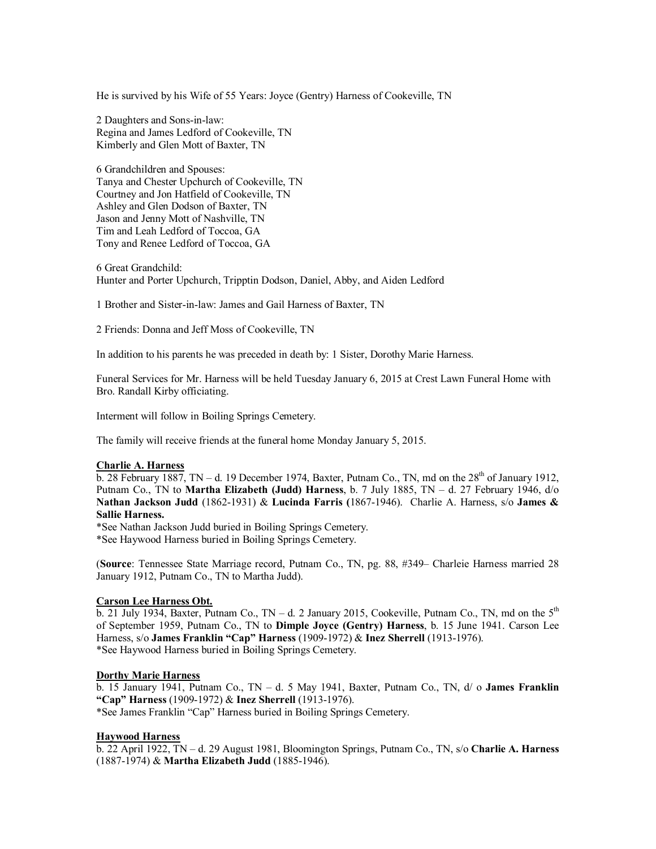He is survived by his Wife of 55 Years: Joyce (Gentry) Harness of Cookeville, TN

2 Daughters and Sons-in-law: Regina and James Ledford of Cookeville, TN Kimberly and Glen Mott of Baxter, TN

6 Grandchildren and Spouses: Tanya and Chester Upchurch of Cookeville, TN Courtney and Jon Hatfield of Cookeville, TN Ashley and Glen Dodson of Baxter, TN Jason and Jenny Mott of Nashville, TN Tim and Leah Ledford of Toccoa, GA Tony and Renee Ledford of Toccoa, GA

6 Great Grandchild: Hunter and Porter Upchurch, Tripptin Dodson, Daniel, Abby, and Aiden Ledford

1 Brother and Sister-in-law: James and Gail Harness of Baxter, TN

2 Friends: Donna and Jeff Moss of Cookeville, TN

In addition to his parents he was preceded in death by: 1 Sister, Dorothy Marie Harness.

Funeral Services for Mr. Harness will be held Tuesday January 6, 2015 at Crest Lawn Funeral Home with Bro. Randall Kirby officiating.

Interment will follow in Boiling Springs Cemetery.

The family will receive friends at the funeral home Monday January 5, 2015.

#### **Charlie A. Harness**

 $\overline{b. 28}$  February 1887, TN – d. 19 December 1974, Baxter, Putnam Co., TN, md on the  $28<sup>th</sup>$  of January 1912, Putnam Co., TN to **Martha Elizabeth (Judd) Harness**, b. 7 July 1885, TN – d. 27 February 1946, d/o **Nathan Jackson Judd** (1862-1931) & **Lucinda Farris (**1867-1946). Charlie A. Harness, s/o **James & Sallie Harness.**

\*See Nathan Jackson Judd buried in Boiling Springs Cemetery.

\*See Haywood Harness buried in Boiling Springs Cemetery.

(**Source**: Tennessee State Marriage record, Putnam Co., TN, pg. 88, #349– Charleie Harness married 28 January 1912, Putnam Co., TN to Martha Judd).

## **Carson Lee Harness Obt.**

 $\overline{b}$ . 21 July 1934, Baxter, Putnam Co., TN – d. 2 January 2015, Cookeville, Putnam Co., TN, md on the 5<sup>th</sup> of September 1959, Putnam Co., TN to **Dimple Joyce (Gentry) Harness**, b. 15 June 1941. Carson Lee Harness, s/o **James Franklin "Cap" Harness** (1909-1972) & **Inez Sherrell** (1913-1976). \*See Haywood Harness buried in Boiling Springs Cemetery.

### **Dorthy Marie Harness**

b. 15 January 1941, Putnam Co., TN – d. 5 May 1941, Baxter, Putnam Co., TN, d/ o **James Franklin "Cap" Harness** (1909-1972) & **Inez Sherrell** (1913-1976). \*See James Franklin "Cap" Harness buried in Boiling Springs Cemetery.

### **Haywood Harness**

b. 22 April 1922, TN – d. 29 August 1981, Bloomington Springs, Putnam Co., TN, s/o **Charlie A. Harness** (1887-1974) & **Martha Elizabeth Judd** (1885-1946).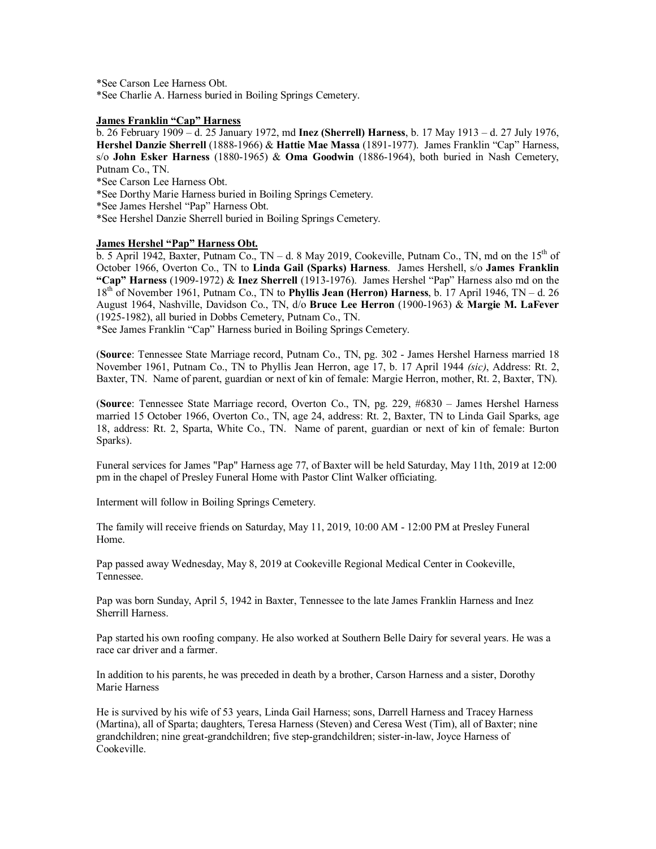\*See Carson Lee Harness Obt.

\*See Charlie A. Harness buried in Boiling Springs Cemetery.

# **James Franklin "Cap" Harness**

b. 26 February 1909 – d. 25 January 1972, md **Inez (Sherrell) Harness**, b. 17 May 1913 – d. 27 July 1976, **Hershel Danzie Sherrell** (1888-1966) & **Hattie Mae Massa** (1891-1977). James Franklin "Cap" Harness, s/o **John Esker Harness** (1880-1965) & **Oma Goodwin** (1886-1964), both buried in Nash Cemetery, Putnam Co., TN.

\*See Carson Lee Harness Obt.

\*See Dorthy Marie Harness buried in Boiling Springs Cemetery.

\*See James Hershel "Pap" Harness Obt.

\*See Hershel Danzie Sherrell buried in Boiling Springs Cemetery.

#### **James Hershel "Pap" Harness Obt.**

b. 5 April 1942, Baxter, Putnam Co.,  $TN - d$ . 8 May 2019, Cookeville, Putnam Co., TN, md on the 15<sup>th</sup> of October 1966, Overton Co., TN to **Linda Gail (Sparks) Harness**. James Hershell, s/o **James Franklin "Cap" Harness** (1909-1972) & **Inez Sherrell** (1913-1976). James Hershel "Pap" Harness also md on the 18th of November 1961, Putnam Co., TN to **Phyllis Jean (Herron) Harness**, b. 17 April 1946, TN – d. 26 August 1964, Nashville, Davidson Co., TN, d/o **Bruce Lee Herron** (1900-1963) & **Margie M. LaFever** (1925-1982), all buried in Dobbs Cemetery, Putnam Co., TN.

\*See James Franklin "Cap" Harness buried in Boiling Springs Cemetery.

(**Source**: Tennessee State Marriage record, Putnam Co., TN, pg. 302 - James Hershel Harness married 18 November 1961, Putnam Co., TN to Phyllis Jean Herron, age 17, b. 17 April 1944 *(sic)*, Address: Rt. 2, Baxter, TN. Name of parent, guardian or next of kin of female: Margie Herron, mother, Rt. 2, Baxter, TN).

(**Source**: Tennessee State Marriage record, Overton Co., TN, pg. 229, #6830 – James Hershel Harness married 15 October 1966, Overton Co., TN, age 24, address: Rt. 2, Baxter, TN to Linda Gail Sparks, age 18, address: Rt. 2, Sparta, White Co., TN. Name of parent, guardian or next of kin of female: Burton Sparks).

Funeral services for James "Pap" Harness age 77, of Baxter will be held Saturday, May 11th, 2019 at 12:00 pm in the chapel of Presley Funeral Home with Pastor Clint Walker officiating.

Interment will follow in Boiling Springs Cemetery.

The family will receive friends on Saturday, May 11, 2019, 10:00 AM - 12:00 PM at Presley Funeral Home.

Pap passed away Wednesday, May 8, 2019 at Cookeville Regional Medical Center in Cookeville, Tennessee.

Pap was born Sunday, April 5, 1942 in Baxter, Tennessee to the late James Franklin Harness and Inez Sherrill Harness.

Pap started his own roofing company. He also worked at Southern Belle Dairy for several years. He was a race car driver and a farmer.

In addition to his parents, he was preceded in death by a brother, Carson Harness and a sister, Dorothy Marie Harness

He is survived by his wife of 53 years, Linda Gail Harness; sons, Darrell Harness and Tracey Harness (Martina), all of Sparta; daughters, Teresa Harness (Steven) and Ceresa West (Tim), all of Baxter; nine grandchildren; nine great-grandchildren; five step-grandchildren; sister-in-law, Joyce Harness of Cookeville.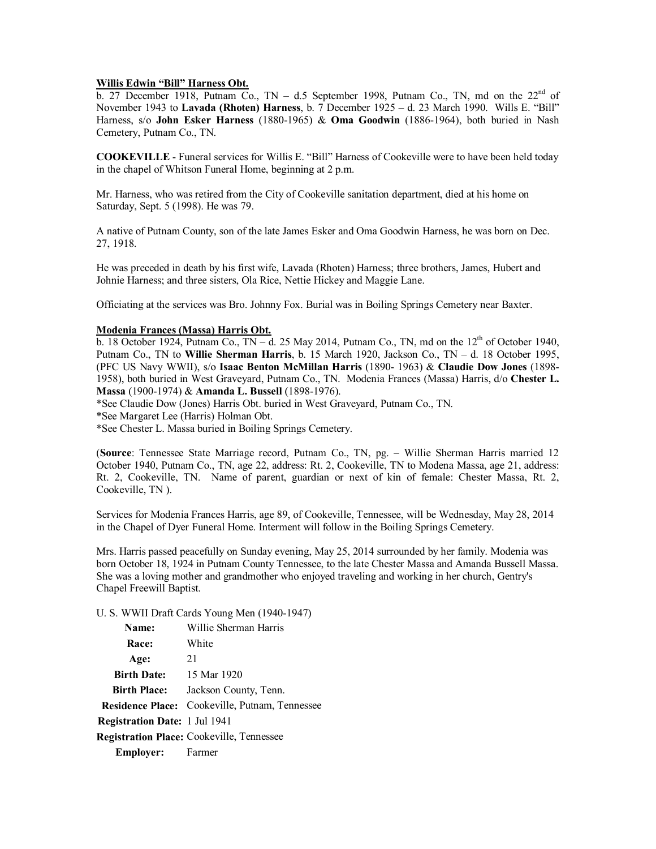### **Willis Edwin "Bill" Harness Obt.**

 $\overline{b}$ . 27 December 1918, Putnam Co., TN – d.5 September 1998, Putnam Co., TN, md on the 22<sup>nd</sup> of November 1943 to **Lavada (Rhoten) Harness**, b. 7 December 1925 – d. 23 March 1990. Wills E. "Bill" Harness, s/o **John Esker Harness** (1880-1965) & **Oma Goodwin** (1886-1964), both buried in Nash Cemetery, Putnam Co., TN.

**COOKEVILLE** - Funeral services for Willis E. "Bill" Harness of Cookeville were to have been held today in the chapel of Whitson Funeral Home, beginning at 2 p.m.

Mr. Harness, who was retired from the City of Cookeville sanitation department, died at his home on Saturday, Sept. 5 (1998). He was 79.

A native of Putnam County, son of the late James Esker and Oma Goodwin Harness, he was born on Dec. 27, 1918.

He was preceded in death by his first wife, Lavada (Rhoten) Harness; three brothers, James, Hubert and Johnie Harness; and three sisters, Ola Rice, Nettie Hickey and Maggie Lane.

Officiating at the services was Bro. Johnny Fox. Burial was in Boiling Springs Cemetery near Baxter.

#### **Modenia Frances (Massa) Harris Obt.**

b. 18 October 1924, Putnam Co.,  $TN - d$ . 25 May 2014, Putnam Co., TN, md on the  $12<sup>th</sup>$  of October 1940, Putnam Co., TN to **Willie Sherman Harris**, b. 15 March 1920, Jackson Co., TN – d. 18 October 1995, (PFC US Navy WWII), s/o **Isaac Benton McMillan Harris** (1890- 1963) & **Claudie Dow Jones** (1898- 1958), both buried in West Graveyard, Putnam Co., TN. Modenia Frances (Massa) Harris, d/o **Chester L. Massa** (1900-1974) & **Amanda L. Bussell** (1898-1976).

\*See Claudie Dow (Jones) Harris Obt. buried in West Graveyard, Putnam Co., TN.

\*See Margaret Lee (Harris) Holman Obt.

\*See Chester L. Massa buried in Boiling Springs Cemetery.

(**Source**: Tennessee State Marriage record, Putnam Co., TN, pg. – Willie Sherman Harris married 12 October 1940, Putnam Co., TN, age 22, address: Rt. 2, Cookeville, TN to Modena Massa, age 21, address: Rt. 2, Cookeville, TN. Name of parent, guardian or next of kin of female: Chester Massa, Rt. 2, Cookeville, TN ).

Services for Modenia Frances Harris, age 89, of Cookeville, Tennessee, will be Wednesday, May 28, 2014 in the Chapel of Dyer Funeral Home. Interment will follow in the Boiling Springs Cemetery.

Mrs. Harris passed peacefully on Sunday evening, May 25, 2014 surrounded by her family. Modenia was born October 18, 1924 in Putnam County Tennessee, to the late Chester Massa and Amanda Bussell Massa. She was a loving mother and grandmother who enjoyed traveling and working in her church, Gentry's Chapel Freewill Baptist.

U. S. WWII Draft Cards Young Men (1940-1947)

| Name:                         | Willie Sherman Harris                                 |
|-------------------------------|-------------------------------------------------------|
| Race:                         | White                                                 |
| Age:                          | 21                                                    |
| <b>Birth Date:</b>            | 15 Mar 1920                                           |
| <b>Birth Place:</b>           | Jackson County, Tenn.                                 |
|                               | <b>Residence Place:</b> Cookeville, Putnam, Tennessee |
| Registration Date: 1 Jul 1941 |                                                       |
|                               | <b>Registration Place:</b> Cookeville, Tennessee      |
| <b>Employer:</b> Farmer       |                                                       |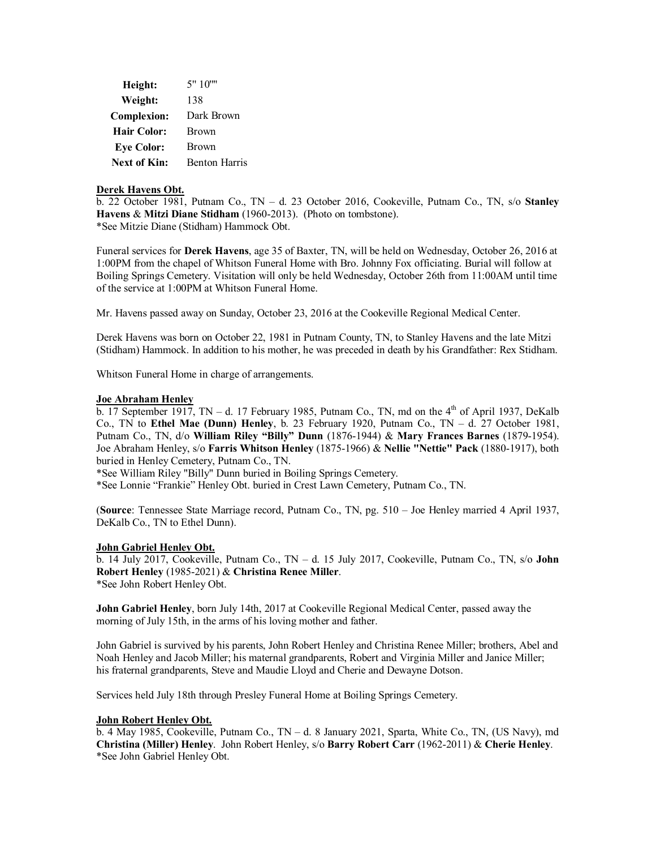| Height:             | 5" 10""              |
|---------------------|----------------------|
| Weight:             | 138                  |
| <b>Complexion:</b>  | Dark Brown           |
| <b>Hair Color:</b>  | <b>Brown</b>         |
| <b>Eye Color:</b>   | <b>Brown</b>         |
| <b>Next of Kin:</b> | <b>Benton Harris</b> |

# **Derek Havens Obt.**

b. 22 October 1981, Putnam Co., TN – d. 23 October 2016, Cookeville, Putnam Co., TN, s/o **Stanley Havens** & **Mitzi Diane Stidham** (1960-2013). (Photo on tombstone). \*See Mitzie Diane (Stidham) Hammock Obt.

Funeral services for **Derek Havens**, age 35 of Baxter, TN, will be held on Wednesday, October 26, 2016 at 1:00PM from the chapel of Whitson Funeral Home with Bro. Johnny Fox officiating. Burial will follow at Boiling Springs Cemetery. Visitation will only be held Wednesday, October 26th from 11:00AM until time of the service at 1:00PM at Whitson Funeral Home.

Mr. Havens passed away on Sunday, October 23, 2016 at the Cookeville Regional Medical Center.

Derek Havens was born on October 22, 1981 in Putnam County, TN, to Stanley Havens and the late Mitzi (Stidham) Hammock. In addition to his mother, he was preceded in death by his Grandfather: Rex Stidham.

Whitson Funeral Home in charge of arrangements.

## **Joe Abraham Henley**

b. 17 September 1917, TN – d. 17 February 1985, Putnam Co., TN, md on the  $4<sup>th</sup>$  of April 1937, DeKalb Co., TN to **Ethel Mae (Dunn) Henley**, b. 23 February 1920, Putnam Co., TN – d. 27 October 1981, Putnam Co., TN, d/o **William Riley "Billy" Dunn** (1876-1944) & **Mary Frances Barnes** (1879-1954). Joe Abraham Henley, s/o **Farris Whitson Henley** (1875-1966) & **Nellie "Nettie" Pack** (1880-1917), both buried in Henley Cemetery, Putnam Co., TN.

\*See William Riley "Billy" Dunn buried in Boiling Springs Cemetery.

\*See Lonnie "Frankie" Henley Obt. buried in Crest Lawn Cemetery, Putnam Co., TN.

(**Source**: Tennessee State Marriage record, Putnam Co., TN, pg. 510 – Joe Henley married 4 April 1937, DeKalb Co., TN to Ethel Dunn).

## **John Gabriel Henley Obt.**

b. 14 July 2017, Cookeville, Putnam Co., TN – d. 15 July 2017, Cookeville, Putnam Co., TN, s/o **John Robert Henley** (1985-2021) & **Christina Renee Miller**. \*See John Robert Henley Obt.

**John Gabriel Henley**, born July 14th, 2017 at Cookeville Regional Medical Center, passed away the morning of July 15th, in the arms of his loving mother and father.

John Gabriel is survived by his parents, John Robert Henley and Christina Renee Miller; brothers, Abel and Noah Henley and Jacob Miller; his maternal grandparents, Robert and Virginia Miller and Janice Miller; his fraternal grandparents, Steve and Maudie Lloyd and Cherie and Dewayne Dotson.

Services held July 18th through Presley Funeral Home at Boiling Springs Cemetery.

## **John Robert Henley Obt.**

b. 4 May 1985, Cookeville, Putnam Co., TN – d. 8 January 2021, Sparta, White Co., TN, (US Navy), md **Christina (Miller) Henley**. John Robert Henley, s/o **Barry Robert Carr** (1962-2011) & **Cherie Henley**. \*See John Gabriel Henley Obt.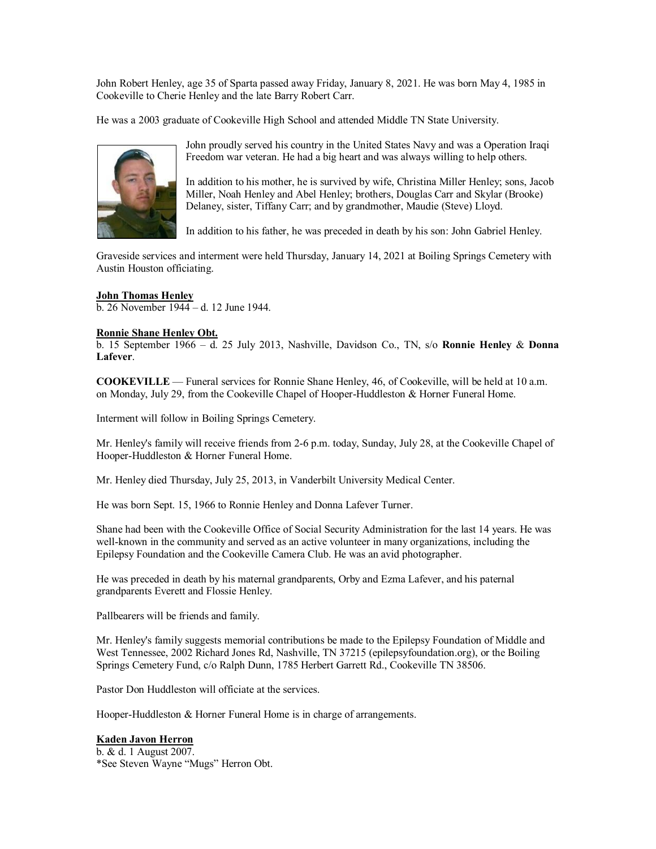John Robert Henley, age 35 of Sparta passed away Friday, January 8, 2021. He was born May 4, 1985 in Cookeville to Cherie Henley and the late Barry Robert Carr.

He was a 2003 graduate of Cookeville High School and attended Middle TN State University.



John proudly served his country in the United States Navy and was a Operation Iraqi Freedom war veteran. He had a big heart and was always willing to help others.

In addition to his mother, he is survived by wife, Christina Miller Henley; sons, Jacob Miller, Noah Henley and Abel Henley; brothers, Douglas Carr and Skylar (Brooke) Delaney, sister, Tiffany Carr; and by grandmother, Maudie (Steve) Lloyd.

In addition to his father, he was preceded in death by his son: John Gabriel Henley.

Graveside services and interment were held Thursday, January 14, 2021 at Boiling Springs Cemetery with Austin Houston officiating.

### **John Thomas Henley**

b. 26 November 1944 – d. 12 June 1944.

### **Ronnie Shane Henley Obt.**

b. 15 September 1966 – d. 25 July 2013, Nashville, Davidson Co., TN, s/o **Ronnie Henley** & **Donna Lafever**.

**COOKEVILLE** — Funeral services for Ronnie Shane Henley, 46, of Cookeville, will be held at 10 a.m. on Monday, July 29, from the Cookeville Chapel of Hooper-Huddleston & Horner Funeral Home.

Interment will follow in Boiling Springs Cemetery.

Mr. Henley's family will receive friends from 2-6 p.m. today, Sunday, July 28, at the Cookeville Chapel of Hooper-Huddleston & Horner Funeral Home.

Mr. Henley died Thursday, July 25, 2013, in Vanderbilt University Medical Center.

He was born Sept. 15, 1966 to Ronnie Henley and Donna Lafever Turner.

Shane had been with the Cookeville Office of Social Security Administration for the last 14 years. He was well-known in the community and served as an active volunteer in many organizations, including the Epilepsy Foundation and the Cookeville Camera Club. He was an avid photographer.

He was preceded in death by his maternal grandparents, Orby and Ezma Lafever, and his paternal grandparents Everett and Flossie Henley.

Pallbearers will be friends and family.

Mr. Henley's family suggests memorial contributions be made to the Epilepsy Foundation of Middle and West Tennessee, 2002 Richard Jones Rd, Nashville, TN 37215 (epilepsyfoundation.org), or the Boiling Springs Cemetery Fund, c/o Ralph Dunn, 1785 Herbert Garrett Rd., Cookeville TN 38506.

Pastor Don Huddleston will officiate at the services.

Hooper-Huddleston & Horner Funeral Home is in charge of arrangements.

## **Kaden Javon Herron**

b. & d. 1 August 2007. \*See Steven Wayne "Mugs" Herron Obt.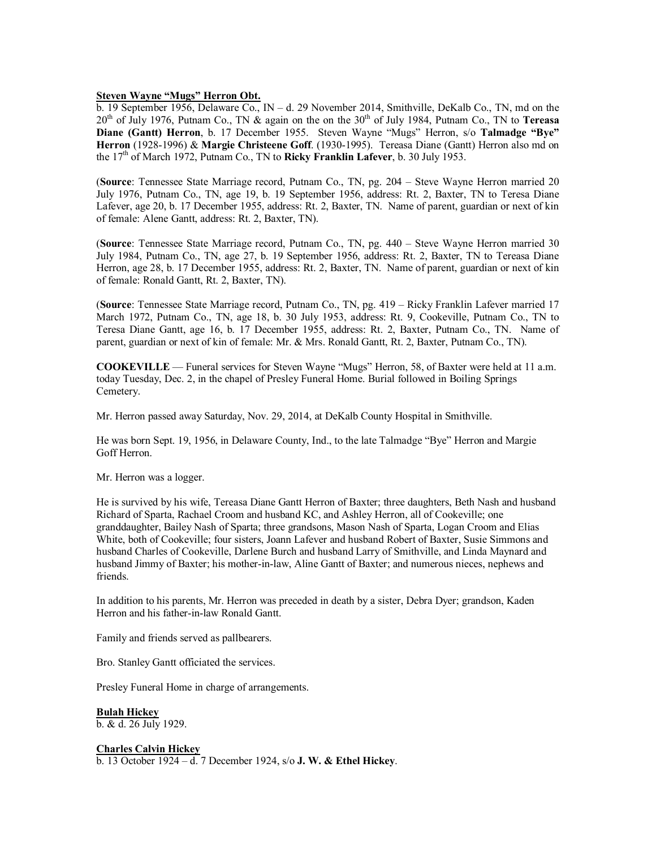# **Steven Wayne "Mugs" Herron Obt.**

b. 19 September 1956, Delaware Co., IN – d. 29 November 2014, Smithville, DeKalb Co., TN, md on the 20<sup>th</sup> of July 1976, Putnam Co., TN & again on the on the 30<sup>th</sup> of July 1984, Putnam Co., TN to **Tereasa Diane (Gantt) Herron**, b. 17 December 1955. Steven Wayne "Mugs" Herron, s/o **Talmadge "Bye" Herron** (1928-1996) & **Margie Christeene Goff**. (1930-1995). Tereasa Diane (Gantt) Herron also md on the 17th of March 1972, Putnam Co., TN to **Ricky Franklin Lafever**, b. 30 July 1953.

(**Source**: Tennessee State Marriage record, Putnam Co., TN, pg. 204 – Steve Wayne Herron married 20 July 1976, Putnam Co., TN, age 19, b. 19 September 1956, address: Rt. 2, Baxter, TN to Teresa Diane Lafever, age 20, b. 17 December 1955, address: Rt. 2, Baxter, TN. Name of parent, guardian or next of kin of female: Alene Gantt, address: Rt. 2, Baxter, TN).

(**Source**: Tennessee State Marriage record, Putnam Co., TN, pg. 440 – Steve Wayne Herron married 30 July 1984, Putnam Co., TN, age 27, b. 19 September 1956, address: Rt. 2, Baxter, TN to Tereasa Diane Herron, age 28, b. 17 December 1955, address: Rt. 2, Baxter, TN. Name of parent, guardian or next of kin of female: Ronald Gantt, Rt. 2, Baxter, TN).

(**Source**: Tennessee State Marriage record, Putnam Co., TN, pg. 419 – Ricky Franklin Lafever married 17 March 1972, Putnam Co., TN, age 18, b. 30 July 1953, address: Rt. 9, Cookeville, Putnam Co., TN to Teresa Diane Gantt, age 16, b. 17 December 1955, address: Rt. 2, Baxter, Putnam Co., TN. Name of parent, guardian or next of kin of female: Mr. & Mrs. Ronald Gantt, Rt. 2, Baxter, Putnam Co., TN).

**COOKEVILLE** — Funeral services for Steven Wayne "Mugs" Herron, 58, of Baxter were held at 11 a.m. today Tuesday, Dec. 2, in the chapel of Presley Funeral Home. Burial followed in Boiling Springs Cemetery.

Mr. Herron passed away Saturday, Nov. 29, 2014, at DeKalb County Hospital in Smithville.

He was born Sept. 19, 1956, in Delaware County, Ind., to the late Talmadge "Bye" Herron and Margie Goff Herron.

Mr. Herron was a logger.

He is survived by his wife, Tereasa Diane Gantt Herron of Baxter; three daughters, Beth Nash and husband Richard of Sparta, Rachael Croom and husband KC, and Ashley Herron, all of Cookeville; one granddaughter, Bailey Nash of Sparta; three grandsons, Mason Nash of Sparta, Logan Croom and Elias White, both of Cookeville; four sisters, Joann Lafever and husband Robert of Baxter, Susie Simmons and husband Charles of Cookeville, Darlene Burch and husband Larry of Smithville, and Linda Maynard and husband Jimmy of Baxter; his mother-in-law, Aline Gantt of Baxter; and numerous nieces, nephews and friends.

In addition to his parents, Mr. Herron was preceded in death by a sister, Debra Dyer; grandson, Kaden Herron and his father-in-law Ronald Gantt.

Family and friends served as pallbearers.

Bro. Stanley Gantt officiated the services.

Presley Funeral Home in charge of arrangements.

**Bulah Hickey** b. & d. 26 July 1929.

**Charles Calvin Hickey** b. 13 October 1924 – d. 7 December 1924, s/o **J. W. & Ethel Hickey**.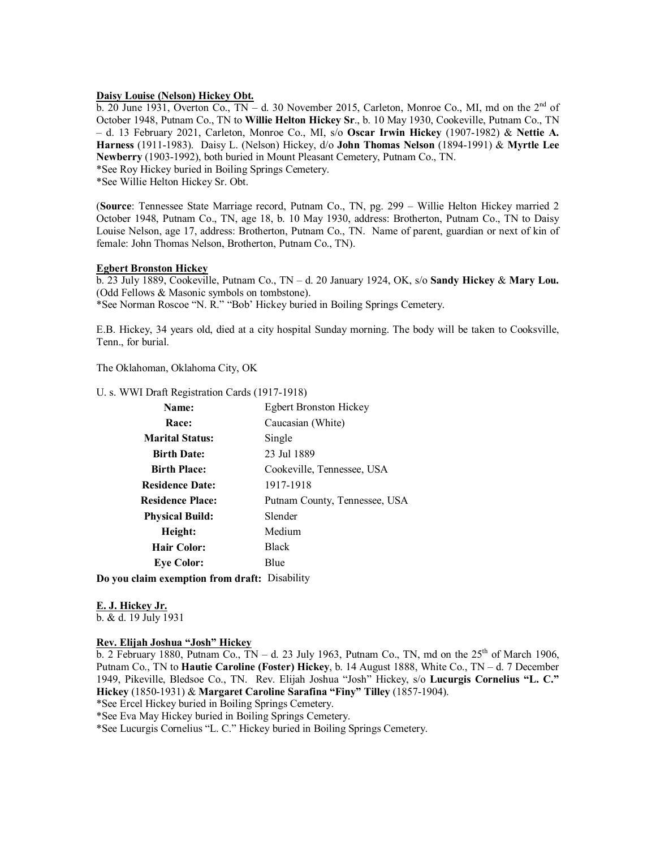# **Daisy Louise (Nelson) Hickey Obt.**

b. 20 June 1931, Overton Co., TN – d. 30 November 2015, Carleton, Monroe Co., MI, md on the 2<sup>nd</sup> of October 1948, Putnam Co., TN to **Willie Helton Hickey Sr**., b. 10 May 1930, Cookeville, Putnam Co., TN – d. 13 February 2021, Carleton, Monroe Co., MI, s/o **Oscar Irwin Hickey** (1907-1982) & **Nettie A. Harness** (1911-1983). Daisy L. (Nelson) Hickey, d/o **John Thomas Nelson** (1894-1991) & **Myrtle Lee Newberry** (1903-1992), both buried in Mount Pleasant Cemetery, Putnam Co., TN. \*See Roy Hickey buried in Boiling Springs Cemetery.

\*See Willie Helton Hickey Sr. Obt.

(**Source**: Tennessee State Marriage record, Putnam Co., TN, pg. 299 – Willie Helton Hickey married 2 October 1948, Putnam Co., TN, age 18, b. 10 May 1930, address: Brotherton, Putnam Co., TN to Daisy Louise Nelson, age 17, address: Brotherton, Putnam Co., TN. Name of parent, guardian or next of kin of female: John Thomas Nelson, Brotherton, Putnam Co., TN).

#### **Egbert Bronston Hickey**

b. 23 July 1889, Cookeville, Putnam Co., TN – d. 20 January 1924, OK, s/o **Sandy Hickey** & **Mary Lou.** (Odd Fellows & Masonic symbols on tombstone).

\*See Norman Roscoe "N. R." "Bob' Hickey buried in Boiling Springs Cemetery.

E.B. Hickey, 34 years old, died at a city hospital Sunday morning. The body will be taken to Cooksville, Tenn., for burial.

The Oklahoman, Oklahoma City, OK

#### U. s. WWI Draft Registration Cards (1917-1918)

| Name:                   | <b>Egbert Bronston Hickey</b> |
|-------------------------|-------------------------------|
| Race:                   | Caucasian (White)             |
| <b>Marital Status:</b>  | Single                        |
| <b>Birth Date:</b>      | 23 Jul 1889                   |
| <b>Birth Place:</b>     | Cookeville, Tennessee, USA    |
| <b>Residence Date:</b>  | 1917-1918                     |
| <b>Residence Place:</b> | Putnam County, Tennessee, USA |
| <b>Physical Build:</b>  | Slender                       |
| Height:                 | Medium                        |
| <b>Hair Color:</b>      | <b>Black</b>                  |
| <b>Eve Color:</b>       | Blue                          |
|                         |                               |

**Do you claim exemption from draft:** Disability

# **E. J. Hickey Jr.**

b. & d. 19 July 1931

### **Rev. Elijah Joshua "Josh" Hickey**

b. 2 February 1880, Putnam Co., TN – d. 23 July 1963, Putnam Co., TN, md on the  $25<sup>th</sup>$  of March 1906, Putnam Co., TN to **Hautie Caroline (Foster) Hickey**, b. 14 August 1888, White Co., TN – d. 7 December 1949, Pikeville, Bledsoe Co., TN. Rev. Elijah Joshua "Josh" Hickey, s/o **Lucurgis Cornelius "L. C." Hickey** (1850-1931) & **Margaret Caroline Sarafina "Finy" Tilley** (1857-1904).

\*See Ercel Hickey buried in Boiling Springs Cemetery.

\*See Eva May Hickey buried in Boiling Springs Cemetery.

\*See Lucurgis Cornelius "L. C." Hickey buried in Boiling Springs Cemetery.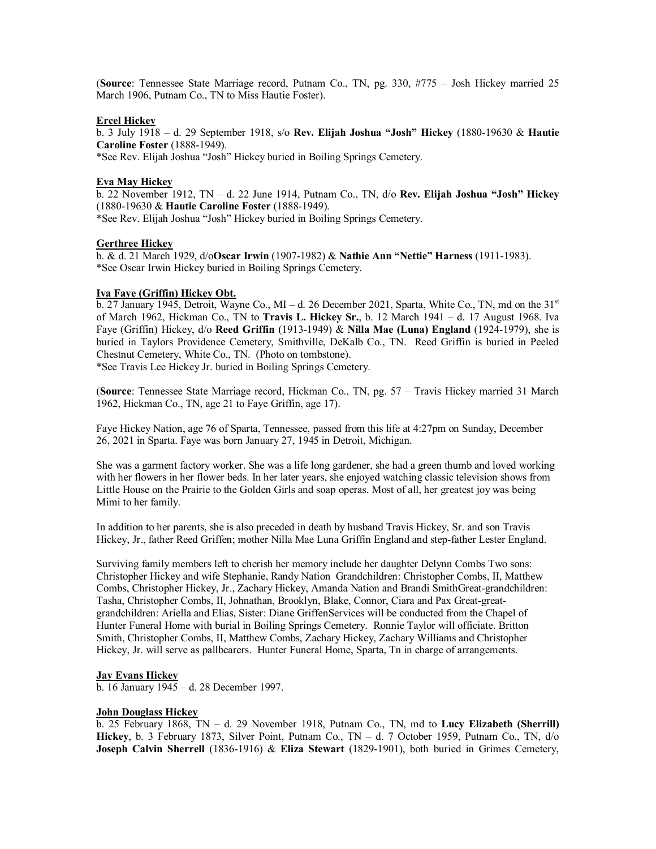(**Source**: Tennessee State Marriage record, Putnam Co., TN, pg. 330, #775 – Josh Hickey married 25 March 1906, Putnam Co., TN to Miss Hautie Foster).

### **Ercel Hickey**

b. 3 July 1918 – d. 29 September 1918, s/o **Rev. Elijah Joshua "Josh" Hickey** (1880-19630 & **Hautie Caroline Foster** (1888-1949).

\*See Rev. Elijah Joshua "Josh" Hickey buried in Boiling Springs Cemetery.

### **Eva May Hickey**

b. 22 November 1912, TN – d. 22 June 1914, Putnam Co., TN, d/o **Rev. Elijah Joshua "Josh" Hickey** (1880-19630 & **Hautie Caroline Foster** (1888-1949).

\*See Rev. Elijah Joshua "Josh" Hickey buried in Boiling Springs Cemetery.

# **Gerthree Hickey**

b. & d. 21 March 1929, d/o**Oscar Irwin** (1907-1982) & **Nathie Ann "Nettie" Harness** (1911-1983). \*See Oscar Irwin Hickey buried in Boiling Springs Cemetery.

#### **Iva Faye (Griffin) Hickey Obt.**

b. 27 January 1945, Detroit, Wayne Co., MI – d. 26 December 2021, Sparta, White Co., TN, md on the  $31<sup>st</sup>$ of March 1962, Hickman Co., TN to **Travis L. Hickey Sr.**, b. 12 March 1941 – d. 17 August 1968. Iva Faye (Griffin) Hickey, d/o **Reed Griffin** (1913-1949) & **Nilla Mae (Luna) England** (1924-1979), she is buried in Taylors Providence Cemetery, Smithville, DeKalb Co., TN. Reed Griffin is buried in Peeled Chestnut Cemetery, White Co., TN. (Photo on tombstone).

\*See Travis Lee Hickey Jr. buried in Boiling Springs Cemetery.

(**Source**: Tennessee State Marriage record, Hickman Co., TN, pg. 57 – Travis Hickey married 31 March 1962, Hickman Co., TN, age 21 to Faye Griffin, age 17).

Faye Hickey Nation, age 76 of Sparta, Tennessee, passed from this life at 4:27pm on Sunday, December 26, 2021 in Sparta. Faye was born January 27, 1945 in Detroit, Michigan.

She was a garment factory worker. She was a life long gardener, she had a green thumb and loved working with her flowers in her flower beds. In her later years, she enjoyed watching classic television shows from Little House on the Prairie to the Golden Girls and soap operas. Most of all, her greatest joy was being Mimi to her family.

In addition to her parents, she is also preceded in death by husband Travis Hickey, Sr. and son Travis Hickey, Jr., father Reed Griffen; mother Nilla Mae Luna Griffin England and step-father Lester England.

Surviving family members left to cherish her memory include her daughter Delynn Combs Two sons: Christopher Hickey and wife Stephanie, Randy Nation Grandchildren: Christopher Combs, II, Matthew Combs, Christopher Hickey, Jr., Zachary Hickey, Amanda Nation and Brandi SmithGreat-grandchildren: Tasha, Christopher Combs, II, Johnathan, Brooklyn, Blake, Connor, Ciara and Pax Great-greatgrandchildren: Ariella and Elias, Sister: Diane GriffenServices will be conducted from the Chapel of Hunter Funeral Home with burial in Boiling Springs Cemetery. Ronnie Taylor will officiate. Britton Smith, Christopher Combs, II, Matthew Combs, Zachary Hickey, Zachary Williams and Christopher Hickey, Jr. will serve as pallbearers. Hunter Funeral Home, Sparta, Tn in charge of arrangements.

#### **Jay Evans Hickey**

b. 16 January 1945 – d. 28 December 1997.

### **John Douglass Hickey**

b. 25 February 1868, TN – d. 29 November 1918, Putnam Co., TN, md to **Lucy Elizabeth (Sherrill) Hickey**, b. 3 February 1873, Silver Point, Putnam Co., TN – d. 7 October 1959, Putnam Co., TN, d/o **Joseph Calvin Sherrell** (1836-1916) & **Eliza Stewart** (1829-1901), both buried in Grimes Cemetery,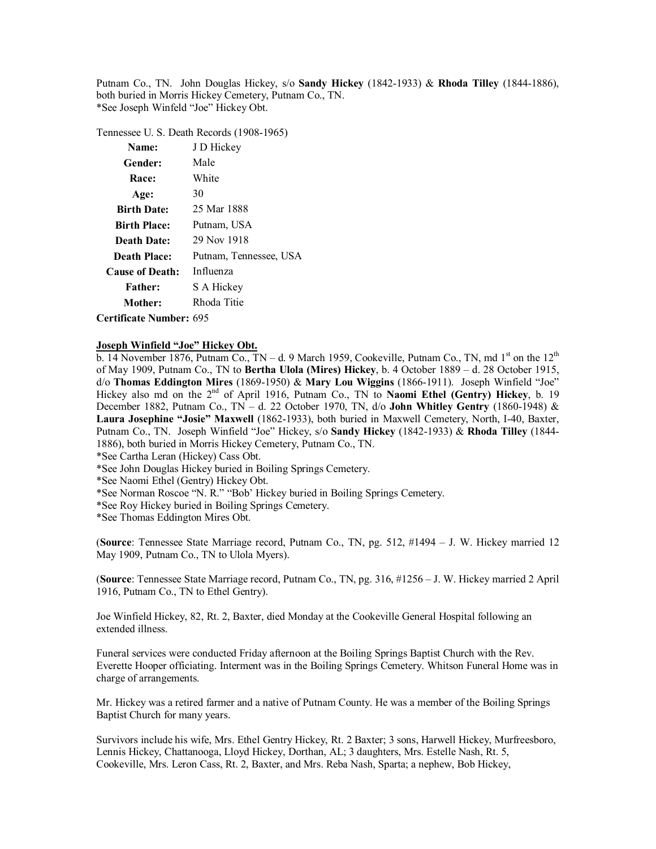Putnam Co., TN. John Douglas Hickey, s/o **Sandy Hickey** (1842-1933) & **Rhoda Tilley** (1844-1886), both buried in Morris Hickey Cemetery, Putnam Co., TN. \*See Joseph Winfeld "Joe" Hickey Obt.

Tennessee U. S. Death Records (1908-1965)

| Name:                          | J D Hickey             |
|--------------------------------|------------------------|
| Gender:                        | Male                   |
| Race:                          | White                  |
| Age:                           | 30                     |
| <b>Birth Date:</b>             | 25 Mar 1888            |
| <b>Birth Place:</b>            | Putnam, USA            |
| <b>Death Date:</b>             | 29 Nov 1918            |
| Death Place:                   | Putnam, Tennessee, USA |
| <b>Cause of Death:</b>         | Influenza              |
| <b>Father:</b>                 | S A Hickey             |
| Mother:                        | Rhoda Titie            |
| <b>Certificate Number: 695</b> |                        |

**Joseph Winfield "Joe" Hickey Obt.**

b. 14 November 1876, Putnam Co., TN – d. 9 March 1959, Cookeville, Putnam Co., TN, md  $1<sup>st</sup>$  on the  $12<sup>th</sup>$ of May 1909, Putnam Co., TN to **Bertha Ulola (Mires) Hickey**, b. 4 October 1889 – d. 28 October 1915, d/o **Thomas Eddington Mires** (1869-1950) & **Mary Lou Wiggins** (1866-1911). Joseph Winfield "Joe" Hickey also md on the 2<sup>nd</sup> of April 1916, Putnam Co., TN to **Naomi Ethel (Gentry) Hickey**, b. 19 December 1882, Putnam Co., TN – d. 22 October 1970, TN, d/o **John Whitley Gentry** (1860-1948) & **Laura Josephine "Josie" Maxwell** (1862-1933), both buried in Maxwell Cemetery, North, I-40, Baxter, Putnam Co., TN. Joseph Winfield "Joe" Hickey, s/o **Sandy Hickey** (1842-1933) & **Rhoda Tilley** (1844- 1886), both buried in Morris Hickey Cemetery, Putnam Co., TN.

\*See Cartha Leran (Hickey) Cass Obt.

\*See John Douglas Hickey buried in Boiling Springs Cemetery.

\*See Naomi Ethel (Gentry) Hickey Obt.

\*See Norman Roscoe "N. R." "Bob' Hickey buried in Boiling Springs Cemetery.

\*See Roy Hickey buried in Boiling Springs Cemetery.

\*See Thomas Eddington Mires Obt.

(**Source**: Tennessee State Marriage record, Putnam Co., TN, pg. 512, #1494 – J. W. Hickey married 12 May 1909, Putnam Co., TN to Ulola Myers).

(**Source**: Tennessee State Marriage record, Putnam Co., TN, pg. 316, #1256 – J. W. Hickey married 2 April 1916, Putnam Co., TN to Ethel Gentry).

Joe Winfield Hickey, 82, Rt. 2, Baxter, died Monday at the Cookeville General Hospital following an extended illness.

Funeral services were conducted Friday afternoon at the Boiling Springs Baptist Church with the Rev. Everette Hooper officiating. Interment was in the Boiling Springs Cemetery. Whitson Funeral Home was in charge of arrangements.

Mr. Hickey was a retired farmer and a native of Putnam County. He was a member of the Boiling Springs Baptist Church for many years.

Survivors include his wife, Mrs. Ethel Gentry Hickey, Rt. 2 Baxter; 3 sons, Harwell Hickey, Murfreesboro, Lennis Hickey, Chattanooga, Lloyd Hickey, Dorthan, AL; 3 daughters, Mrs. Estelle Nash, Rt. 5, Cookeville, Mrs. Leron Cass, Rt. 2, Baxter, and Mrs. Reba Nash, Sparta; a nephew, Bob Hickey,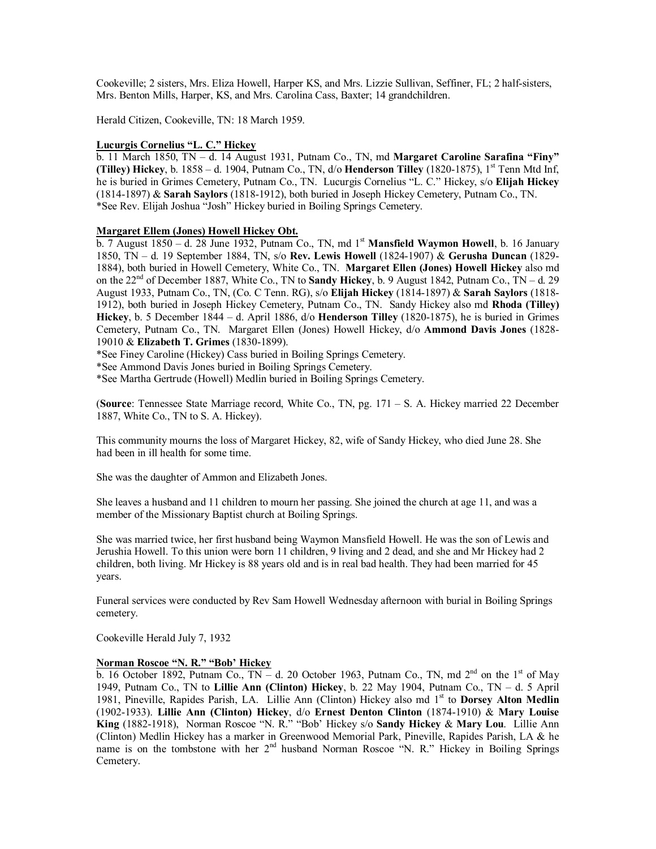Cookeville; 2 sisters, Mrs. Eliza Howell, Harper KS, and Mrs. Lizzie Sullivan, Seffiner, FL; 2 half-sisters, Mrs. Benton Mills, Harper, KS, and Mrs. Carolina Cass, Baxter; 14 grandchildren.

Herald Citizen, Cookeville, TN: 18 March 1959.

#### **Lucurgis Cornelius "L. C." Hickey**

b. 11 March 1850, TN – d. 14 August 1931, Putnam Co., TN, md **Margaret Caroline Sarafina "Finy" (Tilley) Hickey**, b.  $1858 - d$ . 1904, Putnam Co., TN,  $d$ /o **Henderson Tilley** (1820-1875), 1<sup>st</sup> Tenn Mtd Inf, he is buried in Grimes Cemetery, Putnam Co., TN. Lucurgis Cornelius "L. C." Hickey, s/o **Elijah Hickey** (1814-1897) & **Sarah Saylors** (1818-1912), both buried in Joseph Hickey Cemetery, Putnam Co., TN. \*See Rev. Elijah Joshua "Josh" Hickey buried in Boiling Springs Cemetery.

#### **Margaret Ellem (Jones) Howell Hickey Obt.**

b. 7 August 1850 – d. 28 June 1932, Putnam Co., TN, md 1st **Mansfield Waymon Howell**, b. 16 January 1850, TN – d. 19 September 1884, TN, s/o **Rev. Lewis Howell** (1824-1907) & **Gerusha Duncan** (1829- 1884), both buried in Howell Cemetery, White Co., TN. **Margaret Ellen (Jones) Howell Hickey** also md on the  $22<sup>nd</sup>$  of December 1887, White Co., TN to **Sandy Hickey**, b. 9 August 1842, Putnam Co., TN – d. 29 August 1933, Putnam Co., TN, (Co. C Tenn. RG), s/o **Elijah Hickey** (1814-1897) & **Sarah Saylors** (1818- 1912), both buried in Joseph Hickey Cemetery, Putnam Co., TN. Sandy Hickey also md **Rhoda (Tilley) Hickey**, b. 5 December 1844 – d. April 1886, d/o **Henderson Tilley** (1820-1875), he is buried in Grimes Cemetery, Putnam Co., TN. Margaret Ellen (Jones) Howell Hickey, d/o **Ammond Davis Jones** (1828- 19010 & **Elizabeth T. Grimes** (1830-1899).

\*See Finey Caroline (Hickey) Cass buried in Boiling Springs Cemetery.

\*See Ammond Davis Jones buried in Boiling Springs Cemetery.

\*See Martha Gertrude (Howell) Medlin buried in Boiling Springs Cemetery.

(**Source**: Tennessee State Marriage record, White Co., TN, pg. 171 – S. A. Hickey married 22 December 1887, White Co., TN to S. A. Hickey).

This community mourns the loss of Margaret Hickey, 82, wife of Sandy Hickey, who died June 28. She had been in ill health for some time.

She was the daughter of Ammon and Elizabeth Jones.

She leaves a husband and 11 children to mourn her passing. She joined the church at age 11, and was a member of the Missionary Baptist church at Boiling Springs.

She was married twice, her first husband being Waymon Mansfield Howell. He was the son of Lewis and Jerushia Howell. To this union were born 11 children, 9 living and 2 dead, and she and Mr Hickey had 2 children, both living. Mr Hickey is 88 years old and is in real bad health. They had been married for 45 years.

Funeral services were conducted by Rev Sam Howell Wednesday afternoon with burial in Boiling Springs cemetery.

Cookeville Herald July 7, 1932

# **Norman Roscoe "N. R." "Bob' Hickey**

b. 16 October 1892, Putnam Co., TN – d. 20 October 1963, Putnam Co., TN, md  $2^{nd}$  on the 1<sup>st</sup> of May 1949, Putnam Co., TN to **Lillie Ann (Clinton) Hickey**, b. 22 May 1904, Putnam Co., TN – d. 5 April 1981, Pineville, Rapides Parish, LA. Lillie Ann (Clinton) Hickey also md 1st to **Dorsey Alton Medlin** (1902-1933). **Lillie Ann (Clinton) Hickey**, d/o **Ernest Denton Clinton** (1874-1910) & **Mary Louise King** (1882-1918), Norman Roscoe "N. R." "Bob' Hickey s/o **Sandy Hickey** & **Mary Lou**. Lillie Ann (Clinton) Medlin Hickey has a marker in Greenwood Memorial Park, Pineville, Rapides Parish, LA & he name is on the tombstone with her 2<sup>nd</sup> husband Norman Roscoe "N. R." Hickey in Boiling Springs Cemetery.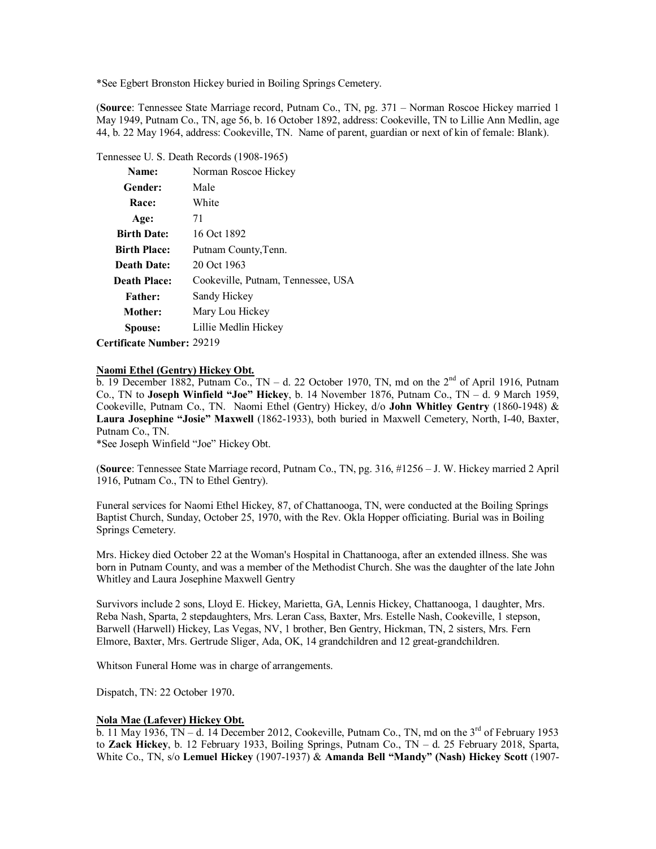\*See Egbert Bronston Hickey buried in Boiling Springs Cemetery.

(**Source**: Tennessee State Marriage record, Putnam Co., TN, pg. 371 – Norman Roscoe Hickey married 1 May 1949, Putnam Co., TN, age 56, b. 16 October 1892, address: Cookeville, TN to Lillie Ann Medlin, age 44, b. 22 May 1964, address: Cookeville, TN. Name of parent, guardian or next of kin of female: Blank).

#### Tennessee U. S. Death Records (1908-1965)

| Name:               | Norman Roscoe Hickey               |
|---------------------|------------------------------------|
| Gender:             | Male                               |
| Race:               | White                              |
| Age:                | 71                                 |
| <b>Birth Date:</b>  | 16 Oct 1892                        |
| <b>Birth Place:</b> | Putnam County, Tenn.               |
| <b>Death Date:</b>  | 20 Oct 1963                        |
| <b>Death Place:</b> | Cookeville, Putnam, Tennessee, USA |
| <b>Father:</b>      | Sandy Hickey                       |
| Mother:             | Mary Lou Hickey                    |
| Spouse:             | Lillie Medlin Hickey               |
|                     | $\sim$ $\sim$ 1 $\sim$             |

**Certificate Number:** 29219

#### **Naomi Ethel (Gentry) Hickey Obt.**

b. 19 December 1882, Putnam Co., TN – d. 22 October 1970, TN, md on the  $2<sup>nd</sup>$  of April 1916, Putnam Co., TN to **Joseph Winfield "Joe" Hickey**, b. 14 November 1876, Putnam Co., TN – d. 9 March 1959, Cookeville, Putnam Co., TN. Naomi Ethel (Gentry) Hickey, d/o **John Whitley Gentry** (1860-1948) & **Laura Josephine "Josie" Maxwell** (1862-1933), both buried in Maxwell Cemetery, North, I-40, Baxter, Putnam Co., TN.

\*See Joseph Winfield "Joe" Hickey Obt.

(**Source**: Tennessee State Marriage record, Putnam Co., TN, pg. 316, #1256 – J. W. Hickey married 2 April 1916, Putnam Co., TN to Ethel Gentry).

Funeral services for Naomi Ethel Hickey, 87, of Chattanooga, TN, were conducted at the Boiling Springs Baptist Church, Sunday, October 25, 1970, with the Rev. Okla Hopper officiating. Burial was in Boiling Springs Cemetery.

Mrs. Hickey died October 22 at the Woman's Hospital in Chattanooga, after an extended illness. She was born in Putnam County, and was a member of the Methodist Church. She was the daughter of the late John Whitley and Laura Josephine Maxwell Gentry

Survivors include 2 sons, Lloyd E. Hickey, Marietta, GA, Lennis Hickey, Chattanooga, 1 daughter, Mrs. Reba Nash, Sparta, 2 stepdaughters, Mrs. Leran Cass, Baxter, Mrs. Estelle Nash, Cookeville, 1 stepson, Barwell (Harwell) Hickey, Las Vegas, NV, 1 brother, Ben Gentry, Hickman, TN, 2 sisters, Mrs. Fern Elmore, Baxter, Mrs. Gertrude Sliger, Ada, OK, 14 grandchildren and 12 great-grandchildren.

Whitson Funeral Home was in charge of arrangements.

Dispatch, TN: 22 October 1970.

### **Nola Mae (Lafever) Hickey Obt.**

b. 11 May 1936, TN – d. 14 December 2012, Cookeville, Putnam Co., TN, md on the  $3<sup>rd</sup>$  of February 1953 to **Zack Hickey**, b. 12 February 1933, Boiling Springs, Putnam Co., TN – d. 25 February 2018, Sparta, White Co., TN, s/o **Lemuel Hickey** (1907-1937) & **Amanda Bell "Mandy" (Nash) Hickey Scott** (1907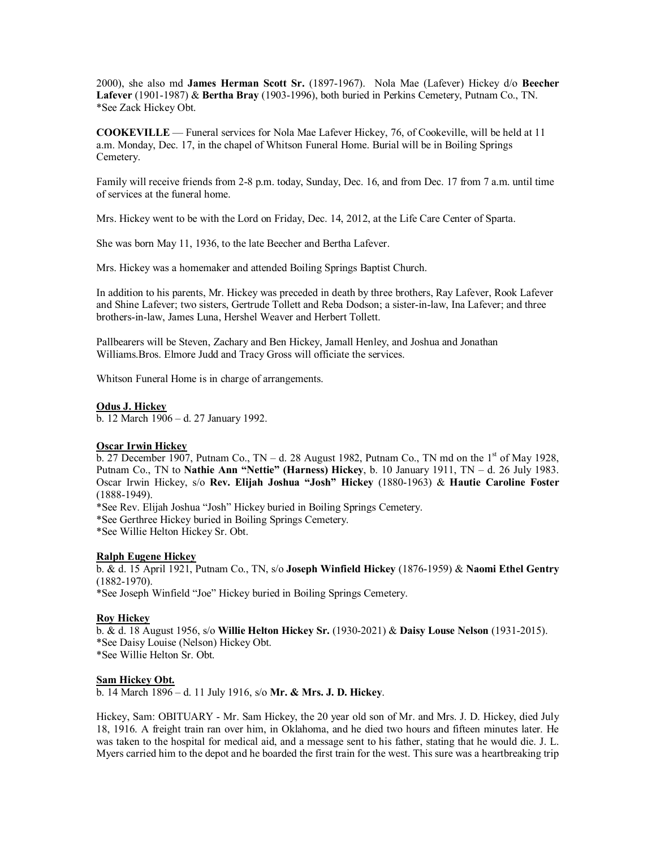2000), she also md **James Herman Scott Sr.** (1897-1967). Nola Mae (Lafever) Hickey d/o **Beecher Lafever** (1901-1987) & **Bertha Bray** (1903-1996), both buried in Perkins Cemetery, Putnam Co., TN. \*See Zack Hickey Obt.

**COOKEVILLE** — Funeral services for Nola Mae Lafever Hickey, 76, of Cookeville, will be held at 11 a.m. Monday, Dec. 17, in the chapel of Whitson Funeral Home. Burial will be in Boiling Springs Cemetery.

Family will receive friends from 2-8 p.m. today, Sunday, Dec. 16, and from Dec. 17 from 7 a.m. until time of services at the funeral home.

Mrs. Hickey went to be with the Lord on Friday, Dec. 14, 2012, at the Life Care Center of Sparta.

She was born May 11, 1936, to the late Beecher and Bertha Lafever.

Mrs. Hickey was a homemaker and attended Boiling Springs Baptist Church.

In addition to his parents, Mr. Hickey was preceded in death by three brothers, Ray Lafever, Rook Lafever and Shine Lafever; two sisters, Gertrude Tollett and Reba Dodson; a sister-in-law, Ina Lafever; and three brothers-in-law, James Luna, Hershel Weaver and Herbert Tollett.

Pallbearers will be Steven, Zachary and Ben Hickey, Jamall Henley, and Joshua and Jonathan Williams.Bros. Elmore Judd and Tracy Gross will officiate the services.

Whitson Funeral Home is in charge of arrangements.

#### **Odus J. Hickey**

b. 12 March 1906 – d. 27 January 1992.

#### **Oscar Irwin Hickey**

b. 27 December 1907, Putnam Co., TN – d. 28 August 1982, Putnam Co., TN md on the  $1<sup>st</sup>$  of May 1928, Putnam Co., TN to **Nathie Ann "Nettie" (Harness) Hickey**, b. 10 January 1911, TN – d. 26 July 1983. Oscar Irwin Hickey, s/o **Rev. Elijah Joshua "Josh" Hickey** (1880-1963) & **Hautie Caroline Foster** (1888-1949).

\*See Rev. Elijah Joshua "Josh" Hickey buried in Boiling Springs Cemetery.

\*See Gerthree Hickey buried in Boiling Springs Cemetery.

\*See Willie Helton Hickey Sr. Obt.

# **Ralph Eugene Hickey**

b. & d. 15 April 1921, Putnam Co., TN, s/o **Joseph Winfield Hickey** (1876-1959) & **Naomi Ethel Gentry** (1882-1970).

\*See Joseph Winfield "Joe" Hickey buried in Boiling Springs Cemetery.

#### **Roy Hickey**

b. & d. 18 August 1956, s/o **Willie Helton Hickey Sr.** (1930-2021) & **Daisy Louse Nelson** (1931-2015). \*See Daisy Louise (Nelson) Hickey Obt. \*See Willie Helton Sr. Obt.

#### **Sam Hickey Obt.**

b. 14 March 1896 – d. 11 July 1916, s/o **Mr. & Mrs. J. D. Hickey**.

Hickey, Sam: OBITUARY - Mr. Sam Hickey, the 20 year old son of Mr. and Mrs. J. D. Hickey, died July 18, 1916. A freight train ran over him, in Oklahoma, and he died two hours and fifteen minutes later. He was taken to the hospital for medical aid, and a message sent to his father, stating that he would die. J. L. Myers carried him to the depot and he boarded the first train for the west. This sure was a heartbreaking trip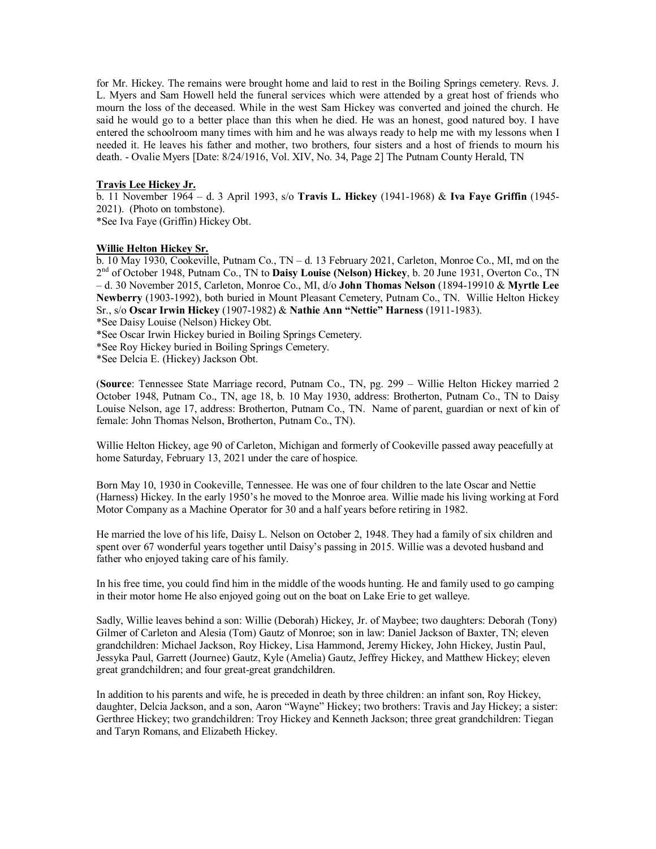for Mr. Hickey. The remains were brought home and laid to rest in the Boiling Springs cemetery. Revs. J. L. Myers and Sam Howell held the funeral services which were attended by a great host of friends who mourn the loss of the deceased. While in the west Sam Hickey was converted and joined the church. He said he would go to a better place than this when he died. He was an honest, good natured boy. I have entered the schoolroom many times with him and he was always ready to help me with my lessons when I needed it. He leaves his father and mother, two brothers, four sisters and a host of friends to mourn his death. - Ovalie Myers [Date: 8/24/1916, Vol. XIV, No. 34, Page 2] The Putnam County Herald, TN

### **Travis Lee Hickey Jr.**

b. 11 November 1964 – d. 3 April 1993, s/o **Travis L. Hickey** (1941-1968) & **Iva Faye Griffin** (1945- 2021). (Photo on tombstone).

\*See Iva Faye (Griffin) Hickey Obt.

#### **Willie Helton Hickey Sr.**

b. 10 May 1930, Cookeville, Putnam Co., TN – d. 13 February 2021, Carleton, Monroe Co., MI, md on the 2 nd of October 1948, Putnam Co., TN to **Daisy Louise (Nelson) Hickey**, b. 20 June 1931, Overton Co., TN – d. 30 November 2015, Carleton, Monroe Co., MI, d/o **John Thomas Nelson** (1894-19910 & **Myrtle Lee Newberry** (1903-1992), both buried in Mount Pleasant Cemetery, Putnam Co., TN. Willie Helton Hickey Sr., s/o **Oscar Irwin Hickey** (1907-1982) & **Nathie Ann "Nettie" Harness** (1911-1983).

\*See Daisy Louise (Nelson) Hickey Obt.

\*See Oscar Irwin Hickey buried in Boiling Springs Cemetery.

\*See Roy Hickey buried in Boiling Springs Cemetery.

\*See Delcia E. (Hickey) Jackson Obt.

(**Source**: Tennessee State Marriage record, Putnam Co., TN, pg. 299 – Willie Helton Hickey married 2 October 1948, Putnam Co., TN, age 18, b. 10 May 1930, address: Brotherton, Putnam Co., TN to Daisy Louise Nelson, age 17, address: Brotherton, Putnam Co., TN. Name of parent, guardian or next of kin of female: John Thomas Nelson, Brotherton, Putnam Co., TN).

Willie Helton Hickey, age 90 of Carleton, Michigan and formerly of Cookeville passed away peacefully at home Saturday, February 13, 2021 under the care of hospice.

Born May 10, 1930 in Cookeville, Tennessee. He was one of four children to the late Oscar and Nettie (Harness) Hickey. In the early 1950's he moved to the Monroe area. Willie made his living working at Ford Motor Company as a Machine Operator for 30 and a half years before retiring in 1982.

He married the love of his life, Daisy L. Nelson on October 2, 1948. They had a family of six children and spent over 67 wonderful years together until Daisy's passing in 2015. Willie was a devoted husband and father who enjoyed taking care of his family.

In his free time, you could find him in the middle of the woods hunting. He and family used to go camping in their motor home He also enjoyed going out on the boat on Lake Erie to get walleye.

Sadly, Willie leaves behind a son: Willie (Deborah) Hickey, Jr. of Maybee; two daughters: Deborah (Tony) Gilmer of Carleton and Alesia (Tom) Gautz of Monroe; son in law: Daniel Jackson of Baxter, TN; eleven grandchildren: Michael Jackson, Roy Hickey, Lisa Hammond, Jeremy Hickey, John Hickey, Justin Paul, Jessyka Paul, Garrett (Journee) Gautz, Kyle (Amelia) Gautz, Jeffrey Hickey, and Matthew Hickey; eleven great grandchildren; and four great-great grandchildren.

In addition to his parents and wife, he is preceded in death by three children: an infant son, Roy Hickey, daughter, Delcia Jackson, and a son, Aaron "Wayne" Hickey; two brothers: Travis and Jay Hickey; a sister: Gerthree Hickey; two grandchildren: Troy Hickey and Kenneth Jackson; three great grandchildren: Tiegan and Taryn Romans, and Elizabeth Hickey.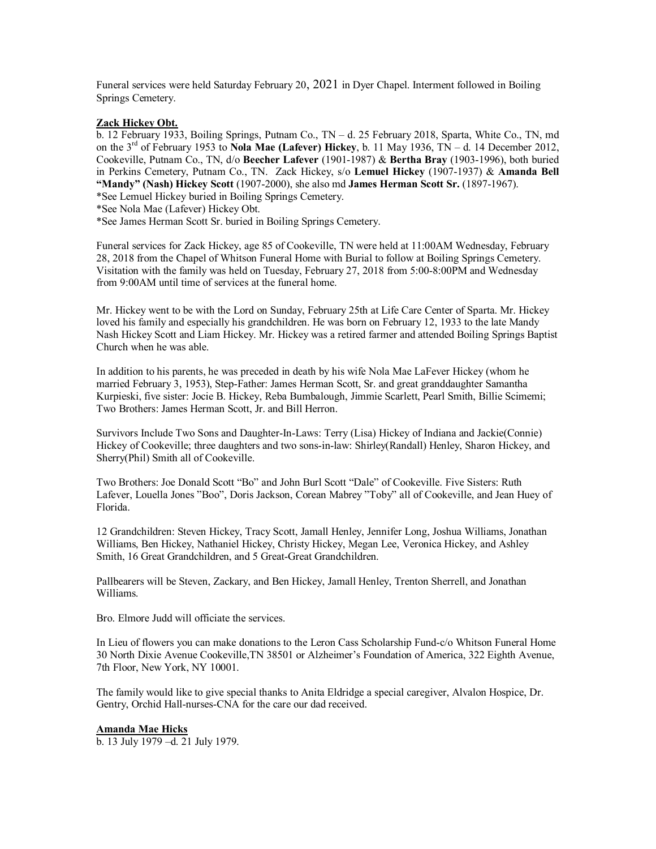Funeral services were held Saturday February 20, 2021 in Dyer Chapel. Interment followed in Boiling Springs Cemetery.

#### **Zack Hickey Obt.**

b. 12 February 1933, Boiling Springs, Putnam Co., TN – d. 25 February 2018, Sparta, White Co., TN, md on the 3rd of February 1953 to **Nola Mae (Lafever) Hickey**, b. 11 May 1936, TN – d. 14 December 2012, Cookeville, Putnam Co., TN, d/o **Beecher Lafever** (1901-1987) & **Bertha Bray** (1903-1996), both buried in Perkins Cemetery, Putnam Co., TN. Zack Hickey, s/o **Lemuel Hickey** (1907-1937) & **Amanda Bell "Mandy" (Nash) Hickey Scott** (1907-2000), she also md **James Herman Scott Sr.** (1897-1967). \*See Lemuel Hickey buried in Boiling Springs Cemetery.

\*See Nola Mae (Lafever) Hickey Obt.

\*See James Herman Scott Sr. buried in Boiling Springs Cemetery.

Funeral services for Zack Hickey, age 85 of Cookeville, TN were held at 11:00AM Wednesday, February 28, 2018 from the Chapel of Whitson Funeral Home with Burial to follow at Boiling Springs Cemetery. Visitation with the family was held on Tuesday, February 27, 2018 from 5:00-8:00PM and Wednesday from 9:00AM until time of services at the funeral home.

Mr. Hickey went to be with the Lord on Sunday, February 25th at Life Care Center of Sparta. Mr. Hickey loved his family and especially his grandchildren. He was born on February 12, 1933 to the late Mandy Nash Hickey Scott and Liam Hickey. Mr. Hickey was a retired farmer and attended Boiling Springs Baptist Church when he was able.

In addition to his parents, he was preceded in death by his wife Nola Mae LaFever Hickey (whom he married February 3, 1953), Step-Father: James Herman Scott, Sr. and great granddaughter Samantha Kurpieski, five sister: Jocie B. Hickey, Reba Bumbalough, Jimmie Scarlett, Pearl Smith, Billie Scimemi; Two Brothers: James Herman Scott, Jr. and Bill Herron.

Survivors Include Two Sons and Daughter-In-Laws: Terry (Lisa) Hickey of Indiana and Jackie(Connie) Hickey of Cookeville; three daughters and two sons-in-law: Shirley(Randall) Henley, Sharon Hickey, and Sherry(Phil) Smith all of Cookeville.

Two Brothers: Joe Donald Scott "Bo" and John Burl Scott "Dale" of Cookeville. Five Sisters: Ruth Lafever, Louella Jones "Boo", Doris Jackson, Corean Mabrey "Toby" all of Cookeville, and Jean Huey of Florida.

12 Grandchildren: Steven Hickey, Tracy Scott, Jamall Henley, Jennifer Long, Joshua Williams, Jonathan Williams, Ben Hickey, Nathaniel Hickey, Christy Hickey, Megan Lee, Veronica Hickey, and Ashley Smith, 16 Great Grandchildren, and 5 Great-Great Grandchildren.

Pallbearers will be Steven, Zackary, and Ben Hickey, Jamall Henley, Trenton Sherrell, and Jonathan Williams.

Bro. Elmore Judd will officiate the services.

In Lieu of flowers you can make donations to the Leron Cass Scholarship Fund-c/o Whitson Funeral Home 30 North Dixie Avenue Cookeville,TN 38501 or Alzheimer's Foundation of America, 322 Eighth Avenue, 7th Floor, New York, NY 10001.

The family would like to give special thanks to Anita Eldridge a special caregiver, Alvalon Hospice, Dr. Gentry, Orchid Hall-nurses-CNA for the care our dad received.

#### **Amanda Mae Hicks**

b. 13 July 1979 –d. 21 July 1979.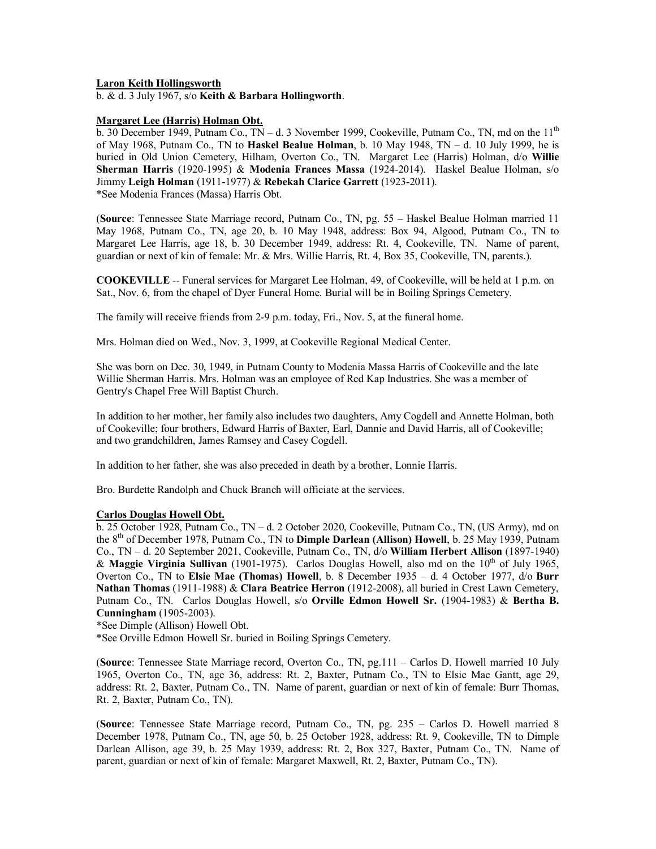#### **Laron Keith Hollingsworth**

b. & d. 3 July 1967, s/o **Keith & Barbara Hollingworth**.

#### **Margaret Lee (Harris) Holman Obt.**

b. 30 December 1949, Putnam Co.,  $TN - d$ . 3 November 1999, Cookeville, Putnam Co., TN, md on the  $11<sup>th</sup>$ of May 1968, Putnam Co., TN to **Haskel Bealue Holman**, b. 10 May 1948, TN – d. 10 July 1999, he is buried in Old Union Cemetery, Hilham, Overton Co., TN. Margaret Lee (Harris) Holman, d/o **Willie Sherman Harris** (1920-1995) & **Modenia Frances Massa** (1924-2014). Haskel Bealue Holman, s/o Jimmy **Leigh Holman** (1911-1977) & **Rebekah Clarice Garrett** (1923-2011). \*See Modenia Frances (Massa) Harris Obt.

(**Source**: Tennessee State Marriage record, Putnam Co., TN, pg. 55 – Haskel Bealue Holman married 11 May 1968, Putnam Co., TN, age 20, b. 10 May 1948, address: Box 94, Algood, Putnam Co., TN to Margaret Lee Harris, age 18, b. 30 December 1949, address: Rt. 4, Cookeville, TN. Name of parent, guardian or next of kin of female: Mr. & Mrs. Willie Harris, Rt. 4, Box 35, Cookeville, TN, parents.).

**COOKEVILLE** -- Funeral services for Margaret Lee Holman, 49, of Cookeville, will be held at 1 p.m. on Sat., Nov. 6, from the chapel of Dyer Funeral Home. Burial will be in Boiling Springs Cemetery.

The family will receive friends from 2-9 p.m. today, Fri., Nov. 5, at the funeral home.

Mrs. Holman died on Wed., Nov. 3, 1999, at Cookeville Regional Medical Center.

She was born on Dec. 30, 1949, in Putnam County to Modenia Massa Harris of Cookeville and the late Willie Sherman Harris. Mrs. Holman was an employee of Red Kap Industries. She was a member of Gentry's Chapel Free Will Baptist Church.

In addition to her mother, her family also includes two daughters, Amy Cogdell and Annette Holman, both of Cookeville; four brothers, Edward Harris of Baxter, Earl, Dannie and David Harris, all of Cookeville; and two grandchildren, James Ramsey and Casey Cogdell.

In addition to her father, she was also preceded in death by a brother, Lonnie Harris.

Bro. Burdette Randolph and Chuck Branch will officiate at the services.

#### **Carlos Douglas Howell Obt.**

b. 25 October 1928, Putnam Co., TN – d. 2 October 2020, Cookeville, Putnam Co., TN, (US Army), md on the 8th of December 1978, Putnam Co., TN to **Dimple Darlean (Allison) Howell**, b. 25 May 1939, Putnam Co., TN – d. 20 September 2021, Cookeville, Putnam Co., TN, d/o **William Herbert Allison** (1897-1940) & Maggie Virginia Sullivan (1901-1975). Carlos Douglas Howell, also md on the 10<sup>th</sup> of July 1965, Overton Co., TN to **Elsie Mae (Thomas) Howell**, b. 8 December 1935 – d. 4 October 1977, d/o **Burr Nathan Thomas** (1911-1988) & **Clara Beatrice Herron** (1912-2008), all buried in Crest Lawn Cemetery, Putnam Co., TN. Carlos Douglas Howell, s/o **Orville Edmon Howell Sr.** (1904-1983) & **Bertha B. Cunningham** (1905-2003).

\*See Dimple (Allison) Howell Obt.

\*See Orville Edmon Howell Sr. buried in Boiling Springs Cemetery.

(**Source**: Tennessee State Marriage record, Overton Co., TN, pg.111 – Carlos D. Howell married 10 July 1965, Overton Co., TN, age 36, address: Rt. 2, Baxter, Putnam Co., TN to Elsie Mae Gantt, age 29, address: Rt. 2, Baxter, Putnam Co., TN. Name of parent, guardian or next of kin of female: Burr Thomas, Rt. 2, Baxter, Putnam Co., TN).

(**Source**: Tennessee State Marriage record, Putnam Co., TN, pg. 235 – Carlos D. Howell married 8 December 1978, Putnam Co., TN, age 50, b. 25 October 1928, address: Rt. 9, Cookeville, TN to Dimple Darlean Allison, age 39, b. 25 May 1939, address: Rt. 2, Box 327, Baxter, Putnam Co., TN. Name of parent, guardian or next of kin of female: Margaret Maxwell, Rt. 2, Baxter, Putnam Co., TN).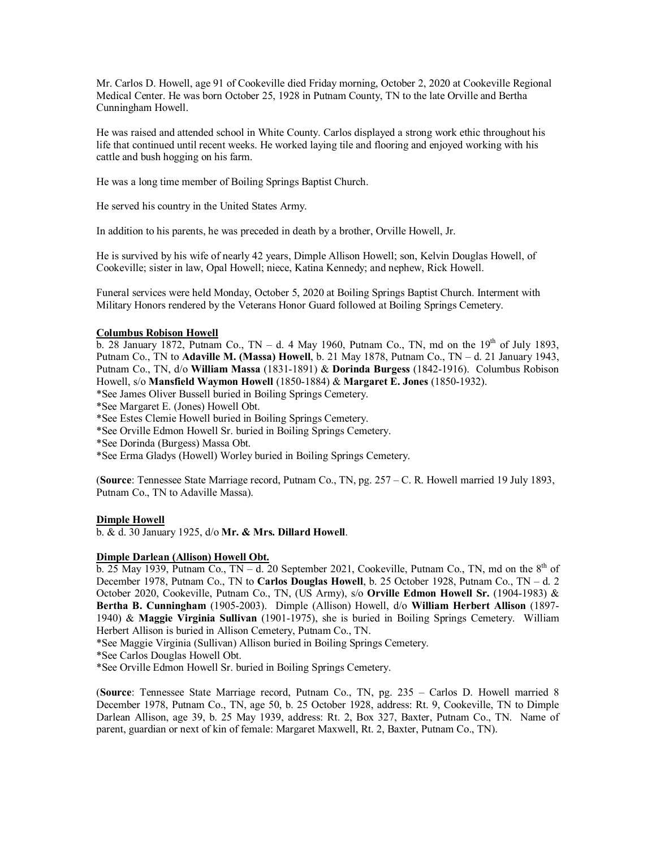Mr. Carlos D. Howell, age 91 of Cookeville died Friday morning, October 2, 2020 at Cookeville Regional Medical Center. He was born October 25, 1928 in Putnam County, TN to the late Orville and Bertha Cunningham Howell.

He was raised and attended school in White County. Carlos displayed a strong work ethic throughout his life that continued until recent weeks. He worked laying tile and flooring and enjoyed working with his cattle and bush hogging on his farm.

He was a long time member of Boiling Springs Baptist Church.

He served his country in the United States Army.

In addition to his parents, he was preceded in death by a brother, Orville Howell, Jr.

He is survived by his wife of nearly 42 years, Dimple Allison Howell; son, Kelvin Douglas Howell, of Cookeville; sister in law, Opal Howell; niece, Katina Kennedy; and nephew, Rick Howell.

Funeral services were held Monday, October 5, 2020 at Boiling Springs Baptist Church. Interment with Military Honors rendered by the Veterans Honor Guard followed at Boiling Springs Cemetery.

### **Columbus Robison Howell**

b. 28 January 1872, Putnam Co., TN – d. 4 May 1960, Putnam Co., TN, md on the  $19<sup>th</sup>$  of July 1893, Putnam Co., TN to **Adaville M. (Massa) Howell**, b. 21 May 1878, Putnam Co., TN – d. 21 January 1943, Putnam Co., TN, d/o **William Massa** (1831-1891) & **Dorinda Burgess** (1842-1916). Columbus Robison Howell, s/o **Mansfield Waymon Howell** (1850-1884) & **Margaret E. Jones** (1850-1932).

\*See James Oliver Bussell buried in Boiling Springs Cemetery.

\*See Margaret E. (Jones) Howell Obt.

\*See Estes Clemie Howell buried in Boiling Springs Cemetery.

\*See Orville Edmon Howell Sr. buried in Boiling Springs Cemetery.

\*See Dorinda (Burgess) Massa Obt.

\*See Erma Gladys (Howell) Worley buried in Boiling Springs Cemetery.

(**Source**: Tennessee State Marriage record, Putnam Co., TN, pg. 257 – C. R. Howell married 19 July 1893, Putnam Co., TN to Adaville Massa).

#### **Dimple Howell**

b. & d. 30 January 1925, d/o **Mr. & Mrs. Dillard Howell**.

#### **Dimple Darlean (Allison) Howell Obt.**

b. 25 May 1939, Putnam Co.,  $TN - d$ . 20 September 2021, Cookeville, Putnam Co., TN, md on the  $8<sup>th</sup>$  of December 1978, Putnam Co., TN to **Carlos Douglas Howell**, b. 25 October 1928, Putnam Co., TN – d. 2 October 2020, Cookeville, Putnam Co., TN, (US Army), s/o **Orville Edmon Howell Sr.** (1904-1983) & **Bertha B. Cunningham** (1905-2003). Dimple (Allison) Howell, d/o **William Herbert Allison** (1897- 1940) & **Maggie Virginia Sullivan** (1901-1975), she is buried in Boiling Springs Cemetery. William Herbert Allison is buried in Allison Cemetery, Putnam Co., TN.

\*See Maggie Virginia (Sullivan) Allison buried in Boiling Springs Cemetery.

\*See Carlos Douglas Howell Obt.

\*See Orville Edmon Howell Sr. buried in Boiling Springs Cemetery.

(**Source**: Tennessee State Marriage record, Putnam Co., TN, pg. 235 – Carlos D. Howell married 8 December 1978, Putnam Co., TN, age 50, b. 25 October 1928, address: Rt. 9, Cookeville, TN to Dimple Darlean Allison, age 39, b. 25 May 1939, address: Rt. 2, Box 327, Baxter, Putnam Co., TN. Name of parent, guardian or next of kin of female: Margaret Maxwell, Rt. 2, Baxter, Putnam Co., TN).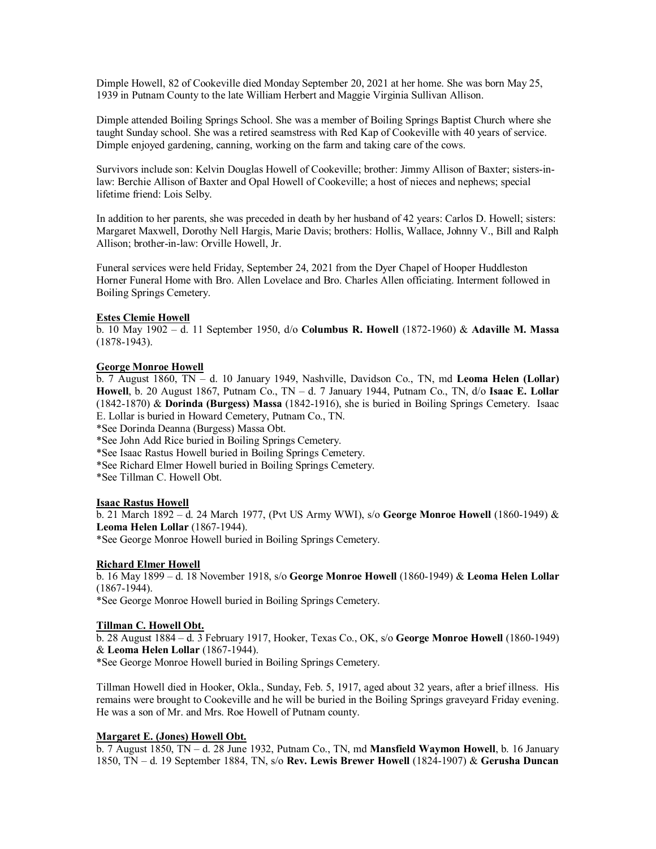Dimple Howell, 82 of Cookeville died Monday September 20, 2021 at her home. She was born May 25, 1939 in Putnam County to the late William Herbert and Maggie Virginia Sullivan Allison.

Dimple attended Boiling Springs School. She was a member of Boiling Springs Baptist Church where she taught Sunday school. She was a retired seamstress with Red Kap of Cookeville with 40 years of service. Dimple enjoyed gardening, canning, working on the farm and taking care of the cows.

Survivors include son: Kelvin Douglas Howell of Cookeville; brother: Jimmy Allison of Baxter; sisters-inlaw: Berchie Allison of Baxter and Opal Howell of Cookeville; a host of nieces and nephews; special lifetime friend: Lois Selby.

In addition to her parents, she was preceded in death by her husband of 42 years: Carlos D. Howell; sisters: Margaret Maxwell, Dorothy Nell Hargis, Marie Davis; brothers: Hollis, Wallace, Johnny V., Bill and Ralph Allison; brother-in-law: Orville Howell, Jr.

Funeral services were held Friday, September 24, 2021 from the Dyer Chapel of Hooper Huddleston Horner Funeral Home with Bro. Allen Lovelace and Bro. Charles Allen officiating. Interment followed in Boiling Springs Cemetery.

### **Estes Clemie Howell**

b. 10 May 1902 – d. 11 September 1950, d/o **Columbus R. Howell** (1872-1960) & **Adaville M. Massa** (1878-1943).

### **George Monroe Howell**

b. 7 August 1860, TN – d. 10 January 1949, Nashville, Davidson Co., TN, md **Leoma Helen (Lollar) Howell**, b. 20 August 1867, Putnam Co., TN – d. 7 January 1944, Putnam Co., TN, d/o **Isaac E. Lollar** (1842-1870) & **Dorinda (Burgess) Massa** (1842-1916), she is buried in Boiling Springs Cemetery. Isaac E. Lollar is buried in Howard Cemetery, Putnam Co., TN.

\*See Dorinda Deanna (Burgess) Massa Obt.

\*See John Add Rice buried in Boiling Springs Cemetery.

\*See Isaac Rastus Howell buried in Boiling Springs Cemetery.

\*See Richard Elmer Howell buried in Boiling Springs Cemetery.

\*See Tillman C. Howell Obt.

#### **Isaac Rastus Howell**

b. 21 March 1892 – d. 24 March 1977, (Pvt US Army WWI), s/o **George Monroe Howell** (1860-1949) & **Leoma Helen Lollar** (1867-1944).

\*See George Monroe Howell buried in Boiling Springs Cemetery.

# **Richard Elmer Howell**

b. 16 May 1899 – d. 18 November 1918, s/o **George Monroe Howell** (1860-1949) & **Leoma Helen Lollar** (1867-1944).

\*See George Monroe Howell buried in Boiling Springs Cemetery.

#### **Tillman C. Howell Obt.**

b. 28 August 1884 – d. 3 February 1917, Hooker, Texas Co., OK, s/o **George Monroe Howell** (1860-1949) & **Leoma Helen Lollar** (1867-1944).

\*See George Monroe Howell buried in Boiling Springs Cemetery.

Tillman Howell died in Hooker, Okla., Sunday, Feb. 5, 1917, aged about 32 years, after a brief illness. His remains were brought to Cookeville and he will be buried in the Boiling Springs graveyard Friday evening. He was a son of Mr. and Mrs. Roe Howell of Putnam county.

# **Margaret E. (Jones) Howell Obt.**

b. 7 August 1850, TN – d. 28 June 1932, Putnam Co., TN, md **Mansfield Waymon Howell**, b. 16 January 1850, TN – d. 19 September 1884, TN, s/o **Rev. Lewis Brewer Howell** (1824-1907) & **Gerusha Duncan**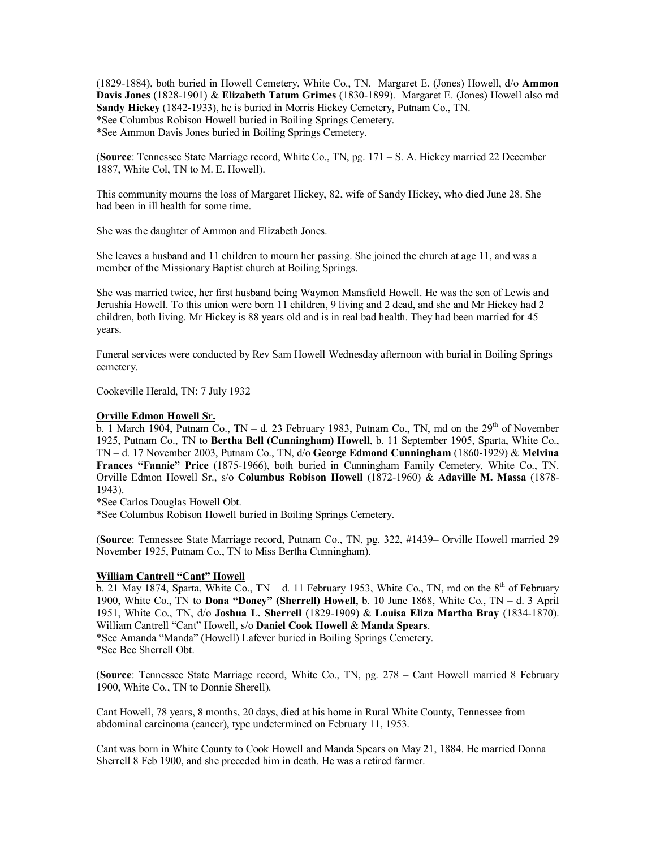(1829-1884), both buried in Howell Cemetery, White Co., TN. Margaret E. (Jones) Howell, d/o **Ammon Davis Jones** (1828-1901) & **Elizabeth Tatum Grimes** (1830-1899). Margaret E. (Jones) Howell also md **Sandy Hickey** (1842-1933), he is buried in Morris Hickey Cemetery, Putnam Co., TN. \*See Columbus Robison Howell buried in Boiling Springs Cemetery. \*See Ammon Davis Jones buried in Boiling Springs Cemetery.

(**Source**: Tennessee State Marriage record, White Co., TN, pg. 171 – S. A. Hickey married 22 December 1887, White Col, TN to M. E. Howell).

This community mourns the loss of Margaret Hickey, 82, wife of Sandy Hickey, who died June 28. She had been in ill health for some time.

She was the daughter of Ammon and Elizabeth Jones.

She leaves a husband and 11 children to mourn her passing. She joined the church at age 11, and was a member of the Missionary Baptist church at Boiling Springs.

She was married twice, her first husband being Waymon Mansfield Howell. He was the son of Lewis and Jerushia Howell. To this union were born 11 children, 9 living and 2 dead, and she and Mr Hickey had 2 children, both living. Mr Hickey is 88 years old and is in real bad health. They had been married for 45 years.

Funeral services were conducted by Rev Sam Howell Wednesday afternoon with burial in Boiling Springs cemetery.

Cookeville Herald, TN: 7 July 1932

#### **Orville Edmon Howell Sr.**

 $\overline{b}$ . 1 March 1904, Putnam Co., TN – d. 23 February 1983, Putnam Co., TN, md on the 29<sup>th</sup> of November 1925, Putnam Co., TN to **Bertha Bell (Cunningham) Howell**, b. 11 September 1905, Sparta, White Co., TN – d. 17 November 2003, Putnam Co., TN, d/o **George Edmond Cunningham** (1860-1929) & **Melvina Frances "Fannie" Price** (1875-1966), both buried in Cunningham Family Cemetery, White Co., TN. Orville Edmon Howell Sr., s/o **Columbus Robison Howell** (1872-1960) & **Adaville M. Massa** (1878- 1943).

\*See Carlos Douglas Howell Obt.

\*See Columbus Robison Howell buried in Boiling Springs Cemetery.

(**Source**: Tennessee State Marriage record, Putnam Co., TN, pg. 322, #1439– Orville Howell married 29 November 1925, Putnam Co., TN to Miss Bertha Cunningham).

#### **William Cantrell "Cant" Howell**

b. 21 May 1874, Sparta, White Co., TN – d. 11 February 1953, White Co., TN, md on the  $8<sup>th</sup>$  of February 1900, White Co., TN to **Dona "Doney" (Sherrell) Howell**, b. 10 June 1868, White Co., TN – d. 3 April 1951, White Co., TN, d/o **Joshua L. Sherrell** (1829-1909) & **Louisa Eliza Martha Bray** (1834-1870). William Cantrell "Cant" Howell, s/o **Daniel Cook Howell** & **Manda Spears**.

\*See Amanda "Manda" (Howell) Lafever buried in Boiling Springs Cemetery. \*See Bee Sherrell Obt.

(**Source**: Tennessee State Marriage record, White Co., TN, pg. 278 – Cant Howell married 8 February 1900, White Co., TN to Donnie Sherell).

Cant Howell, 78 years, 8 months, 20 days, died at his home in Rural White County, Tennessee from abdominal carcinoma (cancer), type undetermined on February 11, 1953.

Cant was born in White County to Cook Howell and Manda Spears on May 21, 1884. He married Donna Sherrell 8 Feb 1900, and she preceded him in death. He was a retired farmer.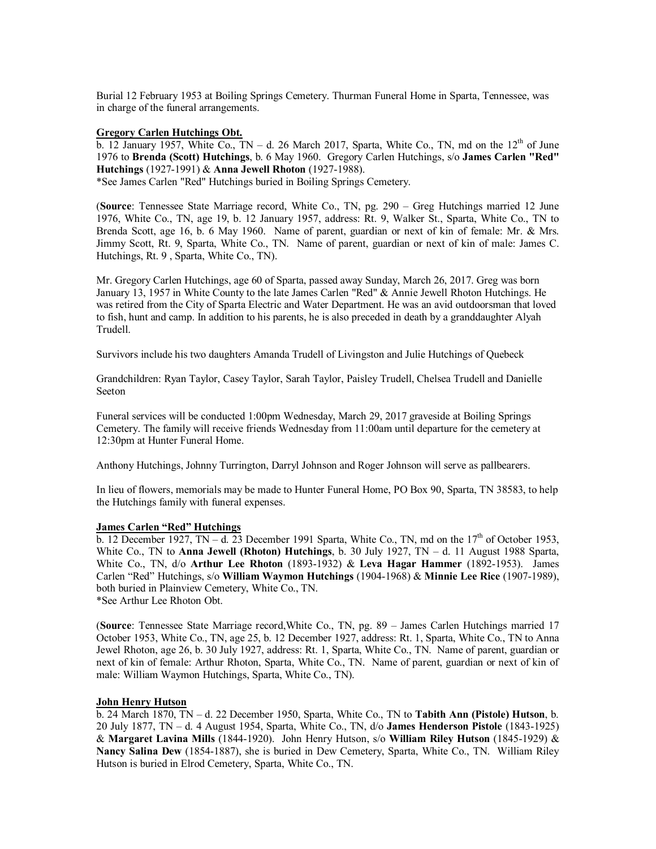Burial 12 February 1953 at Boiling Springs Cemetery. Thurman Funeral Home in Sparta, Tennessee, was in charge of the funeral arrangements.

#### **Gregory Carlen Hutchings Obt.**

b. 12 January 1957, White Co.,  $TN - d$ . 26 March 2017, Sparta, White Co., TN, md on the 12<sup>th</sup> of June 1976 to **Brenda (Scott) Hutchings**, b. 6 May 1960. Gregory Carlen Hutchings, s/o **James Carlen "Red" Hutchings** (1927-1991) & **Anna Jewell Rhoton** (1927-1988). \*See James Carlen "Red" Hutchings buried in Boiling Springs Cemetery.

(**Source**: Tennessee State Marriage record, White Co., TN, pg. 290 – Greg Hutchings married 12 June 1976, White Co., TN, age 19, b. 12 January 1957, address: Rt. 9, Walker St., Sparta, White Co., TN to Brenda Scott, age 16, b. 6 May 1960. Name of parent, guardian or next of kin of female: Mr. & Mrs. Jimmy Scott, Rt. 9, Sparta, White Co., TN. Name of parent, guardian or next of kin of male: James C. Hutchings, Rt. 9 , Sparta, White Co., TN).

Mr. Gregory Carlen Hutchings, age 60 of Sparta, passed away Sunday, March 26, 2017. Greg was born January 13, 1957 in White County to the late James Carlen "Red" & Annie Jewell Rhoton Hutchings. He was retired from the City of Sparta Electric and Water Department. He was an avid outdoorsman that loved to fish, hunt and camp. In addition to his parents, he is also preceded in death by a granddaughter Alyah Trudell.

Survivors include his two daughters Amanda Trudell of Livingston and Julie Hutchings of Quebeck

Grandchildren: Ryan Taylor, Casey Taylor, Sarah Taylor, Paisley Trudell, Chelsea Trudell and Danielle Seeton

Funeral services will be conducted 1:00pm Wednesday, March 29, 2017 graveside at Boiling Springs Cemetery. The family will receive friends Wednesday from 11:00am until departure for the cemetery at 12:30pm at Hunter Funeral Home.

Anthony Hutchings, Johnny Turrington, Darryl Johnson and Roger Johnson will serve as pallbearers.

In lieu of flowers, memorials may be made to Hunter Funeral Home, PO Box 90, Sparta, TN 38583, to help the Hutchings family with funeral expenses.

#### **James Carlen "Red" Hutchings**

 $\overline{b}$ . 12 December 1927, TN – d. 23 December 1991 Sparta, White Co., TN, md on the 17<sup>th</sup> of October 1953, White Co., TN to **Anna Jewell (Rhoton) Hutchings**, b. 30 July 1927, TN – d. 11 August 1988 Sparta, White Co., TN, d/o **Arthur Lee Rhoton** (1893-1932) & **Leva Hagar Hammer** (1892-1953). James Carlen "Red" Hutchings, s/o **William Waymon Hutchings** (1904-1968) & **Minnie Lee Rice** (1907-1989), both buried in Plainview Cemetery, White Co., TN.

\*See Arthur Lee Rhoton Obt.

(**Source**: Tennessee State Marriage record,White Co., TN, pg. 89 – James Carlen Hutchings married 17 October 1953, White Co., TN, age 25, b. 12 December 1927, address: Rt. 1, Sparta, White Co., TN to Anna Jewel Rhoton, age 26, b. 30 July 1927, address: Rt. 1, Sparta, White Co., TN. Name of parent, guardian or next of kin of female: Arthur Rhoton, Sparta, White Co., TN. Name of parent, guardian or next of kin of male: William Waymon Hutchings, Sparta, White Co., TN).

#### **John Henry Hutson**

b. 24 March 1870, TN – d. 22 December 1950, Sparta, White Co., TN to **Tabith Ann (Pistole) Hutson**, b. 20 July 1877, TN – d. 4 August 1954, Sparta, White Co., TN, d/o **James Henderson Pistole** (1843-1925) & **Margaret Lavina Mills** (1844-1920). John Henry Hutson, s/o **William Riley Hutson** (1845-1929) & **Nancy Salina Dew** (1854-1887), she is buried in Dew Cemetery, Sparta, White Co., TN. William Riley Hutson is buried in Elrod Cemetery, Sparta, White Co., TN.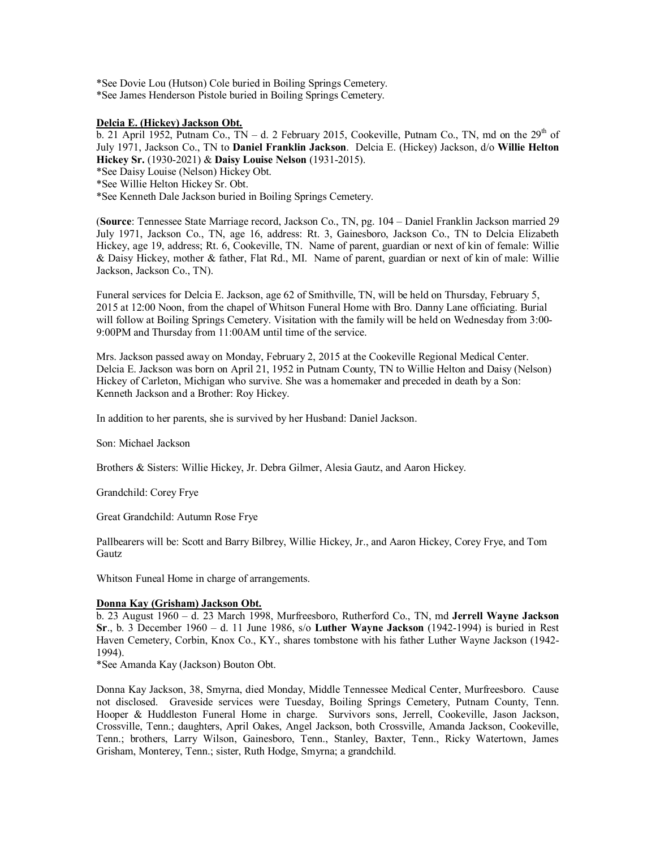\*See Dovie Lou (Hutson) Cole buried in Boiling Springs Cemetery. \*See James Henderson Pistole buried in Boiling Springs Cemetery.

#### **Delcia E. (Hickey) Jackson Obt.**

b. 21 April 1952, Putnam Co., TN – d. 2 February 2015, Cookeville, Putnam Co., TN, md on the  $29<sup>th</sup>$  of July 1971, Jackson Co., TN to **Daniel Franklin Jackson**. Delcia E. (Hickey) Jackson, d/o **Willie Helton Hickey Sr.** (1930-2021) & **Daisy Louise Nelson** (1931-2015).

\*See Daisy Louise (Nelson) Hickey Obt.

\*See Willie Helton Hickey Sr. Obt.

\*See Kenneth Dale Jackson buried in Boiling Springs Cemetery.

(**Source**: Tennessee State Marriage record, Jackson Co., TN, pg. 104 – Daniel Franklin Jackson married 29 July 1971, Jackson Co., TN, age 16, address: Rt. 3, Gainesboro, Jackson Co., TN to Delcia Elizabeth Hickey, age 19, address; Rt. 6, Cookeville, TN. Name of parent, guardian or next of kin of female: Willie & Daisy Hickey, mother & father, Flat Rd., MI. Name of parent, guardian or next of kin of male: Willie Jackson, Jackson Co., TN).

Funeral services for Delcia E. Jackson, age 62 of Smithville, TN, will be held on Thursday, February 5, 2015 at 12:00 Noon, from the chapel of Whitson Funeral Home with Bro. Danny Lane officiating. Burial will follow at Boiling Springs Cemetery. Visitation with the family will be held on Wednesday from 3:00- 9:00PM and Thursday from 11:00AM until time of the service.

Mrs. Jackson passed away on Monday, February 2, 2015 at the Cookeville Regional Medical Center. Delcia E. Jackson was born on April 21, 1952 in Putnam County, TN to Willie Helton and Daisy (Nelson) Hickey of Carleton, Michigan who survive. She was a homemaker and preceded in death by a Son: Kenneth Jackson and a Brother: Roy Hickey.

In addition to her parents, she is survived by her Husband: Daniel Jackson.

Son: Michael Jackson

Brothers & Sisters: Willie Hickey, Jr. Debra Gilmer, Alesia Gautz, and Aaron Hickey.

Grandchild: Corey Frye

Great Grandchild: Autumn Rose Frye

Pallbearers will be: Scott and Barry Bilbrey, Willie Hickey, Jr., and Aaron Hickey, Corey Frye, and Tom **Gautz** 

Whitson Funeal Home in charge of arrangements.

#### **Donna Kay (Grisham) Jackson Obt.**

b. 23 August 1960 – d. 23 March 1998, Murfreesboro, Rutherford Co., TN, md **Jerrell Wayne Jackson Sr**., b. 3 December 1960 – d. 11 June 1986, s/o **Luther Wayne Jackson** (1942-1994) is buried in Rest Haven Cemetery, Corbin, Knox Co., KY., shares tombstone with his father Luther Wayne Jackson (1942- 1994).

\*See Amanda Kay (Jackson) Bouton Obt.

Donna Kay Jackson, 38, Smyrna, died Monday, Middle Tennessee Medical Center, Murfreesboro. Cause not disclosed. Graveside services were Tuesday, Boiling Springs Cemetery, Putnam County, Tenn. Hooper & Huddleston Funeral Home in charge. Survivors sons, Jerrell, Cookeville, Jason Jackson, Crossville, Tenn.; daughters, April Oakes, Angel Jackson, both Crossville, Amanda Jackson, Cookeville, Tenn.; brothers, Larry Wilson, Gainesboro, Tenn., Stanley, Baxter, Tenn., Ricky Watertown, James Grisham, Monterey, Tenn.; sister, Ruth Hodge, Smyrna; a grandchild.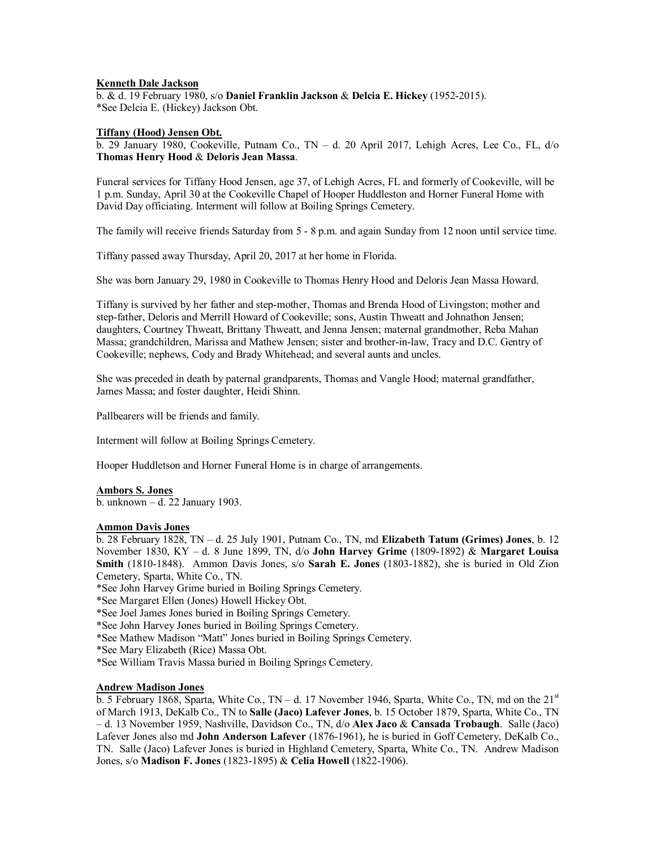#### **Kenneth Dale Jackson**

b. & d. 19 February 1980, s/o **Daniel Franklin Jackson** & **Delcia E. Hickey** (1952-2015). \*See Delcia E. (Hickey) Jackson Obt.

# **Tiffany (Hood) Jensen Obt.**

b. 29 January 1980, Cookeville, Putnam Co., TN – d. 20 April 2017, Lehigh Acres, Lee Co., FL, d/o **Thomas Henry Hood** & **Deloris Jean Massa**.

Funeral services for Tiffany Hood Jensen, age 37, of Lehigh Acres, FL and formerly of Cookeville, will be 1 p.m. Sunday, April 30 at the Cookeville Chapel of Hooper Huddleston and Horner Funeral Home with David Day officiating. Interment will follow at Boiling Springs Cemetery.

The family will receive friends Saturday from 5 - 8 p.m. and again Sunday from 12 noon until service time.

Tiffany passed away Thursday, April 20, 2017 at her home in Florida.

She was born January 29, 1980 in Cookeville to Thomas Henry Hood and Deloris Jean Massa Howard.

Tiffany is survived by her father and step-mother, Thomas and Brenda Hood of Livingston; mother and step-father, Deloris and Merrill Howard of Cookeville; sons, Austin Thweatt and Johnathon Jensen; daughters, Courtney Thweatt, Brittany Thweatt, and Jenna Jensen; maternal grandmother, Reba Mahan Massa; grandchildren, Marissa and Mathew Jensen; sister and brother-in-law, Tracy and D.C. Gentry of Cookeville; nephews, Cody and Brady Whitehead; and several aunts and uncles.

She was preceded in death by paternal grandparents, Thomas and Vangle Hood; maternal grandfather, James Massa; and foster daughter, Heidi Shinn.

Pallbearers will be friends and family.

Interment will follow at Boiling Springs Cemetery.

Hooper Huddletson and Horner Funeral Home is in charge of arrangements.

#### **Ambors S. Jones**

b. unknown – d. 22 January 1903.

#### **Ammon Davis Jones**

b. 28 February 1828, TN – d. 25 July 1901, Putnam Co., TN, md **Elizabeth Tatum (Grimes) Jones**, b. 12 November 1830, KY – d. 8 June 1899, TN, d/o **John Harvey Grime** (1809-1892) & **Margaret Louisa Smith** (1810-1848). Ammon Davis Jones, s/o **Sarah E. Jones** (1803-1882), she is buried in Old Zion Cemetery, Sparta, White Co., TN.

\*See John Harvey Grime buried in Boiling Springs Cemetery.

\*See Margaret Ellen (Jones) Howell Hickey Obt.

\*See Joel James Jones buried in Boiling Springs Cemetery.

\*See John Harvey Jones buried in Boiling Springs Cemetery.

\*See Mathew Madison "Matt" Jones buried in Boiling Springs Cemetery.

\*See Mary Elizabeth (Rice) Massa Obt.

\*See William Travis Massa buried in Boiling Springs Cemetery.

# **Andrew Madison Jones**

b. 5 February 1868, Sparta, White Co., TN – d. 17 November 1946, Sparta, White Co., TN, md on the  $21<sup>st</sup>$ of March 1913, DeKalb Co., TN to **Salle (Jaco) Lafever Jones**, b. 15 October 1879, Sparta, White Co., TN – d. 13 November 1959, Nashville, Davidson Co., TN, d/o **Alex Jaco** & **Cansada Trobaugh**. Salle (Jaco) Lafever Jones also md **John Anderson Lafever** (1876-1961), he is buried in Goff Cemetery, DeKalb Co., TN. Salle (Jaco) Lafever Jones is buried in Highland Cemetery, Sparta, White Co., TN. Andrew Madison Jones, s/o **Madison F. Jones** (1823-1895) & **Celia Howell** (1822-1906).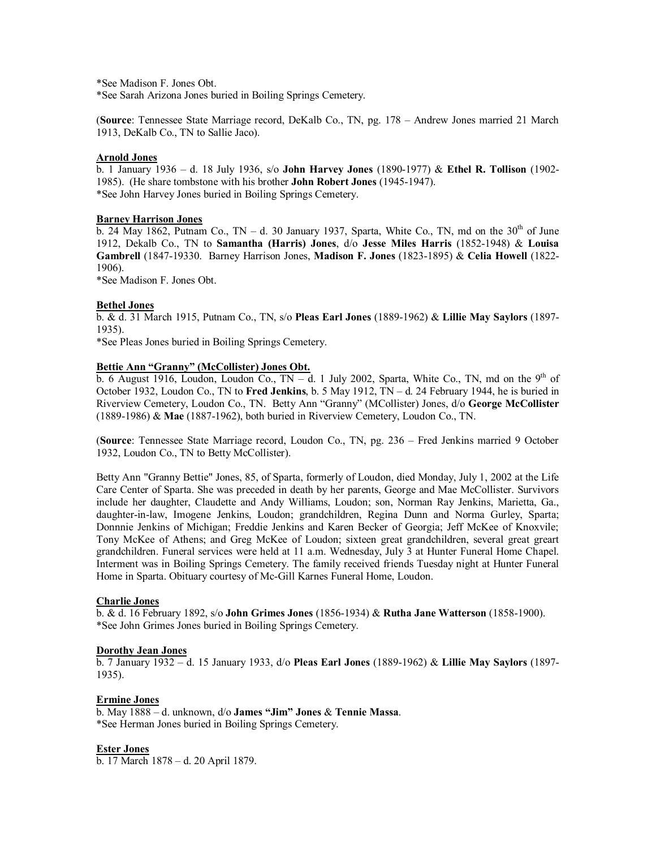\*See Madison F. Jones Obt.

\*See Sarah Arizona Jones buried in Boiling Springs Cemetery.

(**Source**: Tennessee State Marriage record, DeKalb Co., TN, pg. 178 – Andrew Jones married 21 March 1913, DeKalb Co., TN to Sallie Jaco).

#### **Arnold Jones**

b. 1 January 1936 – d. 18 July 1936, s/o **John Harvey Jones** (1890-1977) & **Ethel R. Tollison** (1902- 1985). (He share tombstone with his brother **John Robert Jones** (1945-1947). \*See John Harvey Jones buried in Boiling Springs Cemetery.

#### **Barney Harrison Jones**

 $\overline{b}$ . 24 May 1862, Putnam Co., TN – d. 30 January 1937, Sparta, White Co., TN, md on the 30<sup>th</sup> of June 1912, Dekalb Co., TN to **Samantha (Harris) Jones**, d/o **Jesse Miles Harris** (1852-1948) & **Louisa Gambrell** (1847-19330. Barney Harrison Jones, **Madison F. Jones** (1823-1895) & **Celia Howell** (1822- 1906).

\*See Madison F. Jones Obt.

#### **Bethel Jones**

b. & d. 31 March 1915, Putnam Co., TN, s/o **Pleas Earl Jones** (1889-1962) & **Lillie May Saylors** (1897- 1935).

\*See Pleas Jones buried in Boiling Springs Cemetery.

#### **Bettie Ann "Granny" (McCollister) Jones Obt.**

b. 6 August 1916, Loudon, Loudon Co.,  $TN - d$ . 1 July 2002, Sparta, White Co., TN, md on the 9<sup>th</sup> of October 1932, Loudon Co., TN to **Fred Jenkins**, b. 5 May 1912, TN – d. 24 February 1944, he is buried in Riverview Cemetery, Loudon Co., TN. Betty Ann "Granny" (MCollister) Jones, d/o **George McCollister** (1889-1986) & **Mae** (1887-1962), both buried in Riverview Cemetery, Loudon Co., TN.

(**Source**: Tennessee State Marriage record, Loudon Co., TN, pg. 236 – Fred Jenkins married 9 October 1932, Loudon Co., TN to Betty McCollister).

Betty Ann "Granny Bettie" Jones, 85, of Sparta, formerly of Loudon, died Monday, July 1, 2002 at the Life Care Center of Sparta. She was preceded in death by her parents, George and Mae McCollister. Survivors include her daughter, Claudette and Andy Williams, Loudon; son, Norman Ray Jenkins, Marietta, Ga., daughter-in-law, Imogene Jenkins, Loudon; grandchildren, Regina Dunn and Norma Gurley, Sparta; Donnnie Jenkins of Michigan; Freddie Jenkins and Karen Becker of Georgia; Jeff McKee of Knoxvile; Tony McKee of Athens; and Greg McKee of Loudon; sixteen great grandchildren, several great greart grandchildren. Funeral services were held at 11 a.m. Wednesday, July 3 at Hunter Funeral Home Chapel. Interment was in Boiling Springs Cemetery. The family received friends Tuesday night at Hunter Funeral Home in Sparta. Obituary courtesy of Mc-Gill Karnes Funeral Home, Loudon.

# **Charlie Jones**

b. & d. 16 February 1892, s/o **John Grimes Jones** (1856-1934) & **Rutha Jane Watterson** (1858-1900). \*See John Grimes Jones buried in Boiling Springs Cemetery.

#### **Dorothy Jean Jones**

b. 7 January 1932 – d. 15 January 1933, d/o **Pleas Earl Jones** (1889-1962) & **Lillie May Saylors** (1897- 1935).

#### **Ermine Jones**

b. May 1888 – d. unknown, d/o **James "Jim" Jones** & **Tennie Massa**. \*See Herman Jones buried in Boiling Springs Cemetery.

#### **Ester Jones**

b. 17 March 1878 – d. 20 April 1879.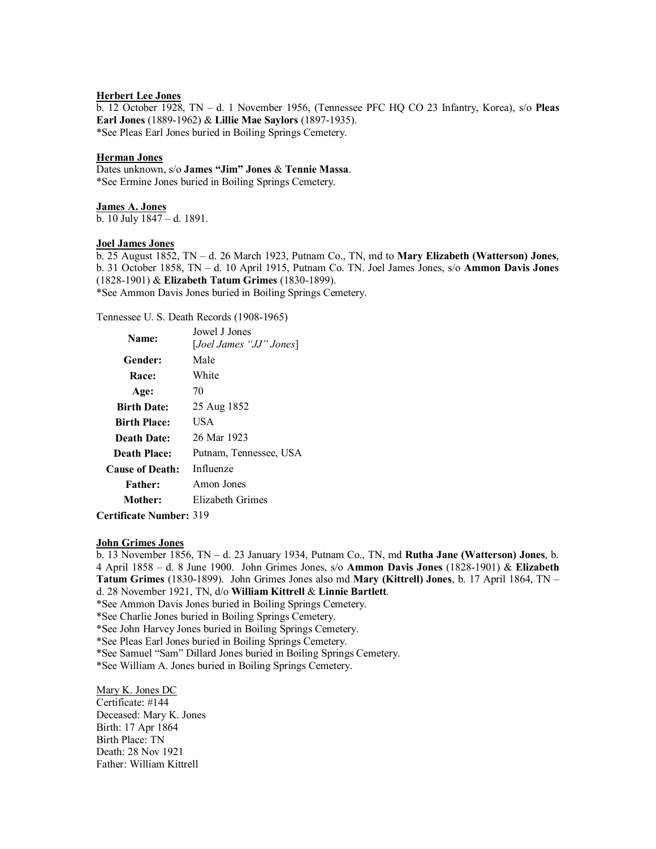# **Herbert Lee Jones**

b. 12 October 1928, TN – d. 1 November 1956, (Tennessee PFC HQ CO 23 Infantry, Korea), s/o **Pleas Earl Jones** (1889-1962) & **Lillie Mae Saylors** (1897-1935). \*See Pleas Earl Jones buried in Boiling Springs Cemetery.

#### **Herman Jones**

Dates unknown, s/o **James "Jim" Jones** & **Tennie Massa**. \*See Ermine Jones buried in Boiling Springs Cemetery.

**James A. Jones** b. 10 July 1847 – d. 1891.

#### **Joel James Jones**

b. 25 August 1852, TN – d. 26 March 1923, Putnam Co., TN, md to **Mary Elizabeth (Watterson) Jones**, b. 31 October 1858, TN – d. 10 April 1915, Putnam Co. TN. Joel James Jones, s/o **Ammon Davis Jones** (1828-1901) & **Elizabeth Tatum Grimes** (1830-1899). \*See Ammon Davis Jones buried in Boiling Springs Cemetery.

Tennessee U. S. Death Records (1908-1965)

| Name:                  | Jowel J Jones           |
|------------------------|-------------------------|
|                        | [Joel James "JJ" Jones] |
| Gender:                | Male                    |
| Race:                  | White                   |
| Age:                   | 70                      |
| <b>Birth Date:</b>     | 25 Aug 1852             |
| <b>Birth Place:</b>    | USA                     |
| Death Date:            | 26 Mar 1923             |
| Death Place:           | Putnam, Tennessee, USA  |
| <b>Cause of Death:</b> | Influenze               |
| <b>Father:</b>         | Amon Jones              |
| Mother:                | Elizabeth Grimes        |
|                        |                         |

**Certificate Number:** 319

### **John Grimes Jones**

b. 13 November 1856, TN – d. 23 January 1934, Putnam Co., TN, md **Rutha Jane (Watterson) Jones**, b. 4 April 1858 – d. 8 June 1900. John Grimes Jones, s/o **Ammon Davis Jones** (1828-1901) & **Elizabeth Tatum Grimes** (1830-1899). John Grimes Jones also md **Mary (Kittrell) Jones**, b. 17 April 1864, TN – d. 28 November 1921, TN, d/o **William Kittrell** & **Linnie Bartlett**.

\*See Ammon Davis Jones buried in Boiling Springs Cemetery.

\*See Charlie Jones buried in Boiling Springs Cemetery.

\*See John Harvey Jones buried in Boiling Springs Cemetery.

\*See Pleas Earl Jones buried in Boiling Springs Cemetery.

\*See Samuel "Sam" Dillard Jones buried in Boiling Springs Cemetery.

\*See William A. Jones buried in Boiling Springs Cemetery.

Mary K. Jones DC Certificate: #144 Deceased: Mary K. Jones Birth: 17 Apr 1864 Birth Place: TN Death: 28 Nov 1921 Father: William Kittrell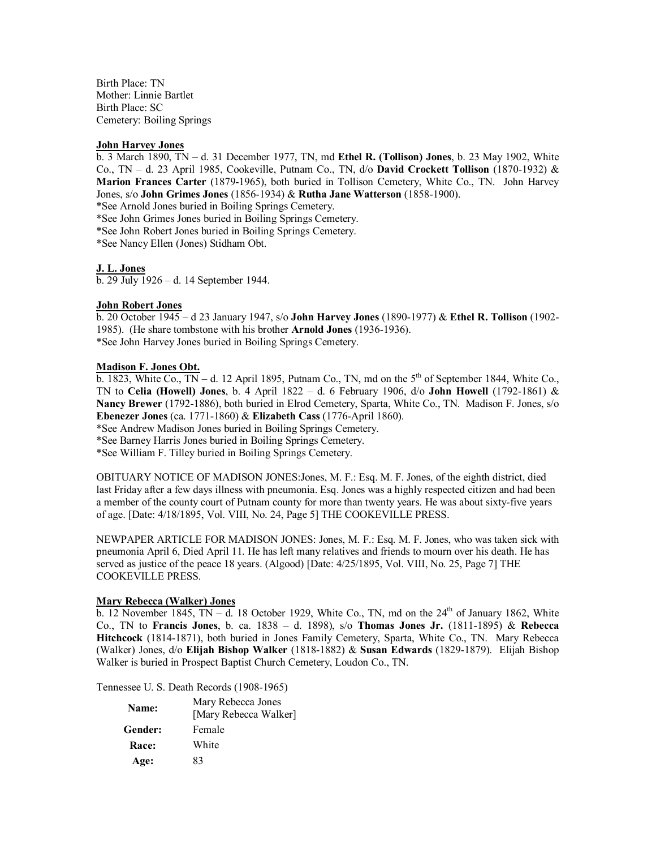Birth Place: TN Mother: Linnie Bartlet Birth Place: SC Cemetery: Boiling Springs

#### **John Harvey Jones**

b. 3 March 1890, TN – d. 31 December 1977, TN, md **Ethel R. (Tollison) Jones**, b. 23 May 1902, White Co., TN – d. 23 April 1985, Cookeville, Putnam Co., TN, d/o **David Crockett Tollison** (1870-1932) & **Marion Frances Carter** (1879-1965), both buried in Tollison Cemetery, White Co., TN. John Harvey Jones, s/o **John Grimes Jones** (1856-1934) & **Rutha Jane Watterson** (1858-1900).

\*See Arnold Jones buried in Boiling Springs Cemetery.

\*See John Grimes Jones buried in Boiling Springs Cemetery.

\*See John Robert Jones buried in Boiling Springs Cemetery.

\*See Nancy Ellen (Jones) Stidham Obt.

### **J. L. Jones**

b. 29 July 1926 – d. 14 September 1944.

### **John Robert Jones**

b. 20 October 1945 – d 23 January 1947, s/o **John Harvey Jones** (1890-1977) & **Ethel R. Tollison** (1902- 1985). (He share tombstone with his brother **Arnold Jones** (1936-1936). \*See John Harvey Jones buried in Boiling Springs Cemetery.

#### **Madison F. Jones Obt.**

 $\overline{b}$ . 1823, White Co.,  $\overline{IN}$  – d. 12 April 1895, Putnam Co., TN, md on the 5<sup>th</sup> of September 1844, White Co. TN to **Celia (Howell) Jones**, b. 4 April 1822 – d. 6 February 1906, d/o **John Howell** (1792-1861) & **Nancy Brewer** (1792-1886), both buried in Elrod Cemetery, Sparta, White Co., TN. Madison F. Jones, s/o **Ebenezer Jones** (ca. 1771-1860) & **Elizabeth Cass** (1776-April 1860).

\*See Andrew Madison Jones buried in Boiling Springs Cemetery.

\*See Barney Harris Jones buried in Boiling Springs Cemetery.

\*See William F. Tilley buried in Boiling Springs Cemetery.

OBITUARY NOTICE OF MADISON JONES:Jones, M. F.: Esq. M. F. Jones, of the eighth district, died last Friday after a few days illness with pneumonia. Esq. Jones was a highly respected citizen and had been a member of the county court of Putnam county for more than twenty years. He was about sixty-five years of age. [Date: 4/18/1895, Vol. VIII, No. 24, Page 5] THE COOKEVILLE PRESS.

NEWPAPER ARTICLE FOR MADISON JONES: Jones, M. F.: Esq. M. F. Jones, who was taken sick with pneumonia April 6, Died April 11. He has left many relatives and friends to mourn over his death. He has served as justice of the peace 18 years. (Algood) [Date: 4/25/1895, Vol. VIII, No. 25, Page 7] THE COOKEVILLE PRESS.

# **Mary Rebecca (Walker) Jones**

 $\overline{b}$ . 12 November 1845, TN – d. 18 October 1929, White Co., TN, md on the 24<sup>th</sup> of January 1862, White Co., TN to **Francis Jones**, b. ca. 1838 – d. 1898), s/o **Thomas Jones Jr.** (1811-1895) & **Rebecca Hitchcock** (1814-1871), both buried in Jones Family Cemetery, Sparta, White Co., TN. Mary Rebecca (Walker) Jones, d/o **Elijah Bishop Walker** (1818-1882) & **Susan Edwards** (1829-1879). Elijah Bishop Walker is buried in Prospect Baptist Church Cemetery, Loudon Co., TN.

Tennessee U. S. Death Records (1908-1965)

| Name:        | Mary Rebecca Jones<br>[Mary Rebecca Walker] |
|--------------|---------------------------------------------|
| Gender:      | Female                                      |
| <b>Race:</b> | White                                       |
| Age:         | 83                                          |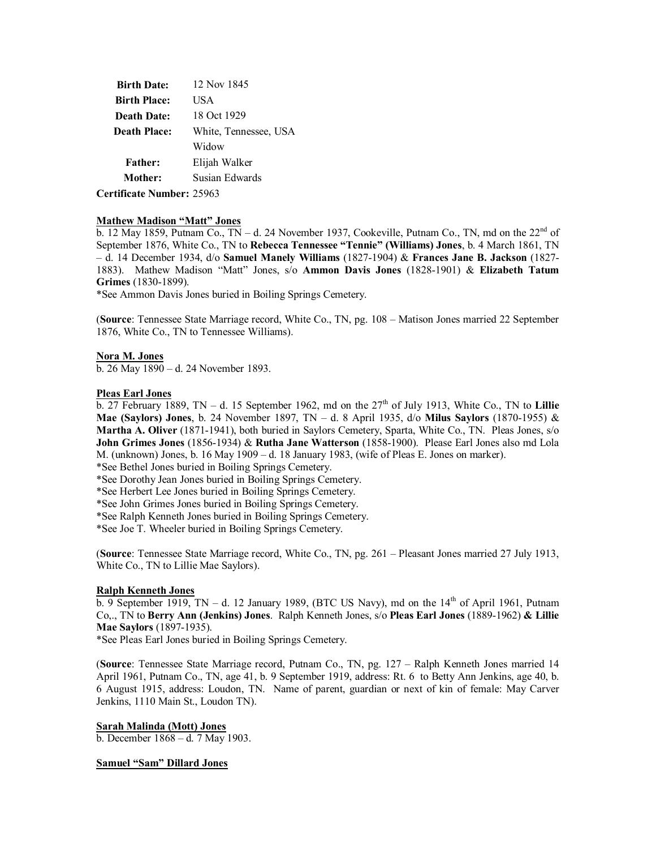| <b>Birth Date:</b>  | 12 Nov 1845           |
|---------------------|-----------------------|
| <b>Birth Place:</b> | USA                   |
| <b>Death Date:</b>  | 18 Oct 1929           |
| <b>Death Place:</b> | White, Tennessee, USA |
|                     | Widow                 |
| <b>Father:</b>      | Elijah Walker         |
| Mother:             | Susian Edwards        |
| $\cdots$ $\cdots$   |                       |

**Certificate Number:** 25963

#### **Mathew Madison "Matt" Jones**

b. 12 May 1859, Putnam Co.,  $TN - d$ . 24 November 1937, Cookeville, Putnam Co., TN, md on the 22<sup>nd</sup> of September 1876, White Co., TN to **Rebecca Tennessee "Tennie" (Williams) Jones**, b. 4 March 1861, TN – d. 14 December 1934, d/o **Samuel Manely Williams** (1827-1904) & **Frances Jane B. Jackson** (1827- 1883). Mathew Madison "Matt" Jones, s/o **Ammon Davis Jones** (1828-1901) & **Elizabeth Tatum Grimes** (1830-1899).

\*See Ammon Davis Jones buried in Boiling Springs Cemetery.

(**Source**: Tennessee State Marriage record, White Co., TN, pg. 108 – Matison Jones married 22 September 1876, White Co., TN to Tennessee Williams).

# **Nora M. Jones**

b. 26 May 1890 – d. 24 November 1893.

#### **Pleas Earl Jones**

b. 27 February 1889, TN – d. 15 September 1962, md on the 27<sup>th</sup> of July 1913, White Co., TN to Lillie **Mae (Saylors) Jones**, b. 24 November 1897, TN – d. 8 April 1935, d/o **Milus Saylors** (1870-1955) & **Martha A. Oliver** (1871-1941), both buried in Saylors Cemetery, Sparta, White Co., TN. Pleas Jones, s/o **John Grimes Jones** (1856-1934) & **Rutha Jane Watterson** (1858-1900). Please Earl Jones also md Lola M. (unknown) Jones, b. 16 May 1909 – d. 18 January 1983, (wife of Pleas E. Jones on marker).

\*See Bethel Jones buried in Boiling Springs Cemetery.

\*See Dorothy Jean Jones buried in Boiling Springs Cemetery.

\*See Herbert Lee Jones buried in Boiling Springs Cemetery.

\*See John Grimes Jones buried in Boiling Springs Cemetery.

\*See Ralph Kenneth Jones buried in Boiling Springs Cemetery.

\*See Joe T. Wheeler buried in Boiling Springs Cemetery.

(**Source**: Tennessee State Marriage record, White Co., TN, pg. 261 – Pleasant Jones married 27 July 1913, White Co., TN to Lillie Mae Saylors).

#### **Ralph Kenneth Jones**

b. 9 September 1919, TN – d. 12 January 1989, (BTC US Navy), md on the  $14<sup>th</sup>$  of April 1961, Putnam Co,., TN to **Berry Ann (Jenkins) Jones**. Ralph Kenneth Jones, s/o **Pleas Earl Jones** (1889-1962) **& Lillie Mae Saylors** (1897-1935).

\*See Pleas Earl Jones buried in Boiling Springs Cemetery.

(**Source**: Tennessee State Marriage record, Putnam Co., TN, pg. 127 – Ralph Kenneth Jones married 14 April 1961, Putnam Co., TN, age 41, b. 9 September 1919, address: Rt. 6 to Betty Ann Jenkins, age 40, b. 6 August 1915, address: Loudon, TN. Name of parent, guardian or next of kin of female: May Carver Jenkins, 1110 Main St., Loudon TN).

#### **Sarah Malinda (Mott) Jones**

b. December 1868 – d. 7 May 1903.

#### **Samuel "Sam" Dillard Jones**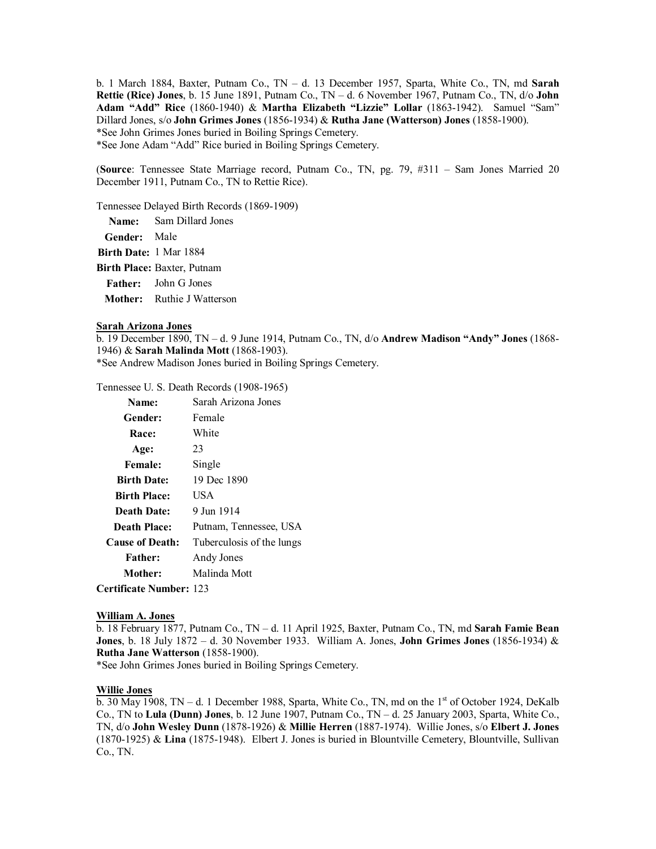b. 1 March 1884, Baxter, Putnam Co., TN – d. 13 December 1957, Sparta, White Co., TN, md **Sarah Rettie (Rice) Jones**, b. 15 June 1891, Putnam Co., TN – d. 6 November 1967, Putnam Co., TN, d/o **John Adam "Add" Rice** (1860-1940) & **Martha Elizabeth "Lizzie" Lollar** (1863-1942). Samuel "Sam" Dillard Jones, s/o **John Grimes Jones** (1856-1934) & **Rutha Jane (Watterson) Jones** (1858-1900). \*See John Grimes Jones buried in Boiling Springs Cemetery. \*See Jone Adam "Add" Rice buried in Boiling Springs Cemetery.

(**Source**: Tennessee State Marriage record, Putnam Co., TN, pg. 79, #311 – Sam Jones Married 20 December 1911, Putnam Co., TN to Rettie Rice).

Tennessee Delayed Birth Records (1869-1909)

|                        | <b>Name:</b> Sam Dillard Jones |
|------------------------|--------------------------------|
| <b>Gender:</b> Male    |                                |
| Birth Date: 1 Mar 1884 |                                |

**Birth Place:** Baxter, Putnam

**Father:** John G Jones

**Mother:** Ruthie J Watterson

#### **Sarah Arizona Jones**

b. 19 December 1890, TN – d. 9 June 1914, Putnam Co., TN, d/o **Andrew Madison "Andy" Jones** (1868- 1946) & **Sarah Malinda Mott** (1868-1903).

\*See Andrew Madison Jones buried in Boiling Springs Cemetery.

Tennessee U. S. Death Records (1908-1965)

| Name:                  | Sarah Arizona Jones       |
|------------------------|---------------------------|
| Gender:                | Female                    |
| Race:                  | White                     |
| Age:                   | 23                        |
| <b>Female:</b>         | Single                    |
| <b>Birth Date:</b>     | 19 Dec 1890               |
| <b>Birth Place:</b>    | USA                       |
| <b>Death Date:</b>     | 9 Jun 1914                |
| <b>Death Place:</b>    | Putnam, Tennessee, USA    |
| <b>Cause of Death:</b> | Tuberculosis of the lungs |
| <b>Father:</b>         | Andy Jones                |
| Mother:                | Malinda Mott              |
|                        |                           |

**Certificate Number:** 123

#### **William A. Jones**

b. 18 February 1877, Putnam Co., TN – d. 11 April 1925, Baxter, Putnam Co., TN, md **Sarah Famie Bean Jones**, b. 18 July 1872 – d. 30 November 1933. William A. Jones, **John Grimes Jones** (1856-1934) & **Rutha Jane Watterson** (1858-1900).

\*See John Grimes Jones buried in Boiling Springs Cemetery.

#### **Willie Jones**

 $\overline{b}$ . 30 May 1908, TN – d. 1 December 1988, Sparta, White Co., TN, md on the 1<sup>st</sup> of October 1924, DeKalb Co., TN to **Lula (Dunn) Jones**, b. 12 June 1907, Putnam Co., TN – d. 25 January 2003, Sparta, White Co., TN, d/o **John Wesley Dunn** (1878-1926) & **Millie Herren** (1887-1974). Willie Jones, s/o **Elbert J. Jones** (1870-1925) & **Lina** (1875-1948). Elbert J. Jones is buried in Blountville Cemetery, Blountville, Sullivan Co., TN.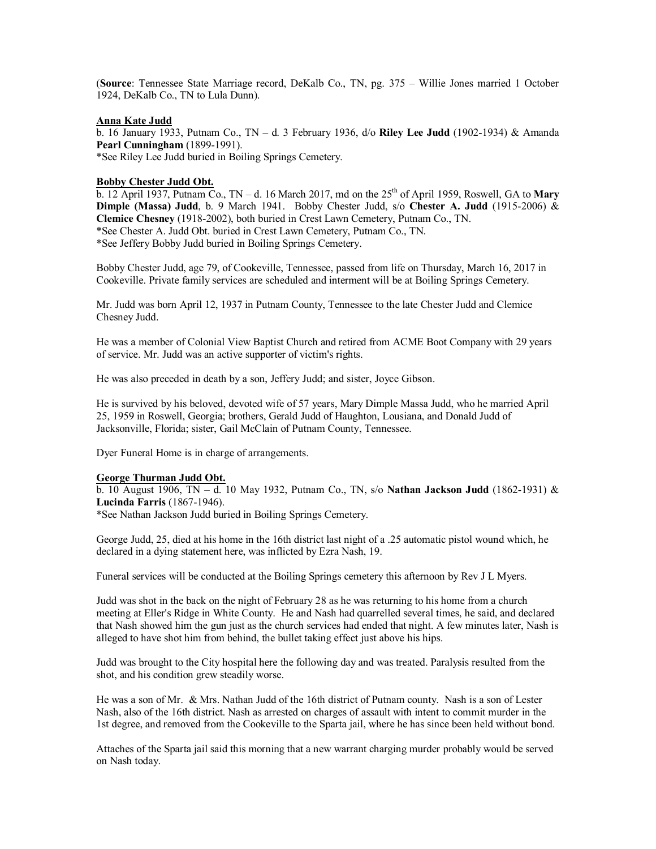(**Source**: Tennessee State Marriage record, DeKalb Co., TN, pg. 375 – Willie Jones married 1 October 1924, DeKalb Co., TN to Lula Dunn).

#### **Anna Kate Judd**

b. 16 January 1933, Putnam Co., TN – d. 3 February 1936, d/o **Riley Lee Judd** (1902-1934) & Amanda **Pearl Cunningham** (1899-1991). \*See Riley Lee Judd buried in Boiling Springs Cemetery.

#### **Bobby Chester Judd Obt.**

 $\overline{b}$ . 12 April 1937, Putnam Co., TN – d. 16 March 2017, md on the 25<sup>th</sup> of April 1959, Roswell, GA to **Mary Dimple (Massa) Judd**, b. 9 March 1941. Bobby Chester Judd, s/o **Chester A. Judd** (1915-2006) & **Clemice Chesney** (1918-2002), both buried in Crest Lawn Cemetery, Putnam Co., TN. \*See Chester A. Judd Obt. buried in Crest Lawn Cemetery, Putnam Co., TN. \*See Jeffery Bobby Judd buried in Boiling Springs Cemetery.

Bobby Chester Judd, age 79, of Cookeville, Tennessee, passed from life on Thursday, March 16, 2017 in Cookeville. Private family services are scheduled and interment will be at Boiling Springs Cemetery.

Mr. Judd was born April 12, 1937 in Putnam County, Tennessee to the late Chester Judd and Clemice Chesney Judd.

He was a member of Colonial View Baptist Church and retired from ACME Boot Company with 29 years of service. Mr. Judd was an active supporter of victim's rights.

He was also preceded in death by a son, Jeffery Judd; and sister, Joyce Gibson.

He is survived by his beloved, devoted wife of 57 years, Mary Dimple Massa Judd, who he married April 25, 1959 in Roswell, Georgia; brothers, Gerald Judd of Haughton, Lousiana, and Donald Judd of Jacksonville, Florida; sister, Gail McClain of Putnam County, Tennessee.

Dyer Funeral Home is in charge of arrangements.

#### **George Thurman Judd Obt.**

b. 10 August 1906, TN – d. 10 May 1932, Putnam Co., TN, s/o **Nathan Jackson Judd** (1862-1931) & **Lucinda Farris** (1867-1946).

\*See Nathan Jackson Judd buried in Boiling Springs Cemetery.

George Judd, 25, died at his home in the 16th district last night of a .25 automatic pistol wound which, he declared in a dying statement here, was inflicted by Ezra Nash, 19.

Funeral services will be conducted at the Boiling Springs cemetery this afternoon by Rev J L Myers.

Judd was shot in the back on the night of February 28 as he was returning to his home from a church meeting at Eller's Ridge in White County. He and Nash had quarrelled several times, he said, and declared that Nash showed him the gun just as the church services had ended that night. A few minutes later, Nash is alleged to have shot him from behind, the bullet taking effect just above his hips.

Judd was brought to the City hospital here the following day and was treated. Paralysis resulted from the shot, and his condition grew steadily worse.

He was a son of Mr. & Mrs. Nathan Judd of the 16th district of Putnam county. Nash is a son of Lester Nash, also of the 16th district. Nash as arrested on charges of assault with intent to commit murder in the 1st degree, and removed from the Cookeville to the Sparta jail, where he has since been held without bond.

Attaches of the Sparta jail said this morning that a new warrant charging murder probably would be served on Nash today.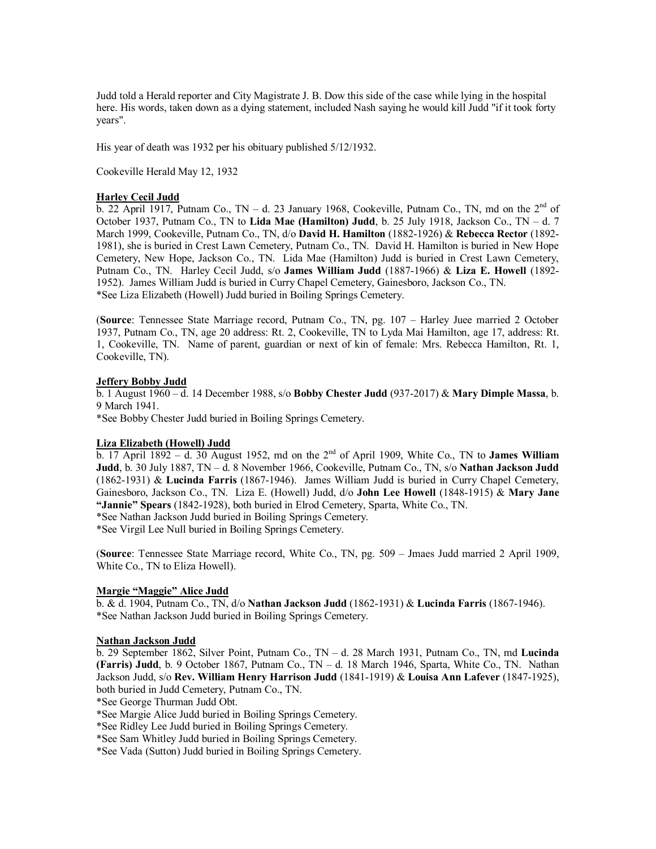Judd told a Herald reporter and City Magistrate J. B. Dow this side of the case while lying in the hospital here. His words, taken down as a dying statement, included Nash saying he would kill Judd "if it took forty years".

His year of death was 1932 per his obituary published 5/12/1932.

Cookeville Herald May 12, 1932

#### **Harley Cecil Judd**

 $\overline{b}$ . 22 April 1917, Putnam Co., TN – d. 23 January 1968, Cookeville, Putnam Co., TN, md on the 2<sup>nd</sup> of October 1937, Putnam Co., TN to **Lida Mae (Hamilton) Judd**, b. 25 July 1918, Jackson Co., TN – d. 7 March 1999, Cookeville, Putnam Co., TN, d/o **David H. Hamilton** (1882-1926) & **Rebecca Rector** (1892- 1981), she is buried in Crest Lawn Cemetery, Putnam Co., TN. David H. Hamilton is buried in New Hope Cemetery, New Hope, Jackson Co., TN. Lida Mae (Hamilton) Judd is buried in Crest Lawn Cemetery, Putnam Co., TN. Harley Cecil Judd, s/o **James William Judd** (1887-1966) & **Liza E. Howell** (1892- 1952). James William Judd is buried in Curry Chapel Cemetery, Gainesboro, Jackson Co., TN. \*See Liza Elizabeth (Howell) Judd buried in Boiling Springs Cemetery.

(**Source**: Tennessee State Marriage record, Putnam Co., TN, pg. 107 – Harley Juee married 2 October 1937, Putnam Co., TN, age 20 address: Rt. 2, Cookeville, TN to Lyda Mai Hamilton, age 17, address: Rt. 1, Cookeville, TN. Name of parent, guardian or next of kin of female: Mrs. Rebecca Hamilton, Rt. 1, Cookeville, TN).

#### **Jeffery Bobby Judd**

b. 1 August 1960 – d. 14 December 1988, s/o **Bobby Chester Judd** (937-2017) & **Mary Dimple Massa**, b. 9 March 1941.

\*See Bobby Chester Judd buried in Boiling Springs Cemetery.

# **Liza Elizabeth (Howell) Judd**

b. 17 April 1892 – d. 30 August 1952, md on the  $2<sup>nd</sup>$  of April 1909, White Co., TN to **James William Judd**, b. 30 July 1887, TN – d. 8 November 1966, Cookeville, Putnam Co., TN, s/o **Nathan Jackson Judd** (1862-1931) & **Lucinda Farris** (1867-1946). James William Judd is buried in Curry Chapel Cemetery, Gainesboro, Jackson Co., TN. Liza E. (Howell) Judd, d/o **John Lee Howell** (1848-1915) & **Mary Jane "Jannie" Spears** (1842-1928), both buried in Elrod Cemetery, Sparta, White Co., TN.

\*See Nathan Jackson Judd buried in Boiling Springs Cemetery.

\*See Virgil Lee Null buried in Boiling Springs Cemetery.

(**Source**: Tennessee State Marriage record, White Co., TN, pg. 509 – Jmaes Judd married 2 April 1909, White Co., TN to Eliza Howell).

#### **Margie "Maggie" Alice Judd**

b. & d. 1904, Putnam Co., TN, d/o **Nathan Jackson Judd** (1862-1931) & **Lucinda Farris** (1867-1946). \*See Nathan Jackson Judd buried in Boiling Springs Cemetery.

#### **Nathan Jackson Judd**

b. 29 September 1862, Silver Point, Putnam Co., TN – d. 28 March 1931, Putnam Co., TN, md **Lucinda (Farris) Judd**, b. 9 October 1867, Putnam Co., TN – d. 18 March 1946, Sparta, White Co., TN. Nathan Jackson Judd, s/o **Rev. William Henry Harrison Judd** (1841-1919) & **Louisa Ann Lafever** (1847-1925), both buried in Judd Cemetery, Putnam Co., TN.

\*See George Thurman Judd Obt.

\*See Margie Alice Judd buried in Boiling Springs Cemetery.

\*See Ridley Lee Judd buried in Boiling Springs Cemetery.

\*See Sam Whitley Judd buried in Boiling Springs Cemetery.

\*See Vada (Sutton) Judd buried in Boiling Springs Cemetery.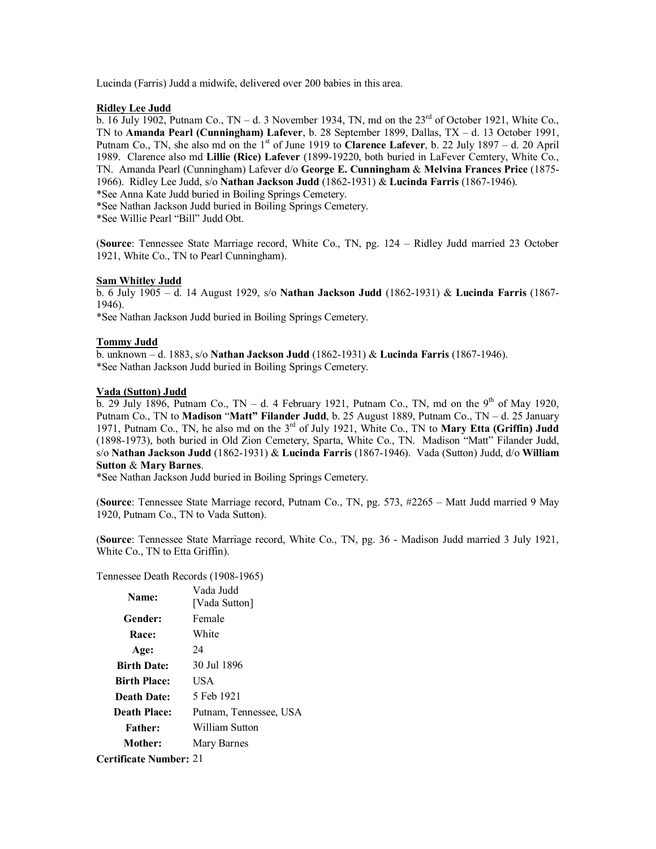Lucinda (Farris) Judd a midwife, delivered over 200 babies in this area.

#### **Ridley Lee Judd**

b. 16 July 1902, Putnam Co., TN – d. 3 November 1934, TN, md on the  $23^{\text{rd}}$  of October 1921, White Co., TN to **Amanda Pearl (Cunningham) Lafever**, b. 28 September 1899, Dallas, TX – d. 13 October 1991, Putnam Co., TN, she also md on the 1st of June 1919 to **Clarence Lafever**, b. 22 July 1897 – d. 20 April 1989. Clarence also md **Lillie (Rice) Lafever** (1899-19220, both buried in LaFever Cemtery, White Co., TN. Amanda Pearl (Cunningham) Lafever d/o **George E. Cunningham** & **Melvina Frances Price** (1875- 1966). Ridley Lee Judd, s/o **Nathan Jackson Judd** (1862-1931) & **Lucinda Farris** (1867-1946).

\*See Anna Kate Judd buried in Boiling Springs Cemetery.

\*See Nathan Jackson Judd buried in Boiling Springs Cemetery.

\*See Willie Pearl "Bill" Judd Obt.

(**Source**: Tennessee State Marriage record, White Co., TN, pg. 124 – Ridley Judd married 23 October 1921, White Co., TN to Pearl Cunningham).

### **Sam Whitley Judd**

b. 6 July 1905 – d. 14 August 1929, s/o **Nathan Jackson Judd** (1862-1931) & **Lucinda Farris** (1867- 1946).

\*See Nathan Jackson Judd buried in Boiling Springs Cemetery.

### **Tommy Judd**

b. unknown – d. 1883, s/o **Nathan Jackson Judd** (1862-1931) & **Lucinda Farris** (1867-1946). \*See Nathan Jackson Judd buried in Boiling Springs Cemetery.

### **Vada (Sutton) Judd**

b. 29 July 1896, Putnam Co., TN – d. 4 February 1921, Putnam Co., TN, md on the 9<sup>th</sup> of May 1920, Putnam Co., TN to **Madison** "**Matt" Filander Judd**, b. 25 August 1889, Putnam Co., TN – d. 25 January 1971, Putnam Co., TN, he also md on the  $3<sup>rd</sup>$  of July 1921, White Co., TN to **Mary Etta (Griffin) Judd** (1898-1973), both buried in Old Zion Cemetery, Sparta, White Co., TN. Madison "Matt" Filander Judd, s/o **Nathan Jackson Judd** (1862-1931) & **Lucinda Farris** (1867-1946). Vada (Sutton) Judd, d/o **William Sutton** & **Mary Barnes**.

\*See Nathan Jackson Judd buried in Boiling Springs Cemetery.

(**Source**: Tennessee State Marriage record, Putnam Co., TN, pg. 573, #2265 – Matt Judd married 9 May 1920, Putnam Co., TN to Vada Sutton).

(**Source**: Tennessee State Marriage record, White Co., TN, pg. 36 - Madison Judd married 3 July 1921, White Co., TN to Etta Griffin).

#### Tennessee Death Records (1908-1965)

| Name:                         | Vada Judd<br>[Vada Sutton] |
|-------------------------------|----------------------------|
| Gender:                       | Female                     |
| Race:                         | White                      |
| Age:                          | 24                         |
| <b>Birth Date:</b>            | 30 Jul 1896                |
| <b>Birth Place:</b>           | USA                        |
| Death Date:                   | 5 Feb 1921                 |
| <b>Death Place:</b>           | Putnam, Tennessee, USA     |
| <b>Father:</b>                | William Sutton             |
| Mother:                       | Mary Barnes                |
| <b>Certificate Number: 21</b> |                            |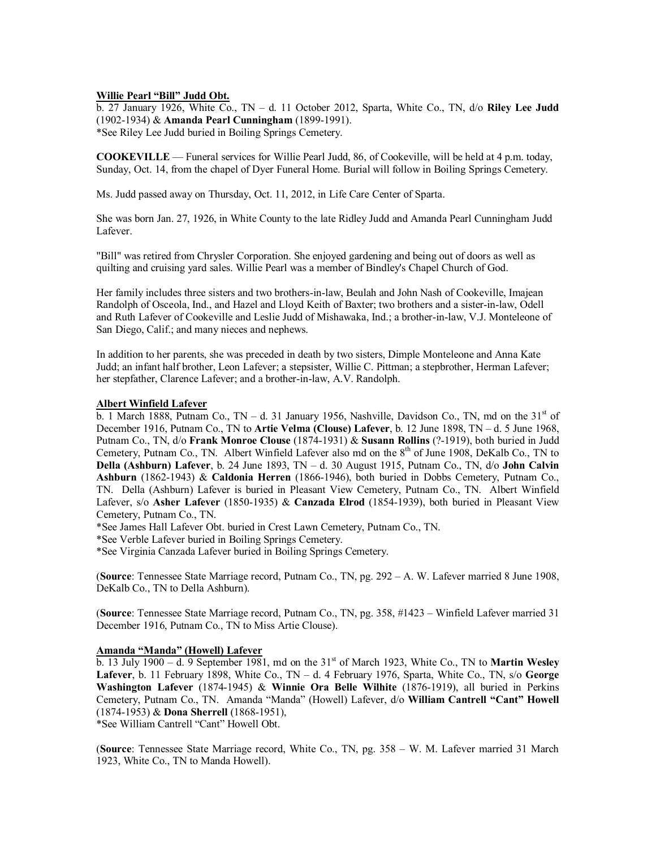### **Willie Pearl "Bill" Judd Obt.**

b. 27 January 1926, White Co., TN – d. 11 October 2012, Sparta, White Co., TN, d/o **Riley Lee Judd** (1902-1934) & **Amanda Pearl Cunningham** (1899-1991). \*See Riley Lee Judd buried in Boiling Springs Cemetery.

**COOKEVILLE** — Funeral services for Willie Pearl Judd, 86, of Cookeville, will be held at 4 p.m. today, Sunday, Oct. 14, from the chapel of Dyer Funeral Home. Burial will follow in Boiling Springs Cemetery.

Ms. Judd passed away on Thursday, Oct. 11, 2012, in Life Care Center of Sparta.

She was born Jan. 27, 1926, in White County to the late Ridley Judd and Amanda Pearl Cunningham Judd Lafever.

"Bill" was retired from Chrysler Corporation. She enjoyed gardening and being out of doors as well as quilting and cruising yard sales. Willie Pearl was a member of Bindley's Chapel Church of God.

Her family includes three sisters and two brothers-in-law, Beulah and John Nash of Cookeville, Imajean Randolph of Osceola, Ind., and Hazel and Lloyd Keith of Baxter; two brothers and a sister-in-law, Odell and Ruth Lafever of Cookeville and Leslie Judd of Mishawaka, Ind.; a brother-in-law, V.J. Monteleone of San Diego, Calif.; and many nieces and nephews.

In addition to her parents, she was preceded in death by two sisters, Dimple Monteleone and Anna Kate Judd; an infant half brother, Leon Lafever; a stepsister, Willie C. Pittman; a stepbrother, Herman Lafever; her stepfather, Clarence Lafever; and a brother-in-law, A.V. Randolph.

#### **Albert Winfield Lafever**

b. 1 March 1888, Putnam Co.,  $TN - d$ . 31 January 1956, Nashville, Davidson Co., TN, md on the 31<sup>st</sup> of December 1916, Putnam Co., TN to **Artie Velma (Clouse) Lafever**, b. 12 June 1898, TN – d. 5 June 1968, Putnam Co., TN, d/o **Frank Monroe Clouse** (1874-1931) & **Susann Rollins** (?-1919), both buried in Judd Cemetery, Putnam Co., TN. Albert Winfield Lafever also md on the 8<sup>th</sup> of June 1908, DeKalb Co., TN to **Della (Ashburn) Lafever**, b. 24 June 1893, TN – d. 30 August 1915, Putnam Co., TN, d/o **John Calvin Ashburn** (1862-1943) & **Caldonia Herren** (1866-1946), both buried in Dobbs Cemetery, Putnam Co., TN. Della (Ashburn) Lafever is buried in Pleasant View Cemetery, Putnam Co., TN. Albert Winfield Lafever, s/o **Asher Lafever** (1850-1935) & **Canzada Elrod** (1854-1939), both buried in Pleasant View Cemetery, Putnam Co., TN.

\*See James Hall Lafever Obt. buried in Crest Lawn Cemetery, Putnam Co., TN.

\*See Verble Lafever buried in Boiling Springs Cemetery.

\*See Virginia Canzada Lafever buried in Boiling Springs Cemetery.

(**Source**: Tennessee State Marriage record, Putnam Co., TN, pg. 292 – A. W. Lafever married 8 June 1908, DeKalb Co., TN to Della Ashburn).

(**Source**: Tennessee State Marriage record, Putnam Co., TN, pg. 358, #1423 – Winfield Lafever married 31 December 1916, Putnam Co., TN to Miss Artie Clouse).

# **Amanda "Manda" (Howell) Lafever**

b. 13 July 1900 – d. 9 September 1981, md on the 31st of March 1923, White Co., TN to **Martin Wesley Lafever**, b. 11 February 1898, White Co., TN – d. 4 February 1976, Sparta, White Co., TN, s/o **George Washington Lafever** (1874-1945) & **Winnie Ora Belle Wilhite** (1876-1919), all buried in Perkins Cemetery, Putnam Co., TN. Amanda "Manda" (Howell) Lafever, d/o **William Cantrell "Cant" Howell** (1874-1953) & **Dona Sherrell** (1868-1951),

\*See William Cantrell "Cant" Howell Obt.

(**Source**: Tennessee State Marriage record, White Co., TN, pg. 358 – W. M. Lafever married 31 March 1923, White Co., TN to Manda Howell).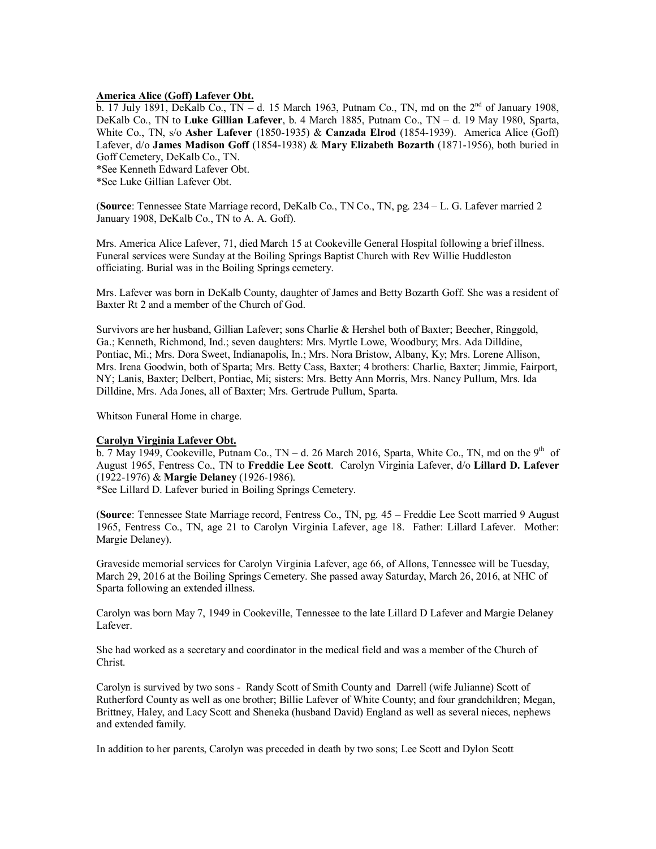# **America Alice (Goff) Lafever Obt.**

b. 17 July 1891, DeKalb Co.,  $TN - d$ . 15 March 1963, Putnam Co., TN, md on the  $2^{nd}$  of January 1908, DeKalb Co., TN to **Luke Gillian Lafever**, b. 4 March 1885, Putnam Co., TN – d. 19 May 1980, Sparta, White Co., TN, s/o **Asher Lafever** (1850-1935) & **Canzada Elrod** (1854-1939). America Alice (Goff) Lafever, d/o **James Madison Goff** (1854-1938) & **Mary Elizabeth Bozarth** (1871-1956), both buried in Goff Cemetery, DeKalb Co., TN.

\*See Kenneth Edward Lafever Obt.

\*See Luke Gillian Lafever Obt.

(**Source**: Tennessee State Marriage record, DeKalb Co., TN Co., TN, pg. 234 – L. G. Lafever married 2 January 1908, DeKalb Co., TN to A. A. Goff).

Mrs. America Alice Lafever, 71, died March 15 at Cookeville General Hospital following a brief illness. Funeral services were Sunday at the Boiling Springs Baptist Church with Rev Willie Huddleston officiating. Burial was in the Boiling Springs cemetery.

Mrs. Lafever was born in DeKalb County, daughter of James and Betty Bozarth Goff. She was a resident of Baxter Rt 2 and a member of the Church of God.

Survivors are her husband, Gillian Lafever; sons Charlie & Hershel both of Baxter; Beecher, Ringgold, Ga.; Kenneth, Richmond, Ind.; seven daughters: Mrs. Myrtle Lowe, Woodbury; Mrs. Ada Dilldine, Pontiac, Mi.; Mrs. Dora Sweet, Indianapolis, In.; Mrs. Nora Bristow, Albany, Ky; Mrs. Lorene Allison, Mrs. Irena Goodwin, both of Sparta; Mrs. Betty Cass, Baxter; 4 brothers: Charlie, Baxter; Jimmie, Fairport, NY; Lanis, Baxter; Delbert, Pontiac, Mi; sisters: Mrs. Betty Ann Morris, Mrs. Nancy Pullum, Mrs. Ida Dilldine, Mrs. Ada Jones, all of Baxter; Mrs. Gertrude Pullum, Sparta.

Whitson Funeral Home in charge.

#### **Carolyn Virginia Lafever Obt.**

b. 7 May 1949, Cookeville, Putnam Co.,  $TN - d$ . 26 March 2016, Sparta, White Co., TN, md on the 9<sup>th</sup> of August 1965, Fentress Co., TN to **Freddie Lee Scott**. Carolyn Virginia Lafever, d/o **Lillard D. Lafever** (1922-1976) & **Margie Delaney** (1926-1986).

\*See Lillard D. Lafever buried in Boiling Springs Cemetery.

(**Source**: Tennessee State Marriage record, Fentress Co., TN, pg. 45 – Freddie Lee Scott married 9 August 1965, Fentress Co., TN, age 21 to Carolyn Virginia Lafever, age 18. Father: Lillard Lafever. Mother: Margie Delaney).

Graveside memorial services for Carolyn Virginia Lafever, age 66, of Allons, Tennessee will be Tuesday, March 29, 2016 at the Boiling Springs Cemetery. She passed away Saturday, March 26, 2016, at NHC of Sparta following an extended illness.

Carolyn was born May 7, 1949 in Cookeville, Tennessee to the late Lillard D Lafever and Margie Delaney Lafever.

She had worked as a secretary and coordinator in the medical field and was a member of the Church of Christ.

Carolyn is survived by two sons - Randy Scott of Smith County and Darrell (wife Julianne) Scott of Rutherford County as well as one brother; Billie Lafever of White County; and four grandchildren; Megan, Brittney, Haley, and Lacy Scott and Sheneka (husband David) England as well as several nieces, nephews and extended family.

In addition to her parents, Carolyn was preceded in death by two sons; Lee Scott and Dylon Scott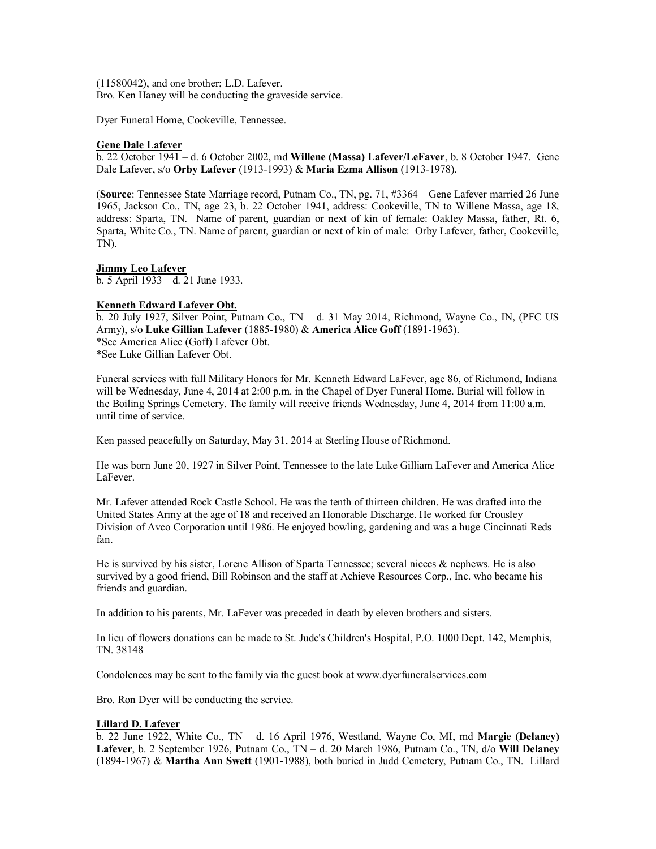(11580042), and one brother; L.D. Lafever. Bro. Ken Haney will be conducting the graveside service.

Dyer Funeral Home, Cookeville, Tennessee.

### **Gene Dale Lafever**

b. 22 October 1941 – d. 6 October 2002, md **Willene (Massa) Lafever/LeFaver**, b. 8 October 1947. Gene Dale Lafever, s/o **Orby Lafever** (1913-1993) & **Maria Ezma Allison** (1913-1978).

(**Source**: Tennessee State Marriage record, Putnam Co., TN, pg. 71, #3364 – Gene Lafever married 26 June 1965, Jackson Co., TN, age 23, b. 22 October 1941, address: Cookeville, TN to Willene Massa, age 18, address: Sparta, TN. Name of parent, guardian or next of kin of female: Oakley Massa, father, Rt. 6, Sparta, White Co., TN. Name of parent, guardian or next of kin of male: Orby Lafever, father, Cookeville, TN).

**Jimmy Leo Lafever** b. 5 April 1933 – d. 21 June 1933.

### **Kenneth Edward Lafever Obt.**

b. 20 July 1927, Silver Point, Putnam Co., TN – d. 31 May 2014, Richmond, Wayne Co., IN, (PFC US Army), s/o **Luke Gillian Lafever** (1885-1980) & **America Alice Goff** (1891-1963). \*See America Alice (Goff) Lafever Obt. \*See Luke Gillian Lafever Obt.

Funeral services with full Military Honors for Mr. Kenneth Edward LaFever, age 86, of Richmond, Indiana will be Wednesday, June 4, 2014 at 2:00 p.m. in the Chapel of Dyer Funeral Home. Burial will follow in the Boiling Springs Cemetery. The family will receive friends Wednesday, June 4, 2014 from 11:00 a.m. until time of service.

Ken passed peacefully on Saturday, May 31, 2014 at Sterling House of Richmond.

He was born June 20, 1927 in Silver Point, Tennessee to the late Luke Gilliam LaFever and America Alice LaFever.

Mr. Lafever attended Rock Castle School. He was the tenth of thirteen children. He was drafted into the United States Army at the age of 18 and received an Honorable Discharge. He worked for Crousley Division of Avco Corporation until 1986. He enjoyed bowling, gardening and was a huge Cincinnati Reds fan.

He is survived by his sister, Lorene Allison of Sparta Tennessee; several nieces & nephews. He is also survived by a good friend, Bill Robinson and the staff at Achieve Resources Corp., Inc. who became his friends and guardian.

In addition to his parents, Mr. LaFever was preceded in death by eleven brothers and sisters.

In lieu of flowers donations can be made to St. Jude's Children's Hospital, P.O. 1000 Dept. 142, Memphis, TN. 38148

Condolences may be sent to the family via the guest book at [www.dyerfuneralservices.com](http://www.dyerfuneralservices.com/)

Bro. Ron Dyer will be conducting the service.

# **Lillard D. Lafever**

b. 22 June 1922, White Co., TN – d. 16 April 1976, Westland, Wayne Co, MI, md **Margie (Delaney) Lafever**, b. 2 September 1926, Putnam Co., TN – d. 20 March 1986, Putnam Co., TN, d/o **Will Delaney** (1894-1967) & **Martha Ann Swett** (1901-1988), both buried in Judd Cemetery, Putnam Co., TN. Lillard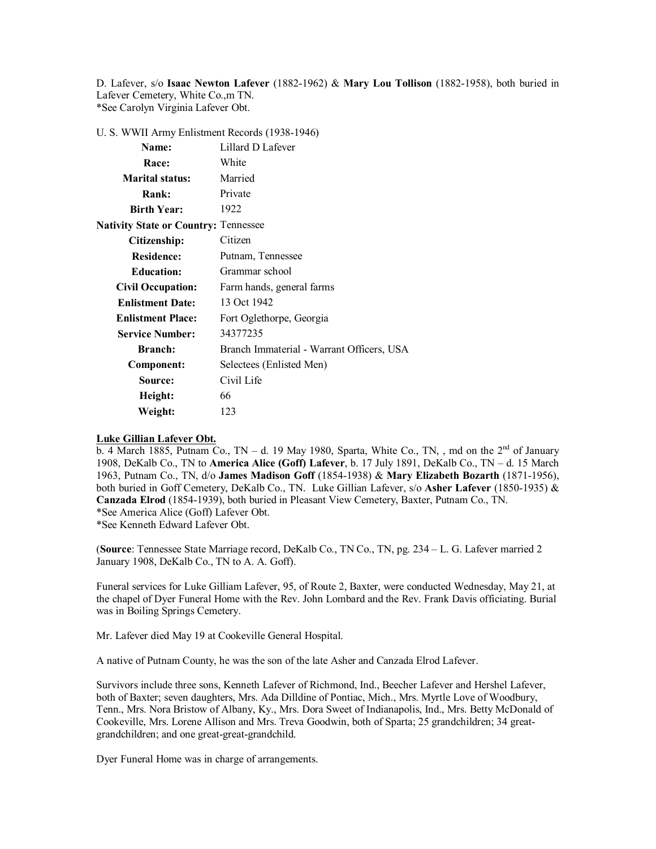D. Lafever, s/o **Isaac Newton Lafever** (1882-1962) & **Mary Lou Tollison** (1882-1958), both buried in Lafever Cemetery, White Co.,m TN. \*See Carolyn Virginia Lafever Obt.

U. S. WWII Army Enlistment Records (1938-1946)

| <b>Name:</b>                                | Lillard D Lafever                         |
|---------------------------------------------|-------------------------------------------|
| Race:                                       | White                                     |
| <b>Marital status:</b>                      | Married                                   |
| Rank:                                       | Private                                   |
| <b>Birth Year:</b>                          | 1922                                      |
| <b>Nativity State or Country: Tennessee</b> |                                           |
| Citizenship:                                | Citizen                                   |
| <b>Residence:</b>                           | Putnam, Tennessee                         |
| <b>Education:</b>                           | Grammar school                            |
| <b>Civil Occupation:</b>                    | Farm hands, general farms                 |
| <b>Enlistment Date:</b>                     | 13 Oct 1942                               |
| <b>Enlistment Place:</b>                    | Fort Oglethorpe, Georgia                  |
| <b>Service Number:</b>                      | 34377235                                  |
| <b>Branch:</b>                              | Branch Immaterial - Warrant Officers, USA |
| Component:                                  | Selectees (Enlisted Men)                  |
| Source:                                     | Civil Life                                |
| Height:                                     | 66                                        |
| Weight:                                     | 123                                       |

#### **Luke Gillian Lafever Obt.**

b. 4 March 1885, Putnam Co., TN – d. 19 May 1980, Sparta, White Co., TN, , md on the  $2<sup>nd</sup>$  of January 1908, DeKalb Co., TN to **America Alice (Goff) Lafever**, b. 17 July 1891, DeKalb Co., TN – d. 15 March 1963, Putnam Co., TN, d/o **James Madison Goff** (1854-1938) & **Mary Elizabeth Bozarth** (1871-1956), both buried in Goff Cemetery, DeKalb Co., TN. Luke Gillian Lafever, s/o **Asher Lafever** (1850-1935) & **Canzada Elrod** (1854-1939), both buried in Pleasant View Cemetery, Baxter, Putnam Co., TN. \*See America Alice (Goff) Lafever Obt. \*See Kenneth Edward Lafever Obt.

(**Source**: Tennessee State Marriage record, DeKalb Co., TN Co., TN, pg. 234 – L. G. Lafever married 2 January 1908, DeKalb Co., TN to A. A. Goff).

Funeral services for Luke Gilliam Lafever, 95, of Route 2, Baxter, were conducted Wednesday, May 21, at the chapel of Dyer Funeral Home with the Rev. John Lombard and the Rev. Frank Davis officiating. Burial was in Boiling Springs Cemetery.

Mr. Lafever died May 19 at Cookeville General Hospital.

A native of Putnam County, he was the son of the late Asher and Canzada Elrod Lafever.

Survivors include three sons, Kenneth Lafever of Richmond, Ind., Beecher Lafever and Hershel Lafever, both of Baxter; seven daughters, Mrs. Ada Dilldine of Pontiac, Mich., Mrs. Myrtle Love of Woodbury, Tenn., Mrs. Nora Bristow of Albany, Ky., Mrs. Dora Sweet of Indianapolis, Ind., Mrs. Betty McDonald of Cookeville, Mrs. Lorene Allison and Mrs. Treva Goodwin, both of Sparta; 25 grandchildren; 34 greatgrandchildren; and one great-great-grandchild.

Dyer Funeral Home was in charge of arrangements.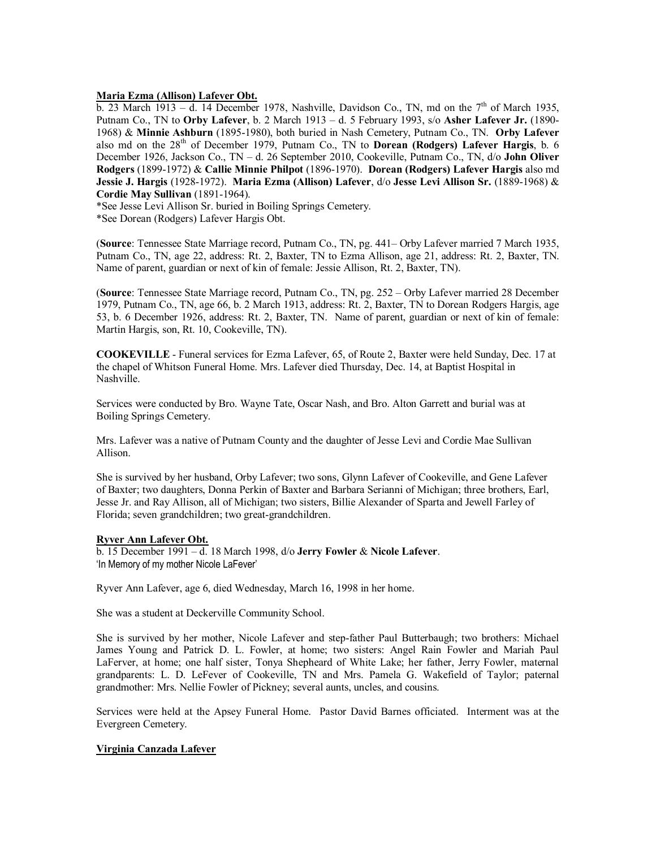#### **Maria Ezma (Allison) Lafever Obt.**

b. 23 March 1913 – d. 14 December 1978, Nashville, Davidson Co., TN, md on the  $7<sup>th</sup>$  of March 1935, Putnam Co., TN to **Orby Lafever**, b. 2 March 1913 – d. 5 February 1993, s/o **Asher Lafever Jr.** (1890- 1968) & **Minnie Ashburn** (1895-1980), both buried in Nash Cemetery, Putnam Co., TN. **Orby Lafever** also md on the 28th of December 1979, Putnam Co., TN to **Dorean (Rodgers) Lafever Hargis**, b. 6 December 1926, Jackson Co., TN – d. 26 September 2010, Cookeville, Putnam Co., TN, d/o **John Oliver Rodgers** (1899-1972) & **Callie Minnie Philpot** (1896-1970). **Dorean (Rodgers) Lafever Hargis** also md **Jessie J. Hargis** (1928-1972). **Maria Ezma (Allison) Lafever**, d/o **Jesse Levi Allison Sr.** (1889-1968) & **Cordie May Sullivan** (1891-1964).

\*See Jesse Levi Allison Sr. buried in Boiling Springs Cemetery.

\*See Dorean (Rodgers) Lafever Hargis Obt.

(**Source**: Tennessee State Marriage record, Putnam Co., TN, pg. 441– Orby Lafever married 7 March 1935, Putnam Co., TN, age 22, address: Rt. 2, Baxter, TN to Ezma Allison, age 21, address: Rt. 2, Baxter, TN. Name of parent, guardian or next of kin of female: Jessie Allison, Rt. 2, Baxter, TN).

(**Source**: Tennessee State Marriage record, Putnam Co., TN, pg. 252 – Orby Lafever married 28 December 1979, Putnam Co., TN, age 66, b. 2 March 1913, address: Rt. 2, Baxter, TN to Dorean Rodgers Hargis, age 53, b. 6 December 1926, address: Rt. 2, Baxter, TN. Name of parent, guardian or next of kin of female: Martin Hargis, son, Rt. 10, Cookeville, TN).

**COOKEVILLE** - Funeral services for Ezma Lafever, 65, of Route 2, Baxter were held Sunday, Dec. 17 at the chapel of Whitson Funeral Home. Mrs. Lafever died Thursday, Dec. 14, at Baptist Hospital in Nashville.

Services were conducted by Bro. Wayne Tate, Oscar Nash, and Bro. Alton Garrett and burial was at Boiling Springs Cemetery.

Mrs. Lafever was a native of Putnam County and the daughter of Jesse Levi and Cordie Mae Sullivan Allison.

She is survived by her husband, Orby Lafever; two sons, Glynn Lafever of Cookeville, and Gene Lafever of Baxter; two daughters, Donna Perkin of Baxter and Barbara Serianni of Michigan; three brothers, Earl, Jesse Jr. and Ray Allison, all of Michigan; two sisters, Billie Alexander of Sparta and Jewell Farley of Florida; seven grandchildren; two great-grandchildren.

#### **Ryver Ann Lafever Obt.**

b. 15 December 1991 – d. 18 March 1998, d/o **Jerry Fowler** & **Nicole Lafever**. 'In Memory of my mother Nicole LaFever'

Ryver Ann Lafever, age 6, died Wednesday, March 16, 1998 in her home.

She was a student at Deckerville Community School.

She is survived by her mother, Nicole Lafever and step-father Paul Butterbaugh; two brothers: Michael James Young and Patrick D. L. Fowler, at home; two sisters: Angel Rain Fowler and Mariah Paul LaFerver, at home; one half sister, Tonya Shepheard of White Lake; her father, Jerry Fowler, maternal grandparents: L. D. LeFever of Cookeville, TN and Mrs. Pamela G. Wakefield of Taylor; paternal grandmother: Mrs. Nellie Fowler of Pickney; several aunts, uncles, and cousins.

Services were held at the Apsey Funeral Home. Pastor David Barnes officiated. Interment was at the Evergreen Cemetery.

#### **Virginia Canzada Lafever**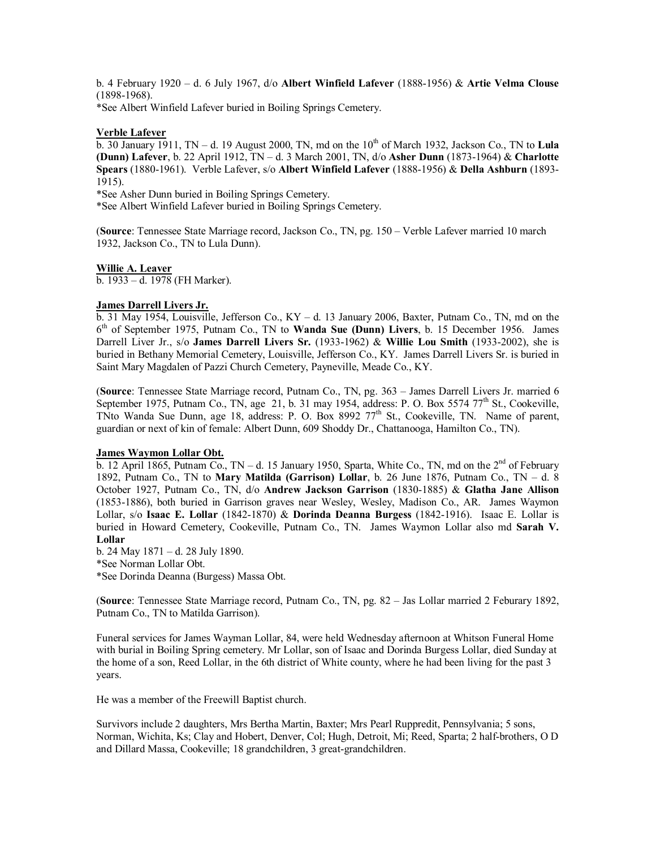b. 4 February 1920 – d. 6 July 1967, d/o **Albert Winfield Lafever** (1888-1956) & **Artie Velma Clouse** (1898-1968).

\*See Albert Winfield Lafever buried in Boiling Springs Cemetery.

### **Verble Lafever**

 $\overline{b}$ . 30 January 1911, TN – d. 19 August 2000, TN, md on the 10<sup>th</sup> of March 1932, Jackson Co., TN to Lula **(Dunn) Lafever**, b. 22 April 1912, TN – d. 3 March 2001, TN, d/o **Asher Dunn** (1873-1964) & **Charlotte Spears** (1880-1961). Verble Lafever, s/o **Albert Winfield Lafever** (1888-1956) & **Della Ashburn** (1893- 1915).

\*See Asher Dunn buried in Boiling Springs Cemetery.

\*See Albert Winfield Lafever buried in Boiling Springs Cemetery.

(**Source**: Tennessee State Marriage record, Jackson Co., TN, pg. 150 – Verble Lafever married 10 march 1932, Jackson Co., TN to Lula Dunn).

#### **Willie A. Leaver**

b. 1933 – d. 1978 (FH Marker).

#### **James Darrell Livers Jr.**

b. 31 May 1954, Louisville, Jefferson Co., KY – d. 13 January 2006, Baxter, Putnam Co., TN, md on the 6 th of September 1975, Putnam Co., TN to **Wanda Sue (Dunn) Livers**, b. 15 December 1956. James Darrell Liver Jr., s/o **James Darrell Livers Sr.** (1933-1962) & **Willie Lou Smith** (1933-2002), she is buried in Bethany Memorial Cemetery, Louisville, Jefferson Co., KY. James Darrell Livers Sr. is buried in Saint Mary Magdalen of Pazzi Church Cemetery, Payneville, Meade Co., KY.

(**Source**: Tennessee State Marriage record, Putnam Co., TN, pg. 363 – James Darrell Livers Jr. married 6 September 1975, Putnam Co., TN, age 21, b. 31 may 1954, address: P. O. Box 5574 77<sup>th</sup> St., Cookeville, TNto Wanda Sue Dunn, age 18, address: P. O. Box 8992 77<sup>th</sup> St., Cookeville, TN. Name of parent, guardian or next of kin of female: Albert Dunn, 609 Shoddy Dr., Chattanooga, Hamilton Co., TN).

#### **James Waymon Lollar Obt.**

b. 12 April 1865, Putnam Co., TN – d. 15 January 1950, Sparta, White Co., TN, md on the  $2^{nd}$  of February 1892, Putnam Co., TN to **Mary Matilda (Garrison) Lollar**, b. 26 June 1876, Putnam Co., TN – d. 8 October 1927, Putnam Co., TN, d/o **Andrew Jackson Garrison** (1830-1885) & **Glatha Jane Allison** (1853-1886), both buried in Garrison graves near Wesley, Wesley, Madison Co., AR. James Waymon Lollar, s/o **Isaac E. Lollar** (1842-1870) & **Dorinda Deanna Burgess** (1842-1916). Isaac E. Lollar is buried in Howard Cemetery, Cookeville, Putnam Co., TN. James Waymon Lollar also md **Sarah V. Lollar**

b. 24 May 1871 – d. 28 July 1890. \*See Norman Lollar Obt. \*See Dorinda Deanna (Burgess) Massa Obt.

(**Source**: Tennessee State Marriage record, Putnam Co., TN, pg. 82 – Jas Lollar married 2 Feburary 1892, Putnam Co., TN to Matilda Garrison).

Funeral services for James Wayman Lollar, 84, were held Wednesday afternoon at Whitson Funeral Home with burial in Boiling Spring cemetery. Mr Lollar, son of Isaac and Dorinda Burgess Lollar, died Sunday at the home of a son, Reed Lollar, in the 6th district of White county, where he had been living for the past 3 years.

He was a member of the Freewill Baptist church.

Survivors include 2 daughters, Mrs Bertha Martin, Baxter; Mrs Pearl Ruppredit, Pennsylvania; 5 sons, Norman, Wichita, Ks; Clay and Hobert, Denver, Col; Hugh, Detroit, Mi; Reed, Sparta; 2 half-brothers, O D and Dillard Massa, Cookeville; 18 grandchildren, 3 great-grandchildren.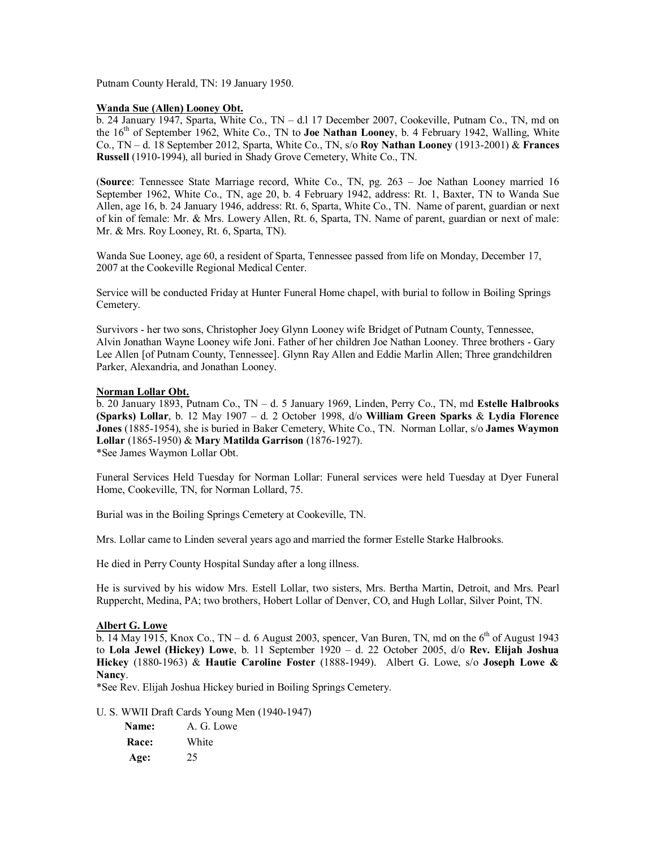Putnam County Herald, TN: 19 January 1950.

### **Wanda Sue (Allen) Looney Obt.**

b. 24 January 1947, Sparta, White Co., TN – d.l 17 December 2007, Cookeville, Putnam Co., TN, md on the 16th of September 1962, White Co., TN to **Joe Nathan Looney**, b. 4 February 1942, Walling, White Co., TN – d. 18 September 2012, Sparta, White Co., TN, s/o **Roy Nathan Looney** (1913-2001) & **Frances Russell** (1910-1994), all buried in Shady Grove Cemetery, White Co., TN.

(**Source**: Tennessee State Marriage record, White Co., TN, pg. 263 – Joe Nathan Looney married 16 September 1962, White Co., TN, age 20, b. 4 February 1942, address: Rt. 1, Baxter, TN to Wanda Sue Allen, age 16, b. 24 January 1946, address: Rt. 6, Sparta, White Co., TN. Name of parent, guardian or next of kin of female: Mr. & Mrs. Lowery Allen, Rt. 6, Sparta, TN. Name of parent, guardian or next of male: Mr. & Mrs. Roy Looney, Rt. 6, Sparta, TN).

Wanda Sue Looney, age 60, a resident of Sparta, Tennessee passed from life on Monday, December 17, 2007 at the Cookeville Regional Medical Center.

Service will be conducted Friday at Hunter Funeral Home chapel, with burial to follow in Boiling Springs Cemetery.

Survivors - her two sons, Christopher Joey Glynn Looney wife Bridget of Putnam County, Tennessee, Alvin Jonathan Wayne Looney wife Joni. Father of her children Joe Nathan Looney. Three brothers - Gary Lee Allen [of Putnam County, Tennessee]. Glynn Ray Allen and Eddie Marlin Allen; Three grandchildren Parker, Alexandria, and Jonathan Looney.

### **Norman Lollar Obt.**

b. 20 January 1893, Putnam Co., TN – d. 5 January 1969, Linden, Perry Co., TN, md **Estelle Halbrooks (Sparks) Lollar**, b. 12 May 1907 – d. 2 October 1998, d/o **William Green Sparks** & **Lydia Florence Jones** (1885-1954), she is buried in Baker Cemetery, White Co., TN. Norman Lollar, s/o **James Waymon Lollar** (1865-1950) & **Mary Matilda Garrison** (1876-1927). \*See James Waymon Lollar Obt.

Funeral Services Held Tuesday for Norman Lollar: Funeral services were held Tuesday at Dyer Funeral Home, Cookeville, TN, for Norman Lollard, 75.

Burial was in the Boiling Springs Cemetery at Cookeville, TN.

Mrs. Lollar came to Linden several years ago and married the former Estelle Starke Halbrooks.

He died in Perry County Hospital Sunday after a long illness.

He is survived by his widow Mrs. Estell Lollar, two sisters, Mrs. Bertha Martin, Detroit, and Mrs. Pearl Ruppercht, Medina, PA; two brothers, Hobert Lollar of Denver, CO, and Hugh Lollar, Silver Point, TN.

# **Albert G. Lowe**

b. 14 May 1915, Knox Co., TN – d. 6 August 2003, spencer, Van Buren, TN, md on the  $6<sup>th</sup>$  of August 1943 to **Lola Jewel (Hickey) Lowe**, b. 11 September 1920 – d. 22 October 2005, d/o **Rev. Elijah Joshua Hickey** (1880-1963) & **Hautie Caroline Foster** (1888-1949). Albert G. Lowe, s/o **Joseph Lowe & Nancy**.

\*See Rev. Elijah Joshua Hickey buried in Boiling Springs Cemetery.

U. S. WWII Draft Cards Young Men (1940-1947)

| <b>Name:</b> | A. G. Lowe |
|--------------|------------|
| Race:        | White      |
| Age:         | 25         |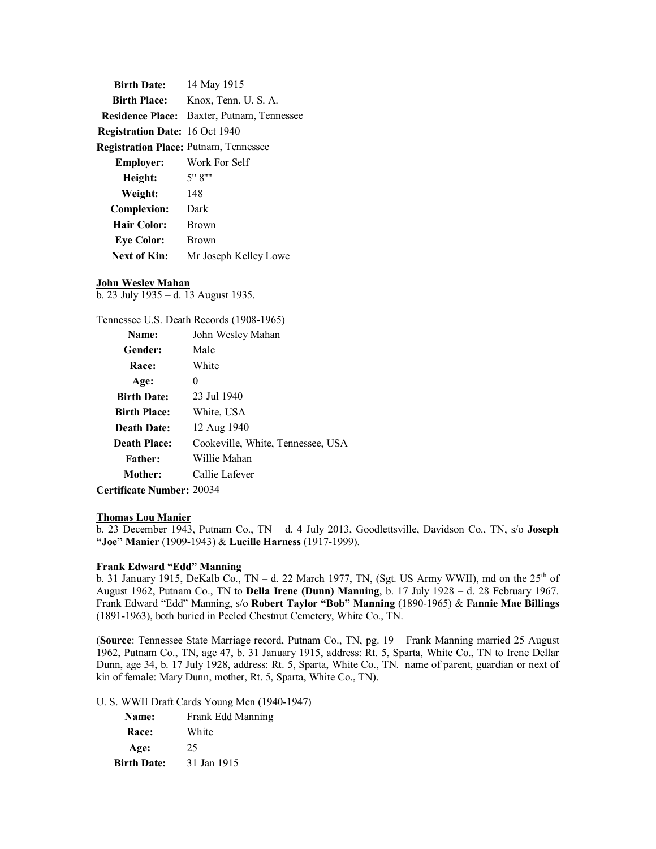| <b>Birth Date:</b>                           | 14 May 1915                                       |
|----------------------------------------------|---------------------------------------------------|
| <b>Birth Place:</b>                          | Knox, Tenn. U. S. A.                              |
|                                              | <b>Residence Place:</b> Baxter, Putnam, Tennessee |
| <b>Registration Date: 16 Oct 1940</b>        |                                                   |
| <b>Registration Place: Putnam, Tennessee</b> |                                                   |
| <b>Employer:</b>                             | Work For Self                                     |
| Height:                                      | 5" 8""                                            |
| Weight:                                      | 148                                               |
| <b>Complexion:</b>                           | Dark                                              |
| Hair Color:                                  | <b>Brown</b>                                      |
| <b>Eye Color:</b>                            | <b>Brown</b>                                      |
| Next of Kin:                                 | Mr Joseph Kelley Lowe                             |

### **John Wesley Mahan**

b. 23 July 1935 – d. 13 August 1935.

Tennessee U.S. Death Records (1908-1965)

| Name:               | John Wesley Mahan                 |
|---------------------|-----------------------------------|
| Gender:             | Male                              |
| <b>Race:</b>        | White                             |
| Age:                | 0                                 |
| <b>Birth Date:</b>  | 23 Jul 1940                       |
| <b>Birth Place:</b> | White, USA                        |
| <b>Death Date:</b>  | 12 Aug 1940                       |
| <b>Death Place:</b> | Cookeville, White, Tennessee, USA |
| <b>Father:</b>      | Willie Mahan                      |
| Mother:             | Callie Lafever                    |
|                     |                                   |

**Certificate Number:** 20034

#### **Thomas Lou Manier**

b. 23 December 1943, Putnam Co., TN – d. 4 July 2013, Goodlettsville, Davidson Co., TN, s/o **Joseph "Joe" Manier** (1909-1943) & **Lucille Harness** (1917-1999).

#### **Frank Edward "Edd" Manning**

b. 31 January 1915, DeKalb Co., TN – d. 22 March 1977, TN, (Sgt. US Army WWII), md on the  $25<sup>th</sup>$  of August 1962, Putnam Co., TN to **Della Irene (Dunn) Manning**, b. 17 July 1928 – d. 28 February 1967. Frank Edward "Edd" Manning, s/o **Robert Taylor "Bob" Manning** (1890-1965) & **Fannie Mae Billings** (1891-1963), both buried in Peeled Chestnut Cemetery, White Co., TN.

(**Source**: Tennessee State Marriage record, Putnam Co., TN, pg. 19 – Frank Manning married 25 August 1962, Putnam Co., TN, age 47, b. 31 January 1915, address: Rt. 5, Sparta, White Co., TN to Irene Dellar Dunn, age 34, b. 17 July 1928, address: Rt. 5, Sparta, White Co., TN. name of parent, guardian or next of kin of female: Mary Dunn, mother, Rt. 5, Sparta, White Co., TN).

U. S. WWII Draft Cards Young Men (1940-1947)

| <b>Name:</b>       | Frank Edd Manning |
|--------------------|-------------------|
| <b>Race:</b>       | White             |
| Age:               | 25                |
| <b>Birth Date:</b> | 31 Jan 1915       |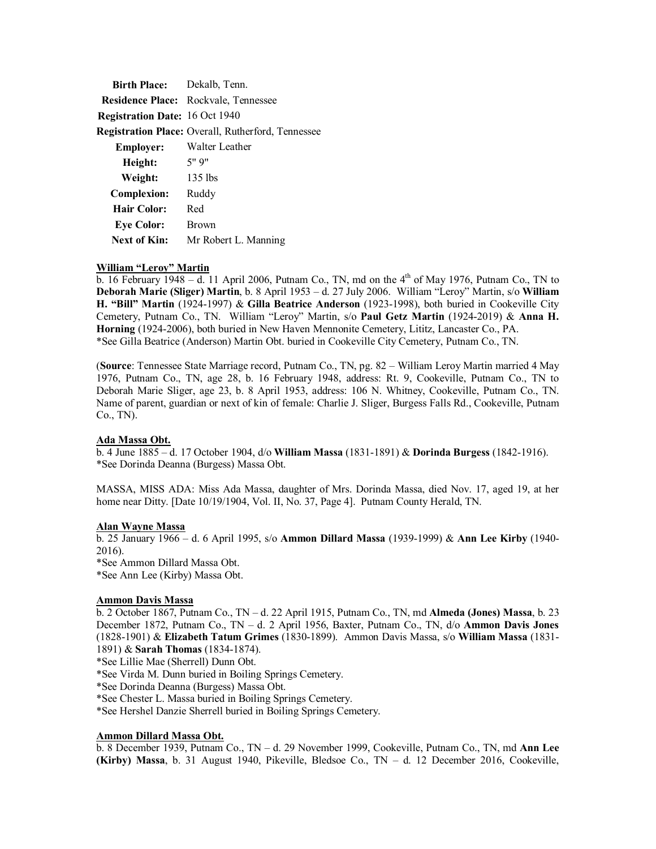| <b>Birth Place:</b> Dekalb, Tenn.     |                                                    |
|---------------------------------------|----------------------------------------------------|
|                                       | <b>Residence Place:</b> Rockvale, Tennessee        |
| <b>Registration Date: 16 Oct 1940</b> |                                                    |
|                                       | Registration Place: Overall, Rutherford, Tennessee |
| <b>Employer:</b>                      | Walter Leather                                     |
| Height:                               | 5" 9"                                              |
| Weight:                               | $135$ lbs                                          |
| <b>Complexion:</b>                    | Ruddy                                              |
| <b>Hair Color:</b>                    | Red                                                |
| <b>Eye Color:</b>                     | <b>Brown</b>                                       |
| Next of Kin:                          | Mr Robert L. Manning                               |

#### **William "Leroy" Martin**

b. 16 February  $\frac{1948 - d}{11}$  April 2006, Putnam Co., TN, md on the 4<sup>th</sup> of May 1976, Putnam Co., TN to **Deborah Marie (Sliger) Martin**, b. 8 April 1953 – d. 27 July 2006. William "Leroy" Martin, s/o **William H. "Bill" Martin** (1924-1997) & **Gilla Beatrice Anderson** (1923-1998), both buried in Cookeville City Cemetery, Putnam Co., TN. William "Leroy" Martin, s/o **Paul Getz Martin** (1924-2019) & **Anna H. Horning** (1924-2006), both buried in New Haven Mennonite Cemetery, Lititz, Lancaster Co., PA. \*See Gilla Beatrice (Anderson) Martin Obt. buried in Cookeville City Cemetery, Putnam Co., TN.

(**Source**: Tennessee State Marriage record, Putnam Co., TN, pg. 82 – William Leroy Martin married 4 May 1976, Putnam Co., TN, age 28, b. 16 February 1948, address: Rt. 9, Cookeville, Putnam Co., TN to Deborah Marie Sliger, age 23, b. 8 April 1953, address: 106 N. Whitney, Cookeville, Putnam Co., TN. Name of parent, guardian or next of kin of female: Charlie J. Sliger, Burgess Falls Rd., Cookeville, Putnam Co., TN).

#### **Ada Massa Obt.**

b. 4 June 1885 – d. 17 October 1904, d/o **William Massa** (1831-1891) & **Dorinda Burgess** (1842-1916). \*See Dorinda Deanna (Burgess) Massa Obt.

MASSA, MISS ADA: Miss Ada Massa, daughter of Mrs. Dorinda Massa, died Nov. 17, aged 19, at her home near Ditty. [Date 10/19/1904, Vol. II, No. 37, Page 4]. Putnam County Herald, TN.

### **Alan Wayne Massa**

b. 25 January 1966 – d. 6 April 1995, s/o **Ammon Dillard Massa** (1939-1999) & **Ann Lee Kirby** (1940- 2016). \*See Ammon Dillard Massa Obt.

\*See Ann Lee (Kirby) Massa Obt.

# **Ammon Davis Massa**

b. 2 October 1867, Putnam Co., TN – d. 22 April 1915, Putnam Co., TN, md **Almeda (Jones) Massa**, b. 23 December 1872, Putnam Co., TN – d. 2 April 1956, Baxter, Putnam Co., TN, d/o **Ammon Davis Jones** (1828-1901) & **Elizabeth Tatum Grimes** (1830-1899). Ammon Davis Massa, s/o **William Massa** (1831- 1891) & **Sarah Thomas** (1834-1874).

\*See Lillie Mae (Sherrell) Dunn Obt.

\*See Virda M. Dunn buried in Boiling Springs Cemetery.

\*See Dorinda Deanna (Burgess) Massa Obt.

\*See Chester L. Massa buried in Boiling Springs Cemetery.

\*See Hershel Danzie Sherrell buried in Boiling Springs Cemetery.

# **Ammon Dillard Massa Obt.**

b. 8 December 1939, Putnam Co., TN – d. 29 November 1999, Cookeville, Putnam Co., TN, md **Ann Lee (Kirby) Massa**, b. 31 August 1940, Pikeville, Bledsoe Co., TN – d. 12 December 2016, Cookeville,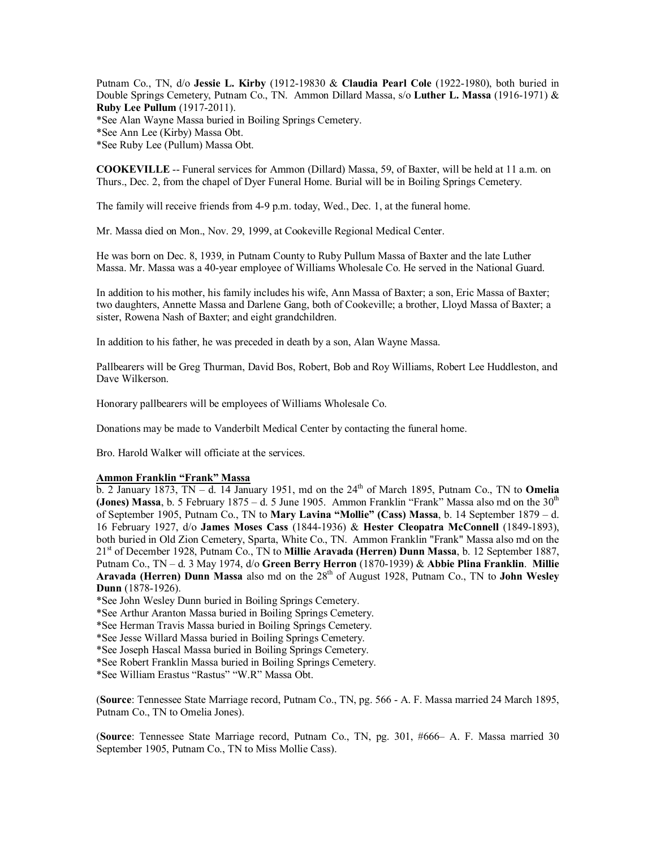Putnam Co., TN, d/o **Jessie L. Kirby** (1912-19830 & **Claudia Pearl Cole** (1922-1980), both buried in Double Springs Cemetery, Putnam Co., TN. Ammon Dillard Massa, s/o **Luther L. Massa** (1916-1971) & **Ruby Lee Pullum** (1917-2011). \*See Alan Wayne Massa buried in Boiling Springs Cemetery. \*See Ann Lee (Kirby) Massa Obt. \*See Ruby Lee (Pullum) Massa Obt.

**COOKEVILLE** -- Funeral services for Ammon (Dillard) Massa, 59, of Baxter, will be held at 11 a.m. on Thurs., Dec. 2, from the chapel of Dyer Funeral Home. Burial will be in Boiling Springs Cemetery.

The family will receive friends from 4-9 p.m. today, Wed., Dec. 1, at the funeral home.

Mr. Massa died on Mon., Nov. 29, 1999, at Cookeville Regional Medical Center.

He was born on Dec. 8, 1939, in Putnam County to Ruby Pullum Massa of Baxter and the late Luther Massa. Mr. Massa was a 40-year employee of Williams Wholesale Co. He served in the National Guard.

In addition to his mother, his family includes his wife, Ann Massa of Baxter; a son, Eric Massa of Baxter; two daughters, Annette Massa and Darlene Gang, both of Cookeville; a brother, Lloyd Massa of Baxter; a sister, Rowena Nash of Baxter; and eight grandchildren.

In addition to his father, he was preceded in death by a son, Alan Wayne Massa.

Pallbearers will be Greg Thurman, David Bos, Robert, Bob and Roy Williams, Robert Lee Huddleston, and Dave Wilkerson.

Honorary pallbearers will be employees of Williams Wholesale Co.

Donations may be made to Vanderbilt Medical Center by contacting the funeral home.

Bro. Harold Walker will officiate at the services.

#### **Ammon Franklin "Frank" Massa**

 $\overline{b}$ . 2 January 1873, TN – d. 14 January 1951, md on the 24<sup>th</sup> of March 1895, Putnam Co., TN to **Omelia (Jones) Massa**, b. 5 February  $1875 - d$ . 5 June 1905. Ammon Franklin "Frank" Massa also md on the  $30<sup>th</sup>$ of September 1905, Putnam Co., TN to **Mary Lavina "Mollie" (Cass) Massa**, b. 14 September 1879 – d. 16 February 1927, d/o **James Moses Cass** (1844-1936) & **Hester Cleopatra McConnell** (1849-1893), both buried in Old Zion Cemetery, Sparta, White Co., TN. Ammon Franklin "Frank" Massa also md on the 21st of December 1928, Putnam Co., TN to **Millie Aravada (Herren) Dunn Massa**, b. 12 September 1887, Putnam Co., TN – d. 3 May 1974, d/o **Green Berry Herron** (1870-1939) & **Abbie Plina Franklin**. **Millie Aravada (Herren) Dunn Massa** also md on the 28<sup>th</sup> of August 1928, Putnam Co., TN to **John Wesley Dunn** (1878-1926).

\*See John Wesley Dunn buried in Boiling Springs Cemetery.

\*See Arthur Aranton Massa buried in Boiling Springs Cemetery.

\*See Herman Travis Massa buried in Boiling Springs Cemetery.

\*See Jesse Willard Massa buried in Boiling Springs Cemetery.

\*See Joseph Hascal Massa buried in Boiling Springs Cemetery.

\*See Robert Franklin Massa buried in Boiling Springs Cemetery.

\*See William Erastus "Rastus" "W.R" Massa Obt.

(**Source**: Tennessee State Marriage record, Putnam Co., TN, pg. 566 - A. F. Massa married 24 March 1895, Putnam Co., TN to Omelia Jones).

(**Source**: Tennessee State Marriage record, Putnam Co., TN, pg. 301, #666– A. F. Massa married 30 September 1905, Putnam Co., TN to Miss Mollie Cass).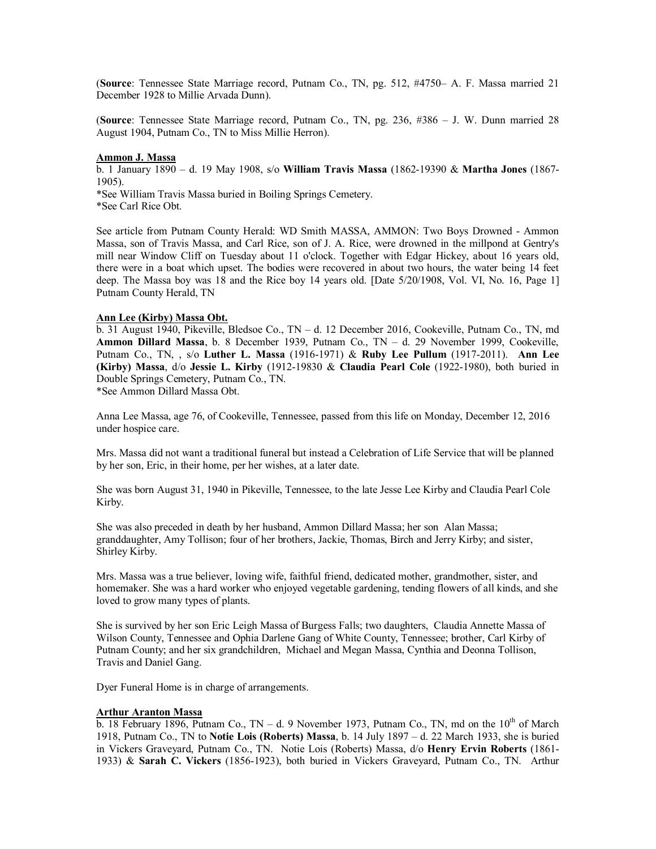(**Source**: Tennessee State Marriage record, Putnam Co., TN, pg. 512, #4750– A. F. Massa married 21 December 1928 to Millie Arvada Dunn).

(**Source**: Tennessee State Marriage record, Putnam Co., TN, pg. 236, #386 – J. W. Dunn married 28 August 1904, Putnam Co., TN to Miss Millie Herron).

#### **Ammon J. Massa**

b. 1 January 1890 – d. 19 May 1908, s/o **William Travis Massa** (1862-19390 & **Martha Jones** (1867- 1905).

\*See William Travis Massa buried in Boiling Springs Cemetery.

\*See Carl Rice Obt.

See article from Putnam County Herald: WD Smith MASSA, AMMON: Two Boys Drowned - Ammon Massa, son of Travis Massa, and Carl Rice, son of J. A. Rice, were drowned in the millpond at Gentry's mill near Window Cliff on Tuesday about 11 o'clock. Together with Edgar Hickey, about 16 years old, there were in a boat which upset. The bodies were recovered in about two hours, the water being 14 feet deep. The Massa boy was 18 and the Rice boy 14 years old. [Date 5/20/1908, Vol. VI, No. 16, Page 1] Putnam County Herald, TN

#### **Ann Lee (Kirby) Massa Obt.**

b. 31 August 1940, Pikeville, Bledsoe Co., TN – d. 12 December 2016, Cookeville, Putnam Co., TN, md **Ammon Dillard Massa**, b. 8 December 1939, Putnam Co., TN – d. 29 November 1999, Cookeville, Putnam Co., TN, , s/o **Luther L. Massa** (1916-1971) & **Ruby Lee Pullum** (1917-2011). **Ann Lee (Kirby) Massa**, d/o **Jessie L. Kirby** (1912-19830 & **Claudia Pearl Cole** (1922-1980), both buried in Double Springs Cemetery, Putnam Co., TN.

\*See Ammon Dillard Massa Obt.

Anna Lee Massa, age 76, of Cookeville, Tennessee, passed from this life on Monday, December 12, 2016 under hospice care.

Mrs. Massa did not want a traditional funeral but instead a Celebration of Life Service that will be planned by her son, Eric, in their home, per her wishes, at a later date.

She was born August 31, 1940 in Pikeville, Tennessee, to the late Jesse Lee Kirby and Claudia Pearl Cole Kirby.

She was also preceded in death by her husband, Ammon Dillard Massa; her son Alan Massa; granddaughter, Amy Tollison; four of her brothers, Jackie, Thomas, Birch and Jerry Kirby; and sister, Shirley Kirby.

Mrs. Massa was a true believer, loving wife, faithful friend, dedicated mother, grandmother, sister, and homemaker. She was a hard worker who enjoyed vegetable gardening, tending flowers of all kinds, and she loved to grow many types of plants.

She is survived by her son Eric Leigh Massa of Burgess Falls; two daughters, Claudia Annette Massa of Wilson County, Tennessee and Ophia Darlene Gang of White County, Tennessee; brother, Carl Kirby of Putnam County; and her six grandchildren, Michael and Megan Massa, Cynthia and Deonna Tollison, Travis and Daniel Gang.

Dyer Funeral Home is in charge of arrangements.

#### **Arthur Aranton Massa**

b. 18 February 1896, Putnam Co.,  $TN - d$ . 9 November 1973, Putnam Co., TN, md on the 10<sup>th</sup> of March 1918, Putnam Co., TN to **Notie Lois (Roberts) Massa**, b. 14 July 1897 – d. 22 March 1933, she is buried in Vickers Graveyard, Putnam Co., TN. Notie Lois (Roberts) Massa, d/o **Henry Ervin Roberts** (1861- 1933) & **Sarah C. Vickers** (1856-1923), both buried in Vickers Graveyard, Putnam Co., TN. Arthur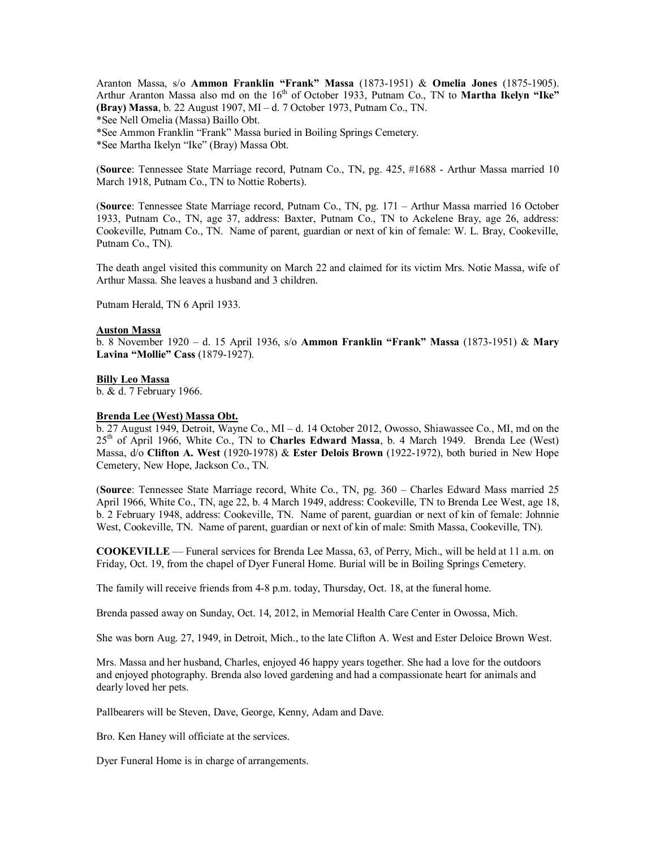Aranton Massa, s/o **Ammon Franklin "Frank" Massa** (1873-1951) & **Omelia Jones** (1875-1905). Arthur Aranton Massa also md on the 16<sup>th</sup> of October 1933, Putnam Co., TN to **Martha Ikelyn "Ike" (Bray) Massa**, b. 22 August 1907, MI – d. 7 October 1973, Putnam Co., TN. \*See Nell Omelia (Massa) Baillo Obt. \*See Ammon Franklin "Frank" Massa buried in Boiling Springs Cemetery. \*See Martha Ikelyn "Ike" (Bray) Massa Obt.

(**Source**: Tennessee State Marriage record, Putnam Co., TN, pg. 425, #1688 - Arthur Massa married 10 March 1918, Putnam Co., TN to Nottie Roberts).

(**Source**: Tennessee State Marriage record, Putnam Co., TN, pg. 171 – Arthur Massa married 16 October 1933, Putnam Co., TN, age 37, address: Baxter, Putnam Co., TN to Ackelene Bray, age 26, address: Cookeville, Putnam Co., TN. Name of parent, guardian or next of kin of female: W. L. Bray, Cookeville, Putnam Co., TN).

The death angel visited this community on March 22 and claimed for its victim Mrs. Notie Massa, wife of Arthur Massa. She leaves a husband and 3 children.

Putnam Herald, TN 6 April 1933.

#### **Auston Massa**

b. 8 November 1920 – d. 15 April 1936, s/o **Ammon Franklin "Frank" Massa** (1873-1951) & **Mary Lavina "Mollie" Cass** (1879-1927).

#### **Billy Leo Massa**

b. & d. 7 February 1966.

#### **Brenda Lee (West) Massa Obt.**

b. 27 August 1949, Detroit, Wayne Co., MI – d. 14 October 2012, Owosso, Shiawassee Co., MI, md on the 25th of April 1966, White Co., TN to **Charles Edward Massa**, b. 4 March 1949. Brenda Lee (West) Massa, d/o **Clifton A. West** (1920-1978) & **Ester Delois Brown** (1922-1972), both buried in New Hope Cemetery, New Hope, Jackson Co., TN.

(**Source**: Tennessee State Marriage record, White Co., TN, pg. 360 – Charles Edward Mass married 25 April 1966, White Co., TN, age 22, b. 4 March 1949, address: Cookeville, TN to Brenda Lee West, age 18, b. 2 February 1948, address: Cookeville, TN. Name of parent, guardian or next of kin of female: Johnnie West, Cookeville, TN. Name of parent, guardian or next of kin of male: Smith Massa, Cookeville, TN).

**COOKEVILLE** — Funeral services for Brenda Lee Massa, 63, of Perry, Mich., will be held at 11 a.m. on Friday, Oct. 19, from the chapel of Dyer Funeral Home. Burial will be in Boiling Springs Cemetery.

The family will receive friends from 4-8 p.m. today, Thursday, Oct. 18, at the funeral home.

Brenda passed away on Sunday, Oct. 14, 2012, in Memorial Health Care Center in Owossa, Mich.

She was born Aug. 27, 1949, in Detroit, Mich., to the late Clifton A. West and Ester Deloice Brown West.

Mrs. Massa and her husband, Charles, enjoyed 46 happy years together. She had a love for the outdoors and enjoyed photography. Brenda also loved gardening and had a compassionate heart for animals and dearly loved her pets.

Pallbearers will be Steven, Dave, George, Kenny, Adam and Dave.

Bro. Ken Haney will officiate at the services.

Dyer Funeral Home is in charge of arrangements.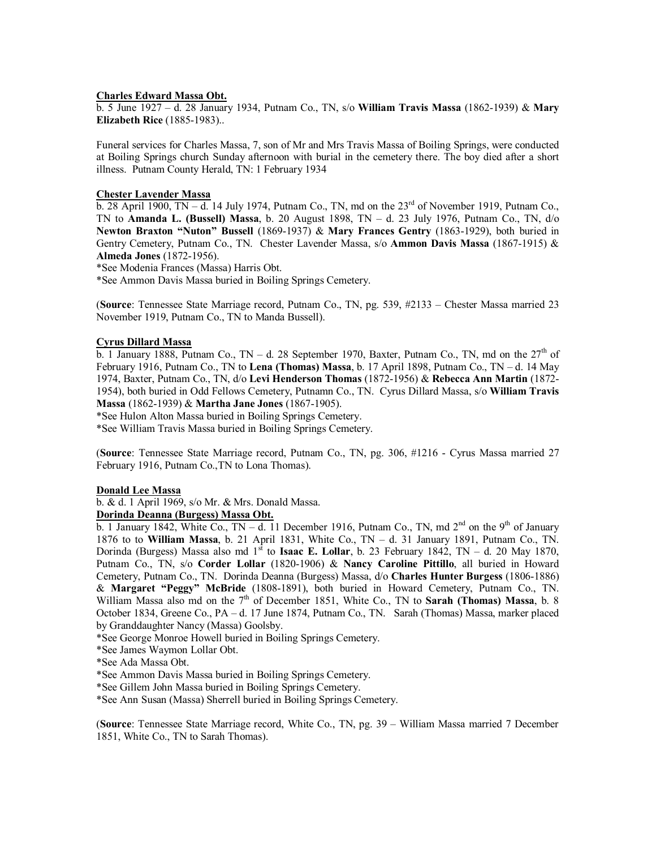#### **Charles Edward Massa Obt.**

b. 5 June 1927 – d. 28 January 1934, Putnam Co., TN, s/o **William Travis Massa** (1862-1939) & **Mary Elizabeth Rice** (1885-1983)..

Funeral services for Charles Massa, 7, son of Mr and Mrs Travis Massa of Boiling Springs, were conducted at Boiling Springs church Sunday afternoon with burial in the cemetery there. The boy died after a short illness. Putnam County Herald, TN: 1 February 1934

#### **Chester Lavender Massa**

 $\overline{b}$ . 28 April 1900, TN – d. 14 July 1974, Putnam Co., TN, md on the 23<sup>rd</sup> of November 1919, Putnam Co., TN to **Amanda L. (Bussell) Massa**, b. 20 August 1898, TN – d. 23 July 1976, Putnam Co., TN, d/o **Newton Braxton "Nuton" Bussell** (1869-1937) & **Mary Frances Gentry** (1863-1929), both buried in Gentry Cemetery, Putnam Co., TN. Chester Lavender Massa, s/o **Ammon Davis Massa** (1867-1915) & **Almeda Jones** (1872-1956).

\*See Modenia Frances (Massa) Harris Obt.

\*See Ammon Davis Massa buried in Boiling Springs Cemetery.

(**Source**: Tennessee State Marriage record, Putnam Co., TN, pg. 539, #2133 – Chester Massa married 23 November 1919, Putnam Co., TN to Manda Bussell).

### **Cyrus Dillard Massa**

b. 1 January 1888, Putnam Co., TN – d. 28 September 1970, Baxter, Putnam Co., TN, md on the  $27<sup>th</sup>$  of February 1916, Putnam Co., TN to **Lena (Thomas) Massa**, b. 17 April 1898, Putnam Co., TN – d. 14 May 1974, Baxter, Putnam Co., TN, d/o **Levi Henderson Thomas** (1872-1956) & **Rebecca Ann Martin** (1872- 1954), both buried in Odd Fellows Cemetery, Putnamn Co., TN. Cyrus Dillard Massa, s/o **William Travis Massa** (1862-1939) & **Martha Jane Jones** (1867-1905).

\*See Hulon Alton Massa buried in Boiling Springs Cemetery.

\*See William Travis Massa buried in Boiling Springs Cemetery.

(**Source**: Tennessee State Marriage record, Putnam Co., TN, pg. 306, #1216 - Cyrus Massa married 27 February 1916, Putnam Co.,TN to Lona Thomas).

#### **Donald Lee Massa**

b. & d. 1 April 1969, s/o Mr. & Mrs. Donald Massa.

#### **Dorinda Deanna (Burgess) Massa Obt.**

b. 1 January 1842, White Co., TN – d. 11 December 1916, Putnam Co., TN, md  $2^{nd}$  on the 9<sup>th</sup> of January 1876 to to **William Massa**, b. 21 April 1831, White Co., TN – d. 31 January 1891, Putnam Co., TN. Dorinda (Burgess) Massa also md 1<sup>st</sup> to **Isaac E. Lollar**, b. 23 February 1842, TN – d. 20 May 1870, Putnam Co., TN, s/o **Corder Lollar** (1820-1906) & **Nancy Caroline Pittillo**, all buried in Howard Cemetery, Putnam Co., TN. Dorinda Deanna (Burgess) Massa, d/o **Charles Hunter Burgess** (1806-1886) & **Margaret "Peggy" McBride** (1808-1891), both buried in Howard Cemetery, Putnam Co., TN. William Massa also md on the 7<sup>th</sup> of December 1851, White Co., TN to **Sarah (Thomas) Massa**, b. 8 October 1834, Greene Co., PA – d. 17 June 1874, Putnam Co., TN. Sarah (Thomas) Massa, marker placed by Granddaughter Nancy (Massa) Goolsby.

\*See George Monroe Howell buried in Boiling Springs Cemetery.

\*See James Waymon Lollar Obt.

\*See Ada Massa Obt.

\*See Ammon Davis Massa buried in Boiling Springs Cemetery.

\*See Gillem John Massa buried in Boiling Springs Cemetery.

\*See Ann Susan (Massa) Sherrell buried in Boiling Springs Cemetery.

(**Source**: Tennessee State Marriage record, White Co., TN, pg. 39 – William Massa married 7 December 1851, White Co., TN to Sarah Thomas).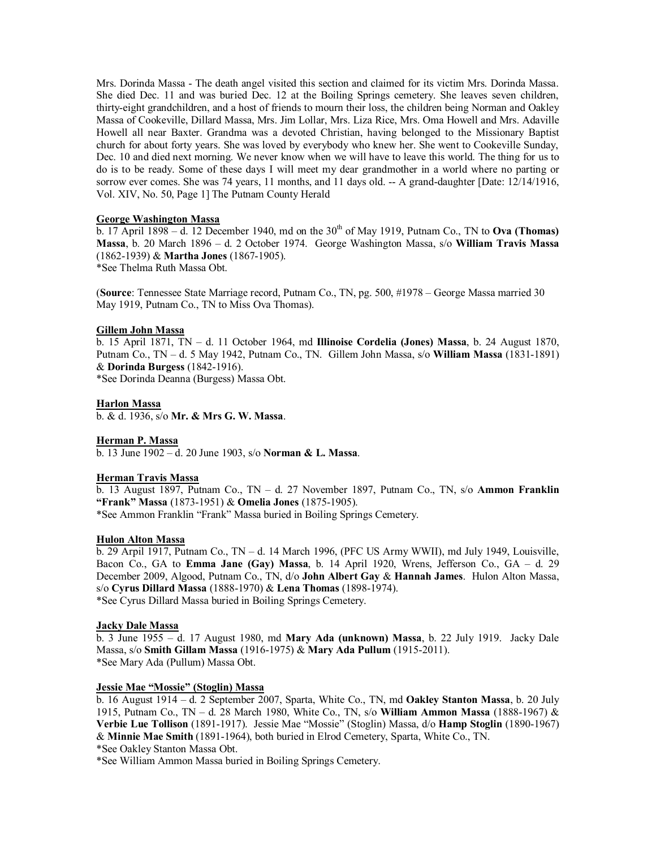Mrs. Dorinda Massa - The death angel visited this section and claimed for its victim Mrs. Dorinda Massa. She died Dec. 11 and was buried Dec. 12 at the Boiling Springs cemetery. She leaves seven children, thirty-eight grandchildren, and a host of friends to mourn their loss, the children being Norman and Oakley Massa of Cookeville, Dillard Massa, Mrs. Jim Lollar, Mrs. Liza Rice, Mrs. Oma Howell and Mrs. Adaville Howell all near Baxter. Grandma was a devoted Christian, having belonged to the Missionary Baptist church for about forty years. She was loved by everybody who knew her. She went to Cookeville Sunday, Dec. 10 and died next morning. We never know when we will have to leave this world. The thing for us to do is to be ready. Some of these days I will meet my dear grandmother in a world where no parting or sorrow ever comes. She was 74 years, 11 months, and 11 days old. -- A grand-daughter [Date: 12/14/1916, Vol. XIV, No. 50, Page 1] The Putnam County Herald

### **George Washington Massa**

 $\overline{b}$ . 17 April 1898 – d. 12 December 1940, md on the 30<sup>th</sup> of May 1919, Putnam Co., TN to **Ova (Thomas) Massa**, b. 20 March 1896 – d. 2 October 1974. George Washington Massa, s/o **William Travis Massa** (1862-1939) & **Martha Jones** (1867-1905).

\*See Thelma Ruth Massa Obt.

(**Source**: Tennessee State Marriage record, Putnam Co., TN, pg. 500, #1978 – George Massa married 30 May 1919, Putnam Co., TN to Miss Ova Thomas).

#### **Gillem John Massa**

b. 15 April 1871, TN – d. 11 October 1964, md **Illinoise Cordelia (Jones) Massa**, b. 24 August 1870, Putnam Co., TN – d. 5 May 1942, Putnam Co., TN. Gillem John Massa, s/o **William Massa** (1831-1891) & **Dorinda Burgess** (1842-1916).

\*See Dorinda Deanna (Burgess) Massa Obt.

### **Harlon Massa**

b. & d. 1936, s/o **Mr. & Mrs G. W. Massa**.

#### **Herman P. Massa**

b. 13 June 1902 – d. 20 June 1903, s/o **Norman & L. Massa**.

#### **Herman Travis Massa**

b. 13 August 1897, Putnam Co., TN – d. 27 November 1897, Putnam Co., TN, s/o **Ammon Franklin "Frank" Massa** (1873-1951) & **Omelia Jones** (1875-1905). \*See Ammon Franklin "Frank" Massa buried in Boiling Springs Cemetery.

#### **Hulon Alton Massa**

b. 29 Arpil 1917, Putnam Co., TN – d. 14 March 1996, (PFC US Army WWII), md July 1949, Louisville, Bacon Co., GA to **Emma Jane (Gay) Massa**, b. 14 April 1920, Wrens, Jefferson Co., GA – d. 29 December 2009, Algood, Putnam Co., TN, d/o **John Albert Gay** & **Hannah James**. Hulon Alton Massa, s/o **Cyrus Dillard Massa** (1888-1970) & **Lena Thomas** (1898-1974). \*See Cyrus Dillard Massa buried in Boiling Springs Cemetery.

# **Jacky Dale Massa**

b. 3 June 1955 – d. 17 August 1980, md **Mary Ada (unknown) Massa**, b. 22 July 1919. Jacky Dale Massa, s/o **Smith Gillam Massa** (1916-1975) & **Mary Ada Pullum** (1915-2011). \*See Mary Ada (Pullum) Massa Obt.

# **Jessie Mae "Mossie" (Stoglin) Massa**

b. 16 August 1914 – d. 2 September 2007, Sparta, White Co., TN, md **Oakley Stanton Massa**, b. 20 July 1915, Putnam Co., TN – d. 28 March 1980, White Co., TN, s/o **William Ammon Massa** (1888-1967) & **Verbie Lue Tollison** (1891-1917). Jessie Mae "Mossie" (Stoglin) Massa, d/o **Hamp Stoglin** (1890-1967) & **Minnie Mae Smith** (1891-1964), both buried in Elrod Cemetery, Sparta, White Co., TN. \*See Oakley Stanton Massa Obt.

\*See William Ammon Massa buried in Boiling Springs Cemetery.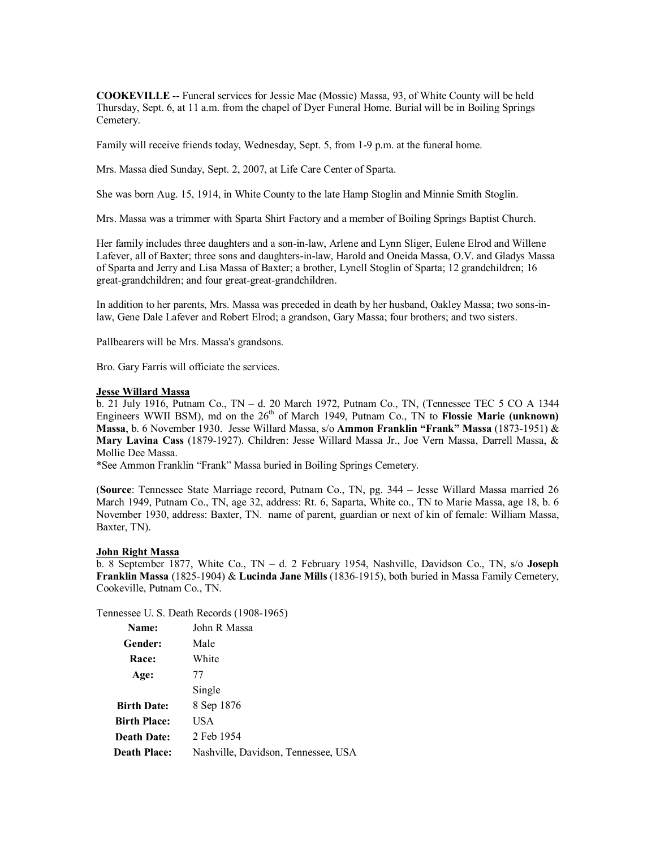**COOKEVILLE** -- Funeral services for Jessie Mae (Mossie) Massa, 93, of White County will be held Thursday, Sept. 6, at 11 a.m. from the chapel of Dyer Funeral Home. Burial will be in Boiling Springs Cemetery.

Family will receive friends today, Wednesday, Sept. 5, from 1-9 p.m. at the funeral home.

Mrs. Massa died Sunday, Sept. 2, 2007, at Life Care Center of Sparta.

She was born Aug. 15, 1914, in White County to the late Hamp Stoglin and Minnie Smith Stoglin.

Mrs. Massa was a trimmer with Sparta Shirt Factory and a member of Boiling Springs Baptist Church.

Her family includes three daughters and a son-in-law, Arlene and Lynn Sliger, Eulene Elrod and Willene Lafever, all of Baxter; three sons and daughters-in-law, Harold and Oneida Massa, O.V. and Gladys Massa of Sparta and Jerry and Lisa Massa of Baxter; a brother, Lynell Stoglin of Sparta; 12 grandchildren; 16 great-grandchildren; and four great-great-grandchildren.

In addition to her parents, Mrs. Massa was preceded in death by her husband, Oakley Massa; two sons-inlaw, Gene Dale Lafever and Robert Elrod; a grandson, Gary Massa; four brothers; and two sisters.

Pallbearers will be Mrs. Massa's grandsons.

Bro. Gary Farris will officiate the services.

#### **Jesse Willard Massa**

b. 21 July 1916, Putnam Co., TN – d. 20 March 1972, Putnam Co., TN, (Tennessee TEC 5 CO A 1344 Engineers WWII BSM), md on the  $26<sup>th</sup>$  of March 1949, Putnam Co., TN to **Flossie Marie (unknown) Massa**, b. 6 November 1930. Jesse Willard Massa, s/o **Ammon Franklin "Frank" Massa** (1873-1951) & **Mary Lavina Cass** (1879-1927). Children: Jesse Willard Massa Jr., Joe Vern Massa, Darrell Massa, & Mollie Dee Massa.

\*See Ammon Franklin "Frank" Massa buried in Boiling Springs Cemetery.

(**Source**: Tennessee State Marriage record, Putnam Co., TN, pg. 344 – Jesse Willard Massa married 26 March 1949, Putnam Co., TN, age 32, address: Rt. 6, Saparta, White co., TN to Marie Massa, age 18, b. 6 November 1930, address: Baxter, TN. name of parent, guardian or next of kin of female: William Massa, Baxter, TN).

### **John Right Massa**

b. 8 September 1877, White Co., TN – d. 2 February 1954, Nashville, Davidson Co., TN, s/o **Joseph Franklin Massa** (1825-1904) & **Lucinda Jane Mills** (1836-1915), both buried in Massa Family Cemetery, Cookeville, Putnam Co., TN.

Tennessee U. S. Death Records (1908-1965)

| Name:               | John R Massa                        |
|---------------------|-------------------------------------|
| Gender:             | Male                                |
| <b>Race:</b>        | White                               |
| Age:                | 77                                  |
|                     | Single                              |
| <b>Birth Date:</b>  | 8 Sep 1876                          |
| <b>Birth Place:</b> | USA                                 |
| <b>Death Date:</b>  | 2 Feb 1954                          |
| <b>Death Place:</b> | Nashville, Davidson, Tennessee, USA |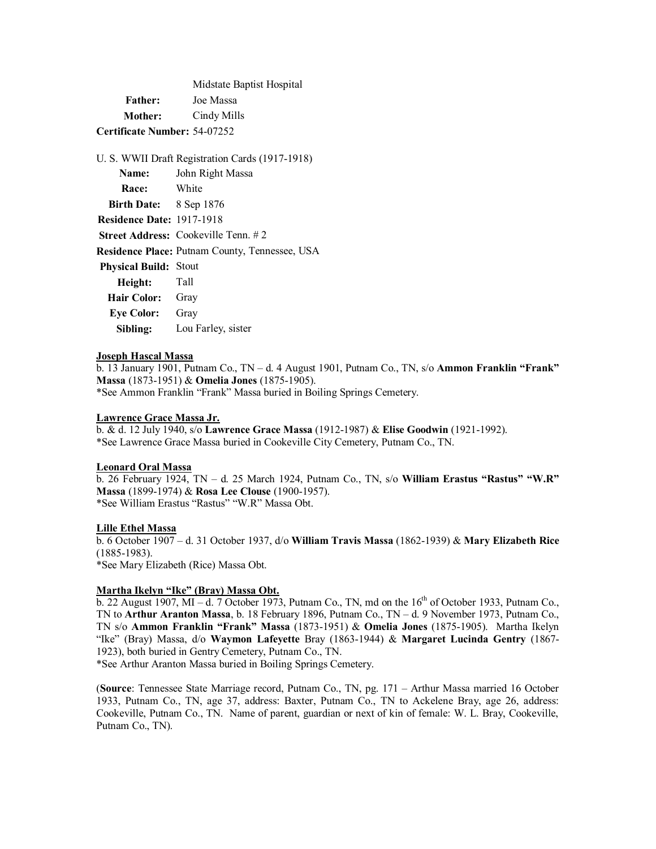Midstate Baptist Hospital **Father:** Joe Massa **Mother:** Cindy Mills **Certificate Number:** 54-07252

|                                  | U. S. WWII Draft Registration Cards (1917-1918)       |
|----------------------------------|-------------------------------------------------------|
| <b>Name:</b>                     | John Right Massa                                      |
| Race: White                      |                                                       |
| <b>Birth Date:</b> 8 Sep 1876    |                                                       |
| <b>Residence Date: 1917-1918</b> |                                                       |
|                                  | <b>Street Address:</b> Cookeville Tenn. $\# 2$        |
|                                  | <b>Residence Place: Putnam County, Tennessee, USA</b> |
| <b>Physical Build: Stout</b>     |                                                       |
| Tall<br>Height:                  |                                                       |
| <b>Hair Color:</b>               | Gray                                                  |
| <b>Eye Color:</b> Gray           |                                                       |
| Sibling:                         | Lou Farley, sister                                    |

#### **Joseph Hascal Massa**

b. 13 January 1901, Putnam Co., TN – d. 4 August 1901, Putnam Co., TN, s/o **Ammon Franklin "Frank" Massa** (1873-1951) & **Omelia Jones** (1875-1905). \*See Ammon Franklin "Frank" Massa buried in Boiling Springs Cemetery.

#### **Lawrence Grace Massa Jr.**

b. & d. 12 July 1940, s/o **Lawrence Grace Massa** (1912-1987) & **Elise Goodwin** (1921-1992). \*See Lawrence Grace Massa buried in Cookeville City Cemetery, Putnam Co., TN.

#### **Leonard Oral Massa**

b. 26 February 1924, TN – d. 25 March 1924, Putnam Co., TN, s/o **William Erastus "Rastus" "W.R" Massa** (1899-1974) & **Rosa Lee Clouse** (1900-1957). \*See William Erastus "Rastus" "W.R" Massa Obt.

#### **Lille Ethel Massa**

b. 6 October 1907 – d. 31 October 1937, d/o **William Travis Massa** (1862-1939) & **Mary Elizabeth Rice** (1885-1983). \*See Mary Elizabeth (Rice) Massa Obt.

# **Martha Ikelyn "Ike" (Bray) Massa Obt.**

b. 22 August 1907, MI – d. 7 October 1973, Putnam Co., TN, md on the  $16<sup>th</sup>$  of October 1933, Putnam Co., TN to **Arthur Aranton Massa**, b. 18 February 1896, Putnam Co., TN – d. 9 November 1973, Putnam Co., TN s/o **Ammon Franklin "Frank" Massa** (1873-1951) & **Omelia Jones** (1875-1905). Martha Ikelyn "Ike" (Bray) Massa, d/o **Waymon Lafeyette** Bray (1863-1944) & **Margaret Lucinda Gentry** (1867- 1923), both buried in Gentry Cemetery, Putnam Co., TN.

\*See Arthur Aranton Massa buried in Boiling Springs Cemetery.

(**Source**: Tennessee State Marriage record, Putnam Co., TN, pg. 171 – Arthur Massa married 16 October 1933, Putnam Co., TN, age 37, address: Baxter, Putnam Co., TN to Ackelene Bray, age 26, address: Cookeville, Putnam Co., TN. Name of parent, guardian or next of kin of female: W. L. Bray, Cookeville, Putnam Co., TN).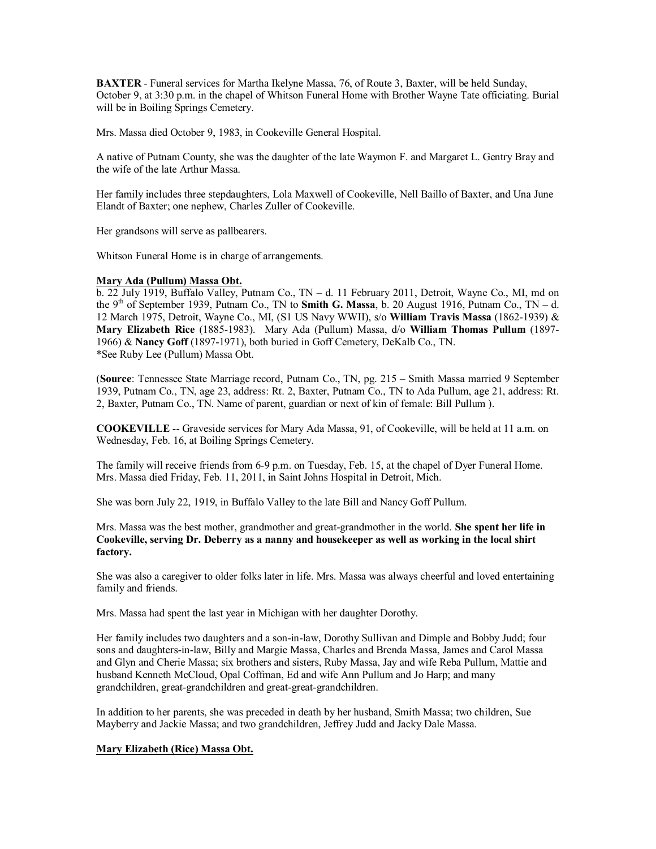**BAXTER** - Funeral services for Martha Ikelyne Massa, 76, of Route 3, Baxter, will be held Sunday, October 9, at 3:30 p.m. in the chapel of Whitson Funeral Home with Brother Wayne Tate officiating. Burial will be in Boiling Springs Cemetery.

Mrs. Massa died October 9, 1983, in Cookeville General Hospital.

A native of Putnam County, she was the daughter of the late Waymon F. and Margaret L. Gentry Bray and the wife of the late Arthur Massa.

Her family includes three stepdaughters, Lola Maxwell of Cookeville, Nell Baillo of Baxter, and Una June Elandt of Baxter; one nephew, Charles Zuller of Cookeville.

Her grandsons will serve as pallbearers.

Whitson Funeral Home is in charge of arrangements.

# **Mary Ada (Pullum) Massa Obt.**

b. 22 July 1919, Buffalo Valley, Putnam Co., TN – d. 11 February 2011, Detroit, Wayne Co., MI, md on the 9<sup>th</sup> of September 1939, Putnam Co., TN to **Smith G. Massa**, b. 20 August 1916, Putnam Co., TN – d. 12 March 1975, Detroit, Wayne Co., MI, (S1 US Navy WWII), s/o **William Travis Massa** (1862-1939) & **Mary Elizabeth Rice** (1885-1983). Mary Ada (Pullum) Massa, d/o **William Thomas Pullum** (1897- 1966) & **Nancy Goff** (1897-1971), both buried in Goff Cemetery, DeKalb Co., TN. \*See Ruby Lee (Pullum) Massa Obt.

(**Source**: Tennessee State Marriage record, Putnam Co., TN, pg. 215 – Smith Massa married 9 September 1939, Putnam Co., TN, age 23, address: Rt. 2, Baxter, Putnam Co., TN to Ada Pullum, age 21, address: Rt. 2, Baxter, Putnam Co., TN. Name of parent, guardian or next of kin of female: Bill Pullum ).

**COOKEVILLE** -- Graveside services for Mary Ada Massa, 91, of Cookeville, will be held at 11 a.m. on Wednesday, Feb. 16, at Boiling Springs Cemetery.

The family will receive friends from 6-9 p.m. on Tuesday, Feb. 15, at the chapel of Dyer Funeral Home. Mrs. Massa died Friday, Feb. 11, 2011, in Saint Johns Hospital in Detroit, Mich.

She was born July 22, 1919, in Buffalo Valley to the late Bill and Nancy Goff Pullum.

Mrs. Massa was the best mother, grandmother and great-grandmother in the world. **She spent her life in Cookeville, serving Dr. Deberry as a nanny and housekeeper as well as working in the local shirt factory.**

She was also a caregiver to older folks later in life. Mrs. Massa was always cheerful and loved entertaining family and friends.

Mrs. Massa had spent the last year in Michigan with her daughter Dorothy.

Her family includes two daughters and a son-in-law, Dorothy Sullivan and Dimple and Bobby Judd; four sons and daughters-in-law, Billy and Margie Massa, Charles and Brenda Massa, James and Carol Massa and Glyn and Cherie Massa; six brothers and sisters, Ruby Massa, Jay and wife Reba Pullum, Mattie and husband Kenneth McCloud, Opal Coffman, Ed and wife Ann Pullum and Jo Harp; and many grandchildren, great-grandchildren and great-great-grandchildren.

In addition to her parents, she was preceded in death by her husband, Smith Massa; two children, Sue Mayberry and Jackie Massa; and two grandchildren, Jeffrey Judd and Jacky Dale Massa.

# **Mary Elizabeth (Rice) Massa Obt.**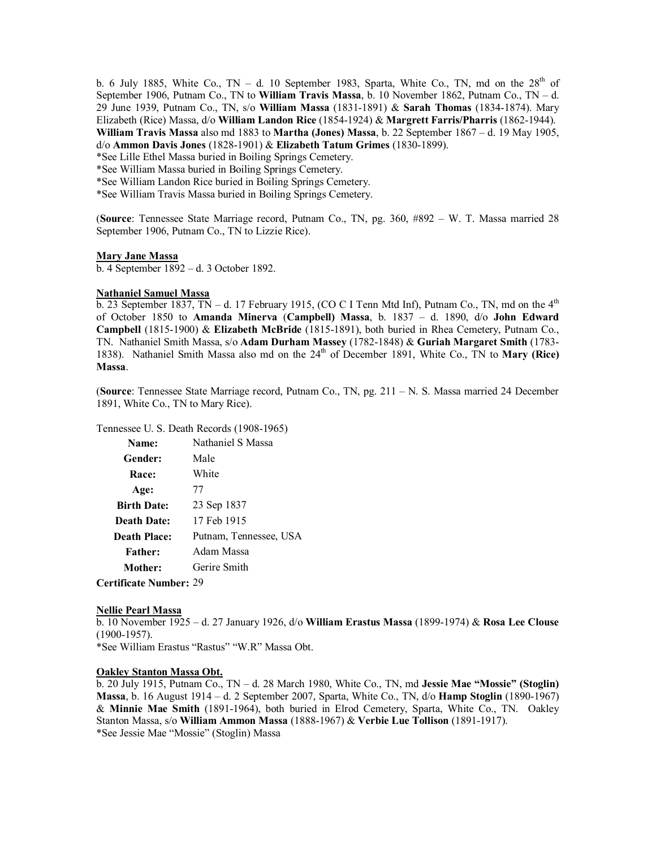b. 6 July 1885, White Co., TN – d. 10 September 1983, Sparta, White Co., TN, md on the  $28<sup>th</sup>$  of September 1906, Putnam Co., TN to **William Travis Massa**, b. 10 November 1862, Putnam Co., TN – d. 29 June 1939, Putnam Co., TN, s/o **William Massa** (1831-1891) & **Sarah Thomas** (1834-1874). Mary Elizabeth (Rice) Massa, d/o **William Landon Rice** (1854-1924) & **Margrett Farris/Pharris** (1862-1944). **William Travis Massa** also md 1883 to **Martha (Jones) Massa**, b. 22 September 1867 – d. 19 May 1905, d/o **Ammon Davis Jones** (1828-1901) & **Elizabeth Tatum Grimes** (1830-1899).

\*See Lille Ethel Massa buried in Boiling Springs Cemetery.

\*See William Massa buried in Boiling Springs Cemetery.

\*See William Landon Rice buried in Boiling Springs Cemetery.

\*See William Travis Massa buried in Boiling Springs Cemetery.

(**Source**: Tennessee State Marriage record, Putnam Co., TN, pg. 360, #892 – W. T. Massa married 28 September 1906, Putnam Co., TN to Lizzie Rice).

#### **Mary Jane Massa**

b. 4 September 1892 – d. 3 October 1892.

#### **Nathaniel Samuel Massa**

b. 23 September 1837, TN – d. 17 February 1915, (CO C I Tenn Mtd Inf), Putnam Co., TN, md on the  $4<sup>th</sup>$ of October 1850 to **Amanda Minerva** (**Campbell) Massa**, b. 1837 – d. 1890, d/o **John Edward Campbell** (1815-1900) & **Elizabeth McBride** (1815-1891), both buried in Rhea Cemetery, Putnam Co., TN. Nathaniel Smith Massa, s/o **Adam Durham Massey** (1782-1848) & **Guriah Margaret Smith** (1783- 1838). Nathaniel Smith Massa also md on the 24<sup>th</sup> of December 1891, White Co., TN to Mary (Rice) **Massa**.

(**Source**: Tennessee State Marriage record, Putnam Co., TN, pg. 211 – N. S. Massa married 24 December 1891, White Co., TN to Mary Rice).

Tennessee U. S. Death Records (1908-1965)

| Name:               | Nathaniel S Massa      |
|---------------------|------------------------|
| Gender:             | Male                   |
| Race:               | White                  |
| Age:                | 77                     |
| <b>Birth Date:</b>  | 23 Sep 1837            |
| <b>Death Date:</b>  | 17 Feb 1915            |
| <b>Death Place:</b> | Putnam, Tennessee, USA |
| <b>Father:</b>      | Adam Massa             |
| Mother:             | Gerire Smith           |
|                     |                        |

# **Certificate Number:** 29

#### **Nellie Pearl Massa**

b. 10 November 1925 – d. 27 January 1926, d/o **William Erastus Massa** (1899-1974) & **Rosa Lee Clouse** (1900-1957).

\*See William Erastus "Rastus" "W.R" Massa Obt.

### **Oakley Stanton Massa Obt.**

b. 20 July 1915, Putnam Co., TN – d. 28 March 1980, White Co., TN, md **Jessie Mae "Mossie" (Stoglin) Massa**, b. 16 August 1914 – d. 2 September 2007, Sparta, White Co., TN, d/o **Hamp Stoglin** (1890-1967) & **Minnie Mae Smith** (1891-1964), both buried in Elrod Cemetery, Sparta, White Co., TN. Oakley Stanton Massa, s/o **William Ammon Massa** (1888-1967) & **Verbie Lue Tollison** (1891-1917). \*See Jessie Mae "Mossie" (Stoglin) Massa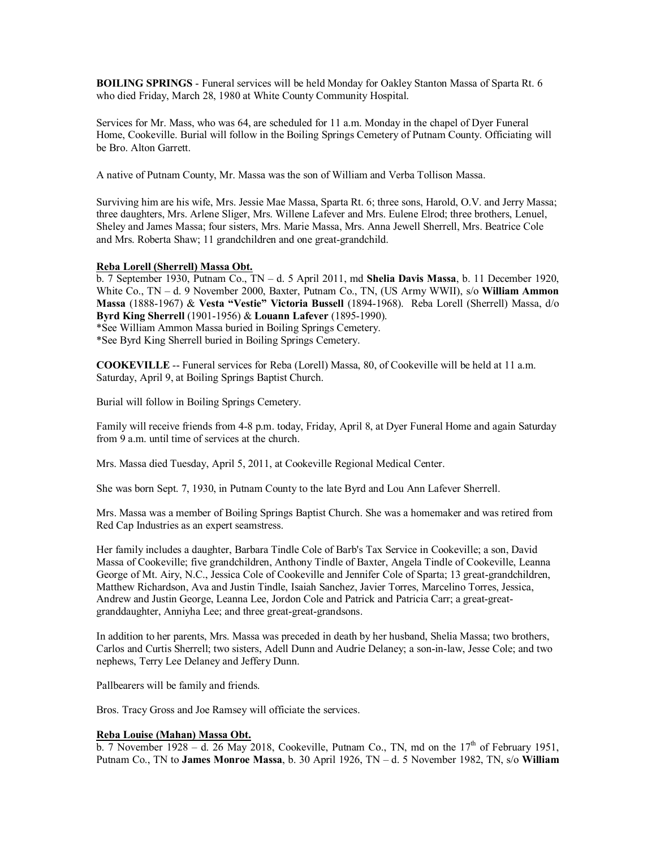**BOILING SPRINGS** - Funeral services will be held Monday for Oakley Stanton Massa of Sparta Rt. 6 who died Friday, March 28, 1980 at White County Community Hospital.

Services for Mr. Mass, who was 64, are scheduled for 11 a.m. Monday in the chapel of Dyer Funeral Home, Cookeville. Burial will follow in the Boiling Springs Cemetery of Putnam County. Officiating will be Bro. Alton Garrett.

A native of Putnam County, Mr. Massa was the son of William and Verba Tollison Massa.

Surviving him are his wife, Mrs. Jessie Mae Massa, Sparta Rt. 6; three sons, Harold, O.V. and Jerry Massa; three daughters, Mrs. Arlene Sliger, Mrs. Willene Lafever and Mrs. Eulene Elrod; three brothers, Lenuel, Sheley and James Massa; four sisters, Mrs. Marie Massa, Mrs. Anna Jewell Sherrell, Mrs. Beatrice Cole and Mrs. Roberta Shaw; 11 grandchildren and one great-grandchild.

# **Reba Lorell (Sherrell) Massa Obt.**

b. 7 September 1930, Putnam Co., TN – d. 5 April 2011, md **Shelia Davis Massa**, b. 11 December 1920, White Co., TN – d. 9 November 2000, Baxter, Putnam Co., TN, (US Army WWII), s/o **William Ammon Massa** (1888-1967) & **Vesta "Vestie" Victoria Bussell** (1894-1968). Reba Lorell (Sherrell) Massa, d/o **Byrd King Sherrell** (1901-1956) & **Louann Lafever** (1895-1990). \*See William Ammon Massa buried in Boiling Springs Cemetery.

\*See Byrd King Sherrell buried in Boiling Springs Cemetery.

**COOKEVILLE** -- Funeral services for Reba (Lorell) Massa, 80, of Cookeville will be held at 11 a.m. Saturday, April 9, at Boiling Springs Baptist Church.

Burial will follow in Boiling Springs Cemetery.

Family will receive friends from 4-8 p.m. today, Friday, April 8, at Dyer Funeral Home and again Saturday from 9 a.m. until time of services at the church.

Mrs. Massa died Tuesday, April 5, 2011, at Cookeville Regional Medical Center.

She was born Sept. 7, 1930, in Putnam County to the late Byrd and Lou Ann Lafever Sherrell.

Mrs. Massa was a member of Boiling Springs Baptist Church. She was a homemaker and was retired from Red Cap Industries as an expert seamstress.

Her family includes a daughter, Barbara Tindle Cole of Barb's Tax Service in Cookeville; a son, David Massa of Cookeville; five grandchildren, Anthony Tindle of Baxter, Angela Tindle of Cookeville, Leanna George of Mt. Airy, N.C., Jessica Cole of Cookeville and Jennifer Cole of Sparta; 13 great-grandchildren, Matthew Richardson, Ava and Justin Tindle, Isaiah Sanchez, Javier Torres, Marcelino Torres, Jessica, Andrew and Justin George, Leanna Lee, Jordon Cole and Patrick and Patricia Carr; a great-greatgranddaughter, Anniyha Lee; and three great-great-grandsons.

In addition to her parents, Mrs. Massa was preceded in death by her husband, Shelia Massa; two brothers, Carlos and Curtis Sherrell; two sisters, Adell Dunn and Audrie Delaney; a son-in-law, Jesse Cole; and two nephews, Terry Lee Delaney and Jeffery Dunn.

Pallbearers will be family and friends.

Bros. Tracy Gross and Joe Ramsey will officiate the services.

### **Reba Louise (Mahan) Massa Obt.**

b. 7 November 1928 – d. 26 May 2018, Cookeville, Putnam Co., TN, md on the  $17<sup>th</sup>$  of February 1951, Putnam Co., TN to **James Monroe Massa**, b. 30 April 1926, TN – d. 5 November 1982, TN, s/o **William**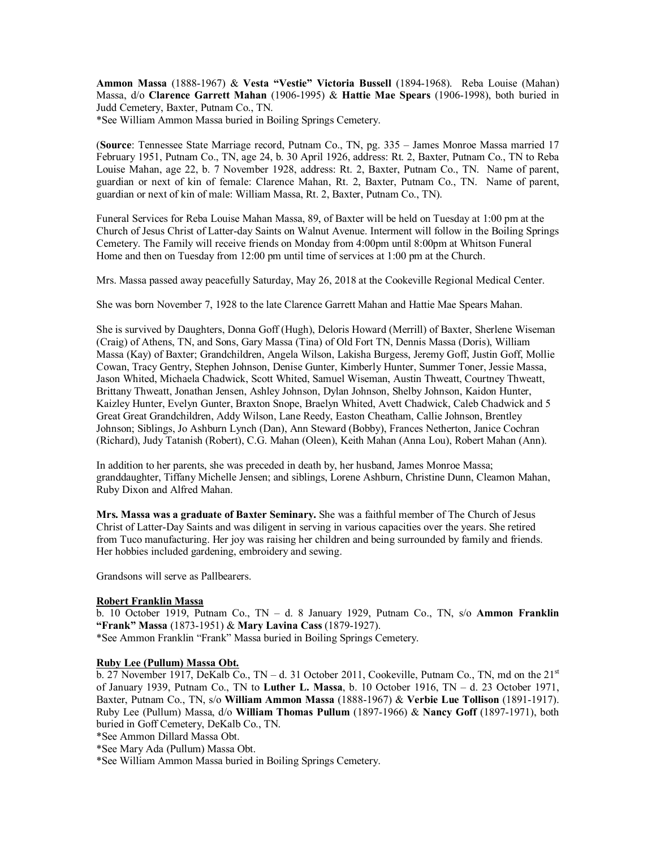**Ammon Massa** (1888-1967) & **Vesta "Vestie" Victoria Bussell** (1894-1968). Reba Louise (Mahan) Massa, d/o **Clarence Garrett Mahan** (1906-1995) & **Hattie Mae Spears** (1906-1998), both buried in Judd Cemetery, Baxter, Putnam Co., TN.

\*See William Ammon Massa buried in Boiling Springs Cemetery.

(**Source**: Tennessee State Marriage record, Putnam Co., TN, pg. 335 – James Monroe Massa married 17 February 1951, Putnam Co., TN, age 24, b. 30 April 1926, address: Rt. 2, Baxter, Putnam Co., TN to Reba Louise Mahan, age 22, b. 7 November 1928, address: Rt. 2, Baxter, Putnam Co., TN. Name of parent, guardian or next of kin of female: Clarence Mahan, Rt. 2, Baxter, Putnam Co., TN. Name of parent, guardian or next of kin of male: William Massa, Rt. 2, Baxter, Putnam Co., TN).

Funeral Services for Reba Louise Mahan Massa, 89, of Baxter will be held on Tuesday at 1:00 pm at the Church of Jesus Christ of Latter-day Saints on Walnut Avenue. Interment will follow in the Boiling Springs Cemetery. The Family will receive friends on Monday from 4:00pm until 8:00pm at Whitson Funeral Home and then on Tuesday from 12:00 pm until time of services at 1:00 pm at the Church.

Mrs. Massa passed away peacefully Saturday, May 26, 2018 at the Cookeville Regional Medical Center.

She was born November 7, 1928 to the late Clarence Garrett Mahan and Hattie Mae Spears Mahan.

She is survived by Daughters, Donna Goff (Hugh), Deloris Howard (Merrill) of Baxter, Sherlene Wiseman (Craig) of Athens, TN, and Sons, Gary Massa (Tina) of Old Fort TN, Dennis Massa (Doris), William Massa (Kay) of Baxter; Grandchildren, Angela Wilson, Lakisha Burgess, Jeremy Goff, Justin Goff, Mollie Cowan, Tracy Gentry, Stephen Johnson, Denise Gunter, Kimberly Hunter, Summer Toner, Jessie Massa, Jason Whited, Michaela Chadwick, Scott Whited, Samuel Wiseman, Austin Thweatt, Courtney Thweatt, Brittany Thweatt, Jonathan Jensen, Ashley Johnson, Dylan Johnson, Shelby Johnson, Kaidon Hunter, Kaizley Hunter, Evelyn Gunter, Braxton Snope, Braelyn Whited, Avett Chadwick, Caleb Chadwick and 5 Great Great Grandchildren, Addy Wilson, Lane Reedy, Easton Cheatham, Callie Johnson, Brentley Johnson; Siblings, Jo Ashburn Lynch (Dan), Ann Steward (Bobby), Frances Netherton, Janice Cochran (Richard), Judy Tatanish (Robert), C.G. Mahan (Oleen), Keith Mahan (Anna Lou), Robert Mahan (Ann).

In addition to her parents, she was preceded in death by, her husband, James Monroe Massa; granddaughter, Tiffany Michelle Jensen; and siblings, Lorene Ashburn, Christine Dunn, Cleamon Mahan, Ruby Dixon and Alfred Mahan.

**Mrs. Massa was a graduate of Baxter Seminary.** She was a faithful member of The Church of Jesus Christ of Latter-Day Saints and was diligent in serving in various capacities over the years. She retired from Tuco manufacturing. Her joy was raising her children and being surrounded by family and friends. Her hobbies included gardening, embroidery and sewing.

Grandsons will serve as Pallbearers.

### **Robert Franklin Massa**

b. 10 October 1919, Putnam Co., TN – d. 8 January 1929, Putnam Co., TN, s/o **Ammon Franklin "Frank" Massa** (1873-1951) & **Mary Lavina Cass** (1879-1927). \*See Ammon Franklin "Frank" Massa buried in Boiling Springs Cemetery.

# **Ruby Lee (Pullum) Massa Obt.**

 $\overline{b}$ . 27 November 1917, DeKalb Co., TN – d. 31 October 2011, Cookeville, Putnam Co., TN, md on the 21<sup>st</sup> of January 1939, Putnam Co., TN to **Luther L. Massa**, b. 10 October 1916, TN – d. 23 October 1971, Baxter, Putnam Co., TN, s/o **William Ammon Massa** (1888-1967) & **Verbie Lue Tollison** (1891-1917). Ruby Lee (Pullum) Massa, d/o **William Thomas Pullum** (1897-1966) & **Nancy Goff** (1897-1971), both buried in Goff Cemetery, DeKalb Co., TN.

\*See Ammon Dillard Massa Obt.

\*See Mary Ada (Pullum) Massa Obt.

\*See William Ammon Massa buried in Boiling Springs Cemetery.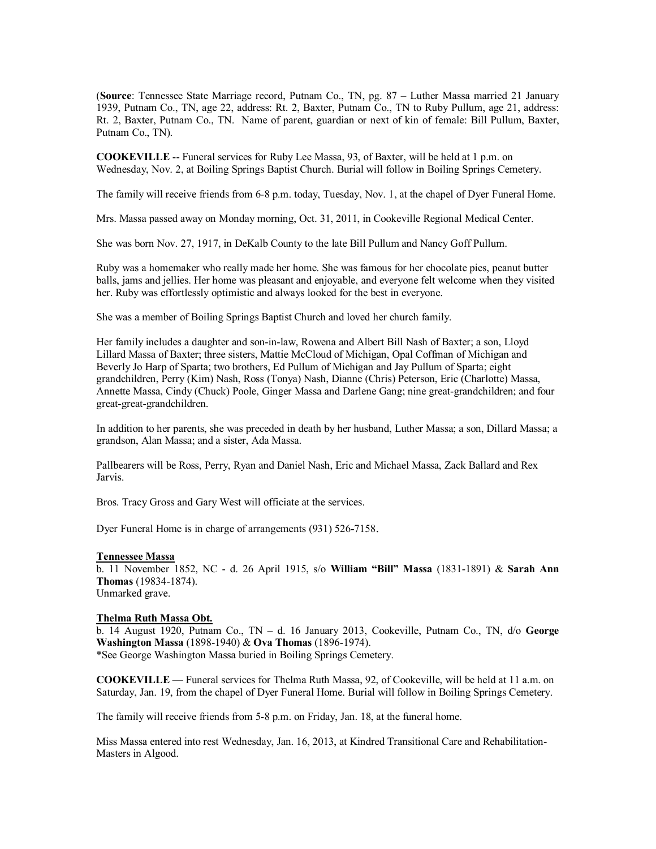(**Source**: Tennessee State Marriage record, Putnam Co., TN, pg. 87 – Luther Massa married 21 January 1939, Putnam Co., TN, age 22, address: Rt. 2, Baxter, Putnam Co., TN to Ruby Pullum, age 21, address: Rt. 2, Baxter, Putnam Co., TN. Name of parent, guardian or next of kin of female: Bill Pullum, Baxter, Putnam Co., TN).

**COOKEVILLE** -- Funeral services for Ruby Lee Massa, 93, of Baxter, will be held at 1 p.m. on Wednesday, Nov. 2, at Boiling Springs Baptist Church. Burial will follow in Boiling Springs Cemetery.

The family will receive friends from 6-8 p.m. today, Tuesday, Nov. 1, at the chapel of Dyer Funeral Home.

Mrs. Massa passed away on Monday morning, Oct. 31, 2011, in Cookeville Regional Medical Center.

She was born Nov. 27, 1917, in DeKalb County to the late Bill Pullum and Nancy Goff Pullum.

Ruby was a homemaker who really made her home. She was famous for her chocolate pies, peanut butter balls, jams and jellies. Her home was pleasant and enjoyable, and everyone felt welcome when they visited her. Ruby was effortlessly optimistic and always looked for the best in everyone.

She was a member of Boiling Springs Baptist Church and loved her church family.

Her family includes a daughter and son-in-law, Rowena and Albert Bill Nash of Baxter; a son, Lloyd Lillard Massa of Baxter; three sisters, Mattie McCloud of Michigan, Opal Coffman of Michigan and Beverly Jo Harp of Sparta; two brothers, Ed Pullum of Michigan and Jay Pullum of Sparta; eight grandchildren, Perry (Kim) Nash, Ross (Tonya) Nash, Dianne (Chris) Peterson, Eric (Charlotte) Massa, Annette Massa, Cindy (Chuck) Poole, Ginger Massa and Darlene Gang; nine great-grandchildren; and four great-great-grandchildren.

In addition to her parents, she was preceded in death by her husband, Luther Massa; a son, Dillard Massa; a grandson, Alan Massa; and a sister, Ada Massa.

Pallbearers will be Ross, Perry, Ryan and Daniel Nash, Eric and Michael Massa, Zack Ballard and Rex Jarvis.

Bros. Tracy Gross and Gary West will officiate at the services.

Dyer Funeral Home is in charge of arrangements (931) 526-7158.

#### **Tennessee Massa**

b. 11 November 1852, NC - d. 26 April 1915, s/o **William "Bill" Massa** (1831-1891) & **Sarah Ann Thomas** (19834-1874). Unmarked grave.

### **Thelma Ruth Massa Obt.**

b. 14 August 1920, Putnam Co., TN – d. 16 January 2013, Cookeville, Putnam Co., TN, d/o **George Washington Massa** (1898-1940) & **Ova Thomas** (1896-1974). \*See George Washington Massa buried in Boiling Springs Cemetery.

**COOKEVILLE** — Funeral services for Thelma Ruth Massa, 92, of Cookeville, will be held at 11 a.m. on Saturday, Jan. 19, from the chapel of Dyer Funeral Home. Burial will follow in Boiling Springs Cemetery.

The family will receive friends from 5-8 p.m. on Friday, Jan. 18, at the funeral home.

Miss Massa entered into rest Wednesday, Jan. 16, 2013, at Kindred Transitional Care and Rehabilitation-Masters in Algood.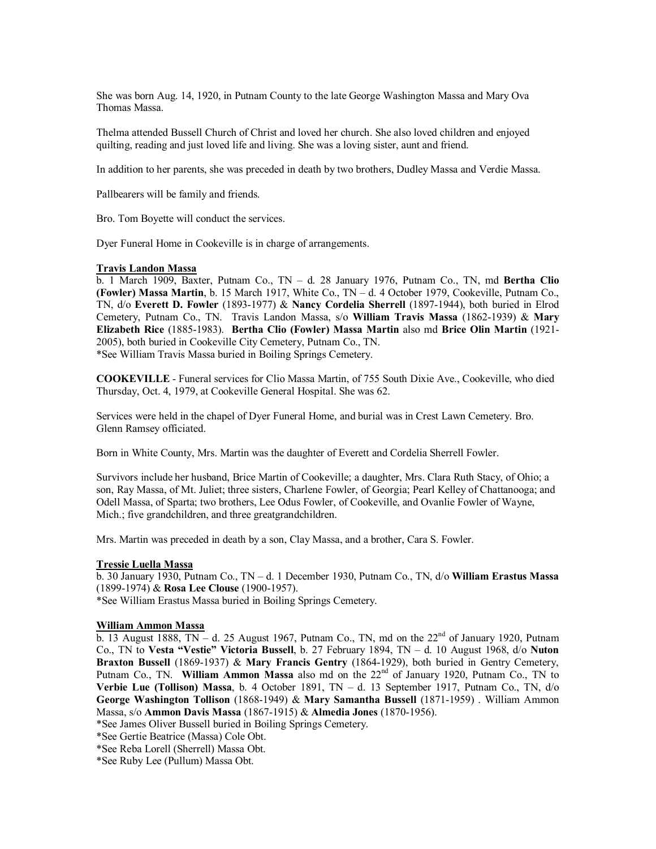She was born Aug. 14, 1920, in Putnam County to the late George Washington Massa and Mary Ova Thomas Massa.

Thelma attended Bussell Church of Christ and loved her church. She also loved children and enjoyed quilting, reading and just loved life and living. She was a loving sister, aunt and friend.

In addition to her parents, she was preceded in death by two brothers, Dudley Massa and Verdie Massa.

Pallbearers will be family and friends.

Bro. Tom Boyette will conduct the services.

Dyer Funeral Home in Cookeville is in charge of arrangements.

#### **Travis Landon Massa**

b. 1 March 1909, Baxter, Putnam Co., TN – d. 28 January 1976, Putnam Co., TN, md **Bertha Clio (Fowler) Massa Martin**, b. 15 March 1917, White Co., TN – d. 4 October 1979, Cookeville, Putnam Co., TN, d/o **Everett D. Fowler** (1893-1977) & **Nancy Cordelia Sherrell** (1897-1944), both buried in Elrod Cemetery, Putnam Co., TN. Travis Landon Massa, s/o **William Travis Massa** (1862-1939) & **Mary Elizabeth Rice** (1885-1983). **Bertha Clio (Fowler) Massa Martin** also md **Brice Olin Martin** (1921- 2005), both buried in Cookeville City Cemetery, Putnam Co., TN. \*See William Travis Massa buried in Boiling Springs Cemetery.

**COOKEVILLE** - Funeral services for Clio Massa Martin, of 755 South Dixie Ave., Cookeville, who died Thursday, Oct. 4, 1979, at Cookeville General Hospital. She was 62.

Services were held in the chapel of Dyer Funeral Home, and burial was in Crest Lawn Cemetery. Bro. Glenn Ramsey officiated.

Born in White County, Mrs. Martin was the daughter of Everett and Cordelia Sherrell Fowler.

Survivors include her husband, Brice Martin of Cookeville; a daughter, Mrs. Clara Ruth Stacy, of Ohio; a son, Ray Massa, of Mt. Juliet; three sisters, Charlene Fowler, of Georgia; Pearl Kelley of Chattanooga; and Odell Massa, of Sparta; two brothers, Lee Odus Fowler, of Cookeville, and Ovanlie Fowler of Wayne, Mich.; five grandchildren, and three greatgrandchildren.

Mrs. Martin was preceded in death by a son, Clay Massa, and a brother, Cara S. Fowler.

#### **Tressie Luella Massa**

b. 30 January 1930, Putnam Co., TN – d. 1 December 1930, Putnam Co., TN, d/o **William Erastus Massa** (1899-1974) & **Rosa Lee Clouse** (1900-1957).

\*See William Erastus Massa buried in Boiling Springs Cemetery.

#### **William Ammon Massa**

b. 13 August 1888,  $\overline{IN}$  – d. 25 August 1967, Putnam Co., TN, md on the  $22^{nd}$  of January 1920, Putnam Co., TN to **Vesta "Vestie" Victoria Bussell**, b. 27 February 1894, TN – d. 10 August 1968, d/o **Nuton Braxton Bussell** (1869-1937) & **Mary Francis Gentry** (1864-1929), both buried in Gentry Cemetery, Putnam Co., TN. **William Ammon Massa** also md on the 22<sup>nd</sup> of January 1920, Putnam Co., TN to **Verbie Lue (Tollison) Massa**, b. 4 October 1891, TN – d. 13 September 1917, Putnam Co., TN, d/o **George Washington Tollison** (1868-1949) & **Mary Samantha Bussell** (1871-1959) . William Ammon Massa, s/o **Ammon Davis Massa** (1867-1915) & **Almedia Jones** (1870-1956).

\*See James Oliver Bussell buried in Boiling Springs Cemetery.

\*See Gertie Beatrice (Massa) Cole Obt.

\*See Reba Lorell (Sherrell) Massa Obt.

\*See Ruby Lee (Pullum) Massa Obt.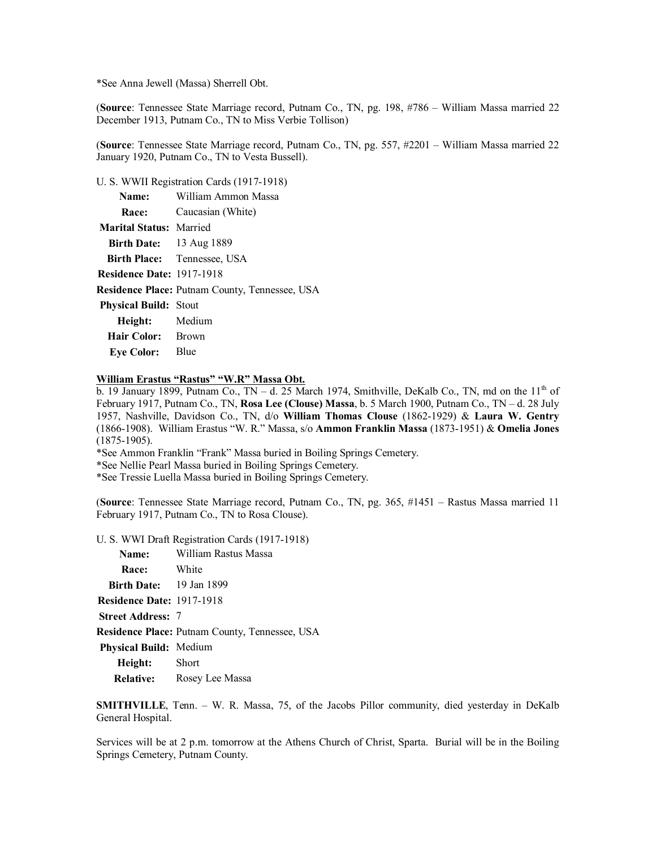\*See Anna Jewell (Massa) Sherrell Obt.

(**Source**: Tennessee State Marriage record, Putnam Co., TN, pg. 198, #786 – William Massa married 22 December 1913, Putnam Co., TN to Miss Verbie Tollison)

(**Source**: Tennessee State Marriage record, Putnam Co., TN, pg. 557, #2201 – William Massa married 22 January 1920, Putnam Co., TN to Vesta Bussell).

U. S. WWII Registration Cards (1917-1918)

|                                  | Name: William Ammon Massa                             |
|----------------------------------|-------------------------------------------------------|
|                                  | <b>Race:</b> Caucasian (White)                        |
| <b>Marital Status: Married</b>   |                                                       |
| <b>Birth Date:</b> 13 Aug 1889   |                                                       |
|                                  | <b>Birth Place:</b> Tennessee, USA                    |
| <b>Residence Date: 1917-1918</b> |                                                       |
|                                  | <b>Residence Place:</b> Putnam County, Tennessee, USA |
| <b>Physical Build: Stout</b>     |                                                       |
| Height: Medium                   |                                                       |
| Hair Color: Brown                |                                                       |
| <b>Eye Color:</b> Blue           |                                                       |
|                                  |                                                       |

# **William Erastus "Rastus" "W.R" Massa Obt.**

b. 19 January 1899, Putnam Co.,  $TN - d$ . 25 March 1974, Smithville, DeKalb Co., TN, md on the 11<sup>th</sup> of February 1917, Putnam Co., TN, **Rosa Lee (Clouse) Massa**, b. 5 March 1900, Putnam Co., TN – d. 28 July 1957, Nashville, Davidson Co., TN, d/o **William Thomas Clouse** (1862-1929) & **Laura W. Gentry** (1866-1908). William Erastus "W. R." Massa, s/o **Ammon Franklin Massa** (1873-1951) & **Omelia Jones** (1875-1905).

\*See Ammon Franklin "Frank" Massa buried in Boiling Springs Cemetery.

\*See Nellie Pearl Massa buried in Boiling Springs Cemetery.

\*See Tressie Luella Massa buried in Boiling Springs Cemetery.

(**Source**: Tennessee State Marriage record, Putnam Co., TN, pg. 365, #1451 – Rastus Massa married 11 February 1917, Putnam Co., TN to Rosa Clouse).

U. S. WWI Draft Registration Cards (1917-1918)

| Name:                            | William Rastus Massa                           |
|----------------------------------|------------------------------------------------|
| <b>Race:</b>                     | <b>White</b>                                   |
| <b>Birth Date:</b> 19 Jan 1899   |                                                |
| <b>Residence Date: 1917-1918</b> |                                                |
| <b>Street Address: 7</b>         |                                                |
|                                  | Residence Place: Putnam County, Tennessee, USA |
| <b>Physical Build:</b> Medium    |                                                |
| <b>Height:</b> Short             |                                                |
|                                  | <b>Relative:</b> Rosey Lee Massa               |

**SMITHVILLE**, Tenn. – W. R. Massa, 75, of the Jacobs Pillor community, died yesterday in DeKalb General Hospital.

Services will be at 2 p.m. tomorrow at the Athens Church of Christ, Sparta. Burial will be in the Boiling Springs Cemetery, Putnam County.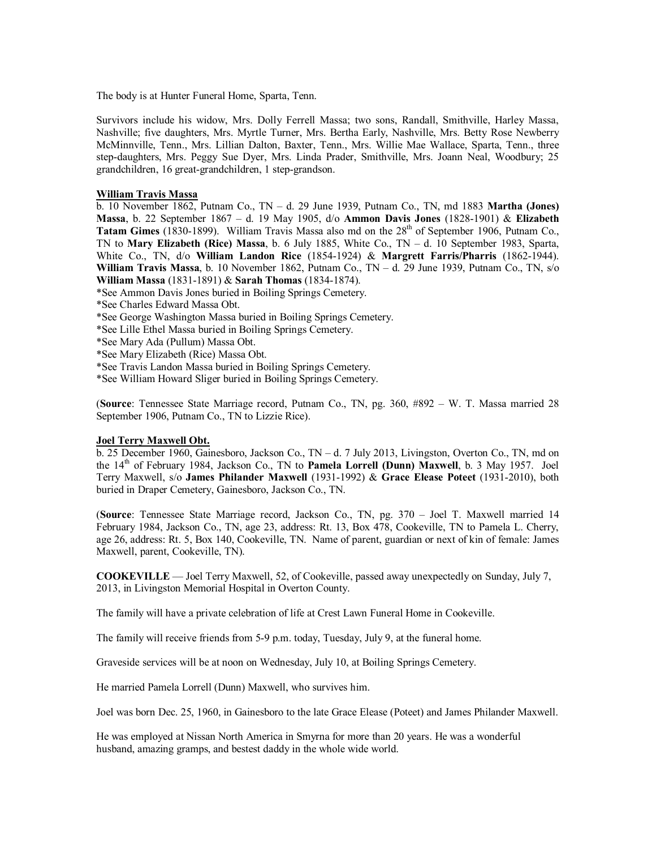The body is at Hunter Funeral Home, Sparta, Tenn.

Survivors include his widow, Mrs. Dolly Ferrell Massa; two sons, Randall, Smithville, Harley Massa, Nashville; five daughters, Mrs. Myrtle Turner, Mrs. Bertha Early, Nashville, Mrs. Betty Rose Newberry McMinnville, Tenn., Mrs. Lillian Dalton, Baxter, Tenn., Mrs. Willie Mae Wallace, Sparta, Tenn., three step-daughters, Mrs. Peggy Sue Dyer, Mrs. Linda Prader, Smithville, Mrs. Joann Neal, Woodbury; 25 grandchildren, 16 great-grandchildren, 1 step-grandson.

### **William Travis Massa**

b. 10 November 1862, Putnam Co., TN – d. 29 June 1939, Putnam Co., TN, md 1883 **Martha (Jones) Massa**, b. 22 September 1867 – d. 19 May 1905, d/o **Ammon Davis Jones** (1828-1901) & **Elizabeth** Tatam Gimes (1830-1899). William Travis Massa also md on the 28<sup>th</sup> of September 1906, Putnam Co., TN to **Mary Elizabeth (Rice) Massa**, b. 6 July 1885, White Co., TN – d. 10 September 1983, Sparta, White Co., TN, d/o **William Landon Rice** (1854-1924) & **Margrett Farris/Pharris** (1862-1944). **William Travis Massa**, b. 10 November 1862, Putnam Co., TN – d. 29 June 1939, Putnam Co., TN, s/o **William Massa** (1831-1891) & **Sarah Thomas** (1834-1874).

- \*See Ammon Davis Jones buried in Boiling Springs Cemetery.
- \*See Charles Edward Massa Obt.
- \*See George Washington Massa buried in Boiling Springs Cemetery.
- \*See Lille Ethel Massa buried in Boiling Springs Cemetery.
- \*See Mary Ada (Pullum) Massa Obt.
- \*See Mary Elizabeth (Rice) Massa Obt.
- \*See Travis Landon Massa buried in Boiling Springs Cemetery.
- \*See William Howard Sliger buried in Boiling Springs Cemetery.

(**Source**: Tennessee State Marriage record, Putnam Co., TN, pg. 360, #892 – W. T. Massa married 28 September 1906, Putnam Co., TN to Lizzie Rice).

#### **Joel Terry Maxwell Obt.**

b. 25 December 1960, Gainesboro, Jackson Co., TN – d. 7 July 2013, Livingston, Overton Co., TN, md on the 14th of February 1984, Jackson Co., TN to **Pamela Lorrell (Dunn) Maxwell**, b. 3 May 1957. Joel Terry Maxwell, s/o **James Philander Maxwell** (1931-1992) & **Grace Elease Poteet** (1931-2010), both buried in Draper Cemetery, Gainesboro, Jackson Co., TN.

(**Source**: Tennessee State Marriage record, Jackson Co., TN, pg. 370 – Joel T. Maxwell married 14 February 1984, Jackson Co., TN, age 23, address: Rt. 13, Box 478, Cookeville, TN to Pamela L. Cherry, age 26, address: Rt. 5, Box 140, Cookeville, TN. Name of parent, guardian or next of kin of female: James Maxwell, parent, Cookeville, TN).

**COOKEVILLE** — Joel Terry Maxwell, 52, of Cookeville, passed away unexpectedly on Sunday, July 7, 2013, in Livingston Memorial Hospital in Overton County.

The family will have a private celebration of life at Crest Lawn Funeral Home in Cookeville.

The family will receive friends from 5-9 p.m. today, Tuesday, July 9, at the funeral home.

Graveside services will be at noon on Wednesday, July 10, at Boiling Springs Cemetery.

He married Pamela Lorrell (Dunn) Maxwell, who survives him.

Joel was born Dec. 25, 1960, in Gainesboro to the late Grace Elease (Poteet) and James Philander Maxwell.

He was employed at Nissan North America in Smyrna for more than 20 years. He was a wonderful husband, amazing gramps, and bestest daddy in the whole wide world.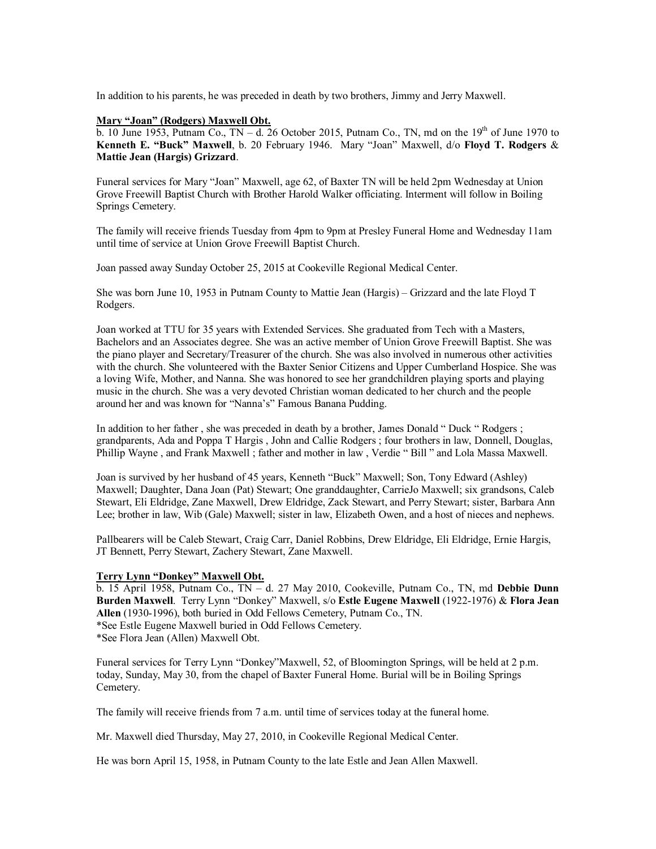In addition to his parents, he was preceded in death by two brothers, Jimmy and Jerry Maxwell.

### **Mary "Joan" (Rodgers) Maxwell Obt.**

b. 10 June 1953, Putnam Co.,  $TN - d$ . 26 October 2015, Putnam Co., TN, md on the 19<sup>th</sup> of June 1970 to **Kenneth E. "Buck" Maxwell**, b. 20 February 1946. Mary "Joan" Maxwell, d/o **Floyd T. Rodgers** & **Mattie Jean (Hargis) Grizzard**.

Funeral services for Mary "Joan" Maxwell, age 62, of Baxter TN will be held 2pm Wednesday at Union Grove Freewill Baptist Church with Brother Harold Walker officiating. Interment will follow in Boiling Springs Cemetery.

The family will receive friends Tuesday from 4pm to 9pm at Presley Funeral Home and Wednesday 11am until time of service at Union Grove Freewill Baptist Church.

Joan passed away Sunday October 25, 2015 at Cookeville Regional Medical Center.

She was born June 10, 1953 in Putnam County to Mattie Jean (Hargis) – Grizzard and the late Floyd T Rodgers.

Joan worked at TTU for 35 years with Extended Services. She graduated from Tech with a Masters, Bachelors and an Associates degree. She was an active member of Union Grove Freewill Baptist. She was the piano player and Secretary/Treasurer of the church. She was also involved in numerous other activities with the church. She volunteered with the Baxter Senior Citizens and Upper Cumberland Hospice. She was a loving Wife, Mother, and Nanna. She was honored to see her grandchildren playing sports and playing music in the church. She was a very devoted Christian woman dedicated to her church and the people around her and was known for "Nanna's" Famous Banana Pudding.

In addition to her father , she was preceded in death by a brother, James Donald " Duck " Rodgers ; grandparents, Ada and Poppa T Hargis , John and Callie Rodgers ; four brothers in law, Donnell, Douglas, Phillip Wayne , and Frank Maxwell ; father and mother in law , Verdie " Bill " and Lola Massa Maxwell.

Joan is survived by her husband of 45 years, Kenneth "Buck" Maxwell; Son, Tony Edward (Ashley) Maxwell; Daughter, Dana Joan (Pat) Stewart; One granddaughter, CarrieJo Maxwell; six grandsons, Caleb Stewart, Eli Eldridge, Zane Maxwell, Drew Eldridge, Zack Stewart, and Perry Stewart; sister, Barbara Ann Lee; brother in law, Wib (Gale) Maxwell; sister in law, Elizabeth Owen, and a host of nieces and nephews.

Pallbearers will be Caleb Stewart, Craig Carr, Daniel Robbins, Drew Eldridge, Eli Eldridge, Ernie Hargis, JT Bennett, Perry Stewart, Zachery Stewart, Zane Maxwell.

### **Terry Lynn "Donkey" Maxwell Obt.**

b. 15 April 1958, Putnam Co., TN – d. 27 May 2010, Cookeville, Putnam Co., TN, md **Debbie Dunn Burden Maxwell**. Terry Lynn "Donkey" Maxwell, s/o **Estle Eugene Maxwell** (1922-1976) & **Flora Jean Allen** (1930-1996), both buried in Odd Fellows Cemetery, Putnam Co., TN. \*See Estle Eugene Maxwell buried in Odd Fellows Cemetery.

\*See Flora Jean (Allen) Maxwell Obt.

Funeral services for Terry Lynn "Donkey"Maxwell, 52, of Bloomington Springs, will be held at 2 p.m. today, Sunday, May 30, from the chapel of Baxter Funeral Home. Burial will be in Boiling Springs Cemetery.

The family will receive friends from 7 a.m. until time of services today at the funeral home.

Mr. Maxwell died Thursday, May 27, 2010, in Cookeville Regional Medical Center.

He was born April 15, 1958, in Putnam County to the late Estle and Jean Allen Maxwell.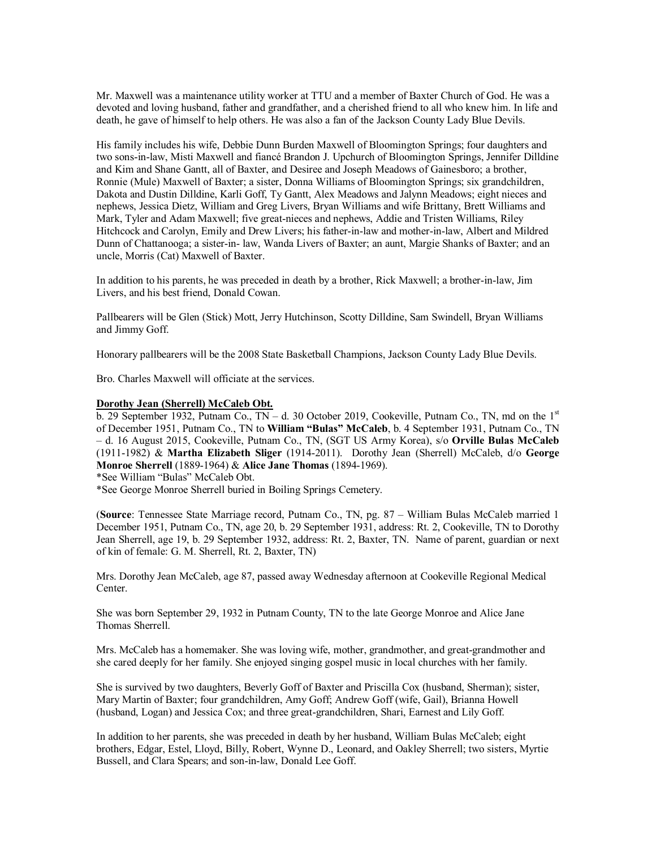Mr. Maxwell was a maintenance utility worker at TTU and a member of Baxter Church of God. He was a devoted and loving husband, father and grandfather, and a cherished friend to all who knew him. In life and death, he gave of himself to help others. He was also a fan of the Jackson County Lady Blue Devils.

His family includes his wife, Debbie Dunn Burden Maxwell of Bloomington Springs; four daughters and two sons-in-law, Misti Maxwell and fiancé Brandon J. Upchurch of Bloomington Springs, Jennifer Dilldine and Kim and Shane Gantt, all of Baxter, and Desiree and Joseph Meadows of Gainesboro; a brother, Ronnie (Mule) Maxwell of Baxter; a sister, Donna Williams of Bloomington Springs; six grandchildren, Dakota and Dustin Dilldine, Karli Goff, Ty Gantt, Alex Meadows and Jalynn Meadows; eight nieces and nephews, Jessica Dietz, William and Greg Livers, Bryan Williams and wife Brittany, Brett Williams and Mark, Tyler and Adam Maxwell; five great-nieces and nephews, Addie and Tristen Williams, Riley Hitchcock and Carolyn, Emily and Drew Livers; his father-in-law and mother-in-law, Albert and Mildred Dunn of Chattanooga; a sister-in- law, Wanda Livers of Baxter; an aunt, Margie Shanks of Baxter; and an uncle, Morris (Cat) Maxwell of Baxter.

In addition to his parents, he was preceded in death by a brother, Rick Maxwell; a brother-in-law, Jim Livers, and his best friend, Donald Cowan.

Pallbearers will be Glen (Stick) Mott, Jerry Hutchinson, Scotty Dilldine, Sam Swindell, Bryan Williams and Jimmy Goff.

Honorary pallbearers will be the 2008 State Basketball Champions, Jackson County Lady Blue Devils.

Bro. Charles Maxwell will officiate at the services.

#### **Dorothy Jean (Sherrell) McCaleb Obt.**

b. 29 September 1932, Putnam Co.,  $TN - d$ . 30 October 2019, Cookeville, Putnam Co., TN, md on the  $1<sup>st</sup>$ of December 1951, Putnam Co., TN to **William "Bulas" McCaleb**, b. 4 September 1931, Putnam Co., TN – d. 16 August 2015, Cookeville, Putnam Co., TN, (SGT US Army Korea), s/o **Orville Bulas McCaleb** (1911-1982) & **Martha Elizabeth Sliger** (1914-2011). Dorothy Jean (Sherrell) McCaleb, d/o **George Monroe Sherrell** (1889-1964) & **Alice Jane Thomas** (1894-1969).

\*See William "Bulas" McCaleb Obt.

\*See George Monroe Sherrell buried in Boiling Springs Cemetery.

(**Source**: Tennessee State Marriage record, Putnam Co., TN, pg. 87 – William Bulas McCaleb married 1 December 1951, Putnam Co., TN, age 20, b. 29 September 1931, address: Rt. 2, Cookeville, TN to Dorothy Jean Sherrell, age 19, b. 29 September 1932, address: Rt. 2, Baxter, TN. Name of parent, guardian or next of kin of female: G. M. Sherrell, Rt. 2, Baxter, TN)

Mrs. Dorothy Jean McCaleb, age 87, passed away Wednesday afternoon at Cookeville Regional Medical Center.

She was born September 29, 1932 in Putnam County, TN to the late George Monroe and Alice Jane Thomas Sherrell.

Mrs. McCaleb has a homemaker. She was loving wife, mother, grandmother, and great-grandmother and she cared deeply for her family. She enjoyed singing gospel music in local churches with her family.

She is survived by two daughters, Beverly Goff of Baxter and Priscilla Cox (husband, Sherman); sister, Mary Martin of Baxter; four grandchildren, Amy Goff; Andrew Goff (wife, Gail), Brianna Howell (husband, Logan) and Jessica Cox; and three great-grandchildren, Shari, Earnest and Lily Goff.

In addition to her parents, she was preceded in death by her husband, William Bulas McCaleb; eight brothers, Edgar, Estel, Lloyd, Billy, Robert, Wynne D., Leonard, and Oakley Sherrell; two sisters, Myrtie Bussell, and Clara Spears; and son-in-law, Donald Lee Goff.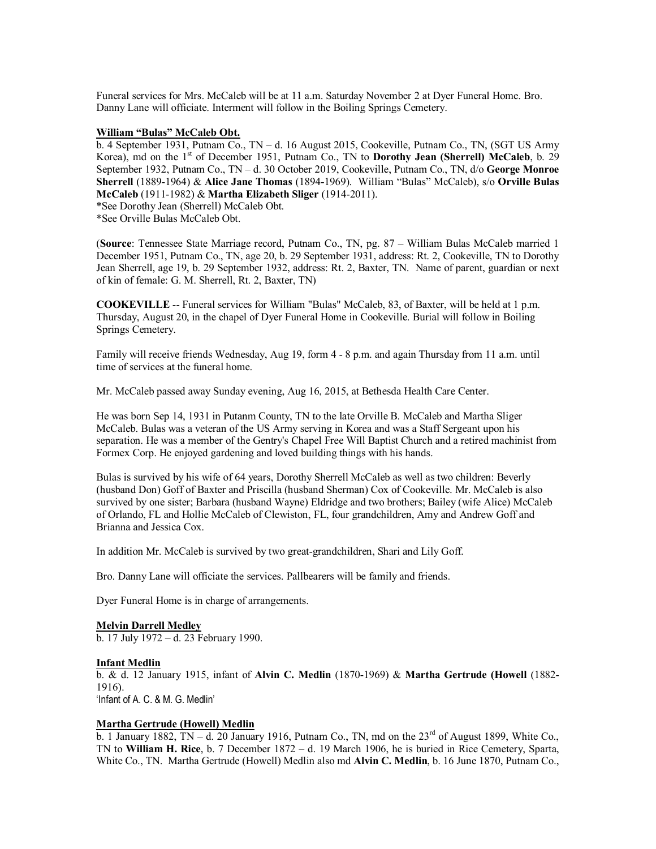Funeral services for Mrs. McCaleb will be at 11 a.m. Saturday November 2 at Dyer Funeral Home. Bro. Danny Lane will officiate. Interment will follow in the Boiling Springs Cemetery.

### **William "Bulas" McCaleb Obt.**

b. 4 September 1931, Putnam Co., TN – d. 16 August 2015, Cookeville, Putnam Co., TN, (SGT US Army Korea), md on the 1<sup>st</sup> of December 1951, Putnam Co., TN to **Dorothy Jean (Sherrell) McCaleb**, b. 29 September 1932, Putnam Co., TN – d. 30 October 2019, Cookeville, Putnam Co., TN, d/o **George Monroe Sherrell** (1889-1964) & **Alice Jane Thomas** (1894-1969). William "Bulas" McCaleb), s/o **Orville Bulas McCaleb** (1911-1982) & **Martha Elizabeth Sliger** (1914-2011).

\*See Dorothy Jean (Sherrell) McCaleb Obt.

\*See Orville Bulas McCaleb Obt.

(**Source**: Tennessee State Marriage record, Putnam Co., TN, pg. 87 – William Bulas McCaleb married 1 December 1951, Putnam Co., TN, age 20, b. 29 September 1931, address: Rt. 2, Cookeville, TN to Dorothy Jean Sherrell, age 19, b. 29 September 1932, address: Rt. 2, Baxter, TN. Name of parent, guardian or next of kin of female: G. M. Sherrell, Rt. 2, Baxter, TN)

**COOKEVILLE** -- Funeral services for William "Bulas" McCaleb, 83, of Baxter, will be held at 1 p.m. Thursday, August 20, in the chapel of Dyer Funeral Home in Cookeville. Burial will follow in Boiling Springs Cemetery.

Family will receive friends Wednesday, Aug 19, form 4 - 8 p.m. and again Thursday from 11 a.m. until time of services at the funeral home.

Mr. McCaleb passed away Sunday evening, Aug 16, 2015, at Bethesda Health Care Center.

He was born Sep 14, 1931 in Putanm County, TN to the late Orville B. McCaleb and Martha Sliger McCaleb. Bulas was a veteran of the US Army serving in Korea and was a Staff Sergeant upon his separation. He was a member of the Gentry's Chapel Free Will Baptist Church and a retired machinist from Formex Corp. He enjoyed gardening and loved building things with his hands.

Bulas is survived by his wife of 64 years, Dorothy Sherrell McCaleb as well as two children: Beverly (husband Don) Goff of Baxter and Priscilla (husband Sherman) Cox of Cookeville. Mr. McCaleb is also survived by one sister; Barbara (husband Wayne) Eldridge and two brothers; Bailey (wife Alice) McCaleb of Orlando, FL and Hollie McCaleb of Clewiston, FL, four grandchildren, Amy and Andrew Goff and Brianna and Jessica Cox.

In addition Mr. McCaleb is survived by two great-grandchildren, Shari and Lily Goff.

Bro. Danny Lane will officiate the services. Pallbearers will be family and friends.

Dyer Funeral Home is in charge of arrangements.

### **Melvin Darrell Medley**

b. 17 July 1972 – d. 23 February 1990.

#### **Infant Medlin**

b. & d. 12 January 1915, infant of **Alvin C. Medlin** (1870-1969) & **Martha Gertrude (Howell** (1882- 1916). 'Infant of A. C. & M. G. Medlin'

### **Martha Gertrude (Howell) Medlin**

 $\overline{b}$ . 1 January 1882, TN – d. 20 January 1916, Putnam Co., TN, md on the 23<sup>rd</sup> of August 1899, White Co., TN to **William H. Rice**, b. 7 December 1872 – d. 19 March 1906, he is buried in Rice Cemetery, Sparta, White Co., TN. Martha Gertrude (Howell) Medlin also md **Alvin C. Medlin**, b. 16 June 1870, Putnam Co.,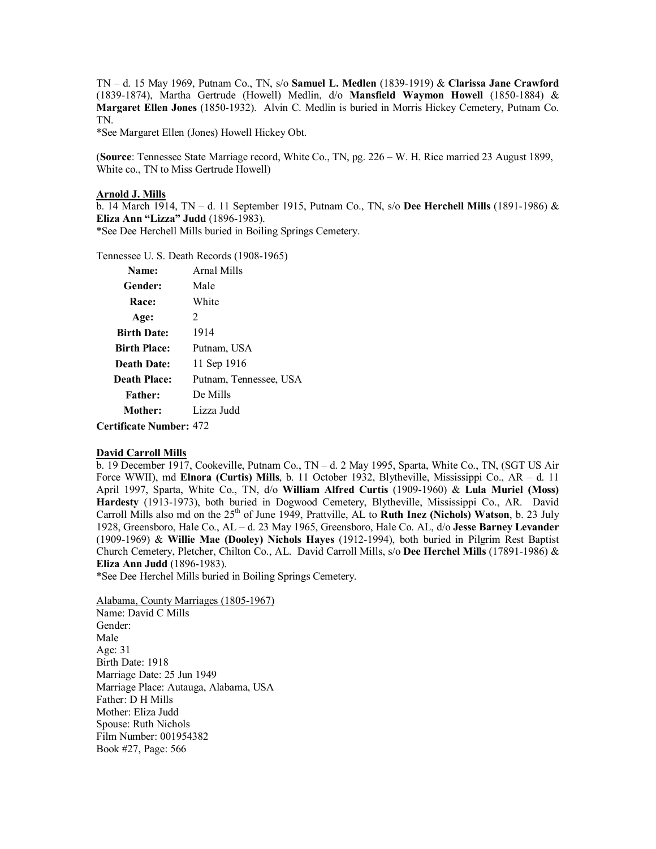TN – d. 15 May 1969, Putnam Co., TN, s/o **Samuel L. Medlen** (1839-1919) & **Clarissa Jane Crawford** (1839-1874), Martha Gertrude (Howell) Medlin, d/o **Mansfield Waymon Howell** (1850-1884) & **Margaret Ellen Jones** (1850-1932). Alvin C. Medlin is buried in Morris Hickey Cemetery, Putnam Co. TN.

\*See Margaret Ellen (Jones) Howell Hickey Obt.

(**Source**: Tennessee State Marriage record, White Co., TN, pg. 226 – W. H. Rice married 23 August 1899, White co., TN to Miss Gertrude Howell)

#### **Arnold J. Mills**

b. 14 March 1914, TN – d. 11 September 1915, Putnam Co., TN, s/o **Dee Herchell Mills** (1891-1986) & **Eliza Ann "Lizza" Judd** (1896-1983).

\*See Dee Herchell Mills buried in Boiling Springs Cemetery.

Tennessee U. S. Death Records (1908-1965)

| Name:                          | Arnal Mills            |
|--------------------------------|------------------------|
| Gender:                        | Male                   |
| Race:                          | White                  |
| Age:                           | 2                      |
| <b>Birth Date:</b>             | 1914                   |
| <b>Birth Place:</b>            | Putnam, USA            |
| <b>Death Date:</b>             | 11 Sep 1916            |
| <b>Death Place:</b>            | Putnam, Tennessee, USA |
| <b>Father:</b>                 | De Mills               |
| Mother:                        | Lizza Judd             |
| <b>Certificate Number: 472</b> |                        |

### **David Carroll Mills**

b. 19 December 1917, Cookeville, Putnam Co., TN – d. 2 May 1995, Sparta, White Co., TN, (SGT US Air Force WWII), md **Elnora (Curtis) Mills**, b. 11 October 1932, Blytheville, Mississippi Co., AR – d. 11 April 1997, Sparta, White Co., TN, d/o **William Alfred Curtis** (1909-1960) & **Lula Muriel (Moss) Hardesty** (1913-1973), both buried in Dogwood Cemetery, Blytheville, Mississippi Co., AR. David Carroll Mills also md on the 25<sup>th</sup> of June 1949, Prattville, AL to **Ruth Inez (Nichols) Watson**, b. 23 July 1928, Greensboro, Hale Co., AL – d. 23 May 1965, Greensboro, Hale Co. AL, d/o **Jesse Barney Levander** (1909-1969) & **Willie Mae (Dooley) Nichols Hayes** (1912-1994), both buried in Pilgrim Rest Baptist Church Cemetery, Pletcher, Chilton Co., AL. David Carroll Mills, s/o **Dee Herchel Mills** (17891-1986) & **Eliza Ann Judd** (1896-1983).

\*See Dee Herchel Mills buried in Boiling Springs Cemetery.

Alabama, County Marriages (1805-1967) Name: David C Mills Gender: Male Age: 31 Birth Date: 1918 Marriage Date: 25 Jun 1949 Marriage Place: Autauga, Alabama, USA Father: D H Mills Mother: Eliza Judd Spouse: Ruth Nichols Film Number: 001954382 Book #27, Page: 566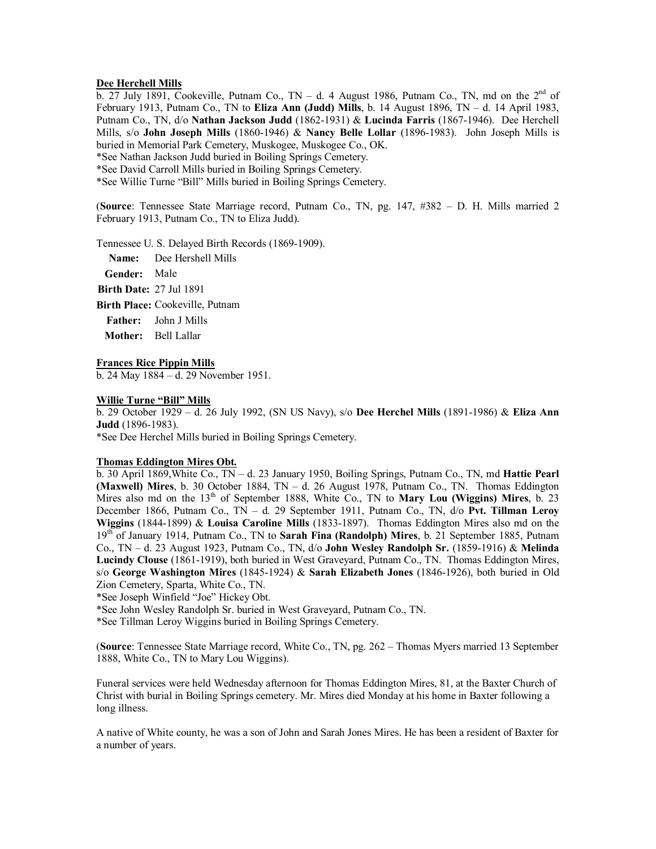### **Dee Herchell Mills**

 $\overline{b}$ . 27 July 1891, Cookeville, Putnam Co., TN – d. 4 August 1986, Putnam Co., TN, md on the 2<sup>nd</sup> of February 1913, Putnam Co., TN to **Eliza Ann (Judd) Mills**, b. 14 August 1896, TN – d. 14 April 1983, Putnam Co., TN, d/o **Nathan Jackson Judd** (1862-1931) & **Lucinda Farris** (1867-1946). Dee Herchell Mills, s/o **John Joseph Mills** (1860-1946) & **Nancy Belle Lollar** (1896-1983). John Joseph Mills is buried in Memorial Park Cemetery, Muskogee, Muskogee Co., OK.

\*See Nathan Jackson Judd buried in Boiling Springs Cemetery.

\*See David Carroll Mills buried in Boiling Springs Cemetery.

\*See Willie Turne "Bill" Mills buried in Boiling Springs Cemetery.

(**Source**: Tennessee State Marriage record, Putnam Co., TN, pg. 147, #382 – D. H. Mills married 2 February 1913, Putnam Co., TN to Eliza Judd).

Tennessee U. S. Delayed Birth Records (1869-1909).

**Name:** Dee Hershell Mills

**Gender:** Male

**Birth Date:** 27 Jul 1891

**Birth Place:** Cookeville, Putnam

**Father:** John J Mills

**Mother:** Bell Lallar

#### **Frances Rice Pippin Mills**

b. 24 May 1884 – d. 29 November 1951.

### **Willie Turne "Bill" Mills**

b. 29 October 1929 – d. 26 July 1992, (SN US Navy), s/o **Dee Herchel Mills** (1891-1986) & **Eliza Ann Judd** (1896-1983).

\*See Dee Herchel Mills buried in Boiling Springs Cemetery.

# **Thomas Eddington Mires Obt.**

b. 30 April 1869,White Co., TN – d. 23 January 1950, Boiling Springs, Putnam Co., TN, md **Hattie Pearl (Maxwell) Mires**, b. 30 October 1884, TN – d. 26 August 1978, Putnam Co., TN. Thomas Eddington Mires also md on the 13<sup>th</sup> of September 1888, White Co., TN to **Mary Lou (Wiggins) Mires**, b. 23 December 1866, Putnam Co., TN – d. 29 September 1911, Putnam Co., TN, d/o **Pvt. Tillman Leroy Wiggins** (1844-1899) & **Louisa Caroline Mills** (1833-1897). Thomas Eddington Mires also md on the 19th of January 1914, Putnam Co., TN to **Sarah Fina (Randolph) Mires**, b. 21 September 1885, Putnam Co., TN – d. 23 August 1923, Putnam Co., TN, d/o **John Wesley Randolph Sr.** (1859-1916) & **Melinda Lucindy Clouse** (1861-1919), both buried in West Graveyard, Putnam Co., TN. Thomas Eddington Mires, s/o **George Washington Mires** (1845-1924) & **Sarah Elizabeth Jones** (1846-1926), both buried in Old Zion Cemetery, Sparta, White Co., TN.

\*See Joseph Winfield "Joe" Hickey Obt.

\*See John Wesley Randolph Sr. buried in West Graveyard, Putnam Co., TN.

\*See Tillman Leroy Wiggins buried in Boiling Springs Cemetery.

(**Source**: Tennessee State Marriage record, White Co., TN, pg. 262 – Thomas Myers married 13 September 1888, White Co., TN to Mary Lou Wiggins).

Funeral services were held Wednesday afternoon for Thomas Eddington Mires, 81, at the Baxter Church of Christ with burial in Boiling Springs cemetery. Mr. Mires died Monday at his home in Baxter following a long illness.

A native of White county, he was a son of John and Sarah Jones Mires. He has been a resident of Baxter for a number of years.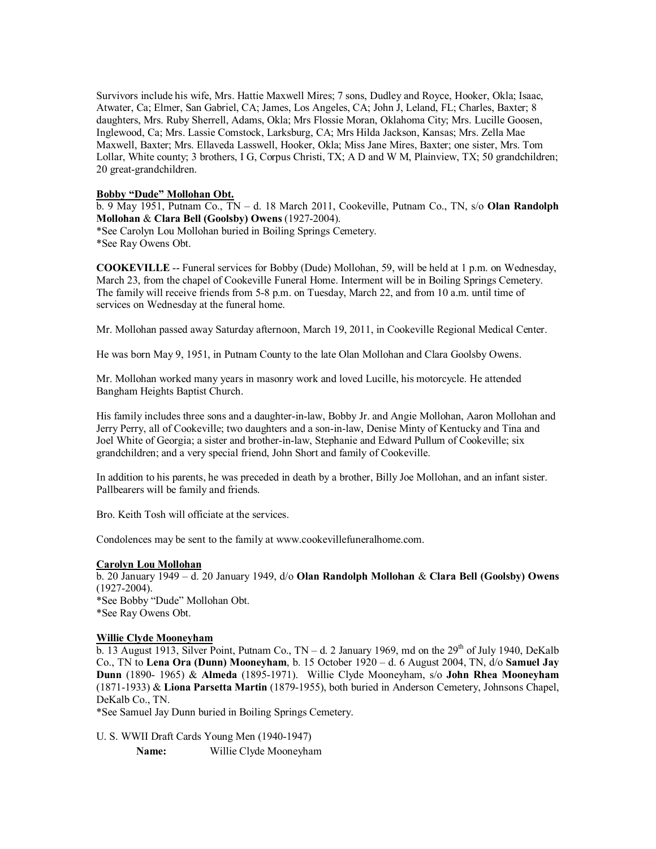Survivors include his wife, Mrs. Hattie Maxwell Mires; 7 sons, Dudley and Royce, Hooker, Okla; Isaac, Atwater, Ca; Elmer, San Gabriel, CA; James, Los Angeles, CA; John J, Leland, FL; Charles, Baxter; 8 daughters, Mrs. Ruby Sherrell, Adams, Okla; Mrs Flossie Moran, Oklahoma City; Mrs. Lucille Goosen, Inglewood, Ca; Mrs. Lassie Comstock, Larksburg, CA; Mrs Hilda Jackson, Kansas; Mrs. Zella Mae Maxwell, Baxter; Mrs. Ellaveda Lasswell, Hooker, Okla; Miss Jane Mires, Baxter; one sister, Mrs. Tom Lollar, White county; 3 brothers, I G, Corpus Christi, TX; A D and W M, Plainview, TX; 50 grandchildren; 20 great-grandchildren.

# **Bobby "Dude" Mollohan Obt.**

b. 9 May 1951, Putnam Co., TN – d. 18 March 2011, Cookeville, Putnam Co., TN, s/o **Olan Randolph Mollohan** & **Clara Bell (Goolsby) Owens** (1927-2004).

\*See Carolyn Lou Mollohan buried in Boiling Springs Cemetery. \*See Ray Owens Obt.

**COOKEVILLE** -- Funeral services for Bobby (Dude) Mollohan, 59, will be held at 1 p.m. on Wednesday, March 23, from the chapel of Cookeville Funeral Home. Interment will be in Boiling Springs Cemetery. The family will receive friends from 5-8 p.m. on Tuesday, March 22, and from 10 a.m. until time of services on Wednesday at the funeral home.

Mr. Mollohan passed away Saturday afternoon, March 19, 2011, in Cookeville Regional Medical Center.

He was born May 9, 1951, in Putnam County to the late Olan Mollohan and Clara Goolsby Owens.

Mr. Mollohan worked many years in masonry work and loved Lucille, his motorcycle. He attended Bangham Heights Baptist Church.

His family includes three sons and a daughter-in-law, Bobby Jr. and Angie Mollohan, Aaron Mollohan and Jerry Perry, all of Cookeville; two daughters and a son-in-law, Denise Minty of Kentucky and Tina and Joel White of Georgia; a sister and brother-in-law, Stephanie and Edward Pullum of Cookeville; six grandchildren; and a very special friend, John Short and family of Cookeville.

In addition to his parents, he was preceded in death by a brother, Billy Joe Mollohan, and an infant sister. Pallbearers will be family and friends.

Bro. Keith Tosh will officiate at the services.

Condolences may be sent to the family at [www.cookevillefuneralhome.com.](http://www.cookevillefuneralhome.com./)

### **Carolyn Lou Mollohan**

b. 20 January 1949 – d. 20 January 1949, d/o **Olan Randolph Mollohan** & **Clara Bell (Goolsby) Owens** (1927-2004). \*See Bobby "Dude" Mollohan Obt. \*See Ray Owens Obt.

# **Willie Clyde Mooneyham**

 $\overline{b}$ . 13 August 1913, Silver Point, Putnam Co., TN – d. 2 January 1969, md on the 29<sup>th</sup> of July 1940, DeKalb Co., TN to **Lena Ora (Dunn) Mooneyham**, b. 15 October 1920 – d. 6 August 2004, TN, d/o **Samuel Jay Dunn** (1890- 1965) & **Almeda** (1895-1971). Willie Clyde Mooneyham, s/o **John Rhea Mooneyham** (1871-1933) & **Liona Parsetta Martin** (1879-1955), both buried in Anderson Cemetery, Johnsons Chapel, DeKalb Co., TN.

\*See Samuel Jay Dunn buried in Boiling Springs Cemetery.

U. S. WWII Draft Cards Young Men (1940-1947)

**Name:** Willie Clyde Mooneyham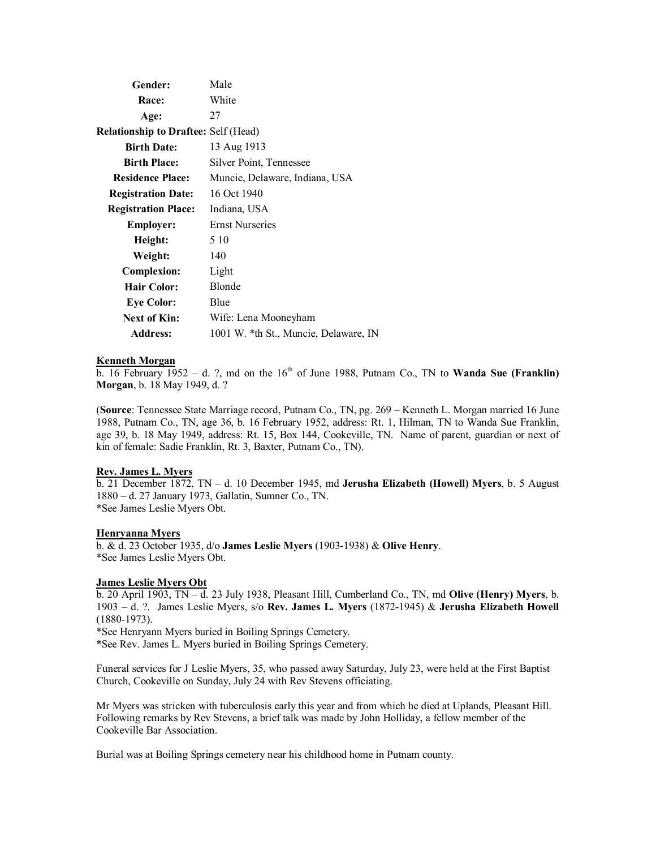| Gender:                                     | Male                                  |
|---------------------------------------------|---------------------------------------|
| Race:                                       | White                                 |
| Age:                                        | 27                                    |
| <b>Relationship to Draftee:</b> Self (Head) |                                       |
| <b>Birth Date:</b>                          | 13 Aug 1913                           |
| <b>Birth Place:</b>                         | Silver Point, Tennessee               |
| <b>Residence Place:</b>                     | Muncie, Delaware, Indiana, USA        |
| <b>Registration Date:</b>                   | 16 Oct 1940                           |
| <b>Registration Place:</b>                  | Indiana, USA                          |
| <b>Employer:</b>                            | <b>Ernst Nurseries</b>                |
| Height:                                     | 5 10                                  |
| Weight:                                     | 140                                   |
| <b>Complexion:</b>                          | Light                                 |
| <b>Hair Color:</b>                          | Blonde                                |
| <b>Eye Color:</b>                           | Blue                                  |
| Next of Kin:                                | Wife: Lena Mooneyham                  |
| <b>Address:</b>                             | 1001 W. *th St., Muncie, Delaware, IN |

### **Kenneth Morgan**

 $\overline{b}$ . 16 February 1952 – d. ?, md on the 16<sup>th</sup> of June 1988, Putnam Co., TN to **Wanda Sue (Franklin) Morgan**, b. 18 May 1949, d. ?

(**Source**: Tennessee State Marriage record, Putnam Co., TN, pg. 269 – Kenneth L. Morgan married 16 June 1988, Putnam Co., TN, age 36, b. 16 February 1952, address: Rt. 1, Hilman, TN to Wanda Sue Franklin, age 39, b. 18 May 1949, address: Rt. 15, Box 144, Cookeville, TN. Name of parent, guardian or next of kin of female: Sadie Franklin, Rt. 3, Baxter, Putnam Co., TN).

### **Rev. James L. Myers**

b. 21 December 1872, TN – d. 10 December 1945, md **Jerusha Elizabeth (Howell) Myers**, b. 5 August 1880 – d. 27 January 1973, Gallatin, Sumner Co., TN. \*See James Leslie Myers Obt.

### **Henryanna Myers**

b. & d. 23 October 1935, d/o **James Leslie Myers** (1903-1938) & **Olive Henry**. \*See James Leslie Myers Obt.

# **James Leslie Myers Obt**

b. 20 April 1903, TN – d. 23 July 1938, Pleasant Hill, Cumberland Co., TN, md **Olive (Henry) Myers**, b. 1903 – d. ?. James Leslie Myers, s/o **Rev. James L. Myers** (1872-1945) & **Jerusha Elizabeth Howell** (1880-1973).

\*See Henryann Myers buried in Boiling Springs Cemetery.

\*See Rev. James L. Myers buried in Boiling Springs Cemetery.

Funeral services for J Leslie Myers, 35, who passed away Saturday, July 23, were held at the First Baptist Church, Cookeville on Sunday, July 24 with Rev Stevens officiating.

Mr Myers was stricken with tuberculosis early this year and from which he died at Uplands, Pleasant Hill. Following remarks by Rev Stevens, a brief talk was made by John Holliday, a fellow member of the Cookeville Bar Association.

Burial was at Boiling Springs cemetery near his childhood home in Putnam county.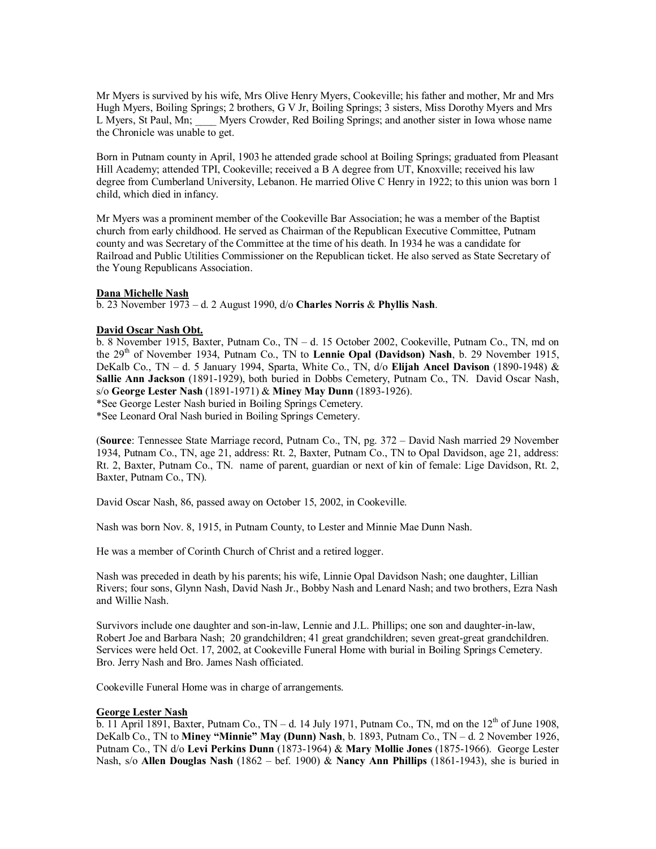Mr Myers is survived by his wife, Mrs Olive Henry Myers, Cookeville; his father and mother, Mr and Mrs Hugh Myers, Boiling Springs; 2 brothers, G V Jr, Boiling Springs; 3 sisters, Miss Dorothy Myers and Mrs L Myers, St Paul, Mn; Myers Crowder, Red Boiling Springs; and another sister in Iowa whose name Myers Crowder, Red Boiling Springs; and another sister in Iowa whose name the Chronicle was unable to get.

Born in Putnam county in April, 1903 he attended grade school at Boiling Springs; graduated from Pleasant Hill Academy; attended TPI, Cookeville; received a B A degree from UT, Knoxville; received his law degree from Cumberland University, Lebanon. He married Olive C Henry in 1922; to this union was born 1 child, which died in infancy.

Mr Myers was a prominent member of the Cookeville Bar Association; he was a member of the Baptist church from early childhood. He served as Chairman of the Republican Executive Committee, Putnam county and was Secretary of the Committee at the time of his death. In 1934 he was a candidate for Railroad and Public Utilities Commissioner on the Republican ticket. He also served as State Secretary of the Young Republicans Association.

### **Dana Michelle Nash**

b. 23 November 1973 – d. 2 August 1990, d/o **Charles Norris** & **Phyllis Nash**.

### **David Oscar Nash Obt.**

b. 8 November 1915, Baxter, Putnam Co., TN – d. 15 October 2002, Cookeville, Putnam Co., TN, md on the 29th of November 1934, Putnam Co., TN to **Lennie Opal (Davidson) Nash**, b. 29 November 1915, DeKalb Co., TN – d. 5 January 1994, Sparta, White Co., TN, d/o **Elijah Ancel Davison** (1890-1948) & **Sallie Ann Jackson** (1891-1929), both buried in Dobbs Cemetery, Putnam Co., TN. David Oscar Nash, s/o **George Lester Nash** (1891-1971) & **Miney May Dunn** (1893-1926).

\*See George Lester Nash buried in Boiling Springs Cemetery.

\*See Leonard Oral Nash buried in Boiling Springs Cemetery.

(**Source**: Tennessee State Marriage record, Putnam Co., TN, pg. 372 – David Nash married 29 November 1934, Putnam Co., TN, age 21, address: Rt. 2, Baxter, Putnam Co., TN to Opal Davidson, age 21, address: Rt. 2, Baxter, Putnam Co., TN. name of parent, guardian or next of kin of female: Lige Davidson, Rt. 2, Baxter, Putnam Co., TN).

David Oscar Nash, 86, passed away on October 15, 2002, in Cookeville.

Nash was born Nov. 8, 1915, in Putnam County, to Lester and Minnie Mae Dunn Nash.

He was a member of Corinth Church of Christ and a retired logger.

Nash was preceded in death by his parents; his wife, Linnie Opal Davidson Nash; one daughter, Lillian Rivers; four sons, Glynn Nash, David Nash Jr., Bobby Nash and Lenard Nash; and two brothers, Ezra Nash and Willie Nash.

Survivors include one daughter and son-in-law, Lennie and J.L. Phillips; one son and daughter-in-law, Robert Joe and Barbara Nash; 20 grandchildren; 41 great grandchildren; seven great-great grandchildren. Services were held Oct. 17, 2002, at Cookeville Funeral Home with burial in Boiling Springs Cemetery. Bro. Jerry Nash and Bro. James Nash officiated.

Cookeville Funeral Home was in charge of arrangements.

#### **George Lester Nash**

b. 11 April 1891, Baxter, Putnam Co., TN – d. 14 July 1971, Putnam Co., TN, md on the  $12<sup>th</sup>$  of June 1908, DeKalb Co., TN to **Miney "Minnie" May (Dunn) Nash**, b. 1893, Putnam Co., TN – d. 2 November 1926, Putnam Co., TN d/o **Levi Perkins Dunn** (1873-1964) & **Mary Mollie Jones** (1875-1966). George Lester Nash, s/o **Allen Douglas Nash** (1862 – bef. 1900) & **Nancy Ann Phillips** (1861-1943), she is buried in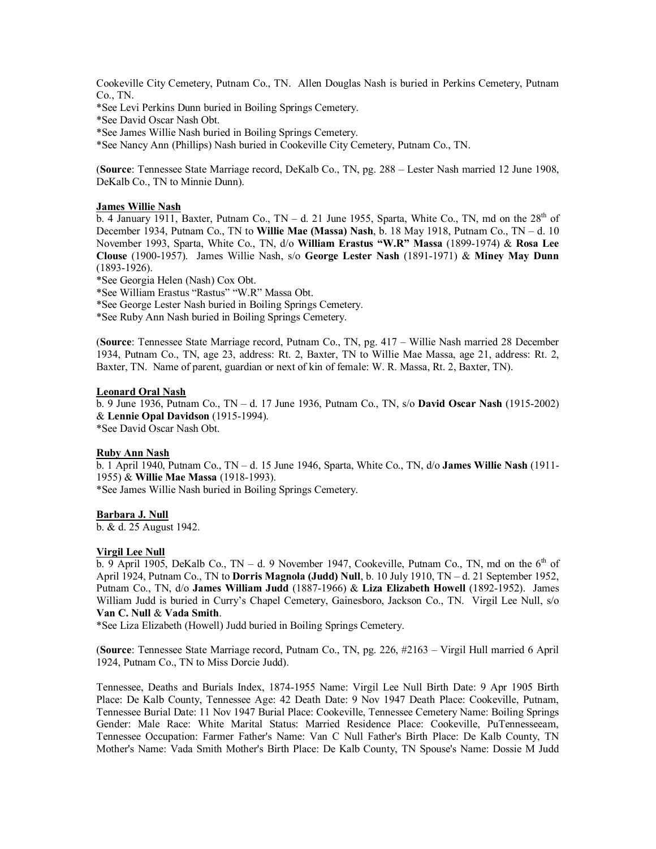Cookeville City Cemetery, Putnam Co., TN. Allen Douglas Nash is buried in Perkins Cemetery, Putnam Co., TN.

\*See Levi Perkins Dunn buried in Boiling Springs Cemetery.

\*See David Oscar Nash Obt.

\*See James Willie Nash buried in Boiling Springs Cemetery.

\*See Nancy Ann (Phillips) Nash buried in Cookeville City Cemetery, Putnam Co., TN.

(**Source**: Tennessee State Marriage record, DeKalb Co., TN, pg. 288 – Lester Nash married 12 June 1908, DeKalb Co., TN to Minnie Dunn).

#### **James Willie Nash**

b. 4 January 1911, Baxter, Putnam Co.,  $TN - d$ . 21 June 1955, Sparta, White Co., TN, md on the  $28<sup>th</sup>$  of December 1934, Putnam Co., TN to **Willie Mae (Massa) Nash**, b. 18 May 1918, Putnam Co., TN – d. 10 November 1993, Sparta, White Co., TN, d/o **William Erastus "W.R" Massa** (1899-1974) & **Rosa Lee Clouse** (1900-1957). James Willie Nash, s/o **George Lester Nash** (1891-1971) & **Miney May Dunn** (1893-1926).

\*See Georgia Helen (Nash) Cox Obt.

\*See William Erastus "Rastus" "W.R" Massa Obt.

\*See George Lester Nash buried in Boiling Springs Cemetery.

\*See Ruby Ann Nash buried in Boiling Springs Cemetery.

(**Source**: Tennessee State Marriage record, Putnam Co., TN, pg. 417 – Willie Nash married 28 December 1934, Putnam Co., TN, age 23, address: Rt. 2, Baxter, TN to Willie Mae Massa, age 21, address: Rt. 2, Baxter, TN. Name of parent, guardian or next of kin of female: W. R. Massa, Rt. 2, Baxter, TN).

#### **Leonard Oral Nash**

b. 9 June 1936, Putnam Co., TN – d. 17 June 1936, Putnam Co., TN, s/o **David Oscar Nash** (1915-2002) & **Lennie Opal Davidson** (1915-1994).

\*See David Oscar Nash Obt.

#### **Ruby Ann Nash**

b. 1 April 1940, Putnam Co., TN – d. 15 June 1946, Sparta, White Co., TN, d/o **James Willie Nash** (1911- 1955) & **Willie Mae Massa** (1918-1993).

\*See James Willie Nash buried in Boiling Springs Cemetery.

### **Barbara J. Null**

b. & d. 25 August 1942.

### **Virgil Lee Null**

 $\overline{b}$ . 9 April 1905, DeKalb Co., TN – d. 9 November 1947, Cookeville, Putnam Co., TN, md on the 6<sup>th</sup> of April 1924, Putnam Co., TN to **Dorris Magnola (Judd) Null**, b. 10 July 1910, TN – d. 21 September 1952, Putnam Co., TN, d/o **James William Judd** (1887-1966) & **Liza Elizabeth Howell** (1892-1952). James William Judd is buried in Curry's Chapel Cemetery, Gainesboro, Jackson Co., TN. Virgil Lee Null, s/o **Van C. Null** & **Vada Smith**.

\*See Liza Elizabeth (Howell) Judd buried in Boiling Springs Cemetery.

(**Source**: Tennessee State Marriage record, Putnam Co., TN, pg. 226, #2163 – Virgil Hull married 6 April 1924, Putnam Co., TN to Miss Dorcie Judd).

Tennessee, Deaths and Burials Index, 1874-1955 Name: Virgil Lee Null Birth Date: 9 Apr 1905 Birth Place: De Kalb County, Tennessee Age: 42 Death Date: 9 Nov 1947 Death Place: Cookeville, Putnam, Tennessee Burial Date: 11 Nov 1947 Burial Place: Cookeville, Tennessee Cemetery Name: Boiling Springs Gender: Male Race: White Marital Status: Married Residence Place: Cookeville, PuTennesseeam, Tennessee Occupation: Farmer Father's Name: Van C Null Father's Birth Place: De Kalb County, TN Mother's Name: Vada Smith Mother's Birth Place: De Kalb County, TN Spouse's Name: Dossie M Judd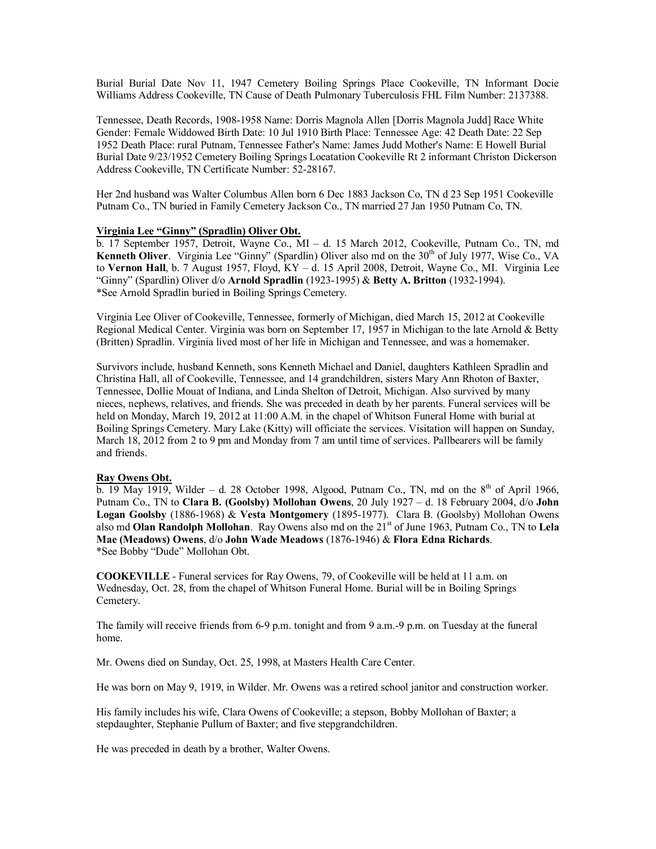Burial Burial Date Nov 11, 1947 Cemetery Boiling Springs Place Cookeville, TN Informant Docie Williams Address Cookeville, TN Cause of Death Pulmonary Tuberculosis FHL Film Number: 2137388.

Tennessee, Death Records, 1908-1958 Name: Dorris Magnola Allen [Dorris Magnola Judd] Race White Gender: Female Widdowed Birth Date: 10 Jul 1910 Birth Place: Tennessee Age: 42 Death Date: 22 Sep 1952 Death Place: rural Putnam, Tennessee Father's Name: James Judd Mother's Name: E Howell Burial Burial Date 9/23/1952 Cemetery Boiling Springs Locatation Cookeville Rt 2 informant Christon Dickerson Address Cookeville, TN Certificate Number: 52-28167.

Her 2nd husband was Walter Columbus Allen born 6 Dec 1883 Jackson Co, TN d 23 Sep 1951 Cookeville Putnam Co., TN buried in Family Cemetery Jackson Co., TN married 27 Jan 1950 Putnam Co, TN.

### **Virginia Lee "Ginny" (Spradlin) Oliver Obt.**

b. 17 September 1957, Detroit, Wayne Co., MI – d. 15 March 2012, Cookeville, Putnam Co., TN, md **Kenneth Oliver.** Virginia Lee "Ginny" (Spardlin) Oliver also md on the 30<sup>th</sup> of July 1977, Wise Co., VA to **Vernon Hall**, b. 7 August 1957, Floyd, KY – d. 15 April 2008, Detroit, Wayne Co., MI. Virginia Lee "Ginny" (Spardlin) Oliver d/o **Arnold Spradlin** (1923-1995) & **Betty A. Britton** (1932-1994). \*See Arnold Spradlin buried in Boiling Springs Cemetery.

Virginia Lee Oliver of Cookeville, Tennessee, formerly of Michigan, died March 15, 2012 at Cookeville Regional Medical Center. Virginia was born on September 17, 1957 in Michigan to the late Arnold & Betty (Britten) Spradlin. Virginia lived most of her life in Michigan and Tennessee, and was a homemaker.

Survivors include, husband Kenneth, sons Kenneth Michael and Daniel, daughters Kathleen Spradlin and Christina Hall, all of Cookeville, Tennessee, and 14 grandchildren, sisters Mary Ann Rhoton of Baxter, Tennessee, Dollie Mouat of Indiana, and Linda Shelton of Detroit, Michigan. Also survived by many nieces, nephews, relatives, and friends. She was preceded in death by her parents. Funeral services will be held on Monday, March 19, 2012 at 11:00 A.M. in the chapel of Whitson Funeral Home with burial at Boiling Springs Cemetery. Mary Lake (Kitty) will officiate the services. Visitation will happen on Sunday, March 18, 2012 from 2 to 9 pm and Monday from 7 am until time of services. Pallbearers will be family and friends.

### **Ray Owens Obt.**

b. 19 May 1919, Wilder – d. 28 October 1998, Algood, Putnam Co., TN, md on the  $8<sup>th</sup>$  of April 1966, Putnam Co., TN to **Clara B. (Goolsby) Mollohan Owens**, 20 July 1927 – d. 18 February 2004, d/o **John Logan Goolsby** (1886-1968) & **Vesta Montgomery** (1895-1977). Clara B. (Goolsby) Mollohan Owens also md **Olan Randolph Mollohan**. Ray Owens also md on the 21st of June 1963, Putnam Co., TN to **Lela Mae (Meadows) Owens**, d/o **John Wade Meadows** (1876-1946) & **Flora Edna Richards**. \*See Bobby "Dude" Mollohan Obt.

**COOKEVILLE** - Funeral services for Ray Owens, 79, of Cookeville will be held at 11 a.m. on Wednesday, Oct. 28, from the chapel of Whitson Funeral Home. Burial will be in Boiling Springs Cemetery.

The family will receive friends from 6-9 p.m. tonight and from 9 a.m.-9 p.m. on Tuesday at the funeral home.

Mr. Owens died on Sunday, Oct. 25, 1998, at Masters Health Care Center.

He was born on May 9, 1919, in Wilder. Mr. Owens was a retired school janitor and construction worker.

His family includes his wife, Clara Owens of Cookeville; a stepson, Bobby Mollohan of Baxter; a stepdaughter, Stephanie Pullum of Baxter; and five stepgrandchildren.

He was preceded in death by a brother, Walter Owens.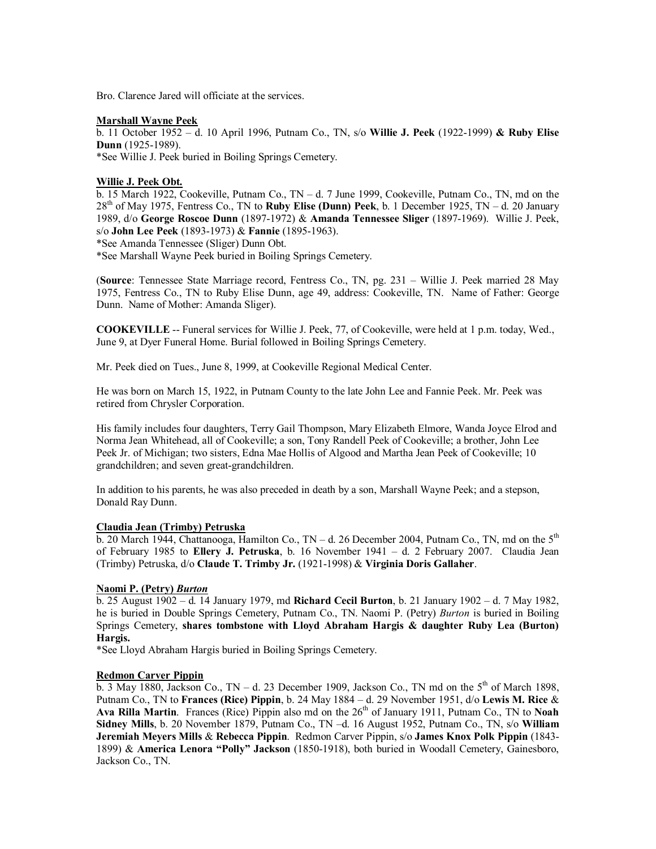Bro. Clarence Jared will officiate at the services.

### **Marshall Wayne Peek**

b. 11 October 1952 – d. 10 April 1996, Putnam Co., TN, s/o **Willie J. Peek** (1922-1999) **& Ruby Elise Dunn** (1925-1989). \*See Willie J. Peek buried in Boiling Springs Cemetery.

### **Willie J. Peek Obt.**

b. 15 March 1922, Cookeville, Putnam Co., TN – d. 7 June 1999, Cookeville, Putnam Co., TN, md on the 28th of May 1975, Fentress Co., TN to **Ruby Elise (Dunn) Peek**, b. 1 December 1925, TN – d. 20 January 1989, d/o **George Roscoe Dunn** (1897-1972) & **Amanda Tennessee Sliger** (1897-1969). Willie J. Peek, s/o **John Lee Peek** (1893-1973) & **Fannie** (1895-1963).

\*See Amanda Tennessee (Sliger) Dunn Obt.

\*See Marshall Wayne Peek buried in Boiling Springs Cemetery.

(**Source**: Tennessee State Marriage record, Fentress Co., TN, pg. 231 – Willie J. Peek married 28 May 1975, Fentress Co., TN to Ruby Elise Dunn, age 49, address: Cookeville, TN. Name of Father: George Dunn. Name of Mother: Amanda Sliger).

**COOKEVILLE** -- Funeral services for Willie J. Peek, 77, of Cookeville, were held at 1 p.m. today, Wed., June 9, at Dyer Funeral Home. Burial followed in Boiling Springs Cemetery.

Mr. Peek died on Tues., June 8, 1999, at Cookeville Regional Medical Center.

He was born on March 15, 1922, in Putnam County to the late John Lee and Fannie Peek. Mr. Peek was retired from Chrysler Corporation.

His family includes four daughters, Terry Gail Thompson, Mary Elizabeth Elmore, Wanda Joyce Elrod and Norma Jean Whitehead, all of Cookeville; a son, Tony Randell Peek of Cookeville; a brother, John Lee Peek Jr. of Michigan; two sisters, Edna Mae Hollis of Algood and Martha Jean Peek of Cookeville; 10 grandchildren; and seven great-grandchildren.

In addition to his parents, he was also preceded in death by a son, Marshall Wayne Peek; and a stepson, Donald Ray Dunn.

# **Claudia Jean (Trimby) Petruska**

b. 20 March 1944, Chattanooga, Hamilton Co.,  $TN - d$ . 26 December 2004, Putnam Co., TN, md on the  $5<sup>th</sup>$ of February 1985 to **Ellery J. Petruska**, b. 16 November 1941 – d. 2 February 2007. Claudia Jean (Trimby) Petruska, d/o **Claude T. Trimby Jr.** (1921-1998) & **Virginia Doris Gallaher**.

### **Naomi P. (Petry)** *Burton*

b. 25 August 1902 – d. 14 January 1979, md **Richard Cecil Burton**, b. 21 January 1902 – d. 7 May 1982, he is buried in Double Springs Cemetery, Putnam Co., TN. Naomi P. (Petry) *Burton* is buried in Boiling Springs Cemetery, **shares tombstone with Lloyd Abraham Hargis & daughter Ruby Lea (Burton) Hargis.**

\*See Lloyd Abraham Hargis buried in Boiling Springs Cemetery.

#### **Redmon Carver Pippin**

 $\overline{b}$ . 3 May 1880, Jackson Co., TN – d. 23 December 1909, Jackson Co., TN md on the 5<sup>th</sup> of March 1898, Putnam Co., TN to **Frances (Rice) Pippin**, b. 24 May 1884 – d. 29 November 1951, d/o **Lewis M. Rice** & Ava Rilla Martin. Frances (Rice) Pippin also md on the 26<sup>th</sup> of January 1911, Putnam Co., TN to Noah **Sidney Mills**, b. 20 November 1879, Putnam Co., TN –d. 16 August 1952, Putnam Co., TN, s/o **William Jeremiah Meyers Mills** & **Rebecca Pippin**. Redmon Carver Pippin, s/o **James Knox Polk Pippin** (1843- 1899) & **America Lenora "Polly" Jackson** (1850-1918), both buried in Woodall Cemetery, Gainesboro, Jackson Co., TN.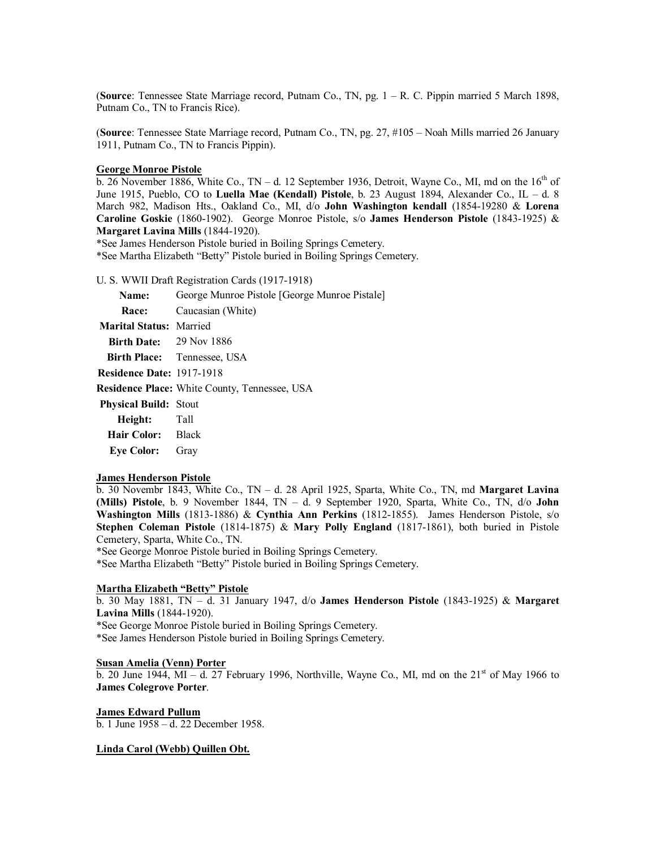(**Source**: Tennessee State Marriage record, Putnam Co., TN, pg. 1 – R. C. Pippin married 5 March 1898, Putnam Co., TN to Francis Rice).

(**Source**: Tennessee State Marriage record, Putnam Co., TN, pg. 27, #105 – Noah Mills married 26 January 1911, Putnam Co., TN to Francis Pippin).

### **George Monroe Pistole**

b. 26 November 1886, White Co., TN – d. 12 September 1936, Detroit, Wayne Co., MI, md on the  $16<sup>th</sup>$  of June 1915, Pueblo, CO to **Luella Mae (Kendall) Pistole**, b. 23 August 1894, Alexander Co., IL – d. 8 March 982, Madison Hts., Oakland Co., MI, d/o **John Washington kendall** (1854-19280 & **Lorena Caroline Goskie** (1860-1902). George Monroe Pistole, s/o **James Henderson Pistole** (1843-1925) & **Margaret Lavina Mills** (1844-1920).

\*See James Henderson Pistole buried in Boiling Springs Cemetery.

\*See Martha Elizabeth "Betty" Pistole buried in Boiling Springs Cemetery.

U. S. WWII Draft Registration Cards (1917-1918)

**Name:** George Munroe Pistole [George Munroe Pistale] **Race:** Caucasian (White) **Marital Status:** Married **Birth Date:** 29 Nov 1886 **Birth Place:** Tennessee, USA **Residence Date:** 1917-1918 **Residence Place:** White County, Tennessee, USA **Physical Build:** Stout **Height:** Tall **Hair Color:** Black **Eye Color:** Gray

# **James Henderson Pistole**

b. 30 Novembr 1843, White Co., TN – d. 28 April 1925, Sparta, White Co., TN, md **Margaret Lavina (Mills) Pistole**, b. 9 November 1844, TN – d. 9 September 1920, Sparta, White Co., TN, d/o **John Washington Mills** (1813-1886) & **Cynthia Ann Perkins** (1812-1855). James Henderson Pistole, s/o **Stephen Coleman Pistole** (1814-1875) & **Mary Polly England** (1817-1861), both buried in Pistole Cemetery, Sparta, White Co., TN.

\*See George Monroe Pistole buried in Boiling Springs Cemetery.

\*See Martha Elizabeth "Betty" Pistole buried in Boiling Springs Cemetery.

# **Martha Elizabeth "Betty" Pistole**

b. 30 May 1881, TN – d. 31 January 1947, d/o **James Henderson Pistole** (1843-1925) & **Margaret Lavina Mills** (1844-1920).

\*See George Monroe Pistole buried in Boiling Springs Cemetery.

\*See James Henderson Pistole buried in Boiling Springs Cemetery.

# **Susan Amelia (Venn) Porter**

b. 20 June 1944, MI – d. 27 February 1996, Northville, Wayne Co., MI, md on the  $21<sup>st</sup>$  of May 1966 to **James Colegrove Porter**.

#### **James Edward Pullum**

b. 1 June 1958 – d. 22 December 1958.

### **Linda Carol (Webb) Quillen Obt.**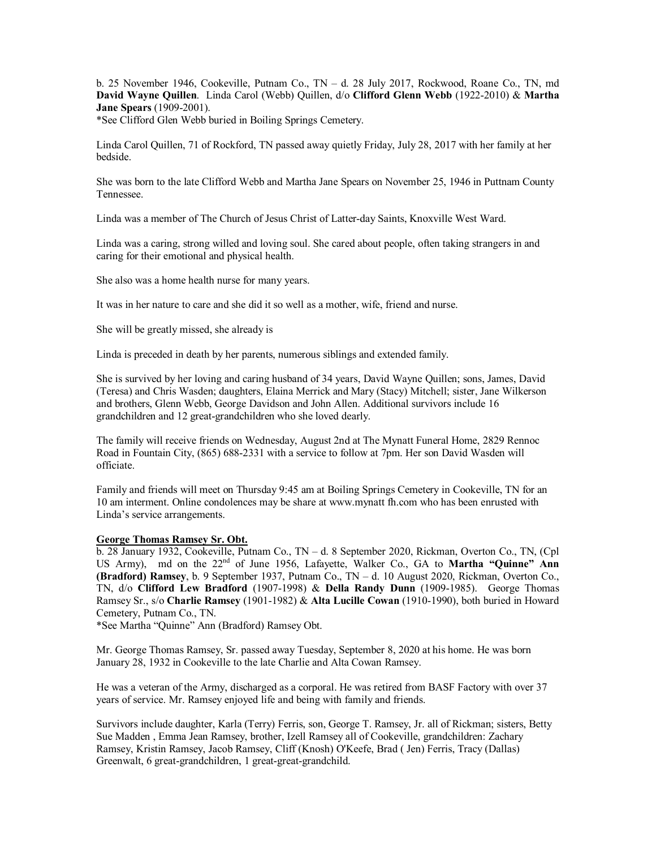b. 25 November 1946, Cookeville, Putnam Co., TN – d. 28 July 2017, Rockwood, Roane Co., TN, md **David Wayne Quillen**. Linda Carol (Webb) Quillen, d/o **Clifford Glenn Webb** (1922-2010) & **Martha Jane Spears** (1909-2001).

\*See Clifford Glen Webb buried in Boiling Springs Cemetery.

Linda Carol Quillen, 71 of Rockford, TN passed away quietly Friday, July 28, 2017 with her family at her bedside.

She was born to the late Clifford Webb and Martha Jane Spears on November 25, 1946 in Puttnam County Tennessee.

Linda was a member of The Church of Jesus Christ of Latter-day Saints, Knoxville West Ward.

Linda was a caring, strong willed and loving soul. She cared about people, often taking strangers in and caring for their emotional and physical health.

She also was a home health nurse for many years.

It was in her nature to care and she did it so well as a mother, wife, friend and nurse.

She will be greatly missed, she already is

Linda is preceded in death by her parents, numerous siblings and extended family.

She is survived by her loving and caring husband of 34 years, David Wayne Quillen; sons, James, David (Teresa) and Chris Wasden; daughters, Elaina Merrick and Mary (Stacy) Mitchell; sister, Jane Wilkerson and brothers, Glenn Webb, George Davidson and John Allen. Additional survivors include 16 grandchildren and 12 great-grandchildren who she loved dearly.

The family will receive friends on Wednesday, August 2nd at The Mynatt Funeral Home, 2829 Rennoc Road in Fountain City, (865) 688-2331 with a service to follow at 7pm. Her son David Wasden will officiate.

Family and friends will meet on Thursday 9:45 am at Boiling Springs Cemetery in Cookeville, TN for an 10 am interment. Online condolences may be share at www.mynatt fh.com who has been enrusted with Linda's service arrangements.

# **George Thomas Ramsey Sr. Obt.**

b. 28 January 1932, Cookeville, Putnam Co., TN – d. 8 September 2020, Rickman, Overton Co., TN, (Cpl US Army), md on the 22<sup>nd</sup> of June 1956, Lafayette, Walker Co., GA to **Martha "Quinne" Ann (Bradford) Ramsey**, b. 9 September 1937, Putnam Co., TN – d. 10 August 2020, Rickman, Overton Co., TN, d/o **Clifford Lew Bradford** (1907-1998) & **Della Randy Dunn** (1909-1985). George Thomas Ramsey Sr., s/o **Charlie Ramsey** (1901-1982) & **Alta Lucille Cowan** (1910-1990), both buried in Howard Cemetery, Putnam Co., TN.

\*See Martha "Quinne" Ann (Bradford) Ramsey Obt.

Mr. George Thomas Ramsey, Sr. passed away Tuesday, September 8, 2020 at his home. He was born January 28, 1932 in Cookeville to the late Charlie and Alta Cowan Ramsey.

He was a veteran of the Army, discharged as a corporal. He was retired from BASF Factory with over 37 years of service. Mr. Ramsey enjoyed life and being with family and friends.

Survivors include daughter, Karla (Terry) Ferris, son, George T. Ramsey, Jr. all of Rickman; sisters, Betty Sue Madden , Emma Jean Ramsey, brother, Izell Ramsey all of Cookeville, grandchildren: Zachary Ramsey, Kristin Ramsey, Jacob Ramsey, Cliff (Knosh) O'Keefe, Brad ( Jen) Ferris, Tracy (Dallas) Greenwalt, 6 great-grandchildren, 1 great-great-grandchild.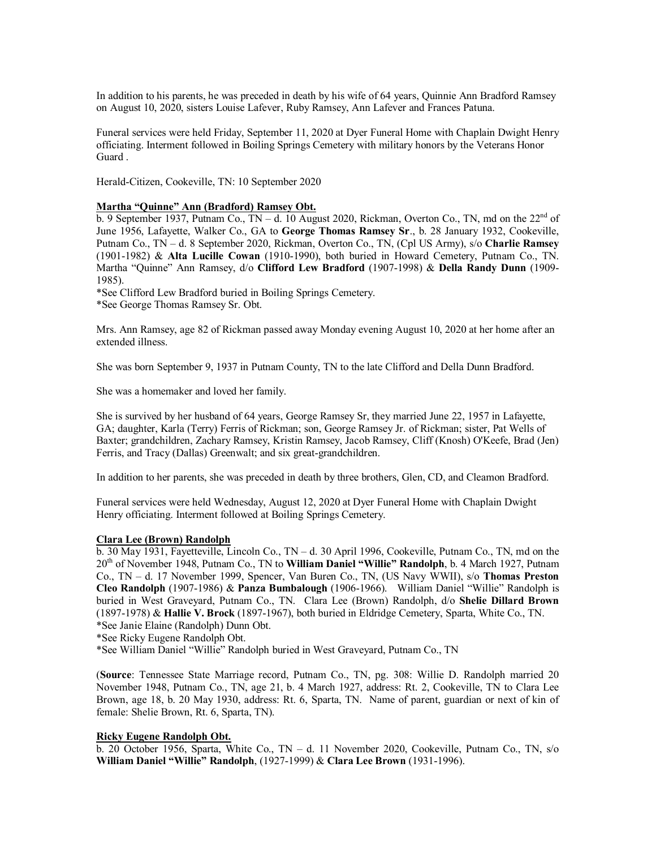In addition to his parents, he was preceded in death by his wife of 64 years, Quinnie Ann Bradford Ramsey on August 10, 2020, sisters Louise Lafever, Ruby Ramsey, Ann Lafever and Frances Patuna.

Funeral services were held Friday, September 11, 2020 at Dyer Funeral Home with Chaplain Dwight Henry officiating. Interment followed in Boiling Springs Cemetery with military honors by the Veterans Honor Guard .

Herald-Citizen, Cookeville, TN: 10 September 2020

### **Martha "Quinne" Ann (Bradford) Ramsey Obt.**

 $\overline{b}$ . 9 September 1937, Putnam Co., TN – d. 10 August 2020, Rickman, Overton Co., TN, md on the 22<sup>nd</sup> of June 1956, Lafayette, Walker Co., GA to **George Thomas Ramsey Sr**., b. 28 January 1932, Cookeville, Putnam Co., TN – d. 8 September 2020, Rickman, Overton Co., TN, (Cpl US Army), s/o **Charlie Ramsey** (1901-1982) & **Alta Lucille Cowan** (1910-1990), both buried in Howard Cemetery, Putnam Co., TN. Martha "Quinne" Ann Ramsey, d/o **Clifford Lew Bradford** (1907-1998) & **Della Randy Dunn** (1909- 1985).

\*See Clifford Lew Bradford buried in Boiling Springs Cemetery.

\*See George Thomas Ramsey Sr. Obt.

Mrs. Ann Ramsey, age 82 of Rickman passed away Monday evening August 10, 2020 at her home after an extended illness.

She was born September 9, 1937 in Putnam County, TN to the late Clifford and Della Dunn Bradford.

She was a homemaker and loved her family.

She is survived by her husband of 64 years, George Ramsey Sr, they married June 22, 1957 in Lafayette, GA; daughter, Karla (Terry) Ferris of Rickman; son, George Ramsey Jr. of Rickman; sister, Pat Wells of Baxter; grandchildren, Zachary Ramsey, Kristin Ramsey, Jacob Ramsey, Cliff (Knosh) O'Keefe, Brad (Jen) Ferris, and Tracy (Dallas) Greenwalt; and six great-grandchildren.

In addition to her parents, she was preceded in death by three brothers, Glen, CD, and Cleamon Bradford.

Funeral services were held Wednesday, August 12, 2020 at Dyer Funeral Home with Chaplain Dwight Henry officiating. Interment followed at Boiling Springs Cemetery.

### **Clara Lee (Brown) Randolph**

b. 30 May 1931, Fayetteville, Lincoln Co., TN – d. 30 April 1996, Cookeville, Putnam Co., TN, md on the 20th of November 1948, Putnam Co., TN to **William Daniel "Willie" Randolph**, b. 4 March 1927, Putnam Co., TN – d. 17 November 1999, Spencer, Van Buren Co., TN, (US Navy WWII), s/o **Thomas Preston Cleo Randolph** (1907-1986) & **Panza Bumbalough** (1906-1966). William Daniel "Willie" Randolph is buried in West Graveyard, Putnam Co., TN. Clara Lee (Brown) Randolph, d/o **Shelie Dillard Brown** (1897-1978) & **Hallie V. Brock** (1897-1967), both buried in Eldridge Cemetery, Sparta, White Co., TN. \*See Janie Elaine (Randolph) Dunn Obt.

\*See Ricky Eugene Randolph Obt.

\*See William Daniel "Willie" Randolph buried in West Graveyard, Putnam Co., TN

(**Source**: Tennessee State Marriage record, Putnam Co., TN, pg. 308: Willie D. Randolph married 20 November 1948, Putnam Co., TN, age 21, b. 4 March 1927, address: Rt. 2, Cookeville, TN to Clara Lee Brown, age 18, b. 20 May 1930, address: Rt. 6, Sparta, TN. Name of parent, guardian or next of kin of female: Shelie Brown, Rt. 6, Sparta, TN).

# **Ricky Eugene Randolph Obt.**

b. 20 October 1956, Sparta, White Co., TN – d. 11 November 2020, Cookeville, Putnam Co., TN, s/o **William Daniel "Willie" Randolph**, (1927-1999) & **Clara Lee Brown** (1931-1996).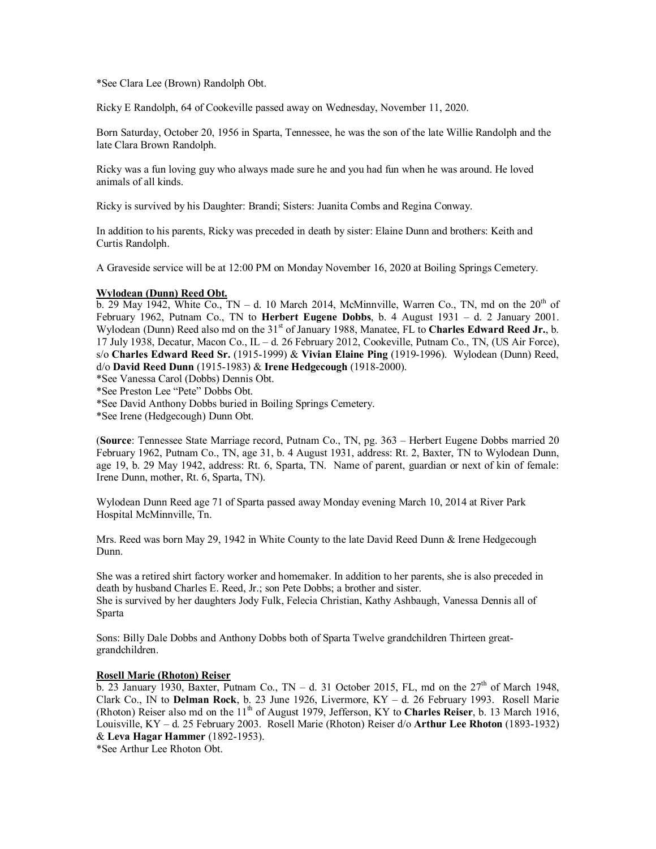\*See Clara Lee (Brown) Randolph Obt.

Ricky E Randolph, 64 of Cookeville passed away on Wednesday, November 11, 2020.

Born Saturday, October 20, 1956 in Sparta, Tennessee, he was the son of the late Willie Randolph and the late Clara Brown Randolph.

Ricky was a fun loving guy who always made sure he and you had fun when he was around. He loved animals of all kinds.

Ricky is survived by his Daughter: Brandi; Sisters: Juanita Combs and Regina Conway.

In addition to his parents, Ricky was preceded in death by sister: Elaine Dunn and brothers: Keith and Curtis Randolph.

A Graveside service will be at 12:00 PM on Monday November 16, 2020 at Boiling Springs Cemetery.

#### **Wylodean (Dunn) Reed Obt.**

 $\overline{b}$ . 29 May 1942, White Co., TN – d. 10 March 2014, McMinnville, Warren Co., TN, md on the 20<sup>th</sup> of February 1962, Putnam Co., TN to **Herbert Eugene Dobbs**, b. 4 August 1931 – d. 2 January 2001. Wylodean (Dunn) Reed also md on the 31<sup>st</sup> of January 1988, Manatee, FL to Charles Edward Reed Jr., b. 17 July 1938, Decatur, Macon Co., IL – d. 26 February 2012, Cookeville, Putnam Co., TN, (US Air Force), s/o **Charles Edward Reed Sr.** (1915-1999) & **Vivian Elaine Ping** (1919-1996). Wylodean (Dunn) Reed, d/o **David Reed Dunn** (1915-1983) & **Irene Hedgecough** (1918-2000).

\*See Vanessa Carol (Dobbs) Dennis Obt.

\*See Preston Lee "Pete" Dobbs Obt.

\*See David Anthony Dobbs buried in Boiling Springs Cemetery.

\*See Irene (Hedgecough) Dunn Obt.

(**Source**: Tennessee State Marriage record, Putnam Co., TN, pg. 363 – Herbert Eugene Dobbs married 20 February 1962, Putnam Co., TN, age 31, b. 4 August 1931, address: Rt. 2, Baxter, TN to Wylodean Dunn, age 19, b. 29 May 1942, address: Rt. 6, Sparta, TN. Name of parent, guardian or next of kin of female: Irene Dunn, mother, Rt. 6, Sparta, TN).

Wylodean Dunn Reed age 71 of Sparta passed away Monday evening March 10, 2014 at River Park Hospital McMinnville, Tn.

Mrs. Reed was born May 29, 1942 in White County to the late David Reed Dunn & Irene Hedgecough Dunn.

She was a retired shirt factory worker and homemaker. In addition to her parents, she is also preceded in death by husband Charles E. Reed, Jr.; son Pete Dobbs; a brother and sister. She is survived by her daughters Jody Fulk, Felecia Christian, Kathy Ashbaugh, Vanessa Dennis all of Sparta

Sons: Billy Dale Dobbs and Anthony Dobbs both of Sparta Twelve grandchildren Thirteen greatgrandchildren.

### **Rosell Marie (Rhoton) Reiser**

b. 23 January 1930, Baxter, Putnam Co., TN – d. 31 October 2015, FL, md on the  $27<sup>th</sup>$  of March 1948, Clark Co., IN to **Delman Rock**, b. 23 June 1926, Livermore, KY – d. 26 February 1993. Rosell Marie (Rhoton) Reiser also md on the 11<sup>th</sup> of August 1979, Jefferson, KY to **Charles Reiser**, b. 13 March 1916, Louisville, KY – d. 25 February 2003. Rosell Marie (Rhoton) Reiser d/o **Arthur Lee Rhoton** (1893-1932) & **Leva Hagar Hammer** (1892-1953).

\*See Arthur Lee Rhoton Obt.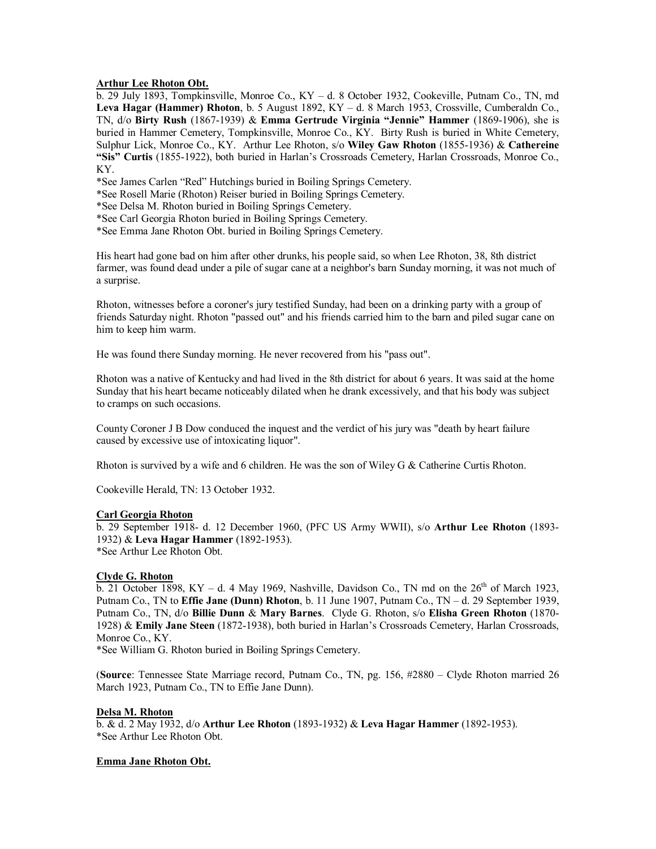### **Arthur Lee Rhoton Obt.**

b. 29 July 1893, Tompkinsville, Monroe Co., KY – d. 8 October 1932, Cookeville, Putnam Co., TN, md **Leva Hagar (Hammer) Rhoton**, b. 5 August 1892, KY – d. 8 March 1953, Crossville, Cumberaldn Co., TN, d/o **Birty Rush** (1867-1939) & **Emma Gertrude Virginia "Jennie" Hammer** (1869-1906), she is buried in Hammer Cemetery, Tompkinsville, Monroe Co., KY. Birty Rush is buried in White Cemetery, Sulphur Lick, Monroe Co., KY. Arthur Lee Rhoton, s/o **Wiley Gaw Rhoton** (1855-1936) & **Cathereine "Sis" Curtis** (1855-1922), both buried in Harlan's Crossroads Cemetery, Harlan Crossroads, Monroe Co., KY.

\*See James Carlen "Red" Hutchings buried in Boiling Springs Cemetery.

- \*See Rosell Marie (Rhoton) Reiser buried in Boiling Springs Cemetery.
- \*See Delsa M. Rhoton buried in Boiling Springs Cemetery.
- \*See Carl Georgia Rhoton buried in Boiling Springs Cemetery.
- \*See Emma Jane Rhoton Obt. buried in Boiling Springs Cemetery.

His heart had gone bad on him after other drunks, his people said, so when Lee Rhoton, 38, 8th district farmer, was found dead under a pile of sugar cane at a neighbor's barn Sunday morning, it was not much of a surprise.

Rhoton, witnesses before a coroner's jury testified Sunday, had been on a drinking party with a group of friends Saturday night. Rhoton "passed out" and his friends carried him to the barn and piled sugar cane on him to keep him warm.

He was found there Sunday morning. He never recovered from his "pass out".

Rhoton was a native of Kentucky and had lived in the 8th district for about 6 years. It was said at the home Sunday that his heart became noticeably dilated when he drank excessively, and that his body was subject to cramps on such occasions.

County Coroner J B Dow conduced the inquest and the verdict of his jury was "death by heart failure caused by excessive use of intoxicating liquor".

Rhoton is survived by a wife and 6 children. He was the son of Wiley G & Catherine Curtis Rhoton.

Cookeville Herald, TN: 13 October 1932.

# **Carl Georgia Rhoton**

b. 29 September 1918- d. 12 December 1960, (PFC US Army WWII), s/o **Arthur Lee Rhoton** (1893- 1932) & **Leva Hagar Hammer** (1892-1953). \*See Arthur Lee Rhoton Obt.

# **Clyde G. Rhoton**

 $\overline{b}$ . 21 October 1898, KY – d. 4 May 1969, Nashville, Davidson Co., TN md on the  $26<sup>th</sup>$  of March 1923, Putnam Co., TN to **Effie Jane (Dunn) Rhoton**, b. 11 June 1907, Putnam Co., TN – d. 29 September 1939, Putnam Co., TN, d/o **Billie Dunn** & **Mary Barnes**. Clyde G. Rhoton, s/o **Elisha Green Rhoton** (1870- 1928) & **Emily Jane Steen** (1872-1938), both buried in Harlan's Crossroads Cemetery, Harlan Crossroads, Monroe Co., KY.

\*See William G. Rhoton buried in Boiling Springs Cemetery.

(**Source**: Tennessee State Marriage record, Putnam Co., TN, pg. 156, #2880 – Clyde Rhoton married 26 March 1923, Putnam Co., TN to Effie Jane Dunn).

### **Delsa M. Rhoton**

b. & d. 2 May 1932, d/o **Arthur Lee Rhoton** (1893-1932) & **Leva Hagar Hammer** (1892-1953). \*See Arthur Lee Rhoton Obt.

### **Emma Jane Rhoton Obt.**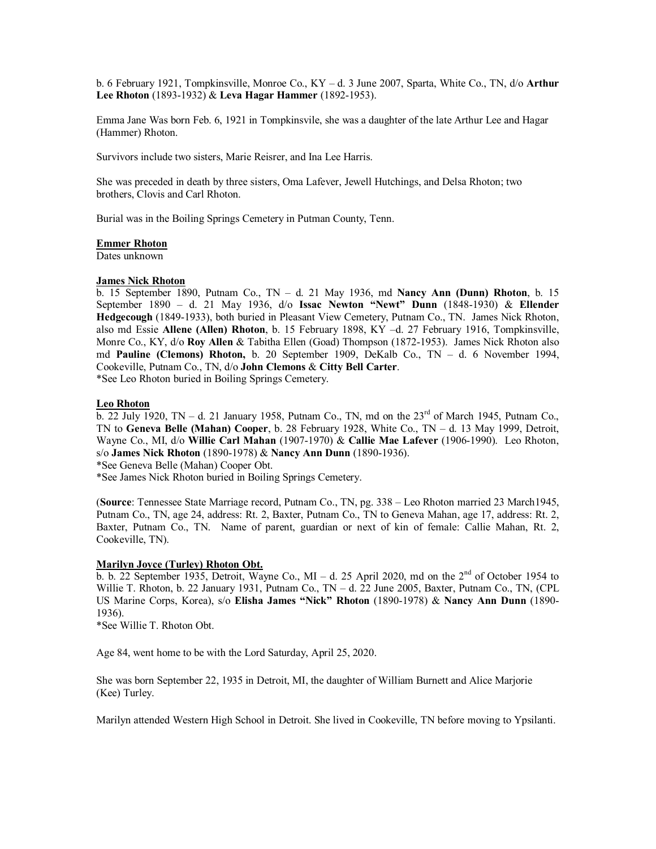b. 6 February 1921, Tompkinsville, Monroe Co., KY – d. 3 June 2007, Sparta, White Co., TN, d/o **Arthur Lee Rhoton** (1893-1932) & **Leva Hagar Hammer** (1892-1953).

Emma Jane Was born Feb. 6, 1921 in Tompkinsvile, she was a daughter of the late Arthur Lee and Hagar (Hammer) Rhoton.

Survivors include two sisters, Marie Reisrer, and Ina Lee Harris.

She was preceded in death by three sisters, Oma Lafever, Jewell Hutchings, and Delsa Rhoton; two brothers, Clovis and Carl Rhoton.

Burial was in the Boiling Springs Cemetery in Putman County, Tenn.

#### **Emmer Rhoton**

Dates unknown

### **James Nick Rhoton**

b. 15 September 1890, Putnam Co., TN – d. 21 May 1936, md **Nancy Ann (Dunn) Rhoton**, b. 15 September 1890 – d. 21 May 1936, d/o **Issac Newton "Newt" Dunn** (1848-1930) & **Ellender Hedgecough** (1849-1933), both buried in Pleasant View Cemetery, Putnam Co., TN. James Nick Rhoton, also md Essie **Allene (Allen) Rhoton**, b. 15 February 1898, KY –d. 27 February 1916, Tompkinsville, Monre Co., KY, d/o **Roy Allen** & Tabitha Ellen (Goad) Thompson (1872-1953). James Nick Rhoton also md **Pauline (Clemons) Rhoton,** b. 20 September 1909, DeKalb Co., TN – d. 6 November 1994, Cookeville, Putnam Co., TN, d/o **John Clemons** & **Citty Bell Carter**.

\*See Leo Rhoton buried in Boiling Springs Cemetery.

### **Leo Rhoton**

 $\overline{b}$ , 22 July 1920, TN – d. 21 January 1958, Putnam Co., TN, md on the 23<sup>rd</sup> of March 1945, Putnam Co. TN to **Geneva Belle (Mahan) Cooper**, b. 28 February 1928, White Co., TN – d. 13 May 1999, Detroit, Wayne Co., MI, d/o **Willie Carl Mahan** (1907-1970) & **Callie Mae Lafever** (1906-1990). Leo Rhoton, s/o **James Nick Rhoton** (1890-1978) & **Nancy Ann Dunn** (1890-1936).

\*See Geneva Belle (Mahan) Cooper Obt.

\*See James Nick Rhoton buried in Boiling Springs Cemetery.

(**Source**: Tennessee State Marriage record, Putnam Co., TN, pg. 338 – Leo Rhoton married 23 March1945, Putnam Co., TN, age 24, address: Rt. 2, Baxter, Putnam Co., TN to Geneva Mahan, age 17, address: Rt. 2, Baxter, Putnam Co., TN. Name of parent, guardian or next of kin of female: Callie Mahan, Rt. 2, Cookeville, TN).

#### **Marilyn Joyce (Turley) Rhoton Obt.**

b. b. 22 September 1935, Detroit, Wayne Co., MI – d. 25 April 2020, md on the  $2<sup>nd</sup>$  of October 1954 to Willie T. Rhoton, b. 22 January 1931, Putnam Co., TN – d. 22 June 2005, Baxter, Putnam Co., TN, (CPL US Marine Corps, Korea), s/o **Elisha James "Nick" Rhoton** (1890-1978) & **Nancy Ann Dunn** (1890- 1936).

\*See Willie T. Rhoton Obt.

Age 84, went home to be with the Lord Saturday, April 25, 2020.

She was born September 22, 1935 in Detroit, MI, the daughter of William Burnett and Alice Marjorie (Kee) Turley.

Marilyn attended Western High School in Detroit. She lived in Cookeville, TN before moving to Ypsilanti.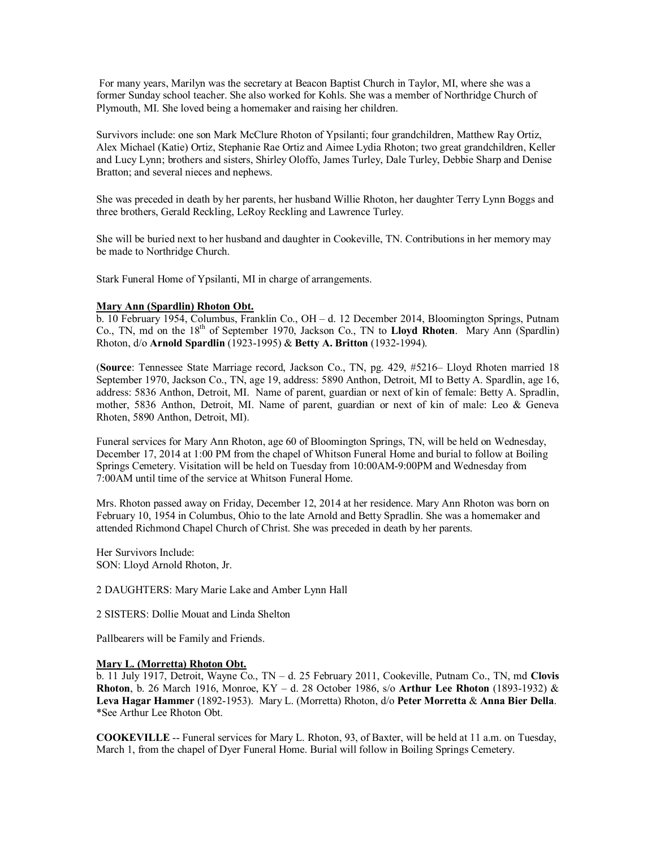For many years, Marilyn was the secretary at Beacon Baptist Church in Taylor, MI, where she was a former Sunday school teacher. She also worked for Kohls. She was a member of Northridge Church of Plymouth, MI. She loved being a homemaker and raising her children.

Survivors include: one son Mark McClure Rhoton of Ypsilanti; four grandchildren, Matthew Ray Ortiz, Alex Michael (Katie) Ortiz, Stephanie Rae Ortiz and Aimee Lydia Rhoton; two great grandchildren, Keller and Lucy Lynn; brothers and sisters, Shirley Oloffo, James Turley, Dale Turley, Debbie Sharp and Denise Bratton; and several nieces and nephews.

She was preceded in death by her parents, her husband Willie Rhoton, her daughter Terry Lynn Boggs and three brothers, Gerald Reckling, LeRoy Reckling and Lawrence Turley.

She will be buried next to her husband and daughter in Cookeville, TN. Contributions in her memory may be made to Northridge Church.

Stark Funeral Home of Ypsilanti, MI in charge of arrangements.

# **Mary Ann (Spardlin) Rhoton Obt.**

b. 10 February 1954, Columbus, Franklin Co., OH – d. 12 December 2014, Bloomington Springs, Putnam Co., TN, md on the 18th of September 1970, Jackson Co., TN to **Lloyd Rhoten**. Mary Ann (Spardlin) Rhoton, d/o **Arnold Spardlin** (1923-1995) & **Betty A. Britton** (1932-1994).

(**Source**: Tennessee State Marriage record, Jackson Co., TN, pg. 429, #5216– Lloyd Rhoten married 18 September 1970, Jackson Co., TN, age 19, address: 5890 Anthon, Detroit, MI to Betty A. Spardlin, age 16, address: 5836 Anthon, Detroit, MI. Name of parent, guardian or next of kin of female: Betty A. Spradlin, mother, 5836 Anthon, Detroit, MI. Name of parent, guardian or next of kin of male: Leo & Geneva Rhoten, 5890 Anthon, Detroit, MI).

Funeral services for Mary Ann Rhoton, age 60 of Bloomington Springs, TN, will be held on Wednesday, December 17, 2014 at 1:00 PM from the chapel of Whitson Funeral Home and burial to follow at Boiling Springs Cemetery. Visitation will be held on Tuesday from 10:00AM-9:00PM and Wednesday from 7:00AM until time of the service at Whitson Funeral Home.

Mrs. Rhoton passed away on Friday, December 12, 2014 at her residence. Mary Ann Rhoton was born on February 10, 1954 in Columbus, Ohio to the late Arnold and Betty Spradlin. She was a homemaker and attended Richmond Chapel Church of Christ. She was preceded in death by her parents.

Her Survivors Include: SON: Lloyd Arnold Rhoton, Jr.

2 DAUGHTERS: Mary Marie Lake and Amber Lynn Hall

2 SISTERS: Dollie Mouat and Linda Shelton

Pallbearers will be Family and Friends.

### **Mary L. (Morretta) Rhoton Obt.**

b. 11 July 1917, Detroit, Wayne Co., TN – d. 25 February 2011, Cookeville, Putnam Co., TN, md **Clovis Rhoton**, b. 26 March 1916, Monroe, KY – d. 28 October 1986, s/o **Arthur Lee Rhoton** (1893-1932) & **Leva Hagar Hammer** (1892-1953). Mary L. (Morretta) Rhoton, d/o **Peter Morretta** & **Anna Bier Della**. \*See Arthur Lee Rhoton Obt.

**COOKEVILLE** -- Funeral services for Mary L. Rhoton, 93, of Baxter, will be held at 11 a.m. on Tuesday, March 1, from the chapel of Dyer Funeral Home. Burial will follow in Boiling Springs Cemetery.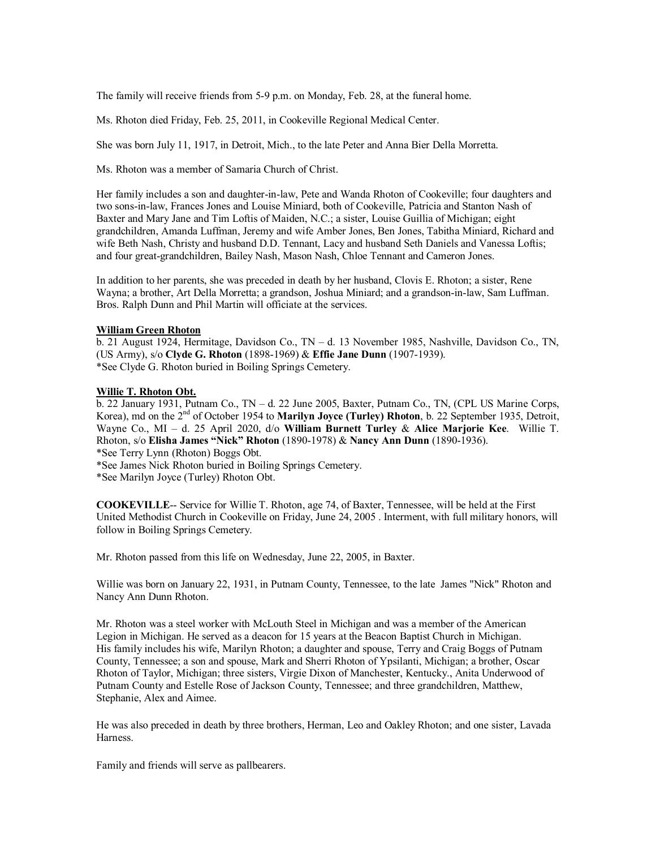The family will receive friends from 5-9 p.m. on Monday, Feb. 28, at the funeral home.

Ms. Rhoton died Friday, Feb. 25, 2011, in Cookeville Regional Medical Center.

She was born July 11, 1917, in Detroit, Mich., to the late Peter and Anna Bier Della Morretta.

Ms. Rhoton was a member of Samaria Church of Christ.

Her family includes a son and daughter-in-law, Pete and Wanda Rhoton of Cookeville; four daughters and two sons-in-law, Frances Jones and Louise Miniard, both of Cookeville, Patricia and Stanton Nash of Baxter and Mary Jane and Tim Loftis of Maiden, N.C.; a sister, Louise Guillia of Michigan; eight grandchildren, Amanda Luffman, Jeremy and wife Amber Jones, Ben Jones, Tabitha Miniard, Richard and wife Beth Nash, Christy and husband D.D. Tennant, Lacy and husband Seth Daniels and Vanessa Loftis; and four great-grandchildren, Bailey Nash, Mason Nash, Chloe Tennant and Cameron Jones.

In addition to her parents, she was preceded in death by her husband, Clovis E. Rhoton; a sister, Rene Wayna; a brother, Art Della Morretta; a grandson, Joshua Miniard; and a grandson-in-law, Sam Luffman. Bros. Ralph Dunn and Phil Martin will officiate at the services.

# **William Green Rhoton**

b. 21 August 1924, Hermitage, Davidson Co., TN – d. 13 November 1985, Nashville, Davidson Co., TN, (US Army), s/o **Clyde G. Rhoton** (1898-1969) & **Effie Jane Dunn** (1907-1939). \*See Clyde G. Rhoton buried in Boiling Springs Cemetery.

# **Willie T. Rhoton Obt.**

b. 22 January 1931, Putnam Co., TN – d. 22 June 2005, Baxter, Putnam Co., TN, (CPL US Marine Corps, Korea), md on the 2<sup>nd</sup> of October 1954 to **Marilyn Joyce (Turley) Rhoton**, b. 22 September 1935, Detroit, Wayne Co., MI – d. 25 April 2020, d/o **William Burnett Turley** & **Alice Marjorie Kee**. Willie T. Rhoton, s/o **Elisha James "Nick" Rhoton** (1890-1978) & **Nancy Ann Dunn** (1890-1936).

\*See Terry Lynn (Rhoton) Boggs Obt.

\*See James Nick Rhoton buried in Boiling Springs Cemetery.

\*See Marilyn Joyce (Turley) Rhoton Obt.

**COOKEVILLE**-- Service for Willie T. Rhoton, age 74, of Baxter, Tennessee, will be held at the First United Methodist Church in Cookeville on Friday, June 24, 2005 . Interment, with full military honors, will follow in Boiling Springs Cemetery.

Mr. Rhoton passed from this life on Wednesday, June 22, 2005, in Baxter.

Willie was born on January 22, 1931, in Putnam County, Tennessee, to the late James "Nick" Rhoton and Nancy Ann Dunn Rhoton.

Mr. Rhoton was a steel worker with McLouth Steel in Michigan and was a member of the American Legion in Michigan. He served as a deacon for 15 years at the Beacon Baptist Church in Michigan. His family includes his wife, Marilyn Rhoton; a daughter and spouse, Terry and Craig Boggs of Putnam County, Tennessee; a son and spouse, Mark and Sherri Rhoton of Ypsilanti, Michigan; a brother, Oscar Rhoton of Taylor, Michigan; three sisters, Virgie Dixon of Manchester, Kentucky., Anita Underwood of Putnam County and Estelle Rose of Jackson County, Tennessee; and three grandchildren, Matthew, Stephanie, Alex and Aimee.

He was also preceded in death by three brothers, Herman, Leo and Oakley Rhoton; and one sister, Lavada Harness.

Family and friends will serve as pallbearers.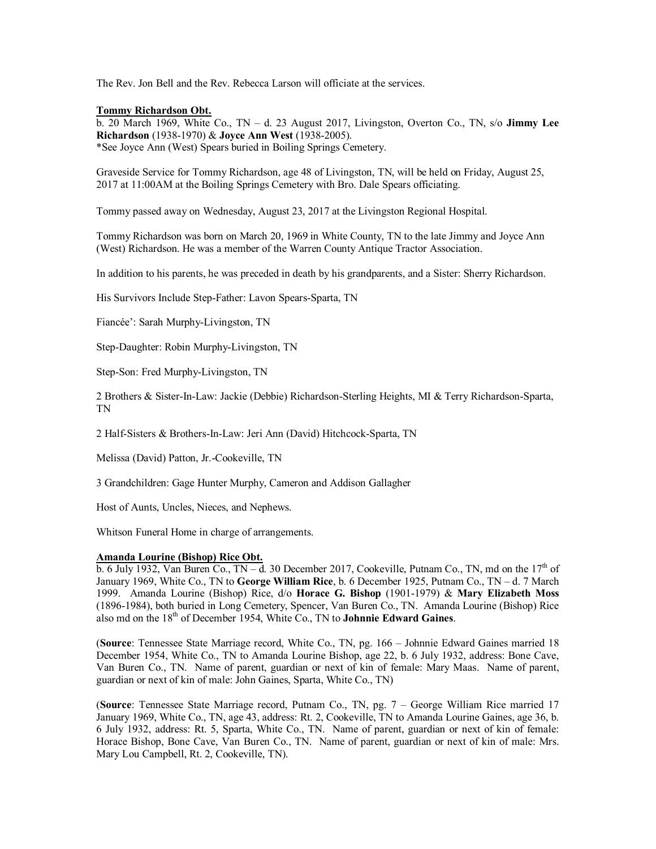The Rev. Jon Bell and the Rev. Rebecca Larson will officiate at the services.

### **Tommy Richardson Obt.**

b. 20 March 1969, White Co., TN – d. 23 August 2017, Livingston, Overton Co., TN, s/o **Jimmy Lee Richardson** (1938-1970) & **Joyce Ann West** (1938-2005). \*See Joyce Ann (West) Spears buried in Boiling Springs Cemetery.

Graveside Service for Tommy Richardson, age 48 of Livingston, TN, will be held on Friday, August 25, 2017 at 11:00AM at the Boiling Springs Cemetery with Bro. Dale Spears officiating.

Tommy passed away on Wednesday, August 23, 2017 at the Livingston Regional Hospital.

Tommy Richardson was born on March 20, 1969 in White County, TN to the late Jimmy and Joyce Ann (West) Richardson. He was a member of the Warren County Antique Tractor Association.

In addition to his parents, he was preceded in death by his grandparents, and a Sister: Sherry Richardson.

His Survivors Include Step-Father: Lavon Spears-Sparta, TN

Fiancée': Sarah Murphy-Livingston, TN

Step-Daughter: Robin Murphy-Livingston, TN

Step-Son: Fred Murphy-Livingston, TN

2 Brothers & Sister-In-Law: Jackie (Debbie) Richardson-Sterling Heights, MI & Terry Richardson-Sparta, TN

2 Half-Sisters & Brothers-In-Law: Jeri Ann (David) Hitchcock-Sparta, TN

Melissa (David) Patton, Jr.-Cookeville, TN

3 Grandchildren: Gage Hunter Murphy, Cameron and Addison Gallagher

Host of Aunts, Uncles, Nieces, and Nephews.

Whitson Funeral Home in charge of arrangements.

### **Amanda Lourine (Bishop) Rice Obt.**

b. 6 July 1932, Van Buren Co.,  $TN - d$ . 30 December 2017, Cookeville, Putnam Co., TN, md on the 17<sup>th</sup> of January 1969, White Co., TN to **George William Rice**, b. 6 December 1925, Putnam Co., TN – d. 7 March 1999. Amanda Lourine (Bishop) Rice, d/o **Horace G. Bishop** (1901-1979) & **Mary Elizabeth Moss** (1896-1984), both buried in Long Cemetery, Spencer, Van Buren Co., TN. Amanda Lourine (Bishop) Rice also md on the 18th of December 1954, White Co., TN to **Johnnie Edward Gaines**.

(**Source**: Tennessee State Marriage record, White Co., TN, pg. 166 – Johnnie Edward Gaines married 18 December 1954, White Co., TN to Amanda Lourine Bishop, age 22, b. 6 July 1932, address: Bone Cave, Van Buren Co., TN. Name of parent, guardian or next of kin of female: Mary Maas. Name of parent, guardian or next of kin of male: John Gaines, Sparta, White Co., TN)

(**Source**: Tennessee State Marriage record, Putnam Co., TN, pg. 7 – George William Rice married 17 January 1969, White Co., TN, age 43, address: Rt. 2, Cookeville, TN to Amanda Lourine Gaines, age 36, b. 6 July 1932, address: Rt. 5, Sparta, White Co., TN. Name of parent, guardian or next of kin of female: Horace Bishop, Bone Cave, Van Buren Co., TN. Name of parent, guardian or next of kin of male: Mrs. Mary Lou Campbell, Rt. 2, Cookeville, TN).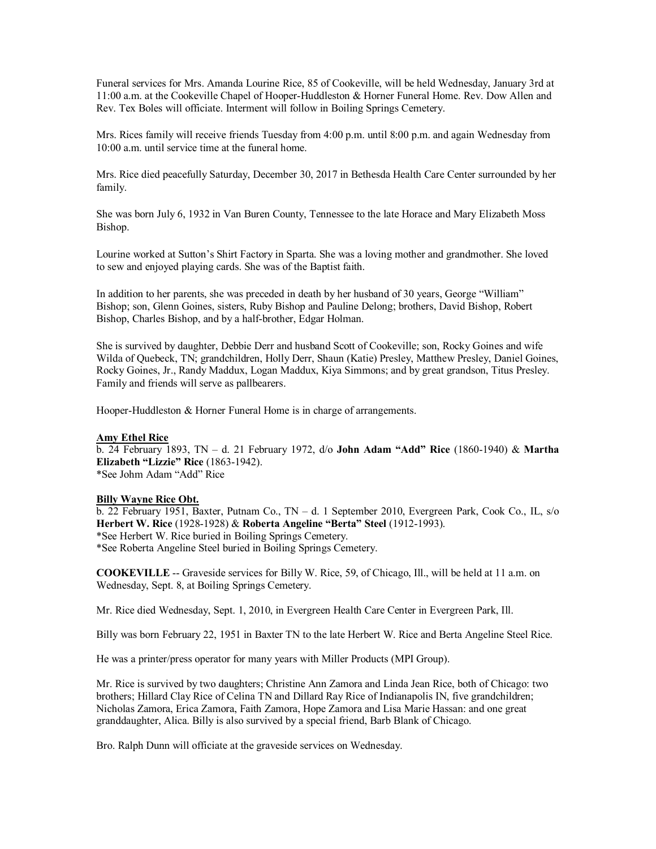Funeral services for Mrs. Amanda Lourine Rice, 85 of Cookeville, will be held Wednesday, January 3rd at 11:00 a.m. at the Cookeville Chapel of Hooper-Huddleston & Horner Funeral Home. Rev. Dow Allen and Rev. Tex Boles will officiate. Interment will follow in Boiling Springs Cemetery.

Mrs. Rices family will receive friends Tuesday from 4:00 p.m. until 8:00 p.m. and again Wednesday from 10:00 a.m. until service time at the funeral home.

Mrs. Rice died peacefully Saturday, December 30, 2017 in Bethesda Health Care Center surrounded by her family.

She was born July 6, 1932 in Van Buren County, Tennessee to the late Horace and Mary Elizabeth Moss Bishop.

Lourine worked at Sutton's Shirt Factory in Sparta. She was a loving mother and grandmother. She loved to sew and enjoyed playing cards. She was of the Baptist faith.

In addition to her parents, she was preceded in death by her husband of 30 years, George "William" Bishop; son, Glenn Goines, sisters, Ruby Bishop and Pauline Delong; brothers, David Bishop, Robert Bishop, Charles Bishop, and by a half-brother, Edgar Holman.

She is survived by daughter, Debbie Derr and husband Scott of Cookeville; son, Rocky Goines and wife Wilda of Quebeck, TN; grandchildren, Holly Derr, Shaun (Katie) Presley, Matthew Presley, Daniel Goines, Rocky Goines, Jr., Randy Maddux, Logan Maddux, Kiya Simmons; and by great grandson, Titus Presley. Family and friends will serve as pallbearers.

Hooper-Huddleston & Horner Funeral Home is in charge of arrangements.

#### **Amy Ethel Rice**

b. 24 February 1893, TN – d. 21 February 1972, d/o **John Adam "Add" Rice** (1860-1940) & **Martha Elizabeth "Lizzie" Rice** (1863-1942). \*See Johm Adam "Add" Rice

### **Billy Wayne Rice Obt.**

b. 22 February 1951, Baxter, Putnam Co., TN – d. 1 September 2010, Evergreen Park, Cook Co., IL, s/o **Herbert W. Rice** (1928-1928) & **Roberta Angeline "Berta" Steel** (1912-1993). \*See Herbert W. Rice buried in Boiling Springs Cemetery. \*See Roberta Angeline Steel buried in Boiling Springs Cemetery.

**COOKEVILLE** -- Graveside services for Billy W. Rice, 59, of Chicago, Ill., will be held at 11 a.m. on Wednesday, Sept. 8, at Boiling Springs Cemetery.

Mr. Rice died Wednesday, Sept. 1, 2010, in Evergreen Health Care Center in Evergreen Park, Ill.

Billy was born February 22, 1951 in Baxter TN to the late Herbert W. Rice and Berta Angeline Steel Rice.

He was a printer/press operator for many years with Miller Products (MPI Group).

Mr. Rice is survived by two daughters; Christine Ann Zamora and Linda Jean Rice, both of Chicago: two brothers; Hillard Clay Rice of Celina TN and Dillard Ray Rice of Indianapolis IN, five grandchildren; Nicholas Zamora, Erica Zamora, Faith Zamora, Hope Zamora and Lisa Marie Hassan: and one great granddaughter, Alica. Billy is also survived by a special friend, Barb Blank of Chicago.

Bro. Ralph Dunn will officiate at the graveside services on Wednesday.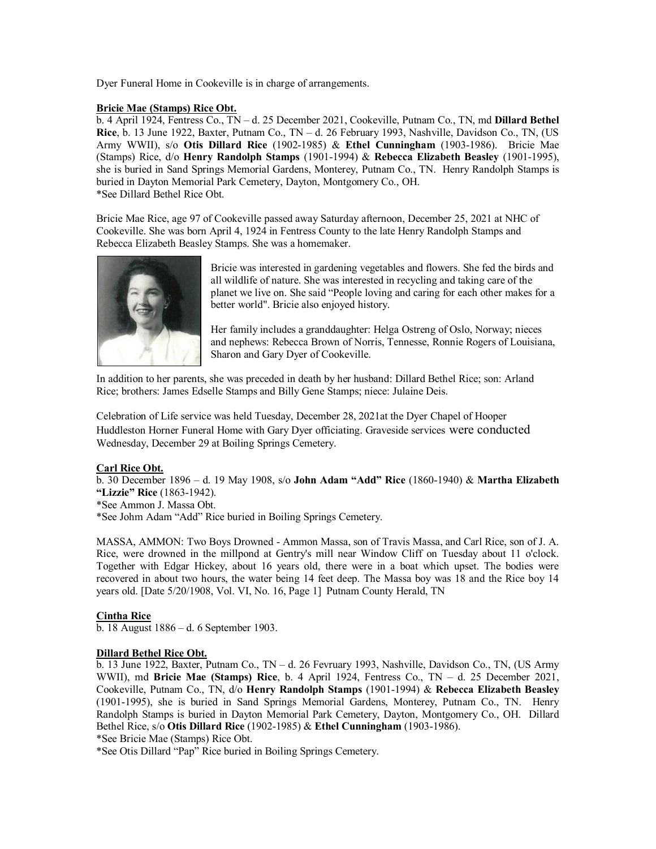Dyer Funeral Home in Cookeville is in charge of arrangements.

# **Bricie Mae (Stamps) Rice Obt.**

b. 4 April 1924, Fentress Co., TN – d. 25 December 2021, Cookeville, Putnam Co., TN, md **Dillard Bethel Rice**, b. 13 June 1922, Baxter, Putnam Co., TN – d. 26 February 1993, Nashville, Davidson Co., TN, (US Army WWII), s/o **Otis Dillard Rice** (1902-1985) & **Ethel Cunningham** (1903-1986). Bricie Mae (Stamps) Rice, d/o **Henry Randolph Stamps** (1901-1994) & **Rebecca Elizabeth Beasley** (1901-1995), she is buried in Sand Springs Memorial Gardens, Monterey, Putnam Co., TN. Henry Randolph Stamps is buried in Dayton Memorial Park Cemetery, Dayton, Montgomery Co., OH. \*See Dillard Bethel Rice Obt.

Bricie Mae Rice, age 97 of Cookeville passed away Saturday afternoon, December 25, 2021 at NHC of Cookeville. She was born April 4, 1924 in Fentress County to the late Henry Randolph Stamps and Rebecca Elizabeth Beasley Stamps. She was a homemaker.



Bricie was interested in gardening vegetables and flowers. She fed the birds and all wildlife of nature. She was interested in recycling and taking care of the planet we live on. She said "People loving and caring for each other makes for a better world". Bricie also enjoyed history.

Her family includes a granddaughter: Helga Ostreng of Oslo, Norway; nieces and nephews: Rebecca Brown of Norris, Tennesse, Ronnie Rogers of Louisiana, Sharon and Gary Dyer of Cookeville.

In addition to her parents, she was preceded in death by her husband: Dillard Bethel Rice; son: Arland Rice; brothers: James Edselle Stamps and Billy Gene Stamps; niece: Julaine Deis.

Celebration of Life service was held Tuesday, December 28, 2021at the Dyer Chapel of Hooper Huddleston Horner Funeral Home with Gary Dyer officiating. Graveside services were conducted Wednesday, December 29 at Boiling Springs Cemetery.

# **Carl Rice Obt.**

b. 30 December 1896 – d. 19 May 1908, s/o **John Adam "Add" Rice** (1860-1940) & **Martha Elizabeth "Lizzie" Rice** (1863-1942).

\*See Ammon J. Massa Obt.

\*See Johm Adam "Add" Rice buried in Boiling Springs Cemetery.

MASSA, AMMON: Two Boys Drowned - Ammon Massa, son of Travis Massa, and Carl Rice, son of J. A. Rice, were drowned in the millpond at Gentry's mill near Window Cliff on Tuesday about 11 o'clock. Together with Edgar Hickey, about 16 years old, there were in a boat which upset. The bodies were recovered in about two hours, the water being 14 feet deep. The Massa boy was 18 and the Rice boy 14 years old. [Date 5/20/1908, Vol. VI, No. 16, Page 1] Putnam County Herald, TN

# **Cintha Rice**

b. 18 August 1886 – d. 6 September 1903.

# **Dillard Bethel Rice Obt.**

b. 13 June 1922, Baxter, Putnam Co., TN – d. 26 Fevruary 1993, Nashville, Davidson Co., TN, (US Army WWII), md **Bricie Mae (Stamps) Rice**, b. 4 April 1924, Fentress Co., TN – d. 25 December 2021, Cookeville, Putnam Co., TN, d/o **Henry Randolph Stamps** (1901-1994) & **Rebecca Elizabeth Beasley** (1901-1995), she is buried in Sand Springs Memorial Gardens, Monterey, Putnam Co., TN. Henry Randolph Stamps is buried in Dayton Memorial Park Cemetery, Dayton, Montgomery Co., OH. Dillard Bethel Rice, s/o **Otis Dillard Rice** (1902-1985) & **Ethel Cunningham** (1903-1986).

\*See Bricie Mae (Stamps) Rice Obt.

\*See Otis Dillard "Pap" Rice buried in Boiling Springs Cemetery.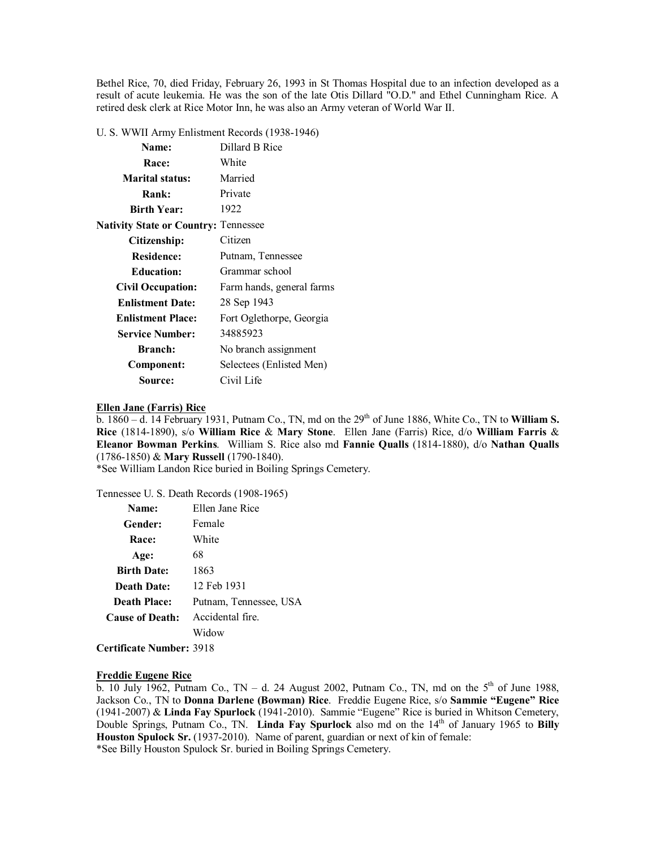Bethel Rice, 70, died Friday, February 26, 1993 in St Thomas Hospital due to an infection developed as a result of acute leukemia. He was the son of the late Otis Dillard "O.D." and Ethel Cunningham Rice. A retired desk clerk at Rice Motor Inn, he was also an Army veteran of World War II.

U. S. WWII Army Enlistment Records (1938-1946)

| Name:                                       | Dillard B Rice            |
|---------------------------------------------|---------------------------|
| Race:                                       | White                     |
| Marital status:                             | Married                   |
| Rank:                                       | Private                   |
| <b>Birth Year:</b>                          | 1922                      |
| <b>Nativity State or Country: Tennessee</b> |                           |
| Citizenship:                                | Citizen                   |
| <b>Residence:</b>                           | Putnam, Tennessee         |
| <b>Education:</b>                           | Grammar school            |
| <b>Civil Occupation:</b>                    | Farm hands, general farms |
| <b>Enlistment Date:</b>                     | 28 Sep 1943               |
| <b>Enlistment Place:</b>                    | Fort Oglethorpe, Georgia  |
| <b>Service Number:</b>                      | 34885923                  |
| <b>Branch:</b>                              | No branch assignment      |
| Component:                                  | Selectees (Enlisted Men)  |
| Source:                                     | Civil Life                |

### **Ellen Jane (Farris) Rice**

 $\frac{6.666 \text{ m}}{1860 - d}$ . 14 February 1931, Putnam Co., TN, md on the 29<sup>th</sup> of June 1886, White Co., TN to **William S. Rice** (1814-1890), s/o **William Rice** & **Mary Stone**. Ellen Jane (Farris) Rice, d/o **William Farris** & **Eleanor Bowman Perkins**. William S. Rice also md **Fannie Qualls** (1814-1880), d/o **Nathan Qualls** (1786-1850) & **Mary Russell** (1790-1840).

\*See William Landon Rice buried in Boiling Springs Cemetery.

Tennessee U. S. Death Records (1908-1965)

| Name:                  | Ellen Jane Rice        |
|------------------------|------------------------|
| Gender:                | Female                 |
| Race:                  | White                  |
| Age:                   | 68                     |
| <b>Birth Date:</b>     | 1863                   |
| <b>Death Date:</b>     | 12 Feb 1931            |
| <b>Death Place:</b>    | Putnam, Tennessee, USA |
| <b>Cause of Death:</b> | Accidental fire.       |
|                        | Widow                  |
|                        |                        |

**Certificate Number:** 3918

### **Freddie Eugene Rice**

b. 10 July 1962, Putnam Co., TN – d. 24 August 2002, Putnam Co., TN, md on the  $5<sup>th</sup>$  of June 1988, Jackson Co., TN to **Donna Darlene (Bowman) Rice**. Freddie Eugene Rice, s/o **Sammie "Eugene" Rice** (1941-2007) & **Linda Fay Spurlock** (1941-2010). Sammie "Eugene" Rice is buried in Whitson Cemetery, Double Springs, Putnam Co., TN. **Linda Fay Spurlock** also md on the 14th of January 1965 to **Billy Houston Spulock Sr.** (1937-2010). Name of parent, guardian or next of kin of female: \*See Billy Houston Spulock Sr. buried in Boiling Springs Cemetery.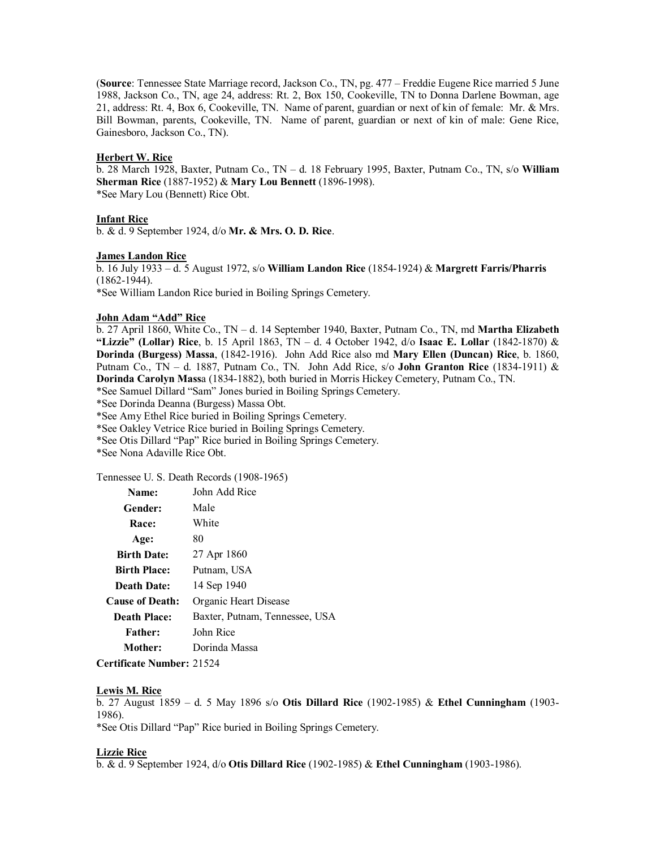(**Source**: Tennessee State Marriage record, Jackson Co., TN, pg. 477 – Freddie Eugene Rice married 5 June 1988, Jackson Co., TN, age 24, address: Rt. 2, Box 150, Cookeville, TN to Donna Darlene Bowman, age 21, address: Rt. 4, Box 6, Cookeville, TN. Name of parent, guardian or next of kin of female: Mr. & Mrs. Bill Bowman, parents, Cookeville, TN. Name of parent, guardian or next of kin of male: Gene Rice, Gainesboro, Jackson Co., TN).

### **Herbert W. Rice**

b. 28 March 1928, Baxter, Putnam Co., TN – d. 18 February 1995, Baxter, Putnam Co., TN, s/o **William Sherman Rice** (1887-1952) & **Mary Lou Bennett** (1896-1998). \*See Mary Lou (Bennett) Rice Obt.

# **Infant Rice**

b. & d. 9 September 1924, d/o **Mr. & Mrs. O. D. Rice**.

### **James Landon Rice**

b. 16 July 1933 – d. 5 August 1972, s/o **William Landon Rice** (1854-1924) & **Margrett Farris/Pharris** (1862-1944).

\*See William Landon Rice buried in Boiling Springs Cemetery.

### **John Adam "Add" Rice**

b. 27 April 1860, White Co., TN – d. 14 September 1940, Baxter, Putnam Co., TN, md **Martha Elizabeth "Lizzie" (Lollar) Rice**, b. 15 April 1863, TN – d. 4 October 1942, d/o **Isaac E. Lollar** (1842-1870) & **Dorinda (Burgess) Massa**, (1842-1916). John Add Rice also md **Mary Ellen (Duncan) Rice**, b. 1860, Putnam Co., TN – d. 1887, Putnam Co., TN. John Add Rice, s/o **John Granton Rice** (1834-1911) & **Dorinda Carolyn Mass**a (1834-1882), both buried in Morris Hickey Cemetery, Putnam Co., TN.

\*See Samuel Dillard "Sam" Jones buried in Boiling Springs Cemetery.

\*See Dorinda Deanna (Burgess) Massa Obt.

\*See Amy Ethel Rice buried in Boiling Springs Cemetery.

\*See Oakley Vetrice Rice buried in Boiling Springs Cemetery.

\*See Otis Dillard "Pap" Rice buried in Boiling Springs Cemetery.

\*See Nona Adaville Rice Obt.

Tennessee U. S. Death Records (1908-1965)

| Name:                  | John Add Rice                  |
|------------------------|--------------------------------|
| Gender:                | Male                           |
| Race:                  | White                          |
| Age:                   | 80                             |
| <b>Birth Date:</b>     | 27 Apr 1860                    |
| <b>Birth Place:</b>    | Putnam, USA                    |
| Death Date:            | 14 Sep 1940                    |
| <b>Cause of Death:</b> | Organic Heart Disease          |
| Death Place:           | Baxter, Putnam, Tennessee, USA |
| <b>Father:</b>         | John Rice                      |
| Mother:                | Dorinda Massa                  |
|                        |                                |

**Certificate Number:** 21524

# **Lewis M. Rice**

b. 27 August 1859 – d. 5 May 1896 s/o **Otis Dillard Rice** (1902-1985) & **Ethel Cunningham** (1903- 1986).

\*See Otis Dillard "Pap" Rice buried in Boiling Springs Cemetery.

# **Lizzie Rice**

b. & d. 9 September 1924, d/o **Otis Dillard Rice** (1902-1985) & **Ethel Cunningham** (1903-1986).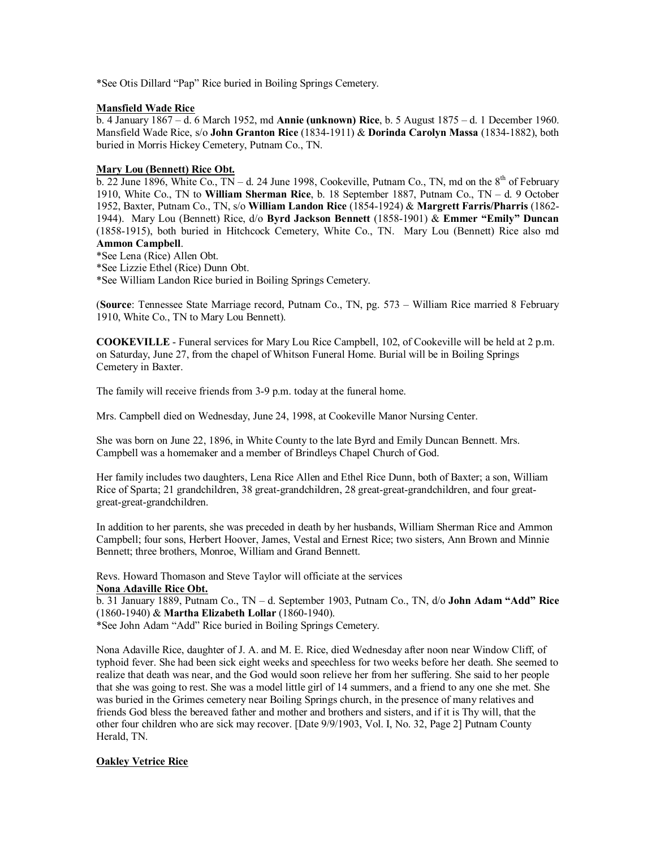\*See Otis Dillard "Pap" Rice buried in Boiling Springs Cemetery.

# **Mansfield Wade Rice**

b. 4 January 1867 – d. 6 March 1952, md **Annie (unknown) Rice**, b. 5 August 1875 – d. 1 December 1960. Mansfield Wade Rice, s/o **John Granton Rice** (1834-1911) & **Dorinda Carolyn Massa** (1834-1882), both buried in Morris Hickey Cemetery, Putnam Co., TN.

# **Mary Lou (Bennett) Rice Obt.**

 $\overline{b}$ . 22 June 1896, White Co., TN – d. 24 June 1998, Cookeville, Putnam Co., TN, md on the 8<sup>th</sup> of February 1910, White Co., TN to **William Sherman Rice**, b. 18 September 1887, Putnam Co., TN – d. 9 October 1952, Baxter, Putnam Co., TN, s/o **William Landon Rice** (1854-1924) & **Margrett Farris/Pharris** (1862- 1944). Mary Lou (Bennett) Rice, d/o **Byrd Jackson Bennett** (1858-1901) & **Emmer "Emily" Duncan** (1858-1915), both buried in Hitchcock Cemetery, White Co., TN. Mary Lou (Bennett) Rice also md **Ammon Campbell**.

\*See Lena (Rice) Allen Obt.

\*See Lizzie Ethel (Rice) Dunn Obt.

\*See William Landon Rice buried in Boiling Springs Cemetery.

(**Source**: Tennessee State Marriage record, Putnam Co., TN, pg. 573 – William Rice married 8 February 1910, White Co., TN to Mary Lou Bennett).

**COOKEVILLE** - Funeral services for Mary Lou Rice Campbell, 102, of Cookeville will be held at 2 p.m. on Saturday, June 27, from the chapel of Whitson Funeral Home. Burial will be in Boiling Springs Cemetery in Baxter.

The family will receive friends from 3-9 p.m. today at the funeral home.

Mrs. Campbell died on Wednesday, June 24, 1998, at Cookeville Manor Nursing Center.

She was born on June 22, 1896, in White County to the late Byrd and Emily Duncan Bennett. Mrs. Campbell was a homemaker and a member of Brindleys Chapel Church of God.

Her family includes two daughters, Lena Rice Allen and Ethel Rice Dunn, both of Baxter; a son, William Rice of Sparta; 21 grandchildren, 38 great-grandchildren, 28 great-great-grandchildren, and four greatgreat-great-grandchildren.

In addition to her parents, she was preceded in death by her husbands, William Sherman Rice and Ammon Campbell; four sons, Herbert Hoover, James, Vestal and Ernest Rice; two sisters, Ann Brown and Minnie Bennett; three brothers, Monroe, William and Grand Bennett.

Revs. Howard Thomason and Steve Taylor will officiate at the services **Nona Adaville Rice Obt.**

b. 31 January 1889, Putnam Co., TN – d. September 1903, Putnam Co., TN, d/o **John Adam "Add" Rice** (1860-1940) & **Martha Elizabeth Lollar** (1860-1940).

\*See John Adam "Add" Rice buried in Boiling Springs Cemetery.

Nona Adaville Rice, daughter of J. A. and M. E. Rice, died Wednesday after noon near Window Cliff, of typhoid fever. She had been sick eight weeks and speechless for two weeks before her death. She seemed to realize that death was near, and the God would soon relieve her from her suffering. She said to her people that she was going to rest. She was a model little girl of 14 summers, and a friend to any one she met. She was buried in the Grimes cemetery near Boiling Springs church, in the presence of many relatives and friends God bless the bereaved father and mother and brothers and sisters, and if it is Thy will, that the other four children who are sick may recover. [Date 9/9/1903, Vol. I, No. 32, Page 2] Putnam County Herald, TN.

# **Oakley Vetrice Rice**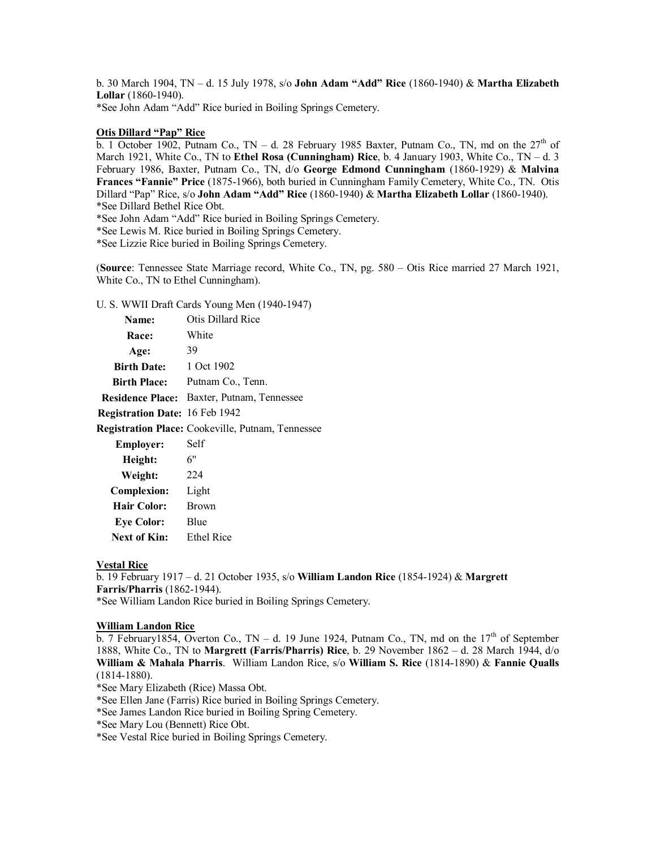b. 30 March 1904, TN – d. 15 July 1978, s/o **John Adam "Add" Rice** (1860-1940) & **Martha Elizabeth Lollar** (1860-1940).

\*See John Adam "Add" Rice buried in Boiling Springs Cemetery.

# **Otis Dillard "Pap" Rice**

b. 1 October 1902, Putnam Co., TN - d. 28 February 1985 Baxter, Putnam Co., TN, md on the 27<sup>th</sup> of March 1921, White Co., TN to **Ethel Rosa (Cunningham) Rice**, b. 4 January 1903, White Co., TN – d. 3 February 1986, Baxter, Putnam Co., TN, d/o **George Edmond Cunningham** (1860-1929) & **Malvina Frances "Fannie" Price** (1875-1966), both buried in Cunningham Family Cemetery, White Co., TN. Otis Dillard "Pap" Rice, s/o **John Adam "Add" Rice** (1860-1940) & **Martha Elizabeth Lollar** (1860-1940). \*See Dillard Bethel Rice Obt.

\*See John Adam "Add" Rice buried in Boiling Springs Cemetery.

\*See Lewis M. Rice buried in Boiling Springs Cemetery.

\*See Lizzie Rice buried in Boiling Springs Cemetery.

(**Source**: Tennessee State Marriage record, White Co., TN, pg. 580 – Otis Rice married 27 March 1921, White Co., TN to Ethel Cunningham).

U. S. WWII Draft Cards Young Men (1940-1947)

| Name:                          | Otis Dillard Rice                                        |
|--------------------------------|----------------------------------------------------------|
| <b>Race:</b>                   | White                                                    |
| Age:                           | 39                                                       |
| <b>Birth Date:</b>             | 1 Oct 1902                                               |
| <b>Birth Place:</b>            | Putnam Co., Tenn.                                        |
|                                | <b>Residence Place:</b> Baxter, Putnam, Tennessee        |
| Registration Date: 16 Feb 1942 |                                                          |
|                                | <b>Registration Place:</b> Cookeville, Putnam, Tennessee |
| <b>Employer:</b>               | Self                                                     |
| Height:                        | 6"                                                       |
| Weight:                        | 224                                                      |
| <b>Complexion:</b>             | Light                                                    |
| <b>Hair Color:</b>             | <b>Brown</b>                                             |
| <b>Eye Color:</b>              | Blue                                                     |
| Next of Kin:                   | <b>Ethel Rice</b>                                        |

### **Vestal Rice**

b. 19 February 1917 – d. 21 October 1935, s/o **William Landon Rice** (1854-1924) & **Margrett Farris/Pharris** (1862-1944). \*See William Landon Rice buried in Boiling Springs Cemetery.

#### **William Landon Rice**

b. 7 February1854, Overton Co., TN – d. 19 June 1924, Putnam Co., TN, md on the  $17<sup>th</sup>$  of September 1888, White Co., TN to **Margrett (Farris/Pharris) Rice**, b. 29 November 1862 – d. 28 March 1944, d/o **William & Mahala Pharris**. William Landon Rice, s/o **William S. Rice** (1814-1890) & **Fannie Qualls** (1814-1880).

\*See Mary Elizabeth (Rice) Massa Obt.

\*See Ellen Jane (Farris) Rice buried in Boiling Springs Cemetery.

\*See James Landon Rice buried in Boiling Spring Cemetery.

\*See Mary Lou (Bennett) Rice Obt.

\*See Vestal Rice buried in Boiling Springs Cemetery.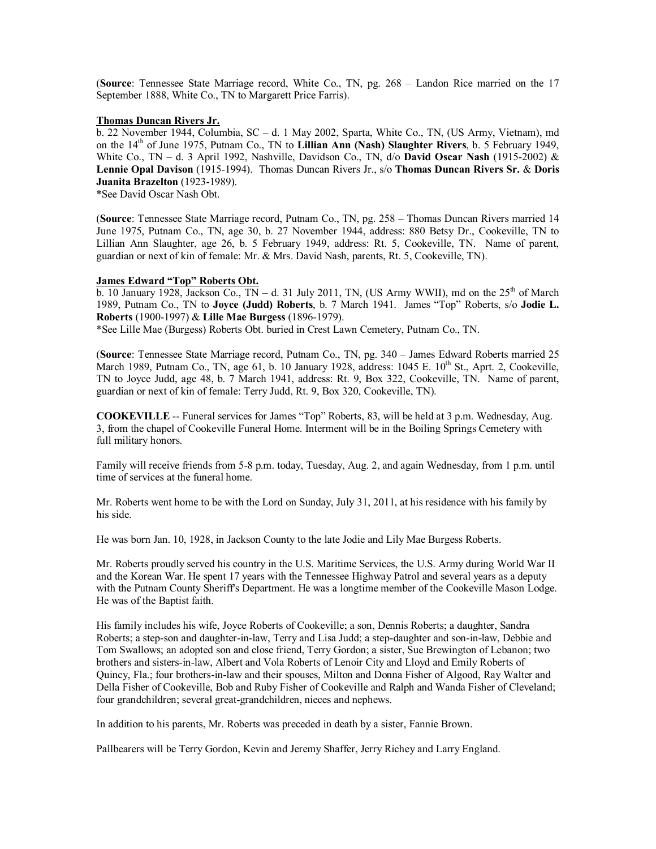(**Source**: Tennessee State Marriage record, White Co., TN, pg. 268 – Landon Rice married on the 17 September 1888, White Co., TN to Margarett Price Farris).

### **Thomas Duncan Rivers Jr.**

b. 22 November 1944, Columbia, SC – d. 1 May 2002, Sparta, White Co., TN, (US Army, Vietnam), md on the 14th of June 1975, Putnam Co., TN to **Lillian Ann (Nash) Slaughter Rivers**, b. 5 February 1949, White Co., TN – d. 3 April 1992, Nashville, Davidson Co., TN, d/o **David Oscar Nash** (1915-2002) & **Lennie Opal Davison** (1915-1994). Thomas Duncan Rivers Jr., s/o **Thomas Duncan Rivers Sr.** & **Doris Juanita Brazelton** (1923-1989).

\*See David Oscar Nash Obt.

(**Source**: Tennessee State Marriage record, Putnam Co., TN, pg. 258 – Thomas Duncan Rivers married 14 June 1975, Putnam Co., TN, age 30, b. 27 November 1944, address: 880 Betsy Dr., Cookeville, TN to Lillian Ann Slaughter, age 26, b. 5 February 1949, address: Rt. 5, Cookeville, TN. Name of parent, guardian or next of kin of female: Mr. & Mrs. David Nash, parents, Rt. 5, Cookeville, TN).

#### **James Edward "Top" Roberts Obt.**

b. 10 January 1928, Jackson Co.,  $TN - d$ . 31 July 2011, TN, (US Army WWII), md on the  $25<sup>th</sup>$  of March 1989, Putnam Co., TN to **Joyce (Judd) Roberts**, b. 7 March 1941. James "Top" Roberts, s/o **Jodie L. Roberts** (1900-1997) & **Lille Mae Burgess** (1896-1979).

\*See Lille Mae (Burgess) Roberts Obt. buried in Crest Lawn Cemetery, Putnam Co., TN.

(**Source**: Tennessee State Marriage record, Putnam Co., TN, pg. 340 – James Edward Roberts married 25 March 1989, Putnam Co., TN, age 61, b. 10 January 1928, address: 1045 E. 10<sup>th</sup> St., Aprt. 2, Cookeville, TN to Joyce Judd, age 48, b. 7 March 1941, address: Rt. 9, Box 322, Cookeville, TN. Name of parent, guardian or next of kin of female: Terry Judd, Rt. 9, Box 320, Cookeville, TN).

**COOKEVILLE** -- Funeral services for James "Top" Roberts, 83, will be held at 3 p.m. Wednesday, Aug. 3, from the chapel of Cookeville Funeral Home. Interment will be in the Boiling Springs Cemetery with full military honors.

Family will receive friends from 5-8 p.m. today, Tuesday, Aug. 2, and again Wednesday, from 1 p.m. until time of services at the funeral home.

Mr. Roberts went home to be with the Lord on Sunday, July 31, 2011, at his residence with his family by his side.

He was born Jan. 10, 1928, in Jackson County to the late Jodie and Lily Mae Burgess Roberts.

Mr. Roberts proudly served his country in the U.S. Maritime Services, the U.S. Army during World War II and the Korean War. He spent 17 years with the Tennessee Highway Patrol and several years as a deputy with the Putnam County Sheriff's Department. He was a longtime member of the Cookeville Mason Lodge. He was of the Baptist faith.

His family includes his wife, Joyce Roberts of Cookeville; a son, Dennis Roberts; a daughter, Sandra Roberts; a step-son and daughter-in-law, Terry and Lisa Judd; a step-daughter and son-in-law, Debbie and Tom Swallows; an adopted son and close friend, Terry Gordon; a sister, Sue Brewington of Lebanon; two brothers and sisters-in-law, Albert and Vola Roberts of Lenoir City and Lloyd and Emily Roberts of Quincy, Fla.; four brothers-in-law and their spouses, Milton and Donna Fisher of Algood, Ray Walter and Della Fisher of Cookeville, Bob and Ruby Fisher of Cookeville and Ralph and Wanda Fisher of Cleveland; four grandchildren; several great-grandchildren, nieces and nephews.

In addition to his parents, Mr. Roberts was preceded in death by a sister, Fannie Brown.

Pallbearers will be Terry Gordon, Kevin and Jeremy Shaffer, Jerry Richey and Larry England.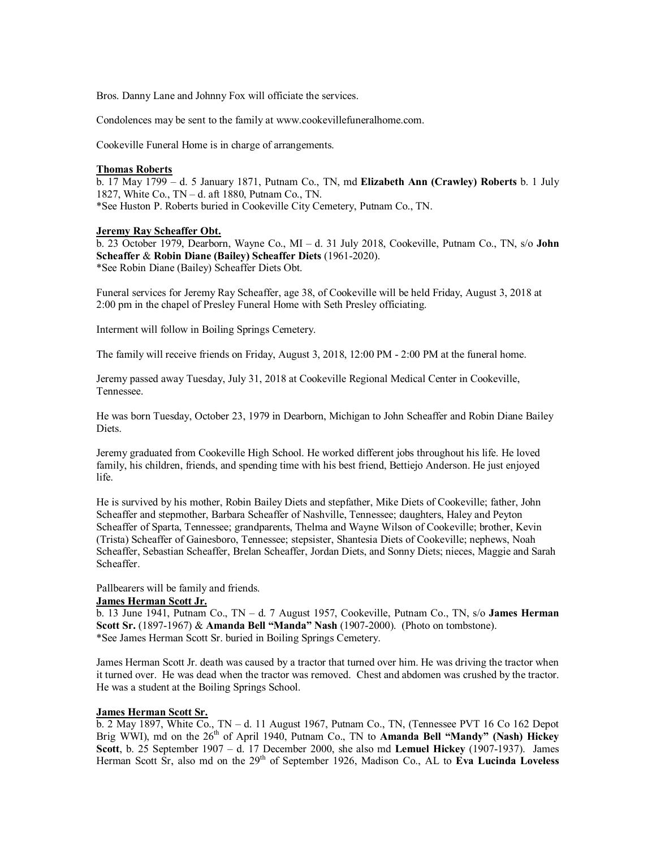Bros. Danny Lane and Johnny Fox will officiate the services.

Condolences may be sent to the family at [www.cookevillefuneralhome.com.](http://www.cookevillefuneralhome.com./)

Cookeville Funeral Home is in charge of arrangements.

#### **Thomas Roberts**

b. 17 May 1799 – d. 5 January 1871, Putnam Co., TN, md **Elizabeth Ann (Crawley) Roberts** b. 1 July 1827, White Co., TN – d. aft 1880, Putnam Co., TN. \*See Huston P. Roberts buried in Cookeville City Cemetery, Putnam Co., TN.

#### **Jeremy Ray Scheaffer Obt.**

b. 23 October 1979, Dearborn, Wayne Co., MI – d. 31 July 2018, Cookeville, Putnam Co., TN, s/o **John Scheaffer** & **Robin Diane (Bailey) Scheaffer Diets** (1961-2020). \*See Robin Diane (Bailey) Scheaffer Diets Obt.

Funeral services for Jeremy Ray Scheaffer, age 38, of Cookeville will be held Friday, August 3, 2018 at 2:00 pm in the chapel of Presley Funeral Home with Seth Presley officiating.

Interment will follow in Boiling Springs Cemetery.

The family will receive friends on Friday, August 3, 2018, 12:00 PM - 2:00 PM at the funeral home.

Jeremy passed away Tuesday, July 31, 2018 at Cookeville Regional Medical Center in Cookeville, Tennessee.

He was born Tuesday, October 23, 1979 in Dearborn, Michigan to John Scheaffer and Robin Diane Bailey Diets.

Jeremy graduated from Cookeville High School. He worked different jobs throughout his life. He loved family, his children, friends, and spending time with his best friend, Bettiejo Anderson. He just enjoyed life.

He is survived by his mother, Robin Bailey Diets and stepfather, Mike Diets of Cookeville; father, John Scheaffer and stepmother, Barbara Scheaffer of Nashville, Tennessee; daughters, Haley and Peyton Scheaffer of Sparta, Tennessee; grandparents, Thelma and Wayne Wilson of Cookeville; brother, Kevin (Trista) Scheaffer of Gainesboro, Tennessee; stepsister, Shantesia Diets of Cookeville; nephews, Noah Scheaffer, Sebastian Scheaffer, Brelan Scheaffer, Jordan Diets, and Sonny Diets; nieces, Maggie and Sarah Scheaffer.

Pallbearers will be family and friends.

### **James Herman Scott Jr.**

b. 13 June 1941, Putnam Co., TN – d. 7 August 1957, Cookeville, Putnam Co., TN, s/o **James Herman Scott Sr.** (1897-1967) & **Amanda Bell "Manda" Nash** (1907-2000). (Photo on tombstone). \*See James Herman Scott Sr. buried in Boiling Springs Cemetery.

James Herman Scott Jr. death was caused by a tractor that turned over him. He was driving the tractor when it turned over. He was dead when the tractor was removed. Chest and abdomen was crushed by the tractor. He was a student at the Boiling Springs School.

### **James Herman Scott Sr.**

b. 2 May 1897, White Co., TN – d. 11 August 1967, Putnam Co., TN, (Tennessee PVT 16 Co 162 Depot Brig WWI), md on the 26<sup>th</sup> of April 1940, Putnam Co., TN to **Amanda Bell "Mandy" (Nash) Hickey Scott**, b. 25 September 1907 – d. 17 December 2000, she also md **Lemuel Hickey** (1907-1937). James Herman Scott Sr, also md on the 29th of September 1926, Madison Co., AL to **Eva Lucinda Loveless**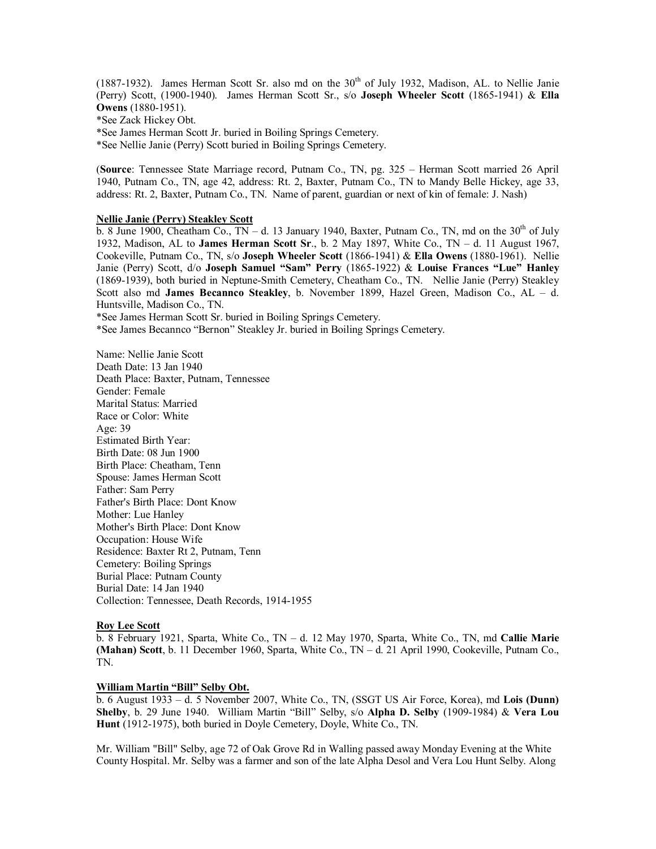(1887-1932). James Herman Scott Sr. also md on the  $30<sup>th</sup>$  of July 1932, Madison, AL. to Nellie Janie (Perry) Scott, (1900-1940). James Herman Scott Sr., s/o **Joseph Wheeler Scott** (1865-1941) & **Ella Owens** (1880-1951).

\*See Zack Hickey Obt.

\*See James Herman Scott Jr. buried in Boiling Springs Cemetery.

\*See Nellie Janie (Perry) Scott buried in Boiling Springs Cemetery.

(**Source**: Tennessee State Marriage record, Putnam Co., TN, pg. 325 – Herman Scott married 26 April 1940, Putnam Co., TN, age 42, address: Rt. 2, Baxter, Putnam Co., TN to Mandy Belle Hickey, age 33, address: Rt. 2, Baxter, Putnam Co., TN. Name of parent, guardian or next of kin of female: J. Nash)

## **Nellie Janie (Perry) Steakley Scott**

 $\overline{b}$ . 8 June 1900, Cheatham Co., TN – d. 13 January 1940, Baxter, Putnam Co., TN, md on the 30<sup>th</sup> of July 1932, Madison, AL to **James Herman Scott Sr**., b. 2 May 1897, White Co., TN – d. 11 August 1967, Cookeville, Putnam Co., TN, s/o **Joseph Wheeler Scott** (1866-1941) & **Ella Owens** (1880-1961). Nellie Janie (Perry) Scott, d/o **Joseph Samuel "Sam" Perry** (1865-1922) & **Louise Frances "Lue" Hanley** (1869-1939), both buried in Neptune-Smith Cemetery, Cheatham Co., TN. Nellie Janie (Perry) Steakley Scott also md **James Becannco Steakley**, b. November 1899, Hazel Green, Madison Co., AL – d. Huntsville, Madison Co., TN.

\*See James Herman Scott Sr. buried in Boiling Springs Cemetery.

\*See James Becannco "Bernon" Steakley Jr. buried in Boiling Springs Cemetery.

Name: Nellie Janie Scott Death Date: 13 Jan 1940 Death Place: Baxter, Putnam, Tennessee Gender: Female Marital Status: Married Race or Color: White Age: 39 Estimated Birth Year: Birth Date: 08 Jun 1900 Birth Place: Cheatham, Tenn Spouse: James Herman Scott Father: Sam Perry Father's Birth Place: Dont Know Mother: Lue Hanley Mother's Birth Place: Dont Know Occupation: House Wife Residence: Baxter Rt 2, Putnam, Tenn Cemetery: Boiling Springs Burial Place: Putnam County Burial Date: 14 Jan 1940 Collection: Tennessee, Death Records, 1914-1955

# **Roy Lee Scott**

b. 8 February 1921, Sparta, White Co., TN – d. 12 May 1970, Sparta, White Co., TN, md **Callie Marie (Mahan) Scott**, b. 11 December 1960, Sparta, White Co., TN – d. 21 April 1990, Cookeville, Putnam Co., TN.

#### **William Martin "Bill" Selby Obt.**

b. 6 August 1933 – d. 5 November 2007, White Co., TN, (SSGT US Air Force, Korea), md **Lois (Dunn) Shelby**, b. 29 June 1940. William Martin "Bill" Selby, s/o **Alpha D. Selby** (1909-1984) & **Vera Lou Hunt** (1912-1975), both buried in Doyle Cemetery, Doyle, White Co., TN.

Mr. William "Bill" Selby, age 72 of Oak Grove Rd in Walling passed away Monday Evening at the White County Hospital. Mr. Selby was a farmer and son of the late Alpha Desol and Vera Lou Hunt Selby. Along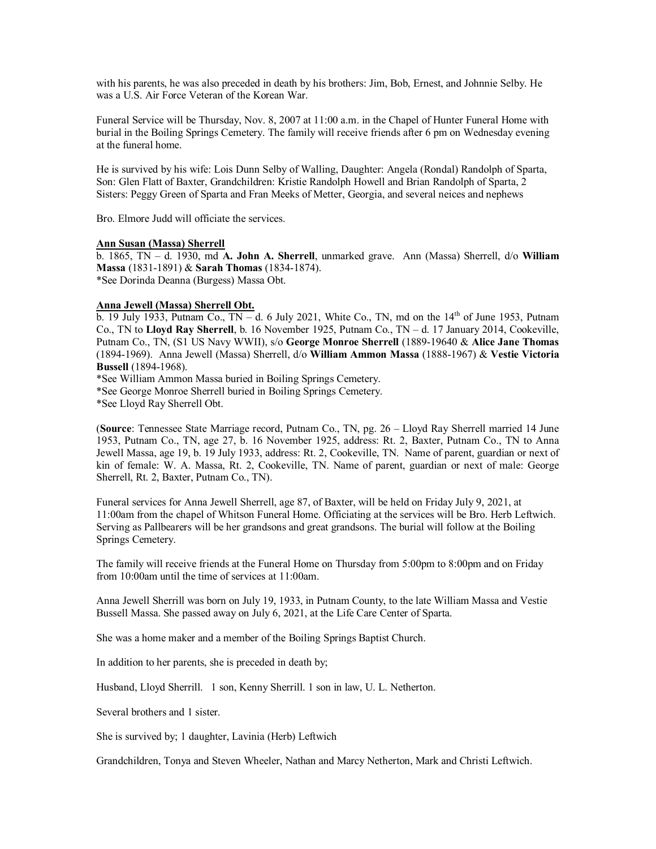with his parents, he was also preceded in death by his brothers: Jim, Bob, Ernest, and Johnnie Selby. He was a U.S. Air Force Veteran of the Korean War.

Funeral Service will be Thursday, Nov. 8, 2007 at 11:00 a.m. in the Chapel of Hunter Funeral Home with burial in the Boiling Springs Cemetery. The family will receive friends after 6 pm on Wednesday evening at the funeral home.

He is survived by his wife: Lois Dunn Selby of Walling, Daughter: Angela (Rondal) Randolph of Sparta, Son: Glen Flatt of Baxter, Grandchildren: Kristie Randolph Howell and Brian Randolph of Sparta, 2 Sisters: Peggy Green of Sparta and Fran Meeks of Metter, Georgia, and several neices and nephews

Bro. Elmore Judd will officiate the services.

# **Ann Susan (Massa) Sherrell**

b. 1865, TN – d. 1930, md **A. John A. Sherrell**, unmarked grave. Ann (Massa) Sherrell, d/o **William Massa** (1831-1891) & **Sarah Thomas** (1834-1874). \*See Dorinda Deanna (Burgess) Massa Obt.

## **Anna Jewell (Massa) Sherrell Obt.**

b. 19 July 1933, Putnam Co.,  $TN - d$ . 6 July 2021, White Co., TN, md on the  $14<sup>th</sup>$  of June 1953, Putnam Co., TN to **Lloyd Ray Sherrell**, b. 16 November 1925, Putnam Co., TN – d. 17 January 2014, Cookeville, Putnam Co., TN, (S1 US Navy WWII), s/o **George Monroe Sherrell** (1889-19640 & **Alice Jane Thomas** (1894-1969). Anna Jewell (Massa) Sherrell, d/o **William Ammon Massa** (1888-1967) & **Vestie Victoria Bussell** (1894-1968).

\*See William Ammon Massa buried in Boiling Springs Cemetery.

\*See George Monroe Sherrell buried in Boiling Springs Cemetery.

\*See Lloyd Ray Sherrell Obt.

(**Source**: Tennessee State Marriage record, Putnam Co., TN, pg. 26 – Lloyd Ray Sherrell married 14 June 1953, Putnam Co., TN, age 27, b. 16 November 1925, address: Rt. 2, Baxter, Putnam Co., TN to Anna Jewell Massa, age 19, b. 19 July 1933, address: Rt. 2, Cookeville, TN. Name of parent, guardian or next of kin of female: W. A. Massa, Rt. 2, Cookeville, TN. Name of parent, guardian or next of male: George Sherrell, Rt. 2, Baxter, Putnam Co., TN).

Funeral services for Anna Jewell Sherrell, age 87, of Baxter, will be held on Friday July 9, 2021, at 11:00am from the chapel of Whitson Funeral Home. Officiating at the services will be Bro. Herb Leftwich. Serving as Pallbearers will be her grandsons and great grandsons. The burial will follow at the Boiling Springs Cemetery.

The family will receive friends at the Funeral Home on Thursday from 5:00pm to 8:00pm and on Friday from 10:00am until the time of services at 11:00am.

Anna Jewell Sherrill was born on July 19, 1933, in Putnam County, to the late William Massa and Vestie Bussell Massa. She passed away on July 6, 2021, at the Life Care Center of Sparta.

She was a home maker and a member of the Boiling Springs Baptist Church.

In addition to her parents, she is preceded in death by;

Husband, Lloyd Sherrill. 1 son, Kenny Sherrill. 1 son in law, U. L. Netherton.

Several brothers and 1 sister.

She is survived by; 1 daughter, Lavinia (Herb) Leftwich

Grandchildren, Tonya and Steven Wheeler, Nathan and Marcy Netherton, Mark and Christi Leftwich.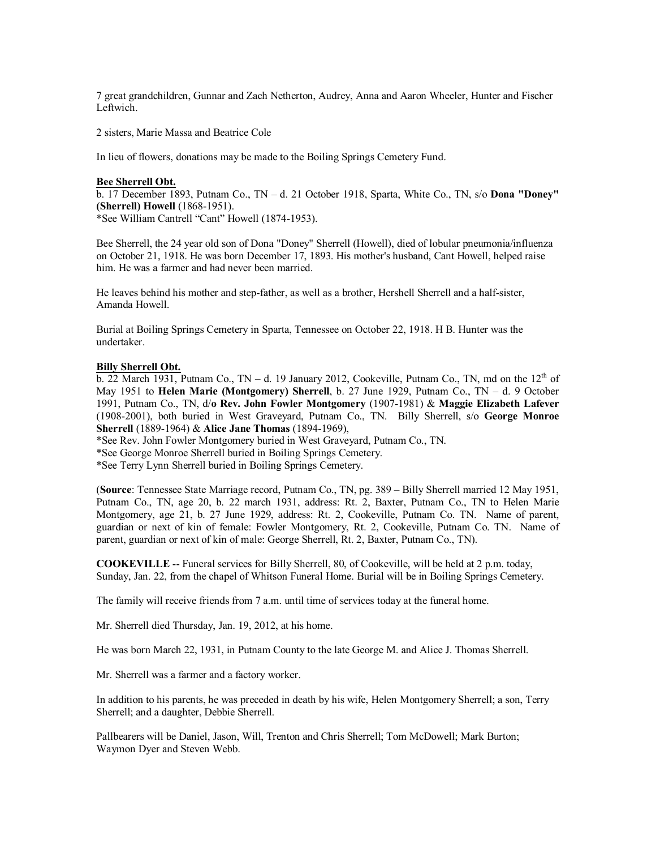7 great grandchildren, Gunnar and Zach Netherton, Audrey, Anna and Aaron Wheeler, Hunter and Fischer Leftwich.

2 sisters, Marie Massa and Beatrice Cole

In lieu of flowers, donations may be made to the Boiling Springs Cemetery Fund.

#### **Bee Sherrell Obt.**

b. 17 December 1893, Putnam Co., TN – d. 21 October 1918, Sparta, White Co., TN, s/o **Dona "Doney" (Sherrell) Howell** (1868-1951).

\*See William Cantrell "Cant" Howell (1874-1953).

Bee Sherrell, the 24 year old son of Dona "Doney" Sherrell (Howell), died of lobular pneumonia/influenza on October 21, 1918. He was born December 17, 1893. His mother's husband, Cant Howell, helped raise him. He was a farmer and had never been married.

He leaves behind his mother and step-father, as well as a brother, Hershell Sherrell and a half-sister, Amanda Howell.

Burial at Boiling Springs Cemetery in Sparta, Tennessee on October 22, 1918. H B. Hunter was the undertaker.

### **Billy Sherrell Obt.**

b. 22 March 1931, Putnam Co., TN – d. 19 January 2012, Cookeville, Putnam Co., TN, md on the  $12<sup>th</sup>$  of May 1951 to **Helen Marie (Montgomery) Sherrell**, b. 27 June 1929, Putnam Co., TN – d. 9 October 1991, Putnam Co., TN, d/**o Rev. John Fowler Montgomery** (1907-1981) & **Maggie Elizabeth Lafever** (1908-2001), both buried in West Graveyard, Putnam Co., TN. Billy Sherrell, s/o **George Monroe Sherrell** (1889-1964) & **Alice Jane Thomas** (1894-1969),

\*See Rev. John Fowler Montgomery buried in West Graveyard, Putnam Co., TN.

\*See George Monroe Sherrell buried in Boiling Springs Cemetery.

\*See Terry Lynn Sherrell buried in Boiling Springs Cemetery.

(**Source**: Tennessee State Marriage record, Putnam Co., TN, pg. 389 – Billy Sherrell married 12 May 1951, Putnam Co., TN, age 20, b. 22 march 1931, address: Rt. 2, Baxter, Putnam Co., TN to Helen Marie Montgomery, age 21, b. 27 June 1929, address: Rt. 2, Cookeville, Putnam Co. TN. Name of parent, guardian or next of kin of female: Fowler Montgomery, Rt. 2, Cookeville, Putnam Co. TN. Name of parent, guardian or next of kin of male: George Sherrell, Rt. 2, Baxter, Putnam Co., TN).

**COOKEVILLE** -- Funeral services for Billy Sherrell, 80, of Cookeville, will be held at 2 p.m. today, Sunday, Jan. 22, from the chapel of Whitson Funeral Home. Burial will be in Boiling Springs Cemetery.

The family will receive friends from 7 a.m. until time of services today at the funeral home.

Mr. Sherrell died Thursday, Jan. 19, 2012, at his home.

He was born March 22, 1931, in Putnam County to the late George M. and Alice J. Thomas Sherrell.

Mr. Sherrell was a farmer and a factory worker.

In addition to his parents, he was preceded in death by his wife, Helen Montgomery Sherrell; a son, Terry Sherrell; and a daughter, Debbie Sherrell.

Pallbearers will be Daniel, Jason, Will, Trenton and Chris Sherrell; Tom McDowell; Mark Burton; Waymon Dyer and Steven Webb.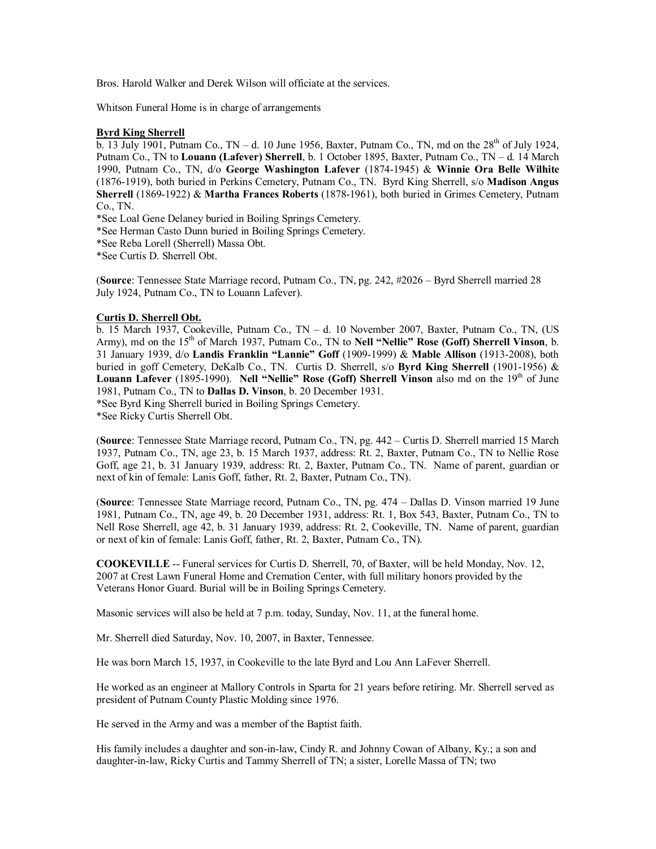Bros. Harold Walker and Derek Wilson will officiate at the services.

Whitson Funeral Home is in charge of arrangements

# **Byrd King Sherrell**

b. 13 July 1901, Putnam Co.,  $TN - d$ . 10 June 1956, Baxter, Putnam Co., TN, md on the  $28<sup>th</sup>$  of July 1924, Putnam Co., TN to **Louann (Lafever) Sherrell**, b. 1 October 1895, Baxter, Putnam Co., TN – d. 14 March 1990, Putnam Co., TN, d/o **George Washington Lafever** (1874-1945) & **Winnie Ora Belle Wilhite** (1876-1919), both buried in Perkins Cemetery, Putnam Co., TN. Byrd King Sherrell, s/o **Madison Angus Sherrell** (1869-1922) & **Martha Frances Roberts** (1878-1961), both buried in Grimes Cemetery, Putnam Co., TN.

\*See Loal Gene Delaney buried in Boiling Springs Cemetery.

\*See Herman Casto Dunn buried in Boiling Springs Cemetery.

\*See Reba Lorell (Sherrell) Massa Obt.

\*See Curtis D. Sherrell Obt.

(**Source**: Tennessee State Marriage record, Putnam Co., TN, pg. 242, #2026 – Byrd Sherrell married 28 July 1924, Putnam Co., TN to Louann Lafever).

# **Curtis D. Sherrell Obt.**

b. 15 March 1937, Cookeville, Putnam Co., TN – d. 10 November 2007, Baxter, Putnam Co., TN, (US Army), md on the 15<sup>th</sup> of March 1937, Putnam Co., TN to **Nell "Nellie" Rose (Goff) Sherrell Vinson**, b. 31 January 1939, d/o **Landis Franklin "Lannie" Goff** (1909-1999) & **Mable Allison** (1913-2008), both buried in goff Cemetery, DeKalb Co., TN. Curtis D. Sherrell, s/o **Byrd King Sherrell** (1901-1956) & Louann Lafever (1895-1990). Nell "Nellie" Rose (Goff) Sherrell Vinson also md on the 19<sup>th</sup> of June 1981, Putnam Co., TN to **Dallas D. Vinson**, b. 20 December 1931. \*See Byrd King Sherrell buried in Boiling Springs Cemetery.

\*See Ricky Curtis Sherrell Obt.

(**Source**: Tennessee State Marriage record, Putnam Co., TN, pg. 442 – Curtis D. Sherrell married 15 March 1937, Putnam Co., TN, age 23, b. 15 March 1937, address: Rt. 2, Baxter, Putnam Co., TN to Nellie Rose Goff, age 21, b. 31 January 1939, address: Rt. 2, Baxter, Putnam Co., TN. Name of parent, guardian or next of kin of female: Lanis Goff, father, Rt. 2, Baxter, Putnam Co., TN).

(**Source**: Tennessee State Marriage record, Putnam Co., TN, pg. 474 – Dallas D. Vinson married 19 June 1981, Putnam Co., TN, age 49, b. 20 December 1931, address: Rt. 1, Box 543, Baxter, Putnam Co., TN to Nell Rose Sherrell, age 42, b. 31 January 1939, address: Rt. 2, Cookeville, TN. Name of parent, guardian or next of kin of female: Lanis Goff, father, Rt. 2, Baxter, Putnam Co., TN).

**COOKEVILLE** -- Funeral services for Curtis D. Sherrell, 70, of Baxter, will be held Monday, Nov. 12, 2007 at Crest Lawn Funeral Home and Cremation Center, with full military honors provided by the Veterans Honor Guard. Burial will be in Boiling Springs Cemetery.

Masonic services will also be held at 7 p.m. today, Sunday, Nov. 11, at the funeral home.

Mr. Sherrell died Saturday, Nov. 10, 2007, in Baxter, Tennessee.

He was born March 15, 1937, in Cookeville to the late Byrd and Lou Ann LaFever Sherrell.

He worked as an engineer at Mallory Controls in Sparta for 21 years before retiring. Mr. Sherrell served as president of Putnam County Plastic Molding since 1976.

He served in the Army and was a member of the Baptist faith.

His family includes a daughter and son-in-law, Cindy R. and Johnny Cowan of Albany, Ky.; a son and daughter-in-law, Ricky Curtis and Tammy Sherrell of TN; a sister, Lorelle Massa of TN; two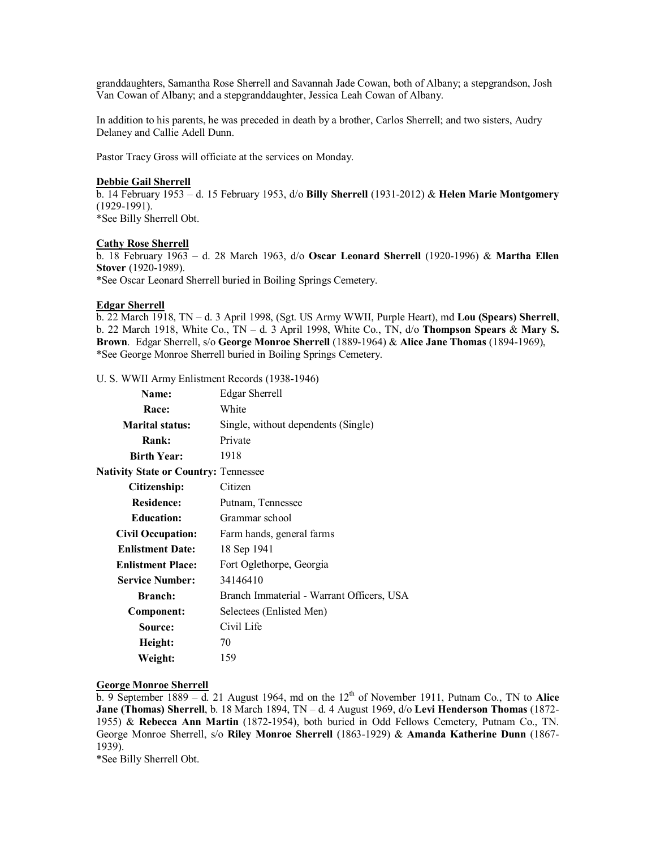granddaughters, Samantha Rose Sherrell and Savannah Jade Cowan, both of Albany; a stepgrandson, Josh Van Cowan of Albany; and a stepgranddaughter, Jessica Leah Cowan of Albany.

In addition to his parents, he was preceded in death by a brother, Carlos Sherrell; and two sisters, Audry Delaney and Callie Adell Dunn.

Pastor Tracy Gross will officiate at the services on Monday.

#### **Debbie Gail Sherrell**

b. 14 February 1953 – d. 15 February 1953, d/o **Billy Sherrell** (1931-2012) & **Helen Marie Montgomery** (1929-1991). \*See Billy Sherrell Obt.

### **Cathy Rose Sherrell**

b. 18 February 1963 – d. 28 March 1963, d/o **Oscar Leonard Sherrell** (1920-1996) & **Martha Ellen Stover** (1920-1989).

\*See Oscar Leonard Sherrell buried in Boiling Springs Cemetery.

#### **Edgar Sherrell**

b. 22 March 1918, TN – d. 3 April 1998, (Sgt. US Army WWII, Purple Heart), md **Lou (Spears) Sherrell**, b. 22 March 1918, White Co., TN – d. 3 April 1998, White Co., TN, d/o **Thompson Spears** & **Mary S. Brown**. Edgar Sherrell, s/o **George Monroe Sherrell** (1889-1964) & **Alice Jane Thomas** (1894-1969), \*See George Monroe Sherrell buried in Boiling Springs Cemetery.

U. S. WWII Army Enlistment Records (1938-1946)

| <b>Name:</b>                                | Edgar Sherrell                            |
|---------------------------------------------|-------------------------------------------|
| Race:                                       | White                                     |
| <b>Marital status:</b>                      | Single, without dependents (Single)       |
| Rank:                                       | Private                                   |
| <b>Birth Year:</b>                          | 1918                                      |
| <b>Nativity State or Country: Tennessee</b> |                                           |
| Citizenship:                                | Citizen                                   |
| <b>Residence:</b>                           | Putnam, Tennessee                         |
| <b>Education:</b>                           | Grammar school                            |
| <b>Civil Occupation:</b>                    | Farm hands, general farms                 |
| <b>Enlistment Date:</b>                     | 18 Sep 1941                               |
| <b>Enlistment Place:</b>                    | Fort Oglethorpe, Georgia                  |
| <b>Service Number:</b>                      | 34146410                                  |
| <b>Branch:</b>                              | Branch Immaterial - Warrant Officers, USA |
| Component:                                  | Selectees (Enlisted Men)                  |
| Source:                                     | Civil Life                                |
| Height:                                     | 70                                        |
| Weight:                                     | 159                                       |

# **George Monroe Sherrell**

b. 9 September 1889 – d. 21 August 1964, md on the 12<sup>th</sup> of November 1911, Putnam Co., TN to Alice **Jane (Thomas) Sherrell**, b. 18 March 1894, TN – d. 4 August 1969, d/o **Levi Henderson Thomas** (1872- 1955) & **Rebecca Ann Martin** (1872-1954), both buried in Odd Fellows Cemetery, Putnam Co., TN. George Monroe Sherrell, s/o **Riley Monroe Sherrell** (1863-1929) & **Amanda Katherine Dunn** (1867- 1939).

\*See Billy Sherrell Obt.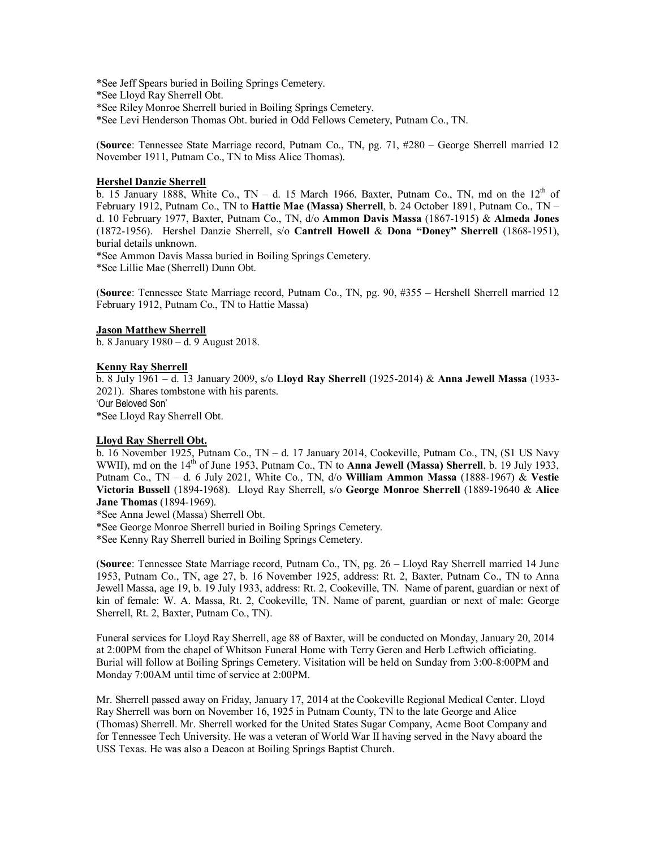\*See Jeff Spears buried in Boiling Springs Cemetery.

\*See Lloyd Ray Sherrell Obt.

\*See Riley Monroe Sherrell buried in Boiling Springs Cemetery.

\*See Levi Henderson Thomas Obt. buried in Odd Fellows Cemetery, Putnam Co., TN.

(**Source**: Tennessee State Marriage record, Putnam Co., TN, pg. 71, #280 – George Sherrell married 12 November 1911, Putnam Co., TN to Miss Alice Thomas).

## **Hershel Danzie Sherrell**

b. 15 January 1888, White Co., TN – d. 15 March 1966, Baxter, Putnam Co., TN, md on the 12<sup>th</sup> of February 1912, Putnam Co., TN to **Hattie Mae (Massa) Sherrell**, b. 24 October 1891, Putnam Co., TN – d. 10 February 1977, Baxter, Putnam Co., TN, d/o **Ammon Davis Massa** (1867-1915) & **Almeda Jones** (1872-1956). Hershel Danzie Sherrell, s/o **Cantrell Howell** & **Dona "Doney" Sherrell** (1868-1951), burial details unknown.

\*See Ammon Davis Massa buried in Boiling Springs Cemetery. \*See Lillie Mae (Sherrell) Dunn Obt.

(**Source**: Tennessee State Marriage record, Putnam Co., TN, pg. 90, #355 – Hershell Sherrell married 12 February 1912, Putnam Co., TN to Hattie Massa)

## **Jason Matthew Sherrell**

b. 8 January 1980 – d. 9 August 2018.

## **Kenny Ray Sherrell**

b. 8 July 1961 – d. 13 January 2009, s/o **Lloyd Ray Sherrell** (1925-2014) & **Anna Jewell Massa** (1933- 2021). Shares tombstone with his parents. 'Our Beloved Son' \*See Lloyd Ray Sherrell Obt.

## **Lloyd Ray Sherrell Obt.**

b. 16 November 1925, Putnam Co., TN – d. 17 January 2014, Cookeville, Putnam Co., TN, (S1 US Navy WWII), md on the 14<sup>th</sup> of June 1953, Putnam Co., TN to **Anna Jewell (Massa) Sherrell**, b. 19 July 1933, Putnam Co., TN – d. 6 July 2021, White Co., TN, d/o **William Ammon Massa** (1888-1967) & **Vestie Victoria Bussell** (1894-1968). Lloyd Ray Sherrell, s/o **George Monroe Sherrell** (1889-19640 & **Alice Jane Thomas** (1894-1969).

\*See Anna Jewel (Massa) Sherrell Obt.

\*See George Monroe Sherrell buried in Boiling Springs Cemetery.

\*See Kenny Ray Sherrell buried in Boiling Springs Cemetery.

(**Source**: Tennessee State Marriage record, Putnam Co., TN, pg. 26 – Lloyd Ray Sherrell married 14 June 1953, Putnam Co., TN, age 27, b. 16 November 1925, address: Rt. 2, Baxter, Putnam Co., TN to Anna Jewell Massa, age 19, b. 19 July 1933, address: Rt. 2, Cookeville, TN. Name of parent, guardian or next of kin of female: W. A. Massa, Rt. 2, Cookeville, TN. Name of parent, guardian or next of male: George Sherrell, Rt. 2, Baxter, Putnam Co., TN).

Funeral services for Lloyd Ray Sherrell, age 88 of Baxter, will be conducted on Monday, January 20, 2014 at 2:00PM from the chapel of Whitson Funeral Home with Terry Geren and Herb Leftwich officiating. Burial will follow at Boiling Springs Cemetery. Visitation will be held on Sunday from 3:00-8:00PM and Monday 7:00AM until time of service at 2:00PM.

Mr. Sherrell passed away on Friday, January 17, 2014 at the Cookeville Regional Medical Center. Lloyd Ray Sherrell was born on November 16, 1925 in Putnam County, TN to the late George and Alice (Thomas) Sherrell. Mr. Sherrell worked for the United States Sugar Company, Acme Boot Company and for Tennessee Tech University. He was a veteran of World War II having served in the Navy aboard the USS Texas. He was also a Deacon at Boiling Springs Baptist Church.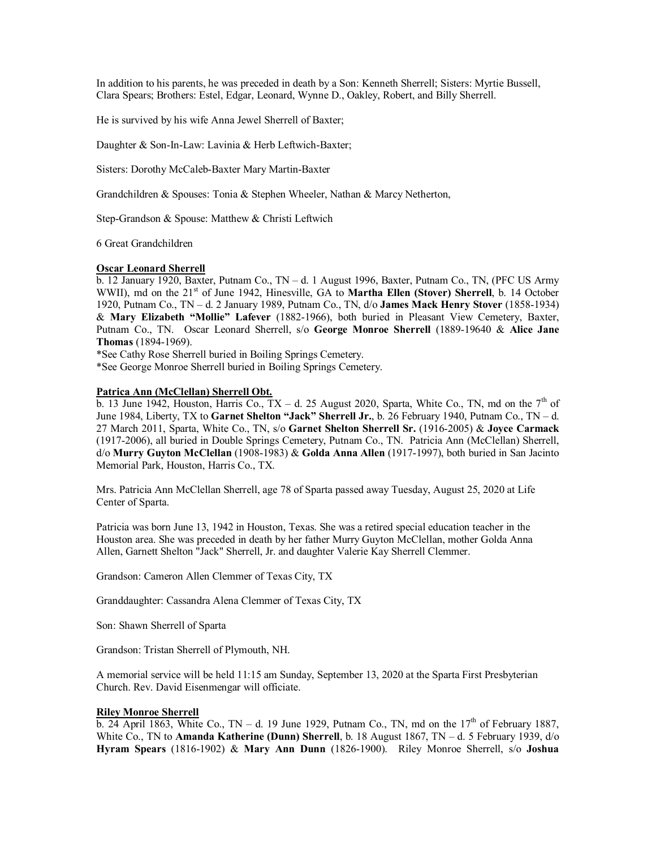In addition to his parents, he was preceded in death by a Son: Kenneth Sherrell; Sisters: Myrtie Bussell, Clara Spears; Brothers: Estel, Edgar, Leonard, Wynne D., Oakley, Robert, and Billy Sherrell.

He is survived by his wife Anna Jewel Sherrell of Baxter;

Daughter & Son-In-Law: Lavinia & Herb Leftwich-Baxter;

Sisters: Dorothy McCaleb-Baxter Mary Martin-Baxter

Grandchildren & Spouses: Tonia & Stephen Wheeler, Nathan & Marcy Netherton,

Step-Grandson & Spouse: Matthew & Christi Leftwich

6 Great Grandchildren

# **Oscar Leonard Sherrell**

b. 12 January 1920, Baxter, Putnam Co., TN – d. 1 August 1996, Baxter, Putnam Co., TN, (PFC US Army WWII), md on the 21<sup>st</sup> of June 1942, Hinesville, GA to **Martha Ellen (Stover) Sherrell**, b. 14 October 1920, Putnam Co., TN – d. 2 January 1989, Putnam Co., TN, d/o **James Mack Henry Stover** (1858-1934) & **Mary Elizabeth "Mollie" Lafever** (1882-1966), both buried in Pleasant View Cemetery, Baxter, Putnam Co., TN. Oscar Leonard Sherrell, s/o **George Monroe Sherrell** (1889-19640 & **Alice Jane Thomas** (1894-1969).

\*See Cathy Rose Sherrell buried in Boiling Springs Cemetery.

\*See George Monroe Sherrell buried in Boiling Springs Cemetery.

# **Patrica Ann (McClellan) Sherrell Obt.**

b. 13 June 1942, Houston, Harris Co.,  $TX - d$ . 25 August 2020, Sparta, White Co., TN, md on the  $7<sup>th</sup>$  of June 1984, Liberty, TX to **Garnet Shelton "Jack" Sherrell Jr.**, b. 26 February 1940, Putnam Co., TN – d. 27 March 2011, Sparta, White Co., TN, s/o **Garnet Shelton Sherrell Sr.** (1916-2005) & **Joyce Carmack** (1917-2006), all buried in Double Springs Cemetery, Putnam Co., TN. Patricia Ann (McClellan) Sherrell, d/o **Murry Guyton McClellan** (1908-1983) & **Golda Anna Allen** (1917-1997), both buried in San Jacinto Memorial Park, Houston, Harris Co., TX.

Mrs. Patricia Ann McClellan Sherrell, age 78 of Sparta passed away Tuesday, August 25, 2020 at Life Center of Sparta.

Patricia was born June 13, 1942 in Houston, Texas. She was a retired special education teacher in the Houston area. She was preceded in death by her father Murry Guyton McClellan, mother Golda Anna Allen, Garnett Shelton "Jack" Sherrell, Jr. and daughter Valerie Kay Sherrell Clemmer.

Grandson: Cameron Allen Clemmer of Texas City, TX

Granddaughter: Cassandra Alena Clemmer of Texas City, TX

Son: Shawn Sherrell of Sparta

Grandson: Tristan Sherrell of Plymouth, NH.

A memorial service will be held 11:15 am Sunday, September 13, 2020 at the Sparta First Presbyterian Church. Rev. David Eisenmengar will officiate.

## **Riley Monroe Sherrell**

 $\overline{b}$ . 24 April 1863, White Co., TN – d. 19 June 1929, Putnam Co., TN, md on the 17<sup>th</sup> of February 1887, White Co., TN to **Amanda Katherine (Dunn) Sherrell**, b. 18 August 1867, TN – d. 5 February 1939, d/o **Hyram Spears** (1816-1902) & **Mary Ann Dunn** (1826-1900). Riley Monroe Sherrell, s/o **Joshua**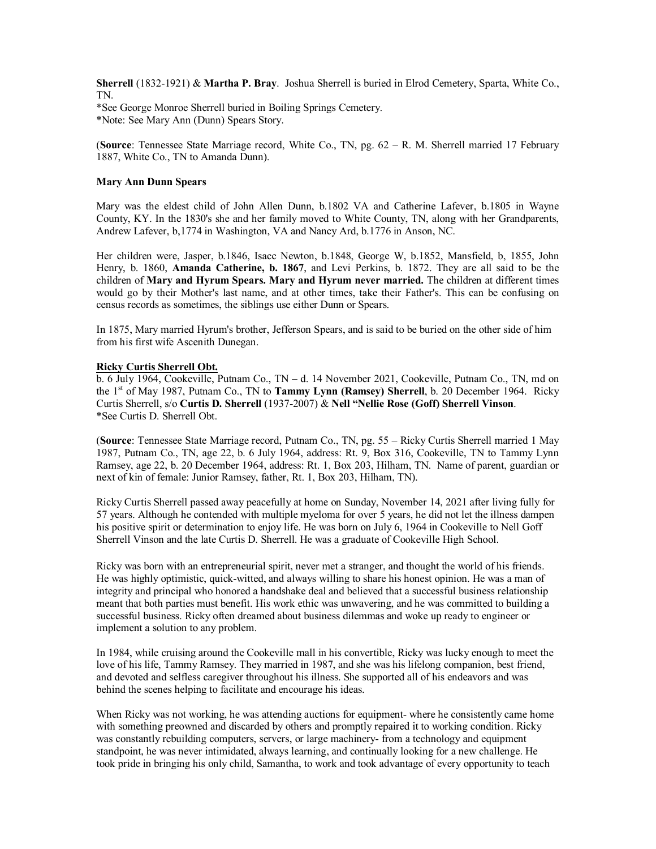**Sherrell** (1832-1921) & **Martha P. Bray**. Joshua Sherrell is buried in Elrod Cemetery, Sparta, White Co., TN.

\*See George Monroe Sherrell buried in Boiling Springs Cemetery. \*Note: See Mary Ann (Dunn) Spears Story.

(**Source**: Tennessee State Marriage record, White Co., TN, pg. 62 – R. M. Sherrell married 17 February 1887, White Co., TN to Amanda Dunn).

## **Mary Ann Dunn Spears**

Mary was the eldest child of John Allen Dunn, b.1802 VA and Catherine Lafever, b.1805 in Wayne County, KY. In the 1830's she and her family moved to White County, TN, along with her Grandparents, Andrew Lafever, b,1774 in Washington, VA and Nancy Ard, b.1776 in Anson, NC.

Her children were, Jasper, b.1846, Isacc Newton, b.1848, George W, b.1852, Mansfield, b, 1855, John Henry, b. 1860, **Amanda Catherine, b. 1867**, and Levi Perkins, b. 1872. They are all said to be the children of **Mary and Hyrum Spears. Mary and Hyrum never married.** The children at different times would go by their Mother's last name, and at other times, take their Father's. This can be confusing on census records as sometimes, the siblings use either Dunn or Spears.

In 1875, Mary married Hyrum's brother, Jefferson Spears, and is said to be buried on the other side of him from his first wife Ascenith Dunegan.

# **Ricky Curtis Sherrell Obt.**

b. 6 July 1964, Cookeville, Putnam Co., TN – d. 14 November 2021, Cookeville, Putnam Co., TN, md on the 1<sup>st</sup> of May 1987, Putnam Co., TN to **Tammy Lynn (Ramsey) Sherrell**, b. 20 December 1964. Ricky Curtis Sherrell, s/o **Curtis D. Sherrell** (1937-2007) & **Nell "Nellie Rose (Goff) Sherrell Vinson**. \*See Curtis D. Sherrell Obt.

(**Source**: Tennessee State Marriage record, Putnam Co., TN, pg. 55 – Ricky Curtis Sherrell married 1 May 1987, Putnam Co., TN, age 22, b. 6 July 1964, address: Rt. 9, Box 316, Cookeville, TN to Tammy Lynn Ramsey, age 22, b. 20 December 1964, address: Rt. 1, Box 203, Hilham, TN. Name of parent, guardian or next of kin of female: Junior Ramsey, father, Rt. 1, Box 203, Hilham, TN).

Ricky Curtis Sherrell passed away peacefully at home on Sunday, November 14, 2021 after living fully for 57 years. Although he contended with multiple myeloma for over 5 years, he did not let the illness dampen his positive spirit or determination to enjoy life. He was born on July 6, 1964 in Cookeville to Nell Goff Sherrell Vinson and the late Curtis D. Sherrell. He was a graduate of Cookeville High School.

Ricky was born with an entrepreneurial spirit, never met a stranger, and thought the world of his friends. He was highly optimistic, quick-witted, and always willing to share his honest opinion. He was a man of integrity and principal who honored a handshake deal and believed that a successful business relationship meant that both parties must benefit. His work ethic was unwavering, and he was committed to building a successful business. Ricky often dreamed about business dilemmas and woke up ready to engineer or implement a solution to any problem.

In 1984, while cruising around the Cookeville mall in his convertible, Ricky was lucky enough to meet the love of his life, Tammy Ramsey. They married in 1987, and she was his lifelong companion, best friend, and devoted and selfless caregiver throughout his illness. She supported all of his endeavors and was behind the scenes helping to facilitate and encourage his ideas.

When Ricky was not working, he was attending auctions for equipment- where he consistently came home with something preowned and discarded by others and promptly repaired it to working condition. Ricky was constantly rebuilding computers, servers, or large machinery- from a technology and equipment standpoint, he was never intimidated, always learning, and continually looking for a new challenge. He took pride in bringing his only child, Samantha, to work and took advantage of every opportunity to teach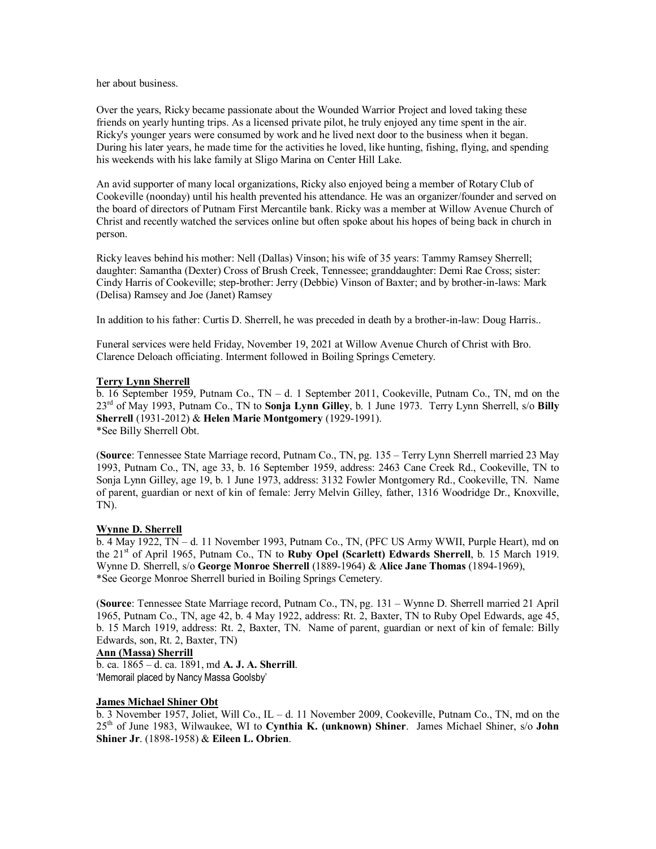her about business.

Over the years, Ricky became passionate about the Wounded Warrior Project and loved taking these friends on yearly hunting trips. As a licensed private pilot, he truly enjoyed any time spent in the air. Ricky's younger years were consumed by work and he lived next door to the business when it began. During his later years, he made time for the activities he loved, like hunting, fishing, flying, and spending his weekends with his lake family at Sligo Marina on Center Hill Lake.

An avid supporter of many local organizations, Ricky also enjoyed being a member of Rotary Club of Cookeville (noonday) until his health prevented his attendance. He was an organizer/founder and served on the board of directors of Putnam First Mercantile bank. Ricky was a member at Willow Avenue Church of Christ and recently watched the services online but often spoke about his hopes of being back in church in person.

Ricky leaves behind his mother: Nell (Dallas) Vinson; his wife of 35 years: Tammy Ramsey Sherrell; daughter: Samantha (Dexter) Cross of Brush Creek, Tennessee; granddaughter: Demi Rae Cross; sister: Cindy Harris of Cookeville; step-brother: Jerry (Debbie) Vinson of Baxter; and by brother-in-laws: Mark (Delisa) Ramsey and Joe (Janet) Ramsey

In addition to his father: Curtis D. Sherrell, he was preceded in death by a brother-in-law: Doug Harris..

Funeral services were held Friday, November 19, 2021 at Willow Avenue Church of Christ with Bro. Clarence Deloach officiating. Interment followed in Boiling Springs Cemetery.

# **Terry Lynn Sherrell**

b. 16 September 1959, Putnam Co., TN – d. 1 September 2011, Cookeville, Putnam Co., TN, md on the 23rd of May 1993, Putnam Co., TN to **Sonja Lynn Gilley**, b. 1 June 1973. Terry Lynn Sherrell, s/o **Billy Sherrell** (1931-2012) & **Helen Marie Montgomery** (1929-1991). \*See Billy Sherrell Obt.

(**Source**: Tennessee State Marriage record, Putnam Co., TN, pg. 135 – Terry Lynn Sherrell married 23 May 1993, Putnam Co., TN, age 33, b. 16 September 1959, address: 2463 Cane Creek Rd., Cookeville, TN to Sonja Lynn Gilley, age 19, b. 1 June 1973, address: 3132 Fowler Montgomery Rd., Cookeville, TN. Name of parent, guardian or next of kin of female: Jerry Melvin Gilley, father, 1316 Woodridge Dr., Knoxville, TN).

## **Wynne D. Sherrell**

b. 4 May 1922, TN – d. 11 November 1993, Putnam Co., TN, (PFC US Army WWII, Purple Heart), md on the 21<sup>st</sup> of April 1965, Putnam Co., TN to **Ruby Opel (Scarlett) Edwards Sherrell**, b. 15 March 1919. Wynne D. Sherrell, s/o **George Monroe Sherrell** (1889-1964) & **Alice Jane Thomas** (1894-1969), \*See George Monroe Sherrell buried in Boiling Springs Cemetery.

(**Source**: Tennessee State Marriage record, Putnam Co., TN, pg. 131 – Wynne D. Sherrell married 21 April 1965, Putnam Co., TN, age 42, b. 4 May 1922, address: Rt. 2, Baxter, TN to Ruby Opel Edwards, age 45, b. 15 March 1919, address: Rt. 2, Baxter, TN. Name of parent, guardian or next of kin of female: Billy Edwards, son, Rt. 2, Baxter, TN)

# **Ann (Massa) Sherrill**

b. ca. 1865 – d. ca. 1891, md **A. J. A. Sherrill**. 'Memorail placed by Nancy Massa Goolsby'

## **James Michael Shiner Obt**

b. 3 November 1957, Joliet, Will Co., IL – d. 11 November 2009, Cookeville, Putnam Co., TN, md on the 25th of June 1983, Wilwaukee, WI to **Cynthia K. (unknown) Shiner**. James Michael Shiner, s/o **John Shiner Jr**. (1898-1958) & **Eileen L. Obrien**.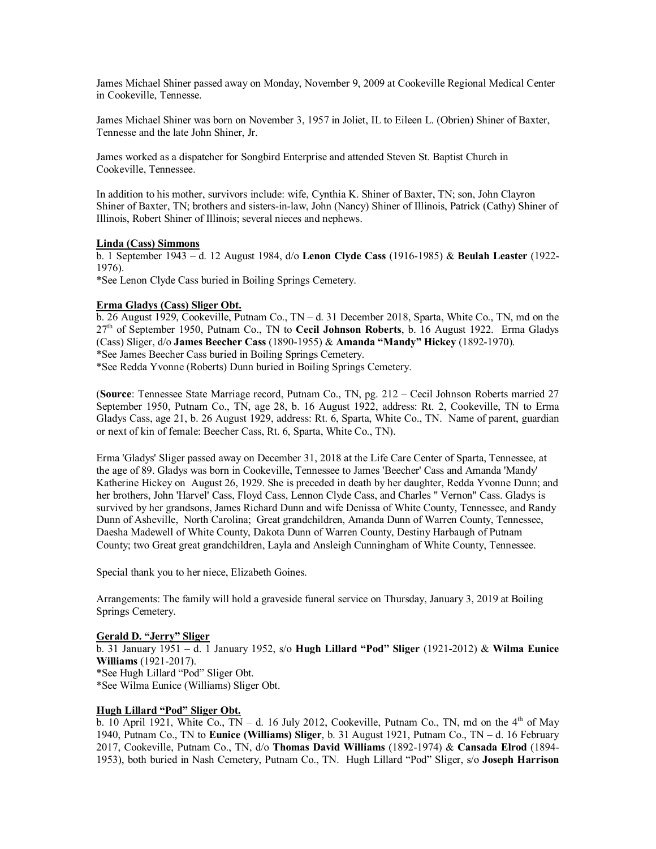James Michael Shiner passed away on Monday, November 9, 2009 at Cookeville Regional Medical Center in Cookeville, Tennesse.

James Michael Shiner was born on November 3, 1957 in Joliet, IL to Eileen L. (Obrien) Shiner of Baxter, Tennesse and the late John Shiner, Jr.

James worked as a dispatcher for Songbird Enterprise and attended Steven St. Baptist Church in Cookeville, Tennessee.

In addition to his mother, survivors include: wife, Cynthia K. Shiner of Baxter, TN; son, John Clayron Shiner of Baxter, TN; brothers and sisters-in-law, John (Nancy) Shiner of Illinois, Patrick (Cathy) Shiner of Illinois, Robert Shiner of Illinois; several nieces and nephews.

## **Linda (Cass) Simmons**

b. 1 September 1943 – d. 12 August 1984, d/o **Lenon Clyde Cass** (1916-1985) & **Beulah Leaster** (1922- 1976).

\*See Lenon Clyde Cass buried in Boiling Springs Cemetery.

## **Erma Gladys (Cass) Sliger Obt.**

b. 26 August 1929, Cookeville, Putnam Co., TN – d. 31 December 2018, Sparta, White Co., TN, md on the 27th of September 1950, Putnam Co., TN to **Cecil Johnson Roberts**, b. 16 August 1922. Erma Gladys (Cass) Sliger, d/o **James Beecher Cass** (1890-1955) & **Amanda "Mandy" Hickey** (1892-1970). \*See James Beecher Cass buried in Boiling Springs Cemetery.

\*See Redda Yvonne (Roberts) Dunn buried in Boiling Springs Cemetery.

(**Source**: Tennessee State Marriage record, Putnam Co., TN, pg. 212 – Cecil Johnson Roberts married 27 September 1950, Putnam Co., TN, age 28, b. 16 August 1922, address: Rt. 2, Cookeville, TN to Erma Gladys Cass, age 21, b. 26 August 1929, address: Rt. 6, Sparta, White Co., TN. Name of parent, guardian or next of kin of female: Beecher Cass, Rt. 6, Sparta, White Co., TN).

Erma 'Gladys' Sliger passed away on December 31, 2018 at the Life Care Center of Sparta, Tennessee, at the age of 89. Gladys was born in Cookeville, Tennessee to James 'Beecher' Cass and Amanda 'Mandy' Katherine Hickey on August 26, 1929. She is preceded in death by her daughter, Redda Yvonne Dunn; and her brothers, John 'Harvel' Cass, Floyd Cass, Lennon Clyde Cass, and Charles " Vernon" Cass. Gladys is survived by her grandsons, James Richard Dunn and wife Denissa of White County, Tennessee, and Randy Dunn of Asheville, North Carolina; Great grandchildren, Amanda Dunn of Warren County, Tennessee, Daesha Madewell of White County, Dakota Dunn of Warren County, Destiny Harbaugh of Putnam County; two Great great grandchildren, Layla and Ansleigh Cunningham of White County, Tennessee.

Special thank you to her niece, Elizabeth Goines.

Arrangements: The family will hold a graveside funeral service on Thursday, January 3, 2019 at Boiling Springs Cemetery.

## **Gerald D. "Jerry" Sliger**

b. 31 January 1951 – d. 1 January 1952, s/o **Hugh Lillard "Pod" Sliger** (1921-2012) & **Wilma Eunice Williams** (1921-2017). \*See Hugh Lillard "Pod" Sliger Obt. \*See Wilma Eunice (Williams) Sliger Obt.

# **Hugh Lillard "Pod" Sliger Obt.**

 $\overline{b}$ . 10 April 1921, White Co., TN – d. 16 July 2012, Cookeville, Putnam Co., TN, md on the 4<sup>th</sup> of May 1940, Putnam Co., TN to **Eunice (Williams) Sliger**, b. 31 August 1921, Putnam Co., TN – d. 16 February 2017, Cookeville, Putnam Co., TN, d/o **Thomas David Williams** (1892-1974) & **Cansada Elrod** (1894- 1953), both buried in Nash Cemetery, Putnam Co., TN. Hugh Lillard "Pod" Sliger, s/o **Joseph Harrison**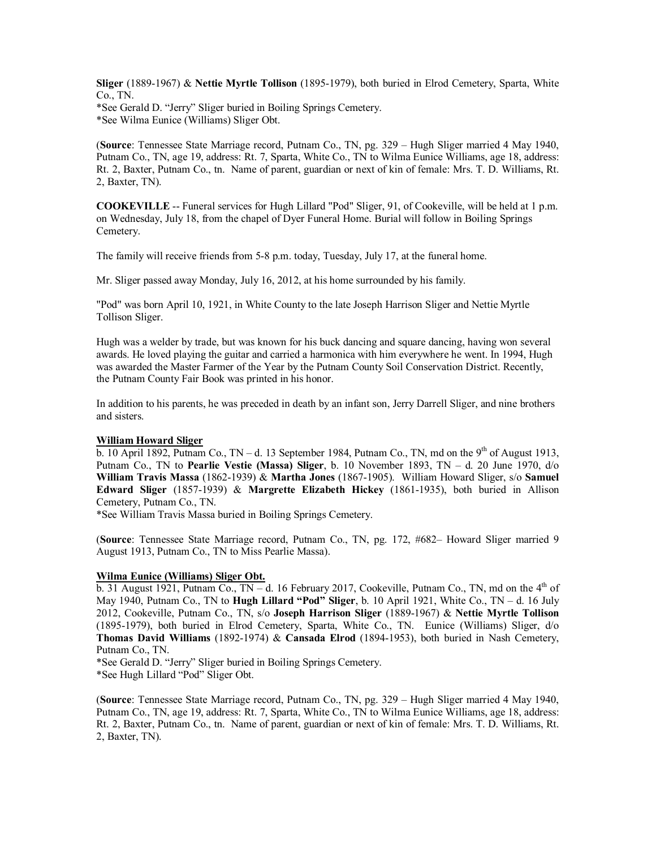**Sliger** (1889-1967) & **Nettie Myrtle Tollison** (1895-1979), both buried in Elrod Cemetery, Sparta, White Co., TN.

\*See Gerald D. "Jerry" Sliger buried in Boiling Springs Cemetery. \*See Wilma Eunice (Williams) Sliger Obt.

(**Source**: Tennessee State Marriage record, Putnam Co., TN, pg. 329 – Hugh Sliger married 4 May 1940, Putnam Co., TN, age 19, address: Rt. 7, Sparta, White Co., TN to Wilma Eunice Williams, age 18, address: Rt. 2, Baxter, Putnam Co., tn. Name of parent, guardian or next of kin of female: Mrs. T. D. Williams, Rt. 2, Baxter, TN).

**COOKEVILLE** -- Funeral services for Hugh Lillard "Pod" Sliger, 91, of Cookeville, will be held at 1 p.m. on Wednesday, July 18, from the chapel of Dyer Funeral Home. Burial will follow in Boiling Springs Cemetery.

The family will receive friends from 5-8 p.m. today, Tuesday, July 17, at the funeral home.

Mr. Sliger passed away Monday, July 16, 2012, at his home surrounded by his family.

"Pod" was born April 10, 1921, in White County to the late Joseph Harrison Sliger and Nettie Myrtle Tollison Sliger.

Hugh was a welder by trade, but was known for his buck dancing and square dancing, having won several awards. He loved playing the guitar and carried a harmonica with him everywhere he went. In 1994, Hugh was awarded the Master Farmer of the Year by the Putnam County Soil Conservation District. Recently, the Putnam County Fair Book was printed in his honor.

In addition to his parents, he was preceded in death by an infant son, Jerry Darrell Sliger, and nine brothers and sisters.

### **William Howard Sliger**

b. 10 April 1892, Putnam Co., TN – d. 13 September 1984, Putnam Co., TN, md on the 9<sup>th</sup> of August 1913, Putnam Co., TN to **Pearlie Vestie (Massa) Sliger**, b. 10 November 1893, TN – d. 20 June 1970, d/o **William Travis Massa** (1862-1939) & **Martha Jones** (1867-1905). William Howard Sliger, s/o **Samuel Edward Sliger** (1857-1939) & **Margrette Elizabeth Hickey** (1861-1935), both buried in Allison Cemetery, Putnam Co., TN.

\*See William Travis Massa buried in Boiling Springs Cemetery.

(**Source**: Tennessee State Marriage record, Putnam Co., TN, pg. 172, #682– Howard Sliger married 9 August 1913, Putnam Co., TN to Miss Pearlie Massa).

# **Wilma Eunice (Williams) Sliger Obt.**

b. 31 August 1921, Putnam Co.,  $TN - d$ . 16 February 2017, Cookeville, Putnam Co., TN, md on the  $4<sup>th</sup>$  of May 1940, Putnam Co., TN to **Hugh Lillard "Pod" Sliger**, b. 10 April 1921, White Co., TN – d. 16 July 2012, Cookeville, Putnam Co., TN, s/o **Joseph Harrison Sliger** (1889-1967) & **Nettie Myrtle Tollison** (1895-1979), both buried in Elrod Cemetery, Sparta, White Co., TN. Eunice (Williams) Sliger, d/o **Thomas David Williams** (1892-1974) & **Cansada Elrod** (1894-1953), both buried in Nash Cemetery, Putnam Co., TN.

\*See Gerald D. "Jerry" Sliger buried in Boiling Springs Cemetery.

\*See Hugh Lillard "Pod" Sliger Obt.

(**Source**: Tennessee State Marriage record, Putnam Co., TN, pg. 329 – Hugh Sliger married 4 May 1940, Putnam Co., TN, age 19, address: Rt. 7, Sparta, White Co., TN to Wilma Eunice Williams, age 18, address: Rt. 2, Baxter, Putnam Co., tn. Name of parent, guardian or next of kin of female: Mrs. T. D. Williams, Rt. 2, Baxter, TN).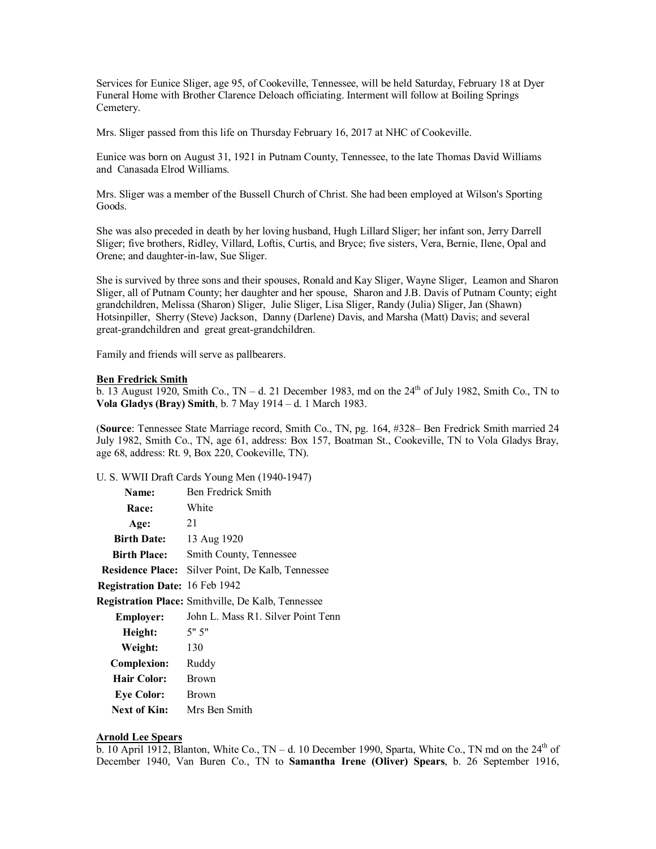Services for Eunice Sliger, age 95, of Cookeville, Tennessee, will be held Saturday, February 18 at Dyer Funeral Home with Brother Clarence Deloach officiating. Interment will follow at Boiling Springs Cemetery.

Mrs. Sliger passed from this life on Thursday February 16, 2017 at NHC of Cookeville.

Eunice was born on August 31, 1921 in Putnam County, Tennessee, to the late Thomas David Williams and Canasada Elrod Williams.

Mrs. Sliger was a member of the Bussell Church of Christ. She had been employed at Wilson's Sporting Goods.

She was also preceded in death by her loving husband, Hugh Lillard Sliger; her infant son, Jerry Darrell Sliger; five brothers, Ridley, Villard, Loftis, Curtis, and Bryce; five sisters, Vera, Bernie, Ilene, Opal and Orene; and daughter-in-law, Sue Sliger.

She is survived by three sons and their spouses, Ronald and Kay Sliger, Wayne Sliger, Leamon and Sharon Sliger, all of Putnam County; her daughter and her spouse, Sharon and J.B. Davis of Putnam County; eight grandchildren, Melissa (Sharon) Sliger, Julie Sliger, Lisa Sliger, Randy (Julia) Sliger, Jan (Shawn) Hotsinpiller, Sherry (Steve) Jackson, Danny (Darlene) Davis, and Marsha (Matt) Davis; and several great-grandchildren and great great-grandchildren.

Family and friends will serve as pallbearers.

# **Ben Fredrick Smith**

b. 13 August 1920, Smith Co., TN – d. 21 December 1983, md on the  $24<sup>th</sup>$  of July 1982, Smith Co., TN to **Vola Gladys (Bray) Smith**, b. 7 May 1914 – d. 1 March 1983.

(**Source**: Tennessee State Marriage record, Smith Co., TN, pg. 164, #328– Ben Fredrick Smith married 24 July 1982, Smith Co., TN, age 61, address: Box 157, Boatman St., Cookeville, TN to Vola Gladys Bray, age 68, address: Rt. 9, Box 220, Cookeville, TN).

U. S. WWII Draft Cards Young Men (1940-1947)

| Name:                                 | Ben Fredrick Smith                                       |
|---------------------------------------|----------------------------------------------------------|
| Race:                                 | White                                                    |
| Age:                                  | 21                                                       |
| <b>Birth Date:</b>                    | 13 Aug 1920                                              |
| <b>Birth Place:</b>                   | Smith County, Tennessee                                  |
|                                       | <b>Residence Place:</b> Silver Point, De Kalb, Tennessee |
| <b>Registration Date: 16 Feb 1942</b> |                                                          |
|                                       | Registration Place: Smithville, De Kalb, Tennessee       |
| <b>Employer:</b>                      | John L. Mass R1. Silver Point Tenn                       |
| Height:                               | 5" 5"                                                    |
| Weight:                               | 130                                                      |
| <b>Complexion:</b>                    | Ruddy                                                    |
| Hair Color:                           | <b>Brown</b>                                             |
| <b>Eye Color:</b>                     | <b>Brown</b>                                             |
| <b>Next of Kin:</b>                   | Mrs Ben Smith                                            |

#### **Arnold Lee Spears**

b. 10 April 1912, Blanton, White Co., TN – d. 10 December 1990, Sparta, White Co., TN md on the  $24<sup>th</sup>$  of December 1940, Van Buren Co., TN to **Samantha Irene (Oliver) Spears**, b. 26 September 1916,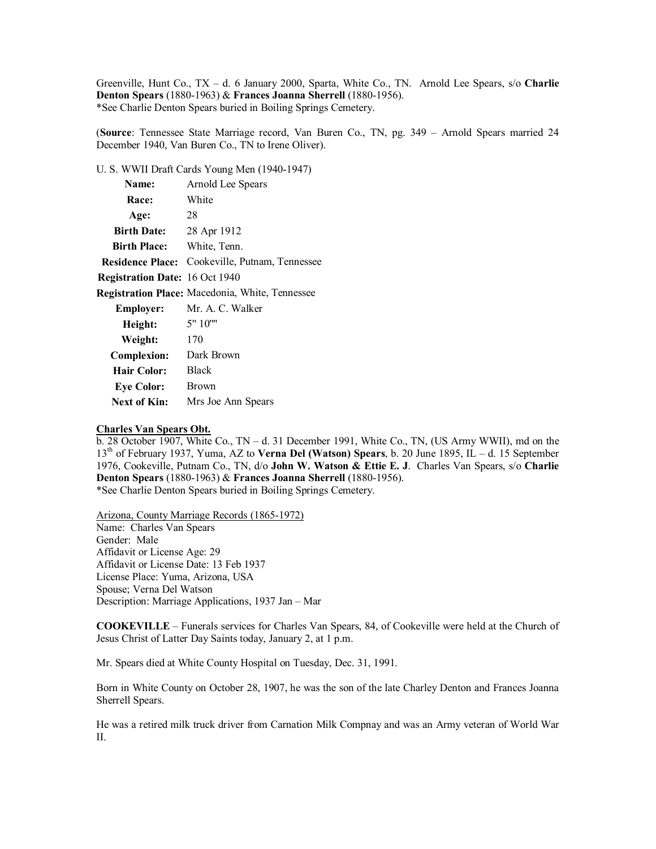Greenville, Hunt Co., TX – d. 6 January 2000, Sparta, White Co., TN. Arnold Lee Spears, s/o **Charlie Denton Spears** (1880-1963) & **Frances Joanna Sherrell** (1880-1956). \*See Charlie Denton Spears buried in Boiling Springs Cemetery.

(**Source**: Tennessee State Marriage record, Van Buren Co., TN, pg. 349 – Arnold Spears married 24 December 1940, Van Buren Co., TN to Irene Oliver).

U. S. WWII Draft Cards Young Men (1940-1947)

| Name:                                 | Arnold Lee Spears                                     |
|---------------------------------------|-------------------------------------------------------|
| <b>Race:</b>                          | White                                                 |
| Age:                                  | 28                                                    |
| <b>Birth Date:</b>                    | 28 Apr 1912                                           |
| <b>Birth Place:</b>                   | White, Tenn.                                          |
|                                       | <b>Residence Place:</b> Cookeville, Putnam, Tennessee |
| <b>Registration Date: 16 Oct 1940</b> |                                                       |
|                                       | Registration Place: Macedonia, White, Tennessee       |
| <b>Employer:</b>                      | Mr. A. C. Walker                                      |
| Height:                               | 5" 10""                                               |
| Weight:                               | 170                                                   |
| <b>Complexion:</b>                    | Dark Brown                                            |
| <b>Hair Color:</b>                    | <b>Black</b>                                          |
| <b>Eye Color:</b>                     | <b>Brown</b>                                          |
| <b>Next of Kin:</b>                   | Mrs Joe Ann Spears                                    |

## **Charles Van Spears Obt.**

b. 28 October 1907, White Co., TN – d. 31 December 1991, White Co., TN, (US Army WWII), md on the 13th of February 1937, Yuma, AZ to **Verna Del (Watson) Spears**, b. 20 June 1895, IL – d. 15 September 1976, Cookeville, Putnam Co., TN, d/o **John W. Watson & Ettie E. J**. Charles Van Spears, s/o **Charlie Denton Spears** (1880-1963) & **Frances Joanna Sherrell** (1880-1956). \*See Charlie Denton Spears buried in Boiling Springs Cemetery.

Arizona, County Marriage Records (1865-1972) Name: Charles Van Spears Gender: Male Affidavit or License Age: 29 Affidavit or License Date: 13 Feb 1937 License Place: Yuma, Arizona, USA Spouse; Verna Del Watson Description: Marriage Applications, 1937 Jan – Mar

**COOKEVILLE** – Funerals services for Charles Van Spears, 84, of Cookeville were held at the Church of Jesus Christ of Latter Day Saints today, January 2, at 1 p.m.

Mr. Spears died at White County Hospital on Tuesday, Dec. 31, 1991.

Born in White County on October 28, 1907, he was the son of the late Charley Denton and Frances Joanna Sherrell Spears.

He was a retired milk truck driver from Carnation Milk Compnay and was an Army veteran of World War II.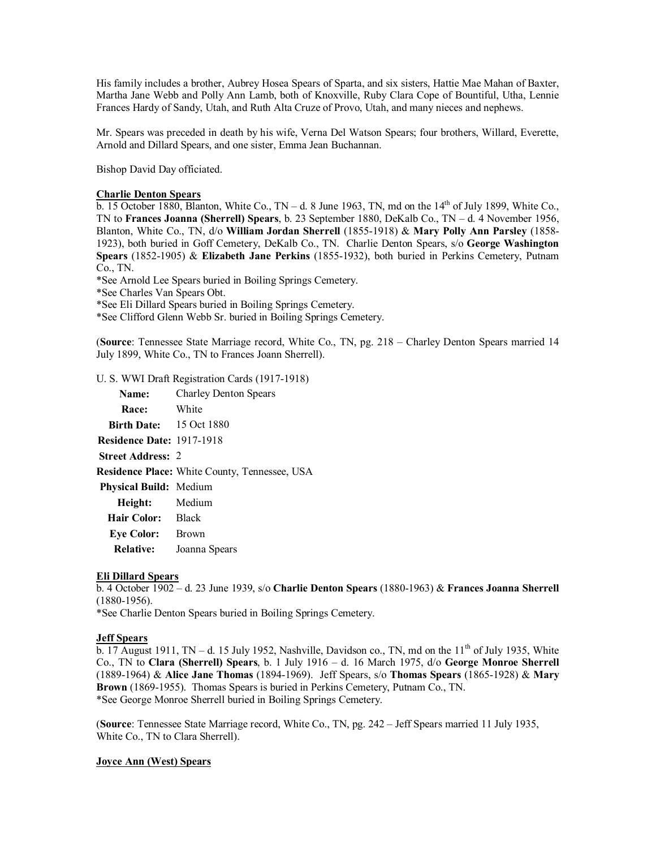His family includes a brother, Aubrey Hosea Spears of Sparta, and six sisters, Hattie Mae Mahan of Baxter, Martha Jane Webb and Polly Ann Lamb, both of Knoxville, Ruby Clara Cope of Bountiful, Utha, Lennie Frances Hardy of Sandy, Utah, and Ruth Alta Cruze of Provo, Utah, and many nieces and nephews.

Mr. Spears was preceded in death by his wife, Verna Del Watson Spears; four brothers, Willard, Everette, Arnold and Dillard Spears, and one sister, Emma Jean Buchannan.

Bishop David Day officiated.

## **Charlie Denton Spears**

 $\overline{b}$ . 15 October 1880, Blanton, White Co., TN – d. 8 June 1963, TN, md on the 14<sup>th</sup> of July 1899, White Co., TN to **Frances Joanna (Sherrell) Spears**, b. 23 September 1880, DeKalb Co., TN – d. 4 November 1956, Blanton, White Co., TN, d/o **William Jordan Sherrell** (1855-1918) & **Mary Polly Ann Parsley** (1858- 1923), both buried in Goff Cemetery, DeKalb Co., TN. Charlie Denton Spears, s/o **George Washington Spears** (1852-1905) & **Elizabeth Jane Perkins** (1855-1932), both buried in Perkins Cemetery, Putnam Co., TN.

\*See Arnold Lee Spears buried in Boiling Springs Cemetery.

\*See Charles Van Spears Obt.

\*See Eli Dillard Spears buried in Boiling Springs Cemetery.

\*See Clifford Glenn Webb Sr. buried in Boiling Springs Cemetery.

(**Source**: Tennessee State Marriage record, White Co., TN, pg. 218 – Charley Denton Spears married 14 July 1899, White Co., TN to Frances Joann Sherrell).

U. S. WWI Draft Registration Cards (1917-1918)

| <b>Name:</b>                     | <b>Charley Denton Spears</b>                  |
|----------------------------------|-----------------------------------------------|
| Race: White                      |                                               |
| <b>Birth Date:</b> 15 Oct 1880   |                                               |
| <b>Residence Date: 1917-1918</b> |                                               |
| <b>Street Address: 2</b>         |                                               |
|                                  | Residence Place: White County, Tennessee, USA |
| <b>Physical Build:</b> Medium    |                                               |
| Height: Medium                   |                                               |
| Hair Color: Black                |                                               |
| <b>Eye Color:</b>                | <b>Brown</b>                                  |
| <b>Relative:</b>                 | Joanna Spears                                 |

# **Eli Dillard Spears**

b. 4 October 1902 – d. 23 June 1939, s/o **Charlie Denton Spears** (1880-1963) & **Frances Joanna Sherrell** (1880-1956).

\*See Charlie Denton Spears buried in Boiling Springs Cemetery.

## **Jeff Spears**

 $\overline{b}$ . 17 August 1911, TN – d. 15 July 1952, Nashville, Davidson co., TN, md on the 11<sup>th</sup> of July 1935, White Co., TN to **Clara (Sherrell) Spears**, b. 1 July 1916 – d. 16 March 1975, d/o **George Monroe Sherrell** (1889-1964) & **Alice Jane Thomas** (1894-1969). Jeff Spears, s/o **Thomas Spears** (1865-1928) & **Mary Brown** (1869-1955). Thomas Spears is buried in Perkins Cemetery, Putnam Co., TN. \*See George Monroe Sherrell buried in Boiling Springs Cemetery.

(**Source**: Tennessee State Marriage record, White Co., TN, pg. 242 – Jeff Spears married 11 July 1935, White Co., TN to Clara Sherrell).

### **Joyce Ann (West) Spears**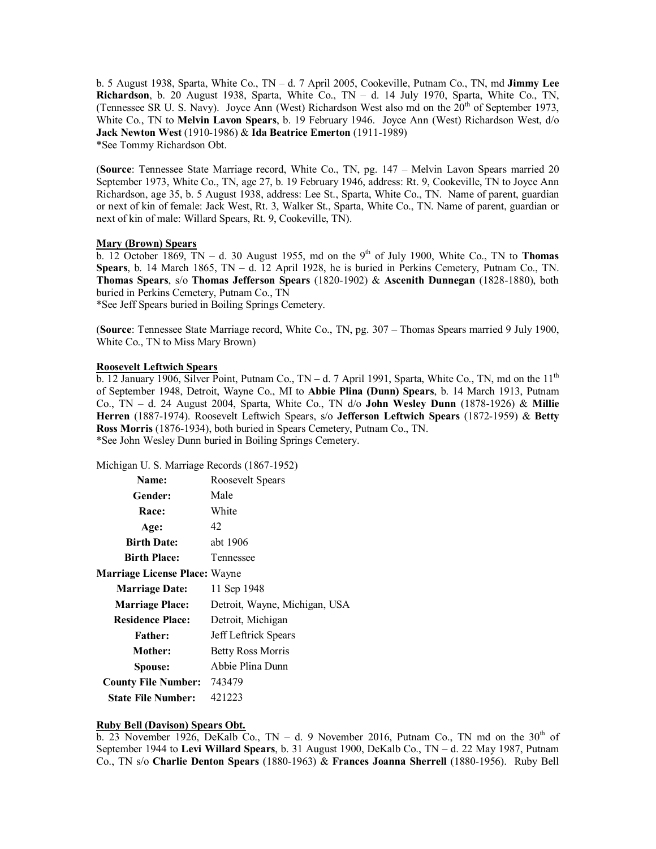b. 5 August 1938, Sparta, White Co., TN – d. 7 April 2005, Cookeville, Putnam Co., TN, md **Jimmy Lee Richardson**, b. 20 August 1938, Sparta, White Co., TN – d. 14 July 1970, Sparta, White Co., TN, (Tennessee SR U. S. Navy). Joyce Ann (West) Richardson West also md on the  $20<sup>th</sup>$  of September 1973, White Co., TN to **Melvin Lavon Spears**, b. 19 February 1946. Joyce Ann (West) Richardson West, d/o **Jack Newton West** (1910-1986) & **Ida Beatrice Emerton** (1911-1989) \*See Tommy Richardson Obt.

(**Source**: Tennessee State Marriage record, White Co., TN, pg. 147 – Melvin Lavon Spears married 20 September 1973, White Co., TN, age 27, b. 19 February 1946, address: Rt. 9, Cookeville, TN to Joyce Ann Richardson, age 35, b. 5 August 1938, address: Lee St., Sparta, White Co., TN. Name of parent, guardian or next of kin of female: Jack West, Rt. 3, Walker St., Sparta, White Co., TN. Name of parent, guardian or next of kin of male: Willard Spears, Rt. 9, Cookeville, TN).

## **Mary (Brown) Spears**

 $\overline{b}$ . 12 October 1869, TN – d. 30 August 1955, md on the 9<sup>th</sup> of July 1900, White Co., TN to **Thomas Spears**, b. 14 March 1865, TN – d. 12 April 1928, he is buried in Perkins Cemetery, Putnam Co., TN. **Thomas Spears**, s/o **Thomas Jefferson Spears** (1820-1902) & **Ascenith Dunnegan** (1828-1880), both buried in Perkins Cemetery, Putnam Co., TN

\*See Jeff Spears buried in Boiling Springs Cemetery.

(**Source**: Tennessee State Marriage record, White Co., TN, pg. 307 – Thomas Spears married 9 July 1900, White Co., TN to Miss Mary Brown)

## **Roosevelt Leftwich Spears**

 $\overline{b}$ . 12 January 1906, Silver Point, Putnam Co., TN – d. 7 April 1991, Sparta, White Co., TN, md on the 11<sup>th</sup> of September 1948, Detroit, Wayne Co., MI to **Abbie Plina (Dunn) Spears**, b. 14 March 1913, Putnam Co., TN – d. 24 August 2004, Sparta, White Co., TN d/o **John Wesley Dunn** (1878-1926) & **Millie Herren** (1887-1974). Roosevelt Leftwich Spears, s/o **Jefferson Leftwich Spears** (1872-1959) & **Betty Ross Morris** (1876-1934), both buried in Spears Cemetery, Putnam Co., TN. \*See John Wesley Dunn buried in Boiling Springs Cemetery.

Michigan U. S. Marriage Records (1867-1952)

| Name:                                | Roosevelt Spears              |  |
|--------------------------------------|-------------------------------|--|
| Gender:                              | Male                          |  |
| Race:                                | White                         |  |
| Age:                                 | 42                            |  |
| <b>Birth Date:</b>                   | abt 1906                      |  |
| <b>Birth Place:</b>                  | Tennessee                     |  |
| <b>Marriage License Place: Wayne</b> |                               |  |
| <b>Marriage Date:</b>                | 11 Sep 1948                   |  |
| <b>Marriage Place:</b>               | Detroit, Wayne, Michigan, USA |  |
| <b>Residence Place:</b>              | Detroit, Michigan             |  |
| <b>Father:</b>                       | Jeff Leftrick Spears          |  |
| Mother:                              | Betty Ross Morris             |  |
| Spouse:                              | Abbie Plina Dunn              |  |
| <b>County File Number:</b>           | 743479                        |  |
| <b>State File Number:</b>            | 421223                        |  |

# **Ruby Bell (Davison) Spears Obt.**

b. 23 November 1926, DeKalb Co., TN – d. 9 November 2016, Putnam Co., TN md on the  $30<sup>th</sup>$  of September 1944 to **Levi Willard Spears**, b. 31 August 1900, DeKalb Co., TN – d. 22 May 1987, Putnam Co., TN s/o **Charlie Denton Spears** (1880-1963) & **Frances Joanna Sherrell** (1880-1956). Ruby Bell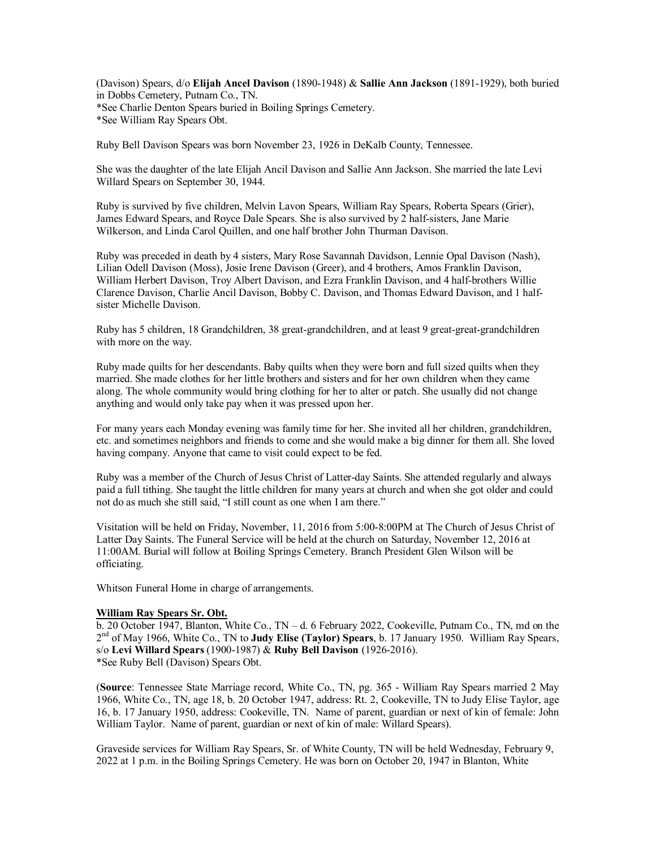(Davison) Spears, d/o **Elijah Ancel Davison** (1890-1948) & **Sallie Ann Jackson** (1891-1929), both buried in Dobbs Cemetery, Putnam Co., TN. \*See Charlie Denton Spears buried in Boiling Springs Cemetery. \*See William Ray Spears Obt.

Ruby Bell Davison Spears was born November 23, 1926 in DeKalb County, Tennessee.

She was the daughter of the late Elijah Ancil Davison and Sallie Ann Jackson. She married the late Levi Willard Spears on September 30, 1944.

Ruby is survived by five children, Melvin Lavon Spears, William Ray Spears, Roberta Spears (Grier), James Edward Spears, and Royce Dale Spears. She is also survived by 2 half-sisters, Jane Marie Wilkerson, and Linda Carol Quillen, and one half brother John Thurman Davison.

Ruby was preceded in death by 4 sisters, Mary Rose Savannah Davidson, Lennie Opal Davison (Nash), Lilian Odell Davison (Moss), Josie Irene Davison (Greer), and 4 brothers, Amos Franklin Davison, William Herbert Davison, Troy Albert Davison, and Ezra Franklin Davison, and 4 half-brothers Willie Clarence Davison, Charlie Ancil Davison, Bobby C. Davison, and Thomas Edward Davison, and 1 halfsister Michelle Davison.

Ruby has 5 children, 18 Grandchildren, 38 great-grandchildren, and at least 9 great-great-grandchildren with more on the way.

Ruby made quilts for her descendants. Baby quilts when they were born and full sized quilts when they married. She made clothes for her little brothers and sisters and for her own children when they came along. The whole community would bring clothing for her to alter or patch. She usually did not change anything and would only take pay when it was pressed upon her.

For many years each Monday evening was family time for her. She invited all her children, grandchildren, etc. and sometimes neighbors and friends to come and she would make a big dinner for them all. She loved having company. Anyone that came to visit could expect to be fed.

Ruby was a member of the Church of Jesus Christ of Latter-day Saints. She attended regularly and always paid a full tithing. She taught the little children for many years at church and when she got older and could not do as much she still said, "I still count as one when I am there."

Visitation will be held on Friday, November, 11, 2016 from 5:00-8:00PM at The Church of Jesus Christ of Latter Day Saints. The Funeral Service will be held at the church on Saturday, November 12, 2016 at 11:00AM. Burial will follow at Boiling Springs Cemetery. Branch President Glen Wilson will be officiating.

Whitson Funeral Home in charge of arrangements.

## **William Ray Spears Sr. Obt.**

b. 20 October 1947, Blanton, White Co., TN – d. 6 February 2022, Cookeville, Putnam Co., TN, md on the 2 nd of May 1966, White Co., TN to **Judy Elise (Taylor) Spears**, b. 17 January 1950. William Ray Spears, s/o **Levi Willard Spears** (1900-1987) & **Ruby Bell Davison** (1926-2016). \*See Ruby Bell (Davison) Spears Obt.

(**Source**: Tennessee State Marriage record, White Co., TN, pg. 365 - William Ray Spears married 2 May 1966, White Co., TN, age 18, b. 20 October 1947, address: Rt. 2, Cookeville, TN to Judy Elise Taylor, age 16, b. 17 January 1950, address: Cookeville, TN. Name of parent, guardian or next of kin of female: John William Taylor. Name of parent, guardian or next of kin of male: Willard Spears).

Graveside services for William Ray Spears, Sr. of White County, TN will be held Wednesday, February 9, 2022 at 1 p.m. in the Boiling Springs Cemetery. He was born on October 20, 1947 in Blanton, White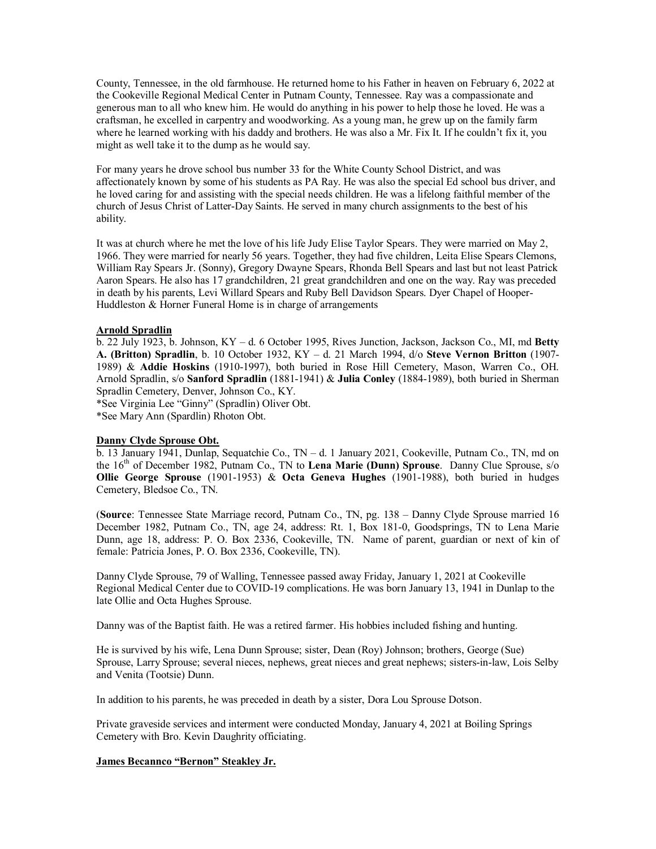County, Tennessee, in the old farmhouse. He returned home to his Father in heaven on February 6, 2022 at the Cookeville Regional Medical Center in Putnam County, Tennessee. Ray was a compassionate and generous man to all who knew him. He would do anything in his power to help those he loved. He was a craftsman, he excelled in carpentry and woodworking. As a young man, he grew up on the family farm where he learned working with his daddy and brothers. He was also a Mr. Fix It. If he couldn't fix it, you might as well take it to the dump as he would say.

For many years he drove school bus number 33 for the White County School District, and was affectionately known by some of his students as PA Ray. He was also the special Ed school bus driver, and he loved caring for and assisting with the special needs children. He was a lifelong faithful member of the church of Jesus Christ of Latter-Day Saints. He served in many church assignments to the best of his ability.

It was at church where he met the love of his life Judy Elise Taylor Spears. They were married on May 2, 1966. They were married for nearly 56 years. Together, they had five children, Leita Elise Spears Clemons, William Ray Spears Jr. (Sonny), Gregory Dwayne Spears, Rhonda Bell Spears and last but not least Patrick Aaron Spears. He also has 17 grandchildren, 21 great grandchildren and one on the way. Ray was preceded in death by his parents, Levi Willard Spears and Ruby Bell Davidson Spears. Dyer Chapel of Hooper-Huddleston & Horner Funeral Home is in charge of arrangements

## **Arnold Spradlin**

b. 22 July 1923, b. Johnson, KY – d. 6 October 1995, Rives Junction, Jackson, Jackson Co., MI, md **Betty A. (Britton) Spradlin**, b. 10 October 1932, KY – d. 21 March 1994, d/o **Steve Vernon Britton** (1907- 1989) & **Addie Hoskins** (1910-1997), both buried in Rose Hill Cemetery, Mason, Warren Co., OH. Arnold Spradlin, s/o **Sanford Spradlin** (1881-1941) & **Julia Conley** (1884-1989), both buried in Sherman Spradlin Cemetery, Denver, Johnson Co., KY.

\*See Virginia Lee "Ginny" (Spradlin) Oliver Obt.

\*See Mary Ann (Spardlin) Rhoton Obt.

## **Danny Clyde Sprouse Obt.**

b. 13 January 1941, Dunlap, Sequatchie Co., TN – d. 1 January 2021, Cookeville, Putnam Co., TN, md on the 16th of December 1982, Putnam Co., TN to **Lena Marie (Dunn) Sprouse**. Danny Clue Sprouse, s/o **Ollie George Sprouse** (1901-1953) & **Octa Geneva Hughes** (1901-1988), both buried in hudges Cemetery, Bledsoe Co., TN.

(**Source**: Tennessee State Marriage record, Putnam Co., TN, pg. 138 – Danny Clyde Sprouse married 16 December 1982, Putnam Co., TN, age 24, address: Rt. 1, Box 181-0, Goodsprings, TN to Lena Marie Dunn, age 18, address: P. O. Box 2336, Cookeville, TN. Name of parent, guardian or next of kin of female: Patricia Jones, P. O. Box 2336, Cookeville, TN).

Danny Clyde Sprouse, 79 of Walling, Tennessee passed away Friday, January 1, 2021 at Cookeville Regional Medical Center due to COVID-19 complications. He was born January 13, 1941 in Dunlap to the late Ollie and Octa Hughes Sprouse.

Danny was of the Baptist faith. He was a retired farmer. His hobbies included fishing and hunting.

He is survived by his wife, Lena Dunn Sprouse; sister, Dean (Roy) Johnson; brothers, George (Sue) Sprouse, Larry Sprouse; several nieces, nephews, great nieces and great nephews; sisters-in-law, Lois Selby and Venita (Tootsie) Dunn.

In addition to his parents, he was preceded in death by a sister, Dora Lou Sprouse Dotson.

Private graveside services and interment were conducted Monday, January 4, 2021 at Boiling Springs Cemetery with Bro. Kevin Daughrity officiating.

# **James Becannco "Bernon" Steakley Jr.**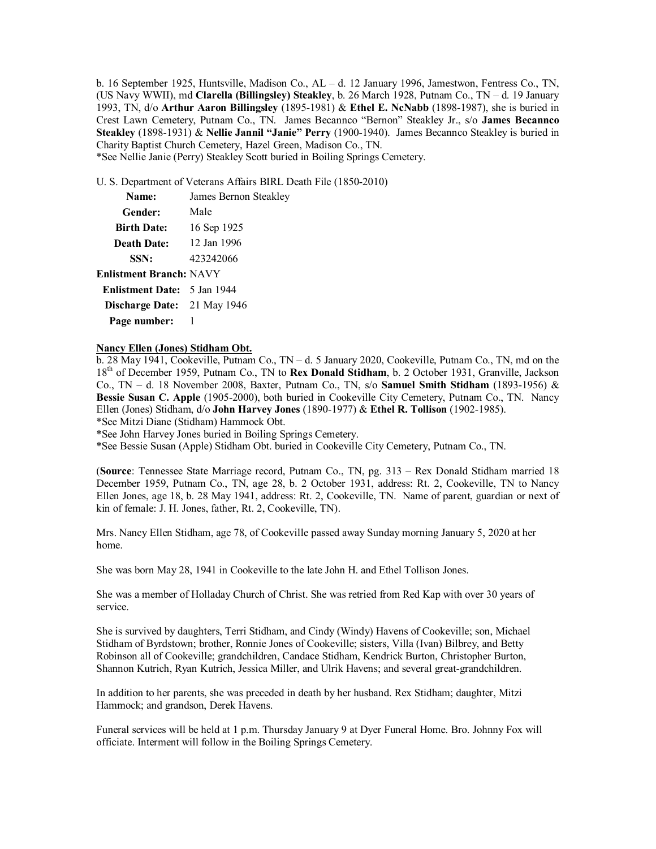b. 16 September 1925, Huntsville, Madison Co., AL – d. 12 January 1996, Jamestwon, Fentress Co., TN, (US Navy WWII), md **Clarella (Billingsley) Steakley**, b. 26 March 1928, Putnam Co., TN – d. 19 January 1993, TN, d/o **Arthur Aaron Billingsley** (1895-1981) & **Ethel E. NcNabb** (1898-1987), she is buried in Crest Lawn Cemetery, Putnam Co., TN. James Becannco "Bernon" Steakley Jr., s/o **James Becannco Steakley** (1898-1931) & **Nellie Jannil "Janie" Perry** (1900-1940). James Becannco Steakley is buried in Charity Baptist Church Cemetery, Hazel Green, Madison Co., TN.

\*See Nellie Janie (Perry) Steakley Scott buried in Boiling Springs Cemetery.

Steakley

U. S. Department of Veterans Affairs BIRL Death File (1850-2010)

| Name:              | James Bernon |
|--------------------|--------------|
| Gender:            | Male         |
| <b>Birth Date:</b> | 16 Sep 1925  |
| <b>Death Date:</b> | 12 Jan 1996  |
| SSN:               | 423242066    |

## **Enlistment Branch:** NAVY

| <b>Enlistment Date:</b> 5 Jan 1944 |  |
|------------------------------------|--|
| Discharge Date: 21 May 1946        |  |
| Page number:                       |  |

### **Nancy Ellen (Jones) Stidham Obt.**

b. 28 May 1941, Cookeville, Putnam Co., TN – d. 5 January 2020, Cookeville, Putnam Co., TN, md on the 18th of December 1959, Putnam Co., TN to **Rex Donald Stidham**, b. 2 October 1931, Granville, Jackson Co., TN – d. 18 November 2008, Baxter, Putnam Co., TN, s/o **Samuel Smith Stidham** (1893-1956) & **Bessie Susan C. Apple** (1905-2000), both buried in Cookeville City Cemetery, Putnam Co., TN. Nancy Ellen (Jones) Stidham, d/o **John Harvey Jones** (1890-1977) & **Ethel R. Tollison** (1902-1985).

\*See Mitzi Diane (Stidham) Hammock Obt.

\*See John Harvey Jones buried in Boiling Springs Cemetery.

\*See Bessie Susan (Apple) Stidham Obt. buried in Cookeville City Cemetery, Putnam Co., TN.

(**Source**: Tennessee State Marriage record, Putnam Co., TN, pg. 313 – Rex Donald Stidham married 18 December 1959, Putnam Co., TN, age 28, b. 2 October 1931, address: Rt. 2, Cookeville, TN to Nancy Ellen Jones, age 18, b. 28 May 1941, address: Rt. 2, Cookeville, TN. Name of parent, guardian or next of kin of female: J. H. Jones, father, Rt. 2, Cookeville, TN).

Mrs. Nancy Ellen Stidham, age 78, of Cookeville passed away Sunday morning January 5, 2020 at her home.

She was born May 28, 1941 in Cookeville to the late John H. and Ethel Tollison Jones.

She was a member of Holladay Church of Christ. She was retried from Red Kap with over 30 years of service.

She is survived by daughters, Terri Stidham, and Cindy (Windy) Havens of Cookeville; son, Michael Stidham of Byrdstown; brother, Ronnie Jones of Cookeville; sisters, Villa (Ivan) Bilbrey, and Betty Robinson all of Cookeville; grandchildren, Candace Stidham, Kendrick Burton, Christopher Burton, Shannon Kutrich, Ryan Kutrich, Jessica Miller, and Ulrik Havens; and several great-grandchildren.

In addition to her parents, she was preceded in death by her husband. Rex Stidham; daughter, Mitzi Hammock; and grandson, Derek Havens.

Funeral services will be held at 1 p.m. Thursday January 9 at Dyer Funeral Home. Bro. Johnny Fox will officiate. Interment will follow in the Boiling Springs Cemetery.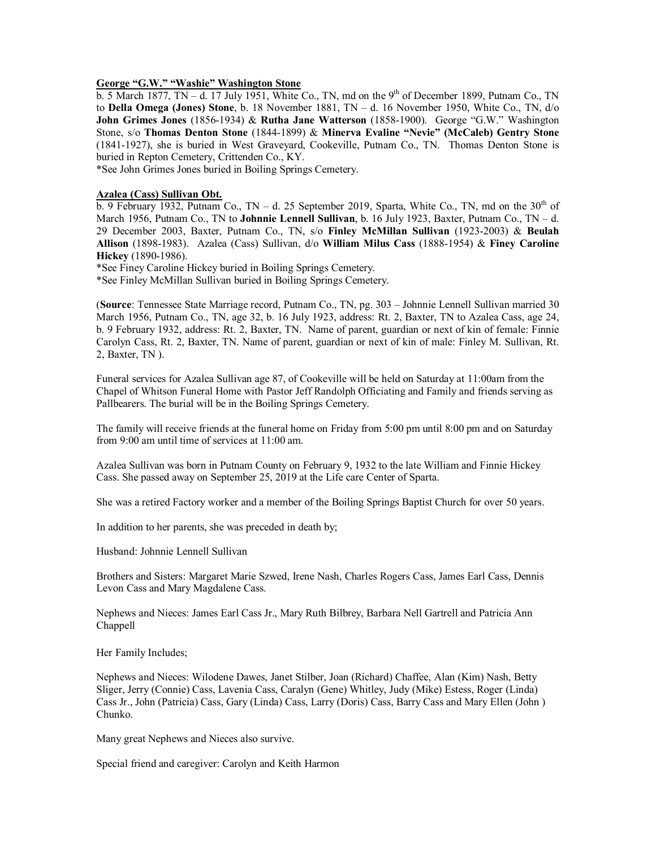# **George "G.W." "Washie" Washington Stone**

b. 5 March 1877, TN – d. 17 July 1951, White Co., TN, md on the 9<sup>th</sup> of December 1899, Putnam Co., TN to **Della Omega (Jones) Stone**, b. 18 November 1881, TN – d. 16 November 1950, White Co., TN, d/o **John Grimes Jones** (1856-1934) & **Rutha Jane Watterson** (1858-1900). George "G.W." Washington Stone, s/o **Thomas Denton Stone** (1844-1899) & **Minerva Evaline "Nevie" (McCaleb) Gentry Stone** (1841-1927), she is buried in West Graveyard, Cookeville, Putnam Co., TN. Thomas Denton Stone is buried in Repton Cemetery, Crittenden Co., KY.

\*See John Grimes Jones buried in Boiling Springs Cemetery.

### **Azalea (Cass) Sullivan Obt.**

 $\overline{b}$ . 9 February 1932, Putnam Co., TN – d. 25 September 2019, Sparta, White Co., TN, md on the 30<sup>th</sup> of March 1956, Putnam Co., TN to **Johnnie Lennell Sullivan**, b. 16 July 1923, Baxter, Putnam Co., TN – d. 29 December 2003, Baxter, Putnam Co., TN, s/o **Finley McMillan Sullivan** (1923-2003) & **Beulah Allison** (1898-1983). Azalea (Cass) Sullivan, d/o **William Milus Cass** (1888-1954) & **Finey Caroline Hickey** (1890-1986).

\*See Finey Caroline Hickey buried in Boiling Springs Cemetery.

\*See Finley McMillan Sullivan buried in Boiling Springs Cemetery.

(**Source**: Tennessee State Marriage record, Putnam Co., TN, pg. 303 – Johnnie Lennell Sullivan married 30 March 1956, Putnam Co., TN, age 32, b. 16 July 1923, address: Rt. 2, Baxter, TN to Azalea Cass, age 24, b. 9 February 1932, address: Rt. 2, Baxter, TN. Name of parent, guardian or next of kin of female: Finnie Carolyn Cass, Rt. 2, Baxter, TN. Name of parent, guardian or next of kin of male: Finley M. Sullivan, Rt. 2, Baxter, TN ).

Funeral services for Azalea Sullivan age 87, of Cookeville will be held on Saturday at 11:00am from the Chapel of Whitson Funeral Home with Pastor Jeff Randolph Officiating and Family and friends serving as Pallbearers. The burial will be in the Boiling Springs Cemetery.

The family will receive friends at the funeral home on Friday from 5:00 pm until 8:00 pm and on Saturday from 9:00 am until time of services at 11:00 am.

Azalea Sullivan was born in Putnam County on February 9, 1932 to the late William and Finnie Hickey Cass. She passed away on September 25, 2019 at the Life care Center of Sparta.

She was a retired Factory worker and a member of the Boiling Springs Baptist Church for over 50 years.

In addition to her parents, she was preceded in death by;

Husband: Johnnie Lennell Sullivan

Brothers and Sisters: Margaret Marie Szwed, Irene Nash, Charles Rogers Cass, James Earl Cass, Dennis Levon Cass and Mary Magdalene Cass.

Nephews and Nieces: James Earl Cass Jr., Mary Ruth Bilbrey, Barbara Nell Gartrell and Patricia Ann Chappell

Her Family Includes;

Nephews and Nieces: Wilodene Dawes, Janet Stilber, Joan (Richard) Chaffee, Alan (Kim) Nash, Betty Sliger, Jerry (Connie) Cass, Lavenia Cass, Caralyn (Gene) Whitley, Judy (Mike) Estess, Roger (Linda) Cass Jr., John (Patricia) Cass, Gary (Linda) Cass, Larry (Doris) Cass, Barry Cass and Mary Ellen (John ) Chunko.

Many great Nephews and Nieces also survive.

Special friend and caregiver: Carolyn and Keith Harmon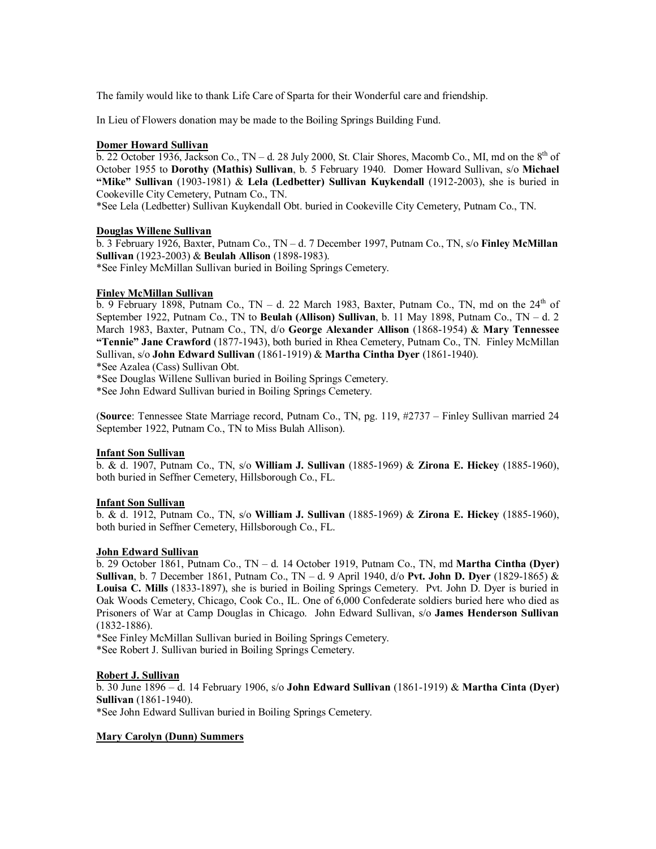The family would like to thank Life Care of Sparta for their Wonderful care and friendship.

In Lieu of Flowers donation may be made to the Boiling Springs Building Fund.

### **Domer Howard Sullivan**

 $\overline{b}$ . 22 October 1936, Jackson Co., TN – d. 28 July 2000, St. Clair Shores, Macomb Co., MI, md on the  $8<sup>th</sup>$  of October 1955 to **Dorothy (Mathis) Sullivan**, b. 5 February 1940. Domer Howard Sullivan, s/o **Michael "Mike" Sullivan** (1903-1981) & **Lela (Ledbetter) Sullivan Kuykendall** (1912-2003), she is buried in Cookeville City Cemetery, Putnam Co., TN.

\*See Lela (Ledbetter) Sullivan Kuykendall Obt. buried in Cookeville City Cemetery, Putnam Co., TN.

### **Douglas Willene Sullivan**

b. 3 February 1926, Baxter, Putnam Co., TN – d. 7 December 1997, Putnam Co., TN, s/o **Finley McMillan Sullivan** (1923-2003) & **Beulah Allison** (1898-1983). \*See Finley McMillan Sullivan buried in Boiling Springs Cemetery.

### **Finley McMillan Sullivan**

 $\overline{b}$ . 9 February 1898, Putnam Co., TN – d. 22 March 1983, Baxter, Putnam Co., TN, md on the 24<sup>th</sup> of September 1922, Putnam Co., TN to **Beulah (Allison) Sullivan**, b. 11 May 1898, Putnam Co., TN – d. 2 March 1983, Baxter, Putnam Co., TN, d/o **George Alexander Allison** (1868-1954) & **Mary Tennessee "Tennie" Jane Crawford** (1877-1943), both buried in Rhea Cemetery, Putnam Co., TN. Finley McMillan Sullivan, s/o **John Edward Sullivan** (1861-1919) & **Martha Cintha Dyer** (1861-1940).

\*See Azalea (Cass) Sullivan Obt.

\*See Douglas Willene Sullivan buried in Boiling Springs Cemetery.

\*See John Edward Sullivan buried in Boiling Springs Cemetery.

(**Source**: Tennessee State Marriage record, Putnam Co., TN, pg. 119, #2737 – Finley Sullivan married 24 September 1922, Putnam Co., TN to Miss Bulah Allison).

## **Infant Son Sullivan**

b. & d. 1907, Putnam Co., TN, s/o **William J. Sullivan** (1885-1969) & **Zirona E. Hickey** (1885-1960), both buried in Seffner Cemetery, Hillsborough Co., FL.

#### **Infant Son Sullivan**

b. & d. 1912, Putnam Co., TN, s/o **William J. Sullivan** (1885-1969) & **Zirona E. Hickey** (1885-1960), both buried in Seffner Cemetery, Hillsborough Co., FL.

## **John Edward Sullivan**

b. 29 October 1861, Putnam Co., TN – d. 14 October 1919, Putnam Co., TN, md **Martha Cintha (Dyer) Sullivan**, b. 7 December 1861, Putnam Co., TN – d. 9 April 1940, d/o **Pvt. John D. Dyer** (1829-1865) & **Louisa C. Mills** (1833-1897), she is buried in Boiling Springs Cemetery. Pvt. John D. Dyer is buried in Oak Woods Cemetery, Chicago, Cook Co., IL. One of 6,000 Confederate soldiers buried here who died as Prisoners of War at Camp Douglas in Chicago. John Edward Sullivan, s/o **James Henderson Sullivan** (1832-1886).

\*See Finley McMillan Sullivan buried in Boiling Springs Cemetery.

\*See Robert J. Sullivan buried in Boiling Springs Cemetery.

## **Robert J. Sullivan**

b. 30 June 1896 – d. 14 February 1906, s/o **John Edward Sullivan** (1861-1919) & **Martha Cinta (Dyer) Sullivan** (1861-1940).

\*See John Edward Sullivan buried in Boiling Springs Cemetery.

# **Mary Carolyn (Dunn) Summers**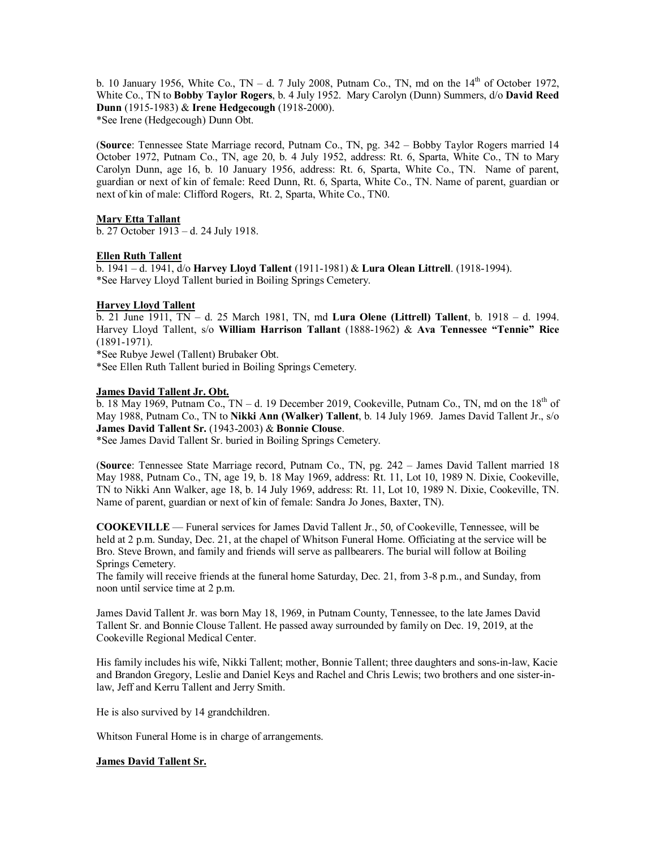b. 10 January 1956, White Co., TN – d. 7 July 2008, Putnam Co., TN, md on the  $14<sup>th</sup>$  of October 1972, White Co., TN to **Bobby Taylor Rogers**, b. 4 July 1952. Mary Carolyn (Dunn) Summers, d/o **David Reed Dunn** (1915-1983) & **Irene Hedgecough** (1918-2000). \*See Irene (Hedgecough) Dunn Obt.

(**Source**: Tennessee State Marriage record, Putnam Co., TN, pg. 342 – Bobby Taylor Rogers married 14 October 1972, Putnam Co., TN, age 20, b. 4 July 1952, address: Rt. 6, Sparta, White Co., TN to Mary Carolyn Dunn, age 16, b. 10 January 1956, address: Rt. 6, Sparta, White Co., TN. Name of parent, guardian or next of kin of female: Reed Dunn, Rt. 6, Sparta, White Co., TN. Name of parent, guardian or next of kin of male: Clifford Rogers, Rt. 2, Sparta, White Co., TN0.

# **Mary Etta Tallant**

b. 27 October 1913 – d. 24 July 1918.

# **Ellen Ruth Tallent**

b. 1941 – d. 1941, d/o **Harvey Lloyd Tallent** (1911-1981) & **Lura Olean Littrell**. (1918-1994). \*See Harvey Lloyd Tallent buried in Boiling Springs Cemetery.

# **Harvey Lloyd Tallent**

b. 21 June 1911, TN – d. 25 March 1981, TN, md **Lura Olene (Littrell) Tallent**, b. 1918 – d. 1994. Harvey Lloyd Tallent, s/o **William Harrison Tallant** (1888-1962) & **Ava Tennessee "Tennie" Rice** (1891-1971).

\*See Rubye Jewel (Tallent) Brubaker Obt.

\*See Ellen Ruth Tallent buried in Boiling Springs Cemetery.

# **James David Tallent Jr. Obt.**

b. 18 May 1969, Putnam Co.,  $TN - d$ . 19 December 2019, Cookeville, Putnam Co., TN, md on the  $18<sup>th</sup>$  of May 1988, Putnam Co., TN to **Nikki Ann (Walker) Tallent**, b. 14 July 1969. James David Tallent Jr., s/o **James David Tallent Sr.** (1943-2003) & **Bonnie Clouse**.

\*See James David Tallent Sr. buried in Boiling Springs Cemetery.

(**Source**: Tennessee State Marriage record, Putnam Co., TN, pg. 242 – James David Tallent married 18 May 1988, Putnam Co., TN, age 19, b. 18 May 1969, address: Rt. 11, Lot 10, 1989 N. Dixie, Cookeville, TN to Nikki Ann Walker, age 18, b. 14 July 1969, address: Rt. 11, Lot 10, 1989 N. Dixie, Cookeville, TN. Name of parent, guardian or next of kin of female: Sandra Jo Jones, Baxter, TN).

**COOKEVILLE** — Funeral services for James David Tallent Jr., 50, of Cookeville, Tennessee, will be held at 2 p.m. Sunday, Dec. 21, at the chapel of Whitson Funeral Home. Officiating at the service will be Bro. Steve Brown, and family and friends will serve as pallbearers. The burial will follow at Boiling Springs Cemetery.

The family will receive friends at the funeral home Saturday, Dec. 21, from 3-8 p.m., and Sunday, from noon until service time at 2 p.m.

James David Tallent Jr. was born May 18, 1969, in Putnam County, Tennessee, to the late James David Tallent Sr. and Bonnie Clouse Tallent. He passed away surrounded by family on Dec. 19, 2019, at the Cookeville Regional Medical Center.

His family includes his wife, Nikki Tallent; mother, Bonnie Tallent; three daughters and sons-in-law, Kacie and Brandon Gregory, Leslie and Daniel Keys and Rachel and Chris Lewis; two brothers and one sister-inlaw, Jeff and Kerru Tallent and Jerry Smith.

He is also survived by 14 grandchildren.

Whitson Funeral Home is in charge of arrangements.

# **James David Tallent Sr.**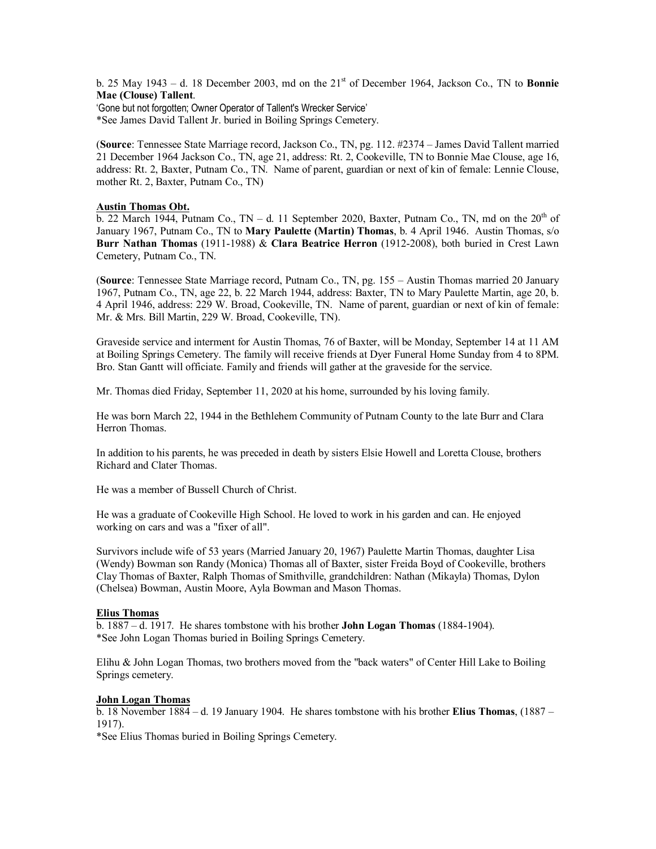b. 25 May 1943 – d. 18 December 2003, md on the 21st of December 1964, Jackson Co., TN to **Bonnie Mae (Clouse) Tallent**.

'Gone but not forgotten; Owner Operator of Tallent's Wrecker Service'

\*See James David Tallent Jr. buried in Boiling Springs Cemetery.

(**Source**: Tennessee State Marriage record, Jackson Co., TN, pg. 112. #2374 – James David Tallent married 21 December 1964 Jackson Co., TN, age 21, address: Rt. 2, Cookeville, TN to Bonnie Mae Clouse, age 16, address: Rt. 2, Baxter, Putnam Co., TN. Name of parent, guardian or next of kin of female: Lennie Clouse, mother Rt. 2, Baxter, Putnam Co., TN)

# **Austin Thomas Obt.**

 $\overline{b}$ . 22 March 1944, Putnam Co., TN – d. 11 September 2020, Baxter, Putnam Co., TN, md on the 20<sup>th</sup> of January 1967, Putnam Co., TN to **Mary Paulette (Martin) Thomas**, b. 4 April 1946. Austin Thomas, s/o **Burr Nathan Thomas** (1911-1988) & **Clara Beatrice Herron** (1912-2008), both buried in Crest Lawn Cemetery, Putnam Co., TN.

(**Source**: Tennessee State Marriage record, Putnam Co., TN, pg. 155 – Austin Thomas married 20 January 1967, Putnam Co., TN, age 22, b. 22 March 1944, address: Baxter, TN to Mary Paulette Martin, age 20, b. 4 April 1946, address: 229 W. Broad, Cookeville, TN. Name of parent, guardian or next of kin of female: Mr. & Mrs. Bill Martin, 229 W. Broad, Cookeville, TN).

Graveside service and interment for Austin Thomas, 76 of Baxter, will be Monday, September 14 at 11 AM at Boiling Springs Cemetery. The family will receive friends at Dyer Funeral Home Sunday from 4 to 8PM. Bro. Stan Gantt will officiate. Family and friends will gather at the graveside for the service.

Mr. Thomas died Friday, September 11, 2020 at his home, surrounded by his loving family.

He was born March 22, 1944 in the Bethlehem Community of Putnam County to the late Burr and Clara Herron Thomas.

In addition to his parents, he was preceded in death by sisters Elsie Howell and Loretta Clouse, brothers Richard and Clater Thomas.

He was a member of Bussell Church of Christ.

He was a graduate of Cookeville High School. He loved to work in his garden and can. He enjoyed working on cars and was a "fixer of all".

Survivors include wife of 53 years (Married January 20, 1967) Paulette Martin Thomas, daughter Lisa (Wendy) Bowman son Randy (Monica) Thomas all of Baxter, sister Freida Boyd of Cookeville, brothers Clay Thomas of Baxter, Ralph Thomas of Smithville, grandchildren: Nathan (Mikayla) Thomas, Dylon (Chelsea) Bowman, Austin Moore, Ayla Bowman and Mason Thomas.

## **Elius Thomas**

b. 1887 – d. 1917. He shares tombstone with his brother **John Logan Thomas** (1884-1904). \*See John Logan Thomas buried in Boiling Springs Cemetery.

Elihu & John Logan Thomas, two brothers moved from the "back waters" of Center Hill Lake to Boiling Springs cemetery.

## **John Logan Thomas**

b. 18 November 1884 – d. 19 January 1904. He shares tombstone with his brother **Elius Thomas**, (1887 – 1917).

\*See Elius Thomas buried in Boiling Springs Cemetery.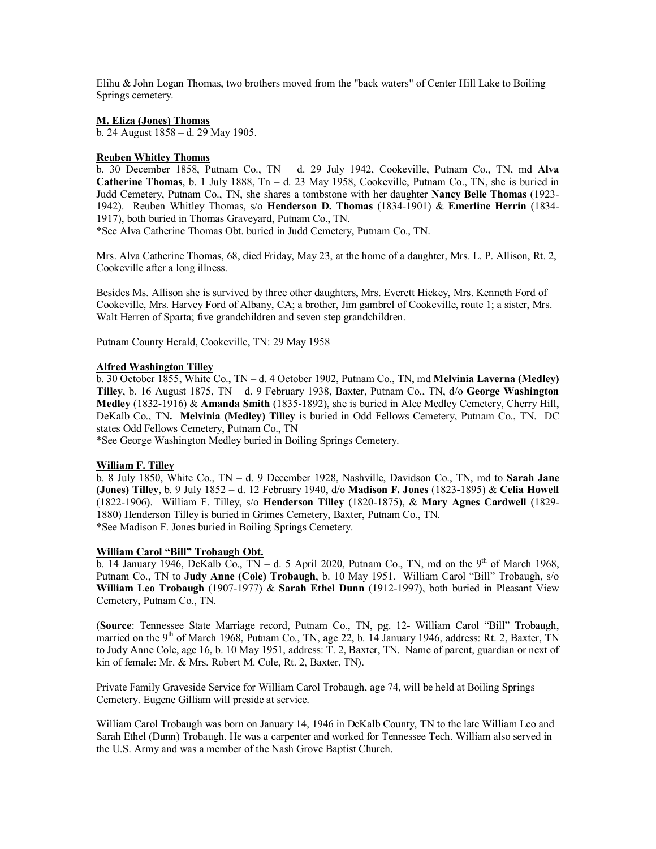Elihu & John Logan Thomas, two brothers moved from the "back waters" of Center Hill Lake to Boiling Springs cemetery.

# **M. Eliza (Jones) Thomas**

b. 24 August 1858 – d. 29 May 1905.

## **Reuben Whitley Thomas**

b. 30 December 1858, Putnam Co., TN – d. 29 July 1942, Cookeville, Putnam Co., TN, md **Alva Catherine Thomas**, b. 1 July 1888, Tn – d. 23 May 1958, Cookeville, Putnam Co., TN, she is buried in Judd Cemetery, Putnam Co., TN, she shares a tombstone with her daughter **Nancy Belle Thomas** (1923- 1942). Reuben Whitley Thomas, s/o **Henderson D. Thomas** (1834-1901) & **Emerline Herrin** (1834- 1917), both buried in Thomas Graveyard, Putnam Co., TN.

\*See Alva Catherine Thomas Obt. buried in Judd Cemetery, Putnam Co., TN.

Mrs. Alva Catherine Thomas, 68, died Friday, May 23, at the home of a daughter, Mrs. L. P. Allison, Rt. 2, Cookeville after a long illness.

Besides Ms. Allison she is survived by three other daughters, Mrs. Everett Hickey, Mrs. Kenneth Ford of Cookeville, Mrs. Harvey Ford of Albany, CA; a brother, Jim gambrel of Cookeville, route 1; a sister, Mrs. Walt Herren of Sparta; five grandchildren and seven step grandchildren.

Putnam County Herald, Cookeville, TN: 29 May 1958

## **Alfred Washington Tilley**

b. 30 October 1855, White Co., TN – d. 4 October 1902, Putnam Co., TN, md **Melvinia Laverna (Medley) Tilley**, b. 16 August 1875, TN – d. 9 February 1938, Baxter, Putnam Co., TN, d/o **George Washington Medley** (1832-1916) & **Amanda Smith** (1835-1892), she is buried in Alee Medley Cemetery, Cherry Hill, DeKalb Co., TN**. Melvinia (Medley) Tilley** is buried in Odd Fellows Cemetery, Putnam Co., TN. DC states Odd Fellows Cemetery, Putnam Co., TN

\*See George Washington Medley buried in Boiling Springs Cemetery.

## **William F. Tilley**

b. 8 July 1850, White Co., TN – d. 9 December 1928, Nashville, Davidson Co., TN, md to **Sarah Jane (Jones) Tilley**, b. 9 July 1852 – d. 12 February 1940, d/o **Madison F. Jones** (1823-1895) & **Celia Howell** (1822-1906). William F. Tilley, s/o **Henderson Tilley** (1820-1875), & **Mary Agnes Cardwell** (1829- 1880) Henderson Tilley is buried in Grimes Cemetery, Baxter, Putnam Co., TN. \*See Madison F. Jones buried in Boiling Springs Cemetery.

## **William Carol "Bill" Trobaugh Obt.**

 $\overline{b}$ . 14 January 1946, DeKalb Co., TN – d. 5 April 2020, Putnam Co., TN, md on the 9<sup>th</sup> of March 1968, Putnam Co., TN to **Judy Anne (Cole) Trobaugh**, b. 10 May 1951. William Carol "Bill" Trobaugh, s/o **William Leo Trobaugh** (1907-1977) & **Sarah Ethel Dunn** (1912-1997), both buried in Pleasant View Cemetery, Putnam Co., TN.

(**Source**: Tennessee State Marriage record, Putnam Co., TN, pg. 12- William Carol "Bill" Trobaugh, married on the 9<sup>th</sup> of March 1968, Putnam Co., TN, age 22, b. 14 January 1946, address: Rt. 2, Baxter, TN to Judy Anne Cole, age 16, b. 10 May 1951, address: T. 2, Baxter, TN. Name of parent, guardian or next of kin of female: Mr. & Mrs. Robert M. Cole, Rt. 2, Baxter, TN).

Private Family Graveside Service for William Carol Trobaugh, age 74, will be held at Boiling Springs Cemetery. Eugene Gilliam will preside at service.

William Carol Trobaugh was born on January 14, 1946 in DeKalb County, TN to the late William Leo and Sarah Ethel (Dunn) Trobaugh. He was a carpenter and worked for Tennessee Tech. William also served in the U.S. Army and was a member of the Nash Grove Baptist Church.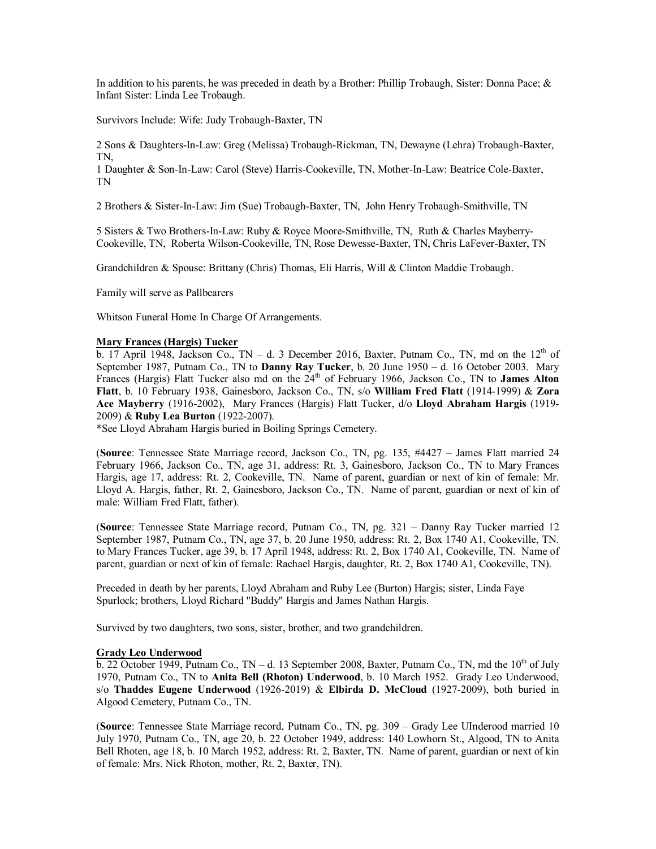In addition to his parents, he was preceded in death by a Brother: Phillip Trobaugh, Sister: Donna Pace; & Infant Sister: Linda Lee Trobaugh.

Survivors Include: Wife: Judy Trobaugh-Baxter, TN

2 Sons & Daughters-In-Law: Greg (Melissa) Trobaugh-Rickman, TN, Dewayne (Lehra) Trobaugh-Baxter, TN,

1 Daughter & Son-In-Law: Carol (Steve) Harris-Cookeville, TN, Mother-In-Law: Beatrice Cole-Baxter, TN

2 Brothers & Sister-In-Law: Jim (Sue) Trobaugh-Baxter, TN, John Henry Trobaugh-Smithville, TN

5 Sisters & Two Brothers-In-Law: Ruby & Royce Moore-Smithville, TN, Ruth & Charles Mayberry-Cookeville, TN, Roberta Wilson-Cookeville, TN, Rose Dewesse-Baxter, TN, Chris LaFever-Baxter, TN

Grandchildren & Spouse: Brittany (Chris) Thomas, Eli Harris, Will & Clinton Maddie Trobaugh.

Family will serve as Pallbearers

Whitson Funeral Home In Charge Of Arrangements.

## **Mary Frances (Hargis) Tucker**

b. 17 April 1948, Jackson Co., TN – d. 3 December 2016, Baxter, Putnam Co., TN, md on the  $12<sup>th</sup>$  of September 1987, Putnam Co., TN to **Danny Ray Tucker**, b. 20 June 1950 – d. 16 October 2003. Mary Frances (Hargis) Flatt Tucker also md on the 24th of February 1966, Jackson Co., TN to **James Alton Flatt**, b. 10 February 1938, Gainesboro, Jackson Co., TN, s/o **William Fred Flatt** (1914-1999) & **Zora Ace Mayberry** (1916-2002), Mary Frances (Hargis) Flatt Tucker, d/o **Lloyd Abraham Hargis** (1919- 2009) & **Ruby Lea Burton** (1922-2007).

\*See Lloyd Abraham Hargis buried in Boiling Springs Cemetery.

(**Source**: Tennessee State Marriage record, Jackson Co., TN, pg. 135, #4427 – James Flatt married 24 February 1966, Jackson Co., TN, age 31, address: Rt. 3, Gainesboro, Jackson Co., TN to Mary Frances Hargis, age 17, address: Rt. 2, Cookeville, TN. Name of parent, guardian or next of kin of female: Mr. Lloyd A. Hargis, father, Rt. 2, Gainesboro, Jackson Co., TN. Name of parent, guardian or next of kin of male: William Fred Flatt, father).

(**Source**: Tennessee State Marriage record, Putnam Co., TN, pg. 321 – Danny Ray Tucker married 12 September 1987, Putnam Co., TN, age 37, b. 20 June 1950, address: Rt. 2, Box 1740 A1, Cookeville, TN. to Mary Frances Tucker, age 39, b. 17 April 1948, address: Rt. 2, Box 1740 A1, Cookeville, TN. Name of parent, guardian or next of kin of female: Rachael Hargis, daughter, Rt. 2, Box 1740 A1, Cookeville, TN).

Preceded in death by her parents, Lloyd Abraham and Ruby Lee (Burton) Hargis; sister, Linda Faye Spurlock; brothers, Lloyd Richard "Buddy" Hargis and James Nathan Hargis.

Survived by two daughters, two sons, sister, brother, and two grandchildren.

#### **Grady Leo Underwood**

 $\overline{b}$ . 22 October 1949, Putnam Co., TN – d. 13 September 2008, Baxter, Putnam Co., TN, md the 10<sup>th</sup> of July 1970, Putnam Co., TN to **Anita Bell (Rhoton) Underwood**, b. 10 March 1952. Grady Leo Underwood, s/o **Thaddes Eugene Underwood** (1926-2019) & **Elbirda D. McCloud** (1927-2009), both buried in Algood Cemetery, Putnam Co., TN.

(**Source**: Tennessee State Marriage record, Putnam Co., TN, pg. 309 – Grady Lee UInderood married 10 July 1970, Putnam Co., TN, age 20, b. 22 October 1949, address: 140 Lowhorn St., Algood, TN to Anita Bell Rhoten, age 18, b. 10 March 1952, address: Rt. 2, Baxter, TN. Name of parent, guardian or next of kin of female: Mrs. Nick Rhoton, mother, Rt. 2, Baxter, TN).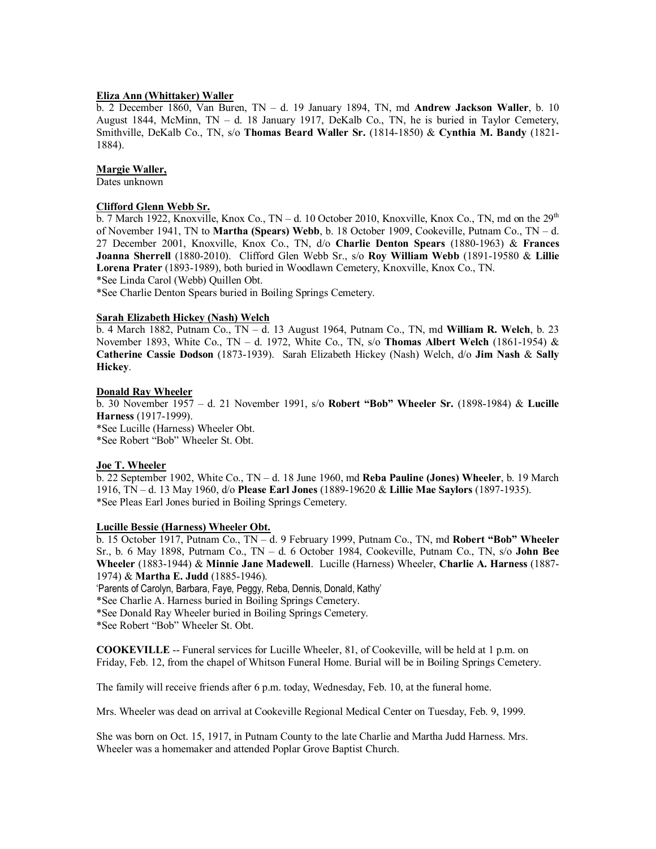# **Eliza Ann (Whittaker) Waller**

b. 2 December 1860, Van Buren, TN – d. 19 January 1894, TN, md **Andrew Jackson Waller**, b. 10 August 1844, McMinn, TN – d. 18 January 1917, DeKalb Co., TN, he is buried in Taylor Cemetery, Smithville, DeKalb Co., TN, s/o **Thomas Beard Waller Sr.** (1814-1850) & **Cynthia M. Bandy** (1821- 1884).

### **Margie Waller,**

Dates unknown

## **Clifford Glenn Webb Sr.**

b. 7 March 1922, Knoxville, Knox Co., TN – d. 10 October 2010, Knoxville, Knox Co., TN, md on the  $29^{th}$ of November 1941, TN to **Martha (Spears) Webb**, b. 18 October 1909, Cookeville, Putnam Co., TN – d. 27 December 2001, Knoxville, Knox Co., TN, d/o **Charlie Denton Spears** (1880-1963) & **Frances Joanna Sherrell** (1880-2010). Clifford Glen Webb Sr., s/o **Roy William Webb** (1891-19580 & **Lillie Lorena Prater** (1893-1989), both buried in Woodlawn Cemetery, Knoxville, Knox Co., TN. \*See Linda Carol (Webb) Quillen Obt.

\*See Charlie Denton Spears buried in Boiling Springs Cemetery.

### **Sarah Elizabeth Hickey (Nash) Welch**

b. 4 March 1882, Putnam Co., TN – d. 13 August 1964, Putnam Co., TN, md **William R. Welch**, b. 23 November 1893, White Co., TN – d. 1972, White Co., TN, s/o **Thomas Albert Welch** (1861-1954) & **Catherine Cassie Dodson** (1873-1939). Sarah Elizabeth Hickey (Nash) Welch, d/o **Jim Nash** & **Sally Hickey**.

### **Donald Ray Wheeler**

b. 30 November 1957 – d. 21 November 1991, s/o **Robert "Bob" Wheeler Sr.** (1898-1984) & **Lucille Harness** (1917-1999). \*See Lucille (Harness) Wheeler Obt.

\*See Robert "Bob" Wheeler St. Obt.

### **Joe T. Wheeler**

b. 22 September 1902, White Co., TN – d. 18 June 1960, md **Reba Pauline (Jones) Wheeler**, b. 19 March 1916, TN – d. 13 May 1960, d/o **Please Earl Jones** (1889-19620 & **Lillie Mae Saylors** (1897-1935). \*See Pleas Earl Jones buried in Boiling Springs Cemetery.

#### **Lucille Bessie (Harness) Wheeler Obt.**

b. 15 October 1917, Putnam Co., TN – d. 9 February 1999, Putnam Co., TN, md **Robert "Bob" Wheeler** Sr., b. 6 May 1898, Putrnam Co., TN – d. 6 October 1984, Cookeville, Putnam Co., TN, s/o **John Bee Wheeler** (1883-1944) & **Minnie Jane Madewell**. Lucille (Harness) Wheeler, **Charlie A. Harness** (1887- 1974) & **Martha E. Judd** (1885-1946).

'Parents of Carolyn, Barbara, Faye, Peggy, Reba, Dennis, Donald, Kathy'

\*See Charlie A. Harness buried in Boiling Springs Cemetery.

\*See Donald Ray Wheeler buried in Boiling Springs Cemetery.

\*See Robert "Bob" Wheeler St. Obt.

**COOKEVILLE** -- Funeral services for Lucille Wheeler, 81, of Cookeville, will be held at 1 p.m. on Friday, Feb. 12, from the chapel of Whitson Funeral Home. Burial will be in Boiling Springs Cemetery.

The family will receive friends after 6 p.m. today, Wednesday, Feb. 10, at the funeral home.

Mrs. Wheeler was dead on arrival at Cookeville Regional Medical Center on Tuesday, Feb. 9, 1999.

She was born on Oct. 15, 1917, in Putnam County to the late Charlie and Martha Judd Harness. Mrs. Wheeler was a homemaker and attended Poplar Grove Baptist Church.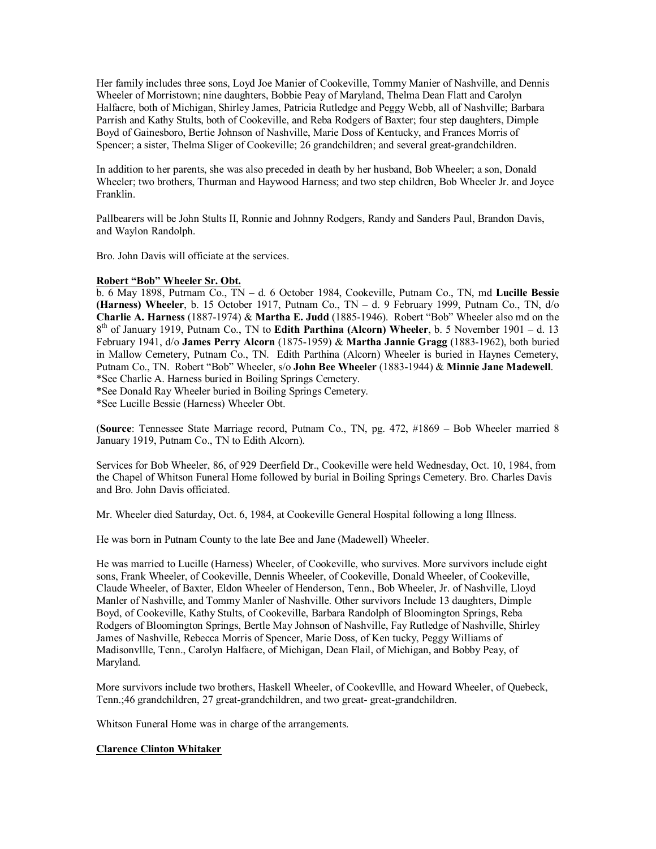Her family includes three sons, Loyd Joe Manier of Cookeville, Tommy Manier of Nashville, and Dennis Wheeler of Morristown; nine daughters, Bobbie Peay of Maryland, Thelma Dean Flatt and Carolyn Halfacre, both of Michigan, Shirley James, Patricia Rutledge and Peggy Webb, all of Nashville; Barbara Parrish and Kathy Stults, both of Cookeville, and Reba Rodgers of Baxter; four step daughters, Dimple Boyd of Gainesboro, Bertie Johnson of Nashville, Marie Doss of Kentucky, and Frances Morris of Spencer; a sister, Thelma Sliger of Cookeville; 26 grandchildren; and several great-grandchildren.

In addition to her parents, she was also preceded in death by her husband, Bob Wheeler; a son, Donald Wheeler; two brothers, Thurman and Haywood Harness; and two step children, Bob Wheeler Jr. and Joyce Franklin.

Pallbearers will be John Stults II, Ronnie and Johnny Rodgers, Randy and Sanders Paul, Brandon Davis, and Waylon Randolph.

Bro. John Davis will officiate at the services.

# **Robert "Bob" Wheeler Sr. Obt.**

b. 6 May 1898, Putrnam Co., TN – d. 6 October 1984, Cookeville, Putnam Co., TN, md **Lucille Bessie (Harness) Wheeler**, b. 15 October 1917, Putnam Co., TN – d. 9 February 1999, Putnam Co., TN, d/o **Charlie A. Harness** (1887-1974) & **Martha E. Judd** (1885-1946). Robert "Bob" Wheeler also md on the 8 th of January 1919, Putnam Co., TN to **Edith Parthina (Alcorn) Wheeler**, b. 5 November 1901 – d. 13 February 1941, d/o **James Perry Alcorn** (1875-1959) & **Martha Jannie Gragg** (1883-1962), both buried in Mallow Cemetery, Putnam Co., TN. Edith Parthina (Alcorn) Wheeler is buried in Haynes Cemetery, Putnam Co., TN. Robert "Bob" Wheeler, s/o **John Bee Wheeler** (1883-1944) & **Minnie Jane Madewell**. \*See Charlie A. Harness buried in Boiling Springs Cemetery.

\*See Donald Ray Wheeler buried in Boiling Springs Cemetery.

\*See Lucille Bessie (Harness) Wheeler Obt.

(**Source**: Tennessee State Marriage record, Putnam Co., TN, pg. 472, #1869 – Bob Wheeler married 8 January 1919, Putnam Co., TN to Edith Alcorn).

Services for Bob Wheeler, 86, of 929 Deerfield Dr., Cookeville were held Wednesday, Oct. 10, 1984, from the Chapel of Whitson Funeral Home followed by burial in Boiling Springs Cemetery. Bro. Charles Davis and Bro. John Davis officiated.

Mr. Wheeler died Saturday, Oct. 6, 1984, at Cookeville General Hospital following a long Illness.

He was born in Putnam County to the late Bee and Jane (Madewell) Wheeler.

He was married to Lucille (Harness) Wheeler, of Cookeville, who survives. More survivors include eight sons, Frank Wheeler, of Cookeville, Dennis Wheeler, of Cookeville, Donald Wheeler, of Cookeville, Claude Wheeler, of Baxter, Eldon Wheeler of Henderson, Tenn., Bob Wheeler, Jr. of Nashville, Lloyd Manler of Nashville, and Tommy Manler of Nashville. Other survivors Include 13 daughters, Dimple Boyd, of Cookeville, Kathy Stults, of Cookeville, Barbara Randolph of Bloomington Springs, Reba Rodgers of Bloomington Springs, Bertle May Johnson of Nashville, Fay Rutledge of Nashville, Shirley James of Nashville, Rebecca Morris of Spencer, Marie Doss, of Ken tucky, Peggy Williams of Madisonvllle, Tenn., Carolyn Halfacre, of Michigan, Dean Flail, of Michigan, and Bobby Peay, of Maryland.

More survivors include two brothers, Haskell Wheeler, of Cookevllle, and Howard Wheeler, of Quebeck, Tenn.;46 grandchildren, 27 great-grandchildren, and two great- great-grandchildren.

Whitson Funeral Home was in charge of the arrangements.

# **Clarence Clinton Whitaker**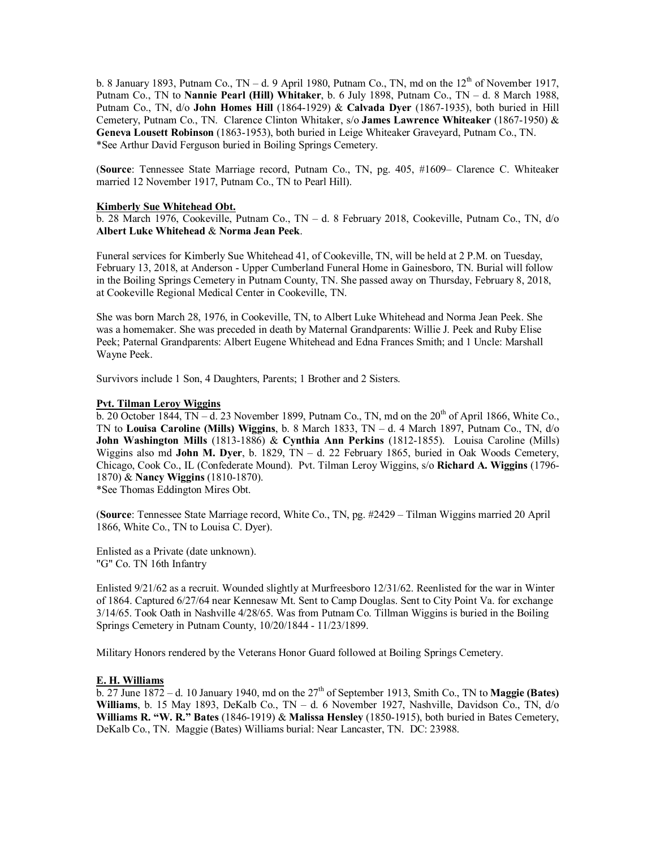b. 8 January 1893, Putnam Co., TN – d. 9 April 1980, Putnam Co., TN, md on the  $12<sup>th</sup>$  of November 1917, Putnam Co., TN to **Nannie Pearl (Hill) Whitaker**, b. 6 July 1898, Putnam Co., TN – d. 8 March 1988, Putnam Co., TN, d/o **John Homes Hill** (1864-1929) & **Calvada Dyer** (1867-1935), both buried in Hill Cemetery, Putnam Co., TN. Clarence Clinton Whitaker, s/o **James Lawrence Whiteaker** (1867-1950) & **Geneva Lousett Robinson** (1863-1953), both buried in Leige Whiteaker Graveyard, Putnam Co., TN. \*See Arthur David Ferguson buried in Boiling Springs Cemetery.

(**Source**: Tennessee State Marriage record, Putnam Co., TN, pg. 405, #1609– Clarence C. Whiteaker married 12 November 1917, Putnam Co., TN to Pearl Hill).

### **Kimberly Sue Whitehead Obt.**

b. 28 March 1976, Cookeville, Putnam Co., TN – d. 8 February 2018, Cookeville, Putnam Co., TN, d/o **Albert Luke Whitehead** & **Norma Jean Peek**.

Funeral services for Kimberly Sue Whitehead 41, of Cookeville, TN, will be held at 2 P.M. on Tuesday, February 13, 2018, at Anderson - Upper Cumberland Funeral Home in Gainesboro, TN. Burial will follow in the Boiling Springs Cemetery in Putnam County, TN. She passed away on Thursday, February 8, 2018, at Cookeville Regional Medical Center in Cookeville, TN.

She was born March 28, 1976, in Cookeville, TN, to Albert Luke Whitehead and Norma Jean Peek. She was a homemaker. She was preceded in death by Maternal Grandparents: Willie J. Peek and Ruby Elise Peek; Paternal Grandparents: Albert Eugene Whitehead and Edna Frances Smith; and 1 Uncle: Marshall Wayne Peek.

Survivors include 1 Son, 4 Daughters, Parents; 1 Brother and 2 Sisters.

## **Pvt. Tilman Leroy Wiggins**

 $\overline{b}$ . 20 October 1844, TN – d. 23 November 1899, Putnam Co., TN, md on the 20<sup>th</sup> of April 1866, White Co., TN to **Louisa Caroline (Mills) Wiggins**, b. 8 March 1833, TN – d. 4 March 1897, Putnam Co., TN, d/o **John Washington Mills** (1813-1886) & **Cynthia Ann Perkins** (1812-1855). Louisa Caroline (Mills) Wiggins also md **John M. Dyer**, b. 1829, TN – d. 22 February 1865, buried in Oak Woods Cemetery, Chicago, Cook Co., IL (Confederate Mound). Pvt. Tilman Leroy Wiggins, s/o **Richard A. Wiggins** (1796- 1870) & **Nancy Wiggins** (1810-1870).

\*See Thomas Eddington Mires Obt.

(**Source**: Tennessee State Marriage record, White Co., TN, pg. #2429 – Tilman Wiggins married 20 April 1866, White Co., TN to Louisa C. Dyer).

Enlisted as a Private (date unknown). "G" Co. TN 16th Infantry

Enlisted 9/21/62 as a recruit. Wounded slightly at Murfreesboro 12/31/62. Reenlisted for the war in Winter of 1864. Captured 6/27/64 near Kennesaw Mt. Sent to Camp Douglas. Sent to City Point Va. for exchange 3/14/65. Took Oath in Nashville 4/28/65. Was from Putnam Co. Tillman Wiggins is buried in the Boiling Springs Cemetery in Putnam County, 10/20/1844 - 11/23/1899.

Military Honors rendered by the Veterans Honor Guard followed at Boiling Springs Cemetery.

## **E. H. Williams**

 $\overline{b}$ . 27 June 1872 – d. 10 January 1940, md on the 27<sup>th</sup> of September 1913, Smith Co., TN to **Maggie (Bates) Williams**, b. 15 May 1893, DeKalb Co., TN – d. 6 November 1927, Nashville, Davidson Co., TN, d/o **Williams R. "W. R." Bates** (1846-1919) & **Malissa Hensley** (1850-1915), both buried in Bates Cemetery, DeKalb Co., TN. Maggie (Bates) Williams burial: Near Lancaster, TN. DC: 23988.